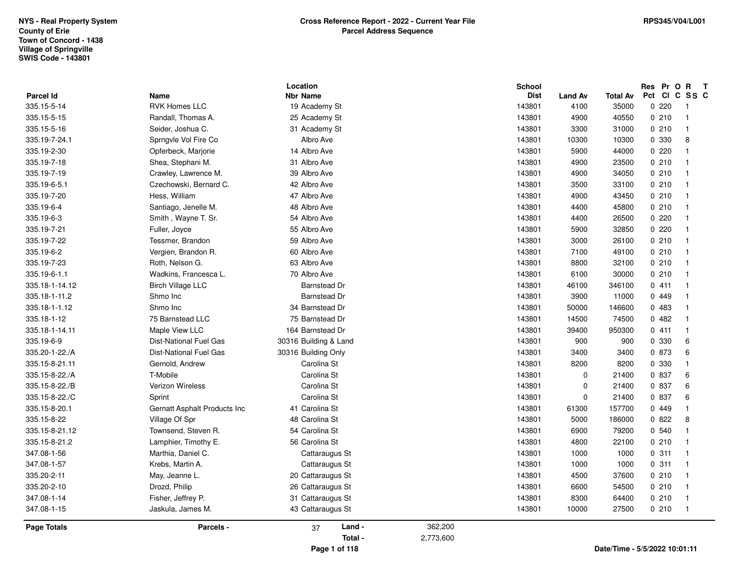| 335.18-1-12<br>75 Barnstead Dr<br>75 Barnstead LLC<br>Maple View LLC<br>335.18-1-14.11<br>164 Barnstead Dr<br>335.19-6-9<br>30316 Building & Land<br>Dist-National Fuel Gas<br>Dist-National Fuel Gas<br>30316 Building Only<br>335.20-1-22./A<br>335.15-8-21.11<br>Gernold, Andrew<br>Carolina St<br>335.15-8-22./A<br>T-Mobile<br>Carolina St<br>335.15-8-22./B<br>Carolina St<br><b>Verizon Wireless</b><br>Carolina St<br>335.15-8-22./C<br>Sprint<br>335.15-8-20.1<br>Gernatt Asphalt Products Inc<br>41 Carolina St<br>335.15-8-22<br>Village Of Spr<br>48 Carolina St<br>335.15-8-21.12<br>Townsend, Steven R.<br>54 Carolina St | 143801<br>143801<br>143801<br>143801<br>143801<br>143801<br>143801<br>143801<br>143801<br>143801<br>143801 | 14500<br>74500<br>39400<br>950300<br>900<br>900<br>3400<br>3400<br>8200<br>8200<br>0<br>21400<br>$\mathbf 0$<br>21400<br>$\mathbf 0$<br>21400<br>61300<br>157700<br>5000<br>186000<br>6900<br>79200 | 0482<br>-1<br>0411<br>0 330<br>6<br>0 873<br>6<br>0 330<br>$\mathbf{1}$<br>0 837<br>6<br>0 837<br>6<br>0 837<br>6<br>0.449<br>0.822<br>8<br>0 540 |
|-----------------------------------------------------------------------------------------------------------------------------------------------------------------------------------------------------------------------------------------------------------------------------------------------------------------------------------------------------------------------------------------------------------------------------------------------------------------------------------------------------------------------------------------------------------------------------------------------------------------------------------------|------------------------------------------------------------------------------------------------------------|-----------------------------------------------------------------------------------------------------------------------------------------------------------------------------------------------------|---------------------------------------------------------------------------------------------------------------------------------------------------|
|                                                                                                                                                                                                                                                                                                                                                                                                                                                                                                                                                                                                                                         |                                                                                                            |                                                                                                                                                                                                     |                                                                                                                                                   |
|                                                                                                                                                                                                                                                                                                                                                                                                                                                                                                                                                                                                                                         |                                                                                                            |                                                                                                                                                                                                     |                                                                                                                                                   |
|                                                                                                                                                                                                                                                                                                                                                                                                                                                                                                                                                                                                                                         |                                                                                                            |                                                                                                                                                                                                     |                                                                                                                                                   |
|                                                                                                                                                                                                                                                                                                                                                                                                                                                                                                                                                                                                                                         |                                                                                                            |                                                                                                                                                                                                     |                                                                                                                                                   |
|                                                                                                                                                                                                                                                                                                                                                                                                                                                                                                                                                                                                                                         |                                                                                                            |                                                                                                                                                                                                     |                                                                                                                                                   |
| 335.18-1-11.2<br><b>Barnstead Dr</b><br>Shmo Inc<br>34 Barnstead Dr<br>335.18-1-1.12<br>Shmo Inc                                                                                                                                                                                                                                                                                                                                                                                                                                                                                                                                        | 143801<br>143801                                                                                           | 3900<br>11000<br>50000<br>146600                                                                                                                                                                    | 0449<br>$\overline{1}$<br>0483<br>$\mathbf{1}$                                                                                                    |
| 335.19-6-1.1<br>70 Albro Ave<br>Wadkins, Francesca L.<br>335.18-1-14.12<br><b>Birch Village LLC</b><br><b>Barnstead Dr</b>                                                                                                                                                                                                                                                                                                                                                                                                                                                                                                              | 143801<br>143801                                                                                           | 6100<br>30000<br>46100<br>346100                                                                                                                                                                    | 0210<br>1<br>0411                                                                                                                                 |
| 335.19-6-2<br>Vergien, Brandon R.<br>60 Albro Ave<br>335.19-7-23<br>Roth, Nelson G.<br>63 Albro Ave                                                                                                                                                                                                                                                                                                                                                                                                                                                                                                                                     | 143801<br>143801                                                                                           | 7100<br>49100<br>8800<br>32100                                                                                                                                                                      | 0210<br>$\mathbf{1}$<br>0210<br>1                                                                                                                 |
| 335.19-7-21<br>Fuller, Joyce<br>55 Albro Ave<br>335.19-7-22<br>Tessmer, Brandon<br>59 Albro Ave                                                                                                                                                                                                                                                                                                                                                                                                                                                                                                                                         | 143801<br>143801                                                                                           | 5900<br>32850<br>3000<br>26100                                                                                                                                                                      | 0220<br>0210<br>$\mathbf{1}$                                                                                                                      |
| 335.19-7-20<br>Hess, William<br>47 Albro Ave<br>335.19-6-4<br>48 Albro Ave<br>Santiago, Jenelle M.<br>335.19-6-3<br>Smith, Wayne T. Sr.<br>54 Albro Ave                                                                                                                                                                                                                                                                                                                                                                                                                                                                                 | 143801<br>143801<br>143801                                                                                 | 4900<br>43450<br>4400<br>45800<br>26500<br>4400                                                                                                                                                     | 0210<br>0210<br>-1<br>0220<br>1                                                                                                                   |
| 39 Albro Ave<br>335.19-7-19<br>Crawley, Lawrence M.<br>335.19-6-5.1<br>Czechowski, Bernard C.<br>42 Albro Ave                                                                                                                                                                                                                                                                                                                                                                                                                                                                                                                           | 143801<br>143801                                                                                           | 4900<br>34050<br>3500<br>33100                                                                                                                                                                      | 0210<br>$\mathbf 1$<br>0210<br>-1                                                                                                                 |
| 335.19-7-24.1<br>Sprngvle Vol Fire Co<br>Albro Ave<br>335.19-2-30<br>14 Albro Ave<br>Opferbeck, Marjorie<br>335.19-7-18<br>31 Albro Ave<br>Shea, Stephani M.                                                                                                                                                                                                                                                                                                                                                                                                                                                                            | 143801<br>143801<br>143801                                                                                 | 10300<br>10300<br>5900<br>44000<br>4900<br>23500                                                                                                                                                    | 0 330<br>8<br>0.220<br>$\mathbf{1}$<br>0210<br>$\mathbf{1}$                                                                                       |
| <b>RVK Homes LLC</b><br>335.15-5-14<br>19 Academy St<br>335.15-5-15<br>Randall, Thomas A.<br>25 Academy St<br>335.15-5-16<br>Seider, Joshua C.<br>31 Academy St                                                                                                                                                                                                                                                                                                                                                                                                                                                                         | 143801<br>143801<br>143801                                                                                 | 35000<br>4100<br>4900<br>40550<br>3300<br>31000                                                                                                                                                     | 0220<br>-1<br>0210<br>$\mathbf 1$<br>0210<br>1                                                                                                    |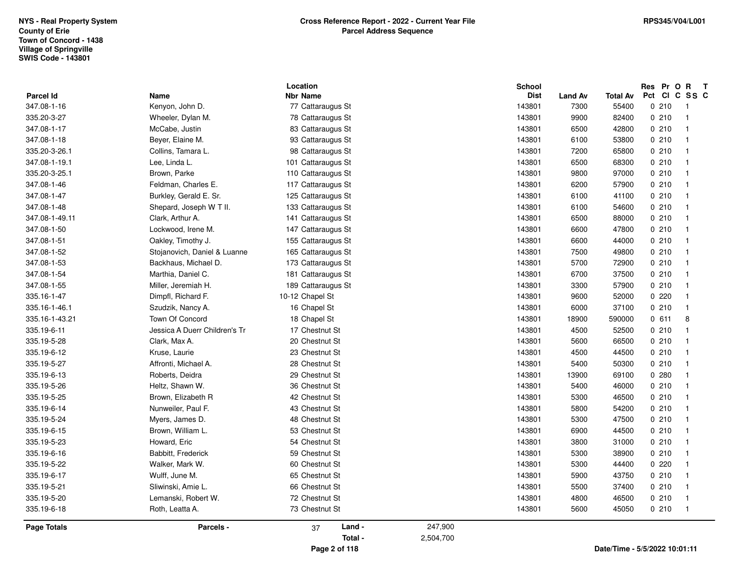|                |                               | Location           |           | School      |                |                 | Res Pr O R T                      |
|----------------|-------------------------------|--------------------|-----------|-------------|----------------|-----------------|-----------------------------------|
| Parcel Id      | Name                          | <b>Nbr Name</b>    |           | <b>Dist</b> | <b>Land Av</b> | <b>Total Av</b> | Pct Cl<br>C SS C                  |
| 347.08-1-16    | Kenyon, John D.               | 77 Cattaraugus St  |           | 143801      | 7300           | 55400           | 0210<br>- 1                       |
| 335.20-3-27    | Wheeler, Dylan M.             | 78 Cattaraugus St  |           | 143801      | 9900           | 82400           | 0210<br>$\overline{1}$            |
| 347.08-1-17    | McCabe, Justin                | 83 Cattaraugus St  |           | 143801      | 6500           | 42800           | 0210<br>$\overline{\mathbf{1}}$   |
| 347.08-1-18    | Beyer, Elaine M.              | 93 Cattaraugus St  |           | 143801      | 6100           | 53800           | 0210<br>$\overline{1}$            |
| 335.20-3-26.1  | Collins, Tamara L.            | 98 Cattaraugus St  |           | 143801      | 7200           | 65800           | 0210<br>$\overline{1}$            |
| 347.08-1-19.1  | Lee, Linda L.                 | 101 Cattaraugus St |           | 143801      | 6500           | 68300           | 0210<br>$\overline{1}$            |
| 335.20-3-25.1  | Brown, Parke                  | 110 Cattaraugus St |           | 143801      | 9800           | 97000           | 0210<br>$\overline{1}$            |
| 347.08-1-46    | Feldman, Charles E.           | 117 Cattaraugus St |           | 143801      | 6200           | 57900           | 0210<br>$\overline{\mathbf{1}}$   |
| 347.08-1-47    | Burkley, Gerald E. Sr.        | 125 Cattaraugus St |           | 143801      | 6100           | 41100           | 0210<br>$\overline{\mathbf{1}}$   |
| 347.08-1-48    | Shepard, Joseph W T II.       | 133 Cattaraugus St |           | 143801      | 6100           | 54600           | 0210<br>$\overline{1}$            |
| 347.08-1-49.11 | Clark, Arthur A.              | 141 Cattaraugus St |           | 143801      | 6500           | 88000           | 0210<br>$\overline{1}$            |
| 347.08-1-50    | Lockwood, Irene M.            | 147 Cattaraugus St |           | 143801      | 6600           | 47800           | 0210<br>$\overline{1}$            |
| 347.08-1-51    | Oakley, Timothy J.            | 155 Cattaraugus St |           | 143801      | 6600           | 44000           | 0.210<br>$\overline{1}$           |
| 347.08-1-52    | Stojanovich, Daniel & Luanne  | 165 Cattaraugus St |           | 143801      | 7500           | 49800           | 0210<br>$\blacksquare$            |
| 347.08-1-53    | Backhaus, Michael D.          | 173 Cattaraugus St |           | 143801      | 5700           | 72900           | 0210<br>$\overline{1}$            |
| 347.08-1-54    | Marthia, Daniel C.            | 181 Cattaraugus St |           | 143801      | 6700           | 37500           | 0210<br>$\overline{1}$            |
| 347.08-1-55    | Miller, Jeremiah H.           | 189 Cattaraugus St |           | 143801      | 3300           | 57900           | 0210<br>$\overline{1}$            |
| 335.16-1-47    | Dimpfl, Richard F.            | 10-12 Chapel St    |           | 143801      | 9600           | 52000           | 0.220<br>$\overline{\mathbf{1}}$  |
| 335.16-1-46.1  | Szudzik, Nancy A.             | 16 Chapel St       |           | 143801      | 6000           | 37100           | 0210<br>$\overline{\mathbf{1}}$   |
| 335.16-1-43.21 | Town Of Concord               | 18 Chapel St       |           | 143801      | 18900          | 590000          | 0611<br>8                         |
| 335.19-6-11    | Jessica A Duerr Children's Tr | 17 Chestnut St     |           | 143801      | 4500           | 52500           | 0210<br>$\overline{1}$            |
| 335.19-5-28    | Clark, Max A.                 | 20 Chestnut St     |           | 143801      | 5600           | 66500           | 0210<br>$\overline{1}$            |
| 335.19-6-12    | Kruse, Laurie                 | 23 Chestnut St     |           | 143801      | 4500           | 44500           | 0210<br>$\overline{\mathbf{1}}$   |
| 335.19-5-27    | Affronti, Michael A.          | 28 Chestnut St     |           | 143801      | 5400           | 50300           | 0210<br>$\overline{1}$            |
| 335.19-6-13    | Roberts, Deidra               | 29 Chestnut St     |           | 143801      | 13900          | 69100           | 0.280<br>$\overline{\phantom{a}}$ |
| 335.19-5-26    | Heltz, Shawn W.               | 36 Chestnut St     |           | 143801      | 5400           | 46000           | 0210<br>$\overline{1}$            |
| 335.19-5-25    | Brown, Elizabeth R            | 42 Chestnut St     |           | 143801      | 5300           | 46500           | 0210<br>$\overline{1}$            |
| 335.19-6-14    | Nunweiler, Paul F.            | 43 Chestnut St     |           | 143801      | 5800           | 54200           | 0210<br>$\overline{1}$            |
| 335.19-5-24    | Myers, James D.               | 48 Chestnut St     |           | 143801      | 5300           | 47500           | 0210<br>$\overline{1}$            |
| 335.19-6-15    | Brown, William L.             | 53 Chestnut St     |           | 143801      | 6900           | 44500           | 0210<br>$\overline{1}$            |
| 335.19-5-23    | Howard, Eric                  | 54 Chestnut St     |           | 143801      | 3800           | 31000           | 0210<br>$\overline{1}$            |
| 335.19-6-16    | Babbitt, Frederick            | 59 Chestnut St     |           | 143801      | 5300           | 38900           | 0210<br>$\overline{1}$            |
| 335.19-5-22    | Walker, Mark W.               | 60 Chestnut St     |           | 143801      | 5300           | 44400           | 0.220<br>$\overline{1}$           |
| 335.19-6-17    | Wulff, June M.                | 65 Chestnut St     |           | 143801      | 5900           | 43750           | 0210<br>$\overline{1}$            |
| 335.19-5-21    | Sliwinski, Amie L.            | 66 Chestnut St     |           | 143801      | 5500           | 37400           | 0210<br>$\overline{1}$            |
| 335.19-5-20    | Lemanski, Robert W.           | 72 Chestnut St     |           | 143801      | 4800           | 46500           | 0210<br>$\overline{1}$            |
| 335.19-6-18    | Roth, Leatta A.               | 73 Chestnut St     |           | 143801      | 5600           | 45050           | 0210<br>$\overline{1}$            |
| Page Totals    | Parcels -                     | Land -<br>37       | 247,900   |             |                |                 |                                   |
|                |                               | Total -            | 2,504,700 |             |                |                 |                                   |
|                |                               |                    |           |             |                |                 |                                   |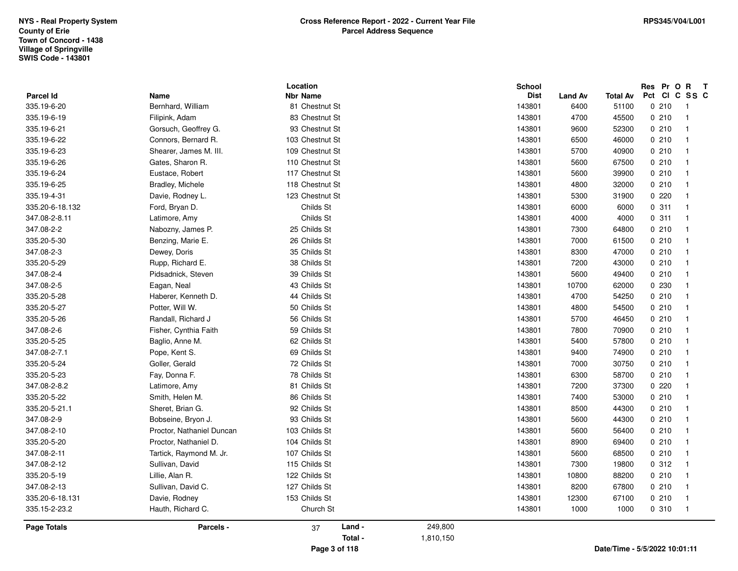| 335.19-6-19        | Filipink, Adam            | 83 Chestnut St  |           | 143801<br>4700  | 45500 | 0210<br>$\overline{1}$           |
|--------------------|---------------------------|-----------------|-----------|-----------------|-------|----------------------------------|
| 335.19-6-21        | Gorsuch, Geoffrey G.      | 93 Chestnut St  |           | 143801<br>9600  | 52300 | 0210<br>$\overline{1}$           |
| 335.19-6-22        | Connors, Bernard R.       | 103 Chestnut St |           | 143801<br>6500  | 46000 | 0210<br>$\overline{\mathbf{1}}$  |
| 335.19-6-23        | Shearer, James M. III.    | 109 Chestnut St |           | 143801<br>5700  | 40900 | 0210<br>$\overline{1}$           |
| 335.19-6-26        | Gates, Sharon R.          | 110 Chestnut St |           | 143801<br>5600  | 67500 | 0210<br>$\overline{1}$           |
| 335.19-6-24        | Eustace, Robert           | 117 Chestnut St |           | 143801<br>5600  | 39900 | 0210<br>$\overline{1}$           |
| 335.19-6-25        | Bradley, Michele          | 118 Chestnut St |           | 143801<br>4800  | 32000 | 0210<br>-1                       |
| 335.19-4-31        | Davie, Rodney L.          | 123 Chestnut St |           | 143801<br>5300  | 31900 | 0220<br>$\overline{\mathbf{1}}$  |
| 335.20-6-18.132    | Ford, Bryan D.            | Childs St       |           | 143801<br>6000  | 6000  | 0.311<br>$\overline{1}$          |
| 347.08-2-8.11      | Latimore, Amy             | Childs St       |           | 143801<br>4000  | 4000  | 0.311<br>$\overline{1}$          |
| 347.08-2-2         | Nabozny, James P.         | 25 Childs St    |           | 143801<br>7300  | 64800 | 0210<br>$\overline{\mathbf{1}}$  |
| 335.20-5-30        | Benzing, Marie E.         | 26 Childs St    |           | 143801<br>7000  | 61500 | 0210<br>$\overline{\mathbf{1}}$  |
| 347.08-2-3         | Dewey, Doris              | 35 Childs St    |           | 143801<br>8300  | 47000 | 0210<br>$\overline{1}$           |
| 335.20-5-29        | Rupp, Richard E.          | 38 Childs St    |           | 143801<br>7200  | 43000 | 0210<br>$\overline{1}$           |
| 347.08-2-4         | Pidsadnick, Steven        | 39 Childs St    |           | 143801<br>5600  | 49400 | 0210<br>$\overline{1}$           |
| 347.08-2-5         | Eagan, Neal               | 43 Childs St    |           | 143801<br>10700 | 62000 | 0 230<br>$\overline{\mathbf{1}}$ |
| 335.20-5-28        | Haberer, Kenneth D.       | 44 Childs St    |           | 143801<br>4700  | 54250 | 0210<br>$\overline{\mathbf{1}}$  |
| 335.20-5-27        | Potter, Will W.           | 50 Childs St    |           | 143801<br>4800  | 54500 | 0210<br>-1                       |
| 335.20-5-26        | Randall, Richard J        | 56 Childs St    |           | 143801<br>5700  | 46450 | 0210<br>$\overline{1}$           |
| 347.08-2-6         | Fisher, Cynthia Faith     | 59 Childs St    |           | 143801<br>7800  | 70900 | 0210<br>-1                       |
| 335.20-5-25        | Baglio, Anne M.           | 62 Childs St    |           | 143801<br>5400  | 57800 | 0210<br>$\overline{\mathbf{1}}$  |
| 347.08-2-7.1       | Pope, Kent S.             | 69 Childs St    |           | 143801<br>9400  | 74900 | 0210<br>$\overline{1}$           |
| 335.20-5-24        | Goller, Gerald            | 72 Childs St    |           | 143801<br>7000  | 30750 | 0210<br>$\overline{1}$           |
| 335.20-5-23        | Fay, Donna F.             | 78 Childs St    |           | 143801<br>6300  | 58700 | 0210<br>$\overline{\mathbf{1}}$  |
| 347.08-2-8.2       | Latimore, Amy             | 81 Childs St    |           | 143801<br>7200  | 37300 | 0220<br>$\overline{\mathbf{1}}$  |
| 335.20-5-22        | Smith, Helen M.           | 86 Childs St    |           | 143801<br>7400  | 53000 | 0210<br>$\overline{1}$           |
| 335.20-5-21.1      | Sheret, Brian G.          | 92 Childs St    |           | 143801<br>8500  | 44300 | 0210<br>$\overline{1}$           |
| 347.08-2-9         | Bobseine, Bryon J.        | 93 Childs St    |           | 143801<br>5600  | 44300 | 0210<br>$\overline{1}$           |
| 347.08-2-10        | Proctor, Nathaniel Duncan | 103 Childs St   |           | 143801<br>5600  | 56400 | 0210<br>$\overline{\mathbf{1}}$  |
| 335.20-5-20        | Proctor, Nathaniel D.     | 104 Childs St   |           | 143801<br>8900  | 69400 | 0210<br>$\overline{\mathbf{1}}$  |
| 347.08-2-11        | Tartick, Raymond M. Jr.   | 107 Childs St   |           | 143801<br>5600  | 68500 | 0210<br>$\overline{\mathbf{1}}$  |
| 347.08-2-12        | Sullivan, David           | 115 Childs St   |           | 143801<br>7300  | 19800 | 0.312<br>$\overline{1}$          |
| 335.20-5-19        | Lillie, Alan R.           | 122 Childs St   |           | 143801<br>10800 | 88200 | 0210<br>-1                       |
| 347.08-2-13        | Sullivan, David C.        | 127 Childs St   |           | 143801<br>8200  | 67800 | 0210<br>$\overline{\mathbf{1}}$  |
| 335.20-6-18.131    | Davie, Rodney             | 153 Childs St   |           | 143801<br>12300 | 67100 | 0210<br>$\overline{1}$           |
| 335.15-2-23.2      | Hauth, Richard C.         | Church St       |           | 143801<br>1000  | 1000  | 0.310<br>$\overline{1}$          |
| <b>Page Totals</b> | Parcels -                 | Land -<br>37    | 249,800   |                 |       |                                  |
|                    |                           | Total -         | 1,810,150 |                 |       |                                  |
|                    |                           | Page 3 of 118   |           |                 |       | Date/Time - 5/5/2022 10:01:11    |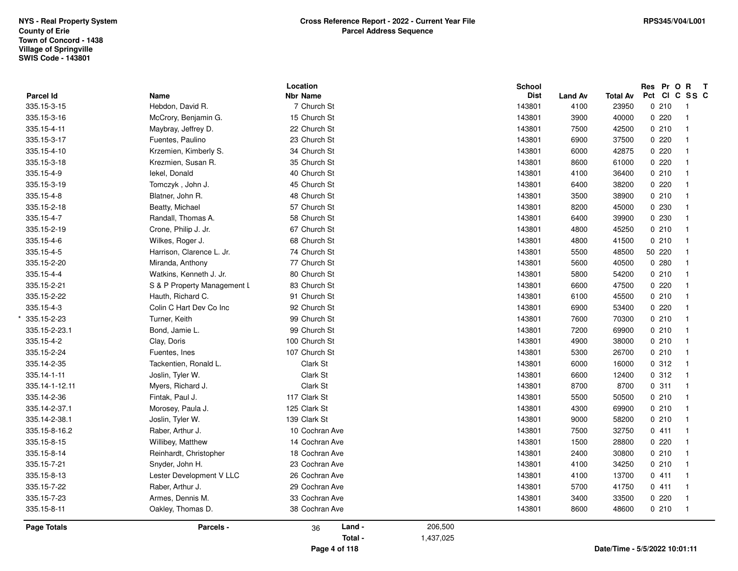|                          |                             | Location                       |           | <b>School</b><br><b>Dist</b> |                        |                          |        | Res Pr O R T<br>Pct CI C SS C |  |
|--------------------------|-----------------------------|--------------------------------|-----------|------------------------------|------------------------|--------------------------|--------|-------------------------------|--|
| Parcel Id<br>335.15-3-15 | Name<br>Hebdon, David R.    | <b>Nbr Name</b><br>7 Church St |           | 143801                       | <b>Land Av</b><br>4100 | <b>Total Av</b><br>23950 | 0210   | $\overline{\mathbf{1}}$       |  |
| 335.15-3-16              | McCrory, Benjamin G.        | 15 Church St                   |           | 143801                       | 3900                   | 40000                    | 0220   | $\overline{1}$                |  |
| 335.15-4-11              | Maybray, Jeffrey D.         | 22 Church St                   |           | 143801                       | 7500                   | 42500                    | 0210   | $\overline{1}$                |  |
| 335.15-3-17              | Fuentes, Paulino            | 23 Church St                   |           | 143801                       | 6900                   | 37500                    | 0.220  | $\overline{1}$                |  |
| 335.15-4-10              | Krzemien, Kimberly S.       | 34 Church St                   |           | 143801                       | 6000                   | 42875                    | 0220   | $\overline{1}$                |  |
|                          |                             |                                |           |                              |                        |                          | 0220   | $\overline{1}$                |  |
| 335.15-3-18              | Krezmien, Susan R.          | 35 Church St                   |           | 143801                       | 8600                   | 61000                    |        |                               |  |
| 335.15-4-9               | lekel, Donald               | 40 Church St                   |           | 143801                       | 4100                   | 36400                    | 0210   | $\overline{1}$                |  |
| 335.15-3-19              | Tomczyk, John J.            | 45 Church St                   |           | 143801                       | 6400                   | 38200                    | 0.220  | $\overline{1}$                |  |
| 335.15-4-8               | Blatner, John R.            | 48 Church St                   |           | 143801                       | 3500                   | 38900                    | 0210   | $\overline{1}$                |  |
| 335.15-2-18              | Beatty, Michael             | 57 Church St                   |           | 143801                       | 8200                   | 45000                    | 0 230  | $\overline{1}$                |  |
| 335.15-4-7               | Randall, Thomas A.          | 58 Church St                   |           | 143801                       | 6400                   | 39900                    | 0230   | $\overline{\mathbf{1}}$       |  |
| 335.15-2-19              | Crone, Philip J. Jr.        | 67 Church St                   |           | 143801                       | 4800                   | 45250                    | 0210   | $\overline{1}$                |  |
| 335.15-4-6               | Wilkes, Roger J.            | 68 Church St                   |           | 143801                       | 4800                   | 41500                    | 0210   | $\overline{1}$                |  |
| 335.15-4-5               | Harrison, Clarence L. Jr.   | 74 Church St                   |           | 143801                       | 5500                   | 48500                    | 50 220 | $\overline{1}$                |  |
| 335.15-2-20              | Miranda, Anthony            | 77 Church St                   |           | 143801                       | 5600                   | 40500                    | 0.280  | $\overline{1}$                |  |
| 335.15-4-4               | Watkins, Kenneth J. Jr.     | 80 Church St                   |           | 143801                       | 5800                   | 54200                    | 0210   | $\overline{\mathbf{1}}$       |  |
| 335.15-2-21              | S & P Property Management L | 83 Church St                   |           | 143801                       | 6600                   | 47500                    | 0220   | $\overline{1}$                |  |
| 335.15-2-22              | Hauth, Richard C.           | 91 Church St                   |           | 143801                       | 6100                   | 45500                    | 0210   | $\overline{1}$                |  |
| 335.15-4-3               | Colin C Hart Dev Co Inc     | 92 Church St                   |           | 143801                       | 6900                   | 53400                    | 0.220  | $\overline{1}$                |  |
| 335.15-2-23              | Turner, Keith               | 99 Church St                   |           | 143801                       | 7600                   | 70300                    | 0210   | $\overline{1}$                |  |
| 335.15-2-23.1            | Bond, Jamie L.              | 99 Church St                   |           | 143801                       | 7200                   | 69900                    | 0210   | $\overline{\mathbf{1}}$       |  |
| 335.15-4-2               | Clay, Doris                 | 100 Church St                  |           | 143801                       | 4900                   | 38000                    | 0210   | $\overline{\mathbf{1}}$       |  |
| 335.15-2-24              | Fuentes, Ines               | 107 Church St                  |           | 143801                       | 5300                   | 26700                    | 0210   | $\overline{1}$                |  |
| 335.14-2-35              | Tackentien, Ronald L.       | Clark St                       |           | 143801                       | 6000                   | 16000                    | 0.312  | $\overline{1}$                |  |
| 335.14-1-11              | Joslin, Tyler W.            | Clark St                       |           | 143801                       | 6600                   | 12400                    | 0.312  | $\overline{1}$                |  |
| 335.14-1-12.11           | Myers, Richard J.           | Clark St                       |           | 143801                       | 8700                   | 8700                     | 0.311  | $\overline{1}$                |  |
| 335.14-2-36              | Fintak, Paul J.             | 117 Clark St                   |           | 143801                       | 5500                   | 50500                    | 0210   | $\overline{\mathbf{1}}$       |  |
| 335.14-2-37.1            | Morosey, Paula J.           | 125 Clark St                   |           | 143801                       | 4300                   | 69900                    | 0210   | $\overline{1}$                |  |
| 335.14-2-38.1            | Joslin, Tyler W.            | 139 Clark St                   |           | 143801                       | 9000                   | 58200                    | 0210   | $\overline{1}$                |  |
| 335.15-8-16.2            | Raber, Arthur J.            | 10 Cochran Ave                 |           | 143801                       | 7500                   | 32750                    | 0411   | $\overline{\mathbf{1}}$       |  |
| 335.15-8-15              | Willibey, Matthew           | 14 Cochran Ave                 |           | 143801                       | 1500                   | 28800                    | 0.220  | $\overline{\mathbf{1}}$       |  |
| 335.15-8-14              | Reinhardt, Christopher      | 18 Cochran Ave                 |           | 143801                       | 2400                   | 30800                    | 0210   | $\overline{\mathbf{1}}$       |  |
| 335.15-7-21              | Snyder, John H.             | 23 Cochran Ave                 |           | 143801                       | 4100                   | 34250                    | 0210   | $\overline{1}$                |  |
| 335.15-8-13              | Lester Development V LLC    | 26 Cochran Ave                 |           | 143801                       | 4100                   | 13700                    | 0411   | $\overline{1}$                |  |
| 335.15-7-22              | Raber, Arthur J.            | 29 Cochran Ave                 |           | 143801                       | 5700                   | 41750                    | 0411   | $\overline{1}$                |  |
| 335.15-7-23              | Armes, Dennis M.            | 33 Cochran Ave                 |           | 143801                       | 3400                   | 33500                    | 0.220  | $\overline{1}$                |  |
| 335.15-8-11              | Oakley, Thomas D.           | 38 Cochran Ave                 |           | 143801                       | 8600                   | 48600                    | 0210   | $\overline{1}$                |  |
| Page Totals              | Parcels -                   | Land -<br>36                   | 206,500   |                              |                        |                          |        |                               |  |
|                          |                             | Total -                        | 1,437,025 |                              |                        |                          |        |                               |  |
|                          |                             |                                |           |                              |                        |                          |        |                               |  |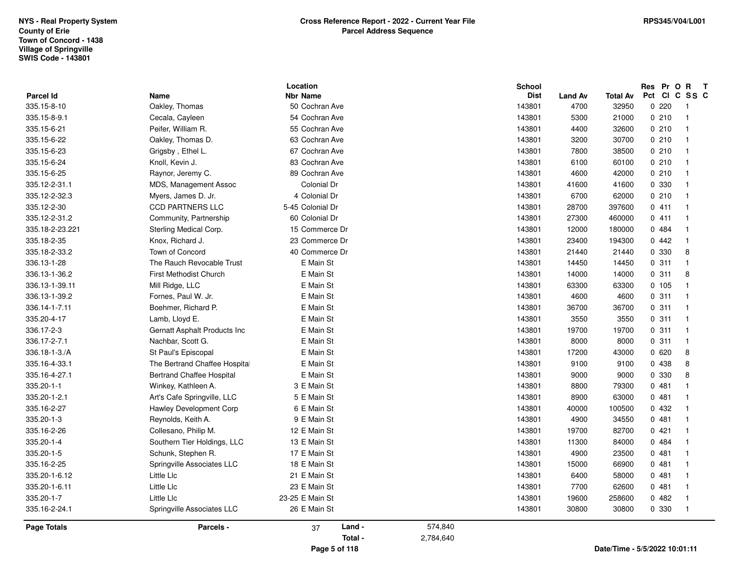| <b>Parcel Id</b> | Name                                       | Location<br><b>Nbr Name</b> |         |           | <b>School</b><br><b>Dist</b> | <b>Land Av</b> | <b>Total Av</b> | Pct Cl | Res Pr O | $\mathbf{R}$<br>C SS C  | $\mathbf{T}$ |
|------------------|--------------------------------------------|-----------------------------|---------|-----------|------------------------------|----------------|-----------------|--------|----------|-------------------------|--------------|
| 335.15-8-10      | Oakley, Thomas                             | 50 Cochran Ave              |         |           | 143801                       | 4700           | 32950           |        | 0.220    | - 1                     |              |
| 335.15-8-9.1     | Cecala, Cayleen                            | 54 Cochran Ave              |         |           | 143801                       | 5300           | 21000           |        | 0210     | - 1                     |              |
| 335.15-6-21      | Peifer, William R.                         | 55 Cochran Ave              |         |           | 143801                       | 4400           | 32600           |        | 0210     | $\overline{\mathbf{1}}$ |              |
| 335.15-6-22      | Oakley, Thomas D.                          | 63 Cochran Ave              |         |           | 143801                       | 3200           | 30700           |        | 0210     | $\overline{\mathbf{1}}$ |              |
| 335.15-6-23      | Grigsby, Ethel L.                          | 67 Cochran Ave              |         |           | 143801                       | 7800           | 38500           |        | 0210     | $\overline{\mathbf{1}}$ |              |
| 335.15-6-24      | Knoll, Kevin J.                            | 83 Cochran Ave              |         |           | 143801                       | 6100           | 60100           |        | 0210     | -1                      |              |
| 335.15-6-25      | Raynor, Jeremy C.                          | 89 Cochran Ave              |         |           | 143801                       | 4600           | 42000           |        | 0210     | $\overline{\mathbf{1}}$ |              |
| 335.12-2-31.1    | MDS, Management Assoc                      | Colonial Dr                 |         |           | 143801                       | 41600          | 41600           |        | 0 330    | $\overline{\mathbf{1}}$ |              |
| 335.12-2-32.3    | Myers, James D. Jr.                        | 4 Colonial Dr               |         |           | 143801                       | 6700           | 62000           |        | 0210     | $\overline{\mathbf{1}}$ |              |
| 335.12-2-30      | <b>CCD PARTNERS LLC</b>                    | 5-45 Colonial Dr            |         |           | 143801                       | 28700          | 397600          |        | 0411     | $\overline{\mathbf{1}}$ |              |
| 335.12-2-31.2    | Community, Partnership                     | 60 Colonial Dr              |         |           | 143801                       | 27300          | 460000          |        | 0411     | - 1                     |              |
| 335.18-2-23.221  |                                            | 15 Commerce Dr              |         |           | 143801                       | 12000          | 180000          |        | 0484     | - 1                     |              |
| 335.18-2-35      | Sterling Medical Corp.<br>Knox, Richard J. | 23 Commerce Dr              |         |           |                              | 23400          |                 |        | 0442     | $\overline{\mathbf{1}}$ |              |
| 335.18-2-33.2    | Town of Concord                            | 40 Commerce Dr              |         |           | 143801<br>143801             | 21440          | 194300<br>21440 |        | 0 330    | 8                       |              |
|                  | The Rauch Revocable Trust                  |                             |         |           |                              |                |                 |        |          | -1                      |              |
| 336.13-1-28      |                                            | E Main St                   |         |           | 143801                       | 14450          | 14450           |        | 0.311    | 8                       |              |
| 336.13-1-36.2    | First Methodist Church                     | E Main St                   |         |           | 143801                       | 14000          | 14000           |        | 0.311    | $\overline{\mathbf{1}}$ |              |
| 336.13-1-39.11   | Mill Ridge, LLC                            | E Main St                   |         |           | 143801                       | 63300          | 63300           |        | 0.105    |                         |              |
| 336.13-1-39.2    | Fornes, Paul W. Jr.                        | E Main St                   |         |           | 143801                       | 4600           | 4600            |        | 0.311    | - 1                     |              |
| 336.14-1-7.11    | Boehmer, Richard P.                        | E Main St                   |         |           | 143801                       | 36700          | 36700           |        | 0.311    | $\overline{1}$          |              |
| 335.20-4-17      | Lamb, Lloyd E.                             | E Main St                   |         |           | 143801                       | 3550           | 3550            |        | 0.311    | $\overline{\mathbf{1}}$ |              |
| 336.17-2-3       | Gernatt Asphalt Products Inc               | E Main St                   |         |           | 143801                       | 19700          | 19700           |        | 0.311    | -1                      |              |
| 336.17-2-7.1     | Nachbar, Scott G.                          | E Main St                   |         |           | 143801                       | 8000           | 8000            |        | 0.311    | $\overline{\mathbf{1}}$ |              |
| 336.18-1-3./A    | St Paul's Episcopal                        | E Main St                   |         |           | 143801                       | 17200          | 43000           |        | 0620     | 8                       |              |
| 335.16-4-33.1    | The Bertrand Chaffee Hospital              | E Main St                   |         |           | 143801                       | 9100           | 9100            |        | 0 438    | 8                       |              |
| 335.16-4-27.1    | <b>Bertrand Chaffee Hospital</b>           | E Main St                   |         |           | 143801                       | 9000           | 9000            |        | 0 330    | 8                       |              |
| 335.20-1-1       | Winkey, Kathleen A.                        | 3 E Main St                 |         |           | 143801                       | 8800           | 79300           |        | 0481     | $\overline{\mathbf{1}}$ |              |
| 335.20-1-2.1     | Art's Cafe Springville, LLC                | 5 E Main St                 |         |           | 143801                       | 8900           | 63000           |        | 0481     | - 1                     |              |
| 335.16-2-27      | Hawley Development Corp                    | 6 E Main St                 |         |           | 143801                       | 40000          | 100500          |        | 0 432    | - 1                     |              |
| 335.20-1-3       | Reynolds, Keith A.                         | 9 E Main St                 |         |           | 143801                       | 4900           | 34550           |        | 0481     | $\overline{1}$          |              |
| 335.16-2-26      | Collesano, Philip M.                       | 12 E Main St                |         |           | 143801                       | 19700          | 82700           |        | 0421     | -1                      |              |
| 335.20-1-4       | Southern Tier Holdings, LLC                | 13 E Main St                |         |           | 143801                       | 11300          | 84000           |        | 0484     | -1                      |              |
| 335.20-1-5       | Schunk, Stephen R.                         | 17 E Main St                |         |           | 143801                       | 4900           | 23500           |        | 0481     | -1                      |              |
| 335.16-2-25      | Springville Associates LLC                 | 18 E Main St                |         |           | 143801                       | 15000          | 66900           |        | 0481     | $\overline{\mathbf{1}}$ |              |
| 335.20-1-6.12    | Little Llc                                 | 21 E Main St                |         |           | 143801                       | 6400           | 58000           |        | 0481     | $\overline{\mathbf{1}}$ |              |
| 335.20-1-6.11    | Little Llc                                 | 23 E Main St                |         |           | 143801                       | 7700           | 62600           |        | 0481     | -1                      |              |
| 335.20-1-7       | Little Llc                                 | 23-25 E Main St             |         |           | 143801                       | 19600          | 258600          |        | 0482     | - 1                     |              |
| 335.16-2-24.1    | Springville Associates LLC                 | 26 E Main St                |         |           | 143801                       | 30800          | 30800           |        | 0 330    | $\overline{1}$          |              |
| Page Totals      | Parcels -                                  | 37                          | Land -  | 574,840   |                              |                |                 |        |          |                         |              |
|                  |                                            |                             | Total - | 2,784,640 |                              |                |                 |        |          |                         |              |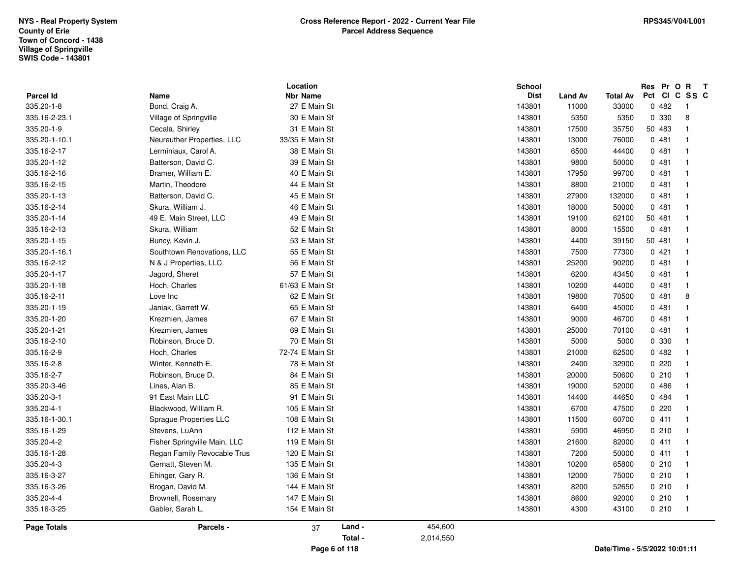|                         |                              | Location                        |         |           | <b>School</b>         |                |                               | Res Pr O R    | $\mathbf{T}$            |
|-------------------------|------------------------------|---------------------------------|---------|-----------|-----------------------|----------------|-------------------------------|---------------|-------------------------|
| Parcel Id<br>335.20-1-8 | Name<br>Bond, Craig A.       | <b>Nbr Name</b><br>27 E Main St |         |           | <b>Dist</b><br>143801 | <b>Land Av</b> | <b>Total Av</b><br>33000      | Pct CI C SS C |                         |
|                         |                              |                                 |         |           |                       | 11000          |                               | 0482          | $\overline{1}$          |
| 335.16-2-23.1           | Village of Springville       | 30 E Main St                    |         |           | 143801                | 5350           | 5350                          | 0 330         | 8<br>$\overline{1}$     |
| 335.20-1-9              | Cecala, Shirley              | 31 E Main St                    |         |           | 143801                | 17500          | 35750                         | 50 483        |                         |
| 335.20-1-10.1           | Neureuther Properties, LLC   | 33/35 E Main St                 |         |           | 143801                | 13000          | 76000                         | 0481          | $\mathbf{1}$            |
| 335.16-2-17             | Lerminiaux, Carol A.         | 38 E Main St                    |         |           | 143801                | 6500           | 44400                         | 0481          | $\mathbf{1}$            |
| 335.20-1-12             | Batterson, David C.          | 39 E Main St                    |         |           | 143801                | 9800           | 50000                         | 0481          | $\overline{1}$          |
| 335.16-2-16             | Bramer, William E.           | 40 E Main St                    |         |           | 143801                | 17950          | 99700                         | 0481          | $\overline{1}$          |
| 335.16-2-15             | Martin, Theodore             | 44 E Main St                    |         |           | 143801                | 8800           | 21000                         | 0481          |                         |
| 335.20-1-13             | Batterson, David C.          | 45 E Main St                    |         |           | 143801                | 27900          | 132000                        | 0481          |                         |
| 335.16-2-14             | Skura, William J.            | 46 E Main St                    |         |           | 143801                | 18000          | 50000                         | 0481          | $\mathbf{1}$            |
| 335.20-1-14             | 49 E. Main Street, LLC       | 49 E Main St                    |         |           | 143801                | 19100          | 62100                         | 50 481        | $\mathbf{1}$            |
| 335.16-2-13             | Skura, William               | 52 E Main St                    |         |           | 143801                | 8000           | 15500                         | 0481          | -1                      |
| 335.20-1-15             | Buncy, Kevin J.              | 53 E Main St                    |         |           | 143801                | 4400           | 39150                         | 50 481        | $\mathbf{1}$            |
| 335.20-1-16.1           | Southtown Renovations, LLC   | 55 E Main St                    |         |           | 143801                | 7500           | 77300                         | 0421          | $\mathbf{1}$            |
| 335.16-2-12             | N & J Properties, LLC        | 56 E Main St                    |         |           | 143801                | 25200          | 90200                         | 0481          | $\mathbf{1}$            |
| 335.20-1-17             | Jagord, Sheret               | 57 E Main St                    |         |           | 143801                | 6200           | 43450                         | 0481          | $\mathbf{1}$            |
| 335.20-1-18             | Hoch, Charles                | 61/63 E Main St                 |         |           | 143801                | 10200          | 44000                         | 0481          | $\mathbf{1}$            |
| 335.16-2-11             | Love Inc                     | 62 E Main St                    |         |           | 143801                | 19800          | 70500                         | 0481          | 8                       |
| 335.20-1-19             | Janiak, Garrett W.           | 65 E Main St                    |         |           | 143801                | 6400           | 45000                         | 0481          | $\overline{1}$          |
| 335.20-1-20             | Krezmien, James              | 67 E Main St                    |         |           | 143801                | 9000           | 46700                         | 0481          | $\overline{1}$          |
| 335.20-1-21             | Krezmien, James              | 69 E Main St                    |         |           | 143801                | 25000          | 70100                         | 0481          | -1                      |
| 335.16-2-10             | Robinson, Bruce D.           | 70 E Main St                    |         |           | 143801                | 5000           | 5000                          | 0 330         | -1                      |
| 335.16-2-9              | Hoch, Charles                | 72-74 E Main St                 |         |           | 143801                | 21000          | 62500                         | 0482          | $\overline{\mathbf{1}}$ |
| 335.16-2-8              | Winter, Kenneth E.           | 78 E Main St                    |         |           | 143801                | 2400           | 32900                         | 0220          | $\overline{\mathbf{1}}$ |
| 335.16-2-7              | Robinson, Bruce D.           | 84 E Main St                    |         |           | 143801                | 20000          | 50600                         | 0210          | $\overline{1}$          |
| 335.20-3-46             | Lines, Alan B.               | 85 E Main St                    |         |           | 143801                | 19000          | 52000                         | 0486          |                         |
| 335.20-3-1              | 91 East Main LLC             | 91 E Main St                    |         |           | 143801                | 14400          | 44650                         | 0 484         | $\overline{1}$          |
| 335.20-4-1              | Blackwood, William R.        | 105 E Main St                   |         |           | 143801                | 6700           | 47500                         | 0220          | -1                      |
| 335.16-1-30.1           | Sprague Properties LLC       | 108 E Main St                   |         |           | 143801                | 11500          | 60700                         | 0411          | $\overline{1}$          |
| 335.16-1-29             | Stevens, LuAnn               | 112 E Main St                   |         |           | 143801                | 5900           | 46950                         | 0210          | $\overline{1}$          |
| 335.20-4-2              | Fisher Springville Main, LLC | 119 E Main St                   |         |           | 143801                | 21600          | 82000                         | 0411          | $\overline{1}$          |
| 335.16-1-28             | Regan Family Revocable Trus  | 120 E Main St                   |         |           | 143801                | 7200           | 50000                         | 0411          | $\overline{1}$          |
| 335.20-4-3              | Gernatt, Steven M.           | 135 E Main St                   |         |           | 143801                | 10200          | 65800                         | 0210          | $\overline{1}$          |
| 335.16-3-27             | Ehinger, Gary R.             | 136 E Main St                   |         |           | 143801                | 12000          | 75000                         | 0210          | $\overline{1}$          |
| 335.16-3-26             | Brogan, David M.             | 144 E Main St                   |         |           | 143801                | 8200           | 52650                         | 0210          |                         |
| 335.20-4-4              | Brownell, Rosemary           | 147 E Main St                   |         |           | 143801                | 8600           | 92000                         | 0210          | $\overline{1}$          |
| 335.16-3-25             | Gabler, Sarah L.             | 154 E Main St                   |         |           | 143801                | 4300           | 43100                         | 0210          | $\overline{1}$          |
| <b>Page Totals</b>      | Parcels -                    | 37                              | Land -  | 454,600   |                       |                |                               |               |                         |
|                         |                              |                                 | Total - | 2,014,550 |                       |                |                               |               |                         |
|                         |                              | Page 6 of 118                   |         |           |                       |                | Date/Time - 5/5/2022 10:01:11 |               |                         |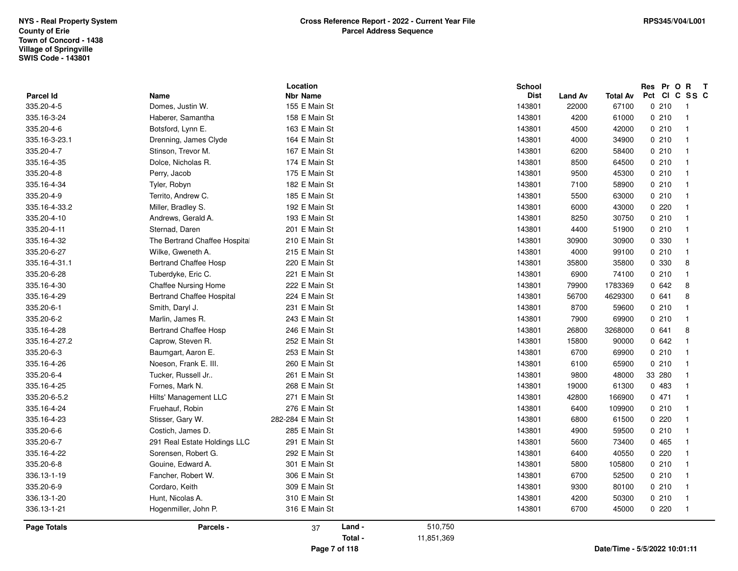| 335.16-4-24      | Fruehauf, Robin                  | 276 E Main St   |  | 143801        | 6400           | 109900          | 0210          | - 1                      |
|------------------|----------------------------------|-----------------|--|---------------|----------------|-----------------|---------------|--------------------------|
|                  |                                  |                 |  |               |                |                 |               |                          |
| 335.20-6-5.2     | Hilts' Management LLC            | 271 E Main St   |  | 143801        | 42800          | 166900          | 0471          | $\overline{1}$           |
| 335.16-4-25      | Fornes, Mark N.                  | 268 E Main St   |  | 143801        | 19000          | 61300           | 0 483         |                          |
| 335.20-6-4       | Tucker, Russell Jr               | 261 E Main St   |  | 143801        | 9800           | 48000           | 33 280        | $\overline{\mathbf{1}}$  |
| 335.16-4-26      | Noeson, Frank E. III.            | 260 E Main St   |  | 143801        | 6100           | 65900           | 0210          | $\overline{\mathbf{1}}$  |
| 335.20-6-3       | Baumgart, Aaron E.               | 253 E Main St   |  | 143801        | 6700           | 69900           | 0210          | $\overline{1}$           |
| 335.16-4-27.2    | Caprow, Steven R.                | 252 E Main St   |  | 143801        | 15800          | 90000           | 0642          | $\mathbf{1}$             |
| 335.16-4-28      | <b>Bertrand Chaffee Hosp</b>     | 246 E Main St   |  | 143801        | 26800          | 3268000         | 0641          | 8                        |
| 335.20-6-2       | Marlin, James R.                 | 243 E Main St   |  | 143801        | 7900           | 69900           | 0210          | $\overline{\mathbf{1}}$  |
| 335.20-6-1       | Smith, Daryl J.                  | 231 E Main St   |  | 143801        | 8700           | 59600           | 0210          | $\overline{1}$           |
| 335.16-4-29      | <b>Bertrand Chaffee Hospital</b> | 224 E Main St   |  | 143801        | 56700          | 4629300         | 0641          | 8                        |
| 335.16-4-30      | <b>Chaffee Nursing Home</b>      | 222 E Main St   |  | 143801        | 79900          | 1783369         | 0642          | 8                        |
| 335.20-6-28      | Tuberdyke, Eric C.               | 221 E Main St   |  | 143801        | 6900           | 74100           | 0210          | $\mathbf{1}$             |
| 335.16-4-31.1    | <b>Bertrand Chaffee Hosp</b>     | 220 E Main St   |  | 143801        | 35800          | 35800           | 0 330         | 8                        |
| 335.20-6-27      | Wilke, Gweneth A.                | 215 E Main St   |  | 143801        | 4000           | 99100           | 0210          | $\overline{1}$           |
| 335.16-4-32      | The Bertrand Chaffee Hospital    | 210 E Main St   |  | 143801        | 30900          | 30900           | 0 330         | $\overline{\mathbf{1}}$  |
| 335.20-4-11      | Sternad, Daren                   | 201 E Main St   |  | 143801        | 4400           | 51900           | 0210          | $\overline{1}$           |
| 335.20-4-10      | Andrews, Gerald A.               | 193 E Main St   |  | 143801        | 8250           | 30750           | 0210          | $\overline{\mathbf{1}}$  |
| 335.16-4-33.2    | Miller, Bradley S.               | 192 E Main St   |  | 143801        | 6000           | 43000           | 0.220         | $\overline{1}$           |
| 335.20-4-9       | Territo, Andrew C.               | 185 E Main St   |  | 143801        | 5500           | 63000           | 0210          | -1                       |
| 335.16-4-34      | Tyler, Robyn                     | 182 E Main St   |  | 143801        | 7100           | 58900           | 0210          | $\overline{1}$           |
| 335.20-4-8       | Perry, Jacob                     | 175 E Main St   |  | 143801        | 9500           | 45300           | 0210          | $\overline{1}$           |
| 335.16-4-35      | Dolce, Nicholas R.               | 174 E Main St   |  | 143801        | 8500           | 64500           | 0210          | $\overline{1}$           |
| 335.20-4-7       | Stinson, Trevor M.               | 167 E Main St   |  | 143801        | 6200           | 58400           | 0210          | $\overline{1}$           |
| 335.16-3-23.1    | Drenning, James Clyde            | 164 E Main St   |  | 143801        | 4000           | 34900           | 0210          | $\overline{1}$           |
| 335.20-4-6       | Botsford, Lynn E.                | 163 E Main St   |  | 143801        | 4500           | 42000           | 0210          | $\overline{1}$           |
| 335.16-3-24      | Haberer, Samantha                | 158 E Main St   |  | 143801        | 4200           | 61000           | 0210          | $\overline{1}$           |
| 335.20-4-5       | Domes, Justin W.                 | 155 E Main St   |  | 143801        | 22000          | 67100           | 0210          | $\overline{\phantom{1}}$ |
| <b>Parcel Id</b> | <b>Name</b>                      | <b>Nbr Name</b> |  | <b>Dist</b>   | <b>Land Av</b> | <b>Total Av</b> | Pct CI C SS C |                          |
|                  |                                  | Location        |  | <b>School</b> |                |                 | Res Pr O R T  |                          |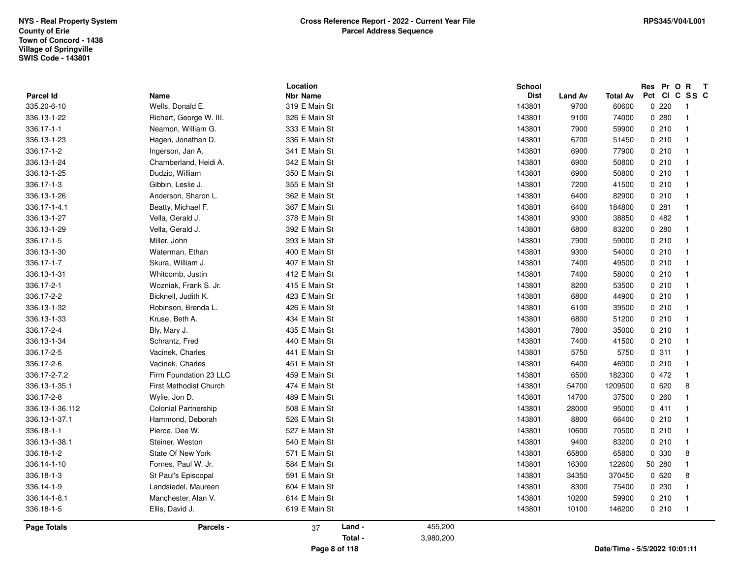|                 |                               | Location        |           | <b>School</b> |                |                               | Res Pr O R T  |                          |
|-----------------|-------------------------------|-----------------|-----------|---------------|----------------|-------------------------------|---------------|--------------------------|
| Parcel Id       | Name                          | <b>Nbr Name</b> |           | <b>Dist</b>   | <b>Land Av</b> | Total Av                      | Pct CI C SS C |                          |
| 335.20-6-10     | Wells, Donald E.              | 319 E Main St   |           | 143801        | 9700           | 60600                         | 0220          | $\overline{\phantom{1}}$ |
| 336.13-1-22     | Richert, George W. III.       | 326 E Main St   |           | 143801        | 9100           | 74000                         | 0.280         | $\overline{1}$           |
| 336.17-1-1      | Neamon, William G.            | 333 E Main St   |           | 143801        | 7900           | 59900                         | 0210          | $\overline{1}$           |
| 336.13-1-23     | Hagen, Jonathan D.            | 336 E Main St   |           | 143801        | 6700           | 51450                         | 0210          | $\overline{\phantom{0}}$ |
| 336.17-1-2      | Ingerson, Jan A.              | 341 E Main St   |           | 143801        | 6900           | 77900                         | 0210          | $\overline{1}$           |
| 336.13-1-24     | Chamberland, Heidi A.         | 342 E Main St   |           | 143801        | 6900           | 50800                         | 0210          | $\overline{1}$           |
| 336.13-1-25     | Dudzic, William               | 350 E Main St   |           | 143801        | 6900           | 50800                         | 0210          | $\overline{1}$           |
| 336.17-1-3      | Gibbin, Leslie J.             | 355 E Main St   |           | 143801        | 7200           | 41500                         | 0210          | $\overline{1}$           |
| 336.13-1-26     | Anderson, Sharon L.           | 362 E Main St   |           | 143801        | 6400           | 82900                         | 0210          | $\overline{1}$           |
| 336.17-1-4.1    | Beatty, Michael F.            | 367 E Main St   |           | 143801        | 6400           | 184800                        | 0.281         | $\overline{1}$           |
| 336.13-1-27     | Vella, Gerald J.              | 378 E Main St   |           | 143801        | 9300           | 38850                         | 0482          | $\overline{1}$           |
| 336.13-1-29     | Vella, Gerald J.              | 392 E Main St   |           | 143801        | 6800           | 83200                         | 0.280         | $\overline{1}$           |
| 336.17-1-5      | Miller, John                  | 393 E Main St   |           | 143801        | 7900           | 59000                         | 0210          | - 1                      |
| 336.13-1-30     | Waterman, Ethan               | 400 E Main St   |           | 143801        | 9300           | 54000                         | 0210          | $\overline{1}$           |
| 336.17-1-7      | Skura, William J.             | 407 E Main St   |           | 143801        | 7400           | 49500                         | 0210          | - 1                      |
| 336.13-1-31     | Whitcomb, Justin              | 412 E Main St   |           | 143801        | 7400           | 58000                         | 0210          | $\overline{1}$           |
| 336.17-2-1      | Wozniak, Frank S. Jr.         | 415 E Main St   |           | 143801        | 8200           | 53500                         | 0210          | $\overline{1}$           |
| 336.17-2-2      | Bicknell, Judith K.           | 423 E Main St   |           | 143801        | 6800           | 44900                         | 0210          | $\overline{1}$           |
| 336.13-1-32     | Robinson, Brenda L.           | 426 E Main St   |           | 143801        | 6100           | 39500                         | 0210          | $\overline{1}$           |
| 336.13-1-33     | Kruse, Beth A.                | 434 E Main St   |           | 143801        | 6800           | 51200                         | 0210          | $\overline{1}$           |
| 336.17-2-4      | Bly, Mary J.                  | 435 E Main St   |           | 143801        | 7800           | 35000                         | 0210          | $\overline{1}$           |
| 336.13-1-34     | Schrantz, Fred                | 440 E Main St   |           | 143801        | 7400           | 41500                         | 0210          | $\overline{\phantom{0}}$ |
| 336.17-2-5      | Vacinek, Charles              | 441 E Main St   |           | 143801        | 5750           | 5750                          | 0.311         | $\overline{1}$           |
| 336.17-2-6      | Vacinek, Charles              | 451 E Main St   |           | 143801        | 6400           | 46900                         | 0210          | - 1                      |
| 336.17-2-7.2    | Firm Foundation 23 LLC        | 459 E Main St   |           | 143801        | 6500           | 182300                        | 0472          | $\overline{1}$           |
| 336.13-1-35.1   | <b>First Methodist Church</b> | 474 E Main St   |           | 143801        | 54700          | 1209500                       | 0620          | 8                        |
| 336.17-2-8      | Wylie, Jon D.                 | 489 E Main St   |           | 143801        | 14700          | 37500                         | 0260          | $\overline{1}$           |
| 336.13-1-36.112 | <b>Colonial Partnership</b>   | 508 E Main St   |           | 143801        | 28000          | 95000                         | 0411          | $\overline{1}$           |
| 336.13-1-37.1   | Hammond, Deborah              | 526 E Main St   |           | 143801        | 8800           | 66400                         | 0210          | $\overline{1}$           |
| 336.18-1-1      | Pierce, Dee W.                | 527 E Main St   |           | 143801        | 10600          | 70500                         | 0210          | $\overline{1}$           |
| 336.13-1-38.1   | Steiner, Weston               | 540 E Main St   |           | 143801        | 9400           | 83200                         | 0210          | $\overline{1}$           |
| 336.18-1-2      | <b>State Of New York</b>      | 571 E Main St   |           | 143801        | 65800          | 65800                         | 0 330         | 8                        |
| 336.14-1-10     | Fornes, Paul W. Jr.           | 584 E Main St   |           | 143801        | 16300          | 122600                        | 50 280        | $\mathbf{1}$             |
| 336.18-1-3      | St Paul's Episcopal           | 591 E Main St   |           | 143801        | 34350          | 370450                        | 0620          | 8                        |
| 336.14-1-9      | Landsiedel, Maureen           | 604 E Main St   |           | 143801        | 8300           | 75400                         | 0 2 3 0       | $\overline{\mathbf{1}}$  |
| 336.14-1-8.1    | Manchester, Alan V.           | 614 E Main St   |           | 143801        | 10200          | 59900                         | 0210          | $\overline{1}$           |
| 336.18-1-5      | Ellis, David J.               | 619 E Main St   |           | 143801        | 10100          | 146200                        | 0210          | $\overline{1}$           |
| Page Totals     | Parcels -                     | Land -<br>37    | 455,200   |               |                |                               |               |                          |
|                 |                               | Total -         | 3,980,200 |               |                |                               |               |                          |
|                 |                               | Page 8 of 118   |           |               |                | Date/Time - 5/5/2022 10:01:11 |               |                          |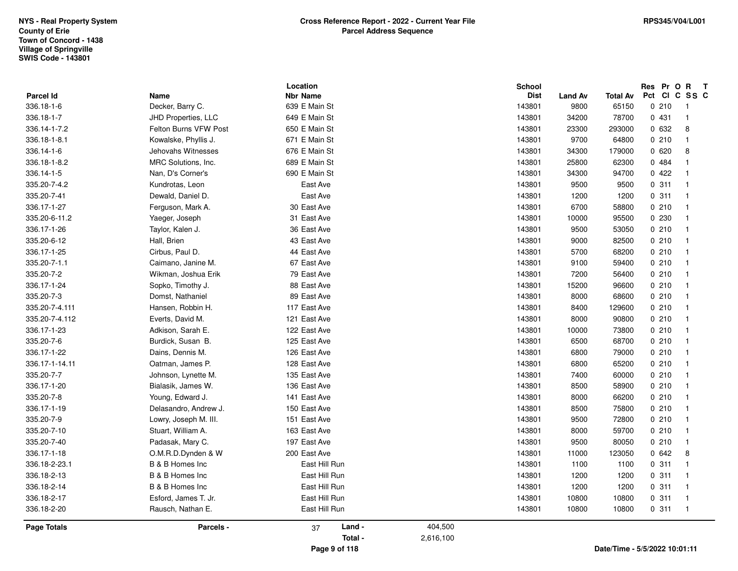| Parcel Id          | Name                  | Location<br><b>Nbr Name</b> |           | <b>School</b><br><b>Dist</b> | Land Av<br><b>Total Av</b>    | Res<br>Pct | Pr<br>CI | $\mathbf{R}$<br>$\mathbf{o}$<br>$\mathbf{T}$<br>C<br>SS C |
|--------------------|-----------------------|-----------------------------|-----------|------------------------------|-------------------------------|------------|----------|-----------------------------------------------------------|
| 336.18-1-6         | Decker, Barry C.      | 639 E Main St               |           | 143801                       | 9800<br>65150                 |            | 0210     | $\overline{\phantom{0}}$                                  |
| 336.18-1-7         | JHD Properties, LLC   | 649 E Main St               |           | 143801                       | 34200<br>78700                |            | 0431     | $\overline{1}$                                            |
| 336.14-1-7.2       | Felton Burns VFW Post | 650 E Main St               |           | 143801                       | 23300<br>293000               |            | 0 632    | 8                                                         |
| 336.18-1-8.1       | Kowalske, Phyllis J.  | 671 E Main St               |           | 143801                       | 9700<br>64800                 |            | 0210     | $\mathbf{1}$                                              |
| 336.14-1-6         | Jehovahs Witnesses    | 676 E Main St               |           | 143801                       | 34300<br>179000               |            | 0620     | 8                                                         |
| 336.18-1-8.2       | MRC Solutions, Inc.   | 689 E Main St               |           | 143801                       | 25800<br>62300                |            | 0 484    | $\mathbf{1}$                                              |
| 336.14-1-5         | Nan, D's Corner's     | 690 E Main St               |           | 143801                       | 34300<br>94700                |            | 0422     | $\mathbf{1}$                                              |
| 335.20-7-4.2       | Kundrotas, Leon       | East Ave                    |           | 143801                       | 9500<br>9500                  |            | 0.311    | $\mathbf 1$                                               |
| 335.20-7-41        | Dewald, Daniel D.     | East Ave                    |           | 143801                       | 1200<br>1200                  |            | 0.311    | $\mathbf 1$                                               |
| 336.17-1-27        | Ferguson, Mark A.     | 30 East Ave                 |           | 143801                       | 6700<br>58800                 |            | 0210     | $\overline{1}$                                            |
| 335.20-6-11.2      | Yaeger, Joseph        | 31 East Ave                 |           | 143801                       | 10000<br>95500                |            | 0 230    | $\overline{1}$                                            |
| 336.17-1-26        | Taylor, Kalen J.      | 36 East Ave                 |           | 143801                       | 9500<br>53050                 |            | 0210     | $\mathbf{1}$                                              |
| 335.20-6-12        | Hall, Brien           | 43 East Ave                 |           | 143801                       | 9000<br>82500                 |            | 0210     | $\mathbf{1}$                                              |
| 336.17-1-25        | Cirbus, Paul D.       | 44 East Ave                 |           | 143801                       | 5700<br>68200                 |            | 0210     | $\mathbf 1$                                               |
| 335.20-7-1.1       | Caimano, Janine M.    | 67 East Ave                 |           | 143801                       | 9100<br>59400                 |            | 0210     | $\overline{1}$                                            |
| 335.20-7-2         | Wikman, Joshua Erik   | 79 East Ave                 |           | 143801                       | 7200<br>56400                 |            | 0210     | $\mathbf 1$                                               |
| 336.17-1-24        | Sopko, Timothy J.     | 88 East Ave                 |           | 143801                       | 15200<br>96600                |            | 0210     | $\mathbf{1}$                                              |
| 335.20-7-3         | Domst, Nathaniel      | 89 East Ave                 |           | 143801                       | 8000<br>68600                 |            | 0210     | $\mathbf 1$                                               |
| 335.20-7-4.111     | Hansen, Robbin H.     | 117 East Ave                |           | 143801                       | 8400<br>129600                |            | 0210     | $\overline{1}$                                            |
| 335.20-7-4.112     | Everts, David M.      | 121 East Ave                |           | 143801                       | 8000<br>90800                 |            | 0210     | $\overline{1}$                                            |
| 336.17-1-23        | Adkison, Sarah E.     | 122 East Ave                |           | 143801                       | 10000<br>73800                |            | 0210     | $\overline{1}$                                            |
| 335.20-7-6         | Burdick, Susan B.     | 125 East Ave                |           | 143801                       | 6500<br>68700                 |            | 0210     | $\mathbf{1}$                                              |
| 336.17-1-22        | Dains, Dennis M.      | 126 East Ave                |           | 143801                       | 6800<br>79000                 |            | 0210     | $\overline{1}$                                            |
| 336.17-1-14.11     | Oatman, James P.      | 128 East Ave                |           | 143801                       | 6800<br>65200                 |            | 0210     | $\overline{1}$                                            |
| 335.20-7-7         | Johnson, Lynette M.   | 135 East Ave                |           | 143801                       | 7400<br>60000                 |            | 0210     | $\mathbf{1}$                                              |
| 336.17-1-20        | Bialasik, James W.    | 136 East Ave                |           | 143801                       | 8500<br>58900                 |            | 0210     | $\mathbf 1$                                               |
| 335.20-7-8         | Young, Edward J.      | 141 East Ave                |           | 143801                       | 8000<br>66200                 |            | 0210     | $\mathbf{1}$                                              |
| 336.17-1-19        | Delasandro, Andrew J. | 150 East Ave                |           | 143801                       | 8500<br>75800                 |            | 0210     | $\mathbf{1}$                                              |
| 335.20-7-9         | Lowry, Joseph M. III. | 151 East Ave                |           | 143801                       | 9500<br>72800                 |            | 0210     | $\mathbf 1$                                               |
| 335.20-7-10        | Stuart, William A.    | 163 East Ave                |           | 143801                       | 8000<br>59700                 |            | 0210     | $\overline{1}$                                            |
| 335.20-7-40        | Padasak, Mary C.      | 197 East Ave                |           | 143801                       | 9500<br>80050                 |            | 0210     | $\mathbf 1$                                               |
| 336.17-1-18        | O.M.R.D.Dynden & W    | 200 East Ave                |           | 143801                       | 11000<br>123050               |            | 0642     | 8                                                         |
| 336.18-2-23.1      | B & B Homes Inc       | East Hill Run               |           | 143801                       | 1100<br>1100                  |            | 0.311    | $\overline{1}$                                            |
| 336.18-2-13        | B & B Homes Inc       | East Hill Run               |           | 143801                       | 1200<br>1200                  |            | 0.311    | $\overline{1}$                                            |
| 336.18-2-14        | B & B Homes Inc       | East Hill Run               |           | 143801                       | 1200<br>1200                  |            | 0.311    | $\overline{1}$                                            |
| 336.18-2-17        | Esford, James T. Jr.  | East Hill Run               |           | 143801                       | 10800<br>10800                |            | 0.311    | $\mathbf 1$                                               |
| 336.18-2-20        | Rausch, Nathan E.     | East Hill Run               |           | 143801                       | 10800<br>10800                |            | 0.311    | $\overline{1}$                                            |
| <b>Page Totals</b> | Parcels -             | Land -<br>37                | 404,500   |                              |                               |            |          |                                                           |
|                    |                       | Total -                     | 2,616,100 |                              |                               |            |          |                                                           |
|                    |                       | Page 9 of 118               |           |                              | Date/Time - 5/5/2022 10:01:11 |            |          |                                                           |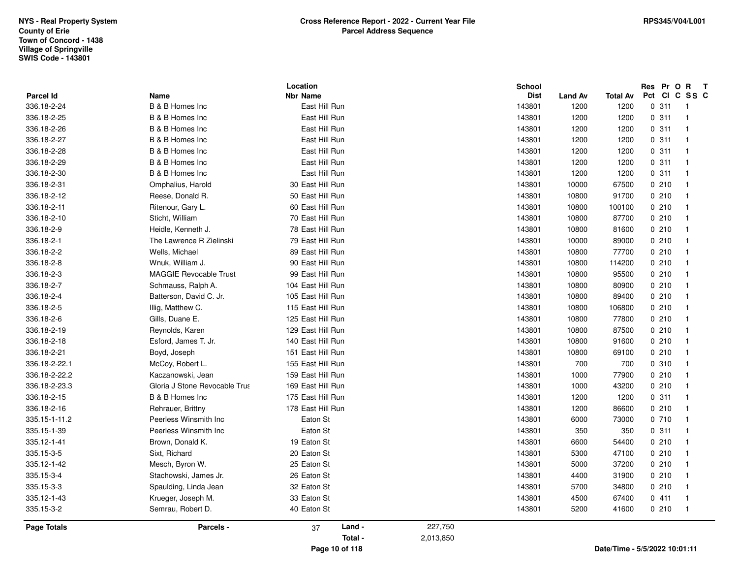|               |                               | Location          |           | <b>School</b> |         |                               |       | Res Pr O R T            |
|---------------|-------------------------------|-------------------|-----------|---------------|---------|-------------------------------|-------|-------------------------|
| Parcel Id     | Name                          | <b>Nbr Name</b>   |           | <b>Dist</b>   | Land Av | <b>Total Av</b>               |       | Pct CI C SS C           |
| 336.18-2-24   | B & B Homes Inc               | East Hill Run     |           | 143801        | 1200    | 1200                          | 0.311 | - 1                     |
| 336.18-2-25   | B & B Homes Inc               | East Hill Run     |           | 143801        | 1200    | 1200                          | 0.311 | $\overline{1}$          |
| 336.18-2-26   | B & B Homes Inc               | East Hill Run     |           | 143801        | 1200    | 1200                          | 0.311 | $\mathbf{1}$            |
| 336.18-2-27   | B & B Homes Inc               | East Hill Run     |           | 143801        | 1200    | 1200                          | 0.311 | $\mathbf{1}$            |
| 336.18-2-28   | B & B Homes Inc               | East Hill Run     |           | 143801        | 1200    | 1200                          | 0.311 | $\mathbf{1}$            |
| 336.18-2-29   | B & B Homes Inc               | East Hill Run     |           | 143801        | 1200    | 1200                          | 0.311 | $\overline{1}$          |
| 336.18-2-30   | B & B Homes Inc               | East Hill Run     |           | 143801        | 1200    | 1200                          | 0.311 | $\mathbf{1}$            |
| 336.18-2-31   | Omphalius, Harold             | 30 East Hill Run  |           | 143801        | 10000   | 67500                         | 0210  | $\overline{1}$          |
| 336.18-2-12   | Reese, Donald R.              | 50 East Hill Run  |           | 143801        | 10800   | 91700                         | 0210  | $\mathbf{1}$            |
| 336.18-2-11   | Ritenour, Gary L.             | 60 East Hill Run  |           | 143801        | 10800   | 100100                        | 0210  | $\mathbf{1}$            |
| 336.18-2-10   | Sticht, William               | 70 East Hill Run  |           | 143801        | 10800   | 87700                         | 0210  | $\mathbf{1}$            |
| 336.18-2-9    | Heidle, Kenneth J.            | 78 East Hill Run  |           | 143801        | 10800   | 81600                         | 0210  | -1                      |
| 336.18-2-1    | The Lawrence R Zielinski      | 79 East Hill Run  |           | 143801        | 10000   | 89000                         | 0210  | $\mathbf{1}$            |
| 336.18-2-2    | Wells, Michael                | 89 East Hill Run  |           | 143801        | 10800   | 77700                         | 0210  | $\mathbf{1}$            |
| 336.18-2-8    | Wnuk, William J.              | 90 East Hill Run  |           | 143801        | 10800   | 114200                        | 0210  | $\mathbf{1}$            |
| 336.18-2-3    | <b>MAGGIE Revocable Trust</b> | 99 East Hill Run  |           | 143801        | 10800   | 95500                         | 0210  | $\mathbf{1}$            |
| 336.18-2-7    | Schmauss, Ralph A.            | 104 East Hill Run |           | 143801        | 10800   | 80900                         | 0210  | $\overline{1}$          |
| 336.18-2-4    | Batterson, David C. Jr.       | 105 East Hill Run |           | 143801        | 10800   | 89400                         | 0210  | $\mathbf{1}$            |
| 336.18-2-5    | Illig, Matthew C.             | 115 East Hill Run |           | 143801        | 10800   | 106800                        | 0210  | $\mathbf{1}$            |
| 336.18-2-6    | Gills, Duane E.               | 125 East Hill Run |           | 143801        | 10800   | 77800                         | 0210  | $\mathbf{1}$            |
| 336.18-2-19   | Reynolds, Karen               | 129 East Hill Run |           | 143801        | 10800   | 87500                         | 0210  | -1                      |
| 336.18-2-18   | Esford, James T. Jr.          | 140 East Hill Run |           | 143801        | 10800   | 91600                         | 0210  | $\mathbf{1}$            |
| 336.18-2-21   | Boyd, Joseph                  | 151 East Hill Run |           | 143801        | 10800   | 69100                         | 0210  | $\mathbf{1}$            |
| 336.18-2-22.1 | McCoy, Robert L.              | 155 East Hill Run |           | 143801        | 700     | 700                           | 0.310 | $\overline{1}$          |
| 336.18-2-22.2 | Kaczanowski, Jean             | 159 East Hill Run |           | 143801        | 1000    | 77900                         | 0210  | $\overline{\mathbf{1}}$ |
| 336.18-2-23.3 | Gloria J Stone Revocable Trus | 169 East Hill Run |           | 143801        | 1000    | 43200                         | 0210  | -1                      |
| 336.18-2-15   | B & B Homes Inc               | 175 East Hill Run |           | 143801        | 1200    | 1200                          | 0.311 | $\mathbf{1}$            |
| 336.18-2-16   | Rehrauer, Brittny             | 178 East Hill Run |           | 143801        | 1200    | 86600                         | 0210  | $\mathbf{1}$            |
| 335.15-1-11.2 | Peerless Winsmith Inc         | Eaton St          |           | 143801        | 6000    | 73000                         | 0710  | $\mathbf{1}$            |
| 335.15-1-39   | Peerless Winsmith Inc         | Eaton St          |           | 143801        | 350     | 350                           | 0.311 | $\overline{\mathbf{1}}$ |
| 335.12-1-41   | Brown, Donald K.              | 19 Eaton St       |           | 143801        | 6600    | 54400                         | 0210  | $\mathbf{1}$            |
| 335.15-3-5    | Sixt, Richard                 | 20 Eaton St       |           | 143801        | 5300    | 47100                         | 0210  | $\overline{\mathbf{1}}$ |
| 335.12-1-42   | Mesch, Byron W.               | 25 Eaton St       |           | 143801        | 5000    | 37200                         | 0210  | $\overline{1}$          |
| 335.15-3-4    | Stachowski, James Jr.         | 26 Eaton St       |           | 143801        | 4400    | 31900                         | 0210  | $\overline{\mathbf{1}}$ |
| 335.15-3-3    | Spaulding, Linda Jean         | 32 Eaton St       |           | 143801        | 5700    | 34800                         | 0210  | -1                      |
| 335.12-1-43   | Krueger, Joseph M.            | 33 Eaton St       |           | 143801        | 4500    | 67400                         | 0411  | $\mathbf{1}$            |
| 335.15-3-2    | Semrau, Robert D.             | 40 Eaton St       |           | 143801        | 5200    | 41600                         | 0210  | -1                      |
| Page Totals   | Parcels -                     | Land -<br>37      | 227,750   |               |         |                               |       |                         |
|               |                               | Total -           | 2,013,850 |               |         |                               |       |                         |
|               |                               | Page 10 of 118    |           |               |         | Date/Time - 5/5/2022 10:01:11 |       |                         |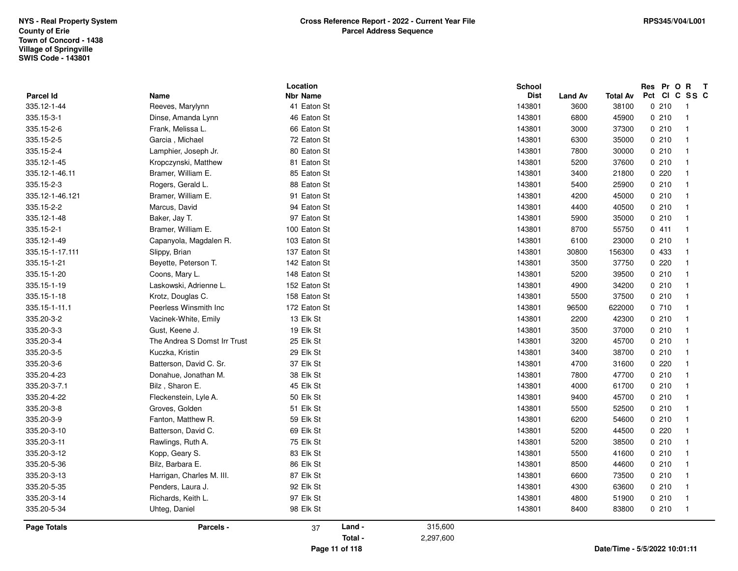| <b>Parcel Id</b>   |                              | Location<br><b>Nbr Name</b> |           | School<br><b>Dist</b> |                        | <b>Total Av</b> | Res Pr O R T<br>Pct Cl C SS C    |
|--------------------|------------------------------|-----------------------------|-----------|-----------------------|------------------------|-----------------|----------------------------------|
| 335.12-1-44        | Name<br>Reeves, Marylynn     | 41 Eaton St                 |           | 143801                | <b>Land Av</b><br>3600 | 38100           | 0210<br>$\overline{\phantom{0}}$ |
| 335.15-3-1         | Dinse, Amanda Lynn           | 46 Eaton St                 |           | 143801                | 6800                   | 45900           | 0210<br>$\overline{1}$           |
| 335.15-2-6         | Frank, Melissa L.            | 66 Eaton St                 |           | 143801                | 3000                   | 37300           | 0210<br>$\overline{1}$           |
| 335.15-2-5         | Garcia, Michael              | 72 Eaton St                 |           | 143801                | 6300                   | 35000           | 0210<br>$\overline{1}$           |
| 335.15-2-4         | Lamphier, Joseph Jr.         | 80 Eaton St                 |           | 143801                | 7800                   | 30000           | 0210<br>$\overline{1}$           |
| 335.12-1-45        | Kropczynski, Matthew         | 81 Eaton St                 |           | 143801                | 5200                   | 37600           | 0210<br>$\mathbf{1}$             |
| 335.12-1-46.11     | Bramer, William E.           | 85 Eaton St                 |           | 143801                | 3400                   | 21800           | 0220<br>$\mathbf 1$              |
| 335.15-2-3         | Rogers, Gerald L.            | 88 Eaton St                 |           | 143801                | 5400                   | 25900           | 0210<br>$\mathbf{1}$             |
| 335.12-1-46.121    | Bramer, William E.           | 91 Eaton St                 |           | 143801                | 4200                   | 45000           | 0210<br>$\mathbf{1}$             |
| 335.15-2-2         | Marcus, David                | 94 Eaton St                 |           | 143801                | 4400                   | 40500           | 0210<br>$\overline{1}$           |
| 335.12-1-48        | Baker, Jay T.                | 97 Eaton St                 |           | 143801                | 5900                   | 35000           | 0210<br>$\mathbf{1}$             |
| 335.15-2-1         | Bramer, William E.           | 100 Eaton St                |           | 143801                | 8700                   | 55750           | 0411<br>$\mathbf{1}$             |
| 335.12-1-49        | Capanyola, Magdalen R.       | 103 Eaton St                |           | 143801                | 6100                   | 23000           | 0210<br>$\overline{1}$           |
| 335.15-1-17.111    | Slippy, Brian                | 137 Eaton St                |           | 143801                | 30800                  | 156300          | 0 433<br>$\mathbf{1}$            |
| 335.15-1-21        | Beyette, Peterson T.         | 142 Eaton St                |           | 143801                | 3500                   | 37750           | 0220<br>$\mathbf{1}$             |
| 335.15-1-20        | Coons, Mary L.               | 148 Eaton St                |           | 143801                | 5200                   | 39500           | 0210<br>$\mathbf{1}$             |
| 335.15-1-19        | Laskowski, Adrienne L.       | 152 Eaton St                |           | 143801                | 4900                   | 34200           | 0210<br>$\overline{1}$           |
| 335.15-1-18        | Krotz, Douglas C.            | 158 Eaton St                |           | 143801                | 5500                   | 37500           | 0210<br>$\overline{1}$           |
| 335.15-1-11.1      | Peerless Winsmith Inc.       | 172 Eaton St                |           | 143801                | 96500                  | 622000          | 0710<br>$\mathbf{1}$             |
| 335.20-3-2         | Vacinek-White, Emily         | 13 Elk St                   |           | 143801                | 2200                   | 42300           | 0210<br>$\mathbf{1}$             |
| 335.20-3-3         | Gust, Keene J.               | 19 Elk St                   |           | 143801                | 3500                   | 37000           | 0210<br>$\mathbf{1}$             |
| 335.20-3-4         | The Andrea S Domst Irr Trust | 25 Elk St                   |           | 143801                | 3200                   | 45700           | 0210<br>$\mathbf{1}$             |
| 335.20-3-5         | Kuczka, Kristin              | 29 Elk St                   |           | 143801                | 3400                   | 38700           | 0210<br>$\overline{1}$           |
| 335.20-3-6         | Batterson, David C. Sr.      | 37 Elk St                   |           | 143801                | 4700                   | 31600           | 0220<br>$\mathbf{1}$             |
| 335.20-4-23        | Donahue, Jonathan M.         | 38 Elk St                   |           | 143801                | 7800                   | 47700           | 0210<br>$\mathbf{1}$             |
| 335.20-3-7.1       | Bilz, Sharon E.              | 45 Elk St                   |           | 143801                | 4000                   | 61700           | 0210<br>$\overline{1}$           |
| 335.20-4-22        | Fleckenstein, Lyle A.        | 50 Elk St                   |           | 143801                | 9400                   | 45700           | 0210<br>$\overline{1}$           |
| 335.20-3-8         | Groves, Golden               | 51 Elk St                   |           | 143801                | 5500                   | 52500           | 0210<br>$\mathbf{1}$             |
| 335.20-3-9         | Fanton, Matthew R.           | 59 Elk St                   |           | 143801                | 6200                   | 54600           | 0210<br>$\mathbf{1}$             |
| 335.20-3-10        | Batterson, David C.          | 69 Elk St                   |           | 143801                | 5200                   | 44500           | 0.220<br>$\overline{1}$          |
| 335.20-3-11        | Rawlings, Ruth A.            | 75 Elk St                   |           | 143801                | 5200                   | 38500           | 0210<br>$\mathbf{1}$             |
| 335.20-3-12        | Kopp, Geary S.               | 83 Elk St                   |           | 143801                | 5500                   | 41600           | 0210<br>$\mathbf{1}$             |
| 335.20-5-36        | Bilz, Barbara E.             | 86 Elk St                   |           | 143801                | 8500                   | 44600           | 0210<br>$\overline{1}$           |
| 335.20-3-13        | Harrigan, Charles M. III.    | 87 Elk St                   |           | 143801                | 6600                   | 73500           | 0210<br>$\mathbf{1}$             |
| 335.20-5-35        | Penders, Laura J.            | 92 Elk St                   |           | 143801                | 4300                   | 63600           | 0210<br>$\overline{1}$           |
| 335.20-3-14        | Richards, Keith L.           | 97 Elk St                   |           | 143801                | 4800                   | 51900           | 0210<br>$\mathbf{1}$             |
| 335.20-5-34        | Uhteg, Daniel                | 98 Elk St                   |           | 143801                | 8400                   | 83800           | 0210<br>-1                       |
| <b>Page Totals</b> | Parcels -                    | Land -<br>37                | 315,600   |                       |                        |                 |                                  |
|                    |                              | Total -                     | 2,297,600 |                       |                        |                 |                                  |
|                    |                              | Page 11 of 118              |           |                       |                        |                 | Date/Time - 5/5/2022 10:01:11    |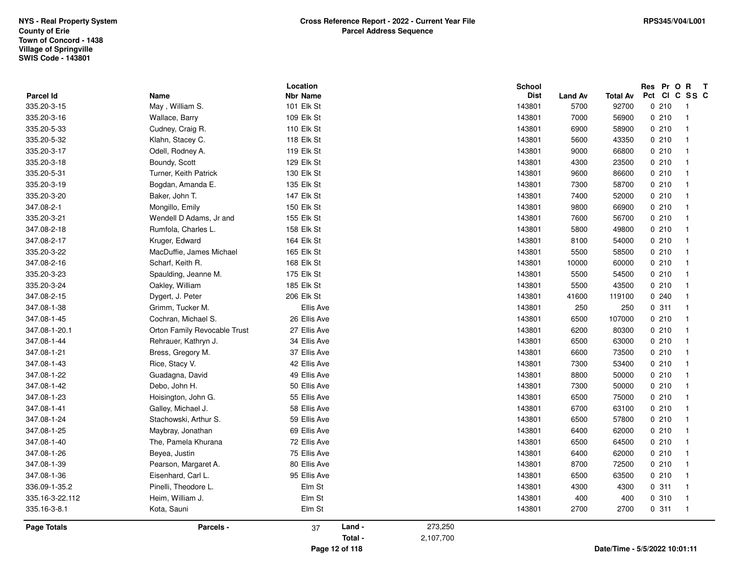| Parcel Id          | Name                         | Location<br><b>Nbr Name</b> |                |           | School<br><b>Dist</b> | <b>Land Av</b> | <b>Total Av</b> | Res Pr O R T<br>Pct CI C SS C   |
|--------------------|------------------------------|-----------------------------|----------------|-----------|-----------------------|----------------|-----------------|---------------------------------|
| 335.20-3-15        | May, William S.              | 101 Elk St                  |                |           | 143801                | 5700           | 92700           | 0210<br>$\overline{1}$          |
| 335.20-3-16        | Wallace, Barry               | 109 Elk St                  |                |           | 143801                | 7000           | 56900           | 0210<br>$\mathbf{1}$            |
| 335.20-5-33        | Cudney, Craig R.             | 110 Elk St                  |                |           | 143801                | 6900           | 58900           | 0210<br>-1                      |
| 335.20-5-32        | Klahn, Stacey C.             | 118 Elk St                  |                |           | 143801                | 5600           | 43350           | 0210<br>$\mathbf{1}$            |
| 335.20-3-17        | Odell, Rodney A.             | 119 Elk St                  |                |           | 143801                | 9000           | 66800           | 0210<br>$\mathbf{1}$            |
| 335.20-3-18        | Boundy, Scott                | 129 Elk St                  |                |           | 143801                | 4300           | 23500           | 0210<br>$\mathbf{1}$            |
| 335.20-5-31        | Turner, Keith Patrick        | 130 Elk St                  |                |           | 143801                | 9600           | 86600           | 0210<br>-1                      |
| 335.20-3-19        | Bogdan, Amanda E.            | 135 Elk St                  |                |           | 143801                | 7300           | 58700           | 0210                            |
| 335.20-3-20        | Baker, John T.               | 147 Elk St                  |                |           | 143801                | 7400           | 52000           | 0210<br>$\overline{\mathbf{1}}$ |
| 347.08-2-1         | Mongillo, Emily              | 150 Elk St                  |                |           | 143801                | 9800           | 66900           | 0210<br>$\mathbf{1}$            |
| 335.20-3-21        | Wendell D Adams, Jr and      | 155 Elk St                  |                |           | 143801                | 7600           | 56700           | 0210<br>$\mathbf 1$             |
| 347.08-2-18        | Rumfola, Charles L.          | 158 Elk St                  |                |           | 143801                | 5800           | 49800           | 0210<br>$\mathbf{1}$            |
| 347.08-2-17        | Kruger, Edward               | 164 Elk St                  |                |           | 143801                | 8100           | 54000           | 0210<br>$\overline{\mathbf{1}}$ |
| 335.20-3-22        | MacDuffie, James Michael     | 165 Elk St                  |                |           | 143801                | 5500           | 58500           | 0210<br>$\mathbf{1}$            |
| 347.08-2-16        | Scharf, Keith R.             | 168 Elk St                  |                |           | 143801                | 10000          | 60000           | 0210<br>-1                      |
| 335.20-3-23        | Spaulding, Jeanne M.         | 175 Elk St                  |                |           | 143801                | 5500           | 54500           | 0210                            |
| 335.20-3-24        | Oakley, William              | 185 Elk St                  |                |           | 143801                | 5500           | 43500           | 0210                            |
| 347.08-2-15        | Dygert, J. Peter             | 206 Elk St                  |                |           | 143801                | 41600          | 119100          | 0240<br>$\overline{\mathbf{1}}$ |
| 347.08-1-38        | Grimm, Tucker M.             | Ellis Ave                   |                |           | 143801                | 250            | 250             | 0.311<br>$\mathbf 1$            |
| 347.08-1-45        | Cochran, Michael S.          | 26 Ellis Ave                |                |           | 143801                | 6500           | 107000          | 0210<br>$\mathbf{1}$            |
| 347.08-1-20.1      | Orton Family Revocable Trust | 27 Ellis Ave                |                |           | 143801                | 6200           | 80300           | 0210<br>$\overline{\mathbf{1}}$ |
| 347.08-1-44        | Rehrauer, Kathryn J.         | 34 Ellis Ave                |                |           | 143801                | 6500           | 63000           | 0210<br>$\mathbf{1}$            |
| 347.08-1-21        | Bress, Gregory M.            | 37 Ellis Ave                |                |           | 143801                | 6600           | 73500           | 0210<br>$\overline{1}$          |
| 347.08-1-43        | Rice, Stacy V.               | 42 Ellis Ave                |                |           | 143801                | 7300           | 53400           | 0210<br>$\mathbf{1}$            |
| 347.08-1-22        | Guadagna, David              | 49 Ellis Ave                |                |           | 143801                | 8800           | 50000           | 0210                            |
| 347.08-1-42        | Debo, John H.                | 50 Ellis Ave                |                |           | 143801                | 7300           | 50000           | 0210<br>$\mathbf{1}$            |
| 347.08-1-23        | Hoisington, John G.          | 55 Ellis Ave                |                |           | 143801                | 6500           | 75000           | 0210<br>$\mathbf{1}$            |
| 347.08-1-41        | Galley, Michael J.           | 58 Ellis Ave                |                |           | 143801                | 6700           | 63100           | 0210<br>$\mathbf{1}$            |
| 347.08-1-24        | Stachowski, Arthur S.        | 59 Ellis Ave                |                |           | 143801                | 6500           | 57800           | 0210                            |
| 347.08-1-25        | Maybray, Jonathan            | 69 Ellis Ave                |                |           | 143801                | 6400           | 62000           | 0210<br>-1                      |
| 347.08-1-40        | The, Pamela Khurana          | 72 Ellis Ave                |                |           | 143801                | 6500           | 64500           | 0210<br>$\mathbf 1$             |
| 347.08-1-26        | Beyea, Justin                | 75 Ellis Ave                |                |           | 143801                | 6400           | 62000           | 0210<br>$\overline{\mathbf{1}}$ |
| 347.08-1-39        | Pearson, Margaret A.         | 80 Ellis Ave                |                |           | 143801                | 8700           | 72500           | 0210<br>-1                      |
| 347.08-1-36        | Eisenhard, Carl L.           | 95 Ellis Ave                |                |           | 143801                | 6500           | 63500           | 0210                            |
| 336.09-1-35.2      | Pinelli, Theodore L.         | Elm St                      |                |           | 143801                | 4300           | 4300            | 0.311<br>$\mathbf 1$            |
| 335.16-3-22.112    | Heim, William J.             | Elm St                      |                |           | 143801                | 400            | 400             | 0.310<br>$\overline{1}$         |
| 335.16-3-8.1       | Kota, Sauni                  | Elm St                      |                |           | 143801                | 2700           | 2700            | 0.311<br>$\overline{1}$         |
| <b>Page Totals</b> | Parcels -                    | 37                          | Land -         | 273,250   |                       |                |                 |                                 |
|                    |                              |                             | Total -        | 2,107,700 |                       |                |                 |                                 |
|                    |                              |                             | Page 12 of 118 |           |                       |                |                 | Date/Time - 5/5/2022 10:01:11   |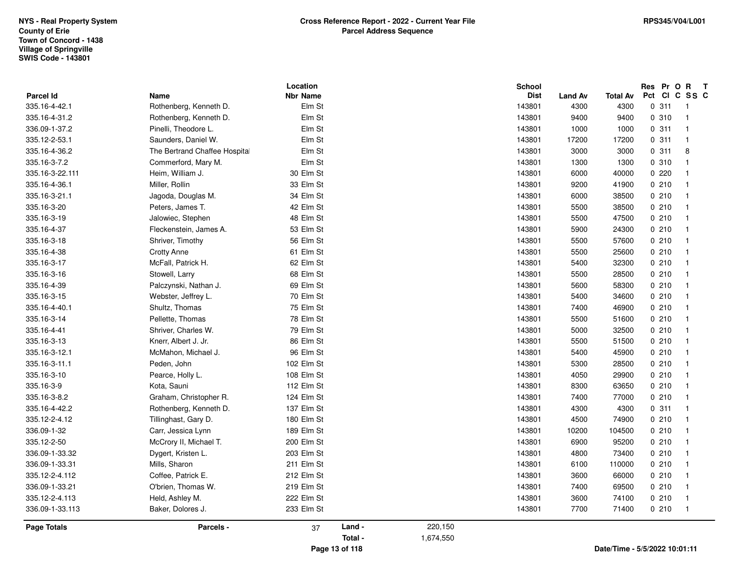| 24300<br>57600<br>25600<br>32300<br>28500<br>58300<br>34600<br>46900<br>51600<br>32500<br>51500<br>45900<br>28500<br>29900<br>63650<br>77000<br>4300<br>74900<br>104500<br>95200<br>73400<br>110000<br>66000<br>69500 | 0210<br>0210<br>0210<br>0210<br>0210<br>0210<br>0210<br>0210<br>0210<br>0210<br>0210<br>0210<br>0210<br>0210<br>0210<br>0210<br>0210<br>0.311<br>0210<br>0210<br>0210<br>0210<br>0210<br>0210<br>0210<br>0210 | -1                                                                                                        |
|-----------------------------------------------------------------------------------------------------------------------------------------------------------------------------------------------------------------------|---------------------------------------------------------------------------------------------------------------------------------------------------------------------------------------------------------------|-----------------------------------------------------------------------------------------------------------|
|                                                                                                                                                                                                                       |                                                                                                                                                                                                               |                                                                                                           |
|                                                                                                                                                                                                                       |                                                                                                                                                                                                               |                                                                                                           |
|                                                                                                                                                                                                                       |                                                                                                                                                                                                               |                                                                                                           |
|                                                                                                                                                                                                                       |                                                                                                                                                                                                               |                                                                                                           |
|                                                                                                                                                                                                                       |                                                                                                                                                                                                               |                                                                                                           |
|                                                                                                                                                                                                                       |                                                                                                                                                                                                               |                                                                                                           |
|                                                                                                                                                                                                                       |                                                                                                                                                                                                               |                                                                                                           |
|                                                                                                                                                                                                                       |                                                                                                                                                                                                               |                                                                                                           |
|                                                                                                                                                                                                                       |                                                                                                                                                                                                               |                                                                                                           |
|                                                                                                                                                                                                                       |                                                                                                                                                                                                               |                                                                                                           |
|                                                                                                                                                                                                                       |                                                                                                                                                                                                               |                                                                                                           |
|                                                                                                                                                                                                                       |                                                                                                                                                                                                               |                                                                                                           |
|                                                                                                                                                                                                                       |                                                                                                                                                                                                               |                                                                                                           |
|                                                                                                                                                                                                                       |                                                                                                                                                                                                               |                                                                                                           |
|                                                                                                                                                                                                                       |                                                                                                                                                                                                               |                                                                                                           |
|                                                                                                                                                                                                                       |                                                                                                                                                                                                               |                                                                                                           |
|                                                                                                                                                                                                                       |                                                                                                                                                                                                               |                                                                                                           |
|                                                                                                                                                                                                                       |                                                                                                                                                                                                               |                                                                                                           |
|                                                                                                                                                                                                                       |                                                                                                                                                                                                               |                                                                                                           |
|                                                                                                                                                                                                                       |                                                                                                                                                                                                               |                                                                                                           |
|                                                                                                                                                                                                                       |                                                                                                                                                                                                               |                                                                                                           |
|                                                                                                                                                                                                                       |                                                                                                                                                                                                               |                                                                                                           |
|                                                                                                                                                                                                                       |                                                                                                                                                                                                               |                                                                                                           |
|                                                                                                                                                                                                                       |                                                                                                                                                                                                               |                                                                                                           |
| 47500                                                                                                                                                                                                                 |                                                                                                                                                                                                               |                                                                                                           |
| 38500                                                                                                                                                                                                                 | 0210                                                                                                                                                                                                          |                                                                                                           |
| 38500                                                                                                                                                                                                                 |                                                                                                                                                                                                               |                                                                                                           |
|                                                                                                                                                                                                                       |                                                                                                                                                                                                               |                                                                                                           |
| 40000                                                                                                                                                                                                                 |                                                                                                                                                                                                               |                                                                                                           |
|                                                                                                                                                                                                                       |                                                                                                                                                                                                               |                                                                                                           |
|                                                                                                                                                                                                                       |                                                                                                                                                                                                               | 8                                                                                                         |
|                                                                                                                                                                                                                       |                                                                                                                                                                                                               | $\overline{1}$                                                                                            |
|                                                                                                                                                                                                                       |                                                                                                                                                                                                               | -1                                                                                                        |
|                                                                                                                                                                                                                       |                                                                                                                                                                                                               | -1<br>$\overline{1}$                                                                                      |
|                                                                                                                                                                                                                       |                                                                                                                                                                                                               |                                                                                                           |
|                                                                                                                                                                                                                       |                                                                                                                                                                                                               |                                                                                                           |
|                                                                                                                                                                                                                       | <b>Total Av</b><br>4300<br>9400<br>1000<br>17200<br>3000<br>1300<br>41900                                                                                                                                     | Res Pr O R<br>Pct CI C SS C<br>0.311<br>0.310<br>0.311<br>0.311<br>0.311<br>0 310<br>0220<br>0210<br>0210 |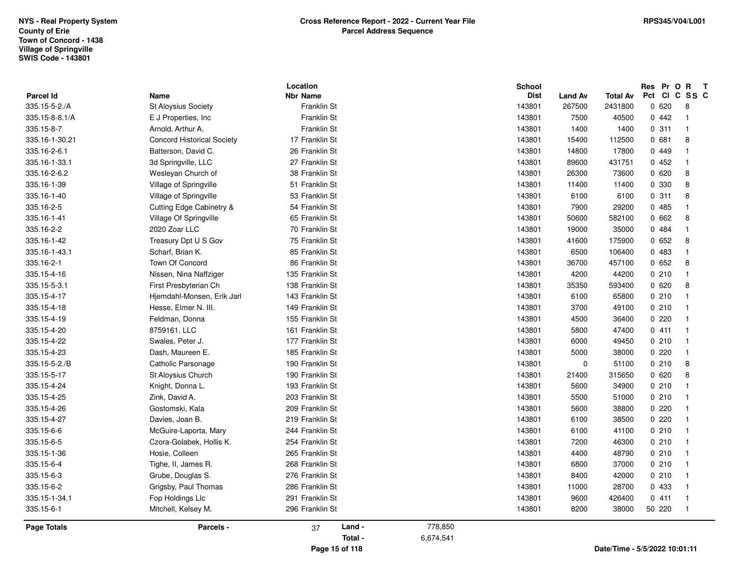|                             |                                   | Location<br>Nbr Name             |           | <b>School</b><br><b>Dist</b> |                          |                            | Res Pr O R T<br>Pct CI C SS C |                |
|-----------------------------|-----------------------------------|----------------------------------|-----------|------------------------------|--------------------------|----------------------------|-------------------------------|----------------|
| Parcel Id<br>335.15-5-2./A  | Name<br>St Aloysius Society       | Franklin St                      |           | 143801                       | <b>Land Av</b><br>267500 | <b>Total Av</b><br>2431800 | 0620                          | 8              |
| 335.15-8-8.1/A              | E J Properties, Inc.              | Franklin St                      |           | 143801                       | 7500                     | 40500                      | 0442                          | $\overline{1}$ |
| 335.15-8-7                  | Arnold, Arthur A.                 | Franklin St                      |           | 143801                       | 1400                     | 1400                       | 0.311                         | $\overline{1}$ |
| 335.16-1-30.21              | <b>Concord Historical Society</b> | 17 Franklin St                   |           | 143801                       | 15400                    | 112500                     | 0681                          | 8              |
| 335.16-2-6.1                | Batterson, David C.               | 26 Franklin St                   |           | 143801                       | 14800                    | 17800                      | 0449                          | -1             |
| 335.16-1-33.1               | 3d Springville, LLC               | 27 Franklin St                   |           | 143801                       | 89600                    | 431751                     | 0452                          | $\overline{1}$ |
|                             |                                   |                                  |           |                              |                          |                            | 0620                          |                |
| 335.16-2-6.2<br>335.16-1-39 | Wesleyan Church of                | 38 Franklin St<br>51 Franklin St |           | 143801                       | 26300                    | 73600                      | 0 330                         | 8<br>8         |
|                             | Village of Springville            |                                  |           | 143801                       | 11400                    | 11400                      |                               |                |
| 335.16-1-40                 | Village of Springville            | 53 Franklin St                   |           | 143801                       | 6100                     | 6100                       | 0.311                         | 8              |
| 335.16-2-5                  | Cutting Edge Cabinetry &          | 54 Franklin St                   |           | 143801                       | 7900                     | 29200                      | 0485                          | -1             |
| 335.16-1-41                 | Village Of Springville            | 65 Franklin St                   |           | 143801                       | 50600                    | 582100                     | 0662                          | 8              |
| 335.16-2-2                  | 2020 Zoar LLC                     | 70 Franklin St                   |           | 143801                       | 19000                    | 35000                      | 0 484                         | $\overline{1}$ |
| 335.16-1-42                 | Treasury Dpt U S Gov              | 75 Franklin St                   |           | 143801                       | 41600                    | 175900                     | 0652                          | 8              |
| 335.16-1-43.1               | Scharf, Brian K.                  | 85 Franklin St                   |           | 143801                       | 6500                     | 106400                     | 0 483                         | $\overline{1}$ |
| 335.16-2-1                  | Town Of Concord                   | 86 Franklin St                   |           | 143801                       | 36700                    | 457100                     | 0652                          | 8              |
| 335.15-4-16                 | Nissen, Nina Naffziger            | 135 Franklin St                  |           | 143801                       | 4200                     | 44200                      | 0210                          | $\overline{1}$ |
| 335.15-5-3.1                | First Presbyterian Ch             | 138 Franklin St                  |           | 143801                       | 35350                    | 593400                     | 0620                          | 8              |
| 335.15-4-17                 | Hjemdahl-Monsen, Erik Jarl        | 143 Franklin St                  |           | 143801                       | 6100                     | 65800                      | 0210                          | $\overline{1}$ |
| 335.15-4-18                 | Hesse, Elmer N. III.              | 149 Franklin St                  |           | 143801                       | 3700                     | 49100                      | 0210                          | $\overline{1}$ |
| 335.15-4-19                 | Feldman, Donna                    | 155 Franklin St                  |           | 143801                       | 4500                     | 36400                      | 0220                          | - 1            |
| 335.15-4-20                 | 8759161, LLC                      | 161 Franklin St                  |           | 143801                       | 5800                     | 47400                      | 0411                          | $\overline{1}$ |
| 335.15-4-22                 | Swales, Peter J.                  | 177 Franklin St                  |           | 143801                       | 6000                     | 49450                      | 0210                          | $\overline{1}$ |
| 335.15-4-23                 | Dash, Maureen E.                  | 185 Franklin St                  |           | 143801                       | 5000                     | 38000                      | 0220                          | $\overline{1}$ |
| 335.15-5-2./B               | Catholic Parsonage                | 190 Franklin St                  |           | 143801                       | $\mathbf 0$              | 51100                      | 0210                          | 8              |
| 335.15-5-17                 | St Aloysius Church                | 190 Franklin St                  |           | 143801                       | 21400                    | 315650                     | 0620                          | 8              |
| 335.15-4-24                 | Knight, Donna L.                  | 193 Franklin St                  |           | 143801                       | 5600                     | 34900                      | 0210                          | $\overline{1}$ |
| 335.15-4-25                 | Zink, David A.                    | 203 Franklin St                  |           | 143801                       | 5500                     | 51000                      | 0210                          | $\overline{1}$ |
| 335.15-4-26                 | Gostomski, Kala                   | 209 Franklin St                  |           | 143801                       | 5600                     | 38800                      | 0220                          | $\overline{1}$ |
| 335.15-4-27                 | Davies, Joan B.                   | 219 Franklin St                  |           | 143801                       | 6100                     | 38500                      | 0220                          | $\overline{1}$ |
| 335.15-6-6                  | McGuire-Laporta, Mary             | 244 Franklin St                  |           | 143801                       | 6100                     | 41100                      | 0210                          | $\overline{1}$ |
| 335.15-6-5                  | Czora-Golabek, Hollis K.          | 254 Franklin St                  |           | 143801                       | 7200                     | 46300                      | 0210                          | $\overline{1}$ |
| 335.15-1-36                 | Hosie, Colleen                    | 265 Franklin St                  |           | 143801                       | 4400                     | 48790                      | 0210                          | $\overline{1}$ |
| 335.15-6-4                  | Tighe, II, James R.               | 268 Franklin St                  |           | 143801                       | 6800                     | 37000                      | 0210                          | $\overline{1}$ |
| 335.15-6-3                  | Grube, Douglas S.                 | 276 Franklin St                  |           | 143801                       | 8400                     | 42000                      | 0210                          | $\overline{1}$ |
| 335.15-6-2                  | Grigsby, Paul Thomas              | 286 Franklin St                  |           | 143801                       | 11000                    | 28700                      | 0 433                         | $\overline{1}$ |
| 335.15-1-34.1               | Fop Holdings Llc                  | 291 Franklin St                  |           | 143801                       | 9600                     | 426400                     | 0411                          | $\overline{1}$ |
| 335.15-6-1                  | Mitchell, Kelsey M.               | 296 Franklin St                  |           | 143801                       | 8200                     | 38000                      | 50 220                        | $\overline{1}$ |
| Page Totals                 | Parcels -                         | Land -<br>37                     | 778,850   |                              |                          |                            |                               |                |
|                             |                                   | Total -                          | 6,674,541 |                              |                          |                            |                               |                |
|                             |                                   |                                  |           |                              |                          |                            |                               |                |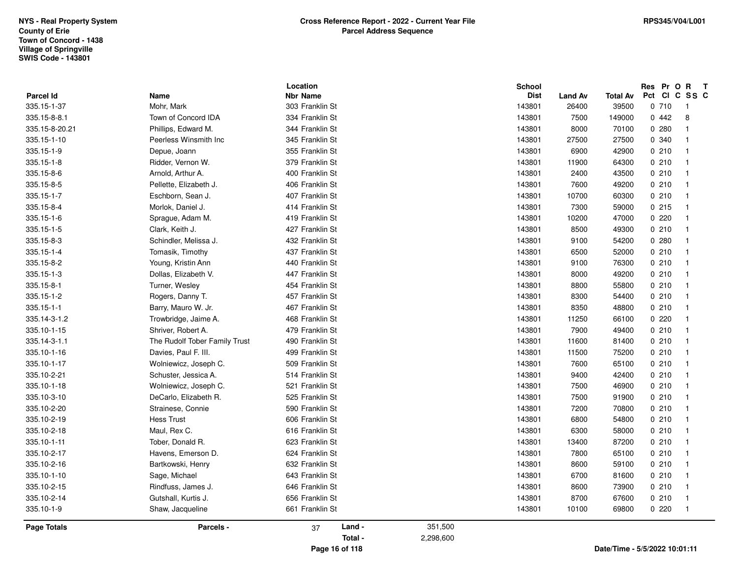|                    |                               | Location        | <b>School</b> |                |                 | Res Pr O R T                     |  |
|--------------------|-------------------------------|-----------------|---------------|----------------|-----------------|----------------------------------|--|
| <b>Parcel Id</b>   | Name                          | <b>Nbr Name</b> | <b>Dist</b>   | <b>Land Av</b> | <b>Total Av</b> | Pct CI C SS C                    |  |
| 335.15-1-37        | Mohr, Mark                    | 303 Franklin St | 143801        | 26400          | 39500           | 0710<br>$\overline{\phantom{0}}$ |  |
| 335.15-8-8.1       | Town of Concord IDA           | 334 Franklin St | 143801        | 7500           | 149000          | 0442<br>8                        |  |
| 335.15-8-20.21     | Phillips, Edward M.           | 344 Franklin St | 143801        | 8000           | 70100           | 0.280<br>-1                      |  |
| 335.15-1-10        | Peerless Winsmith Inc         | 345 Franklin St | 143801        | 27500          | 27500           | 0 340<br>$\overline{1}$          |  |
| 335.15-1-9         | Depue, Joann                  | 355 Franklin St | 143801        | 6900           | 42900           | 0210<br>$\overline{1}$           |  |
| 335.15-1-8         | Ridder, Vernon W.             | 379 Franklin St | 143801        | 11900          | 64300           | 0210<br>$\overline{1}$           |  |
| 335.15-8-6         | Arnold, Arthur A.             | 400 Franklin St | 143801        | 2400           | 43500           | 0210<br>$\overline{1}$           |  |
| 335.15-8-5         | Pellette, Elizabeth J.        | 406 Franklin St | 143801        | 7600           | 49200           | 0210<br>-1                       |  |
| 335.15-1-7         | Eschborn, Sean J.             | 407 Franklin St | 143801        | 10700          | 60300           | 0210<br>$\overline{1}$           |  |
| 335.15-8-4         | Morlok, Daniel J.             | 414 Franklin St | 143801        | 7300           | 59000           | 0215<br>$\overline{1}$           |  |
| 335.15-1-6         | Sprague, Adam M.              | 419 Franklin St | 143801        | 10200          | 47000           | 0220<br>$\overline{1}$           |  |
| 335.15-1-5         | Clark, Keith J.               | 427 Franklin St | 143801        | 8500           | 49300           | 0210<br>-1                       |  |
| 335.15-8-3         | Schindler, Melissa J.         | 432 Franklin St | 143801        | 9100           | 54200           | 0.280<br>-1                      |  |
| 335.15-1-4         | Tomasik, Timothy              | 437 Franklin St | 143801        | 6500           | 52000           | 0210<br>$\overline{1}$           |  |
| 335.15-8-2         | Young, Kristin Ann            | 440 Franklin St | 143801        | 9100           | 76300           | 0210<br>$\overline{1}$           |  |
| 335.15-1-3         | Dollas, Elizabeth V.          | 447 Franklin St | 143801        | 8000           | 49200           | 0210<br>$\overline{1}$           |  |
| 335.15-8-1         | Turner, Wesley                | 454 Franklin St | 143801        | 8800           | 55800           | 0210<br>-1                       |  |
| 335.15-1-2         | Rogers, Danny T.              | 457 Franklin St | 143801        | 8300           | 54400           | 0210<br>$\overline{1}$           |  |
| 335.15-1-1         | Barry, Mauro W. Jr.           | 467 Franklin St | 143801        | 8350           | 48800           | 0210<br>$\overline{1}$           |  |
| 335.14-3-1.2       | Trowbridge, Jaime A.          | 468 Franklin St | 143801        | 11250          | 66100           | 0220<br>$\overline{\mathbf{1}}$  |  |
| 335.10-1-15        | Shriver, Robert A.            | 479 Franklin St | 143801        | 7900           | 49400           | 0210<br>$\overline{1}$           |  |
| 335.14-3-1.1       | The Rudolf Tober Family Trust | 490 Franklin St | 143801        | 11600          | 81400           | 0210<br>-1                       |  |
| 335.10-1-16        | Davies, Paul F. III.          | 499 Franklin St | 143801        | 11500          | 75200           | 0210<br>$\overline{1}$           |  |
| 335.10-1-17        | Wolniewicz, Joseph C.         | 509 Franklin St | 143801        | 7600           | 65100           | 0210<br>$\overline{1}$           |  |
| 335.10-2-21        | Schuster, Jessica A.          | 514 Franklin St | 143801        | 9400           | 42400           | 0210<br>$\overline{1}$           |  |
| 335.10-1-18        | Wolniewicz, Joseph C.         | 521 Franklin St | 143801        | 7500           | 46900           | 0210<br>$\overline{1}$           |  |
| 335.10-3-10        | DeCarlo, Elizabeth R.         | 525 Franklin St | 143801        | 7500           | 91900           | 0210<br>-1                       |  |
| 335.10-2-20        | Strainese, Connie             | 590 Franklin St | 143801        | 7200           | 70800           | 0210<br>$\overline{1}$           |  |
| 335.10-2-19        | <b>Hess Trust</b>             | 606 Franklin St | 143801        | 6800           | 54800           | 0210<br>$\overline{1}$           |  |
| 335.10-2-18        | Maul, Rex C.                  | 616 Franklin St | 143801        | 6300           | 58000           | 0210<br>$\overline{1}$           |  |
| 335.10-1-11        | Tober, Donald R.              | 623 Franklin St | 143801        | 13400          | 87200           | 0210<br>$\overline{1}$           |  |
| 335.10-2-17        | Havens, Emerson D.            | 624 Franklin St | 143801        | 7800           | 65100           | 0210<br>$\overline{1}$           |  |
| 335.10-2-16        | Bartkowski, Henry             | 632 Franklin St | 143801        | 8600           | 59100           | 0210<br>$\overline{1}$           |  |
| 335.10-1-10        | Sage, Michael                 | 643 Franklin St | 143801        | 6700           | 81600           | 0210<br>$\overline{1}$           |  |
| 335.10-2-15        | Rindfuss, James J.            | 646 Franklin St | 143801        | 8600           | 73900           | 0210<br>$\overline{1}$           |  |
| 335.10-2-14        | Gutshall, Kurtis J.           | 656 Franklin St | 143801        | 8700           | 67600           | 0210<br>$\overline{1}$           |  |
| 335.10-1-9         | Shaw, Jacqueline              | 661 Franklin St | 143801        | 10100          | 69800           | 0220<br>$\overline{1}$           |  |
| <b>Page Totals</b> | Parcels -                     | Land -<br>37    | 351,500       |                |                 |                                  |  |
|                    |                               | Total -         | 2,298,600     |                |                 |                                  |  |
|                    |                               | Page 16 of 118  |               |                |                 | Date/Time - 5/5/2022 10:01:11    |  |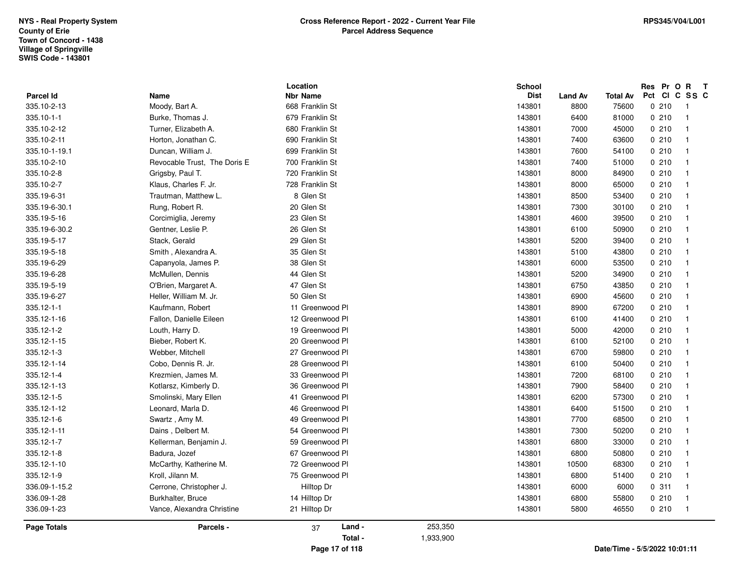|                  |                              | Location        |           | <b>School</b> |                |                 |     | Res Pr O  | $\mathbf{R}$            | $\mathbf{T}$ |
|------------------|------------------------------|-----------------|-----------|---------------|----------------|-----------------|-----|-----------|-------------------------|--------------|
| <b>Parcel Id</b> | Name                         | Nbr Name        |           | <b>Dist</b>   | <b>Land Av</b> | <b>Total Av</b> | Pct | <b>CI</b> | C SS C                  |              |
| 335.10-2-13      | Moody, Bart A.               | 668 Franklin St |           | 143801        | 8800           | 75600           |     | 0210      | -1                      |              |
| 335.10-1-1       | Burke, Thomas J.             | 679 Franklin St |           | 143801        | 6400           | 81000           |     | 0210      | $\overline{1}$          |              |
| 335.10-2-12      | Turner, Elizabeth A.         | 680 Franklin St |           | 143801        | 7000           | 45000           |     | 0210      | $\overline{\mathbf{1}}$ |              |
| 335.10-2-11      | Horton, Jonathan C.          | 690 Franklin St |           | 143801        | 7400           | 63600           |     | 0210      | $\mathbf{1}$            |              |
| 335.10-1-19.1    | Duncan, William J.           | 699 Franklin St |           | 143801        | 7600           | 54100           |     | 0210      | -1                      |              |
| 335.10-2-10      | Revocable Trust, The Doris E | 700 Franklin St |           | 143801        | 7400           | 51000           |     | 0210      | $\overline{1}$          |              |
| 335.10-2-8       | Grigsby, Paul T.             | 720 Franklin St |           | 143801        | 8000           | 84900           |     | 0210      | $\overline{1}$          |              |
| 335.10-2-7       | Klaus, Charles F. Jr.        | 728 Franklin St |           | 143801        | 8000           | 65000           |     | 0210      | $\overline{\mathbf{1}}$ |              |
| 335.19-6-31      | Trautman, Matthew L.         | 8 Glen St       |           | 143801        | 8500           | 53400           |     | 0210      | $\mathbf{1}$            |              |
| 335.19-6-30.1    | Rung, Robert R.              | 20 Glen St      |           | 143801        | 7300           | 30100           |     | 0210      | $\mathbf{1}$            |              |
| 335.19-5-16      | Corcimiglia, Jeremy          | 23 Glen St      |           | 143801        | 4600           | 39500           |     | 0210      | $\overline{1}$          |              |
| 335.19-6-30.2    | Gentner, Leslie P.           | 26 Glen St      |           | 143801        | 6100           | 50900           |     | 0210      | $\overline{1}$          |              |
| 335.19-5-17      | Stack, Gerald                | 29 Glen St      |           | 143801        | 5200           | 39400           |     | 0.210     | $\overline{\mathbf{1}}$ |              |
| 335.19-5-18      | Smith, Alexandra A.          | 35 Glen St      |           | 143801        | 5100           | 43800           |     | 0210      | -1                      |              |
| 335.19-6-29      | Capanyola, James P.          | 38 Glen St      |           | 143801        | 6000           | 53500           |     | 0210      | -1                      |              |
| 335.19-6-28      | McMullen, Dennis             | 44 Glen St      |           | 143801        | 5200           | 34900           |     | 0210      | $\overline{1}$          |              |
| 335.19-5-19      | O'Brien, Margaret A.         | 47 Glen St      |           | 143801        | 6750           | 43850           |     | 0210      | $\overline{1}$          |              |
| 335.19-6-27      | Heller, William M. Jr.       | 50 Glen St      |           | 143801        | 6900           | 45600           |     | 0.210     | $\overline{\mathbf{1}}$ |              |
| 335.12-1-1       | Kaufmann, Robert             | 11 Greenwood Pl |           | 143801        | 8900           | 67200           |     | 0210      | $\mathbf{1}$            |              |
| 335.12-1-16      | Fallon, Danielle Eileen      | 12 Greenwood Pl |           | 143801        | 6100           | 41400           |     | 0210      | $\overline{\mathbf{1}}$ |              |
| 335.12-1-2       | Louth, Harry D.              | 19 Greenwood Pl |           | 143801        | 5000           | 42000           |     | 0210      | $\overline{1}$          |              |
| 335.12-1-15      | Bieber, Robert K.            | 20 Greenwood Pl |           | 143801        | 6100           | 52100           |     | 0210      | $\overline{1}$          |              |
| 335.12-1-3       | Webber, Mitchell             | 27 Greenwood Pl |           | 143801        | 6700           | 59800           |     | 0.210     | $\overline{\mathbf{1}}$ |              |
| 335.12-1-14      | Cobo, Dennis R. Jr.          | 28 Greenwood Pl |           | 143801        | 6100           | 50400           |     | 0210      | $\mathbf{1}$            |              |
| 335.12-1-4       | Krezmien, James M.           | 33 Greenwood Pl |           | 143801        | 7200           | 68100           |     | 0210      | $\overline{\mathbf{1}}$ |              |
| 335.12-1-13      | Kotlarsz, Kimberly D.        | 36 Greenwood Pl |           | 143801        | 7900           | 58400           |     | 0210      | $\overline{1}$          |              |
| 335.12-1-5       | Smolinski, Mary Ellen        | 41 Greenwood Pl |           | 143801        | 6200           | 57300           |     | 0210      | $\overline{1}$          |              |
| 335.12-1-12      | Leonard, Marla D.            | 46 Greenwood Pl |           | 143801        | 6400           | 51500           |     | 0210      | $\overline{\mathbf{1}}$ |              |
| 335.12-1-6       | Swartz, Amy M.               | 49 Greenwood Pl |           | 143801        | 7700           | 68500           |     | 0210      | $\mathbf{1}$            |              |
| 335.12-1-11      | Dains, Delbert M.            | 54 Greenwood Pl |           | 143801        | 7300           | 50200           |     | 0210      | -1                      |              |
| 335.12-1-7       | Kellerman, Benjamin J.       | 59 Greenwood Pl |           | 143801        | 6800           | 33000           |     | 0210      | $\overline{\mathbf{1}}$ |              |
| 335.12-1-8       | Badura, Jozef                | 67 Greenwood Pl |           | 143801        | 6800           | 50800           |     | 0210      | $\overline{\mathbf{1}}$ |              |
| 335.12-1-10      | McCarthy, Katherine M.       | 72 Greenwood Pl |           | 143801        | 10500          | 68300           |     | 0210      | $\overline{\mathbf{1}}$ |              |
| 335.12-1-9       | Kroll, Jilann M.             | 75 Greenwood Pl |           | 143801        | 6800           | 51400           |     | 0210      | $\overline{\mathbf{1}}$ |              |
| 336.09-1-15.2    | Cerrone, Christopher J.      | Hilltop Dr      |           | 143801        | 6000           | 6000            |     | 0.311     | $\overline{1}$          |              |
| 336.09-1-28      | Burkhalter, Bruce            | 14 Hilltop Dr   |           | 143801        | 6800           | 55800           |     | 0210      | -1                      |              |
|                  |                              |                 |           |               |                |                 |     |           |                         |              |
| 336.09-1-23      | Vance, Alexandra Christine   | 21 Hilltop Dr   |           | 143801        | 5800           | 46550           |     | 0210      | $\overline{1}$          |              |
| Page Totals      | Parcels -                    | Land -<br>37    | 253,350   |               |                |                 |     |           |                         |              |
|                  |                              | Total -         | 1,933,900 |               |                |                 |     |           |                         |              |
|                  |                              |                 |           |               |                |                 |     |           |                         |              |

**Page 17 of 118**

**Date/Time - 5/5/2022 10:01:11**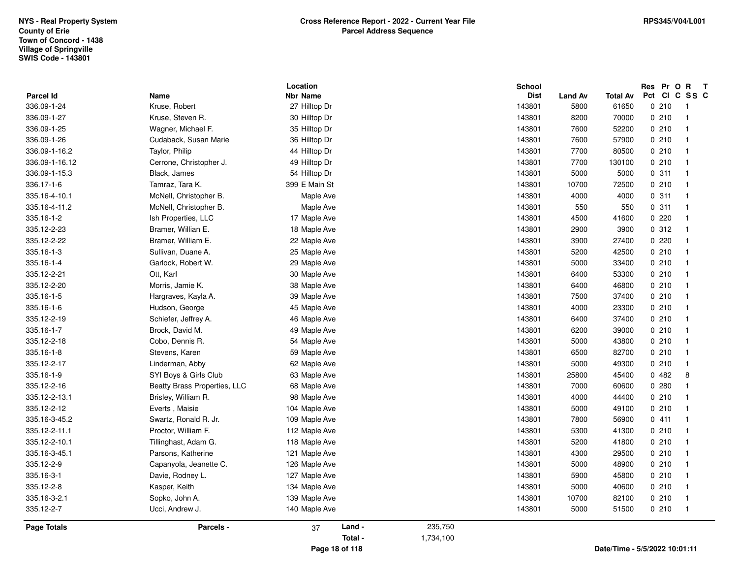| Parcel Id      | Name                         | Location<br><b>Nbr Name</b> |                |           | <b>School</b><br><b>Dist</b> | <b>Land Av</b> | <b>Total Av</b>               | Res Pr O R T<br>Pct | CICSSC                   |
|----------------|------------------------------|-----------------------------|----------------|-----------|------------------------------|----------------|-------------------------------|---------------------|--------------------------|
| 336.09-1-24    | Kruse, Robert                | 27 Hilltop Dr               |                |           | 143801                       | 5800           | 61650                         | 0210                | $\overline{\phantom{0}}$ |
| 336.09-1-27    | Kruse, Steven R.             | 30 Hilltop Dr               |                |           | 143801                       | 8200           | 70000                         | 0210                | $\overline{1}$           |
| 336.09-1-25    | Wagner, Michael F.           | 35 Hilltop Dr               |                |           | 143801                       | 7600           | 52200                         | 0210                | $\blacksquare$           |
| 336.09-1-26    | Cudaback, Susan Marie        | 36 Hilltop Dr               |                |           | 143801                       | 7600           | 57900                         | 0210                | $\overline{1}$           |
| 336.09-1-16.2  | Taylor, Philip               | 44 Hilltop Dr               |                |           | 143801                       | 7700           | 80500                         | 0210                | $\overline{1}$           |
| 336.09-1-16.12 | Cerrone, Christopher J.      | 49 Hilltop Dr               |                |           | 143801                       | 7700           | 130100                        | 0210                | $\overline{1}$           |
| 336.09-1-15.3  | Black, James                 | 54 Hilltop Dr               |                |           | 143801                       | 5000           | 5000                          | 0.311               | $\overline{1}$           |
| 336.17-1-6     | Tamraz, Tara K.              | 399 E Main St               |                |           | 143801                       | 10700          | 72500                         | 0210                | $\overline{1}$           |
| 335.16-4-10.1  | McNell, Christopher B.       | Maple Ave                   |                |           | 143801                       | 4000           | 4000                          | 0.311               | $\overline{1}$           |
| 335.16-4-11.2  | McNell, Christopher B.       | Maple Ave                   |                |           | 143801                       | 550            | 550                           | 0.311               | $\overline{1}$           |
| 335.16-1-2     | Ish Properties, LLC          | 17 Maple Ave                |                |           | 143801                       | 4500           | 41600                         | 0220                | $\overline{1}$           |
| 335.12-2-23    | Bramer, Willian E.           | 18 Maple Ave                |                |           | 143801                       | 2900           | 3900                          | 0.312               | $\overline{1}$           |
| 335.12-2-22    | Bramer, William E.           | 22 Maple Ave                |                |           | 143801                       | 3900           | 27400                         | 0220                | $\overline{1}$           |
| 335.16-1-3     | Sullivan, Duane A.           | 25 Maple Ave                |                |           | 143801                       | 5200           | 42500                         | 0210                | $\overline{1}$           |
| 335.16-1-4     | Garlock, Robert W.           | 29 Maple Ave                |                |           | 143801                       | 5000           | 33400                         | 0210                | $\overline{1}$           |
| 335.12-2-21    | Ott, Karl                    | 30 Maple Ave                |                |           | 143801                       | 6400           | 53300                         | 0210                | $\overline{1}$           |
| 335.12-2-20    | Morris, Jamie K.             | 38 Maple Ave                |                |           | 143801                       | 6400           | 46800                         | 0210                | $\overline{1}$           |
| 335.16-1-5     | Hargraves, Kayla A.          | 39 Maple Ave                |                |           | 143801                       | 7500           | 37400                         | 0210                | $\overline{1}$           |
| 335.16-1-6     | Hudson, George               | 45 Maple Ave                |                |           | 143801                       | 4000           | 23300                         | 0210                | $\overline{\mathbf{1}}$  |
| 335.12-2-19    | Schiefer, Jeffrey A.         | 46 Maple Ave                |                |           | 143801                       | 6400           | 37400                         | 0210                | $\overline{1}$           |
| 335.16-1-7     | Brock, David M.              | 49 Maple Ave                |                |           | 143801                       | 6200           | 39000                         | 0210                | $\overline{1}$           |
| 335.12-2-18    | Cobo, Dennis R.              | 54 Maple Ave                |                |           | 143801                       | 5000           | 43800                         | 0210                | $\overline{1}$           |
| 335.16-1-8     | Stevens, Karen               | 59 Maple Ave                |                |           | 143801                       | 6500           | 82700                         | 0210                | $\overline{1}$           |
| 335.12-2-17    | Linderman, Abby              | 62 Maple Ave                |                |           | 143801                       | 5000           | 49300                         | 0210                | $\overline{1}$           |
| 335.16-1-9     | SYI Boys & Girls Club        | 63 Maple Ave                |                |           | 143801                       | 25800          | 45400                         | 0482                | 8                        |
| 335.12-2-16    | Beatty Brass Properties, LLC | 68 Maple Ave                |                |           | 143801                       | 7000           | 60600                         | 0.280               | $\overline{\mathbf{1}}$  |
| 335.12-2-13.1  | Brisley, William R.          | 98 Maple Ave                |                |           | 143801                       | 4000           | 44400                         | 0210                | $\overline{1}$           |
| 335.12-2-12    | Everts, Maisie               | 104 Maple Ave               |                |           | 143801                       | 5000           | 49100                         | 0210                | $\overline{\mathbf{1}}$  |
| 335.16-3-45.2  | Swartz, Ronald R. Jr.        | 109 Maple Ave               |                |           | 143801                       | 7800           | 56900                         | 0411                | $\overline{1}$           |
| 335.12-2-11.1  | Proctor, William F.          | 112 Maple Ave               |                |           | 143801                       | 5300           | 41300                         | 0210                | $\overline{1}$           |
| 335.12-2-10.1  | Tillinghast, Adam G.         | 118 Maple Ave               |                |           | 143801                       | 5200           | 41800                         | 0210                | $\overline{1}$           |
| 335.16-3-45.1  | Parsons, Katherine           | 121 Maple Ave               |                |           | 143801                       | 4300           | 29500                         | 0210                | $\overline{1}$           |
| 335.12-2-9     | Capanyola, Jeanette C.       | 126 Maple Ave               |                |           | 143801                       | 5000           | 48900                         | 0210                | $\overline{1}$           |
| 335.16-3-1     | Davie, Rodney L.             | 127 Maple Ave               |                |           | 143801                       | 5900           | 45800                         | 0210                | $\overline{1}$           |
| 335.12-2-8     | Kasper, Keith                | 134 Maple Ave               |                |           | 143801                       | 5000           | 40600                         | 0210                | $\overline{1}$           |
| 335.16-3-2.1   | Sopko, John A.               | 139 Maple Ave               |                |           | 143801                       | 10700          | 82100                         | 0210                | $\overline{1}$           |
| 335.12-2-7     | Ucci, Andrew J.              | 140 Maple Ave               |                |           | 143801                       | 5000           | 51500                         | 0210                | $\overline{1}$           |
| Page Totals    | Parcels -                    | 37                          | Land -         | 235,750   |                              |                |                               |                     |                          |
|                |                              |                             | Total -        | 1,734,100 |                              |                |                               |                     |                          |
|                |                              |                             | Page 18 of 118 |           |                              |                | Date/Time - 5/5/2022 10:01:11 |                     |                          |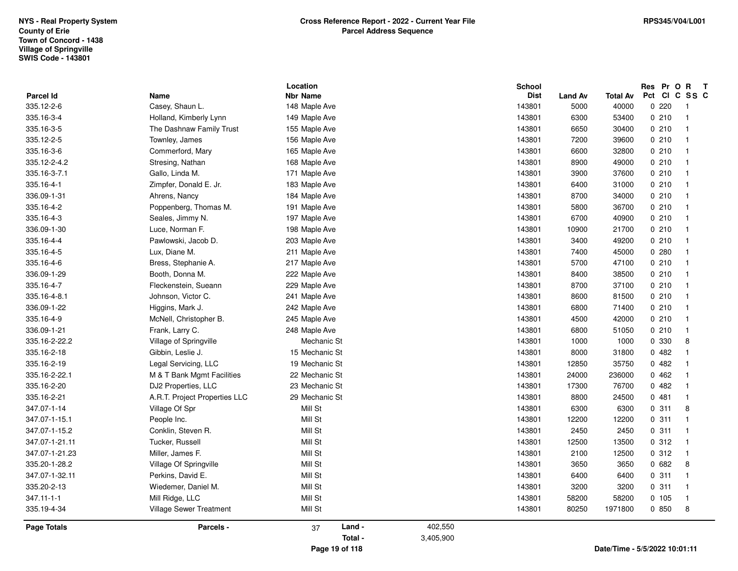|                    |                                | Location        |           | <b>School</b> |                |                               |        | Res Pr O R T            |  |
|--------------------|--------------------------------|-----------------|-----------|---------------|----------------|-------------------------------|--------|-------------------------|--|
| Parcel Id          | Name<br>Casey, Shaun L.        | <b>Nbr Name</b> |           | <b>Dist</b>   | <b>Land Av</b> | <b>Total Av</b>               |        | Pct CI C SS C           |  |
| 335.12-2-6         |                                | 148 Maple Ave   |           | 143801        | 5000           | 40000                         | 0220   | - 1<br>$\overline{1}$   |  |
| 335.16-3-4         | Holland, Kimberly Lynn         | 149 Maple Ave   |           | 143801        | 6300           | 53400                         | 0210   | $\overline{\mathbf{1}}$ |  |
| 335.16-3-5         | The Dashnaw Family Trust       | 155 Maple Ave   |           | 143801        | 6650           | 30400                         | 0210   |                         |  |
| 335.12-2-5         | Townley, James                 | 156 Maple Ave   |           | 143801        | 7200           | 39600                         | 0210   | $\overline{1}$          |  |
| 335.16-3-6         | Commerford, Mary               | 165 Maple Ave   |           | 143801        | 6600           | 32800                         | 0210   | $\overline{1}$          |  |
| 335.12-2-4.2       | Stresing, Nathan               | 168 Maple Ave   |           | 143801        | 8900           | 49000                         | 0210   | $\overline{1}$          |  |
| 335.16-3-7.1       | Gallo, Linda M.                | 171 Maple Ave   |           | 143801        | 3900           | 37600                         | 0210   | $\overline{1}$          |  |
| 335.16-4-1         | Zimpfer, Donald E. Jr.         | 183 Maple Ave   |           | 143801        | 6400           | 31000                         | 0210   | $\mathbf{1}$            |  |
| 336.09-1-31        | Ahrens, Nancy                  | 184 Maple Ave   |           | 143801        | 8700           | 34000                         | 0210   | $\overline{1}$          |  |
| 335.16-4-2         | Poppenberg, Thomas M.          | 191 Maple Ave   |           | 143801        | 5800           | 36700                         | 0210   | $\overline{1}$          |  |
| 335.16-4-3         | Seales, Jimmy N.               | 197 Maple Ave   |           | 143801        | 6700           | 40900                         | 0210   | $\mathbf{1}$            |  |
| 336.09-1-30        | Luce, Norman F.                | 198 Maple Ave   |           | 143801        | 10900          | 21700                         | 0210   | $\overline{\mathbf{1}}$ |  |
| 335.16-4-4         | Pawlowski, Jacob D.            | 203 Maple Ave   |           | 143801        | 3400           | 49200                         | 0210   | 1                       |  |
| 335.16-4-5         | Lux, Diane M.                  | 211 Maple Ave   |           | 143801        | 7400           | 45000                         | 0.280  | $\overline{1}$          |  |
| 335.16-4-6         | Bress, Stephanie A.            | 217 Maple Ave   |           | 143801        | 5700           | 47100                         | 0210   | $\overline{1}$          |  |
| 336.09-1-29        | Booth, Donna M.                | 222 Maple Ave   |           | 143801        | 8400           | 38500                         | 0210   | $\mathbf{1}$            |  |
| 335.16-4-7         | Fleckenstein, Sueann           | 229 Maple Ave   |           | 143801        | 8700           | 37100                         | 0210   | $\mathbf{1}$            |  |
| 335.16-4-8.1       | Johnson, Victor C.             | 241 Maple Ave   |           | 143801        | 8600           | 81500                         | 0210   | $\mathbf{1}$            |  |
| 336.09-1-22        | Higgins, Mark J.               | 242 Maple Ave   |           | 143801        | 6800           | 71400                         | 0210   | $\overline{1}$          |  |
| 335.16-4-9         | McNell, Christopher B.         | 245 Maple Ave   |           | 143801        | 4500           | 42000                         | 0210   | $\overline{1}$          |  |
| 336.09-1-21        | Frank, Larry C.                | 248 Maple Ave   |           | 143801        | 6800           | 51050                         | 0210   | $\mathbf{1}$            |  |
| 335.16-2-22.2      | Village of Springville         | Mechanic St     |           | 143801        | 1000           | 1000                          | 0 330  | 8                       |  |
| 335.16-2-18        | Gibbin, Leslie J.              | 15 Mechanic St  |           | 143801        | 8000           | 31800                         | 0482   | $\overline{\mathbf{1}}$ |  |
| 335.16-2-19        | Legal Servicing, LLC           | 19 Mechanic St  |           | 143801        | 12850          | 35750                         | 0482   | $\overline{1}$          |  |
| 335.16-2-22.1      | M & T Bank Mgmt Facilities     | 22 Mechanic St  |           | 143801        | 24000          | 236000                        | 0462   | $\overline{\mathbf{1}}$ |  |
| 335.16-2-20        | DJ2 Properties, LLC            | 23 Mechanic St  |           | 143801        | 17300          | 76700                         | 0482   | $\mathbf 1$             |  |
| 335.16-2-21        | A.R.T. Project Properties LLC  | 29 Mechanic St  |           | 143801        | 8800           | 24500                         | 0481   | $\overline{1}$          |  |
| 347.07-1-14        | Village Of Spr                 | Mill St         |           | 143801        | 6300           | 6300                          | 0.311  | 8                       |  |
| 347.07-1-15.1      | People Inc.                    | Mill St         |           | 143801        | 12200          | 12200                         | 0.311  | $\overline{1}$          |  |
| 347.07-1-15.2      | Conklin, Steven R.             | Mill St         |           | 143801        | 2450           | 2450                          | 0.311  | $\overline{1}$          |  |
| 347.07-1-21.11     | Tucker, Russell                | Mill St         |           | 143801        | 12500          | 13500                         | 0.312  | $\overline{1}$          |  |
| 347.07-1-21.23     | Miller, James F.               | Mill St         |           | 143801        | 2100           | 12500                         | 0.312  | $\overline{1}$          |  |
| 335.20-1-28.2      | Village Of Springville         | Mill St         |           | 143801        | 3650           | 3650                          | 0682   | 8                       |  |
| 347.07-1-32.11     | Perkins, David E.              | Mill St         |           | 143801        | 6400           | 6400                          | 0.311  | $\overline{1}$          |  |
| 335.20-2-13        | Wiedemer, Daniel M.            | Mill St         |           | 143801        | 3200           | 3200                          | 0.311  | $\overline{1}$          |  |
| 347.11-1-1         | Mill Ridge, LLC                | Mill St         |           | 143801        | 58200          | 58200                         | 0, 105 | $\overline{\mathbf{1}}$ |  |
| 335.19-4-34        | <b>Village Sewer Treatment</b> | Mill St         |           | 143801        | 80250          | 1971800                       | 0850   | 8                       |  |
| <b>Page Totals</b> | Parcels -                      | Land -<br>37    | 402,550   |               |                |                               |        |                         |  |
|                    |                                | Total -         | 3,405,900 |               |                |                               |        |                         |  |
|                    |                                | Page 19 of 118  |           |               |                | Date/Time - 5/5/2022 10:01:11 |        |                         |  |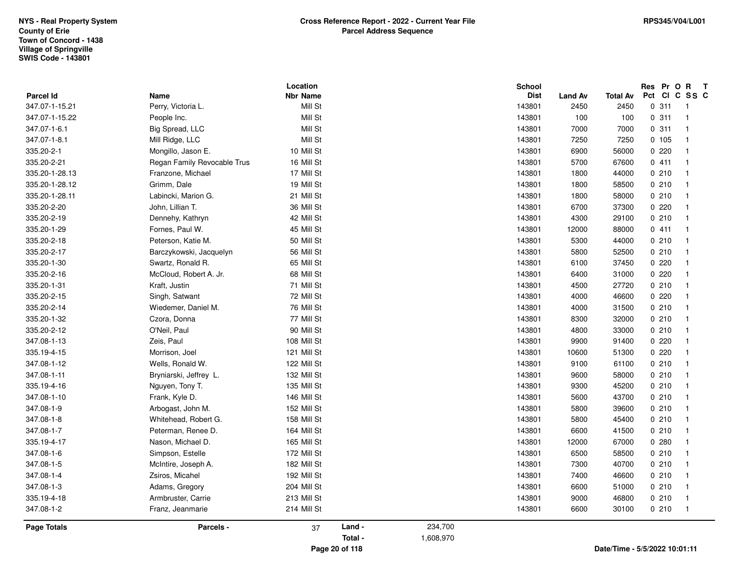## **Parcel Id**347.07-1-15.21 **Location Name Nbr Name**Mill St **School Dist Land Av Total Av**2450 **ResPrOR Pct Cl C S <sup>S</sup> CT**347.07-1-15.21 Perry, Victoria L. Mill St 143801 2450 2450 0 311 1 0 311 1<br>0 311 1  $0$  0 311 1 347.07-1-15.22 People Inc. Mill St 143801 100 100 0 311 1  $100$  0 311 1 347.07-1-6.1 Big Spread, LLC Mill St 143801 7000 7000 0 311 1 <sup>7000</sup> Mill St 0000000000 347.07-1-8.1 Mill Ridge, LLC Mill St 143801 7250 7250 0 105 1 <sup>7250</sup> Mill St 0000000000 335.20-2-1 Mongillo, Jason E. 10 Mill St 143801 6900 56000 0 220 1 <sup>56000</sup> Mill St 0000000010 335.20-2-21 Regan Family Revocable Trust <sup>16</sup> Mill St 143801 <sup>5700</sup> <sup>0</sup> <sup>411</sup> <sup>1</sup> <sup>67600</sup> Mill St 0000000016 335.20-1-28.13 Franzone, Michael 17 Mill St 143801 1800 44000 0 210 1 <sup>44000</sup> Mill St 0000000017 335.20-1-28.12 Grimm, Dale 19 Mill St 143801 1800 58500 0 210 1 <sup>58500</sup> Mill St 0000000019 335.20-1-28.11 Labincki, Marion G. 21 Mill St 143801 1800 58000 0 210 1 <sup>58000</sup> Mill St 0000000021 335.20-2-20 John, Lillian T. 36 Mill St 143801 6700 37300 0 220 1 <sup>37300</sup> Mill St 0000000036 335.20-2-19 Dennehy, Kathryn 42 Mill St 143801 4300 29100 0 210 1 <sup>29100</sup> Mill St 0000000042 335.20-1-29 Fornes, Paul W. 45 Mill St 143801 12000 88000 0 411 1 <sup>88000</sup> Mill St 0000000045 335.20-2-18 Peterson, Katie M. 50 Mill St 143801 5300 44000 0 210 1 <sup>44000</sup> Mill St 0000000050 335.20-2-17 Barczykowski, Jacquelyn 56 Mill St 143801 5800 0 210 <sup>1</sup> <sup>52500</sup> Mill St 0000000056 335.20-1-30 Swartz, Ronald R. 65 Mill St 143801 6100 37450 0 220 1 <sup>37450</sup> Mill St 0000000065 335.20-2-16 McCloud, Robert A. Jr. 68 Mill St 143801 6400 31000 0 220 1 <sup>31000</sup> Mill St 0000000068 335.20-1-31 Kraft, Justin 71 Mill St 143801 4500 27720 0 210 1 <sup>27720</sup> Mill St 0000000071 335.20-2-15 Singh, Satwant <sup>72</sup> Mill St 143801 4000 0 220 <sup>1</sup> <sup>46600</sup> Mill St 0000000072 335.20-2-14 Wiedemer, Daniel M. 76 Mill St 143801 4000 31500 0 210 1 <sup>31500</sup> Mill St 0000000076 335.20-1-32 Czora, Donna <sup>77</sup> Mill St 143801 8300 0 210 <sup>1</sup> <sup>32000</sup> Mill St 0000000077 335.20-2-12 O'Neil, Paul 90 Mill St 143801 4800 33000 0 210 1 <sup>33000</sup> Mill St 0000000090 347.08-1-13 Zeis, Paul 108 Mill St 143801 9900 91400 0 220 1 <sup>91400</sup> Mill St 0000000108 335.19-4-15 Morrison, Joel 121 Mill St 143801 10600 51300 0 220 1 <sup>51300</sup> Mill St 0000000121 347.08-1-12 Wells, Ronald W. 122 Mill St 143801 9100 61100 0 210 1 <sup>61100</sup> Mill St 0000000122 347.08-1-11 Bryniarski, Jeffrey L. 132 Mill St 143801 9600 58000 0 210 1 <sup>58000</sup> Mill St 0000000132 335.19-4-16 Nguyen, Tony T. 135 Mill St 143801 9300 45200 0 210 1 <sup>45200</sup> Mill St 0000000135 347.08-1-10 Frank, Kyle D. 146 Mill St 143801 5600 43700 0 210 1 <sup>43700</sup> Mill St 0000000146 347.08-1-99 Arbogast, John M. 152 Mill St 143801 5800 39600 0 210 1 347.08-1-8 Whitehead, Robert G. 158 Mill St 143801 5800 45400 0 210 1 <sup>45400</sup> Mill St 0000000158 347.08-1-7 Peterman, Renee D. 164 Mill St 143801 6600 41500 0 210 1 <sup>41500</sup> Mill St 0000000164 335.19-4-17 Nason, Michael D. 165 Mill St 143801 12000 67000 0 280 1 <sup>67000</sup> Mill St 0000000165 347.08-1-6 Simpson, Estelle 172 Mill St 143801 6500 58500 0 210 1 <sup>58500</sup> Mill St 0000000172 347.08-1-5 McIntire, Joseph A. 182 Mill St 143801 7300 40700 0 210 1 <sup>40700</sup> Mill St 0000000182 347.08-1-4 Zsiros, Micahel 192 Mill St 143801 7400 46600 0 210 1 <sup>46600</sup> Mill St 0000000192 347.08-1-33 Adams, Gregory 204 Mill St 143801 6600 51000 0 210 1 335.19-4-188 Armbruster, Carrie 213 Mill St 143801 9000 46800 0 210 1 347.08-1-2 Franz, Jeanmarie <sup>214</sup> Mill St 143801 6600 0 210 <sup>1</sup> <sup>30100</sup> Mill St 0000000214 37 **Land - Total -** 234,700 1,608,970**Page TotalsS** Parcels -**Page 20 of 118Date/Time - 5/5/2022 10:01:11**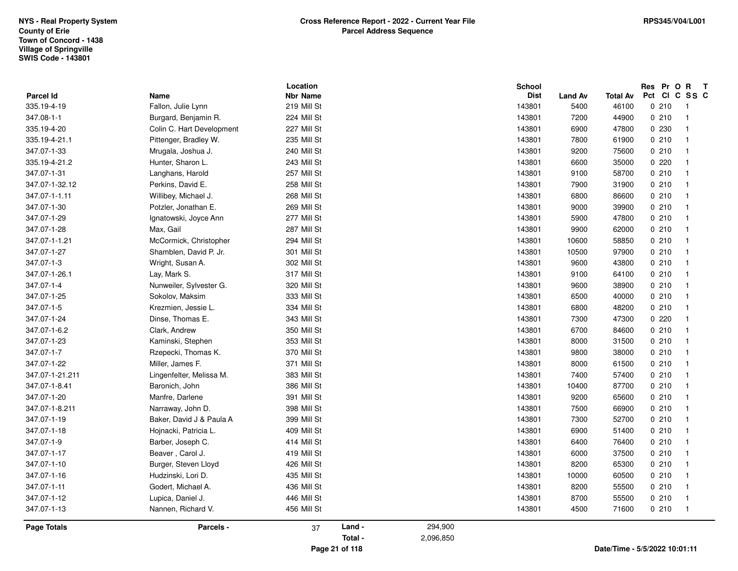|                    |                           | Location        |         |           | School      |                |                 | Res Pr O R    | $\mathbf{T}$   |
|--------------------|---------------------------|-----------------|---------|-----------|-------------|----------------|-----------------|---------------|----------------|
| Parcel Id          | Name                      | <b>Nbr Name</b> |         |           | <b>Dist</b> | <b>Land Av</b> | <b>Total Av</b> | Pct CI C SS C |                |
| 335.19-4-19        | Fallon, Julie Lynn        | 219 Mill St     |         |           | 143801      | 5400           | 46100           | 0210          | $\overline{1}$ |
| 347.08-1-1         | Burgard, Benjamin R.      | 224 Mill St     |         |           | 143801      | 7200           | 44900           | 0210          | $\mathbf{1}$   |
| 335.19-4-20        | Colin C. Hart Development | 227 Mill St     |         |           | 143801      | 6900           | 47800           | 0230          | 1              |
| 335.19-4-21.1      | Pittenger, Bradley W.     | 235 Mill St     |         |           | 143801      | 7800           | 61900           | 0210          | 1              |
| 347.07-1-33        | Mrugala, Joshua J.        | 240 Mill St     |         |           | 143801      | 9200           | 75600           | 0210          | $\mathbf{1}$   |
| 335.19-4-21.2      | Hunter, Sharon L.         | 243 Mill St     |         |           | 143801      | 6600           | 35000           | 0220          | $\mathbf{1}$   |
| 347.07-1-31        | Langhans, Harold          | 257 Mill St     |         |           | 143801      | 9100           | 58700           | 0210          | $\mathbf{1}$   |
| 347.07-1-32.12     | Perkins, David E.         | 258 Mill St     |         |           | 143801      | 7900           | 31900           | 0210          | $\mathbf{1}$   |
| 347.07-1-1.11      | Willibey, Michael J.      | 268 Mill St     |         |           | 143801      | 6800           | 86600           | 0210          | 1              |
| 347.07-1-30        | Potzler, Jonathan E.      | 269 Mill St     |         |           | 143801      | 9000           | 39900           | 0210          | $\mathbf{1}$   |
| 347.07-1-29        | Ignatowski, Joyce Ann     | 277 Mill St     |         |           | 143801      | 5900           | 47800           | 0210          | $\mathbf{1}$   |
| 347.07-1-28        | Max, Gail                 | 287 Mill St     |         |           | 143801      | 9900           | 62000           | 0210          | $\mathbf{1}$   |
| 347.07-1-1.21      | McCormick, Christopher    | 294 Mill St     |         |           | 143801      | 10600          | 58850           | 0210          | $\mathbf{1}$   |
| 347.07-1-27        | Shamblen, David P. Jr.    | 301 Mill St     |         |           | 143801      | 10500          | 97900           | 0210          | 1              |
| 347.07-1-3         | Wright, Susan A.          | 302 Mill St     |         |           | 143801      | 9600           | 43800           | 0210          | $\mathbf{1}$   |
| 347.07-1-26.1      | Lay, Mark S.              | 317 Mill St     |         |           | 143801      | 9100           | 64100           | 0210          | $\mathbf{1}$   |
| 347.07-1-4         | Nunweiler, Sylvester G.   | 320 Mill St     |         |           | 143801      | 9600           | 38900           | 0210          | 1              |
| 347.07-1-25        | Sokolov, Maksim           | 333 Mill St     |         |           | 143801      | 6500           | 40000           | 0210          | $\mathbf{1}$   |
| 347.07-1-5         | Krezmien, Jessie L.       | 334 Mill St     |         |           | 143801      | 6800           | 48200           | 0210          | 1              |
| 347.07-1-24        | Dinse, Thomas E.          | 343 Mill St     |         |           | 143801      | 7300           | 47300           | 0220          | $\mathbf{1}$   |
| 347.07-1-6.2       | Clark, Andrew             | 350 Mill St     |         |           | 143801      | 6700           | 84600           | 0210          | $\mathbf{1}$   |
| 347.07-1-23        | Kaminski, Stephen         | 353 Mill St     |         |           | 143801      | 8000           | 31500           | 0210          | $\mathbf{1}$   |
| 347.07-1-7         | Rzepecki, Thomas K.       | 370 Mill St     |         |           | 143801      | 9800           | 38000           | 0210          | $\mathbf{1}$   |
| 347.07-1-22        | Miller, James F.          | 371 Mill St     |         |           | 143801      | 8000           | 61500           | 0210          | 1              |
| 347.07-1-21.211    | Lingenfelter, Melissa M.  | 383 Mill St     |         |           | 143801      | 7400           | 57400           | 0210          | $\mathbf{1}$   |
| 347.07-1-8.41      | Baronich, John            | 386 Mill St     |         |           | 143801      | 10400          | 87700           | 0210          | $\mathbf{1}$   |
| 347.07-1-20        | Manfre, Darlene           | 391 Mill St     |         |           | 143801      | 9200           | 65600           | 0210          | $\mathbf{1}$   |
| 347.07-1-8.211     | Narraway, John D.         | 398 Mill St     |         |           | 143801      | 7500           | 66900           | 0210          | $\mathbf{1}$   |
| 347.07-1-19        | Baker, David J & Paula A  | 399 Mill St     |         |           | 143801      | 7300           | 52700           | 0210          | 1              |
| 347.07-1-18        | Hojnacki, Patricia L.     | 409 Mill St     |         |           | 143801      | 6900           | 51400           | 0210          | $\mathbf{1}$   |
| 347.07-1-9         | Barber, Joseph C.         | 414 Mill St     |         |           | 143801      | 6400           | 76400           | 0210          | $\mathbf{1}$   |
| 347.07-1-17        | Beaver, Carol J.          | 419 Mill St     |         |           | 143801      | 6000           | 37500           | 0210          | $\mathbf{1}$   |
| 347.07-1-10        | Burger, Steven Lloyd      | 426 Mill St     |         |           | 143801      | 8200           | 65300           | 0210          | $\mathbf{1}$   |
| 347.07-1-16        | Hudzinski, Lori D.        | 435 Mill St     |         |           | 143801      | 10000          | 60500           | 0210          | $\mathbf{1}$   |
| 347.07-1-11        | Godert, Michael A.        | 436 Mill St     |         |           | 143801      | 8200           | 55500           | 0210          | $\mathbf{1}$   |
| 347.07-1-12        | Lupica, Daniel J.         | 446 Mill St     |         |           | 143801      | 8700           | 55500           | 0210          | $\mathbf{1}$   |
| 347.07-1-13        | Nannen, Richard V.        | 456 Mill St     |         |           | 143801      | 4500           | 71600           | 0210          | $\mathbf 1$    |
| <b>Page Totals</b> | Parcels -                 | 37              | Land -  | 294,900   |             |                |                 |               |                |
|                    |                           |                 | Total - | 2,096,850 |             |                |                 |               |                |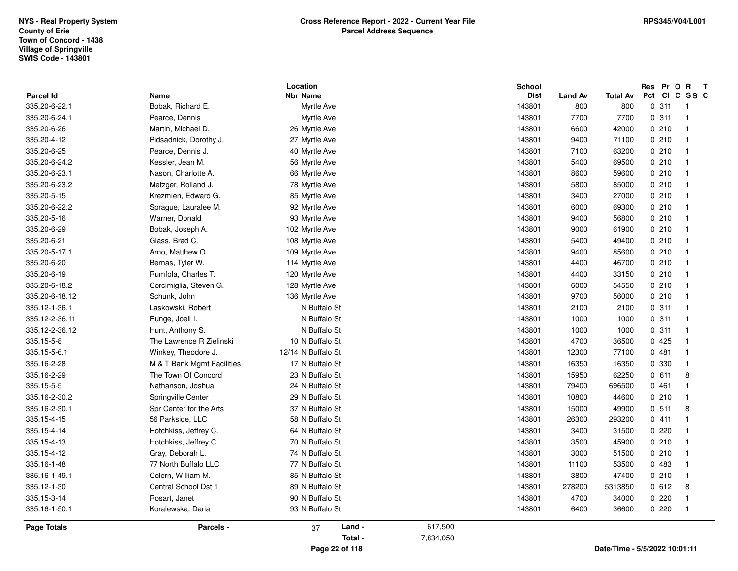| <b>Parcel Id</b> | Name                       | Location<br><b>Nbr Name</b> | <b>School</b><br><b>Dist</b> |                       | <b>Total Av</b> | Res Pr O R T<br>Pct CI C SS C |
|------------------|----------------------------|-----------------------------|------------------------------|-----------------------|-----------------|-------------------------------|
| 335.20-6-22.1    | Bobak, Richard E.          | Myrtle Ave                  | 143801                       | <b>Land Av</b><br>800 | 800             | 0.311<br>-1                   |
| 335.20-6-24.1    | Pearce, Dennis             | Myrtle Ave                  | 143801                       | 7700                  | 7700            | 0.311<br>$\overline{1}$       |
| 335.20-6-26      | Martin, Michael D.         | 26 Myrtle Ave               | 143801                       | 6600                  | 42000           | 0210<br>$\overline{1}$        |
| 335.20-4-12      | Pidsadnick, Dorothy J.     | 27 Myrtle Ave               | 143801                       | 9400                  | 71100           | 0210<br>$\mathbf{1}$          |
| 335.20-6-25      | Pearce, Dennis J.          | 40 Myrtle Ave               | 143801                       | 7100                  | 63200           | 0210<br>$\mathbf{1}$          |
| 335.20-6-24.2    | Kessler, Jean M.           | 56 Myrtle Ave               | 143801                       | 5400                  | 69500           | 0210<br>$\overline{1}$        |
| 335.20-6-23.1    | Nason, Charlotte A.        | 66 Myrtle Ave               | 143801                       | 8600                  | 59600           | 0210<br>-1                    |
| 335.20-6-23.2    | Metzger, Rolland J.        | 78 Myrtle Ave               | 143801                       | 5800                  | 85000           | 0210<br>$\overline{1}$        |
| 335.20-5-15      | Krezmien, Edward G.        | 85 Myrtle Ave               | 143801                       | 3400                  | 27000           | 0210<br>$\overline{1}$        |
| 335.20-6-22.2    | Sprague, Lauralee M.       | 92 Myrtle Ave               | 143801                       | 6000                  | 69300           | 0210<br>$\mathbf{1}$          |
| 335.20-5-16      | Warner, Donald             | 93 Myrtle Ave               | 143801                       | 9400                  | 56800           | 0210<br>-1                    |
| 335.20-6-29      | Bobak, Joseph A.           | 102 Myrtle Ave              | 143801                       | 9000                  | 61900           | 0210<br>$\overline{1}$        |
| 335.20-6-21      | Glass, Brad C.             | 108 Myrtle Ave              | 143801                       | 5400                  | 49400           | 0210<br>$\mathbf{1}$          |
| 335.20-5-17.1    | Arno, Matthew O.           | 109 Myrtle Ave              | 143801                       | 9400                  | 85600           | 0210<br>$\mathbf{1}$          |
| 335.20-6-20      | Bernas, Tyler W.           | 114 Myrtle Ave              | 143801                       | 4400                  | 46700           | 0210<br>-1                    |
| 335.20-6-19      | Rumfola, Charles T.        | 120 Myrtle Ave              | 143801                       | 4400                  | 33150           | 0210<br>-1                    |
| 335.20-6-18.2    | Corcimiglia, Steven G.     | 128 Myrtle Ave              | 143801                       | 6000                  | 54550           | 0210<br>$\overline{1}$        |
| 335.20-6-18.12   | Schunk, John               | 136 Myrtle Ave              | 143801                       | 9700                  | 56000           | 0210<br>$\mathbf{1}$          |
| 335.12-1-36.1    | Laskowski, Robert          | N Buffalo St                | 143801                       | 2100                  | 2100            | 0.311<br>$\overline{1}$       |
| 335.12-2-36.11   | Runge, Joell I.            | N Buffalo St                | 143801                       | 1000                  | 1000            | 0.311<br>-1                   |
| 335.12-2-36.12   | Hunt, Anthony S.           | N Buffalo St                | 143801                       | 1000                  | 1000            | 0.311<br>$\mathbf{1}$         |
| 335.15-5-8       | The Lawrence R Zielinski   | 10 N Buffalo St             | 143801                       | 4700                  | 36500           | 0425<br>$\overline{1}$        |
| 335.15-5-6.1     | Winkey, Theodore J.        | 12/14 N Buffalo St          | 143801                       | 12300                 | 77100           | 0481<br>$\overline{1}$        |
| 335.16-2-28      | M & T Bank Mgmt Facilities | 17 N Buffalo St             | 143801                       | 16350                 | 16350           | 0 330<br>$\mathbf{1}$         |
| 335.16-2-29      | The Town Of Concord        | 23 N Buffalo St             | 143801                       | 15950                 | 62250           | 0611<br>8                     |
| 335.15-5-5       | Nathanson, Joshua          | 24 N Buffalo St             | 143801                       | 79400                 | 696500          | 0461<br>-1                    |
| 335.16-2-30.2    | Springville Center         | 29 N Buffalo St             | 143801                       | 10800                 | 44600           | 0210<br>$\mathbf{1}$          |
| 335.16-2-30.1    | Spr Center for the Arts    | 37 N Buffalo St             | 143801                       | 15000                 | 49900           | 0.511<br>8                    |
| 335.15-4-15      | 56 Parkside, LLC           | 58 N Buffalo St             | 143801                       | 26300                 | 293200          | 0411<br>$\mathbf{1}$          |
| 335.15-4-14      | Hotchkiss, Jeffrey C.      | 64 N Buffalo St             | 143801                       | 3400                  | 31500           | 0220<br>$\mathbf{1}$          |
| 335.15-4-13      | Hotchkiss, Jeffrey C.      | 70 N Buffalo St             | 143801                       | 3500                  | 45900           | 0210<br>$\mathbf{1}$          |
| 335.15-4-12      | Gray, Deborah L.           | 74 N Buffalo St             | 143801                       | 3000                  | 51500           | 0210<br>$\overline{1}$        |
| 335.16-1-48      | 77 North Buffalo LLC       | 77 N Buffalo St             | 143801                       | 11100                 | 53500           | 0483<br>$\mathbf{1}$          |
| 335.16-1-49.1    | Colern, William M.         | 85 N Buffalo St             | 143801                       | 3800                  | 47400           | 0210<br>-1                    |
| 335.12-1-30      | Central School Dst 1       | 89 N Buffalo St             | 143801                       | 278200                | 5313850         | 0612<br>8                     |
| 335.15-3-14      | Rosart, Janet              | 90 N Buffalo St             | 143801                       | 4700                  | 34000           | 0.220<br>$\overline{1}$       |
| 335.16-1-50.1    | Koralewska, Daria          | 93 N Buffalo St             | 143801                       | 6400                  | 36600           | 0220<br>$\mathbf{1}$          |
| Page Totals      | Parcels -                  | Land -<br>37                | 617,500                      |                       |                 |                               |
|                  |                            | Total -                     | 7,834,050                    |                       |                 |                               |
|                  |                            | Page 22 of 118              |                              |                       |                 | Date/Time - 5/5/2022 10:01:11 |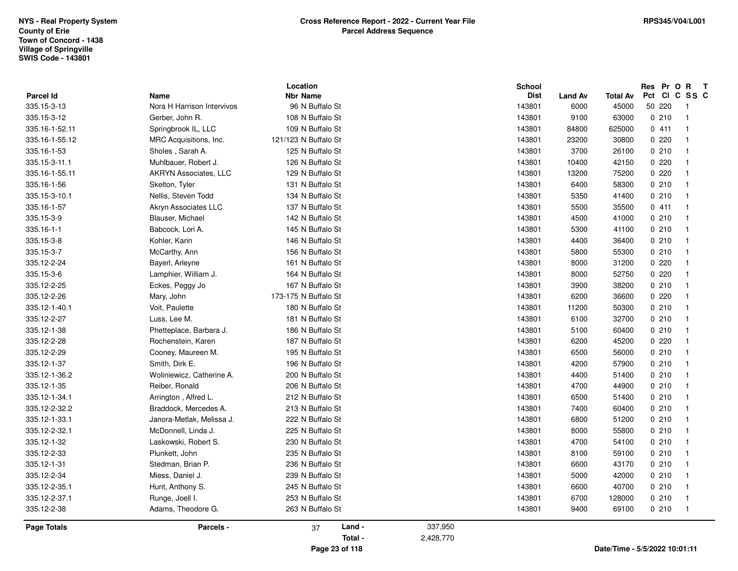|                                 |                                    | Location                           | <b>School</b>         |                        |                               |        |       | Res Pr O R T<br>Pct CI C SS C |  |
|---------------------------------|------------------------------------|------------------------------------|-----------------------|------------------------|-------------------------------|--------|-------|-------------------------------|--|
| <b>Parcel Id</b><br>335.15-3-13 | Name<br>Nora H Harrison Intervivos | <b>Nbr Name</b><br>96 N Buffalo St | <b>Dist</b><br>143801 | <b>Land Av</b><br>6000 | <b>Total Av</b><br>45000      | 50 220 |       | $\overline{1}$                |  |
| 335.15-3-12                     | Gerber, John R.                    | 108 N Buffalo St                   | 143801                | 9100                   | 63000                         |        | 0210  | $\overline{1}$                |  |
| 335.16-1-52.11                  | Springbrook IL, LLC                | 109 N Buffalo St                   | 143801                | 84800                  | 625000                        | 0411   |       | $\overline{1}$                |  |
| 335.16-1-55.12                  |                                    | 121/123 N Buffalo St               |                       | 23200                  |                               | 0220   |       | $\mathbf{1}$                  |  |
|                                 | MRC Acquisitions, Inc.             |                                    | 143801                | 3700                   | 30800                         |        | 0.210 | $\mathbf{1}$                  |  |
| 335.16-1-53                     | Sholes, Sarah A.                   | 125 N Buffalo St                   | 143801                |                        | 26100                         | 0220   |       |                               |  |
| 335.15-3-11.1                   | Muhlbauer, Robert J.               | 126 N Buffalo St                   | 143801                | 10400                  | 42150                         |        |       | $\overline{1}$                |  |
| 335.16-1-55.11                  | <b>AKRYN Associates, LLC</b>       | 129 N Buffalo St                   | 143801                | 13200                  | 75200                         | 0220   |       | $\overline{1}$                |  |
| 335.16-1-56                     | Skelton, Tyler                     | 131 N Buffalo St                   | 143801                | 6400                   | 58300                         |        | 0210  | $\mathbf{1}$                  |  |
| 335.15-3-10.1                   | Nellis, Steven Todd                | 134 N Buffalo St                   | 143801                | 5350                   | 41400                         | 0210   |       | $\mathbf{1}$                  |  |
| 335.16-1-57                     | Akryn Associates LLC               | 137 N Buffalo St                   | 143801                | 5500                   | 35500                         | 0411   |       | $\overline{1}$                |  |
| 335.15-3-9                      | Blauser, Michael                   | 142 N Buffalo St                   | 143801                | 4500                   | 41000                         |        | 0210  | $\mathbf{1}$                  |  |
| 335.16-1-1                      | Babcock, Lori A.                   | 145 N Buffalo St                   | 143801                | 5300                   | 41100                         |        | 0210  | $\mathbf{1}$                  |  |
| 335.15-3-8                      | Kohler, Karin                      | 146 N Buffalo St                   | 143801                | 4400                   | 36400                         | 0210   |       | $\mathbf{1}$                  |  |
| 335.15-3-7                      | McCarthy, Ann                      | 156 N Buffalo St                   | 143801                | 5800                   | 55300                         |        | 0210  | $\overline{1}$                |  |
| 335.12-2-24                     | Bayerl, Arleyne                    | 161 N Buffalo St                   | 143801                | 8000                   | 31200                         |        | 0.220 | $\overline{1}$                |  |
| 335.15-3-6                      | Lamphier, William J.               | 164 N Buffalo St                   | 143801                | 8000                   | 52750                         | 0220   |       | $\overline{1}$                |  |
| 335.12-2-25                     | Eckes, Peggy Jo                    | 167 N Buffalo St                   | 143801                | 3900                   | 38200                         | 0210   |       | $\mathbf{1}$                  |  |
| 335.12-2-26                     | Mary, John                         | 173-175 N Buffalo St               | 143801                | 6200                   | 36600                         | 0220   |       | $\mathbf{1}$                  |  |
| 335.12-1-40.1                   | Voit, Paulette                     | 180 N Buffalo St                   | 143801                | 11200                  | 50300                         | 0210   |       | $\mathbf{1}$                  |  |
| 335.12-2-27                     | Luss, Lee M.                       | 181 N Buffalo St                   | 143801                | 6100                   | 32700                         |        | 0210  | $\mathbf{1}$                  |  |
| 335.12-1-38                     | Phetteplace, Barbara J.            | 186 N Buffalo St                   | 143801                | 5100                   | 60400                         |        | 0210  | $\mathbf{1}$                  |  |
| 335.12-2-28                     | Rochenstein, Karen                 | 187 N Buffalo St                   | 143801                | 6200                   | 45200                         | 0220   |       | $\mathbf{1}$                  |  |
| 335.12-2-29                     | Cooney, Maureen M.                 | 195 N Buffalo St                   | 143801                | 6500                   | 56000                         |        | 0210  | $\overline{1}$                |  |
| 335.12-1-37                     | Smith, Dirk E.                     | 196 N Buffalo St                   | 143801                | 4200                   | 57900                         |        | 0210  | $\mathbf{1}$                  |  |
| 335.12-1-36.2                   | Woliniewicz, Catherine A.          | 200 N Buffalo St                   | 143801                | 4400                   | 51400                         |        | 0210  | $\mathbf{1}$                  |  |
| 335.12-1-35                     | Reiber, Ronald                     | 206 N Buffalo St                   | 143801                | 4700                   | 44900                         | 0210   |       | $\mathbf{1}$                  |  |
| 335.12-1-34.1                   | Arrington, Alfred L.               | 212 N Buffalo St                   | 143801                | 6500                   | 51400                         |        | 0210  | $\overline{1}$                |  |
| 335.12-2-32.2                   | Braddock, Mercedes A.              | 213 N Buffalo St                   | 143801                | 7400                   | 60400                         |        | 0210  | $\mathbf{1}$                  |  |
| 335.12-1-33.1                   | Janora-Metlak, Melissa J.          | 222 N Buffalo St                   | 143801                | 6800                   | 51200                         | 0210   |       | $\mathbf{1}$                  |  |
| 335.12-2-32.1                   | McDonnell, Linda J.                | 225 N Buffalo St                   | 143801                | 8000                   | 55800                         |        | 0210  | $\mathbf{1}$                  |  |
| 335.12-1-32                     | Laskowski, Robert S.               | 230 N Buffalo St                   | 143801                | 4700                   | 54100                         |        | 0210  | $\mathbf{1}$                  |  |
| 335.12-2-33                     | Plunkett, John                     | 235 N Buffalo St                   | 143801                | 8100                   | 59100                         |        | 0210  | $\overline{1}$                |  |
| 335.12-1-31                     | Stedman, Brian P.                  | 236 N Buffalo St                   | 143801                | 6600                   | 43170                         |        | 0210  | $\mathbf{1}$                  |  |
| 335.12-2-34                     | Miess, Daniel J.                   | 239 N Buffalo St                   | 143801                | 5000                   | 42000                         |        | 0210  | $\mathbf{1}$                  |  |
| 335.12-2-35.1                   | Hunt, Anthony S.                   | 245 N Buffalo St                   | 143801                | 6600                   | 40700                         | 0210   |       | $\mathbf{1}$                  |  |
| 335.12-2-37.1                   | Runge, Joell I.                    | 253 N Buffalo St                   | 143801                | 6700                   | 128000                        |        | 0210  | $\overline{1}$                |  |
| 335.12-2-38                     | Adams, Theodore G.                 | 263 N Buffalo St                   | 143801                | 9400                   | 69100                         |        | 0210  | $\overline{1}$                |  |
| <b>Page Totals</b>              | Parcels -                          | Land -<br>37                       | 337,950               |                        |                               |        |       |                               |  |
|                                 |                                    | Total -                            | 2,428,770             |                        |                               |        |       |                               |  |
|                                 |                                    | Page 23 of 118                     |                       |                        | Date/Time - 5/5/2022 10:01:11 |        |       |                               |  |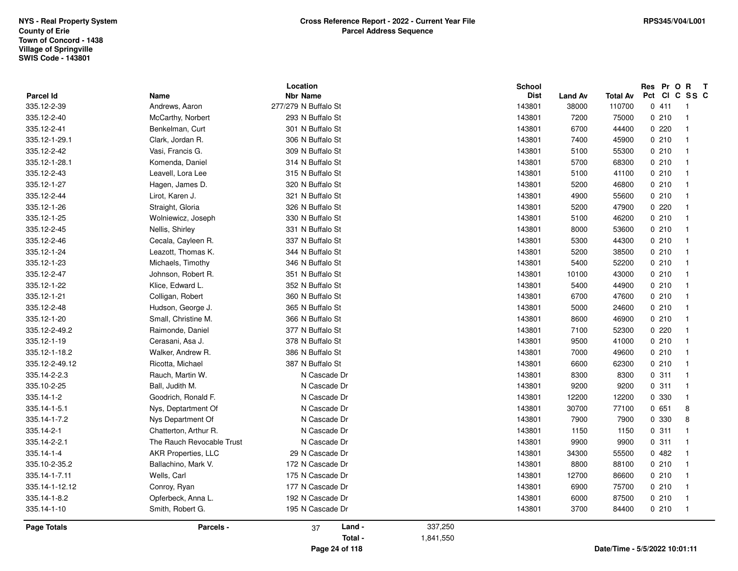|                    |                            | Location             |           | <b>School</b> |                |                               | Res Pr O         | $\mathbf{R}$<br>$\mathbf{T}$ |
|--------------------|----------------------------|----------------------|-----------|---------------|----------------|-------------------------------|------------------|------------------------------|
| Parcel Id          | Name                       | <b>Nbr Name</b>      |           | <b>Dist</b>   | <b>Land Av</b> | <b>Total Av</b>               | Pct<br><b>CI</b> | C SS C                       |
| 335.12-2-39        | Andrews, Aaron             | 277/279 N Buffalo St |           | 143801        | 38000          | 110700                        | 0411             | $\overline{1}$               |
| 335.12-2-40        | McCarthy, Norbert          | 293 N Buffalo St     |           | 143801        | 7200           | 75000                         | 0210             | $\overline{1}$               |
| 335.12-2-41        | Benkelman, Curt            | 301 N Buffalo St     |           | 143801        | 6700           | 44400                         | 0.220            | -1                           |
| 335.12-1-29.1      | Clark, Jordan R.           | 306 N Buffalo St     |           | 143801        | 7400           | 45900                         | 0210             | -1                           |
| 335.12-2-42        | Vasi, Francis G.           | 309 N Buffalo St     |           | 143801        | 5100           | 55300                         | 0210             | $\overline{\mathbf{1}}$      |
| 335.12-1-28.1      | Komenda, Daniel            | 314 N Buffalo St     |           | 143801        | 5700           | 68300                         | 0210             | $\overline{\mathbf{1}}$      |
| 335.12-2-43        | Leavell, Lora Lee          | 315 N Buffalo St     |           | 143801        | 5100           | 41100                         | 0210             | -1                           |
| 335.12-1-27        | Hagen, James D.            | 320 N Buffalo St     |           | 143801        | 5200           | 46800                         | 0210             | -1                           |
| 335.12-2-44        | Lirot, Karen J.            | 321 N Buffalo St     |           | 143801        | 4900           | 55600                         | 0210             | $\overline{\mathbf{1}}$      |
| 335.12-1-26        | Straight, Gloria           | 326 N Buffalo St     |           | 143801        | 5200           | 47900                         | 0.220            | $\overline{\mathbf{1}}$      |
| 335.12-1-25        | Wolniewicz, Joseph         | 330 N Buffalo St     |           | 143801        | 5100           | 46200                         | 0210             | $\overline{\mathbf{1}}$      |
| 335.12-2-45        | Nellis, Shirley            | 331 N Buffalo St     |           | 143801        | 8000           | 53600                         | 0210             | $\mathbf{1}$                 |
| 335.12-2-46        | Cecala, Cayleen R.         | 337 N Buffalo St     |           | 143801        | 5300           | 44300                         | 0210             | $\overline{\mathbf{1}}$      |
| 335.12-1-24        | Leazott, Thomas K.         | 344 N Buffalo St     |           | 143801        | 5200           | 38500                         | 0210             | $\overline{\mathbf{1}}$      |
| 335.12-1-23        | Michaels, Timothy          | 346 N Buffalo St     |           | 143801        | 5400           | 52200                         | 0210             | -1                           |
| 335.12-2-47        | Johnson, Robert R.         | 351 N Buffalo St     |           | 143801        | 10100          | 43000                         | 0210             | $\mathbf{1}$                 |
| 335.12-1-22        | Klice, Edward L.           | 352 N Buffalo St     |           | 143801        | 5400           | 44900                         | 0210             | -1                           |
| 335.12-1-21        | Colligan, Robert           | 360 N Buffalo St     |           | 143801        | 6700           | 47600                         | 0210             | $\overline{\mathbf{1}}$      |
| 335.12-2-48        | Hudson, George J.          | 365 N Buffalo St     |           | 143801        | 5000           | 24600                         | 0210             | $\overline{1}$               |
| 335.12-1-20        | Small, Christine M.        | 366 N Buffalo St     |           | 143801        | 8600           | 46900                         | 0210             | -1                           |
| 335.12-2-49.2      | Raimonde, Daniel           | 377 N Buffalo St     |           | 143801        | 7100           | 52300                         | 0220             | -1                           |
| 335.12-1-19        | Cerasani, Asa J.           | 378 N Buffalo St     |           | 143801        | 9500           | 41000                         | 0210             | $\overline{\mathbf{1}}$      |
| 335.12-1-18.2      | Walker, Andrew R.          | 386 N Buffalo St     |           | 143801        | 7000           | 49600                         | 0210             | $\overline{\mathbf{1}}$      |
| 335.12-2-49.12     | Ricotta, Michael           | 387 N Buffalo St     |           | 143801        | 6600           | 62300                         | 0210             | -1                           |
| 335.14-2-2.3       | Rauch, Martin W.           | N Cascade Dr         |           | 143801        | 8300           | 8300                          | 0.311            | $\overline{1}$               |
| 335.10-2-25        | Ball, Judith M.            | N Cascade Dr         |           | 143801        | 9200           | 9200                          | 0.311            | $\overline{\mathbf{1}}$      |
| 335.14-1-2         | Goodrich, Ronald F.        | N Cascade Dr         |           | 143801        | 12200          | 12200                         | 0 330            | $\overline{\mathbf{1}}$      |
| 335.14-1-5.1       | Nys, Deptartment Of        | N Cascade Dr         |           | 143801        | 30700          | 77100                         | 0651             | 8                            |
| 335.14-1-7.2       | Nys Department Of          | N Cascade Dr         |           | 143801        | 7900           | 7900                          | 0 330            | 8                            |
| 335.14-2-1         | Chatterton, Arthur R.      | N Cascade Dr         |           | 143801        | 1150           | 1150                          | 0.311            | $\overline{\mathbf{1}}$      |
| 335.14-2-2.1       | The Rauch Revocable Trust  | N Cascade Dr         |           | 143801        | 9900           | 9900                          | 0.311            | $\overline{\mathbf{1}}$      |
| 335.14-1-4         | <b>AKR Properties, LLC</b> | 29 N Cascade Dr      |           | 143801        | 34300          | 55500                         | 0482             | -1                           |
| 335.10-2-35.2      | Ballachino, Mark V.        | 172 N Cascade Dr     |           | 143801        | 8800           | 88100                         | 0210             | -1                           |
| 335.14-1-7.11      | Wells, Carl                | 175 N Cascade Dr     |           | 143801        | 12700          | 86600                         | 0210             | -1                           |
| 335.14-1-12.12     | Conroy, Ryan               | 177 N Cascade Dr     |           | 143801        | 6900           | 75700                         | 0210             | $\overline{1}$               |
| 335.14-1-8.2       | Opferbeck, Anna L.         | 192 N Cascade Dr     |           | 143801        | 6000           | 87500                         | 0210             | -1                           |
| 335.14-1-10        | Smith, Robert G.           | 195 N Cascade Dr     |           | 143801        | 3700           | 84400                         | 0210             | $\overline{1}$               |
| <b>Page Totals</b> | Parcels -                  | Land -<br>37         | 337,250   |               |                |                               |                  |                              |
|                    |                            | Total -              | 1,841,550 |               |                |                               |                  |                              |
|                    |                            | Page 24 of 118       |           |               |                | Date/Time - 5/5/2022 10:01:11 |                  |                              |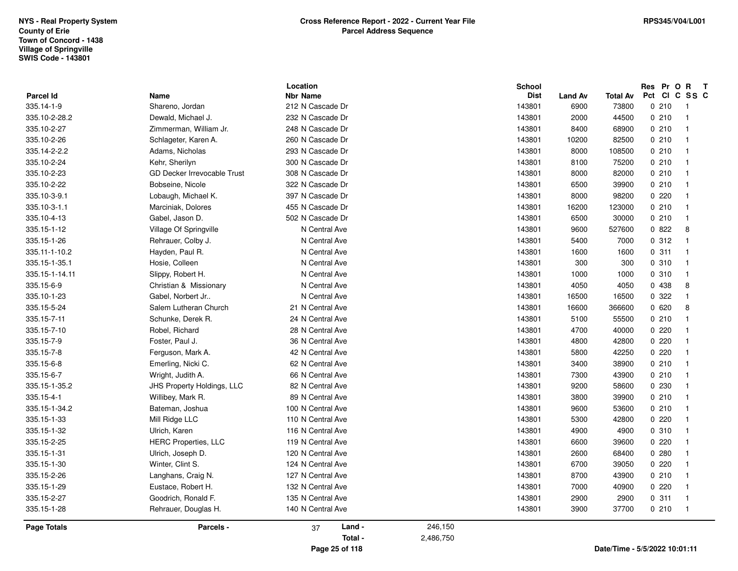|                  |                                    | Location          |           | <b>School</b> |                |                               |     |         | Res Pr O R T            |  |
|------------------|------------------------------------|-------------------|-----------|---------------|----------------|-------------------------------|-----|---------|-------------------------|--|
| <b>Parcel Id</b> | Name                               | <b>Nbr Name</b>   |           | <b>Dist</b>   | <b>Land Av</b> | Total Av                      | Pct |         | CICSSC                  |  |
| 335.14-1-9       | Shareno, Jordan                    | 212 N Cascade Dr  |           | 143801        | 6900           | 73800                         |     | 0210    | $\overline{1}$          |  |
| 335.10-2-28.2    | Dewald, Michael J.                 | 232 N Cascade Dr  |           | 143801        | 2000           | 44500                         |     | 0210    | $\overline{1}$          |  |
| 335.10-2-27      | Zimmerman, William Jr.             | 248 N Cascade Dr  |           | 143801        | 8400           | 68900                         |     | 0210    | $\overline{\mathbf{1}}$ |  |
| 335.10-2-26      | Schlageter, Karen A.               | 260 N Cascade Dr  |           | 143801        | 10200          | 82500                         |     | 0210    | $\overline{\mathbf{1}}$ |  |
| 335.14-2-2.2     | Adams, Nicholas                    | 293 N Cascade Dr  |           | 143801        | 8000           | 108500                        |     | 0210    | $\overline{1}$          |  |
| 335.10-2-24      | Kehr, Sherilyn                     | 300 N Cascade Dr  |           | 143801        | 8100           | 75200                         |     | 0210    | $\overline{1}$          |  |
| 335.10-2-23      | <b>GD Decker Irrevocable Trust</b> | 308 N Cascade Dr  |           | 143801        | 8000           | 82000                         |     | 0210    | $\overline{\mathbf{1}}$ |  |
| 335.10-2-22      | Bobseine, Nicole                   | 322 N Cascade Dr  |           | 143801        | 6500           | 39900                         |     | 0210    | $\overline{\mathbf{1}}$ |  |
| 335.10-3-9.1     | Lobaugh, Michael K.                | 397 N Cascade Dr  |           | 143801        | 8000           | 98200                         |     | 0220    | $\overline{\mathbf{1}}$ |  |
| 335.10-3-1.1     | Marciniak, Dolores                 | 455 N Cascade Dr  |           | 143801        | 16200          | 123000                        |     | 0210    | $\overline{1}$          |  |
| 335.10-4-13      | Gabel, Jason D.                    | 502 N Cascade Dr  |           | 143801        | 6500           | 30000                         |     | 0210    | $\overline{1}$          |  |
| 335.15-1-12      | Village Of Springville             | N Central Ave     |           | 143801        | 9600           | 527600                        |     | 0822    | 8                       |  |
| 335.15-1-26      | Rehrauer, Colby J.                 | N Central Ave     |           | 143801        | 5400           | 7000                          |     | 0.312   | $\overline{1}$          |  |
| 335.11-1-10.2    | Hayden, Paul R.                    | N Central Ave     |           | 143801        | 1600           | 1600                          |     | 0.311   | $\overline{1}$          |  |
| 335.15-1-35.1    | Hosie, Colleen                     | N Central Ave     |           | 143801        | 300            | 300                           |     | 0.310   | $\overline{1}$          |  |
| 335.15-1-14.11   | Slippy, Robert H.                  | N Central Ave     |           | 143801        | 1000           | 1000                          |     | 0.310   | $\overline{1}$          |  |
| 335.15-6-9       | Christian & Missionary             | N Central Ave     |           | 143801        | 4050           | 4050                          |     | 0 4 38  | 8                       |  |
| 335.10-1-23      | Gabel, Norbert Jr                  | N Central Ave     |           | 143801        | 16500          | 16500                         |     | 0 322   | $\overline{1}$          |  |
| 335.15-5-24      | Salem Lutheran Church              | 21 N Central Ave  |           | 143801        | 16600          | 366600                        |     | 0620    | 8                       |  |
| 335.15-7-11      | Schunke, Derek R.                  | 24 N Central Ave  |           | 143801        | 5100           | 55500                         |     | 0.210   | $\overline{1}$          |  |
| 335.15-7-10      | Robel, Richard                     | 28 N Central Ave  |           | 143801        | 4700           | 40000                         |     | 0220    | $\overline{\mathbf{1}}$ |  |
| 335.15-7-9       | Foster, Paul J.                    | 36 N Central Ave  |           | 143801        | 4800           | 42800                         |     | 0220    | $\overline{\mathbf{1}}$ |  |
| 335.15-7-8       | Ferguson, Mark A.                  | 42 N Central Ave  |           | 143801        | 5800           | 42250                         |     | 0220    | $\overline{1}$          |  |
| 335.15-6-8       | Emerling, Nicki C.                 | 62 N Central Ave  |           | 143801        | 3400           | 38900                         |     | 0210    | $\overline{1}$          |  |
| 335.15-6-7       | Wright, Judith A.                  | 66 N Central Ave  |           | 143801        | 7300           | 43900                         |     | 0210    | $\overline{1}$          |  |
| 335.15-1-35.2    | <b>JHS Property Holdings, LLC</b>  | 82 N Central Ave  |           | 143801        | 9200           | 58600                         |     | 0 2 3 0 | -1                      |  |
| 335.15-4-1       | Willibey, Mark R.                  | 89 N Central Ave  |           | 143801        | 3800           | 39900                         |     | 0210    | $\overline{1}$          |  |
| 335.15-1-34.2    | Bateman, Joshua                    | 100 N Central Ave |           | 143801        | 9600           | 53600                         |     | 0210    | $\overline{1}$          |  |
| 335.15-1-33      | Mill Ridge LLC                     | 110 N Central Ave |           | 143801        | 5300           | 42800                         |     | 0220    | $\overline{1}$          |  |
| 335.15-1-32      | Ulrich, Karen                      | 116 N Central Ave |           | 143801        | 4900           | 4900                          |     | 0.310   | $\overline{\mathbf{1}}$ |  |
| 335.15-2-25      | <b>HERC Properties, LLC</b>        | 119 N Central Ave |           | 143801        | 6600           | 39600                         |     | 0220    | $\overline{1}$          |  |
| 335.15-1-31      | Ulrich, Joseph D.                  | 120 N Central Ave |           | 143801        | 2600           | 68400                         |     | 0.280   | $\overline{1}$          |  |
| 335.15-1-30      | Winter, Clint S.                   | 124 N Central Ave |           | 143801        | 6700           | 39050                         |     | 0220    | $\overline{1}$          |  |
| 335.15-2-26      | Langhans, Craig N.                 | 127 N Central Ave |           | 143801        | 8700           | 43900                         |     | 0210    | $\overline{\mathbf{1}}$ |  |
| 335.15-1-29      | Eustace, Robert H.                 | 132 N Central Ave |           | 143801        | 7000           | 40900                         |     | 0220    | $\overline{\mathbf{1}}$ |  |
| 335.15-2-27      | Goodrich, Ronald F.                | 135 N Central Ave |           | 143801        | 2900           | 2900                          |     | 0.311   | $\overline{1}$          |  |
| 335.15-1-28      | Rehrauer, Douglas H.               | 140 N Central Ave |           | 143801        | 3900           | 37700                         |     | 0210    | $\overline{1}$          |  |
| Page Totals      | <b>Parcels -</b>                   | Land -<br>37      | 246,150   |               |                |                               |     |         |                         |  |
|                  |                                    | Total -           | 2,486,750 |               |                |                               |     |         |                         |  |
|                  |                                    | Page 25 of 118    |           |               |                | Date/Time - 5/5/2022 10:01:11 |     |         |                         |  |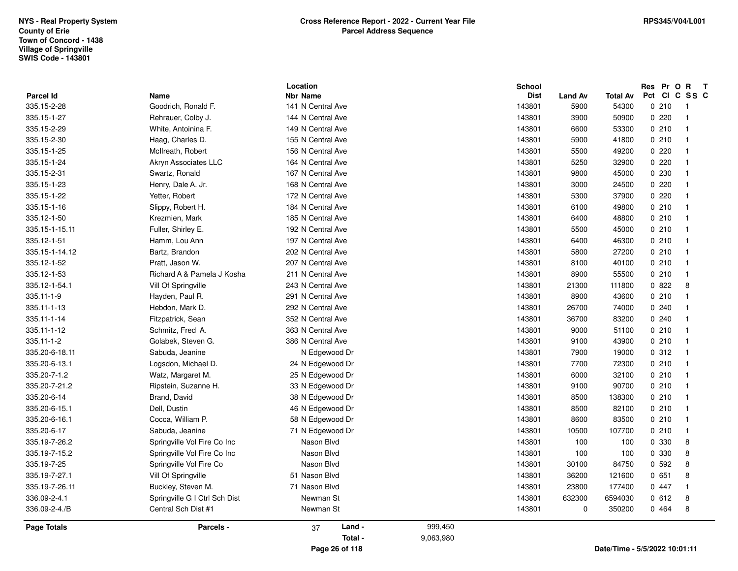|                                 |                               | Location                             |                      | <b>School</b>         |                        |                          | Res Pr O R            | $\mathbf{T}$   |
|---------------------------------|-------------------------------|--------------------------------------|----------------------|-----------------------|------------------------|--------------------------|-----------------------|----------------|
| <b>Parcel Id</b><br>335.15-2-28 | Name<br>Goodrich, Ronald F.   | <b>Nbr Name</b><br>141 N Central Ave |                      | <b>Dist</b><br>143801 | <b>Land Av</b><br>5900 | <b>Total Av</b><br>54300 | Pct CI C SS C<br>0210 | -1             |
|                                 |                               |                                      |                      |                       |                        |                          |                       |                |
| 335.15-1-27                     | Rehrauer, Colby J.            | 144 N Central Ave                    |                      | 143801                | 3900                   | 50900                    | 0220                  |                |
| 335.15-2-29                     | White, Antoinina F.           | 149 N Central Ave                    |                      | 143801                | 6600                   | 53300                    | 0210                  | -1             |
| 335.15-2-30                     | Haag, Charles D.              | 155 N Central Ave                    |                      | 143801                | 5900                   | 41800                    | 0210                  |                |
| 335.15-1-25                     | McIlreath, Robert             | 156 N Central Ave                    |                      | 143801                | 5500                   | 49200                    | 0220                  |                |
| 335.15-1-24                     | Akryn Associates LLC          | 164 N Central Ave                    |                      | 143801                | 5250                   | 32900                    | 0.220                 |                |
| 335.15-2-31                     | Swartz, Ronald                | 167 N Central Ave                    |                      | 143801                | 9800                   | 45000                    | 0 230                 |                |
| 335.15-1-23                     | Henry, Dale A. Jr.            | 168 N Central Ave                    |                      | 143801                | 3000                   | 24500                    | 0220                  |                |
| 335.15-1-22                     | Yetter, Robert                | 172 N Central Ave                    |                      | 143801                | 5300                   | 37900                    | 0220                  |                |
| 335.15-1-16                     | Slippy, Robert H.             | 184 N Central Ave                    |                      | 143801                | 6100                   | 49800                    | 0210                  |                |
| 335.12-1-50                     | Krezmien, Mark                | 185 N Central Ave                    |                      | 143801                | 6400                   | 48800                    | 0210                  |                |
| 335.15-1-15.11                  | Fuller, Shirley E.            | 192 N Central Ave                    |                      | 143801                | 5500                   | 45000                    | 0210                  |                |
| 335.12-1-51                     | Hamm, Lou Ann                 | 197 N Central Ave                    |                      | 143801                | 6400                   | 46300                    | 0210                  | -1             |
| 335.15-1-14.12                  | Bartz, Brandon                | 202 N Central Ave                    |                      | 143801                | 5800                   | 27200                    | 0210                  |                |
| 335.12-1-52                     | Pratt, Jason W.               | 207 N Central Ave                    |                      | 143801                | 8100                   | 40100                    | 0210                  |                |
| 335.12-1-53                     | Richard A & Pamela J Kosha    | 211 N Central Ave                    |                      | 143801                | 8900                   | 55500                    | 0210                  | $\overline{1}$ |
| 335.12-1-54.1                   | Vill Of Springville           | 243 N Central Ave                    |                      | 143801                | 21300                  | 111800                   | 0822                  | 8              |
| 335.11-1-9                      | Hayden, Paul R.               | 291 N Central Ave                    |                      | 143801                | 8900                   | 43600                    | 0210                  | -1             |
| 335.11-1-13                     | Hebdon, Mark D.               | 292 N Central Ave                    |                      | 143801                | 26700                  | 74000                    | 0.240                 |                |
| 335.11-1-14                     | Fitzpatrick, Sean             | 352 N Central Ave                    |                      | 143801                | 36700                  | 83200                    | 0.240                 |                |
| 335.11-1-12                     | Schmitz, Fred A.              | 363 N Central Ave                    |                      | 143801                | 9000                   | 51100                    | 0210                  |                |
| 335.11-1-2                      | Golabek, Steven G.            | 386 N Central Ave                    |                      | 143801                | 9100                   | 43900                    | 0210                  |                |
| 335.20-6-18.11                  | Sabuda, Jeanine               | N Edgewood Dr                        |                      | 143801                | 7900                   | 19000                    | 0.312                 | $\overline{1}$ |
| 335.20-6-13.1                   | Logsdon, Michael D.           | 24 N Edgewood Dr                     |                      | 143801                | 7700                   | 72300                    | 0210                  |                |
| 335.20-7-1.2                    | Watz, Margaret M.             | 25 N Edgewood Dr                     |                      | 143801                | 6000                   | 32100                    | 0210                  |                |
| 335.20-7-21.2                   | Ripstein, Suzanne H.          | 33 N Edgewood Dr                     |                      | 143801                | 9100                   | 90700                    | 0210                  |                |
| 335.20-6-14                     | Brand, David                  | 38 N Edgewood Dr                     |                      | 143801                | 8500                   | 138300                   | 0210                  |                |
| 335.20-6-15.1                   | Dell, Dustin                  | 46 N Edgewood Dr                     |                      | 143801                | 8500                   | 82100                    | 0210                  |                |
| 335.20-6-16.1                   | Cocca, William P.             | 58 N Edgewood Dr                     |                      | 143801                | 8600                   | 83500                    | 0210                  |                |
| 335.20-6-17                     | Sabuda, Jeanine               | 71 N Edgewood Dr                     |                      | 143801                | 10500                  | 107700                   | 0210                  |                |
| 335.19-7-26.2                   | Springville Vol Fire Co Inc   | Nason Blvd                           |                      | 143801                | 100                    | 100                      | 0 330                 | 8              |
| 335.19-7-15.2                   | Springville Vol Fire Co Inc   | Nason Blvd                           |                      | 143801                | 100                    | 100                      | 0 330                 | 8              |
| 335.19-7-25                     | Springville Vol Fire Co       | Nason Blvd                           |                      | 143801                | 30100                  | 84750                    | 0.592                 | 8              |
| 335.19-7-27.1                   | Vill Of Springville           | 51 Nason Blvd                        |                      | 143801                | 36200                  | 121600                   | 0651                  | 8              |
| 335.19-7-26.11                  | Buckley, Steven M.            | 71 Nason Blvd                        |                      | 143801                | 23800                  | 177400                   | 0 447                 |                |
| 336.09-2-4.1                    | Springville G I Ctrl Sch Dist | Newman St                            |                      | 143801                | 632300                 | 6594030                  | 0612                  | 8              |
| 336.09-2-4./B                   | Central Sch Dist #1           | Newman St                            |                      | 143801                | $\mathbf 0$            | 350200                   | 0 464                 | 8              |
| <b>Page Totals</b>              | Parcels -                     | Land -<br>37<br>Total -              | 999,450<br>9,063,980 |                       |                        |                          |                       |                |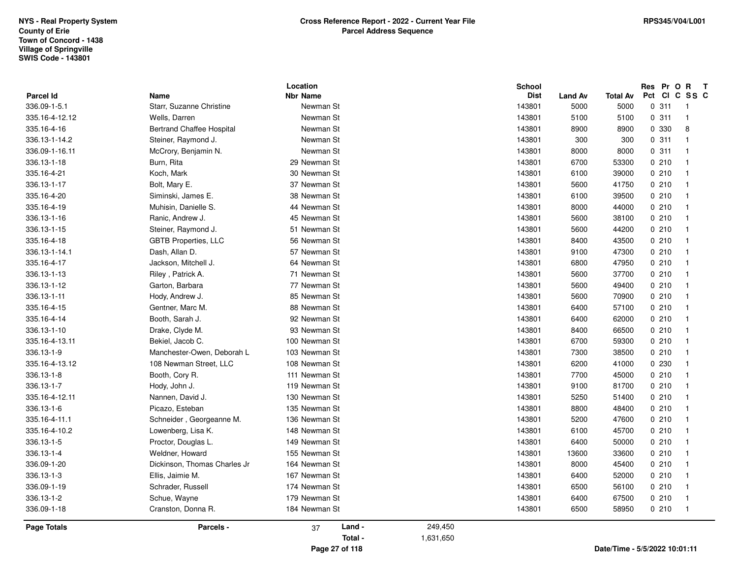| <b>Parcel Id</b>   | Name                             | Location<br><b>Nbr Name</b> | School<br><b>Dist</b> | <b>Land Av</b> | <b>Total Av</b> | Res Pr O R T<br>Pct CI C SS C |
|--------------------|----------------------------------|-----------------------------|-----------------------|----------------|-----------------|-------------------------------|
| 336.09-1-5.1       | Starr, Suzanne Christine         | Newman St                   | 143801                | 5000           | 5000            | 0.311<br>$\overline{1}$       |
| 335.16-4-12.12     | Wells, Darren                    | Newman St                   | 143801                | 5100           | 5100            | 0.311<br>$\overline{1}$       |
| 335.16-4-16        | <b>Bertrand Chaffee Hospital</b> | Newman St                   | 143801                | 8900           | 8900            | 0 330<br>8                    |
| 336.13-1-14.2      | Steiner, Raymond J.              | Newman St                   | 143801                | 300            | 300             | 0.311<br>$\overline{1}$       |
| 336.09-1-16.11     | McCrory, Benjamin N.             | Newman St                   | 143801                | 8000           | 8000            | 0.311<br>$\overline{1}$       |
| 336.13-1-18        | Burn, Rita                       | 29 Newman St                | 143801                | 6700           | 53300           | 0210<br>$\overline{1}$        |
| 335.16-4-21        | Koch, Mark                       | 30 Newman St                | 143801                | 6100           | 39000           | 0210<br>$\overline{1}$        |
| 336.13-1-17        | Bolt, Mary E.                    | 37 Newman St                | 143801                | 5600           | 41750           | 0210<br>$\overline{1}$        |
| 335.16-4-20        | Siminski, James E.               | 38 Newman St                | 143801                | 6100           | 39500           | 0210<br>$\overline{1}$        |
| 335.16-4-19        | Muhisin, Danielle S.             | 44 Newman St                | 143801                | 8000           | 44000           | 0210<br>$\overline{1}$        |
| 336.13-1-16        | Ranic, Andrew J.                 | 45 Newman St                | 143801                | 5600           | 38100           | 0210<br>$\overline{1}$        |
| 336.13-1-15        | Steiner, Raymond J.              | 51 Newman St                | 143801                | 5600           | 44200           | 0210<br>$\overline{1}$        |
| 335.16-4-18        | <b>GBTB Properties, LLC</b>      | 56 Newman St                | 143801                | 8400           | 43500           | 0210<br>$\overline{1}$        |
| 336.13-1-14.1      | Dash, Allan D.                   | 57 Newman St                | 143801                | 9100           | 47300           | 0210<br>$\overline{1}$        |
| 335.16-4-17        | Jackson, Mitchell J.             | 64 Newman St                | 143801                | 6800           | 47950           | 0210<br>$\overline{1}$        |
| 336.13-1-13        | Riley, Patrick A.                | 71 Newman St                | 143801                | 5600           | 37700           | 0210<br>$\overline{1}$        |
| 336.13-1-12        | Garton, Barbara                  | 77 Newman St                | 143801                | 5600           | 49400           | 0210<br>$\overline{1}$        |
| 336.13-1-11        | Hody, Andrew J.                  | 85 Newman St                | 143801                | 5600           | 70900           | 0210<br>$\overline{1}$        |
| 335.16-4-15        | Gentner, Marc M.                 | 88 Newman St                | 143801                | 6400           | 57100           | 0210<br>$\overline{1}$        |
| 335.16-4-14        | Booth, Sarah J.                  | 92 Newman St                | 143801                | 6400           | 62000           | 0210<br>$\overline{1}$        |
| 336.13-1-10        | Drake, Clyde M.                  | 93 Newman St                | 143801                | 8400           | 66500           | 0210<br>$\overline{1}$        |
| 335.16-4-13.11     | Bekiel, Jacob C.                 | 100 Newman St               | 143801                | 6700           | 59300           | 0210<br>$\overline{1}$        |
| 336.13-1-9         | Manchester-Owen, Deborah L       | 103 Newman St               | 143801                | 7300           | 38500           | 0210<br>$\overline{1}$        |
| 335.16-4-13.12     | 108 Newman Street, LLC           | 108 Newman St               | 143801                | 6200           | 41000           | 0 2 3 0<br>$\overline{1}$     |
| 336.13-1-8         | Booth, Cory R.                   | 111 Newman St               | 143801                | 7700           | 45000           | 0210<br>$\overline{1}$        |
| 336.13-1-7         | Hody, John J.                    | 119 Newman St               | 143801                | 9100           | 81700           | 0210<br>$\overline{1}$        |
| 335.16-4-12.11     | Nannen, David J.                 | 130 Newman St               | 143801                | 5250           | 51400           | 0210<br>$\overline{1}$        |
| 336.13-1-6         | Picazo, Esteban                  | 135 Newman St               | 143801                | 8800           | 48400           | 0210<br>$\overline{1}$        |
| 335.16-4-11.1      | Schneider, Georgeanne M.         | 136 Newman St               | 143801                | 5200           | 47600           | 0210<br>$\overline{1}$        |
| 335.16-4-10.2      | Lowenberg, Lisa K.               | 148 Newman St               | 143801                | 6100           | 45700           | 0210<br>$\overline{1}$        |
| 336.13-1-5         | Proctor, Douglas L.              | 149 Newman St               | 143801                | 6400           | 50000           | 0210<br>$\overline{1}$        |
| 336.13-1-4         | Weldner, Howard                  | 155 Newman St               | 143801                | 13600          | 33600           | 0210<br>$\overline{1}$        |
| 336.09-1-20        | Dickinson, Thomas Charles Jr     | 164 Newman St               | 143801                | 8000           | 45400           | 0210<br>$\overline{1}$        |
| 336.13-1-3         | Ellis, Jaimie M.                 | 167 Newman St               | 143801                | 6400           | 52000           | 0210<br>$\overline{1}$        |
| 336.09-1-19        | Schrader, Russell                | 174 Newman St               | 143801                | 6500           | 56100           | 0210<br>$\overline{1}$        |
| 336.13-1-2         | Schue, Wayne                     | 179 Newman St               | 143801                | 6400           | 67500           | 0210<br>$\overline{1}$        |
| 336.09-1-18        | Cranston, Donna R.               | 184 Newman St               | 143801                | 6500           | 58950           | 0210<br>$\overline{1}$        |
| <b>Page Totals</b> | Parcels -                        | Land -<br>37                | 249,450               |                |                 |                               |
|                    |                                  | Total -                     | 1,631,650             |                |                 |                               |
|                    |                                  | Page 27 of 118              |                       |                |                 | Date/Time - 5/5/2022 10:01:11 |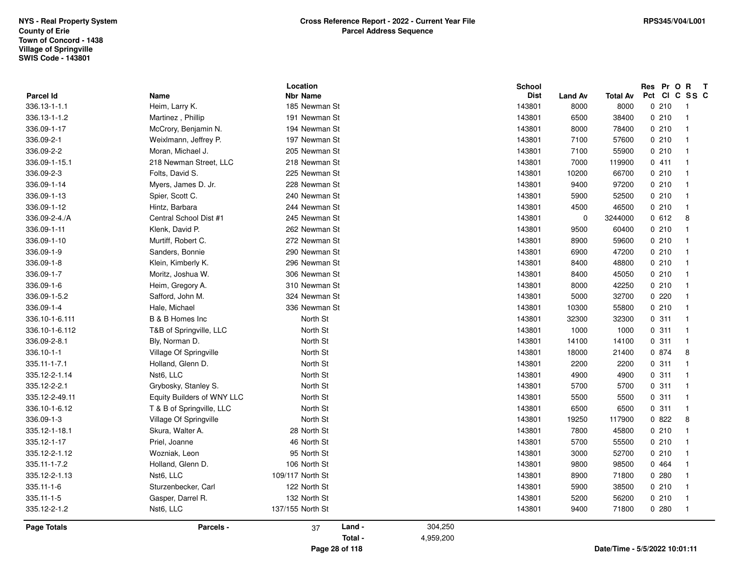|                    |                            | Location         |         | School      |                |                 | Res Pr O R T  |                |
|--------------------|----------------------------|------------------|---------|-------------|----------------|-----------------|---------------|----------------|
| <b>Parcel Id</b>   | Name                       | <b>Nbr Name</b>  |         | <b>Dist</b> | <b>Land Av</b> | <b>Total Av</b> | Pct CI C SS C |                |
| 336.13-1-1.1       | Heim, Larry K.             | 185 Newman St    |         | 143801      | 8000           | 8000            | 0210          | $\overline{1}$ |
| 336.13-1-1.2       | Martinez, Phillip          | 191 Newman St    |         | 143801      | 6500           | 38400           | 0210          | $\overline{1}$ |
| 336.09-1-17        | McCrory, Benjamin N.       | 194 Newman St    |         | 143801      | 8000           | 78400           | 0210          | $\overline{1}$ |
| 336.09-2-1         | Weixlmann, Jeffrey P.      | 197 Newman St    |         | 143801      | 7100           | 57600           | 0210          | $\overline{1}$ |
| 336.09-2-2         | Moran, Michael J.          | 205 Newman St    |         | 143801      | 7100           | 55900           | 0210          | $\overline{1}$ |
| 336.09-1-15.1      | 218 Newman Street, LLC     | 218 Newman St    |         | 143801      | 7000           | 119900          | 0411          | $\overline{1}$ |
| 336.09-2-3         | Folts, David S.            | 225 Newman St    |         | 143801      | 10200          | 66700           | 0210          | $\overline{1}$ |
| 336.09-1-14        | Myers, James D. Jr.        | 228 Newman St    |         | 143801      | 9400           | 97200           | 0210          | $\overline{1}$ |
| 336.09-1-13        | Spier, Scott C.            | 240 Newman St    |         | 143801      | 5900           | 52500           | 0210          | $\overline{1}$ |
| 336.09-1-12        | Hintz, Barbara             | 244 Newman St    |         | 143801      | 4500           | 46500           | 0210          | $\overline{1}$ |
| 336.09-2-4./A      | Central School Dist #1     | 245 Newman St    |         | 143801      | $\pmb{0}$      | 3244000         | 0612          | 8              |
| 336.09-1-11        | Klenk, David P.            | 262 Newman St    |         | 143801      | 9500           | 60400           | 0210          | $\overline{1}$ |
| 336.09-1-10        | Murtiff, Robert C.         | 272 Newman St    |         | 143801      | 8900           | 59600           | 0210          | $\overline{1}$ |
| 336.09-1-9         | Sanders, Bonnie            | 290 Newman St    |         | 143801      | 6900           | 47200           | 0210          | $\overline{1}$ |
| 336.09-1-8         | Klein, Kimberly K.         | 296 Newman St    |         | 143801      | 8400           | 48800           | 0210          | $\overline{1}$ |
| 336.09-1-7         | Moritz, Joshua W.          | 306 Newman St    |         | 143801      | 8400           | 45050           | 0210          | $\overline{1}$ |
| 336.09-1-6         | Heim, Gregory A.           | 310 Newman St    |         | 143801      | 8000           | 42250           | 0210          | $\overline{1}$ |
| 336.09-1-5.2       | Safford, John M.           | 324 Newman St    |         | 143801      | 5000           | 32700           | 0220          | $\overline{1}$ |
| 336.09-1-4         | Hale, Michael              | 336 Newman St    |         | 143801      | 10300          | 55800           | 0210          | $\overline{1}$ |
| 336.10-1-6.111     | B & B Homes Inc            | North St         |         | 143801      | 32300          | 32300           | 0.311         | $\overline{1}$ |
| 336.10-1-6.112     | T&B of Springville, LLC    | North St         |         | 143801      | 1000           | 1000            | 0.311         | $\overline{1}$ |
| 336.09-2-8.1       | Bly, Norman D.             | North St         |         | 143801      | 14100          | 14100           | 0.311         | $\overline{1}$ |
| 336.10-1-1         | Village Of Springville     | North St         |         | 143801      | 18000          | 21400           | 0 874         | 8              |
| 335.11-1-7.1       | Holland, Glenn D.          | North St         |         | 143801      | 2200           | 2200            | 0.311         | $\overline{1}$ |
| 335.12-2-1.14      | Nst6, LLC                  | North St         |         | 143801      | 4900           | 4900            | 0.311         | $\overline{1}$ |
| 335.12-2-2.1       | Grybosky, Stanley S.       | North St         |         | 143801      | 5700           | 5700            | 0.311         | $\overline{1}$ |
| 335.12-2-49.11     | Equity Builders of WNY LLC | North St         |         | 143801      | 5500           | 5500            | 0.311         | $\overline{1}$ |
| 336.10-1-6.12      | T & B of Springville, LLC  | North St         |         | 143801      | 6500           | 6500            | 0.311         | $\overline{1}$ |
| 336.09-1-3         | Village Of Springville     | North St         |         | 143801      | 19250          | 117900          | 0822          | 8              |
| 335.12-1-18.1      | Skura, Walter A.           | 28 North St      |         | 143801      | 7800           | 45800           | 0210          | $\overline{1}$ |
| 335.12-1-17        | Priel, Joanne              | 46 North St      |         | 143801      | 5700           | 55500           | 0210          | $\overline{1}$ |
| 335.12-2-1.12      | Wozniak, Leon              | 95 North St      |         | 143801      | 3000           | 52700           | 0210          | $\overline{1}$ |
| 335.11-1-7.2       | Holland, Glenn D.          | 106 North St     |         | 143801      | 9800           | 98500           | 0 464         | $\overline{1}$ |
| 335.12-2-1.13      | Nst6, LLC                  | 109/117 North St |         | 143801      | 8900           | 71800           | 0.280         | $\overline{1}$ |
| 335.11-1-6         | Sturzenbecker, Carl        | 122 North St     |         | 143801      | 5900           | 38500           | 0210          | $\overline{1}$ |
| 335.11-1-5         | Gasper, Darrel R.          | 132 North St     |         | 143801      | 5200           | 56200           | 0210          | $\overline{1}$ |
| 335.12-2-1.2       | Nst6, LLC                  | 137/155 North St |         | 143801      | 9400           | 71800           | 0.280         | $\overline{1}$ |
|                    |                            |                  |         |             |                |                 |               |                |
| <b>Page Totals</b> | Parcels -                  | Land -<br>37     | 304,250 |             |                |                 |               |                |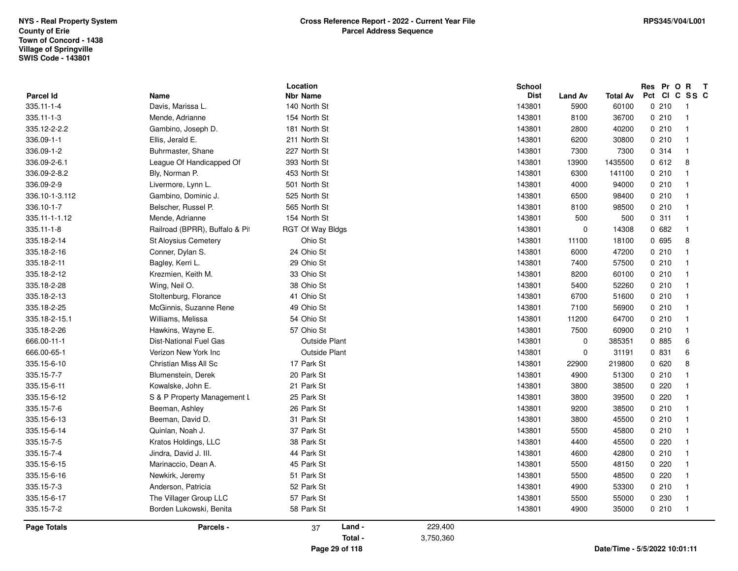| 335.18-2-13<br>335.18-2-25   | Stoltenburg, Florance<br>McGinnis, Suzanne Rene | 41 Ohio St<br>49 Ohio St                     |           | 143801<br>143801 | 6700<br>7100     | 51600<br>56900  | 0210<br>0210   | $\overline{1}$<br>$\overline{1}$ |
|------------------------------|-------------------------------------------------|----------------------------------------------|-----------|------------------|------------------|-----------------|----------------|----------------------------------|
| 335.18-2-15.1<br>335.18-2-26 | Williams, Melissa<br>Hawkins, Wayne E.          | 54 Ohio St<br>57 Ohio St                     |           | 143801<br>143801 | 11200<br>7500    | 64700<br>60900  | 0210<br>0210   | $\overline{1}$<br>$\overline{1}$ |
| 666.00-11-1<br>666.00-65-1   | Dist-National Fuel Gas<br>Verizon New York Inc  | <b>Outside Plant</b><br><b>Outside Plant</b> |           | 143801<br>143801 | 0<br>$\mathbf 0$ | 385351          | 0 885<br>0 831 | 6<br>6                           |
| 335.15-6-10                  | Christian Miss All Sc                           | 17 Park St                                   |           | 143801           | 22900            | 31191<br>219800 | 0620           | 8                                |
| 335.15-7-7                   | Blumenstein, Derek                              | 20 Park St                                   |           | 143801           | 4900             | 51300           | 0210           | $\overline{\mathbf{1}}$          |
| 335.15-6-11                  | Kowalske, John E.                               | 21 Park St                                   |           | 143801           | 3800             | 38500           | 0.220          |                                  |
| 335.15-6-12                  | S & P Property Management L                     | 25 Park St                                   |           | 143801           | 3800             | 39500           | 0.220          | $\mathbf{1}$                     |
| 335.15-7-6                   | Beeman, Ashley                                  | 26 Park St                                   |           | 143801           | 9200             | 38500           | 0210           | $\overline{1}$                   |
| 335.15-6-13                  | Beeman, David D.                                | 31 Park St                                   |           | 143801           | 3800             | 45500           | 0210           | $\overline{\mathbf{1}}$          |
| 335.15-6-14                  | Quinlan, Noah J.                                | 37 Park St                                   |           | 143801           | 5500             | 45800           | 0210           | $\overline{\mathbf{1}}$          |
| 335.15-7-5                   | Kratos Holdings, LLC                            | 38 Park St                                   |           | 143801           | 4400             | 45500           | 0220           | $\overline{\mathbf{1}}$          |
| 335.15-7-4                   | Jindra, David J. III.                           | 44 Park St                                   |           | 143801           | 4600             | 42800           | 0210           | $\overline{1}$                   |
| 335.15-6-15                  | Marinaccio, Dean A.                             | 45 Park St                                   |           | 143801           | 5500             | 48150           | 0.220          | $\overline{1}$                   |
| 335.15-6-16                  | Newkirk, Jeremy                                 | 51 Park St                                   |           | 143801           | 5500             | 48500           | 0.220          | -1                               |
| 335.15-7-3                   | Anderson, Patricia                              | 52 Park St                                   |           | 143801           | 4900             | 53300           | 0210           | $\overline{1}$                   |
| 335.15-6-17                  | The Villager Group LLC                          | 57 Park St                                   |           | 143801           | 5500             | 55000           | 0 2 3 0        | $\overline{1}$                   |
| 335.15-7-2                   | Borden Lukowski, Benita                         | 58 Park St                                   |           | 143801           | 4900             | 35000           | 0210           | $\overline{1}$                   |
|                              |                                                 |                                              | 229,400   |                  |                  |                 |                |                                  |
| <b>Page Totals</b>           | Parcels -                                       | Land -<br>37<br>Total -                      | 3,750,360 |                  |                  |                 |                |                                  |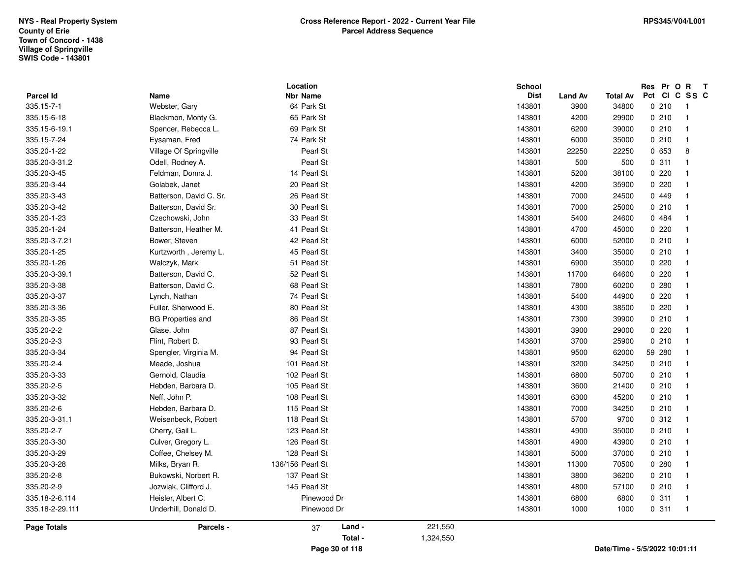|                         |                                           | Location                      |           | <b>School</b><br><b>Dist</b> |                        |                               |        | Res Pr O R T<br>Pct CI C SS C |  |
|-------------------------|-------------------------------------------|-------------------------------|-----------|------------------------------|------------------------|-------------------------------|--------|-------------------------------|--|
| Parcel Id<br>335.15-7-1 | Name<br>Webster, Gary                     | <b>Nbr Name</b><br>64 Park St |           | 143801                       | <b>Land Av</b><br>3900 | <b>Total Av</b><br>34800      | 0210   | $\overline{1}$                |  |
|                         |                                           |                               |           | 143801                       |                        |                               |        |                               |  |
| 335.15-6-18             | Blackmon, Monty G.<br>Spencer, Rebecca L. | 65 Park St                    |           |                              | 4200                   | 29900                         | 0210   | $\mathbf{1}$                  |  |
| 335.15-6-19.1           |                                           | 69 Park St                    |           | 143801                       | 6200                   | 39000                         | 0210   | -1<br>$\overline{1}$          |  |
| 335.15-7-24             | Eysaman, Fred                             | 74 Park St                    |           | 143801                       | 6000                   | 35000                         | 0210   |                               |  |
| 335.20-1-22             | Village Of Springville                    | Pearl St                      |           | 143801                       | 22250                  | 22250                         | 0653   | 8                             |  |
| 335.20-3-31.2           | Odell, Rodney A.                          | Pearl St                      |           | 143801                       | 500                    | 500                           | 0.311  | $\mathbf{1}$                  |  |
| 335.20-3-45             | Feldman, Donna J.                         | 14 Pearl St                   |           | 143801                       | 5200                   | 38100                         | 0220   | $\overline{1}$                |  |
| 335.20-3-44             | Golabek, Janet                            | 20 Pearl St                   |           | 143801                       | 4200                   | 35900                         | 0220   | $\overline{\mathbf{1}}$       |  |
| 335.20-3-43             | Batterson, David C. Sr.                   | 26 Pearl St                   |           | 143801                       | 7000                   | 24500                         | 0 449  | $\overline{\mathbf{1}}$       |  |
| 335.20-3-42             | Batterson, David Sr.                      | 30 Pearl St                   |           | 143801                       | 7000                   | 25000                         | 0210   | $\mathbf{1}$                  |  |
| 335.20-1-23             | Czechowski, John                          | 33 Pearl St                   |           | 143801                       | 5400                   | 24600                         | 0484   | $\mathbf{1}$                  |  |
| 335.20-1-24             | Batterson, Heather M.                     | 41 Pearl St                   |           | 143801                       | 4700                   | 45000                         | 0220   | $\overline{1}$                |  |
| 335.20-3-7.21           | Bower, Steven                             | 42 Pearl St                   |           | 143801                       | 6000                   | 52000                         | 0210   | $\mathbf{1}$                  |  |
| 335.20-1-25             | Kurtzworth, Jeremy L.                     | 45 Pearl St                   |           | 143801                       | 3400                   | 35000                         | 0210   | $\mathbf{1}$                  |  |
| 335.20-1-26             | Walczyk, Mark                             | 51 Pearl St                   |           | 143801                       | 6900                   | 35000                         | 0220   | $\overline{1}$                |  |
| 335.20-3-39.1           | Batterson, David C.                       | 52 Pearl St                   |           | 143801                       | 11700                  | 64600                         | 0220   | $\mathbf{1}$                  |  |
| 335.20-3-38             | Batterson, David C.                       | 68 Pearl St                   |           | 143801                       | 7800                   | 60200                         | 0.280  | $\mathbf{1}$                  |  |
| 335.20-3-37             | Lynch, Nathan                             | 74 Pearl St                   |           | 143801                       | 5400                   | 44900                         | 0220   | $\mathbf{1}$                  |  |
| 335.20-3-36             | Fuller, Sherwood E.                       | 80 Pearl St                   |           | 143801                       | 4300                   | 38500                         | 0220   | $\mathbf{1}$                  |  |
| 335.20-3-35             | <b>BG Properties and</b>                  | 86 Pearl St                   |           | 143801                       | 7300                   | 39900                         | 0210   | $\overline{\mathbf{1}}$       |  |
| 335.20-2-2              | Glase, John                               | 87 Pearl St                   |           | 143801                       | 3900                   | 29000                         | 0220   | $\overline{1}$                |  |
| 335.20-2-3              | Flint, Robert D.                          | 93 Pearl St                   |           | 143801                       | 3700                   | 25900                         | 0210   | $\overline{1}$                |  |
| 335.20-3-34             | Spengler, Virginia M.                     | 94 Pearl St                   |           | 143801                       | 9500                   | 62000                         | 59 280 | $\mathbf{1}$                  |  |
| 335.20-2-4              | Meade, Joshua                             | 101 Pearl St                  |           | 143801                       | 3200                   | 34250                         | 0210   | $\mathbf{1}$                  |  |
| 335.20-3-33             | Gernold, Claudia                          | 102 Pearl St                  |           | 143801                       | 6800                   | 50700                         | 0210   | $\overline{1}$                |  |
| 335.20-2-5              | Hebden, Barbara D.                        | 105 Pearl St                  |           | 143801                       | 3600                   | 21400                         | 0210   | $\overline{1}$                |  |
| 335.20-3-32             | Neff, John P.                             | 108 Pearl St                  |           | 143801                       | 6300                   | 45200                         | 0210   | $\mathbf{1}$                  |  |
| 335.20-2-6              | Hebden, Barbara D.                        | 115 Pearl St                  |           | 143801                       | 7000                   | 34250                         | 0210   | $\overline{1}$                |  |
| 335.20-3-31.1           | Weisenbeck, Robert                        | 118 Pearl St                  |           | 143801                       | 5700                   | 9700                          | 0.312  | $\overline{1}$                |  |
| 335.20-2-7              | Cherry, Gail L.                           | 123 Pearl St                  |           | 143801                       | 4900                   | 35000                         | 0210   | $\mathbf{1}$                  |  |
| 335.20-3-30             | Culver, Gregory L.                        | 126 Pearl St                  |           | 143801                       | 4900                   | 43900                         | 0210   | $\mathbf{1}$                  |  |
| 335.20-3-29             | Coffee, Chelsey M.                        | 128 Pearl St                  |           | 143801                       | 5000                   | 37000                         | 0210   | $\mathbf{1}$                  |  |
| 335.20-3-28             | Milks, Bryan R.                           | 136/156 Pearl St              |           | 143801                       | 11300                  | 70500                         | 0.280  | $\mathbf{1}$                  |  |
| 335.20-2-8              | Bukowski, Norbert R.                      | 137 Pearl St                  |           | 143801                       | 3800                   | 36200                         | 0210   | $\mathbf{1}$                  |  |
| 335.20-2-9              | Jozwiak, Clifford J.                      | 145 Pearl St                  |           | 143801                       | 4800                   | 57100                         | 0210   | $\mathbf{1}$                  |  |
| 335.18-2-6.114          | Heisler, Albert C.                        | Pinewood Dr                   |           | 143801                       | 6800                   | 6800                          | 0.311  | $\mathbf{1}$                  |  |
| 335.18-2-29.111         | Underhill, Donald D.                      | Pinewood Dr                   |           | 143801                       | 1000                   | 1000                          | 0.311  | $\overline{1}$                |  |
| Page Totals             | Parcels -                                 | Land -<br>37                  | 221,550   |                              |                        |                               |        |                               |  |
|                         |                                           | Total -                       | 1,324,550 |                              |                        |                               |        |                               |  |
|                         |                                           | Page 30 of 118                |           |                              |                        | Date/Time - 5/5/2022 10:01:11 |        |                               |  |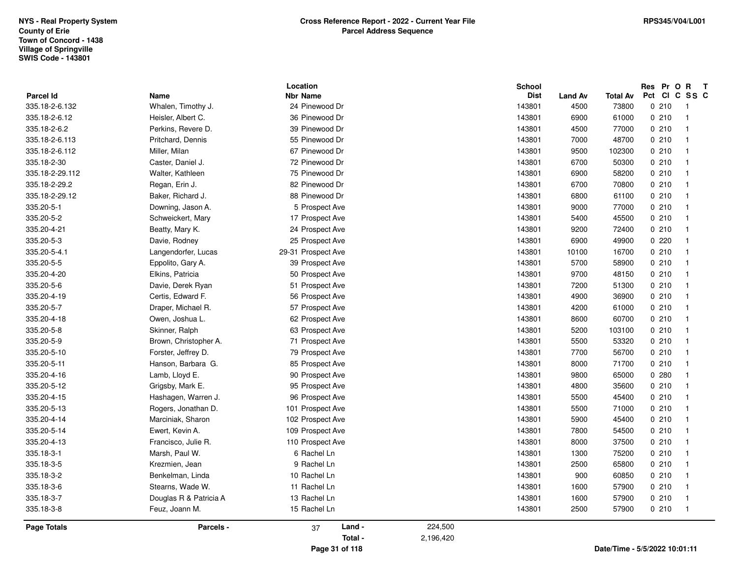|                    |                        | Location           | <b>School</b> |                               |                               |     |       | Res Pr O R T   |
|--------------------|------------------------|--------------------|---------------|-------------------------------|-------------------------------|-----|-------|----------------|
| <b>Parcel Id</b>   | Name                   | <b>Nbr Name</b>    |               | <b>Dist</b><br><b>Land Av</b> | <b>Total Av</b>               | Pct |       | CICSSC         |
| 335.18-2-6.132     | Whalen, Timothy J.     | 24 Pinewood Dr     | 143801        | 4500                          | 73800                         |     | 0210  | - 1            |
| 335.18-2-6.12      | Heisler, Albert C.     | 36 Pinewood Dr     | 143801        | 6900                          | 61000                         |     | 0210  | $\overline{1}$ |
| 335.18-2-6.2       | Perkins, Revere D.     | 39 Pinewood Dr     | 143801        | 4500                          | 77000                         |     | 0210  | $\mathbf{1}$   |
| 335.18-2-6.113     | Pritchard, Dennis      | 55 Pinewood Dr     | 143801        | 7000                          | 48700                         |     | 0210  | $\overline{1}$ |
| 335.18-2-6.112     | Miller, Milan          | 67 Pinewood Dr     | 143801        | 9500                          | 102300                        |     | 0210  | $\overline{1}$ |
| 335.18-2-30        | Caster, Daniel J.      | 72 Pinewood Dr     | 143801        | 6700                          | 50300                         |     | 0210  | $\overline{1}$ |
| 335.18-2-29.112    | Walter, Kathleen       | 75 Pinewood Dr     | 143801        | 6900                          | 58200                         |     | 0210  | $\mathbf{1}$   |
| 335.18-2-29.2      | Regan, Erin J.         | 82 Pinewood Dr     | 143801        | 6700                          | 70800                         |     | 0210  | $\mathbf{1}$   |
| 335.18-2-29.12     | Baker, Richard J.      | 88 Pinewood Dr     | 143801        | 6800                          | 61100                         |     | 0210  | $\mathbf{1}$   |
| 335.20-5-1         | Downing, Jason A.      | 5 Prospect Ave     | 143801        | 9000                          | 77000                         |     | 0210  | $\overline{1}$ |
| 335.20-5-2         | Schweickert, Mary      | 17 Prospect Ave    | 143801        | 5400                          | 45500                         |     | 0210  | $\mathbf{1}$   |
| 335.20-4-21        | Beatty, Mary K.        | 24 Prospect Ave    | 143801        | 9200                          | 72400                         |     | 0210  | $\overline{1}$ |
| 335.20-5-3         | Davie, Rodney          | 25 Prospect Ave    | 143801        | 6900                          | 49900                         |     | 0.220 | -1             |
| 335.20-5-4.1       | Langendorfer, Lucas    | 29-31 Prospect Ave | 143801        | 10100                         | 16700                         |     | 0210  | $\overline{1}$ |
| 335.20-5-5         | Eppolito, Gary A.      | 39 Prospect Ave    | 143801        | 5700                          | 58900                         |     | 0210  | $\overline{1}$ |
| 335.20-4-20        | Elkins, Patricia       | 50 Prospect Ave    | 143801        | 9700                          | 48150                         |     | 0210  | $\overline{1}$ |
| 335.20-5-6         | Davie, Derek Ryan      | 51 Prospect Ave    | 143801        | 7200                          | 51300                         |     | 0210  | $\overline{1}$ |
| 335.20-4-19        | Certis, Edward F.      | 56 Prospect Ave    | 143801        | 4900                          | 36900                         |     | 0210  | $\mathbf{1}$   |
| 335.20-5-7         | Draper, Michael R.     | 57 Prospect Ave    | 143801        | 4200                          | 61000                         |     | 0210  | $\overline{1}$ |
| 335.20-4-18        | Owen, Joshua L.        | 62 Prospect Ave    | 143801        | 8600                          | 60700                         |     | 0210  | $\overline{1}$ |
| 335.20-5-8         | Skinner, Ralph         | 63 Prospect Ave    | 143801        | 5200                          | 103100                        |     | 0210  | $\overline{1}$ |
| 335.20-5-9         | Brown, Christopher A.  | 71 Prospect Ave    | 143801        | 5500                          | 53320                         |     | 0210  | $\overline{1}$ |
| 335.20-5-10        | Forster, Jeffrey D.    | 79 Prospect Ave    | 143801        | 7700                          | 56700                         |     | 0210  | $\overline{1}$ |
| 335.20-5-11        | Hanson, Barbara G.     | 85 Prospect Ave    | 143801        | 8000                          | 71700                         |     | 0210  | $\overline{1}$ |
| 335.20-4-16        | Lamb, Lloyd E.         | 90 Prospect Ave    | 143801        | 9800                          | 65000                         |     | 0.280 | $\mathbf{1}$   |
| 335.20-5-12        | Grigsby, Mark E.       | 95 Prospect Ave    | 143801        | 4800                          | 35600                         |     | 0210  | $\mathbf{1}$   |
| 335.20-4-15        | Hashagen, Warren J.    | 96 Prospect Ave    | 143801        | 5500                          | 45400                         |     | 0210  | $\mathbf{1}$   |
| 335.20-5-13        | Rogers, Jonathan D.    | 101 Prospect Ave   | 143801        | 5500                          | 71000                         |     | 0210  | $\overline{1}$ |
| 335.20-4-14        | Marciniak, Sharon      | 102 Prospect Ave   | 143801        | 5900                          | 45400                         |     | 0210  | $\mathbf{1}$   |
| 335.20-5-14        | Ewert, Kevin A.        | 109 Prospect Ave   | 143801        | 7800                          | 54500                         |     | 0210  | $\mathbf{1}$   |
| 335.20-4-13        | Francisco, Julie R.    | 110 Prospect Ave   | 143801        | 8000                          | 37500                         |     | 0210  | $\overline{1}$ |
| 335.18-3-1         | Marsh, Paul W.         | 6 Rachel Ln        | 143801        | 1300                          | 75200                         |     | 0210  | -1             |
| 335.18-3-5         | Krezmien, Jean         | 9 Rachel Ln        | 143801        | 2500                          | 65800                         |     | 0210  | $\overline{1}$ |
| 335.18-3-2         | Benkelman, Linda       | 10 Rachel Ln       | 143801        | 900                           | 60850                         |     | 0210  | $\mathbf{1}$   |
| 335.18-3-6         | Stearns, Wade W.       | 11 Rachel Ln       | 143801        | 1600                          | 57900                         |     | 0210  | $\overline{1}$ |
| 335.18-3-7         | Douglas R & Patricia A | 13 Rachel Ln       | 143801        | 1600                          | 57900                         |     | 0210  | $\overline{1}$ |
| 335.18-3-8         | Feuz, Joann M.         | 15 Rachel Ln       | 143801        | 2500                          | 57900                         |     | 0210  | $\overline{1}$ |
| <b>Page Totals</b> | Parcels -              | Land -<br>37       | 224,500       |                               |                               |     |       |                |
|                    |                        | Total -            | 2,196,420     |                               |                               |     |       |                |
|                    |                        | Page 31 of 118     |               |                               | Date/Time - 5/5/2022 10:01:11 |     |       |                |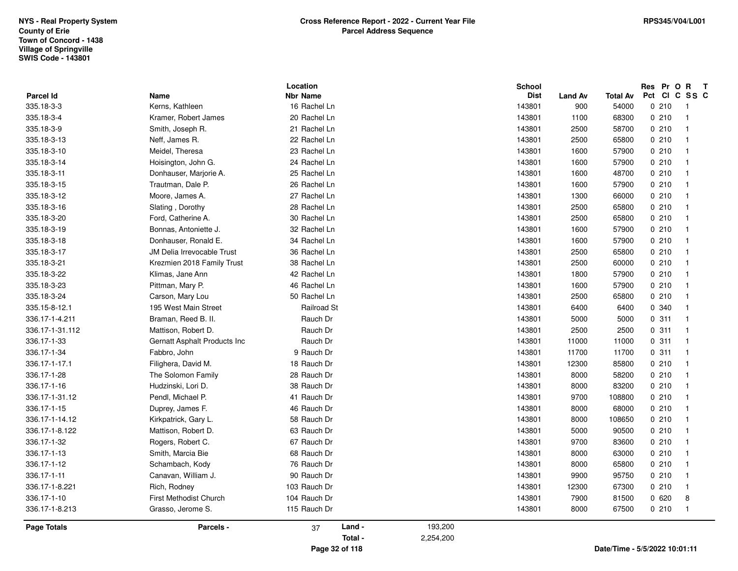|                         |                              | Location                        | <b>School</b><br><b>Dist</b> |                       |                          | Res Pr O R T<br>Pct CI C SS C |                |
|-------------------------|------------------------------|---------------------------------|------------------------------|-----------------------|--------------------------|-------------------------------|----------------|
| Parcel Id<br>335.18-3-3 | Name<br>Kerns, Kathleen      | <b>Nbr Name</b><br>16 Rachel Ln | 143801                       | <b>Land Av</b><br>900 | <b>Total Av</b><br>54000 | 0210                          | $\overline{1}$ |
| 335.18-3-4              | Kramer, Robert James         | 20 Rachel Ln                    | 143801                       | 1100                  | 68300                    | 0210                          | $\overline{1}$ |
| 335.18-3-9              | Smith, Joseph R.             | 21 Rachel Ln                    | 143801                       | 2500                  | 58700                    | 0210                          | $\overline{1}$ |
| 335.18-3-13             | Neff, James R.               | 22 Rachel Ln                    | 143801                       | 2500                  | 65800                    | 0210                          | $\overline{1}$ |
| 335.18-3-10             | Meidel, Theresa              | 23 Rachel Ln                    | 143801                       | 1600                  | 57900                    | 0210                          | $\overline{1}$ |
| 335.18-3-14             | Hoisington, John G.          | 24 Rachel Ln                    | 143801                       | 1600                  | 57900                    | 0210                          | $\overline{1}$ |
| 335.18-3-11             | Donhauser, Marjorie A.       | 25 Rachel Ln                    | 143801                       | 1600                  | 48700                    | 0210                          | $\overline{1}$ |
| 335.18-3-15             | Trautman, Dale P.            | 26 Rachel Ln                    | 143801                       | 1600                  | 57900                    | 0210                          | $\overline{1}$ |
| 335.18-3-12             | Moore, James A.              | 27 Rachel Ln                    | 143801                       | 1300                  | 66000                    | 0210                          | $\overline{1}$ |
| 335.18-3-16             | Slating, Dorothy             | 28 Rachel Ln                    | 143801                       | 2500                  | 65800                    | 0210                          | $\overline{1}$ |
| 335.18-3-20             | Ford, Catherine A.           | 30 Rachel Ln                    | 143801                       | 2500                  | 65800                    | 0210                          | $\overline{1}$ |
| 335.18-3-19             | Bonnas, Antoniette J.        | 32 Rachel Ln                    | 143801                       | 1600                  | 57900                    | 0210                          | $\overline{1}$ |
| 335.18-3-18             | Donhauser, Ronald E.         | 34 Rachel Ln                    | 143801                       | 1600                  | 57900                    | 0210                          | $\overline{1}$ |
| 335.18-3-17             | JM Delia Irrevocable Trust   | 36 Rachel Ln                    | 143801                       | 2500                  | 65800                    | 0210                          | $\overline{1}$ |
| 335.18-3-21             | Krezmien 2018 Family Trust   | 38 Rachel Ln                    | 143801                       | 2500                  | 60000                    | 0210                          | $\overline{1}$ |
| 335.18-3-22             | Klimas, Jane Ann             | 42 Rachel Ln                    | 143801                       | 1800                  | 57900                    | 0210                          | $\overline{1}$ |
| 335.18-3-23             | Pittman, Mary P.             | 46 Rachel Ln                    | 143801                       | 1600                  | 57900                    | 0210                          | $\overline{1}$ |
| 335.18-3-24             | Carson, Mary Lou             | 50 Rachel Ln                    | 143801                       | 2500                  | 65800                    | 0210                          | $\overline{1}$ |
| 335.15-8-12.1           | 195 West Main Street         | Railroad St                     | 143801                       | 6400                  | 6400                     | 0 340                         | $\overline{1}$ |
| 336.17-1-4.211          | Braman, Reed B. II.          | Rauch Dr                        | 143801                       | 5000                  | 5000                     | 0.311                         | $\overline{1}$ |
| 336.17-1-31.112         | Mattison, Robert D.          | Rauch Dr                        | 143801                       | 2500                  | 2500                     | 0.311                         | $\overline{1}$ |
| 336.17-1-33             | Gernatt Asphalt Products Inc | Rauch Dr                        | 143801                       | 11000                 | 11000                    | 0.311                         | $\overline{1}$ |
| 336.17-1-34             | Fabbro, John                 | 9 Rauch Dr                      | 143801                       | 11700                 | 11700                    | 0.311                         | $\overline{1}$ |
| 336.17-1-17.1           | Filighera, David M.          | 18 Rauch Dr                     | 143801                       | 12300                 | 85800                    | 0210                          | $\overline{1}$ |
| 336.17-1-28             | The Solomon Family           | 28 Rauch Dr                     | 143801                       | 8000                  | 58200                    | 0210                          | $\overline{1}$ |
| 336.17-1-16             | Hudzinski, Lori D.           | 38 Rauch Dr                     | 143801                       | 8000                  | 83200                    | 0210                          | $\overline{1}$ |
| 336.17-1-31.12          | Pendl, Michael P.            | 41 Rauch Dr                     | 143801                       | 9700                  | 108800                   | 0210                          | $\overline{1}$ |
| 336.17-1-15             | Duprey, James F.             | 46 Rauch Dr                     | 143801                       | 8000                  | 68000                    | 0210                          | $\overline{1}$ |
| 336.17-1-14.12          | Kirkpatrick, Gary L.         | 58 Rauch Dr                     | 143801                       | 8000                  | 108650                   | 0210                          | $\overline{1}$ |
| 336.17-1-8.122          | Mattison, Robert D.          | 63 Rauch Dr                     | 143801                       | 5000                  | 90500                    | 0210                          | $\overline{1}$ |
| 336.17-1-32             | Rogers, Robert C.            | 67 Rauch Dr                     | 143801                       | 9700                  | 83600                    | 0210                          | $\overline{1}$ |
| 336.17-1-13             | Smith, Marcia Bie            | 68 Rauch Dr                     | 143801                       | 8000                  | 63000                    | 0210                          | $\overline{1}$ |
| 336.17-1-12             | Schambach, Kody              | 76 Rauch Dr                     | 143801                       | 8000                  | 65800                    | 0210                          | $\overline{1}$ |
| 336.17-1-11             | Canavan, William J.          | 90 Rauch Dr                     | 143801                       | 9900                  | 95750                    | 0210                          | $\overline{1}$ |
| 336.17-1-8.221          | Rich, Rodney                 | 103 Rauch Dr                    | 143801                       | 12300                 | 67300                    | 0210                          | $\overline{1}$ |
| 336.17-1-10             | First Methodist Church       | 104 Rauch Dr                    | 143801                       | 7900                  | 81500                    | 0620                          | 8              |
| 336.17-1-8.213          | Grasso, Jerome S.            | 115 Rauch Dr                    | 143801                       | 8000                  | 67500                    | 0210                          | $\overline{1}$ |
| <b>Page Totals</b>      | Parcels -                    | Land -<br>37                    | 193,200                      |                       |                          |                               |                |
|                         |                              | Total -                         | 2,254,200                    |                       |                          |                               |                |
|                         |                              | Page 32 of 118                  |                              |                       |                          | Date/Time - 5/5/2022 10:01:11 |                |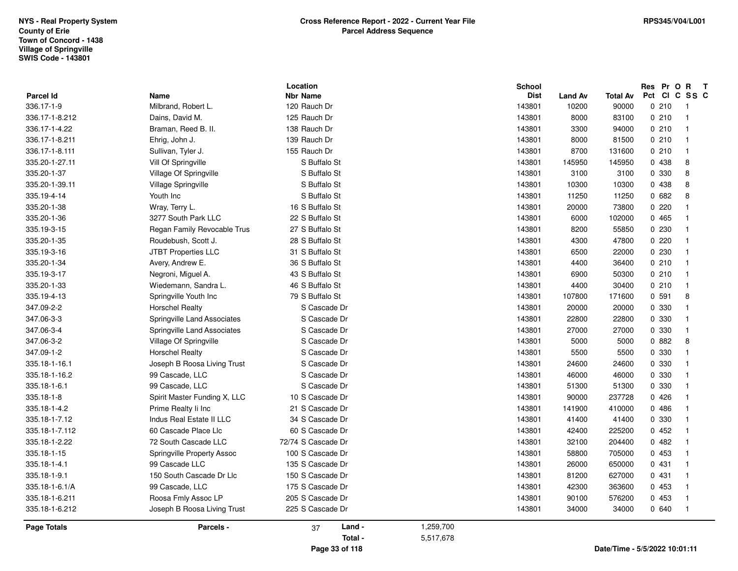|                |                              | Location           |           | <b>School</b> |         |          |               | Res Pr O | $\mathbf{R}$               | $\mathbf{T}$ |
|----------------|------------------------------|--------------------|-----------|---------------|---------|----------|---------------|----------|----------------------------|--------------|
| Parcel Id      | Name                         | <b>Nbr Name</b>    |           | <b>Dist</b>   | Land Av | Total Av | Pct Cl        |          | C SS C                     |              |
| 336.17-1-9     | Milbrand, Robert L.          | 120 Rauch Dr       |           | 143801        | 10200   | 90000    |               | 0210     | - 1                        |              |
| 336.17-1-8.212 | Dains, David M.              | 125 Rauch Dr       |           | 143801        | 8000    | 83100    |               | 0210     | $\overline{1}$             |              |
| 336.17-1-4.22  | Braman, Reed B. II.          | 138 Rauch Dr       |           | 143801        | 3300    | 94000    |               | 0210     | $\overline{\mathbf{1}}$    |              |
| 336.17-1-8.211 | Ehrig, John J.               | 139 Rauch Dr       |           | 143801        | 8000    | 81500    |               | 0210     | -1                         |              |
| 336.17-1-8.111 | Sullivan, Tyler J.           | 155 Rauch Dr       |           | 143801        | 8700    | 131600   |               | 0210     | $\overline{\mathbf{1}}$    |              |
| 335.20-1-27.11 | Vill Of Springville          | S Buffalo St       |           | 143801        | 145950  | 145950   |               | 0 438    | 8                          |              |
| 335.20-1-37    | Village Of Springville       | S Buffalo St       |           | 143801        | 3100    | 3100     |               | 0 330    | 8                          |              |
| 335.20-1-39.11 | Village Springville          | S Buffalo St       |           | 143801        | 10300   | 10300    |               | 0 438    | 8                          |              |
| 335.19-4-14    | Youth Inc                    | S Buffalo St       |           | 143801        | 11250   | 11250    |               | 0682     | 8                          |              |
| 335.20-1-38    | Wray, Terry L.               | 16 S Buffalo St    |           | 143801        | 20000   | 73800    |               | 0.220    | -1                         |              |
| 335.20-1-36    | 3277 South Park LLC          | 22 S Buffalo St    |           | 143801        | 6000    | 102000   |               | 0465     | -1                         |              |
| 335.19-3-15    | Regan Family Revocable Trus  | 27 S Buffalo St    |           | 143801        | 8200    | 55850    |               | 0 230    | $\overline{1}$             |              |
| 335.20-1-35    | Roudebush, Scott J.          | 28 S Buffalo St    |           | 143801        | 4300    | 47800    |               | 0220     | $\overline{1}$             |              |
| 335.19-3-16    | JTBT Properties LLC          | 31 S Buffalo St    |           | 143801        | 6500    | 22000    |               | 0 230    | $\overline{\mathbf{1}}$    |              |
| 335.20-1-34    | Avery, Andrew E.             | 36 S Buffalo St    |           | 143801        | 4400    | 36400    |               | 0210     | - 1                        |              |
| 335.19-3-17    | Negroni, Miguel A.           | 43 S Buffalo St    |           | 143801        | 6900    | 50300    |               | 0210     | $\overline{\mathbf{1}}$    |              |
| 335.20-1-33    | Wiedemann, Sandra L.         | 46 S Buffalo St    |           | 143801        | 4400    | 30400    |               | 0210     | $\overline{1}$             |              |
| 335.19-4-13    | Springville Youth Inc        | 79 S Buffalo St    |           | 143801        | 107800  | 171600   |               | 0.591    | 8                          |              |
| 347.09-2-2     | <b>Horschel Realty</b>       | S Cascade Dr       |           | 143801        | 20000   | 20000    |               | 0 330    | $\mathbf{I}$               |              |
| 347.06-3-3     | Springville Land Associates  | S Cascade Dr       |           | 143801        | 22800   | 22800    |               | 0 330    | -1                         |              |
| 347.06-3-4     | Springville Land Associates  | S Cascade Dr       |           | 143801        | 27000   | 27000    |               | 0 330    | $\overline{\mathbf{1}}$    |              |
| 347.06-3-2     | Village Of Springville       | S Cascade Dr       |           | 143801        | 5000    | 5000     |               | 0.882    | 8                          |              |
| 347.09-1-2     | <b>Horschel Realty</b>       | S Cascade Dr       |           | 143801        | 5500    | 5500     |               | 0 330    | $\overline{\mathbf{1}}$    |              |
| 335.18-1-16.1  | Joseph B Roosa Living Trust  | S Cascade Dr       |           | 143801        | 24600   | 24600    |               | 0 330    | $\overline{\mathbf{1}}$    |              |
| 335.18-1-16.2  | 99 Cascade, LLC              | S Cascade Dr       |           | 143801        | 46000   | 46000    |               | 0 330    | $\overline{\mathbf{1}}$    |              |
| 335.18-1-6.1   | 99 Cascade, LLC              | S Cascade Dr       |           | 143801        | 51300   | 51300    |               | 0 330    | $\overline{\mathbf{1}}$    |              |
| 335.18-1-8     | Spirit Master Funding X, LLC | 10 S Cascade Dr    |           | 143801        | 90000   | 237728   |               | 0426     | $\overline{1}$             |              |
| 335.18-1-4.2   | Prime Realty li Inc          | 21 S Cascade Dr    |           | 143801        | 141900  | 410000   |               | 0486     | - 1                        |              |
| 335.18-1-7.12  | Indus Real Estate II LLC     | 34 S Cascade Dr    |           | 143801        | 41400   | 41400    |               | 0 330    | -1                         |              |
| 335.18-1-7.112 | 60 Cascade Place Llc         | 60 S Cascade Dr    |           | 143801        | 42400   | 225200   |               | 0452     | -1                         |              |
| 335.18-1-2.22  | 72 South Cascade LLC         | 72/74 S Cascade Dr |           | 143801        | 32100   | 204400   |               | 0482     | $\overline{1}$             |              |
| 335.18-1-15    | Springville Property Assoc   | 100 S Cascade Dr   |           | 143801        | 58800   | 705000   |               | 0453     | $\overline{1}$             |              |
| 335.18-1-4.1   | 99 Cascade LLC               | 135 S Cascade Dr   |           | 143801        | 26000   | 650000   |               | 0431     | $\overline{1}$             |              |
| 335.18-1-9.1   | 150 South Cascade Dr Llc     | 150 S Cascade Dr   |           | 143801        | 81200   | 627000   |               | 0431     | - 1                        |              |
| 335.18-1-6.1/A | 99 Cascade, LLC              | 175 S Cascade Dr   |           | 143801        | 42300   | 363600   |               | 0453     | $\overline{\mathbf{1}}$    |              |
| 335.18-1-6.211 | Roosa Fmly Assoc LP          | 205 S Cascade Dr   |           | 143801        | 90100   | 576200   |               | 0453     | - 1                        |              |
| 335.18-1-6.212 | Joseph B Roosa Living Trust  | 225 S Cascade Dr   |           | 143801        | 34000   | 34000    |               | 0640     | $\overline{\phantom{0}}$ 1 |              |
| Page Totals    | Parcels -                    | Land -<br>37       | 1,259,700 |               |         |          |               |          |                            |              |
|                |                              | Total -            | 5,517,678 |               |         |          |               |          |                            |              |
|                |                              | $\sim$<br>$-$      |           |               |         | - - -    | $\frac{1}{2}$ |          |                            |              |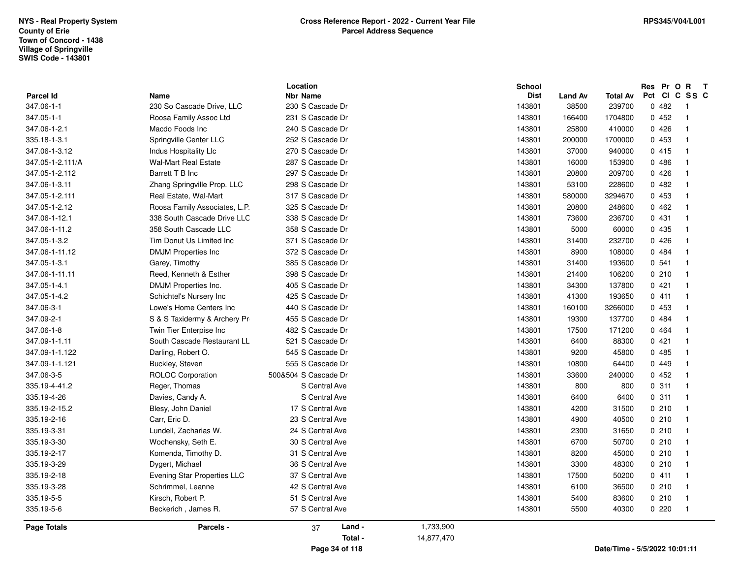|                    |                                    | Location             |            | <b>School</b> |                |                               | Res Pr O      | $\mathbf{R}$<br>$\mathbf{T}$ |
|--------------------|------------------------------------|----------------------|------------|---------------|----------------|-------------------------------|---------------|------------------------------|
| <b>Parcel Id</b>   | Name                               | <b>Nbr Name</b>      |            | <b>Dist</b>   | <b>Land Av</b> | <b>Total Av</b>               | Pct CI C SS C |                              |
| 347.06-1-1         | 230 So Cascade Drive, LLC          | 230 S Cascade Dr     |            | 143801        | 38500          | 239700                        | 0482          | - 1                          |
| 347.05-1-1         | Roosa Family Assoc Ltd             | 231 S Cascade Dr     |            | 143801        | 166400         | 1704800                       | 0452          | $\overline{1}$               |
| 347.06-1-2.1       | Macdo Foods Inc                    | 240 S Cascade Dr     |            | 143801        | 25800          | 410000                        | 0426          | $\overline{\mathbf{1}}$      |
| 335.18-1-3.1       | Springville Center LLC             | 252 S Cascade Dr     |            | 143801        | 200000         | 1700000                       | 0 453         | - 1                          |
| 347.06-1-3.12      | Indus Hospitality Llc              | 270 S Cascade Dr     |            | 143801        | 37000          | 940000                        | 0415          | $\overline{\phantom{0}}$     |
| 347.05-1-2.111/A   | <b>Wal-Mart Real Estate</b>        | 287 S Cascade Dr     |            | 143801        | 16000          | 153900                        | 0486          | $\overline{1}$               |
| 347.05-1-2.112     | Barrett T B Inc                    | 297 S Cascade Dr     |            | 143801        | 20800          | 209700                        | 0426          | $\overline{\mathbf{1}}$      |
| 347.06-1-3.11      | Zhang Springville Prop. LLC        | 298 S Cascade Dr     |            | 143801        | 53100          | 228600                        | 0482          | $\overline{\mathbf{1}}$      |
| 347.05-1-2.111     | Real Estate, Wal-Mart              | 317 S Cascade Dr     |            | 143801        | 580000         | 3294670                       | 0 453         | - 1                          |
| 347.05-1-2.12      | Roosa Family Associates, L.P.      | 325 S Cascade Dr     |            | 143801        | 20800          | 248600                        | 0462          | $\overline{\mathbf{1}}$      |
| 347.06-1-12.1      | 338 South Cascade Drive LLC        | 338 S Cascade Dr     |            | 143801        | 73600          | 236700                        | 0431          | $\overline{1}$               |
| 347.06-1-11.2      | 358 South Cascade LLC              | 358 S Cascade Dr     |            | 143801        | 5000           | 60000                         | 0 435         | - 1                          |
| 347.05-1-3.2       | Tim Donut Us Limited Inc           | 371 S Cascade Dr     |            | 143801        | 31400          | 232700                        | 0426          | $\overline{\phantom{0}}$     |
| 347.06-1-11.12     | <b>DMJM Properties Inc</b>         | 372 S Cascade Dr     |            | 143801        | 8900           | 108000                        | 0 484         | $\overline{1}$               |
| 347.05-1-3.1       | Garey, Timothy                     | 385 S Cascade Dr     |            | 143801        | 31400          | 193600                        | 0.541         | $\overline{1}$               |
| 347.06-1-11.11     | Reed, Kenneth & Esther             | 398 S Cascade Dr     |            | 143801        | 21400          | 106200                        | 0210          | $\overline{1}$               |
| 347.05-1-4.1       | DMJM Properties Inc.               | 405 S Cascade Dr     |            | 143801        | 34300          | 137800                        | 0421          | - 1                          |
| 347.05-1-4.2       | Schichtel's Nursery Inc            | 425 S Cascade Dr     |            | 143801        | 41300          | 193650                        | 0411          | $\overline{\phantom{0}}$     |
| 347.06-3-1         | Lowe's Home Centers Inc            | 440 S Cascade Dr     |            | 143801        | 160100         | 3266000                       | 0 453         | $\overline{1}$               |
| 347.09-2-1         | S & S Taxidermy & Archery Pr       | 455 S Cascade Dr     |            | 143801        | 19300          | 137700                        | 0 484         | - 1                          |
| 347.06-1-8         | Twin Tier Enterpise Inc            | 482 S Cascade Dr     |            | 143801        | 17500          | 171200                        | 0 464         | $\overline{\mathbf{1}}$      |
| 347.09-1-1.11      | South Cascade Restaurant LL        | 521 S Cascade Dr     |            | 143801        | 6400           | 88300                         | 0421          | - 1                          |
| 347.09-1-1.122     | Darling, Robert O.                 | 545 S Cascade Dr     |            | 143801        | 9200           | 45800                         | 0485          | $\overline{\phantom{0}}$     |
| 347.09-1-1.121     | Buckley, Steven                    | 555 S Cascade Dr     |            | 143801        | 10800          | 64400                         | 0449          | $\overline{1}$               |
| 347.06-3-5         | <b>ROLOC Corporation</b>           | 500&504 S Cascade Dr |            | 143801        | 33600          | 240000                        | 0452          | - 1                          |
| 335.19-4-41.2      | Reger, Thomas                      | S Central Ave        |            | 143801        | 800            | 800                           | 0.311         | $\overline{\phantom{0}}$     |
| 335.19-4-26        | Davies, Candy A.                   | S Central Ave        |            | 143801        | 6400           | 6400                          | 0.311         | $\overline{\phantom{0}}$     |
| 335.19-2-15.2      | Blesy, John Daniel                 | 17 S Central Ave     |            | 143801        | 4200           | 31500                         | 0210          | - 1                          |
| 335.19-2-16        | Carr, Eric D.                      | 23 S Central Ave     |            | 143801        | 4900           | 40500                         | 0210          | $\overline{1}$               |
| 335.19-3-31        | Lundell, Zacharias W.              | 24 S Central Ave     |            | 143801        | 2300           | 31650                         | 0210          | - 1                          |
| 335.19-3-30        | Wochensky, Seth E.                 | 30 S Central Ave     |            | 143801        | 6700           | 50700                         | 0210          | $\overline{\phantom{0}}$     |
| 335.19-2-17        | Komenda, Timothy D.                | 31 S Central Ave     |            | 143801        | 8200           | 45000                         | 0210          | - 1                          |
| 335.19-3-29        | Dygert, Michael                    | 36 S Central Ave     |            | 143801        | 3300           | 48300                         | 0210          | - 1                          |
| 335.19-2-18        | <b>Evening Star Properties LLC</b> | 37 S Central Ave     |            | 143801        | 17500          | 50200                         | 0411          | $\overline{1}$               |
| 335.19-3-28        | Schrimmel, Leanne                  | 42 S Central Ave     |            | 143801        | 6100           | 36500                         | 0210          | $\overline{1}$               |
| 335.19-5-5         | Kirsch, Robert P.                  | 51 S Central Ave     |            | 143801        | 5400           | 83600                         | 0210          | $\overline{\mathbf{1}}$      |
| 335.19-5-6         | Beckerich, James R.                | 57 S Central Ave     |            | 143801        | 5500           | 40300                         | 0220          | $\overline{\phantom{0}}$     |
| <b>Page Totals</b> | Parcels -                          | Land -<br>37         | 1,733,900  |               |                |                               |               |                              |
|                    |                                    | Total -              | 14,877,470 |               |                |                               |               |                              |
|                    |                                    | Page 34 of 118       |            |               |                | Date/Time - 5/5/2022 10:01:11 |               |                              |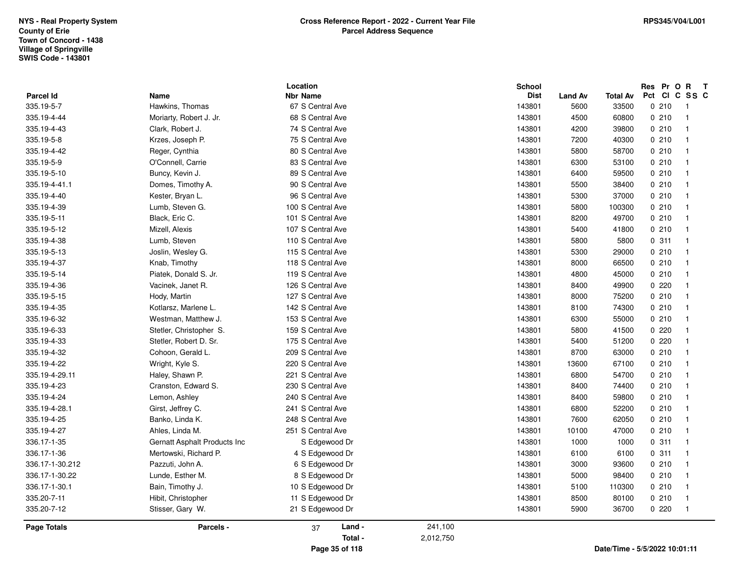|                    |                              | Location          |           | <b>School</b> |                |                 | Res Pr O R T                  |                |
|--------------------|------------------------------|-------------------|-----------|---------------|----------------|-----------------|-------------------------------|----------------|
| <b>Parcel Id</b>   | <b>Name</b>                  | <b>Nbr Name</b>   |           | <b>Dist</b>   | <b>Land Av</b> | <b>Total Av</b> | Pct CI C SS C                 |                |
| 335.19-5-7         | Hawkins, Thomas              | 67 S Central Ave  |           | 143801        | 5600           | 33500           | 0210                          | $\overline{1}$ |
| 335.19-4-44        | Moriarty, Robert J. Jr.      | 68 S Central Ave  |           | 143801        | 4500           | 60800           | 0210                          | $\overline{1}$ |
| 335.19-4-43        | Clark, Robert J.             | 74 S Central Ave  |           | 143801        | 4200           | 39800           | 0210                          | $\mathbf{1}$   |
| 335.19-5-8         | Krzes, Joseph P.             | 75 S Central Ave  |           | 143801        | 7200           | 40300           | 0210                          | $\mathbf{1}$   |
| 335.19-4-42        | Reger, Cynthia               | 80 S Central Ave  |           | 143801        | 5800           | 58700           | 0210                          | $\overline{1}$ |
| 335.19-5-9         | O'Connell, Carrie            | 83 S Central Ave  |           | 143801        | 6300           | 53100           | 0210                          | $\overline{1}$ |
| 335.19-5-10        | Buncy, Kevin J.              | 89 S Central Ave  |           | 143801        | 6400           | 59500           | 0210                          | $\overline{1}$ |
| 335.19-4-41.1      | Domes, Timothy A.            | 90 S Central Ave  |           | 143801        | 5500           | 38400           | 0210                          | $\overline{1}$ |
| 335.19-4-40        | Kester, Bryan L.             | 96 S Central Ave  |           | 143801        | 5300           | 37000           | 0210                          | $\overline{1}$ |
| 335.19-4-39        | Lumb, Steven G.              | 100 S Central Ave |           | 143801        | 5800           | 100300          | 0210                          | $\mathbf{1}$   |
| 335.19-5-11        | Black, Eric C.               | 101 S Central Ave |           | 143801        | 8200           | 49700           | 0210                          | $\mathbf{1}$   |
| 335.19-5-12        | Mizell, Alexis               | 107 S Central Ave |           | 143801        | 5400           | 41800           | 0210                          | $\mathbf{1}$   |
| 335.19-4-38        | Lumb, Steven                 | 110 S Central Ave |           | 143801        | 5800           | 5800            | 0.311                         | $\mathbf{1}$   |
| 335.19-5-13        | Joslin, Wesley G.            | 115 S Central Ave |           | 143801        | 5300           | 29000           | 0210                          | $\overline{1}$ |
| 335.19-4-37        | Knab, Timothy                | 118 S Central Ave |           | 143801        | 8000           | 66500           | 0210                          | $\mathbf{1}$   |
| 335.19-5-14        | Piatek, Donald S. Jr.        | 119 S Central Ave |           | 143801        | 4800           | 45000           | 0210                          | $\mathbf{1}$   |
| 335.19-4-36        | Vacinek, Janet R.            | 126 S Central Ave |           | 143801        | 8400           | 49900           | 0220                          | $\mathbf{1}$   |
| 335.19-5-15        | Hody, Martin                 | 127 S Central Ave |           | 143801        | 8000           | 75200           | 0210                          | $\overline{1}$ |
| 335.19-4-35        | Kotlarsz, Marlene L.         | 142 S Central Ave |           | 143801        | 8100           | 74300           | 0210                          | $\mathbf{1}$   |
| 335.19-6-32        | Westman, Matthew J.          | 153 S Central Ave |           | 143801        | 6300           | 55000           | 0210                          | $\mathbf{1}$   |
| 335.19-6-33        | Stetler, Christopher S.      | 159 S Central Ave |           | 143801        | 5800           | 41500           | 0220                          | $\mathbf{1}$   |
| 335.19-4-33        | Stetler, Robert D. Sr.       | 175 S Central Ave |           | 143801        | 5400           | 51200           | 0.220                         | $\mathbf{1}$   |
| 335.19-4-32        | Cohoon, Gerald L.            | 209 S Central Ave |           | 143801        | 8700           | 63000           | 0210                          | $\overline{1}$ |
| 335.19-4-22        | Wright, Kyle S.              | 220 S Central Ave |           | 143801        | 13600          | 67100           | 0210                          | $\mathbf{1}$   |
| 335.19-4-29.11     | Haley, Shawn P.              | 221 S Central Ave |           | 143801        | 6800           | 54700           | 0210                          | $\mathbf{1}$   |
| 335.19-4-23        | Cranston, Edward S.          | 230 S Central Ave |           | 143801        | 8400           | 74400           | 0210                          | $\overline{1}$ |
| 335.19-4-24        | Lemon, Ashley                | 240 S Central Ave |           | 143801        | 8400           | 59800           | 0210                          | $\overline{1}$ |
| 335.19-4-28.1      | Girst, Jeffrey C.            | 241 S Central Ave |           | 143801        | 6800           | 52200           | 0210                          | $\overline{1}$ |
| 335.19-4-25        | Banko, Linda K.              | 248 S Central Ave |           | 143801        | 7600           | 62050           | 0210                          | $\overline{1}$ |
| 335.19-4-27        | Ahles, Linda M.              | 251 S Central Ave |           | 143801        | 10100          | 47000           | 0210                          | $\mathbf{1}$   |
| 336.17-1-35        | Gernatt Asphalt Products Inc | S Edgewood Dr     |           | 143801        | 1000           | 1000            | 0.311                         | $\overline{1}$ |
| 336.17-1-36        | Mertowski, Richard P.        | 4 S Edgewood Dr   |           | 143801        | 6100           | 6100            | 0.311                         | $\overline{1}$ |
| 336.17-1-30.212    | Pazzuti, John A.             | 6 S Edgewood Dr   |           | 143801        | 3000           | 93600           | 0210                          | $\overline{1}$ |
| 336.17-1-30.22     | Lunde, Esther M.             | 8 S Edgewood Dr   |           | 143801        | 5000           | 98400           | 0210                          | $\mathbf{1}$   |
| 336.17-1-30.1      | Bain, Timothy J.             | 10 S Edgewood Dr  |           | 143801        | 5100           | 110300          | 0210                          | $\mathbf{1}$   |
| 335.20-7-11        | Hibit, Christopher           | 11 S Edgewood Dr  |           | 143801        | 8500           | 80100           | 0210                          | $\mathbf{1}$   |
| 335.20-7-12        | Stisser, Gary W.             | 21 S Edgewood Dr  |           | 143801        | 5900           | 36700           | 0220                          | $\overline{1}$ |
| <b>Page Totals</b> | Parcels -                    | Land -<br>37      | 241,100   |               |                |                 |                               |                |
|                    |                              | Total -           | 2,012,750 |               |                |                 |                               |                |
|                    |                              | Page 35 of 118    |           |               |                |                 | Date/Time - 5/5/2022 10:01:11 |                |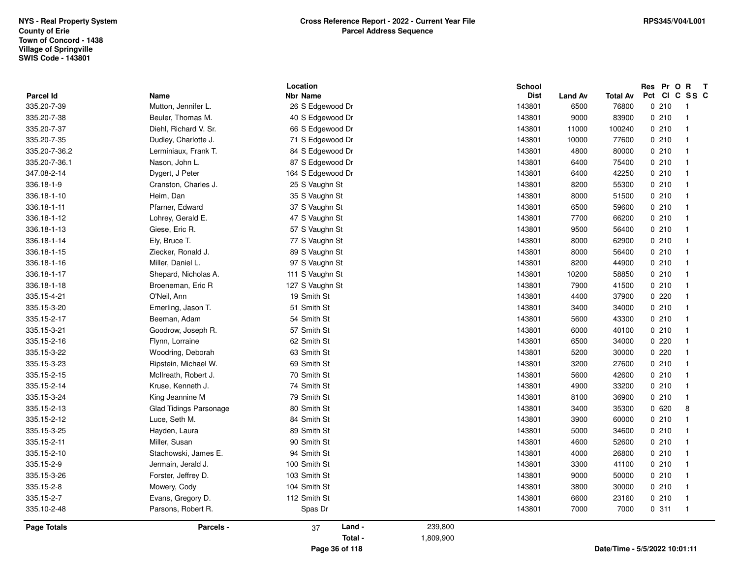| <b>Parcel Id</b>   | Name                              | Location<br><b>Nbr Name</b>         |           | <b>School</b><br><b>Dist</b> | <b>Land Av</b> | Total Av                      | Res Pr O R T<br>Pct CI C SS C |                                |
|--------------------|-----------------------------------|-------------------------------------|-----------|------------------------------|----------------|-------------------------------|-------------------------------|--------------------------------|
| 335.20-7-39        | Mutton, Jennifer L.               | 26 S Edgewood Dr                    |           | 143801                       | 6500           | 76800                         | 0210                          | $\overline{1}$                 |
| 335.20-7-38        | Beuler, Thomas M.                 | 40 S Edgewood Dr                    |           | 143801                       | 9000           | 83900                         | 0210                          | $\overline{1}$                 |
| 335.20-7-37        | Diehl, Richard V. Sr.             | 66 S Edgewood Dr                    |           | 143801                       | 11000          | 100240                        | 0210                          | $\mathbf{1}$                   |
| 335.20-7-35        | Dudley, Charlotte J.              | 71 S Edgewood Dr                    |           | 143801                       | 10000          | 77600                         | 0210                          | $\mathbf{1}$                   |
| 335.20-7-36.2      | Lerminiaux, Frank T.              | 84 S Edgewood Dr                    |           | 143801                       | 4800           | 80000                         | 0210                          | $\overline{1}$                 |
| 335.20-7-36.1      | Nason, John L.                    | 87 S Edgewood Dr                    |           | 143801                       | 6400           | 75400                         | 0210                          | $\overline{1}$                 |
| 347.08-2-14        |                                   |                                     |           | 143801                       | 6400           | 42250                         | 0210                          | $\overline{1}$                 |
| 336.18-1-9         | Dygert, J Peter                   | 164 S Edgewood Dr<br>25 S Vaughn St |           | 143801                       |                |                               | 0210                          | $\mathbf{1}$                   |
|                    | Cranston, Charles J.<br>Heim, Dan |                                     |           |                              | 8200           | 55300                         | 0210                          | $\overline{1}$                 |
| 336.18-1-10        |                                   | 35 S Vaughn St                      |           | 143801                       | 8000           | 51500                         |                               |                                |
| 336.18-1-11        | Pfarner, Edward                   | 37 S Vaughn St                      |           | 143801<br>143801             | 6500           | 59600                         | 0210<br>0210                  | $\overline{1}$                 |
| 336.18-1-12        | Lohrey, Gerald E.                 | 47 S Vaughn St                      |           |                              | 7700           | 66200                         |                               | $\overline{1}$                 |
| 336.18-1-13        | Giese, Eric R.                    | 57 S Vaughn St                      |           | 143801                       | 9500           | 56400                         | 0210                          | $\mathbf{1}$<br>$\overline{1}$ |
| 336.18-1-14        | Ely, Bruce T.                     | 77 S Vaughn St                      |           | 143801                       | 8000           | 62900                         | 0210                          |                                |
| 336.18-1-15        | Ziecker, Ronald J.                | 89 S Vaughn St                      |           | 143801                       | 8000           | 56400                         | 0210                          | $\overline{1}$                 |
| 336.18-1-16        | Miller, Daniel L.                 | 97 S Vaughn St                      |           | 143801                       | 8200           | 44900                         | 0210                          | $\overline{1}$                 |
| 336.18-1-17        | Shepard, Nicholas A.              | 111 S Vaughn St                     |           | 143801                       | 10200          | 58850                         | 0210                          | $\mathbf{1}$                   |
| 336.18-1-18        | Broeneman, Eric R                 | 127 S Vaughn St                     |           | 143801                       | 7900           | 41500                         | 0210                          | $\mathbf{1}$                   |
| 335.15-4-21        | O'Neil, Ann                       | 19 Smith St                         |           | 143801                       | 4400           | 37900                         | 0220                          | $\overline{1}$                 |
| 335.15-3-20        | Emerling, Jason T.                | 51 Smith St                         |           | 143801                       | 3400           | 34000                         | 0210                          | $\overline{1}$                 |
| 335.15-2-17        | Beeman, Adam                      | 54 Smith St                         |           | 143801                       | 5600           | 43300                         | 0210                          | $\overline{1}$                 |
| 335.15-3-21        | Goodrow, Joseph R.                | 57 Smith St                         |           | 143801                       | 6000           | 40100                         | 0210                          | $\mathbf{1}$                   |
| 335.15-2-16        | Flynn, Lorraine                   | 62 Smith St                         |           | 143801                       | 6500           | 34000                         | 0220                          | $\mathbf{1}$                   |
| 335.15-3-22        | Woodring, Deborah                 | 63 Smith St                         |           | 143801                       | 5200           | 30000                         | 0220                          | $\overline{1}$                 |
| 335.15-3-23        | Ripstein, Michael W.              | 69 Smith St                         |           | 143801                       | 3200           | 27600                         | 0210                          | $\overline{1}$                 |
| 335.15-2-15        | McIlreath, Robert J.              | 70 Smith St                         |           | 143801                       | 5600           | 42600                         | 0210                          | $\mathbf{1}$                   |
| 335.15-2-14        | Kruse, Kenneth J.                 | 74 Smith St                         |           | 143801                       | 4900           | 33200                         | 0210                          | $\mathbf{1}$                   |
| 335.15-3-24        | King Jeannine M                   | 79 Smith St                         |           | 143801                       | 8100           | 36900                         | 0210                          | $\overline{1}$                 |
| 335.15-2-13        | <b>Glad Tidings Parsonage</b>     | 80 Smith St                         |           | 143801                       | 3400           | 35300                         | 0620                          | 8                              |
| 335.15-2-12        | Luce, Seth M.                     | 84 Smith St                         |           | 143801                       | 3900           | 60000                         | 0210                          | $\overline{1}$                 |
| 335.15-3-25        | Hayden, Laura                     | 89 Smith St                         |           | 143801                       | 5000           | 34600                         | 0210                          | $\mathbf{1}$                   |
| 335.15-2-11        | Miller, Susan                     | 90 Smith St                         |           | 143801                       | 4600           | 52600                         | 0210                          | $\mathbf{1}$                   |
| 335.15-2-10        | Stachowski, James E.              | 94 Smith St                         |           | 143801                       | 4000           | 26800                         | 0210                          | $\overline{1}$                 |
| 335.15-2-9         | Jermain, Jerald J.                | 100 Smith St                        |           | 143801                       | 3300           | 41100                         | 0210                          | $\mathbf{1}$                   |
| 335.15-3-26        | Forster, Jeffrey D.               | 103 Smith St                        |           | 143801                       | 9000           | 50000                         | 0210                          | $\mathbf{1}$                   |
| 335.15-2-8         | Mowery, Cody                      | 104 Smith St                        |           | 143801                       | 3800           | 30000                         | 0210                          | $\mathbf{1}$                   |
| 335.15-2-7         | Evans, Gregory D.                 | 112 Smith St                        |           | 143801                       | 6600           | 23160                         | 0210                          | $\mathbf{1}$                   |
| 335.10-2-48        | Parsons, Robert R.                | Spas Dr                             |           | 143801                       | 7000           | 7000                          | 0.311                         | $\overline{1}$                 |
| <b>Page Totals</b> | Parcels -                         | Land -<br>37                        | 239,800   |                              |                |                               |                               |                                |
|                    |                                   | Total -                             | 1,809,900 |                              |                |                               |                               |                                |
|                    |                                   | Page 36 of 118                      |           |                              |                | Date/Time - 5/5/2022 10:01:11 |                               |                                |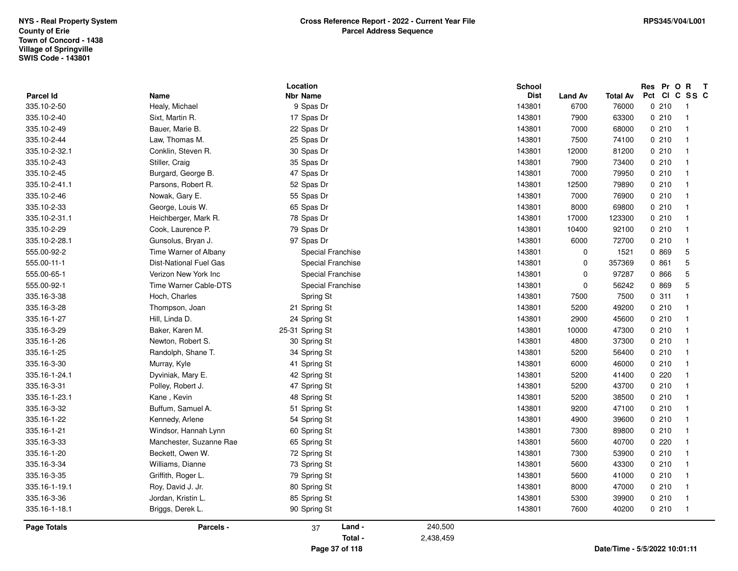|                          |                         | Location<br><b>Nbr Name</b> |           | School<br><b>Dist</b> |                        |                               | Res Pr O R T<br>Pct Cl C SS C |                |
|--------------------------|-------------------------|-----------------------------|-----------|-----------------------|------------------------|-------------------------------|-------------------------------|----------------|
| Parcel Id<br>335.10-2-50 | Name<br>Healy, Michael  | 9 Spas Dr                   |           | 143801                | <b>Land Av</b><br>6700 | <b>Total Av</b><br>76000      | 0210                          | $\overline{1}$ |
| 335.10-2-40              | Sixt, Martin R.         | 17 Spas Dr                  |           | 143801                | 7900                   | 63300                         | 0210                          | $\overline{1}$ |
| 335.10-2-49              | Bauer, Marie B.         | 22 Spas Dr                  |           | 143801                | 7000                   | 68000                         | 0210                          | $\overline{1}$ |
| 335.10-2-44              | Law, Thomas M.          | 25 Spas Dr                  |           | 143801                | 7500                   | 74100                         | 0210                          | $\overline{1}$ |
| 335.10-2-32.1            | Conklin, Steven R.      |                             |           | 143801                | 12000                  |                               | 0210                          | $\overline{1}$ |
| 335.10-2-43              | Stiller, Craig          | 30 Spas Dr<br>35 Spas Dr    |           | 143801                | 7900                   | 81200<br>73400                | 0210                          | $\overline{1}$ |
| 335.10-2-45              |                         |                             |           |                       |                        | 79950                         |                               | $\overline{1}$ |
|                          | Burgard, George B.      | 47 Spas Dr                  |           | 143801                | 7000                   |                               | 0210                          | $\overline{1}$ |
| 335.10-2-41.1            | Parsons, Robert R.      | 52 Spas Dr                  |           | 143801                | 12500                  | 79890                         | 0210                          |                |
| 335.10-2-46              | Nowak, Gary E.          | 55 Spas Dr                  |           | 143801                | 7000                   | 76900                         | 0210                          | $\overline{1}$ |
| 335.10-2-33              | George, Louis W.        | 65 Spas Dr                  |           | 143801                | 8000                   | 69800                         | 0210                          | $\overline{1}$ |
| 335.10-2-31.1            | Heichberger, Mark R.    | 78 Spas Dr                  |           | 143801                | 17000                  | 123300                        | 0210                          | $\overline{1}$ |
| 335.10-2-29              | Cook, Laurence P.       | 79 Spas Dr                  |           | 143801                | 10400                  | 92100                         | 0210                          | $\overline{1}$ |
| 335.10-2-28.1            | Gunsolus, Bryan J.      | 97 Spas Dr                  |           | 143801                | 6000                   | 72700                         | 0210                          | $\overline{1}$ |
| 555.00-92-2              | Time Warner of Albany   | Special Franchise           |           | 143801                | 0                      | 1521                          | 0 869                         | $\overline{5}$ |
| 555.00-11-1              | Dist-National Fuel Gas  | Special Franchise           |           | 143801                | 0                      | 357369                        | 0 861                         | 5              |
| 555.00-65-1              | Verizon New York Inc    | Special Franchise           |           | 143801                | $\mathbf 0$            | 97287                         | 0 866                         | 5              |
| 555.00-92-1              | Time Warner Cable-DTS   | Special Franchise           |           | 143801                | 0                      | 56242                         | 0 869                         | 5              |
| 335.16-3-38              | Hoch, Charles           | Spring St                   |           | 143801                | 7500                   | 7500                          | 0.311                         | $\overline{1}$ |
| 335.16-3-28              | Thompson, Joan          | 21 Spring St                |           | 143801                | 5200                   | 49200                         | 0210                          | $\overline{1}$ |
| 335.16-1-27              | Hill, Linda D.          | 24 Spring St                |           | 143801                | 2900                   | 45600                         | 0210                          | $\overline{1}$ |
| 335.16-3-29              | Baker, Karen M.         | 25-31 Spring St             |           | 143801                | 10000                  | 47300                         | 0210                          | $\overline{1}$ |
| 335.16-1-26              | Newton, Robert S.       | 30 Spring St                |           | 143801                | 4800                   | 37300                         | 0210                          | $\overline{1}$ |
| 335.16-1-25              | Randolph, Shane T.      | 34 Spring St                |           | 143801                | 5200                   | 56400                         | 0210                          | $\overline{1}$ |
| 335.16-3-30              | Murray, Kyle            | 41 Spring St                |           | 143801                | 6000                   | 46000                         | 0210                          | $\overline{1}$ |
| 335.16-1-24.1            | Dyviniak, Mary E.       | 42 Spring St                |           | 143801                | 5200                   | 41400                         | 0220                          | $\overline{1}$ |
| 335.16-3-31              | Polley, Robert J.       | 47 Spring St                |           | 143801                | 5200                   | 43700                         | 0210                          | $\overline{1}$ |
| 335.16-1-23.1            | Kane, Kevin             | 48 Spring St                |           | 143801                | 5200                   | 38500                         | 0210                          | $\overline{1}$ |
| 335.16-3-32              | Buffum, Samuel A.       | 51 Spring St                |           | 143801                | 9200                   | 47100                         | 0210                          | $\overline{1}$ |
| 335.16-1-22              | Kennedy, Arlene         | 54 Spring St                |           | 143801                | 4900                   | 39600                         | 0210                          | $\overline{1}$ |
| 335.16-1-21              | Windsor, Hannah Lynn    | 60 Spring St                |           | 143801                | 7300                   | 89800                         | 0210                          | $\overline{1}$ |
| 335.16-3-33              | Manchester, Suzanne Rae | 65 Spring St                |           | 143801                | 5600                   | 40700                         | 0220                          | $\overline{1}$ |
| 335.16-1-20              | Beckett, Owen W.        | 72 Spring St                |           | 143801                | 7300                   | 53900                         | 0210                          | $\overline{1}$ |
| 335.16-3-34              | Williams, Dianne        | 73 Spring St                |           | 143801                | 5600                   | 43300                         | 0210                          | $\overline{1}$ |
| 335.16-3-35              | Griffith, Roger L.      | 79 Spring St                |           | 143801                | 5600                   | 41000                         | 0210                          | $\overline{1}$ |
| 335.16-1-19.1            | Roy, David J. Jr.       | 80 Spring St                |           | 143801                | 8000                   | 47000                         | 0210                          | $\overline{1}$ |
| 335.16-3-36              | Jordan, Kristin L.      | 85 Spring St                |           | 143801                | 5300                   | 39900                         | 0210                          | $\overline{1}$ |
| 335.16-1-18.1            | Briggs, Derek L.        | 90 Spring St                |           | 143801                | 7600                   | 40200                         | 0210                          | $\overline{1}$ |
| <b>Page Totals</b>       | Parcels -               | Land -<br>37                | 240,500   |                       |                        |                               |                               |                |
|                          |                         | Total -                     | 2,438,459 |                       |                        |                               |                               |                |
|                          |                         | Page 37 of 118              |           |                       |                        | Date/Time - 5/5/2022 10:01:11 |                               |                |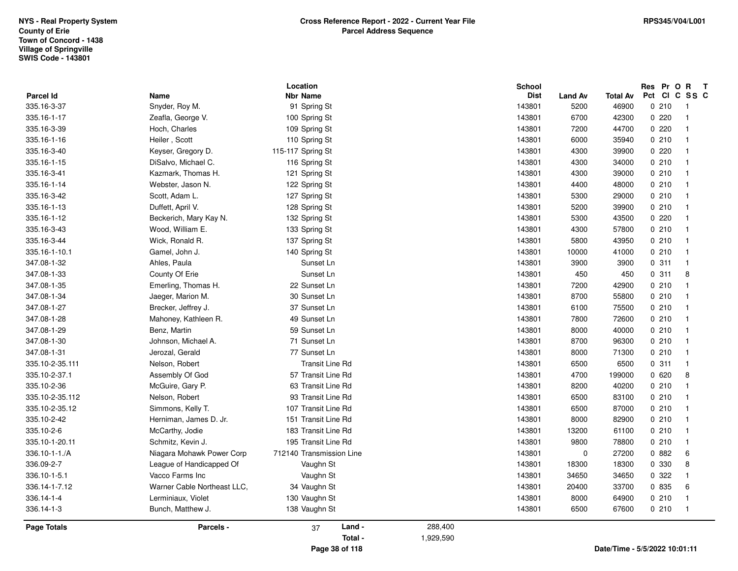| 347.08-1-33                                   | County Of Erie                                                           | Sunset Ln                                                              |         | 143801                     | 450                           | 450                     | 0.311                   | 8                          |
|-----------------------------------------------|--------------------------------------------------------------------------|------------------------------------------------------------------------|---------|----------------------------|-------------------------------|-------------------------|-------------------------|----------------------------|
| 347.08-1-35                                   | Emerling, Thomas H.                                                      | 22 Sunset Ln                                                           |         | 143801                     | 7200                          | 42900                   | 0210                    | $\overline{1}$             |
| 347.08-1-34                                   | Jaeger, Marion M.                                                        | 30 Sunset Ln                                                           |         | 143801                     | 8700                          | 55800                   | 0210                    | $\overline{1}$             |
| 347.08-1-27                                   | Brecker, Jeffrey J.                                                      | 37 Sunset Ln                                                           |         | 143801                     | 6100                          | 75500                   | 0210                    | $\overline{1}$             |
| 347.08-1-28                                   | Mahoney, Kathleen R.                                                     | 49 Sunset Ln                                                           |         | 143801                     | 7800                          | 72600                   | 0210                    | $\overline{1}$             |
| 347.08-1-29                                   | Benz, Martin                                                             | 59 Sunset Ln                                                           |         | 143801                     | 8000                          | 40000                   | 0210                    | $\overline{1}$             |
| 347.08-1-30                                   | Johnson, Michael A.                                                      | 71 Sunset Ln                                                           |         | 143801                     | 8700                          | 96300                   | 0210                    | $\overline{1}$             |
| 347.08-1-31                                   | Jerozal, Gerald                                                          | 77 Sunset Ln                                                           |         | 143801                     | 8000                          | 71300                   | 0210                    | $\overline{1}$             |
| 335.10-2-35.111                               | Nelson, Robert                                                           | <b>Transit Line Rd</b>                                                 |         | 143801                     | 6500                          | 6500                    | 0.311                   | $\overline{1}$             |
| 335.10-2-37.1                                 | Assembly Of God                                                          | 57 Transit Line Rd                                                     |         | 143801                     | 4700                          | 199000                  | 0620                    | 8                          |
| 335.10-2-36                                   | McGuire, Gary P.                                                         | 63 Transit Line Rd                                                     |         | 143801                     | 8200                          | 40200                   | 0210                    | $\overline{1}$             |
| 335.10-2-35.112                               | Nelson, Robert                                                           | 93 Transit Line Rd                                                     |         | 143801                     | 6500                          | 83100                   | 0210                    | $\overline{1}$             |
| 335.10-2-35.12                                | Simmons, Kelly T.                                                        | 107 Transit Line Rd                                                    |         | 143801                     | 6500                          | 87000                   | 0210                    | $\overline{1}$             |
| 335.10-2-42                                   | Herniman, James D. Jr.                                                   | 151 Transit Line Rd                                                    |         | 143801                     | 8000                          | 82900                   | 0210                    | $\overline{1}$             |
| 335.10-2-6<br>335.10-1-20.11<br>336.10-1-1./A | McCarthy, Jodie<br>Schmitz, Kevin J.                                     | 183 Transit Line Rd<br>195 Transit Line Rd<br>712140 Transmission Line |         | 143801<br>143801           | 13200<br>9800                 | 61100<br>78800          | 0210<br>0210            | - 1<br>$\overline{1}$<br>6 |
| 336.09-2-7<br>336.10-1-5.1                    | Niagara Mohawk Power Corp<br>League of Handicapped Of<br>Vacco Farms Inc | Vaughn St<br>Vaughn St                                                 |         | 143801<br>143801<br>143801 | $\mathbf 0$<br>18300<br>34650 | 27200<br>18300<br>34650 | 0.882<br>0 330<br>0 322 | 8<br>$\overline{1}$        |
| 336.14-1-7.12                                 | Warner Cable Northeast LLC,                                              | 34 Vaughn St                                                           |         | 143801                     | 20400                         | 33700                   | 0 835                   | 6                          |
| 336.14-1-4                                    | Lerminiaux, Violet                                                       | 130 Vaughn St                                                          |         | 143801                     | 8000                          | 64900                   | 0210                    | $\overline{1}$             |
| 336.14-1-3<br>Page Totals                     | Bunch, Matthew J.<br>Parcels -                                           | 138 Vaughn St<br>Land -<br>37                                          | 288,400 | 143801                     | 6500                          | 67600                   | 0210                    | $\overline{1}$             |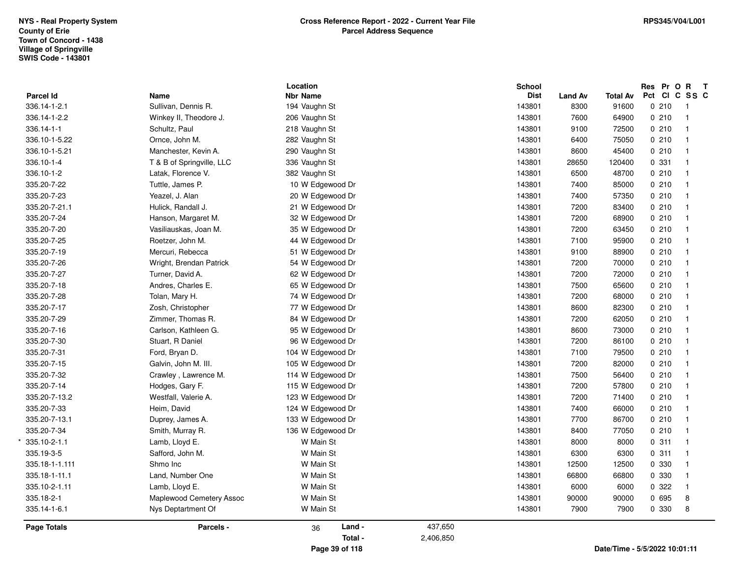| <b>Parcel Id</b><br>336.14-1-2.1<br>336.14-1-2.2<br>336.14-1-1<br>336.10-1-5.22 | Name<br>Sullivan, Dennis R.<br>Winkey II, Theodore J.<br>Schultz, Paul<br>Ornce, John M. | <b>Nbr Name</b><br>194 Vaughn St<br>206 Vaughn St<br>218 Vaughn St |           | <b>Dist</b><br>143801 | <b>Land Av</b><br>8300 | <b>Total Av</b><br>91600 | Pct CI C SS C<br>0210 | $\overline{1}$          |
|---------------------------------------------------------------------------------|------------------------------------------------------------------------------------------|--------------------------------------------------------------------|-----------|-----------------------|------------------------|--------------------------|-----------------------|-------------------------|
|                                                                                 |                                                                                          |                                                                    |           |                       |                        |                          |                       |                         |
|                                                                                 |                                                                                          |                                                                    |           |                       |                        |                          |                       |                         |
|                                                                                 |                                                                                          |                                                                    |           | 143801                | 7600                   | 64900                    | 0210                  | $\overline{1}$          |
|                                                                                 |                                                                                          |                                                                    |           | 143801                | 9100                   | 72500                    | 0210                  | $\overline{1}$          |
|                                                                                 |                                                                                          | 282 Vaughn St                                                      |           | 143801                | 6400                   | 75050                    | 0210                  | $\overline{1}$          |
| 336.10-1-5.21                                                                   | Manchester, Kevin A.                                                                     | 290 Vaughn St                                                      |           | 143801                | 8600                   | 45400                    | 0210                  | $\overline{1}$          |
| 336.10-1-4                                                                      | T & B of Springville, LLC                                                                | 336 Vaughn St                                                      |           | 143801                | 28650                  | 120400                   | 0 331                 | $\overline{\mathbf{1}}$ |
| 336.10-1-2                                                                      | Latak, Florence V.                                                                       | 382 Vaughn St                                                      |           | 143801                | 6500                   | 48700                    | 0210                  | $\overline{\mathbf{1}}$ |
| 335.20-7-22                                                                     | Tuttle, James P.                                                                         | 10 W Edgewood Dr                                                   |           | 143801                | 7400                   | 85000                    | 0210                  | $\overline{\mathbf{1}}$ |
| 335.20-7-23                                                                     | Yeazel, J. Alan                                                                          | 20 W Edgewood Dr                                                   |           | 143801                | 7400                   | 57350                    | 0210                  | $\overline{1}$          |
| 335.20-7-21.1                                                                   | Hulick, Randall J.                                                                       | 21 W Edgewood Dr                                                   |           | 143801                | 7200                   | 83400                    | 0210                  | $\overline{1}$          |
| 335.20-7-24                                                                     | Hanson, Margaret M.                                                                      | 32 W Edgewood Dr                                                   |           | 143801                | 7200                   | 68900                    | 0210                  | $\overline{1}$          |
| 335.20-7-20                                                                     | Vasiliauskas, Joan M.                                                                    | 35 W Edgewood Dr                                                   |           | 143801                | 7200                   | 63450                    | 0210                  | $\overline{1}$          |
| 335.20-7-25                                                                     | Roetzer, John M.                                                                         | 44 W Edgewood Dr                                                   |           | 143801                | 7100                   | 95900                    | 0210                  | $\overline{\mathbf{1}}$ |
| 335.20-7-19                                                                     | Mercuri, Rebecca                                                                         | 51 W Edgewood Dr                                                   |           | 143801                | 9100                   | 88900                    | 0210                  | $\overline{\mathbf{1}}$ |
| 335.20-7-26                                                                     | Wright, Brendan Patrick                                                                  | 54 W Edgewood Dr                                                   |           | 143801                | 7200                   | 70000                    | 0210                  | $\overline{1}$          |
| 335.20-7-27                                                                     | Turner, David A.                                                                         | 62 W Edgewood Dr                                                   |           | 143801                | 7200                   | 72000                    | 0210                  | $\overline{1}$          |
| 335.20-7-18                                                                     | Andres, Charles E.                                                                       | 65 W Edgewood Dr                                                   |           | 143801                | 7500                   | 65600                    | 0210                  | $\overline{1}$          |
| 335.20-7-28                                                                     | Tolan, Mary H.                                                                           | 74 W Edgewood Dr                                                   |           | 143801                | 7200                   | 68000                    | 0210                  | $\overline{\mathbf{1}}$ |
| 335.20-7-17                                                                     | Zosh, Christopher                                                                        | 77 W Edgewood Dr                                                   |           | 143801                | 8600                   | 82300                    | 0210                  | $\overline{1}$          |
| 335.20-7-29                                                                     | Zimmer, Thomas R.                                                                        | 84 W Edgewood Dr                                                   |           | 143801                | 7200                   | 62050                    | 0210                  | $\overline{\mathbf{1}}$ |
| 335.20-7-16                                                                     | Carlson, Kathleen G.                                                                     | 95 W Edgewood Dr                                                   |           | 143801                | 8600                   | 73000                    | 0210                  | $\overline{\mathbf{1}}$ |
| 335.20-7-30                                                                     | Stuart, R Daniel                                                                         | 96 W Edgewood Dr                                                   |           | 143801                | 7200                   | 86100                    | 0210                  | $\overline{1}$          |
| 335.20-7-31                                                                     | Ford, Bryan D.                                                                           | 104 W Edgewood Dr                                                  |           | 143801                | 7100                   | 79500                    | 0210                  | $\overline{\mathbf{1}}$ |
| 335.20-7-15                                                                     | Galvin, John M. III.                                                                     | 105 W Edgewood Dr                                                  |           | 143801                | 7200                   | 82000                    | 0210                  | $\overline{1}$          |
| 335.20-7-32                                                                     | Crawley, Lawrence M.                                                                     | 114 W Edgewood Dr                                                  |           | 143801                | 7500                   | 56400                    | 0210                  | $\overline{1}$          |
| 335.20-7-14                                                                     | Hodges, Gary F.                                                                          | 115 W Edgewood Dr                                                  |           | 143801                | 7200                   | 57800                    | 0210                  | $\overline{1}$          |
| 335.20-7-13.2                                                                   | Westfall, Valerie A.                                                                     | 123 W Edgewood Dr                                                  |           | 143801                | 7200                   | 71400                    | 0210                  | $\overline{\mathbf{1}}$ |
| 335.20-7-33                                                                     | Heim, David                                                                              | 124 W Edgewood Dr                                                  |           | 143801                | 7400                   | 66000                    | 0210                  | $\mathbf{1}$            |
| 335.20-7-13.1                                                                   | Duprey, James A.                                                                         | 133 W Edgewood Dr                                                  |           | 143801                | 7700                   | 86700                    | 0210                  | $\overline{1}$          |
| 335.20-7-34                                                                     | Smith, Murray R.                                                                         | 136 W Edgewood Dr                                                  |           | 143801                | 8400                   | 77050                    | 0210                  | $\overline{\mathbf{1}}$ |
| 335.10-2-1.1                                                                    | Lamb, Lloyd E.                                                                           | W Main St                                                          |           | 143801                | 8000                   | 8000                     | 0.311                 | $\overline{1}$          |
| 335.19-3-5                                                                      | Safford, John M.                                                                         | W Main St                                                          |           | 143801                | 6300                   | 6300                     | 0.311                 | $\overline{1}$          |
| 335.18-1-1.111                                                                  | Shmo Inc                                                                                 | W Main St                                                          |           | 143801                | 12500                  | 12500                    | 0 330                 | $\overline{\mathbf{1}}$ |
| 335.18-1-11.1                                                                   | Land, Number One                                                                         | W Main St                                                          |           | 143801                | 66800                  | 66800                    | 0 330                 | $\overline{\mathbf{1}}$ |
| 335.10-2-1.11                                                                   | Lamb, Lloyd E.                                                                           | W Main St                                                          |           | 143801                | 6000                   | 6000                     | 0.322                 | $\overline{1}$          |
| 335.18-2-1                                                                      | Maplewood Cemetery Assoc                                                                 | W Main St                                                          |           | 143801                | 90000                  | 90000                    | 0 695                 | 8                       |
| 335.14-1-6.1                                                                    | Nys Deptartment Of                                                                       | W Main St                                                          |           | 143801                | 7900                   | 7900                     | 0 330                 | 8                       |
| <b>Page Totals</b>                                                              | Parcels -                                                                                | Land -<br>36                                                       | 437,650   |                       |                        |                          |                       |                         |
|                                                                                 |                                                                                          | Total -                                                            | 2,406,850 |                       |                        |                          |                       |                         |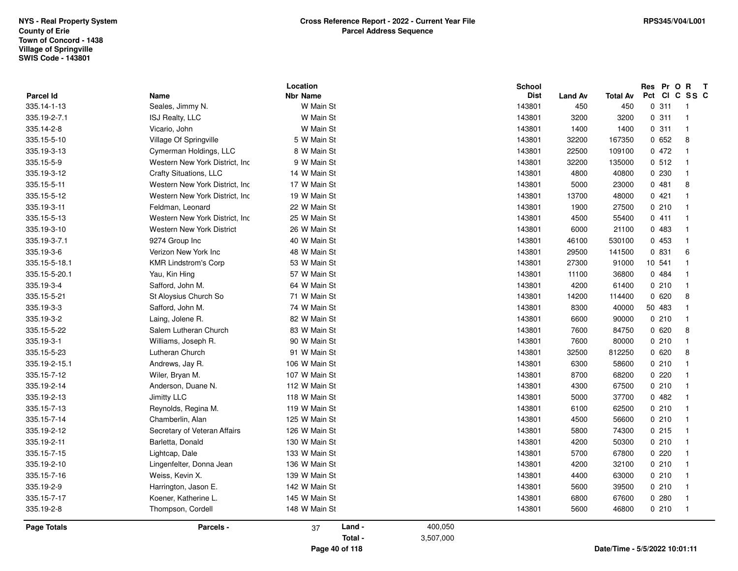| <b>Parcel Id</b> |                                  | Location<br><b>Nbr Name</b> | School<br><b>Dist</b> |                       |                        | Res Pr O R T<br>Pct CI C SS C |                            |
|------------------|----------------------------------|-----------------------------|-----------------------|-----------------------|------------------------|-------------------------------|----------------------------|
| 335.14-1-13      | Name<br>Seales, Jimmy N.         | W Main St                   | 143801                | <b>Land Av</b><br>450 | <b>Total Av</b><br>450 | 0.311                         | $\overline{\phantom{0}}$ 1 |
| 335.19-2-7.1     | ISJ Realty, LLC                  | W Main St                   | 143801                | 3200                  | 3200                   | 0.311                         | $\overline{\phantom{0}}$ 1 |
| 335.14-2-8       | Vicario, John                    | W Main St                   | 143801                | 1400                  | 1400                   | 0.311                         | $\overline{1}$             |
| 335.15-5-10      | Village Of Springville           | 5 W Main St                 | 143801                | 32200                 | 167350                 | 0652                          | 8                          |
|                  |                                  |                             |                       |                       |                        |                               |                            |
| 335.19-3-13      | Cymerman Holdings, LLC           | 8 W Main St                 | 143801                | 22500                 | 109100                 | 0472                          | $\overline{1}$             |
| 335.15-5-9       | Western New York District, Inc.  | 9 W Main St                 | 143801                | 32200                 | 135000                 | 0.512                         | $\overline{1}$             |
| 335.19-3-12      | Crafty Situations, LLC           | 14 W Main St                | 143801                | 4800                  | 40800                  | 0230                          | $\overline{1}$             |
| 335.15-5-11      | Western New York District, Inc.  | 17 W Main St                | 143801                | 5000                  | 23000                  | 0481                          | 8                          |
| 335.15-5-12      | Western New York District, Inc.  | 19 W Main St                | 143801                | 13700                 | 48000                  | 0421                          | $\overline{1}$             |
| 335.19-3-11      | Feldman, Leonard                 | 22 W Main St                | 143801                | 1900                  | 27500                  | 0210                          | $\blacksquare$             |
| 335.15-5-13      | Western New York District, Inc.  | 25 W Main St                | 143801                | 4500                  | 55400                  | 0411                          | $\overline{1}$             |
| 335.19-3-10      | <b>Western New York District</b> | 26 W Main St                | 143801                | 6000                  | 21100                  | 0 483                         | $\overline{1}$             |
| 335.19-3-7.1     | 9274 Group Inc                   | 40 W Main St                | 143801                | 46100                 | 530100                 | 0453                          | $\overline{1}$             |
| 335.19-3-6       | Verizon New York Inc             | 48 W Main St                | 143801                | 29500                 | 141500                 | 0 831                         | 6                          |
| 335.15-5-18.1    | <b>KMR Lindstrom's Corp</b>      | 53 W Main St                | 143801                | 27300                 | 91000                  | 10 541                        | $\overline{1}$             |
| 335.15-5-20.1    | Yau, Kin Hing                    | 57 W Main St                | 143801                | 11100                 | 36800                  | 0 484                         | $\overline{1}$             |
| 335.19-3-4       | Safford, John M.                 | 64 W Main St                | 143801                | 4200                  | 61400                  | 0210                          | $\overline{1}$             |
| 335.15-5-21      | St Aloysius Church So            | 71 W Main St                | 143801                | 14200                 | 114400                 | 0620                          | 8                          |
| 335.19-3-3       | Safford, John M.                 | 74 W Main St                | 143801                | 8300                  | 40000                  | 50 483                        | $\overline{1}$             |
| 335.19-3-2       | Laing, Jolene R.                 | 82 W Main St                | 143801                | 6600                  | 90000                  | 0210                          | $\overline{1}$             |
| 335.15-5-22      | Salem Lutheran Church            | 83 W Main St                | 143801                | 7600                  | 84750                  | 0620                          | 8                          |
| 335.19-3-1       | Williams, Joseph R.              | 90 W Main St                | 143801                | 7600                  | 80000                  | 0210                          | $\overline{\mathbf{1}}$    |
| 335.15-5-23      | Lutheran Church                  | 91 W Main St                | 143801                | 32500                 | 812250                 | 0620                          | 8                          |
| 335.19-2-15.1    | Andrews, Jay R.                  | 106 W Main St               | 143801                | 6300                  | 58600                  | 0210                          | $\overline{1}$             |
| 335.15-7-12      | Wiler, Bryan M.                  | 107 W Main St               | 143801                | 8700                  | 68200                  | 0220                          | $\overline{1}$             |
| 335.19-2-14      | Anderson, Duane N.               | 112 W Main St               | 143801                | 4300                  | 67500                  | 0210                          | $\overline{1}$             |
| 335.19-2-13      | Jimitty LLC                      | 118 W Main St               | 143801                | 5000                  | 37700                  | 0482                          | $\overline{1}$             |
| 335.15-7-13      | Reynolds, Regina M.              | 119 W Main St               | 143801                | 6100                  | 62500                  | 0210                          | $\overline{1}$             |
| 335.15-7-14      | Chamberlin, Alan                 | 125 W Main St               | 143801                | 4500                  | 56600                  | 0210                          | $\overline{1}$             |
| 335.19-2-12      | Secretary of Veteran Affairs     | 126 W Main St               | 143801                | 5800                  | 74300                  | 0215                          | $\overline{1}$             |
| 335.19-2-11      | Barletta, Donald                 | 130 W Main St               | 143801                | 4200                  | 50300                  | 0210                          | $\overline{1}$             |
| 335.15-7-15      | Lightcap, Dale                   | 133 W Main St               | 143801                | 5700                  | 67800                  | 0220                          | $\overline{1}$             |
| 335.19-2-10      | Lingenfelter, Donna Jean         | 136 W Main St               | 143801                | 4200                  | 32100                  | 0210                          | $\overline{1}$             |
| 335.15-7-16      | Weiss, Kevin X.                  | 139 W Main St               | 143801                | 4400                  | 63000                  | 0210                          | $\overline{1}$             |
| 335.19-2-9       | Harrington, Jason E.             | 142 W Main St               | 143801                | 5600                  | 39500                  | 0210                          | $\overline{\phantom{0}}$   |
| 335.15-7-17      | Koener, Katherine L.             | 145 W Main St               | 143801                | 6800                  | 67600                  | 0280                          | $\overline{1}$             |
| 335.19-2-8       | Thompson, Cordell                | 148 W Main St               | 143801                | 5600                  | 46800                  | 0210                          | $\overline{1}$             |
| Page Totals      | Parcels -                        | Land -<br>37                | 400,050               |                       |                        |                               |                            |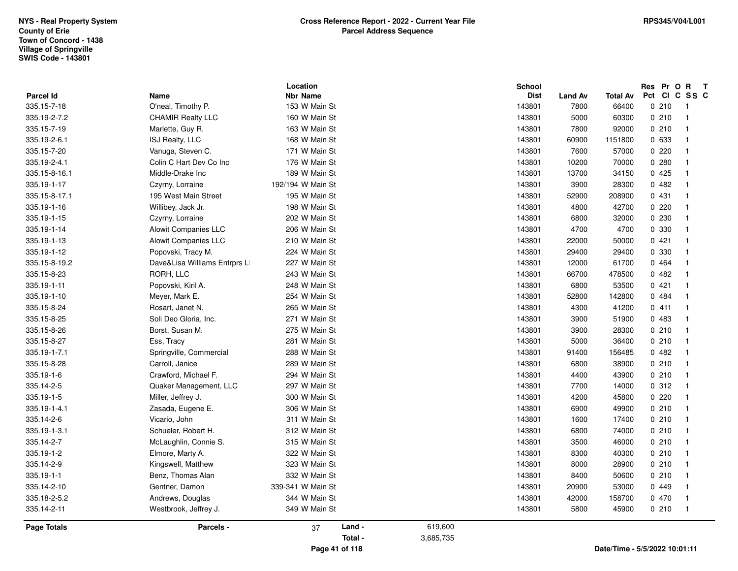|                    |                               | Location          |         |           | School      |                |                 | Res Pr O R T  |                          |
|--------------------|-------------------------------|-------------------|---------|-----------|-------------|----------------|-----------------|---------------|--------------------------|
| <b>Parcel Id</b>   | <b>Name</b>                   | <b>Nbr Name</b>   |         |           | <b>Dist</b> | <b>Land Av</b> | <b>Total Av</b> | Pct CI C SS C |                          |
| 335.15-7-18        | O'neal, Timothy P.            | 153 W Main St     |         |           | 143801      | 7800           | 66400           | 0210          | $\overline{\phantom{1}}$ |
| 335.19-2-7.2       | <b>CHAMIR Realty LLC</b>      | 160 W Main St     |         |           | 143801      | 5000           | 60300           | 0210          | $\overline{1}$           |
| 335.15-7-19        | Marlette, Guy R.              | 163 W Main St     |         |           | 143801      | 7800           | 92000           | 0210          | $\overline{1}$           |
| 335.19-2-6.1       | ISJ Realty, LLC               | 168 W Main St     |         |           | 143801      | 60900          | 1151800         | 0 633         | $\overline{1}$           |
| 335.15-7-20        | Vanuga, Steven C.             | 171 W Main St     |         |           | 143801      | 7600           | 57000           | 0220          | $\overline{1}$           |
| 335.19-2-4.1       | Colin C Hart Dev Co Inc       | 176 W Main St     |         |           | 143801      | 10200          | 70000           | 0.280         | $\overline{1}$           |
| 335.15-8-16.1      | Middle-Drake Inc              | 189 W Main St     |         |           | 143801      | 13700          | 34150           | 0425          | $\overline{1}$           |
| 335.19-1-17        | Czyrny, Lorraine              | 192/194 W Main St |         |           | 143801      | 3900           | 28300           | 0482          | $\overline{1}$           |
| 335.15-8-17.1      | 195 West Main Street          | 195 W Main St     |         |           | 143801      | 52900          | 208900          | 0 431         | $\overline{1}$           |
| 335.19-1-16        | Willibey, Jack Jr.            | 198 W Main St     |         |           | 143801      | 4800           | 42700           | 0220          | $\overline{1}$           |
| 335.19-1-15        | Czyrny, Lorraine              | 202 W Main St     |         |           | 143801      | 6800           | 32000           | 0 2 3 0       | $\overline{1}$           |
| 335.19-1-14        | <b>Alowit Companies LLC</b>   | 206 W Main St     |         |           | 143801      | 4700           | 4700            | 0 330         | $\overline{1}$           |
| 335.19-1-13        | Alowit Companies LLC          | 210 W Main St     |         |           | 143801      | 22000          | 50000           | 0421          | $\overline{1}$           |
| 335.19-1-12        | Popovski, Tracy M.            | 224 W Main St     |         |           | 143801      | 29400          | 29400           | 0 330         | $\overline{1}$           |
| 335.15-8-19.2      | Dave&Lisa Williams Entrprs LI | 227 W Main St     |         |           | 143801      | 12000          | 61700           | 0 464         | $\overline{1}$           |
| 335.15-8-23        | RORH, LLC                     | 243 W Main St     |         |           | 143801      | 66700          | 478500          | 0482          | $\overline{1}$           |
| 335.19-1-11        | Popovski, Kiril A.            | 248 W Main St     |         |           | 143801      | 6800           | 53500           | 0421          | $\overline{1}$           |
| 335.19-1-10        | Meyer, Mark E.                | 254 W Main St     |         |           | 143801      | 52800          | 142800          | 0 484         | $\overline{1}$           |
| 335.15-8-24        | Rosart, Janet N.              | 265 W Main St     |         |           | 143801      | 4300           | 41200           | 0411          | $\overline{1}$           |
| 335.15-8-25        | Soli Deo Gloria, Inc.         | 271 W Main St     |         |           | 143801      | 3900           | 51900           | 0 483         | $\overline{1}$           |
| 335.15-8-26        | Borst, Susan M.               | 275 W Main St     |         |           | 143801      | 3900           | 28300           | 0210          | $\overline{1}$           |
| 335.15-8-27        | Ess, Tracy                    | 281 W Main St     |         |           | 143801      | 5000           | 36400           | 0210          | $\overline{1}$           |
| 335.19-1-7.1       | Springville, Commercial       | 288 W Main St     |         |           | 143801      | 91400          | 156485          | 0482          | $\overline{1}$           |
| 335.15-8-28        | Carroll, Janice               | 289 W Main St     |         |           | 143801      | 6800           | 38900           | 0210          | $\overline{1}$           |
| 335.19-1-6         | Crawford, Michael F.          | 294 W Main St     |         |           | 143801      | 4400           | 43900           | 0210          | $\overline{1}$           |
| 335.14-2-5         | Quaker Management, LLC        | 297 W Main St     |         |           | 143801      | 7700           | 14000           | 0.312         | $\overline{1}$           |
| 335.19-1-5         | Miller, Jeffrey J.            | 300 W Main St     |         |           | 143801      | 4200           | 45800           | 0220          | $\overline{1}$           |
| 335.19-1-4.1       | Zasada, Eugene E.             | 306 W Main St     |         |           | 143801      | 6900           | 49900           | 0210          | $\overline{1}$           |
| 335.14-2-6         | Vicario, John                 | 311 W Main St     |         |           | 143801      | 1600           | 17400           | 0210          | $\overline{1}$           |
| 335.19-1-3.1       | Schueler, Robert H.           | 312 W Main St     |         |           | 143801      | 6800           | 74000           | 0210          | $\overline{1}$           |
| 335.14-2-7         | McLaughlin, Connie S.         | 315 W Main St     |         |           | 143801      | 3500           | 46000           | 0210          | $\overline{1}$           |
| 335.19-1-2         | Elmore, Marty A.              | 322 W Main St     |         |           | 143801      | 8300           | 40300           | 0210          | $\overline{1}$           |
| 335.14-2-9         | Kingswell, Matthew            | 323 W Main St     |         |           | 143801      | 8000           | 28900           | 0210          | $\overline{1}$           |
| 335.19-1-1         | Benz, Thomas Alan             | 332 W Main St     |         |           | 143801      | 8400           | 50600           | 0210          | $\overline{1}$           |
| 335.14-2-10        | Gentner, Damon                | 339-341 W Main St |         |           | 143801      | 20900          | 53000           | 0449          | $\overline{1}$           |
| 335.18-2-5.2       | Andrews, Douglas              | 344 W Main St     |         |           | 143801      | 42000          | 158700          | 0 470         | $\overline{1}$           |
| 335.14-2-11        | Westbrook, Jeffrey J.         | 349 W Main St     |         |           | 143801      | 5800           | 45900           | 0210          | $\overline{1}$           |
| <b>Page Totals</b> | Parcels -                     | 37                | Land -  | 619,600   |             |                |                 |               |                          |
|                    |                               |                   | Total - | 3,685,735 |             |                |                 |               |                          |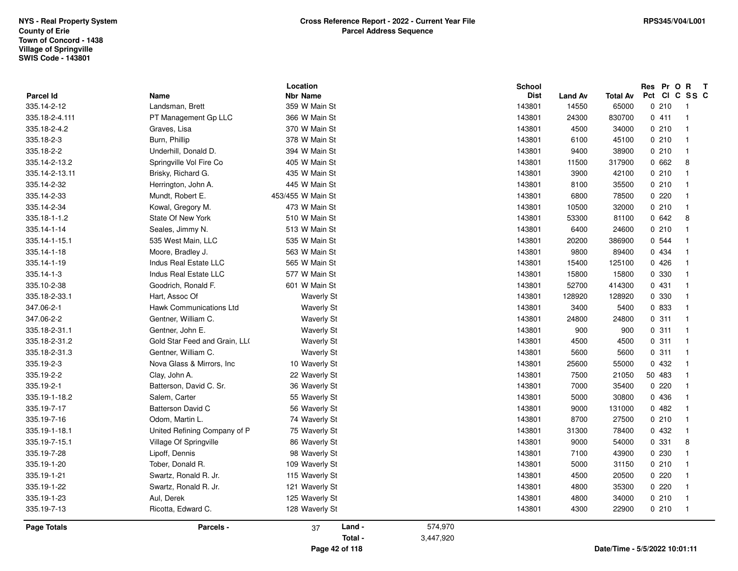| <b>Parcel Id</b>   | Name                          | Location<br><b>Nbr Name</b> |         |           | <b>School</b><br><b>Dist</b> | Land Av | <b>Total Av</b>               | Res Pr O R T<br>Pct | CICSSC                     |
|--------------------|-------------------------------|-----------------------------|---------|-----------|------------------------------|---------|-------------------------------|---------------------|----------------------------|
| 335.14-2-12        | Landsman, Brett               | 359 W Main St               |         |           | 143801                       | 14550   | 65000                         | 0210                | $\overline{\phantom{0}}$ 1 |
| 335.18-2-4.111     | PT Management Gp LLC          | 366 W Main St               |         |           | 143801                       | 24300   | 830700                        | 0411                | $\overline{\phantom{0}}$   |
| 335.18-2-4.2       | Graves, Lisa                  | 370 W Main St               |         |           | 143801                       | 4500    | 34000                         | 0210                | $\overline{1}$             |
| 335.18-2-3         | Burn, Phillip                 | 378 W Main St               |         |           | 143801                       | 6100    | 45100                         | 0210                | $\overline{1}$             |
| 335.18-2-2         | Underhill, Donald D.          | 394 W Main St               |         |           | 143801                       | 9400    | 38900                         | 0210                | $\overline{1}$             |
| 335.14-2-13.2      | Springville Vol Fire Co       | 405 W Main St               |         |           | 143801                       | 11500   | 317900                        | 0662                | 8                          |
| 335.14-2-13.11     | Brisky, Richard G.            | 435 W Main St               |         |           | 143801                       | 3900    | 42100                         | 0210                | $\overline{1}$             |
| 335.14-2-32        | Herrington, John A.           | 445 W Main St               |         |           | 143801                       | 8100    | 35500                         | 0210                | $\overline{\phantom{1}}$   |
| 335.14-2-33        | Mundt, Robert E.              | 453/455 W Main St           |         |           | 143801                       | 6800    | 78500                         | 0220                | $\overline{1}$             |
| 335.14-2-34        | Kowal, Gregory M.             | 473 W Main St               |         |           | 143801                       | 10500   | 32000                         | 0210                | $\overline{1}$             |
| 335.18-1-1.2       | State Of New York             | 510 W Main St               |         |           | 143801                       | 53300   | 81100                         | 0642                | 8                          |
| 335.14-1-14        | Seales, Jimmy N.              | 513 W Main St               |         |           | 143801                       | 6400    | 24600                         | 0210                | $\overline{1}$             |
| 335.14-1-15.1      | 535 West Main, LLC            | 535 W Main St               |         |           | 143801                       | 20200   | 386900                        | 0 544               | $\overline{1}$             |
| 335.14-1-18        | Moore, Bradley J.             | 563 W Main St               |         |           | 143801                       | 9800    | 89400                         | 0 4 3 4             | $\overline{1}$             |
| 335.14-1-19        | Indus Real Estate LLC         | 565 W Main St               |         |           | 143801                       | 15400   | 125100                        | 0426                | $\overline{1}$             |
| 335.14-1-3         | Indus Real Estate LLC         | 577 W Main St               |         |           | 143801                       | 15800   | 15800                         | 0 330               | $\overline{1}$             |
| 335.10-2-38        | Goodrich, Ronald F.           | 601 W Main St               |         |           | 143801                       | 52700   | 414300                        | 0431                | $\overline{\phantom{0}}$   |
| 335.18-2-33.1      | Hart, Assoc Of                | <b>Waverly St</b>           |         |           | 143801                       | 128920  | 128920                        | 0 330               | $\overline{1}$             |
| 347.06-2-1         | Hawk Communications Ltd       | <b>Waverly St</b>           |         |           | 143801                       | 3400    | 5400                          | 0 833               | $\overline{1}$             |
| 347.06-2-2         | Gentner, William C.           | <b>Waverly St</b>           |         |           | 143801                       | 24800   | 24800                         | 0.311               | $\overline{1}$             |
| 335.18-2-31.1      | Gentner, John E.              | <b>Waverly St</b>           |         |           | 143801                       | 900     | 900                           | 0.311               | $\overline{\phantom{0}}$   |
| 335.18-2-31.2      | Gold Star Feed and Grain, LLO | <b>Waverly St</b>           |         |           | 143801                       | 4500    | 4500                          | 0.311               | $\overline{1}$             |
| 335.18-2-31.3      | Gentner, William C.           | <b>Waverly St</b>           |         |           | 143801                       | 5600    | 5600                          | 0.311               | $\overline{1}$             |
| 335.19-2-3         | Nova Glass & Mirrors, Inc     | 10 Waverly St               |         |           | 143801                       | 25600   | 55000                         | 0 432               | $\overline{1}$             |
| 335.19-2-2         | Clay, John A.                 | 22 Waverly St               |         |           | 143801                       | 7500    | 21050                         | 50 483              | $\overline{1}$             |
| 335.19-2-1         | Batterson, David C. Sr.       | 36 Waverly St               |         |           | 143801                       | 7000    | 35400                         | 0220                | $\overline{1}$             |
| 335.19-1-18.2      | Salem, Carter                 | 55 Waverly St               |         |           | 143801                       | 5000    | 30800                         | 0 436               | $\overline{1}$             |
| 335.19-7-17        | <b>Batterson David C</b>      | 56 Waverly St               |         |           | 143801                       | 9000    | 131000                        | 0482                | $\overline{1}$             |
| 335.19-7-16        | Odom, Martin L.               | 74 Waverly St               |         |           | 143801                       | 8700    | 27500                         | 0210                | $\overline{1}$             |
| 335.19-1-18.1      | United Refining Company of P  | 75 Waverly St               |         |           | 143801                       | 31300   | 78400                         | 0 432               | $\overline{\phantom{1}}$   |
| 335.19-7-15.1      | Village Of Springville        | 86 Waverly St               |         |           | 143801                       | 9000    | 54000                         | 0 331               | 8                          |
| 335.19-7-28        | Lipoff, Dennis                | 98 Waverly St               |         |           | 143801                       | 7100    | 43900                         | 0 2 3 0             | $\overline{1}$             |
| 335.19-1-20        | Tober, Donald R.              | 109 Waverly St              |         |           | 143801                       | 5000    | 31150                         | 0210                | $\overline{1}$             |
| 335.19-1-21        | Swartz, Ronald R. Jr.         | 115 Waverly St              |         |           | 143801                       | 4500    | 20500                         | 0220                | $\overline{\mathbf{1}}$    |
| 335.19-1-22        | Swartz, Ronald R. Jr.         | 121 Waverly St              |         |           | 143801                       | 4800    | 35300                         | 0220                | $\overline{1}$             |
| 335.19-1-23        | Aul, Derek                    | 125 Waverly St              |         |           | 143801                       | 4800    | 34000                         | 0210                | $\overline{\phantom{0}}$   |
| 335.19-7-13        | Ricotta, Edward C.            | 128 Waverly St              |         |           | 143801                       | 4300    | 22900                         | 0210                | $\overline{1}$             |
| <b>Page Totals</b> | Parcels -                     | 37                          | Land -  | 574,970   |                              |         |                               |                     |                            |
|                    |                               |                             | Total - | 3,447,920 |                              |         |                               |                     |                            |
|                    |                               | Page 42 of 118              |         |           |                              |         | Date/Time - 5/5/2022 10:01:11 |                     |                            |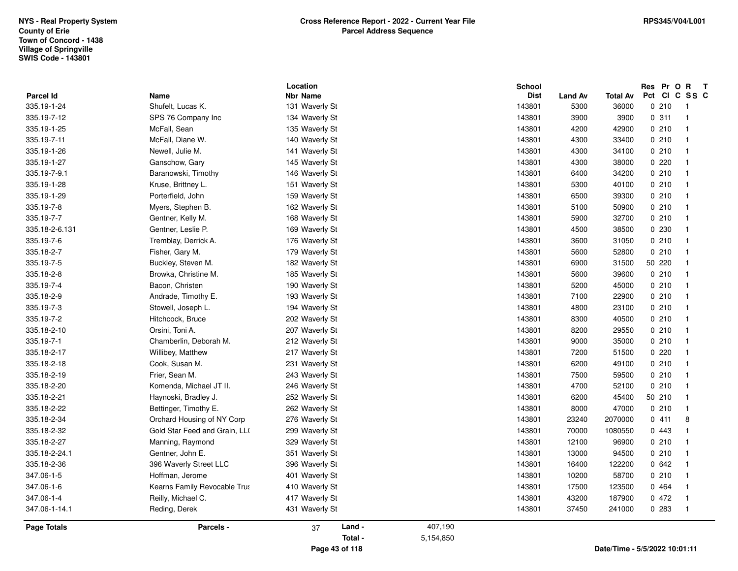| <b>Parcel Id</b><br>335.19-1-24<br>335.19-7-12<br>335.19-1-25<br>335.19-7-11<br>335.19-1-26<br>335.19-1-27<br>335.19-7-9.1<br>335.19-1-28<br>335.19-1-29<br>335.19-7-8<br>335.19-7-7<br>335.18-2-6.131<br>335.19-7-6<br>335.18-2-7 | Name<br>Shufelt, Lucas K.<br>SPS 76 Company Inc<br>McFall, Sean<br>McFall, Diane W.<br>Newell, Julie M.<br>Ganschow, Gary<br>Baranowski, Timothy<br>Kruse, Brittney L.<br>Porterfield, John<br>Myers, Stephen B.<br>Gentner, Kelly M.<br>Gentner, Leslie P.<br>Tremblay, Derrick A.<br>Fisher, Gary M.<br>Buckley, Steven M.<br>Browka, Christine M. | <b>Nbr Name</b><br>131 Waverly St<br>134 Waverly St<br>135 Waverly St<br>140 Waverly St<br>141 Waverly St<br>145 Waverly St<br>146 Waverly St<br>151 Waverly St<br>159 Waverly St<br>162 Waverly St<br>168 Waverly St<br>169 Waverly St<br>176 Waverly St<br>179 Waverly St |         | <b>Dist</b><br>143801<br>143801<br>143801<br>143801<br>143801<br>143801<br>143801<br>143801<br>143801<br>143801<br>143801<br>143801<br>143801 | <b>Land Av</b><br>5300<br>3900<br>4200<br>4300<br>4300<br>4300<br>6400<br>5300<br>6500<br>5100<br>5900<br>4500 | <b>Total Av</b><br>36000<br>3900<br>42900<br>33400<br>34100<br>38000<br>34200<br>40100<br>39300<br>50900<br>32700<br>38500 | Pct<br>0210<br>0.311<br>0210<br>0210<br>0210<br>0220<br>0210<br>0210<br>0210<br>0210<br>0210<br>0 2 3 0 | CICSSC<br>$\overline{\phantom{0}}$<br>$\overline{1}$<br>$\overline{1}$<br>$\overline{1}$<br>$\overline{\phantom{0}}$<br>$\overline{1}$<br>$\overline{1}$<br>$\overline{1}$<br>$\overline{1}$<br>$\overline{1}$<br>$\overline{1}$ |
|------------------------------------------------------------------------------------------------------------------------------------------------------------------------------------------------------------------------------------|------------------------------------------------------------------------------------------------------------------------------------------------------------------------------------------------------------------------------------------------------------------------------------------------------------------------------------------------------|-----------------------------------------------------------------------------------------------------------------------------------------------------------------------------------------------------------------------------------------------------------------------------|---------|-----------------------------------------------------------------------------------------------------------------------------------------------|----------------------------------------------------------------------------------------------------------------|----------------------------------------------------------------------------------------------------------------------------|---------------------------------------------------------------------------------------------------------|----------------------------------------------------------------------------------------------------------------------------------------------------------------------------------------------------------------------------------|
|                                                                                                                                                                                                                                    |                                                                                                                                                                                                                                                                                                                                                      |                                                                                                                                                                                                                                                                             |         |                                                                                                                                               |                                                                                                                |                                                                                                                            |                                                                                                         |                                                                                                                                                                                                                                  |
|                                                                                                                                                                                                                                    |                                                                                                                                                                                                                                                                                                                                                      |                                                                                                                                                                                                                                                                             |         |                                                                                                                                               |                                                                                                                |                                                                                                                            |                                                                                                         |                                                                                                                                                                                                                                  |
|                                                                                                                                                                                                                                    |                                                                                                                                                                                                                                                                                                                                                      |                                                                                                                                                                                                                                                                             |         |                                                                                                                                               |                                                                                                                |                                                                                                                            |                                                                                                         |                                                                                                                                                                                                                                  |
|                                                                                                                                                                                                                                    |                                                                                                                                                                                                                                                                                                                                                      |                                                                                                                                                                                                                                                                             |         |                                                                                                                                               |                                                                                                                |                                                                                                                            |                                                                                                         |                                                                                                                                                                                                                                  |
|                                                                                                                                                                                                                                    |                                                                                                                                                                                                                                                                                                                                                      |                                                                                                                                                                                                                                                                             |         |                                                                                                                                               |                                                                                                                |                                                                                                                            |                                                                                                         |                                                                                                                                                                                                                                  |
|                                                                                                                                                                                                                                    |                                                                                                                                                                                                                                                                                                                                                      |                                                                                                                                                                                                                                                                             |         |                                                                                                                                               |                                                                                                                |                                                                                                                            |                                                                                                         |                                                                                                                                                                                                                                  |
|                                                                                                                                                                                                                                    |                                                                                                                                                                                                                                                                                                                                                      |                                                                                                                                                                                                                                                                             |         |                                                                                                                                               |                                                                                                                |                                                                                                                            |                                                                                                         |                                                                                                                                                                                                                                  |
|                                                                                                                                                                                                                                    |                                                                                                                                                                                                                                                                                                                                                      |                                                                                                                                                                                                                                                                             |         |                                                                                                                                               |                                                                                                                |                                                                                                                            |                                                                                                         |                                                                                                                                                                                                                                  |
|                                                                                                                                                                                                                                    |                                                                                                                                                                                                                                                                                                                                                      |                                                                                                                                                                                                                                                                             |         |                                                                                                                                               |                                                                                                                |                                                                                                                            |                                                                                                         |                                                                                                                                                                                                                                  |
|                                                                                                                                                                                                                                    |                                                                                                                                                                                                                                                                                                                                                      |                                                                                                                                                                                                                                                                             |         |                                                                                                                                               |                                                                                                                |                                                                                                                            |                                                                                                         |                                                                                                                                                                                                                                  |
|                                                                                                                                                                                                                                    |                                                                                                                                                                                                                                                                                                                                                      |                                                                                                                                                                                                                                                                             |         |                                                                                                                                               |                                                                                                                |                                                                                                                            |                                                                                                         |                                                                                                                                                                                                                                  |
|                                                                                                                                                                                                                                    |                                                                                                                                                                                                                                                                                                                                                      |                                                                                                                                                                                                                                                                             |         |                                                                                                                                               |                                                                                                                |                                                                                                                            |                                                                                                         |                                                                                                                                                                                                                                  |
|                                                                                                                                                                                                                                    |                                                                                                                                                                                                                                                                                                                                                      |                                                                                                                                                                                                                                                                             |         |                                                                                                                                               |                                                                                                                |                                                                                                                            |                                                                                                         | $\overline{\phantom{1}}$                                                                                                                                                                                                         |
|                                                                                                                                                                                                                                    |                                                                                                                                                                                                                                                                                                                                                      |                                                                                                                                                                                                                                                                             |         |                                                                                                                                               | 3600                                                                                                           | 31050                                                                                                                      | 0210                                                                                                    | $\overline{1}$                                                                                                                                                                                                                   |
|                                                                                                                                                                                                                                    |                                                                                                                                                                                                                                                                                                                                                      |                                                                                                                                                                                                                                                                             |         | 143801                                                                                                                                        | 5600                                                                                                           | 52800                                                                                                                      | 0210                                                                                                    | $\overline{1}$                                                                                                                                                                                                                   |
| 335.19-7-5                                                                                                                                                                                                                         |                                                                                                                                                                                                                                                                                                                                                      | 182 Waverly St                                                                                                                                                                                                                                                              |         | 143801                                                                                                                                        | 6900                                                                                                           | 31500                                                                                                                      | 50 220                                                                                                  | $\overline{1}$                                                                                                                                                                                                                   |
| 335.18-2-8                                                                                                                                                                                                                         |                                                                                                                                                                                                                                                                                                                                                      | 185 Waverly St                                                                                                                                                                                                                                                              |         | 143801                                                                                                                                        | 5600                                                                                                           | 39600                                                                                                                      | 0210                                                                                                    | $\overline{1}$                                                                                                                                                                                                                   |
| 335.19-7-4                                                                                                                                                                                                                         | Bacon, Christen                                                                                                                                                                                                                                                                                                                                      | 190 Waverly St                                                                                                                                                                                                                                                              |         | 143801                                                                                                                                        | 5200                                                                                                           | 45000                                                                                                                      | 0210                                                                                                    | $\overline{1}$                                                                                                                                                                                                                   |
| 335.18-2-9                                                                                                                                                                                                                         | Andrade, Timothy E.                                                                                                                                                                                                                                                                                                                                  | 193 Waverly St                                                                                                                                                                                                                                                              |         | 143801                                                                                                                                        | 7100                                                                                                           | 22900                                                                                                                      | 0210                                                                                                    | $\overline{\phantom{0}}$                                                                                                                                                                                                         |
| 335.19-7-3                                                                                                                                                                                                                         | Stowell, Joseph L.                                                                                                                                                                                                                                                                                                                                   | 194 Waverly St                                                                                                                                                                                                                                                              |         | 143801                                                                                                                                        | 4800                                                                                                           | 23100                                                                                                                      | 0210                                                                                                    | $\overline{\phantom{1}}$                                                                                                                                                                                                         |
| 335.19-7-2                                                                                                                                                                                                                         | Hitchcock, Bruce                                                                                                                                                                                                                                                                                                                                     | 202 Waverly St                                                                                                                                                                                                                                                              |         | 143801                                                                                                                                        | 8300                                                                                                           | 40500                                                                                                                      | 0210                                                                                                    | $\overline{\phantom{0}}$                                                                                                                                                                                                         |
| 335.18-2-10                                                                                                                                                                                                                        | Orsini, Toni A.                                                                                                                                                                                                                                                                                                                                      | 207 Waverly St                                                                                                                                                                                                                                                              |         | 143801                                                                                                                                        | 8200                                                                                                           | 29550                                                                                                                      | 0210                                                                                                    | $\overline{1}$                                                                                                                                                                                                                   |
| 335.19-7-1                                                                                                                                                                                                                         | Chamberlin, Deborah M.                                                                                                                                                                                                                                                                                                                               | 212 Waverly St                                                                                                                                                                                                                                                              |         | 143801                                                                                                                                        | 9000                                                                                                           | 35000                                                                                                                      | 0210                                                                                                    | $\overline{1}$                                                                                                                                                                                                                   |
| 335.18-2-17                                                                                                                                                                                                                        | Willibey, Matthew                                                                                                                                                                                                                                                                                                                                    | 217 Waverly St                                                                                                                                                                                                                                                              |         | 143801                                                                                                                                        | 7200                                                                                                           | 51500                                                                                                                      | 0220                                                                                                    | $\overline{1}$                                                                                                                                                                                                                   |
| 335.18-2-18                                                                                                                                                                                                                        | Cook, Susan M.                                                                                                                                                                                                                                                                                                                                       | 231 Waverly St                                                                                                                                                                                                                                                              |         | 143801                                                                                                                                        | 6200                                                                                                           | 49100                                                                                                                      | 0210                                                                                                    | $\overline{1}$                                                                                                                                                                                                                   |
| 335.18-2-19                                                                                                                                                                                                                        | Frier, Sean M.                                                                                                                                                                                                                                                                                                                                       | 243 Waverly St                                                                                                                                                                                                                                                              |         | 143801                                                                                                                                        | 7500                                                                                                           | 59500                                                                                                                      | 0210                                                                                                    | $\overline{\phantom{0}}$                                                                                                                                                                                                         |
| 335.18-2-20                                                                                                                                                                                                                        | Komenda, Michael JT II.                                                                                                                                                                                                                                                                                                                              | 246 Waverly St                                                                                                                                                                                                                                                              |         | 143801                                                                                                                                        | 4700                                                                                                           | 52100                                                                                                                      | 0210                                                                                                    | $\overline{1}$                                                                                                                                                                                                                   |
| 335.18-2-21                                                                                                                                                                                                                        | Haynoski, Bradley J.                                                                                                                                                                                                                                                                                                                                 | 252 Waverly St                                                                                                                                                                                                                                                              |         | 143801                                                                                                                                        | 6200                                                                                                           | 45400                                                                                                                      | 50 210                                                                                                  | $\overline{1}$                                                                                                                                                                                                                   |
| 335.18-2-22                                                                                                                                                                                                                        | Bettinger, Timothy E.                                                                                                                                                                                                                                                                                                                                | 262 Waverly St                                                                                                                                                                                                                                                              |         | 143801                                                                                                                                        | 8000                                                                                                           | 47000                                                                                                                      | 0210                                                                                                    | $\overline{1}$                                                                                                                                                                                                                   |
| 335.18-2-34                                                                                                                                                                                                                        | Orchard Housing of NY Corp                                                                                                                                                                                                                                                                                                                           | 276 Waverly St                                                                                                                                                                                                                                                              |         | 143801                                                                                                                                        | 23240                                                                                                          | 2070000                                                                                                                    | 0411                                                                                                    | 8                                                                                                                                                                                                                                |
| 335.18-2-32                                                                                                                                                                                                                        | Gold Star Feed and Grain, LL(                                                                                                                                                                                                                                                                                                                        | 299 Waverly St                                                                                                                                                                                                                                                              |         | 143801                                                                                                                                        | 70000                                                                                                          | 1080550                                                                                                                    | 0443                                                                                                    | $\overline{1}$                                                                                                                                                                                                                   |
| 335.18-2-27                                                                                                                                                                                                                        | Manning, Raymond                                                                                                                                                                                                                                                                                                                                     | 329 Waverly St                                                                                                                                                                                                                                                              |         | 143801                                                                                                                                        | 12100                                                                                                          | 96900                                                                                                                      | 0210                                                                                                    | $\overline{1}$                                                                                                                                                                                                                   |
| 335.18-2-24.1                                                                                                                                                                                                                      | Gentner, John E.                                                                                                                                                                                                                                                                                                                                     | 351 Waverly St                                                                                                                                                                                                                                                              |         | 143801                                                                                                                                        | 13000                                                                                                          | 94500                                                                                                                      | 0210                                                                                                    | $\overline{\phantom{1}}$                                                                                                                                                                                                         |
| 335.18-2-36                                                                                                                                                                                                                        | 396 Waverly Street LLC                                                                                                                                                                                                                                                                                                                               | 396 Waverly St                                                                                                                                                                                                                                                              |         | 143801                                                                                                                                        | 16400                                                                                                          | 122200                                                                                                                     | 0642                                                                                                    | $\overline{1}$                                                                                                                                                                                                                   |
| 347.06-1-5                                                                                                                                                                                                                         | Hoffman, Jerome                                                                                                                                                                                                                                                                                                                                      | 401 Waverly St                                                                                                                                                                                                                                                              |         | 143801                                                                                                                                        | 10200                                                                                                          | 58700                                                                                                                      | 0210                                                                                                    | $\overline{1}$                                                                                                                                                                                                                   |
| 347.06-1-6                                                                                                                                                                                                                         | Kearns Family Revocable Trus                                                                                                                                                                                                                                                                                                                         | 410 Waverly St                                                                                                                                                                                                                                                              |         | 143801                                                                                                                                        | 17500                                                                                                          | 123500                                                                                                                     | 0 464                                                                                                   | $\overline{\phantom{1}}$                                                                                                                                                                                                         |
| 347.06-1-4                                                                                                                                                                                                                         | Reilly, Michael C.                                                                                                                                                                                                                                                                                                                                   | 417 Waverly St                                                                                                                                                                                                                                                              |         | 143801                                                                                                                                        | 43200                                                                                                          | 187900                                                                                                                     | 0472                                                                                                    | $\overline{1}$                                                                                                                                                                                                                   |
| 347.06-1-14.1                                                                                                                                                                                                                      | Reding, Derek                                                                                                                                                                                                                                                                                                                                        | 431 Waverly St                                                                                                                                                                                                                                                              |         | 143801                                                                                                                                        | 37450                                                                                                          | 241000                                                                                                                     | 0.283                                                                                                   | $\overline{1}$                                                                                                                                                                                                                   |
| <b>Page Totals</b>                                                                                                                                                                                                                 | Parcels -                                                                                                                                                                                                                                                                                                                                            | Land -<br>37                                                                                                                                                                                                                                                                | 407,190 |                                                                                                                                               |                                                                                                                |                                                                                                                            |                                                                                                         |                                                                                                                                                                                                                                  |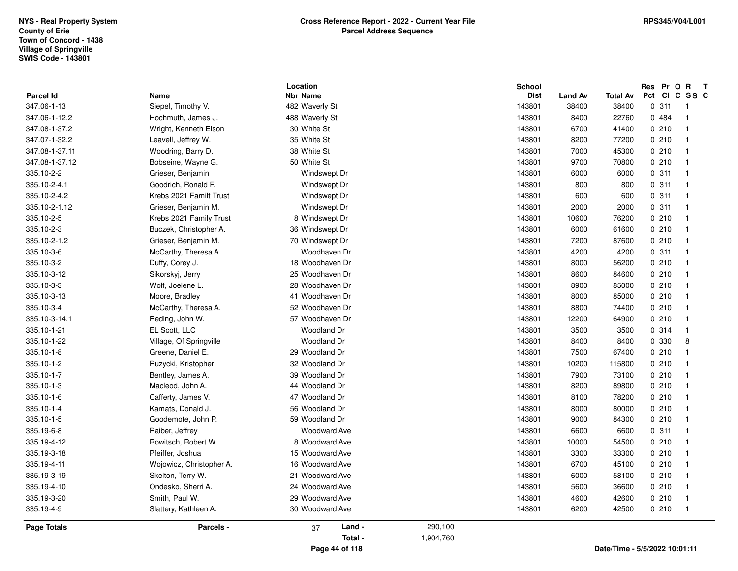| <b>Parcel Id</b> | Name                     | Location<br><b>Nbr Name</b> | <b>School</b><br><b>Dist</b> | <b>Land Av</b> | Total Av | Res Pr O R<br>$\mathbf{T}$<br>Pct<br><b>CI</b><br>C SS C |
|------------------|--------------------------|-----------------------------|------------------------------|----------------|----------|----------------------------------------------------------|
| 347.06-1-13      | Siepel, Timothy V.       | 482 Waverly St              | 143801                       | 38400          | 38400    | 0.311<br>$\overline{\mathbf{1}}$                         |
| 347.06-1-12.2    | Hochmuth, James J.       | 488 Waverly St              | 143801                       | 8400           | 22760    | 0484<br>$\overline{1}$                                   |
| 347.08-1-37.2    | Wright, Kenneth Elson    | 30 White St                 | 143801                       | 6700           | 41400    | 0210<br>$\overline{\mathbf{1}}$                          |
| 347.07-1-32.2    | Leavell, Jeffrey W.      | 35 White St                 | 143801                       | 8200           | 77200    | 0210<br>$\overline{1}$                                   |
| 347.08-1-37.11   | Woodring, Barry D.       | 38 White St                 | 143801                       | 7000           | 45300    | 0210<br>$\overline{\mathbf{1}}$                          |
| 347.08-1-37.12   | Bobseine, Wayne G.       | 50 White St                 | 143801                       | 9700           | 70800    | 0210<br>$\overline{1}$                                   |
| 335.10-2-2       | Grieser, Benjamin        | Windswept Dr                | 143801                       | 6000           | 6000     | 0.311<br>$\overline{1}$                                  |
| 335.10-2-4.1     | Goodrich, Ronald F.      | Windswept Dr                | 143801                       | 800            | 800      | 0.311<br>$\overline{1}$                                  |
| 335.10-2-4.2     | Krebs 2021 Familt Trust  | Windswept Dr                | 143801                       | 600            | 600      | 0.311<br>$\mathbf{1}$                                    |
| 335.10-2-1.12    | Grieser, Benjamin M.     | Windswept Dr                | 143801                       | 2000           | 2000     | 0.311<br>$\overline{1}$                                  |
| 335.10-2-5       | Krebs 2021 Family Trust  | 8 Windswept Dr              | 143801                       | 10600          | 76200    | 0210<br>$\overline{1}$                                   |
| 335.10-2-3       | Buczek, Christopher A.   | 36 Windswept Dr             | 143801                       | 6000           | 61600    | 0210<br>$\overline{1}$                                   |
| 335.10-2-1.2     | Grieser, Benjamin M.     | 70 Windswept Dr             | 143801                       | 7200           | 87600    | 0210<br>$\overline{1}$                                   |
| 335.10-3-6       | McCarthy, Theresa A.     | Woodhaven Dr                | 143801                       | 4200           | 4200     | 0.311<br>$\overline{1}$                                  |
| 335.10-3-2       | Duffy, Corey J.          | 18 Woodhaven Dr             | 143801                       | 8000           | 56200    | 0210<br>$\overline{1}$                                   |
| 335.10-3-12      | Sikorskyj, Jerry         | 25 Woodhaven Dr             | 143801                       | 8600           | 84600    | 0210<br>$\overline{\mathbf{1}}$                          |
| 335.10-3-3       | Wolf, Joelene L.         | 28 Woodhaven Dr             | 143801                       | 8900           | 85000    | 0210<br>$\overline{\mathbf{1}}$                          |
| 335.10-3-13      | Moore, Bradley           | 41 Woodhaven Dr             | 143801                       | 8000           | 85000    | 0210<br>$\overline{\mathbf{1}}$                          |
| 335.10-3-4       | McCarthy, Theresa A.     | 52 Woodhaven Dr             | 143801                       | 8800           | 74400    | 0210<br>$\overline{1}$                                   |
| 335.10-3-14.1    | Reding, John W.          | 57 Woodhaven Dr             | 143801                       | 12200          | 64900    | 0210<br>$\overline{1}$                                   |
| 335.10-1-21      | EL Scott, LLC            | <b>Woodland Dr</b>          | 143801                       | 3500           | 3500     | 0.314<br>$\overline{1}$                                  |
| 335.10-1-22      | Village, Of Springville  | <b>Woodland Dr</b>          | 143801                       | 8400           | 8400     | 0 330<br>8                                               |
| 335.10-1-8       | Greene, Daniel E.        | 29 Woodland Dr              | 143801                       | 7500           | 67400    | 0210<br>$\overline{1}$                                   |
| 335.10-1-2       | Ruzycki, Kristopher      | 32 Woodland Dr              | 143801                       | 10200          | 115800   | 0210<br>$\overline{1}$                                   |
| 335.10-1-7       | Bentley, James A.        | 39 Woodland Dr              | 143801                       | 7900           | 73100    | 0210<br>$\overline{1}$                                   |
| 335.10-1-3       | Macleod, John A.         | 44 Woodland Dr              | 143801                       | 8200           | 89800    | 0210<br>$\overline{1}$                                   |
| 335.10-1-6       | Cafferty, James V.       | 47 Woodland Dr              | 143801                       | 8100           | 78200    | 0210<br>$\overline{1}$                                   |
| 335.10-1-4       | Kamats, Donald J.        | 56 Woodland Dr              | 143801                       | 8000           | 80000    | 0210<br>$\overline{\mathbf{1}}$                          |
| 335.10-1-5       | Goodemote, John P.       | 59 Woodland Dr              | 143801                       | 9000           | 84300    | 0210<br>$\overline{1}$                                   |
| 335.19-6-8       | Raiber, Jeffrey          | <b>Woodward Ave</b>         | 143801                       | 6600           | 6600     | 0.311<br>$\overline{\mathbf{1}}$                         |
| 335.19-4-12      | Rowitsch, Robert W.      | 8 Woodward Ave              | 143801                       | 10000          | 54500    | 0210<br>$\mathbf{1}$                                     |
| 335.19-3-18      | Pfeiffer, Joshua         | 15 Woodward Ave             | 143801                       | 3300           | 33300    | 0210<br>$\overline{1}$                                   |
| 335.19-4-11      | Wojowicz, Christopher A. | 16 Woodward Ave             | 143801                       | 6700           | 45100    | 0210<br>$\overline{1}$                                   |
| 335.19-3-19      | Skelton, Terry W.        | 21 Woodward Ave             | 143801                       | 6000           | 58100    | 0210<br>$\overline{1}$                                   |
| 335.19-4-10      | Ondesko, Sherri A.       | 24 Woodward Ave             | 143801                       | 5600           | 36600    | 0210<br>$\overline{1}$                                   |
| 335.19-3-20      | Smith, Paul W.           | 29 Woodward Ave             | 143801                       | 4600           | 42600    | 0210<br>$\overline{1}$                                   |
| 335.19-4-9       | Slattery, Kathleen A.    | 30 Woodward Ave             | 143801                       | 6200           | 42500    | 0210<br>$\overline{1}$                                   |
| Page Totals      | Parcels -                | Land -<br>37                | 290,100                      |                |          |                                                          |
|                  |                          | Total -                     | 1,904,760                    |                |          |                                                          |
|                  |                          | Page 44 of 118              |                              |                |          | Date/Time - 5/5/2022 10:01:11                            |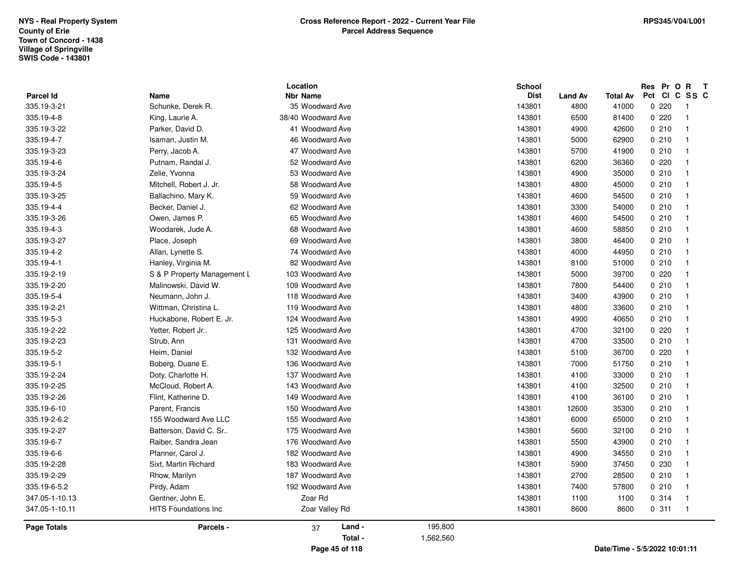|                    |                             | Location           |           | <b>School</b> |                |          | Res Pr O | $\mathbf R$<br>$\mathbf{T}$ |
|--------------------|-----------------------------|--------------------|-----------|---------------|----------------|----------|----------|-----------------------------|
| Parcel Id          | Name                        | <b>Nbr Name</b>    |           | <b>Dist</b>   | <b>Land Av</b> | Total Av | Pct      | CICSSC                      |
| 335.19-3-21        | Schunke, Derek R.           | 35 Woodward Ave    |           | 143801        | 4800           | 41000    | 0.220    | -1                          |
| 335.19-4-8         | King, Laurie A.             | 38/40 Woodward Ave |           | 143801        | 6500           | 81400    | 0.220    | $\overline{1}$              |
| 335.19-3-22        | Parker, David D.            | 41 Woodward Ave    |           | 143801        | 4900           | 42600    | 0210     | $\overline{1}$              |
| 335.19-4-7         | Isaman, Justin M.           | 46 Woodward Ave    |           | 143801        | 5000           | 62900    | 0210     | $\overline{1}$              |
| 335.19-3-23        | Perry, Jacob A.             | 47 Woodward Ave    |           | 143801        | 5700           | 41900    | 0210     | $\overline{1}$              |
| 335.19-4-6         | Putnam, Randal J.           | 52 Woodward Ave    |           | 143801        | 6200           | 36360    | 0.220    | $\overline{1}$              |
| 335.19-3-24        | Zelie, Yvonna               | 53 Woodward Ave    |           | 143801        | 4900           | 35000    | 0210     | $\overline{1}$              |
| 335.19-4-5         | Mitchell, Robert J. Jr.     | 58 Woodward Ave    |           | 143801        | 4800           | 45000    | 0210     | - 1                         |
| 335.19-3-25        | Ballachino, Mary K.         | 59 Woodward Ave    |           | 143801        | 4600           | 54500    | 0210     | $\overline{\phantom{0}}$    |
| 335.19-4-4         | Becker, Daniel J.           | 62 Woodward Ave    |           | 143801        | 3300           | 54000    | 0210     | $\overline{1}$              |
| 335.19-3-26        | Owen, James P.              | 65 Woodward Ave    |           | 143801        | 4600           | 54500    | 0210     | $\overline{1}$              |
| 335.19-4-3         | Woodarek, Jude A.           | 68 Woodward Ave    |           | 143801        | 4600           | 58850    | 0210     | $\overline{1}$              |
| 335.19-3-27        | Place, Joseph               | 69 Woodward Ave    |           | 143801        | 3800           | 46400    | 0210     | $\overline{1}$              |
| 335.19-4-2         | Allan, Lynette S.           | 74 Woodward Ave    |           | 143801        | 4000           | 44950    | 0210     | $\overline{1}$              |
| 335.19-4-1         | Hanley, Virginia M.         | 82 Woodward Ave    |           | 143801        | 8100           | 51000    | 0210     | $\overline{1}$              |
| 335.19-2-19        | S & P Property Management L | 103 Woodward Ave   |           | 143801        | 5000           | 39700    | 0220     | $\overline{1}$              |
| 335.19-2-20        | Malinowski, David W.        | 109 Woodward Ave   |           | 143801        | 7800           | 54400    | 0210     | $\overline{1}$              |
| 335.19-5-4         | Neumann, John J.            | 118 Woodward Ave   |           | 143801        | 3400           | 43900    | 0210     | $\overline{1}$              |
| 335.19-2-21        | Wittman, Christina L.       | 119 Woodward Ave   |           | 143801        | 4800           | 33600    | 0210     | $\overline{\phantom{0}}$    |
| 335.19-5-3         | Huckabone, Robert E. Jr.    | 124 Woodward Ave   |           | 143801        | 4900           | 40650    | 0210     | $\overline{1}$              |
| 335.19-2-22        | Yetter, Robert Jr           | 125 Woodward Ave   |           | 143801        | 4700           | 32100    | 0220     | $\overline{1}$              |
| 335.19-2-23        | Strub, Ann                  | 131 Woodward Ave   |           | 143801        | 4700           | 33500    | 0210     | $\overline{1}$              |
| 335.19-5-2         | Heim, Daniel                | 132 Woodward Ave   |           | 143801        | 5100           | 36700    | 0.220    | - 1                         |
| 335.19-5-1         | Boberg, Duane E.            | 136 Woodward Ave   |           | 143801        | 7000           | 51750    | 0210     | $\overline{1}$              |
| 335.19-2-24        | Doty, Charlotte H.          | 137 Woodward Ave   |           | 143801        | 4100           | 33000    | 0210     | $\overline{1}$              |
| 335.19-2-25        | McCloud, Robert A.          | 143 Woodward Ave   |           | 143801        | 4100           | 32500    | 0210     | $\overline{\phantom{1}}$    |
| 335.19-2-26        | Flint, Katherine D.         | 149 Woodward Ave   |           | 143801        | 4100           | 36100    | 0210     | $\overline{1}$              |
| 335.19-6-10        | Parent, Francis             | 150 Woodward Ave   |           | 143801        | 12600          | 35300    | 0210     | $\overline{1}$              |
| 335.19-2-6.2       | 155 Woodward Ave LLC        | 155 Woodward Ave   |           | 143801        | 6000           | 65000    | 0210     | $\overline{1}$              |
| 335.19-2-27        | Batterson, David C. Sr      | 175 Woodward Ave   |           | 143801        | 5600           | 32100    | 0210     | $\overline{1}$              |
| 335.19-6-7         | Raiber, Sandra Jean         | 176 Woodward Ave   |           | 143801        | 5500           | 43900    | 0210     | $\overline{1}$              |
| 335.19-6-6         | Pfanner, Carol J.           | 182 Woodward Ave   |           | 143801        | 4900           | 34550    | 0210     | $\overline{1}$              |
| 335.19-2-28        | Sixt, Martin Richard        | 183 Woodward Ave   |           | 143801        | 5900           | 37450    | 0 2 3 0  | - 1                         |
| 335.19-2-29        | Rhow, Marilyn               | 187 Woodward Ave   |           | 143801        | 2700           | 28500    | 0210     | $\overline{1}$              |
| 335.19-6-5.2       | Pirdy, Adam                 | 192 Woodward Ave   |           | 143801        | 7400           | 57800    | 0210     | $\overline{1}$              |
| 347.05-1-10.13     | Gentner, John E.            | Zoar Rd            |           | 143801        | 1100           | 1100     | 0.314    | -1                          |
| 347.05-1-10.11     | HITS Foundations Inc        | Zoar Valley Rd     |           | 143801        | 8600           | 8600     | 0.311    | - 1                         |
| <b>Page Totals</b> | Parcels -                   | Land -<br>37       | 195,800   |               |                |          |          |                             |
|                    |                             | Total -            | 1,562,560 |               |                |          |          |                             |
|                    |                             |                    |           |               |                |          |          |                             |

**Page 45 of 118**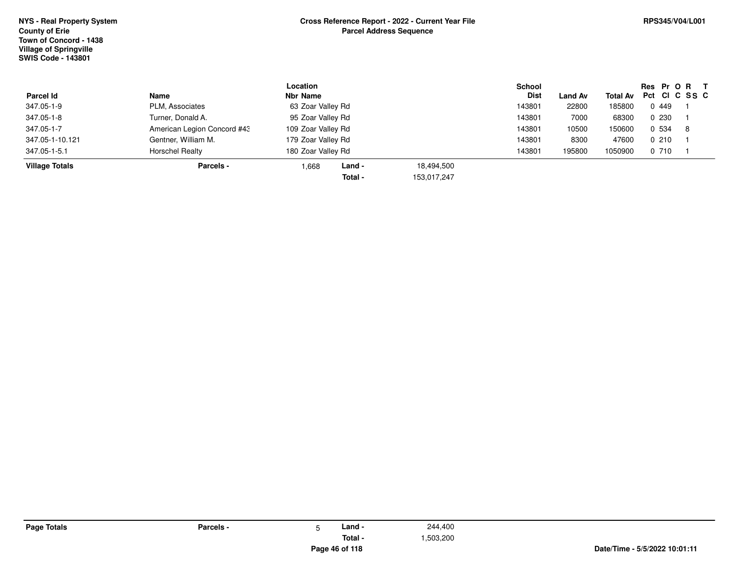**Page Totals**

| <b>Parcel Id</b>      | Name                        | Location<br>Nbr Name |             | <b>School</b><br>Dist | <b>Land Av</b> |         | Res Pr O R T<br>Total Av Pct CI C SS C |     |
|-----------------------|-----------------------------|----------------------|-------------|-----------------------|----------------|---------|----------------------------------------|-----|
| 347.05-1-9            | PLM, Associates             | 63 Zoar Valley Rd    |             | 143801                | 22800          | 185800  | 0.449                                  |     |
| 347.05-1-8            | Turner, Donald A.           | 95 Zoar Valley Rd    |             | 143801                | 7000           | 68300   | 0230                                   |     |
| 347.05-1-7            | American Legion Concord #43 | 109 Zoar Valley Rd   |             | 143801                | 10500          | 150600  | 0 534                                  | - 8 |
| 347.05-1-10.121       | Gentner, William M.         | 179 Zoar Valley Rd   |             | 143801                | 8300           | 47600   | 0210                                   |     |
| 347.05-1-5.1          | <b>Horschel Realty</b>      | 180 Zoar Valley Rd   |             | 143801                | 195800         | 1050900 | 0 710                                  |     |
| <b>Village Totals</b> | Parcels -                   | ∟and -<br>1,668      | 18,494,500  |                       |                |         |                                        |     |
|                       |                             | Total -              | 153,017,247 |                       |                |         |                                        |     |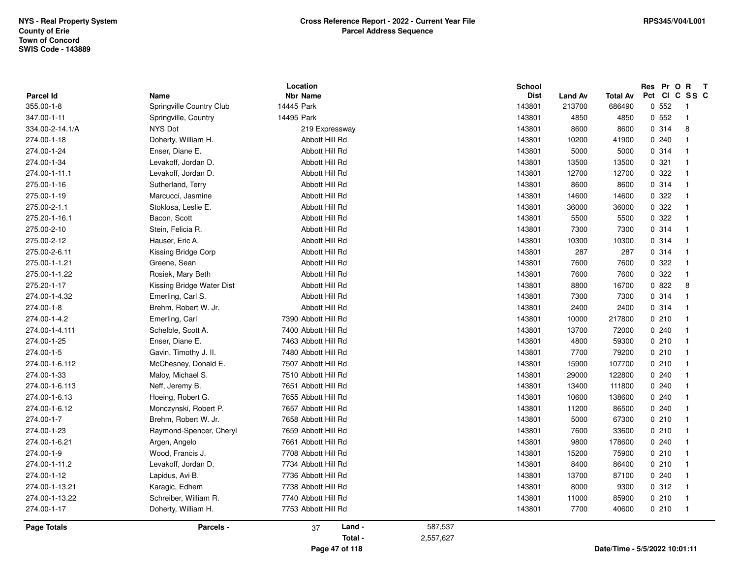| <b>Parcel Id</b>   | Name                      | Location<br><b>Nbr Name</b> |           | School<br><b>Dist</b> | <b>Land Av</b> | <b>Total Av</b>               | Res Pr O R<br>Pct CI C SS C | $\mathbf{T}$            |
|--------------------|---------------------------|-----------------------------|-----------|-----------------------|----------------|-------------------------------|-----------------------------|-------------------------|
| 355.00-1-8         | Springville Country Club  | 14445 Park                  |           | 143801                | 213700         | 686490                        | 0.552                       | - 1                     |
| 347.00-1-11        | Springville, Country      | 14495 Park                  |           | 143801                | 4850           | 4850                          | 0.552                       | $\overline{1}$          |
| 334.00-2-14.1/A    | NYS Dot                   | 219 Expressway              |           | 143801                | 8600           | 8600                          | 0.314                       | 8                       |
| 274.00-1-18        | Doherty, William H.       | Abbott Hill Rd              |           | 143801                | 10200          | 41900                         | 0.240                       | $\overline{\mathbf{1}}$ |
| 274.00-1-24        | Enser, Diane E.           | Abbott Hill Rd              |           | 143801                | 5000           | 5000                          | 0.314                       | $\overline{\mathbf{1}}$ |
| 274.00-1-34        | Levakoff, Jordan D.       | Abbott Hill Rd              |           | 143801                | 13500          | 13500                         | 0.321                       | $\overline{1}$          |
| 274.00-1-11.1      | Levakoff, Jordan D.       | Abbott Hill Rd              |           | 143801                | 12700          | 12700                         | 0.322                       | - 1                     |
| 275.00-1-16        | Sutherland, Terry         | Abbott Hill Rd              |           | 143801                | 8600           | 8600                          | 0.314                       | $\overline{1}$          |
| 275.00-1-19        | Marcucci, Jasmine         | Abbott Hill Rd              |           | 143801                | 14600          | 14600                         | 0.322                       | -1                      |
| 275.00-2-1.1       | Stoklosa, Leslie E.       | Abbott Hill Rd              |           | 143801                | 36000          | 36000                         | 0.322                       | -1                      |
| 275.20-1-16.1      | Bacon, Scott              | Abbott Hill Rd              |           | 143801                | 5500           | 5500                          | 0 322                       | - 1                     |
| 275.00-2-10        | Stein, Felicia R.         | Abbott Hill Rd              |           | 143801                | 7300           | 7300                          | 0.314                       | $\overline{\mathbf{1}}$ |
| 275.00-2-12        | Hauser, Eric A.           | Abbott Hill Rd              |           | 143801                | 10300          | 10300                         | 0 314                       | - 1                     |
| 275.00-2-6.11      | Kissing Bridge Corp       | Abbott Hill Rd              |           | 143801                | 287            | 287                           | 0 314                       | - 1                     |
| 275.00-1-1.21      | Greene, Sean              | Abbott Hill Rd              |           | 143801                | 7600           | 7600                          | 0 322                       | - 1                     |
| 275.00-1-1.22      | Rosiek, Mary Beth         | Abbott Hill Rd              |           | 143801                | 7600           | 7600                          | 0 322                       | - 1                     |
| 275.20-1-17        | Kissing Bridge Water Dist | Abbott Hill Rd              |           | 143801                | 8800           | 16700                         | 0822                        | 8                       |
| 274.00-1-4.32      | Emerling, Carl S.         | Abbott Hill Rd              |           | 143801                | 7300           | 7300                          | 0.314                       | - 1                     |
| 274.00-1-8         | Brehm, Robert W. Jr.      | Abbott Hill Rd              |           | 143801                | 2400           | 2400                          | 0.314                       | - 1                     |
| 274.00-1-4.2       | Emerling, Carl            | 7390 Abbott Hill Rd         |           | 143801                | 10000          | 217800                        | 0210                        | $\overline{1}$          |
| 274.00-1-4.111     | Schelble, Scott A.        | 7400 Abbott Hill Rd         |           | 143801                | 13700          | 72000                         | 0.240                       | - 1                     |
| 274.00-1-25        | Enser, Diane E.           | 7463 Abbott Hill Rd         |           | 143801                | 4800           | 59300                         | 0210                        | - 1                     |
| 274.00-1-5         | Gavin, Timothy J. II.     | 7480 Abbott Hill Rd         |           | 143801                | 7700           | 79200                         | 0210                        | $\overline{\mathbf{1}}$ |
| 274.00-1-6.112     | McChesney, Donald E.      | 7507 Abbott Hill Rd         |           | 143801                | 15900          | 107700                        | 0210                        | - 1                     |
| 274.00-1-33        | Maloy, Michael S.         | 7510 Abbott Hill Rd         |           | 143801                | 29000          | 122800                        | 0.240                       | -1                      |
| 274.00-1-6.113     | Neff, Jeremy B.           | 7651 Abbott Hill Rd         |           | 143801                | 13400          | 111800                        | 0.240                       |                         |
| 274.00-1-6.13      | Hoeing, Robert G.         | 7655 Abbott Hill Rd         |           | 143801                | 10600          | 138600                        | 0.240                       |                         |
| 274.00-1-6.12      | Monczynski, Robert P.     | 7657 Abbott Hill Rd         |           | 143801                | 11200          | 86500                         | 0.240                       | -1                      |
| 274.00-1-7         | Brehm, Robert W. Jr.      | 7658 Abbott Hill Rd         |           | 143801                | 5000           | 67300                         | 0210                        | - 1                     |
| 274.00-1-23        | Raymond-Spencer, Cheryl   | 7659 Abbott Hill Rd         |           | 143801                | 7600           | 33600                         | 0210                        | - 1                     |
| 274.00-1-6.21      | Argen, Angelo             | 7661 Abbott Hill Rd         |           | 143801                | 9800           | 178600                        | 0240                        | - 1                     |
| 274.00-1-9         | Wood, Francis J.          | 7708 Abbott Hill Rd         |           | 143801                | 15200          | 75900                         | 0210                        | - 1                     |
| 274.00-1-11.2      | Levakoff, Jordan D.       | 7734 Abbott Hill Rd         |           | 143801                | 8400           | 86400                         | 0210                        | $\overline{1}$          |
| 274.00-1-12        | Lapidus, Avi B.           | 7736 Abbott Hill Rd         |           | 143801                | 13700          | 87100                         | 0.240                       | - 1                     |
| 274.00-1-13.21     | Karagic, Edhem            | 7738 Abbott Hill Rd         |           | 143801                | 8000           | 9300                          | 0.312                       | - 1                     |
| 274.00-1-13.22     | Schreiber, William R.     | 7740 Abbott Hill Rd         |           | 143801                | 11000          | 85900                         | 0210                        | - 1                     |
| 274.00-1-17        | Doherty, William H.       | 7753 Abbott Hill Rd         |           | 143801                | 7700           | 40600                         | 0210                        | - 1                     |
| <b>Page Totals</b> | Parcels -                 | Land -<br>37                | 587,537   |                       |                |                               |                             |                         |
|                    |                           | Total -                     | 2,557,627 |                       |                |                               |                             |                         |
|                    |                           | Page 47 of 118              |           |                       |                | Date/Time - 5/5/2022 10:01:11 |                             |                         |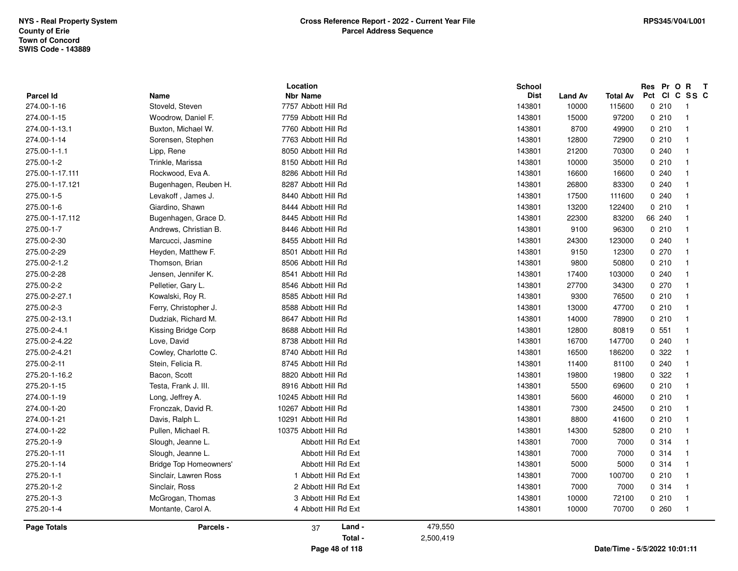| 275.20-1-11                                      | Slough, Jeanne L.                                               | Abbott Hill Rd Ext                                                | 143801                          | 7000                    | 7000                      | 0.314                               | -1                                        |
|--------------------------------------------------|-----------------------------------------------------------------|-------------------------------------------------------------------|---------------------------------|-------------------------|---------------------------|-------------------------------------|-------------------------------------------|
| 275.20-1-14                                      | <b>Bridge Top Homeowners'</b>                                   | Abbott Hill Rd Ext                                                | 143801                          | 5000                    | 5000                      | 0.314                               | $\overline{\mathbf{1}}$                   |
| 274.00-1-22                                      | Pullen, Michael R.                                              | 10375 Abbott Hill Rd                                              | 143801                          | 14300                   | 52800                     | 0210                                |                                           |
| 275.20-1-9                                       | Slough, Jeanne L.                                               | Abbott Hill Rd Ext                                                | 143801                          | 7000                    | 7000                      | 0.314                               |                                           |
| 274.00-1-20                                      | Fronczak, David R.                                              | 10267 Abbott Hill Rd                                              | 143801                          | 7300                    | 24500                     | 0210                                | -1                                        |
| 274.00-1-21                                      | Davis, Ralph L.                                                 | 10291 Abbott Hill Rd                                              | 143801                          | 8800                    | 41600                     | 0210                                | -1                                        |
| 275.20-1-15                                      | Testa, Frank J. III.                                            | 8916 Abbott Hill Rd                                               | 143801                          | 5500                    | 69600                     | 0210                                |                                           |
| 274.00-1-19                                      | Long, Jeffrey A.                                                | 10245 Abbott Hill Rd                                              | 143801                          | 5600                    | 46000                     | 0210                                |                                           |
| 275.00-2-11                                      | Stein, Felicia R.                                               | 8745 Abbott Hill Rd                                               | 143801                          | 11400                   | 81100                     | 0.240                               | - 1                                       |
| 275.20-1-16.2                                    | Bacon, Scott                                                    | 8820 Abbott Hill Rd                                               | 143801                          | 19800                   | 19800                     | 0.322                               | -1                                        |
| 275.00-2-4.22                                    | Love, David                                                     | 8738 Abbott Hill Rd                                               | 143801                          | 16700                   | 147700                    | 0.240                               | -1                                        |
| 275.00-2-4.21                                    | Cowley, Charlotte C.                                            | 8740 Abbott Hill Rd                                               | 143801                          | 16500                   | 186200                    | 0.322                               |                                           |
| 275.00-2-4.1                                     | Kissing Bridge Corp                                             | 8688 Abbott Hill Rd                                               | 143801                          | 12800                   | 80819                     | 0.551                               | - 1                                       |
| 275.00-2-3                                       | Ferry, Christopher J.                                           | 8588 Abbott Hill Rd                                               | 143801                          | 13000                   | 47700                     | 0210                                | -1                                        |
| 275.00-2-13.1                                    | Dudziak, Richard M.                                             | 8647 Abbott Hill Rd                                               | 143801                          | 14000                   | 78900                     | 0210                                |                                           |
| 275.00-2-2                                       | Pelletier, Gary L.                                              | 8546 Abbott Hill Rd                                               | 143801                          | 27700                   | 34300                     | 0270                                |                                           |
| 275.00-2-27.1                                    | Kowalski, Roy R.                                                | 8585 Abbott Hill Rd                                               | 143801                          | 9300                    | 76500                     | 0210                                |                                           |
| 275.00-2-1.2                                     | Thomson, Brian                                                  | 8506 Abbott Hill Rd                                               | 143801                          | 9800                    | 50800                     | 0210                                | -1                                        |
| 275.00-2-28                                      | Jensen, Jennifer K.                                             | 8541 Abbott Hill Rd                                               | 143801                          | 17400                   | 103000                    | 0240                                | -1                                        |
| 275.00-2-29                                      | Heyden, Matthew F.                                              | 8501 Abbott Hill Rd                                               | 143801                          | 9150                    | 12300                     | 0270                                | - 1                                       |
| 275.00-1-7                                       | Andrews, Christian B.                                           | 8446 Abbott Hill Rd                                               | 143801                          | 9100                    | 96300                     | 0210                                | -1                                        |
| 275.00-2-30                                      | Marcucci, Jasmine                                               | 8455 Abbott Hill Rd                                               | 143801                          | 24300                   | 123000                    | 0240                                |                                           |
| 275.00-1-6                                       | Giardino, Shawn                                                 | 8444 Abbott Hill Rd                                               | 143801                          | 13200                   | 122400                    | 0210                                | -1                                        |
| 275.00-1-17.112                                  | Bugenhagen, Grace D.                                            | 8445 Abbott Hill Rd                                               | 143801                          | 22300                   | 83200                     | 66 240                              |                                           |
| 275.00-1-17.111<br>275.00-1-17.121<br>275.00-1-5 | Rockwood, Eva A.<br>Bugenhagen, Reuben H.<br>Levakoff, James J. | 8286 Abbott Hill Rd<br>8287 Abbott Hill Rd<br>8440 Abbott Hill Rd | 143801<br>143801<br>143801      | 16600<br>26800<br>17500 | 16600<br>83300<br>111600  | 0.240<br>0.240<br>0.240             | -1<br>- 1                                 |
| 275.00-1-1.1                                     | Lipp, Rene                                                      | 8050 Abbott Hill Rd                                               | 143801                          | 21200                   | 70300                     | 0.240                               |                                           |
| 275.00-1-2                                       | Trinkle, Marissa                                                | 8150 Abbott Hill Rd                                               | 143801                          | 10000                   | 35000                     | 0210                                |                                           |
| 274.00-1-15<br>274.00-1-13.1<br>274.00-1-14      | Woodrow, Daniel F.<br>Buxton, Michael W.<br>Sorensen, Stephen   | 7759 Abbott Hill Rd<br>7760 Abbott Hill Rd<br>7763 Abbott Hill Rd | 143801<br>143801<br>143801      | 15000<br>8700<br>12800  | 97200<br>49900<br>72900   | 0210<br>0210<br>0210                | $\overline{1}$<br>$\overline{\mathbf{1}}$ |
| <b>Parcel Id</b><br>274.00-1-16                  | Name<br>Stoveld, Steven                                         | Location<br><b>Nbr Name</b><br>7757 Abbott Hill Rd                | School<br><b>Dist</b><br>143801 | Land Av<br>10000        | <b>Total Av</b><br>115600 | Res Pr O R<br>Pct CI C SS C<br>0210 | $\mathbf{T}$<br>- 1                       |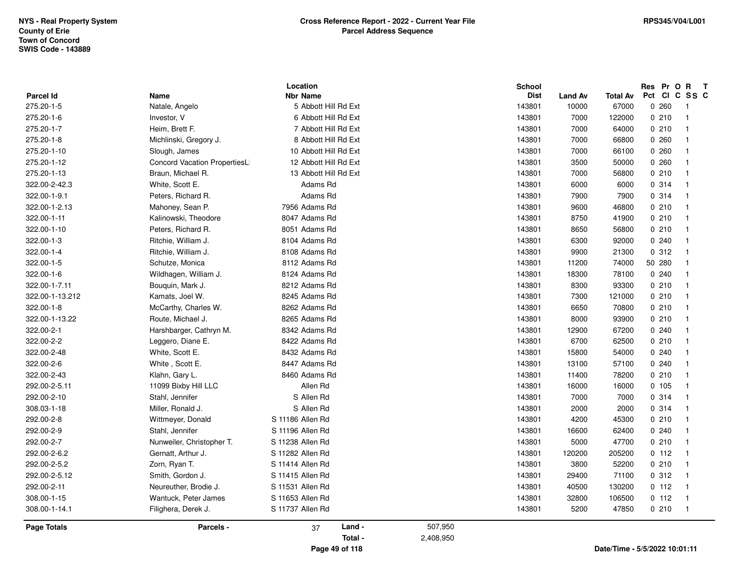|                    |                              | Location              |           | <b>School</b> |                |                 | Res Pr O R T |                          |
|--------------------|------------------------------|-----------------------|-----------|---------------|----------------|-----------------|--------------|--------------------------|
| <b>Parcel Id</b>   | Name                         | <b>Nbr Name</b>       |           | <b>Dist</b>   | <b>Land Av</b> | <b>Total Av</b> | Pct          | CI C SS C                |
| 275.20-1-5         | Natale, Angelo               | 5 Abbott Hill Rd Ext  |           | 143801        | 10000          | 67000           | 0.260        | $\overline{1}$           |
| 275.20-1-6         | Investor, V                  | 6 Abbott Hill Rd Ext  |           | 143801        | 7000           | 122000          | 0210         | $\overline{1}$           |
| 275.20-1-7         | Heim, Brett F.               | 7 Abbott Hill Rd Ext  |           | 143801        | 7000           | 64000           | 0210         | $\mathbf{1}$             |
| 275.20-1-8         | Michlinski, Gregory J.       | 8 Abbott Hill Rd Ext  |           | 143801        | 7000           | 66800           | 0.260        | $\overline{1}$           |
| 275.20-1-10        | Slough, James                | 10 Abbott Hill Rd Ext |           | 143801        | 7000           | 66100           | 0.260        | $\overline{\mathbf{1}}$  |
| 275.20-1-12        | Concord Vacation PropertiesL | 12 Abbott Hill Rd Ext |           | 143801        | 3500           | 50000           | 0.260        | $\overline{\mathbf{1}}$  |
| 275.20-1-13        | Braun, Michael R.            | 13 Abbott Hill Rd Ext |           | 143801        | 7000           | 56800           | 0210         | $\overline{1}$           |
| 322.00-2-42.3      | White, Scott E.              | Adams Rd              |           | 143801        | 6000           | 6000            | 0.314        | $\overline{1}$           |
| 322.00-1-9.1       | Peters, Richard R.           | Adams Rd              |           | 143801        | 7900           | 7900            | 0.314        | $\overline{1}$           |
| 322.00-1-2.13      | Mahoney, Sean P.             | 7956 Adams Rd         |           | 143801        | 9600           | 46800           | 0210         |                          |
| 322.00-1-11        | Kalinowski, Theodore         | 8047 Adams Rd         |           | 143801        | 8750           | 41900           | 0210         | -1                       |
| 322.00-1-10        | Peters, Richard R.           | 8051 Adams Rd         |           | 143801        | 8650           | 56800           | 0210         | $\overline{\mathbf{1}}$  |
| 322.00-1-3         | Ritchie, William J.          | 8104 Adams Rd         |           | 143801        | 6300           | 92000           | 0.240        | $\overline{1}$           |
| 322.00-1-4         | Ritchie, William J.          | 8108 Adams Rd         |           | 143801        | 9900           | 21300           | 0.312        | $\overline{1}$           |
| 322.00-1-5         | Schutze, Monica              | 8112 Adams Rd         |           | 143801        | 11200          | 74000           | 50 280       | $\mathbf{1}$             |
| 322.00-1-6         | Wildhagen, William J.        | 8124 Adams Rd         |           | 143801        | 18300          | 78100           | 0.240        | $\overline{\mathbf{1}}$  |
| 322.00-1-7.11      | Bouquin, Mark J.             | 8212 Adams Rd         |           | 143801        | 8300           | 93300           | 0210         | $\overline{1}$           |
| 322.00-1-13.212    | Kamats, Joel W.              | 8245 Adams Rd         |           | 143801        | 7300           | 121000          | 0210         | $\overline{\mathbf{1}}$  |
| 322.00-1-8         | McCarthy, Charles W.         | 8262 Adams Rd         |           | 143801        | 6650           | 70800           | 0210         | $\overline{\mathbf{1}}$  |
| 322.00-1-13.22     | Route, Michael J.            | 8265 Adams Rd         |           | 143801        | 8000           | 93900           | 0210         | $\overline{\mathbf{1}}$  |
| 322.00-2-1         | Harshbarger, Cathryn M.      | 8342 Adams Rd         |           | 143801        | 12900          | 67200           | 0.240        | $\overline{\mathbf{1}}$  |
| 322.00-2-2         | Leggero, Diane E.            | 8422 Adams Rd         |           | 143801        | 6700           | 62500           | 0210         | $\overline{1}$           |
| 322.00-2-48        | White, Scott E.              | 8432 Adams Rd         |           | 143801        | 15800          | 54000           | 0.240        | $\mathbf{1}$             |
| 322.00-2-6         | White, Scott E.              | 8447 Adams Rd         |           | 143801        | 13100          | 57100           | 0.240        | $\overline{1}$           |
| 322.00-2-43        | Klahn, Gary L.               | 8460 Adams Rd         |           | 143801        | 11400          | 78200           | 0210         | $\overline{1}$           |
| 292.00-2-5.11      | 11099 Bixby Hill LLC         | Allen Rd              |           | 143801        | 16000          | 16000           | 0, 105       | $\overline{1}$           |
| 292.00-2-10        | Stahl, Jennifer              | S Allen Rd            |           | 143801        | 7000           | 7000            | 0 314        | $\overline{1}$           |
| 308.03-1-18        | Miller, Ronald J.            | S Allen Rd            |           | 143801        | 2000           | 2000            | 0 314        | $\overline{1}$           |
| 292.00-2-8         | Wittmeyer, Donald            | S 11186 Allen Rd      |           | 143801        | 4200           | 45300           | 0210         | $\overline{1}$           |
| 292.00-2-9         | Stahl, Jennifer              | S 11196 Allen Rd      |           | 143801        | 16600          | 62400           | 0.240        | $\overline{1}$           |
| 292.00-2-7         | Nunweiler, Christopher T.    | S 11238 Allen Rd      |           | 143801        | 5000           | 47700           | 0210         | $\overline{\mathbf{1}}$  |
| 292.00-2-6.2       | Gernatt, Arthur J.           | S 11282 Allen Rd      |           | 143801        | 120200         | 205200          | $0$ 112      | $\blacksquare$           |
| 292.00-2-5.2       | Zorn, Ryan T.                | S 11414 Allen Rd      |           | 143801        | 3800           | 52200           | 0210         | $\overline{1}$           |
| 292.00-2-5.12      | Smith, Gordon J.             | S 11415 Allen Rd      |           | 143801        | 29400          | 71100           | 0.312        | $\overline{\phantom{0}}$ |
| 292.00-2-11        | Neureuther, Brodie J.        | S 11531 Allen Rd      |           | 143801        | 40500          | 130200          | 0 112        | $\overline{1}$           |
| 308.00-1-15        | Wantuck, Peter James         | S 11653 Allen Rd      |           | 143801        | 32800          | 106500          | 0 112        | $\blacksquare$           |
| 308.00-1-14.1      | Filighera, Derek J.          | S 11737 Allen Rd      |           | 143801        | 5200           | 47850           | 0210         | $\overline{1}$           |
| <b>Page Totals</b> | Parcels -                    | Land -<br>37          | 507,950   |               |                |                 |              |                          |
|                    |                              | Total -               | 2,408,950 |               |                |                 |              |                          |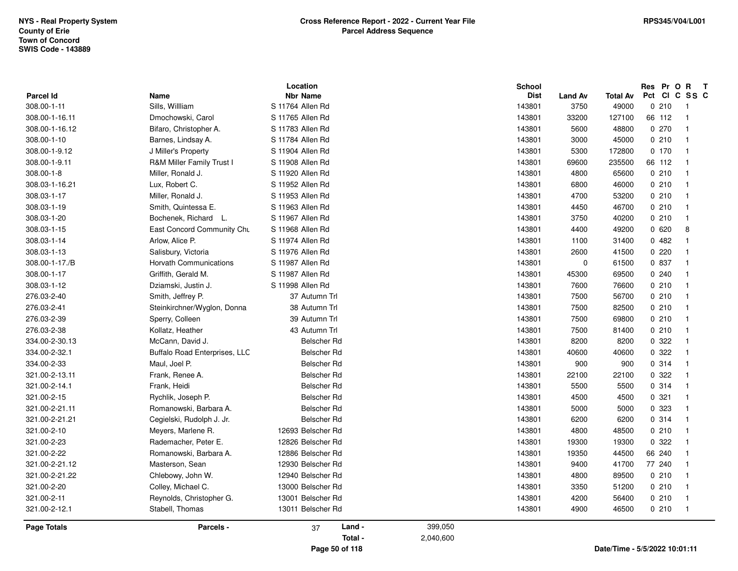|                    |                               | Location                |                      | <b>School</b> |                |                 | Res Pr O |        | R T                     |  |
|--------------------|-------------------------------|-------------------------|----------------------|---------------|----------------|-----------------|----------|--------|-------------------------|--|
| <b>Parcel Id</b>   | Name                          | <b>Nbr Name</b>         |                      | <b>Dist</b>   | <b>Land Av</b> | <b>Total Av</b> |          |        | Pct CI C SS C           |  |
| 308.00-1-11        | Sills, Willliam               | S 11764 Allen Rd        |                      | 143801        | 3750           | 49000           |          | 0210   | -1                      |  |
| 308.00-1-16.11     | Dmochowski, Carol             | S 11765 Allen Rd        |                      | 143801        | 33200          | 127100          | 66 112   |        | $\overline{\mathbf{1}}$ |  |
| 308.00-1-16.12     | Bifaro, Christopher A.        | S 11783 Allen Rd        |                      | 143801        | 5600           | 48800           |          | 0270   | $\overline{1}$          |  |
| 308.00-1-10        | Barnes, Lindsay A.            | S 11784 Allen Rd        |                      | 143801        | 3000           | 45000           |          | 0.210  | $\overline{1}$          |  |
| 308.00-1-9.12      | J Miller's Property           | S 11904 Allen Rd        |                      | 143801        | 5300           | 172800          |          | 0, 170 | $\overline{1}$          |  |
| 308.00-1-9.11      | R&M Miller Family Trust I     | S 11908 Allen Rd        |                      | 143801        | 69600          | 235500          | 66 112   |        | $\mathbf{1}$            |  |
| 308.00-1-8         | Miller, Ronald J.             | S 11920 Allen Rd        |                      | 143801        | 4800           | 65600           |          | 0210   | $\overline{\mathbf{1}}$ |  |
| 308.03-1-16.21     | Lux, Robert C.                | S 11952 Allen Rd        |                      | 143801        | 6800           | 46000           |          | 0210   | $\overline{1}$          |  |
| 308.03-1-17        | Miller, Ronald J.             | S 11953 Allen Rd        |                      | 143801        | 4700           | 53200           |          | 0210   | $\overline{1}$          |  |
| 308.03-1-19        | Smith, Quintessa E.           | S 11963 Allen Rd        |                      | 143801        | 4450           | 46700           |          | 0.210  | $\overline{1}$          |  |
| 308.03-1-20        | Bochenek, Richard L.          | S 11967 Allen Rd        |                      | 143801        | 3750           | 40200           |          | 0210   | $\mathbf{1}$            |  |
| 308.03-1-15        | East Concord Community Chu    | S 11968 Allen Rd        |                      | 143801        | 4400           | 49200           |          | 0620   | 8                       |  |
| 308.03-1-14        | Arlow, Alice P.               | S 11974 Allen Rd        |                      | 143801        | 1100           | 31400           |          | 0482   | $\mathbf{1}$            |  |
| 308.03-1-13        | Salisbury, Victoria           | S 11976 Allen Rd        |                      | 143801        | 2600           | 41500           |          | 0220   | $\mathbf{1}$            |  |
| 308.00-1-17./B     | <b>Horvath Communications</b> | S 11987 Allen Rd        |                      | 143801        | $\mathbf 0$    | 61500           |          | 0 837  | $\overline{1}$          |  |
| 308.00-1-17        | Griffith, Gerald M.           | S 11987 Allen Rd        |                      | 143801        | 45300          | 69500           |          | 0.240  | $\overline{1}$          |  |
| 308.03-1-12        | Dziamski, Justin J.           | S 11998 Allen Rd        |                      | 143801        | 7600           | 76600           |          | 0210   | $\overline{1}$          |  |
| 276.03-2-40        | Smith, Jeffrey P.             | 37 Autumn Trl           |                      | 143801        | 7500           | 56700           |          | 0210   | $\mathbf{1}$            |  |
| 276.03-2-41        | Steinkirchner/Wyglon, Donna   | 38 Autumn Trl           |                      | 143801        | 7500           | 82500           |          | 0210   | $\mathbf{1}$            |  |
| 276.03-2-39        | Sperry, Colleen               | 39 Autumn Trl           |                      | 143801        | 7500           | 69800           |          | 0210   | $\overline{1}$          |  |
| 276.03-2-38        | Kollatz, Heather              | 43 Autumn Trl           |                      | 143801        | 7500           | 81400           |          | 0210   | $\overline{1}$          |  |
| 334.00-2-30.13     | McCann, David J.              | Belscher Rd             |                      | 143801        | 8200           | 8200            |          | 0.322  | $\overline{1}$          |  |
| 334.00-2-32.1      | Buffalo Road Enterprises, LLC | Belscher Rd             |                      | 143801        | 40600          | 40600           |          | 0.322  | $\overline{1}$          |  |
| 334.00-2-33        | Maul, Joel P.                 | Belscher Rd             |                      | 143801        | 900            | 900             |          | 0.314  | $\mathbf{1}$            |  |
| 321.00-2-13.11     | Frank, Renee A.               | Belscher Rd             |                      | 143801        | 22100          | 22100           |          | 0.322  | $\mathbf{1}$            |  |
| 321.00-2-14.1      | Frank, Heidi                  | Belscher Rd             |                      | 143801        | 5500           | 5500            |          | 0.314  | $\mathbf{1}$            |  |
| 321.00-2-15        | Rychlik, Joseph P.            | Belscher Rd             |                      | 143801        | 4500           | 4500            |          | 0.321  | $\overline{1}$          |  |
| 321.00-2-21.11     | Romanowski, Barbara A.        | <b>Belscher Rd</b>      |                      | 143801        | 5000           | 5000            |          | 0 323  | $\mathbf{1}$            |  |
| 321.00-2-21.21     | Cegielski, Rudolph J. Jr.     | Belscher Rd             |                      | 143801        | 6200           | 6200            |          | 0.314  | $\overline{1}$          |  |
| 321.00-2-10        | Meyers, Marlene R.            | 12693 Belscher Rd       |                      | 143801        | 4800           | 48500           |          | 0210   | $\mathbf{1}$            |  |
| 321.00-2-23        | Rademacher, Peter E.          | 12826 Belscher Rd       |                      | 143801        | 19300          | 19300           |          | 0.322  | $\overline{1}$          |  |
| 321.00-2-22        | Romanowski, Barbara A.        | 12886 Belscher Rd       |                      | 143801        | 19350          | 44500           | 66 240   |        | $\overline{1}$          |  |
| 321.00-2-21.12     | Masterson, Sean               | 12930 Belscher Rd       |                      | 143801        | 9400           | 41700           | 77 240   |        | $\mathbf{1}$            |  |
| 321.00-2-21.22     | Chlebowy, John W.             | 12940 Belscher Rd       |                      | 143801        | 4800           | 89500           |          | 0.210  | $\overline{1}$          |  |
| 321.00-2-20        | Colley, Michael C.            | 13000 Belscher Rd       |                      | 143801        | 3350           | 51200           |          | 0210   | $\overline{1}$          |  |
| 321.00-2-11        | Reynolds, Christopher G.      | 13001 Belscher Rd       |                      | 143801        | 4200           | 56400           |          | 0210   | $\mathbf{1}$            |  |
| 321.00-2-12.1      | Stabell, Thomas               | 13011 Belscher Rd       |                      | 143801        | 4900           | 46500           |          | 0210   | $\overline{\mathbf{1}}$ |  |
| <b>Page Totals</b> | Parcels -                     | Land -<br>37<br>Total - | 399,050<br>2,040,600 |               |                |                 |          |        |                         |  |

**Page 50 of 118**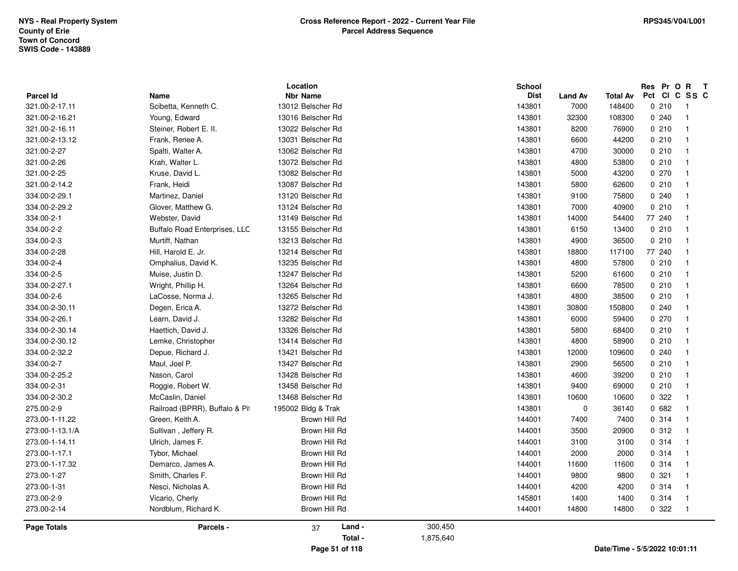|                    |                                | Location           |           | School      |                |                               |        | Res Pr O R | $\mathbf{T}$            |  |
|--------------------|--------------------------------|--------------------|-----------|-------------|----------------|-------------------------------|--------|------------|-------------------------|--|
| Parcel Id          | Name                           | <b>Nbr Name</b>    |           | <b>Dist</b> | <b>Land Av</b> | Total Av                      | Pct Cl |            | C SS C                  |  |
| 321.00-2-17.11     | Scibetta, Kenneth C.           | 13012 Belscher Rd  |           | 143801      | 7000           | 148400                        |        | 0210       | - 1                     |  |
| 321.00-2-16.21     | Young, Edward                  | 13016 Belscher Rd  |           | 143801      | 32300          | 108300                        |        | 0.240      | $\overline{1}$          |  |
| 321.00-2-16.11     | Steiner, Robert E. II.         | 13022 Belscher Rd  |           | 143801      | 8200           | 76900                         |        | 0210       | $\overline{\mathbf{1}}$ |  |
| 321.00-2-13.12     | Frank, Renee A.                | 13031 Belscher Rd  |           | 143801      | 6600           | 44200                         |        | 0210       | $\overline{\mathbf{1}}$ |  |
| 321.00-2-27        | Spalti, Walter A.              | 13062 Belscher Rd  |           | 143801      | 4700           | 30000                         |        | 0210       | $\overline{\mathbf{1}}$ |  |
| 321.00-2-26        | Krah, Walter L.                | 13072 Belscher Rd  |           | 143801      | 4800           | 53800                         |        | 0210       | $\overline{\mathbf{1}}$ |  |
| 321.00-2-25        | Kruse, David L.                | 13082 Belscher Rd  |           | 143801      | 5000           | 43200                         |        | 0270       | $\overline{1}$          |  |
| 321.00-2-14.2      | Frank, Heidi                   | 13087 Belscher Rd  |           | 143801      | 5800           | 62600                         |        | 0210       | -1                      |  |
| 334.00-2-29.1      | Martinez, Daniel               | 13120 Belscher Rd  |           | 143801      | 9100           | 75800                         |        | 0.240      | $\overline{\mathbf{1}}$ |  |
| 334.00-2-29.2      | Glover, Matthew G.             | 13124 Belscher Rd  |           | 143801      | 7000           | 40900                         |        | 0210       | -1                      |  |
| 334.00-2-1         | Webster, David                 | 13149 Belscher Rd  |           | 143801      | 14000          | 54400                         |        | 77 240     | -1                      |  |
| 334.00-2-2         | Buffalo Road Enterprises, LLC  | 13155 Belscher Rd  |           | 143801      | 6150           | 13400                         |        | 0210       | -1                      |  |
| 334.00-2-3         | Murtiff, Nathan                | 13213 Belscher Rd  |           | 143801      | 4900           | 36500                         |        | 0210       | -1                      |  |
| 334.00-2-28        | Hill, Harold E. Jr.            | 13214 Belscher Rd  |           | 143801      | 18800          | 117100                        |        | 77 240     | $\overline{\mathbf{1}}$ |  |
| 334.00-2-4         | Omphalius, David K.            | 13235 Belscher Rd  |           | 143801      | 4800           | 57800                         |        | 0210       | $\overline{1}$          |  |
| 334.00-2-5         | Muise, Justin D.               | 13247 Belscher Rd  |           | 143801      | 5200           | 61600                         |        | 0210       | $\overline{\mathbf{1}}$ |  |
| 334.00-2-27.1      | Wright, Phillip H.             | 13264 Belscher Rd  |           | 143801      | 6600           | 78500                         |        | 0210       | -1                      |  |
| 334.00-2-6         | LaCosse, Norma J.              | 13265 Belscher Rd  |           | 143801      | 4800           | 38500                         |        | 0210       | $\mathbf{1}$            |  |
| 334.00-2-30.11     | Degen, Erica A.                | 13272 Belscher Rd  |           | 143801      | 30800          | 150800                        |        | 0240       | -1                      |  |
| 334.00-2-26.1      | Learn, David J.                | 13282 Belscher Rd  |           | 143801      | 6000           | 59400                         |        | 0270       | $\overline{1}$          |  |
| 334.00-2-30.14     | Haettich, David J.             | 13326 Belscher Rd  |           | 143801      | 5800           | 68400                         |        | 0210       | -1                      |  |
| 334.00-2-30.12     | Lemke, Christopher             | 13414 Belscher Rd  |           | 143801      | 4800           | 58900                         |        | 0210       | -1                      |  |
| 334.00-2-32.2      | Depue, Richard J.              | 13421 Belscher Rd  |           | 143801      | 12000          | 109600                        |        | 0.240      | -1                      |  |
| 334.00-2-7         | Maul, Joel P.                  | 13427 Belscher Rd  |           | 143801      | 2900           | 56500                         |        | 0210       | -1                      |  |
| 334.00-2-25.2      | Nason, Carol                   | 13428 Belscher Rd  |           | 143801      | 4600           | 39200                         |        | 0.210      | $\overline{\mathbf{1}}$ |  |
| 334.00-2-31        | Roggie, Robert W.              | 13458 Belscher Rd  |           | 143801      | 9400           | 69000                         |        | 0210       | -1                      |  |
| 334.00-2-30.2      | McCaslin, Daniel               | 13468 Belscher Rd  |           | 143801      | 10600          | 10600                         |        | 0.322      | $\overline{\mathbf{1}}$ |  |
| 275.00-2-9         | Railroad (BPRR), Buffalo & Pit | 195002 Bldg & Trak |           | 143801      | $\mathbf 0$    | 36140                         |        | 0682       | $\overline{\mathbf{1}}$ |  |
| 273.00-1-11.22     | Green, Keith A.                | Brown Hill Rd      |           | 144001      | 7400           | 7400                          |        | 0 314      | $\overline{\mathbf{1}}$ |  |
| 273.00-1-13.1/A    | Sullivan, Jeffery R.           | Brown Hill Rd      |           | 144001      | 3500           | 20900                         |        | 0.312      | -1                      |  |
| 273.00-1-14.11     | Ulrich, James F.               | Brown Hill Rd      |           | 144001      | 3100           | 3100                          |        | 0.314      | $\overline{\mathbf{1}}$ |  |
| 273.00-1-17.1      | Tybor, Michael                 | Brown Hill Rd      |           | 144001      | 2000           | 2000                          |        | 0.314      | -1                      |  |
| 273.00-1-17.32     | Demarco, James A.              | Brown Hill Rd      |           | 144001      | 11600          | 11600                         |        | 0 314      | -1                      |  |
| 273.00-1-27        | Smith, Charles F.              | Brown Hill Rd      |           | 144001      | 9800           | 9800                          |        | 0.321      | -1                      |  |
| 273.00-1-31        | Nesci, Nicholas A.             | Brown Hill Rd      |           | 144001      | 4200           | 4200                          |        | 0.314      | -1                      |  |
| 273.00-2-9         | Vicario, Cherly                | Brown Hill Rd      |           | 145801      | 1400           | 1400                          |        | 0.314      | -1                      |  |
| 273.00-2-14        | Nordblum, Richard K.           | Brown Hill Rd      |           | 144001      | 14800          | 14800                         |        | 0.322      | $\overline{1}$          |  |
| <b>Page Totals</b> | <b>Parcels -</b>               | Land -<br>37       | 300,450   |             |                |                               |        |            |                         |  |
|                    |                                | Total -            | 1,875,640 |             |                |                               |        |            |                         |  |
|                    |                                | Page 51 of 118     |           |             |                | Date/Time - 5/5/2022 10:01:11 |        |            |                         |  |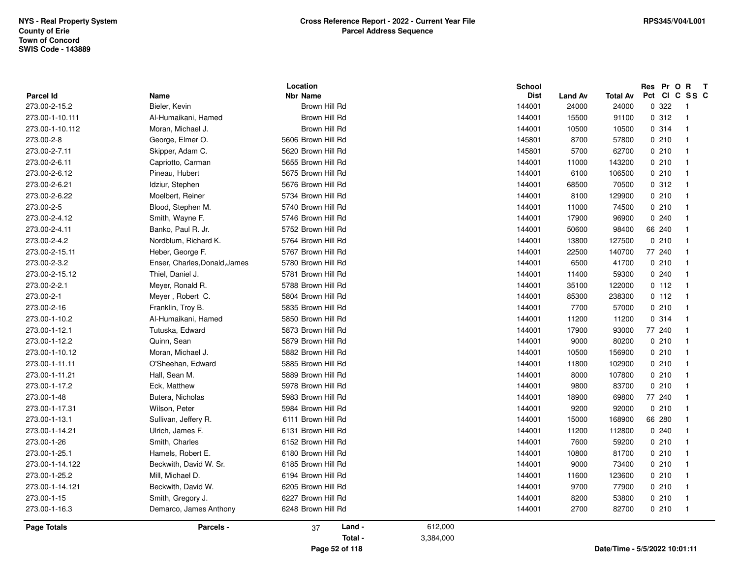| Parcel Id          | Name                          | Location<br><b>Nbr Name</b> |           | <b>School</b><br><b>Dist</b> | <b>Land Av</b> | <b>Total Av</b>               | Pct Cl | Res Pr O R              | $\mathbf{T}$<br>C SS C |
|--------------------|-------------------------------|-----------------------------|-----------|------------------------------|----------------|-------------------------------|--------|-------------------------|------------------------|
| 273.00-2-15.2      | Bieler, Kevin                 | Brown Hill Rd               |           | 144001                       | 24000          | 24000                         | 0.322  | - 1                     |                        |
| 273.00-1-10.111    | Al-Humaikani, Hamed           | Brown Hill Rd               |           | 144001                       | 15500          | 91100                         | 0.312  | $\overline{1}$          |                        |
| 273.00-1-10.112    | Moran, Michael J.             | Brown Hill Rd               |           | 144001                       | 10500          | 10500                         | 0.314  | $\overline{1}$          |                        |
| 273.00-2-8         | George, Elmer O.              | 5606 Brown Hill Rd          |           | 145801                       | 8700           | 57800                         | 0210   | -1                      |                        |
| 273.00-2-7.11      | Skipper, Adam C.              | 5620 Brown Hill Rd          |           | 145801                       | 5700           | 62700                         | 0210   | -1                      |                        |
| 273.00-2-6.11      | Capriotto, Carman             | 5655 Brown Hill Rd          |           | 144001                       | 11000          | 143200                        | 0210   | -1                      |                        |
| 273.00-2-6.12      | Pineau, Hubert                | 5675 Brown Hill Rd          |           | 144001                       | 6100           | 106500                        | 0210   | -1                      |                        |
| 273.00-2-6.21      | Idziur, Stephen               | 5676 Brown Hill Rd          |           | 144001                       | 68500          | 70500                         | 0.312  | -1                      |                        |
| 273.00-2-6.22      | Moelbert, Reiner              | 5734 Brown Hill Rd          |           | 144001                       | 8100           | 129900                        | 0210   | -1                      |                        |
| 273.00-2-5         | Blood, Stephen M.             | 5740 Brown Hill Rd          |           | 144001                       | 11000          | 74500                         | 0210   | - 1                     |                        |
| 273.00-2-4.12      | Smith, Wayne F.               | 5746 Brown Hill Rd          |           | 144001                       | 17900          | 96900                         | 0.240  | - 1                     |                        |
| 273.00-2-4.11      | Banko, Paul R. Jr.            | 5752 Brown Hill Rd          |           | 144001                       | 50600          | 98400                         | 66 240 | -1                      |                        |
| 273.00-2-4.2       | Nordblum, Richard K.          | 5764 Brown Hill Rd          |           | 144001                       | 13800          | 127500                        | 0210   |                         |                        |
| 273.00-2-15.11     | Heber, George F.              | 5767 Brown Hill Rd          |           | 144001                       | 22500          | 140700                        | 77 240 | $\overline{\mathbf{1}}$ |                        |
| 273.00-2-3.2       | Enser, Charles, Donald, James | 5780 Brown Hill Rd          |           | 144001                       | 6500           | 41700                         | 0210   | -1                      |                        |
| 273.00-2-15.12     | Thiel, Daniel J.              | 5781 Brown Hill Rd          |           | 144001                       | 11400          | 59300                         | 0.240  | $\overline{1}$          |                        |
| 273.00-2-2.1       | Meyer, Ronald R.              | 5788 Brown Hill Rd          |           | 144001                       | 35100          | 122000                        | 0.112  | $\overline{1}$          |                        |
| 273.00-2-1         | Meyer, Robert C.              | 5804 Brown Hill Rd          |           | 144001                       | 85300          | 238300                        | 0.112  | -1                      |                        |
| 273.00-2-16        | Franklin, Troy B.             | 5835 Brown Hill Rd          |           | 144001                       | 7700           | 57000                         | 0210   | - 1                     |                        |
| 273.00-1-10.2      | Al-Humaikani, Hamed           | 5850 Brown Hill Rd          |           | 144001                       | 11200          | 11200                         | 0.314  | -1                      |                        |
| 273.00-1-12.1      | Tutuska, Edward               | 5873 Brown Hill Rd          |           | 144001                       | 17900          | 93000                         | 77 240 |                         |                        |
| 273.00-1-12.2      | Quinn, Sean                   | 5879 Brown Hill Rd          |           | 144001                       | 9000           | 80200                         | 0210   | - 1                     |                        |
| 273.00-1-10.12     | Moran, Michael J.             | 5882 Brown Hill Rd          |           | 144001                       | 10500          | 156900                        | 0210   | -1                      |                        |
| 273.00-1-11.11     | O'Sheehan, Edward             | 5885 Brown Hill Rd          |           | 144001                       | 11800          | 102900                        | 0210   | -1                      |                        |
| 273.00-1-11.21     | Hall, Sean M.                 | 5889 Brown Hill Rd          |           | 144001                       | 8000           | 107800                        | 0210   | -1                      |                        |
| 273.00-1-17.2      | Eck, Matthew                  | 5978 Brown Hill Rd          |           | 144001                       | 9800           | 83700                         | 0210   | -1                      |                        |
| 273.00-1-48        | Butera, Nicholas              | 5983 Brown Hill Rd          |           | 144001                       | 18900          | 69800                         | 77 240 | -1                      |                        |
| 273.00-1-17.31     | Wilson, Peter                 | 5984 Brown Hill Rd          |           | 144001                       | 9200           | 92000                         | 0210   | -1                      |                        |
| 273.00-1-13.1      | Sullivan, Jeffery R.          | 6111 Brown Hill Rd          |           | 144001                       | 15000          | 168900                        | 66 280 | $\overline{\mathbf{1}}$ |                        |
| 273.00-1-14.21     | Ulrich, James F.              | 6131 Brown Hill Rd          |           | 144001                       | 11200          | 112800                        | 0240   | -1                      |                        |
| 273.00-1-26        | Smith, Charles                | 6152 Brown Hill Rd          |           | 144001                       | 7600           | 59200                         | 0210   | -1                      |                        |
| 273.00-1-25.1      | Hamels, Robert E.             | 6180 Brown Hill Rd          |           | 144001                       | 10800          | 81700                         | 0210   | -1                      |                        |
| 273.00-1-14.122    | Beckwith, David W. Sr.        | 6185 Brown Hill Rd          |           | 144001                       | 9000           | 73400                         | 0210   | -1                      |                        |
| 273.00-1-25.2      | Mill, Michael D.              | 6194 Brown Hill Rd          |           | 144001                       | 11600          | 123600                        | 0210   | - 1                     |                        |
| 273.00-1-14.121    | Beckwith, David W.            | 6205 Brown Hill Rd          |           | 144001                       | 9700           | 77900                         | 0210   | -1                      |                        |
| 273.00-1-15        | Smith, Gregory J.             | 6227 Brown Hill Rd          |           | 144001                       | 8200           | 53800                         | 0210   | -1                      |                        |
| 273.00-1-16.3      | Demarco, James Anthony        | 6248 Brown Hill Rd          |           | 144001                       | 2700           | 82700                         | 0210   | $\overline{1}$          |                        |
| <b>Page Totals</b> | Parcels -                     | Land -<br>37                | 612,000   |                              |                |                               |        |                         |                        |
|                    |                               | Total -                     | 3,384,000 |                              |                |                               |        |                         |                        |
|                    |                               | Page 52 of 118              |           |                              |                | Date/Time - 5/5/2022 10:01:11 |        |                         |                        |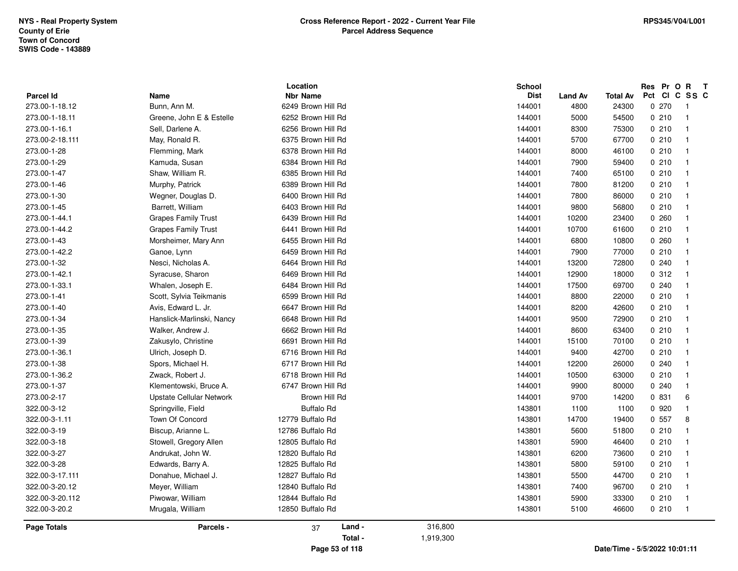|                  |                            | Location           |           | School      |                |                 | Res Pr O | $\mathbf{R}$<br>$\mathbf{T}$ |
|------------------|----------------------------|--------------------|-----------|-------------|----------------|-----------------|----------|------------------------------|
| <b>Parcel Id</b> | Name                       | <b>Nbr Name</b>    |           | <b>Dist</b> | <b>Land Av</b> | <b>Total Av</b> | Pct CI   | C SS C                       |
| 273.00-1-18.12   | Bunn, Ann M.               | 6249 Brown Hill Rd |           | 144001      | 4800           | 24300           | 0270     | - 1                          |
| 273.00-1-18.11   | Greene, John E & Estelle   | 6252 Brown Hill Rd |           | 144001      | 5000           | 54500           | 0210     | $\overline{1}$               |
| 273.00-1-16.1    | Sell, Darlene A.           | 6256 Brown Hill Rd |           | 144001      | 8300           | 75300           | 0210     | $\overline{1}$               |
| 273.00-2-18.111  | May, Ronald R.             | 6375 Brown Hill Rd |           | 144001      | 5700           | 67700           | 0210     | $\overline{1}$               |
| 273.00-1-28      | Flemming, Mark             | 6378 Brown Hill Rd |           | 144001      | 8000           | 46100           | 0210     | $\overline{1}$               |
| 273.00-1-29      | Kamuda, Susan              | 6384 Brown Hill Rd |           | 144001      | 7900           | 59400           | 0210     | $\overline{1}$               |
| 273.00-1-47      | Shaw, William R.           | 6385 Brown Hill Rd |           | 144001      | 7400           | 65100           | 0210     | $\overline{1}$               |
| 273.00-1-46      | Murphy, Patrick            | 6389 Brown Hill Rd |           | 144001      | 7800           | 81200           | 0210     | $\overline{1}$               |
| 273.00-1-30      | Wegner, Douglas D.         | 6400 Brown Hill Rd |           | 144001      | 7800           | 86000           | 0210     | -1                           |
| 273.00-1-45      | Barrett, William           | 6403 Brown Hill Rd |           | 144001      | 9800           | 56800           | 0210     | $\overline{1}$               |
| 273.00-1-44.1    | <b>Grapes Family Trust</b> | 6439 Brown Hill Rd |           | 144001      | 10200          | 23400           | 0.260    | $\overline{1}$               |
| 273.00-1-44.2    | <b>Grapes Family Trust</b> | 6441 Brown Hill Rd |           | 144001      | 10700          | 61600           | 0210     | $\overline{1}$               |
| 273.00-1-43      | Morsheimer, Mary Ann       | 6455 Brown Hill Rd |           | 144001      | 6800           | 10800           | 0.260    | $\overline{1}$               |
| 273.00-1-42.2    | Ganoe, Lynn                | 6459 Brown Hill Rd |           | 144001      | 7900           | 77000           | 0210     | $\overline{1}$               |
| 273.00-1-32      | Nesci, Nicholas A.         | 6464 Brown Hill Rd |           | 144001      | 13200          | 72800           | 0.240    | $\overline{1}$               |
| 273.00-1-42.1    | Syracuse, Sharon           | 6469 Brown Hill Rd |           | 144001      | 12900          | 18000           | 0.312    | $\overline{1}$               |
| 273.00-1-33.1    | Whalen, Joseph E.          | 6484 Brown Hill Rd |           | 144001      | 17500          | 69700           | 0.240    | $\overline{1}$               |
| 273.00-1-41      | Scott, Sylvia Teikmanis    | 6599 Brown Hill Rd |           | 144001      | 8800           | 22000           | 0210     | $\overline{1}$               |
| 273.00-1-40      | Avis, Edward L. Jr.        | 6647 Brown Hill Rd |           | 144001      | 8200           | 42600           | 0210     | - 1                          |
| 273.00-1-34      | Hanslick-Marlinski, Nancy  | 6648 Brown Hill Rd |           | 144001      | 9500           | 72900           | 0210     | -1                           |
| 273.00-1-35      | Walker, Andrew J.          | 6662 Brown Hill Rd |           | 144001      | 8600           | 63400           | 0210     | $\overline{1}$               |
| 273.00-1-39      | Zakusylo, Christine        | 6691 Brown Hill Rd |           | 144001      | 15100          | 70100           | 0210     | $\overline{1}$               |
| 273.00-1-36.1    | Ulrich, Joseph D.          | 6716 Brown Hill Rd |           | 144001      | 9400           | 42700           | 0210     | $\overline{1}$               |
| 273.00-1-38      | Spors, Michael H.          | 6717 Brown Hill Rd |           | 144001      | 12200          | 26000           | 0.240    | $\overline{1}$               |
| 273.00-1-36.2    | Zwack, Robert J.           | 6718 Brown Hill Rd |           | 144001      | 10500          | 63000           | 0210     | $\overline{1}$               |
| 273.00-1-37      | Klementowski, Bruce A.     | 6747 Brown Hill Rd |           | 144001      | 9900           | 80000           | 0.240    | $\overline{1}$               |
| 273.00-2-17      | Upstate Cellular Network   | Brown Hill Rd      |           | 144001      | 9700           | 14200           | 0 831    | 6                            |
| 322.00-3-12      | Springville, Field         | <b>Buffalo Rd</b>  |           | 143801      | 1100           | 1100            | 0 9 2 0  | $\overline{1}$               |
| 322.00-3-1.11    | Town Of Concord            | 12779 Buffalo Rd   |           | 143801      | 14700          | 19400           | 0 557    | 8                            |
| 322.00-3-19      | Biscup, Arianne L.         | 12786 Buffalo Rd   |           | 143801      | 5600           | 51800           | 0210     | $\overline{1}$               |
| 322.00-3-18      | Stowell, Gregory Allen     | 12805 Buffalo Rd   |           | 143801      | 5900           | 46400           | 0210     | $\overline{1}$               |
| 322.00-3-27      | Andrukat, John W.          | 12820 Buffalo Rd   |           | 143801      | 6200           | 73600           | 0210     | $\overline{1}$               |
| 322.00-3-28      | Edwards, Barry A.          | 12825 Buffalo Rd   |           | 143801      | 5800           | 59100           | 0210     | $\overline{1}$               |
| 322.00-3-17.111  | Donahue, Michael J.        | 12827 Buffalo Rd   |           | 143801      | 5500           | 44700           | 0210     | $\overline{1}$               |
| 322.00-3-20.12   | Meyer, William             | 12840 Buffalo Rd   |           | 143801      | 7400           | 96700           | 0210     | -1                           |
| 322.00-3-20.112  | Piwowar, William           | 12844 Buffalo Rd   |           | 143801      | 5900           | 33300           | 0210     | -1                           |
| 322.00-3-20.2    | Mrugala, William           | 12850 Buffalo Rd   |           | 143801      | 5100           | 46600           | 0210     | $\overline{\phantom{1}}$     |
| Page Totals      | Parcels -                  | Land -<br>37       | 316,800   |             |                |                 |          |                              |
|                  |                            | Total -            | 1,919,300 |             |                |                 |          |                              |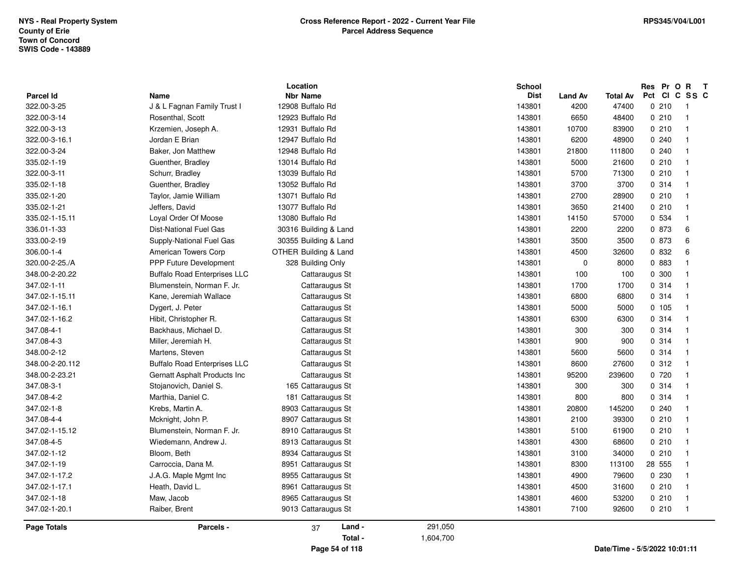|                  |                                     | Location                         |           | School      |                |                               | Res Pr O R    | $\mathbf{T}$ |
|------------------|-------------------------------------|----------------------------------|-----------|-------------|----------------|-------------------------------|---------------|--------------|
| <b>Parcel Id</b> | Name                                | <b>Nbr Name</b>                  |           | <b>Dist</b> | <b>Land Av</b> | Total Av                      | Pct CI C SS C |              |
| 322.00-3-25      | J & L Fagnan Family Trust I         | 12908 Buffalo Rd                 |           | 143801      | 4200           | 47400                         | 0210          | -1           |
| 322.00-3-14      | Rosenthal, Scott                    | 12923 Buffalo Rd                 |           | 143801      | 6650           | 48400                         | 0210          |              |
| 322.00-3-13      | Krzemien, Joseph A.                 | 12931 Buffalo Rd                 |           | 143801      | 10700          | 83900                         | 0210          |              |
| 322.00-3-16.1    | Jordan E Brian                      | 12947 Buffalo Rd                 |           | 143801      | 6200           | 48900                         | 0.240         |              |
| 322.00-3-24      | Baker, Jon Matthew                  | 12948 Buffalo Rd                 |           | 143801      | 21800          | 111800                        | 0.240         |              |
| 335.02-1-19      | Guenther, Bradley                   | 13014 Buffalo Rd                 |           | 143801      | 5000           | 21600                         | 0210          |              |
| 322.00-3-11      | Schurr, Bradley                     | 13039 Buffalo Rd                 |           | 143801      | 5700           | 71300                         | 0210          |              |
| 335.02-1-18      | Guenther, Bradley                   | 13052 Buffalo Rd                 |           | 143801      | 3700           | 3700                          | 0.314         |              |
| 335.02-1-20      | Taylor, Jamie William               | 13071 Buffalo Rd                 |           | 143801      | 2700           | 28900                         | 0210          |              |
| 335.02-1-21      | Jeffers, David                      | 13077 Buffalo Rd                 |           | 143801      | 3650           | 21400                         | 0210          |              |
| 335.02-1-15.11   | Loyal Order Of Moose                | 13080 Buffalo Rd                 |           | 143801      | 14150          | 57000                         | 0 534         |              |
| 336.01-1-33      | <b>Dist-National Fuel Gas</b>       | 30316 Building & Land            |           | 143801      | 2200           | 2200                          | 0 873         | 6            |
| 333.00-2-19      | Supply-National Fuel Gas            | 30355 Building & Land            |           | 143801      | 3500           | 3500                          | 0 873         | 6            |
| 306.00-1-4       | American Towers Corp                | <b>OTHER Building &amp; Land</b> |           | 143801      | 4500           | 32600                         | 0 832         | 6            |
| 320.00-2-25./A   | <b>PPP Future Development</b>       | 328 Building Only                |           | 143801      | $\mathbf 0$    | 8000                          | 0 883         |              |
| 348.00-2-20.22   | <b>Buffalo Road Enterprises LLC</b> | Cattaraugus St                   |           | 143801      | 100            | 100                           | 0 300         |              |
| 347.02-1-11      | Blumenstein, Norman F. Jr.          | Cattaraugus St                   |           | 143801      | 1700           | 1700                          | 0.314         |              |
| 347.02-1-15.11   | Kane, Jeremiah Wallace              | Cattaraugus St                   |           | 143801      | 6800           | 6800                          | 0.314         |              |
| 347.02-1-16.1    | Dygert, J. Peter                    | Cattaraugus St                   |           | 143801      | 5000           | 5000                          | 0 105         |              |
| 347.02-1-16.2    | Hibit, Christopher R.               | Cattaraugus St                   |           | 143801      | 6300           | 6300                          | 0.314         |              |
| 347.08-4-1       | Backhaus, Michael D.                | Cattaraugus St                   |           | 143801      | 300            | 300                           | 0.314         |              |
| 347.08-4-3       | Miller, Jeremiah H.                 | Cattaraugus St                   |           | 143801      | 900            | 900                           | 0.314         |              |
| 348.00-2-12      | Martens, Steven                     | Cattaraugus St                   |           | 143801      | 5600           | 5600                          | 0.314         |              |
| 348.00-2-20.112  | <b>Buffalo Road Enterprises LLC</b> | Cattaraugus St                   |           | 143801      | 8600           | 27600                         | 0.312         |              |
| 348.00-2-23.21   | Gernatt Asphalt Products Inc        | Cattaraugus St                   |           | 143801      | 95200          | 239600                        | 0 720         |              |
| 347.08-3-1       | Stojanovich, Daniel S.              | 165 Cattaraugus St               |           | 143801      | 300            | 300                           | 0.314         |              |
| 347.08-4-2       | Marthia, Daniel C.                  | 181 Cattaraugus St               |           | 143801      | 800            | 800                           | 0.314         |              |
| 347.02-1-8       | Krebs, Martin A.                    | 8903 Cattaraugus St              |           | 143801      | 20800          | 145200                        | 0.240         |              |
| 347.08-4-4       | Mcknight, John P.                   | 8907 Cattaraugus St              |           | 143801      | 2100           | 39300                         | 0210          |              |
| 347.02-1-15.12   | Blumenstein, Norman F. Jr.          | 8910 Cattaraugus St              |           | 143801      | 5100           | 61900                         | 0210          |              |
| 347.08-4-5       | Wiedemann, Andrew J.                | 8913 Cattaraugus St              |           | 143801      | 4300           | 68600                         | 0210          |              |
| 347.02-1-12      | Bloom, Beth                         | 8934 Cattaraugus St              |           | 143801      | 3100           | 34000                         | 0210          |              |
| 347.02-1-19      | Carroccia, Dana M.                  | 8951 Cattaraugus St              |           | 143801      | 8300           | 113100                        | 28 555        |              |
| 347.02-1-17.2    | J.A.G. Maple Mgmt Inc.              | 8955 Cattaraugus St              |           | 143801      | 4900           | 79600                         | 0 2 3 0       |              |
| 347.02-1-17.1    | Heath, David L.                     | 8961 Cattaraugus St              |           | 143801      | 4500           | 31600                         | 0210          |              |
| 347.02-1-18      | Maw, Jacob                          | 8965 Cattaraugus St              |           | 143801      | 4600           | 53200                         | 0210          |              |
| 347.02-1-20.1    | Raiber, Brent                       | 9013 Cattaraugus St              |           | 143801      | 7100           | 92600                         | 0210          |              |
| Page Totals      | Parcels -                           | Land -<br>37                     | 291,050   |             |                |                               |               |              |
|                  |                                     | Total -                          | 1,604,700 |             |                |                               |               |              |
|                  |                                     | Page 54 of 118                   |           |             |                | Date/Time - 5/5/2022 10:01:11 |               |              |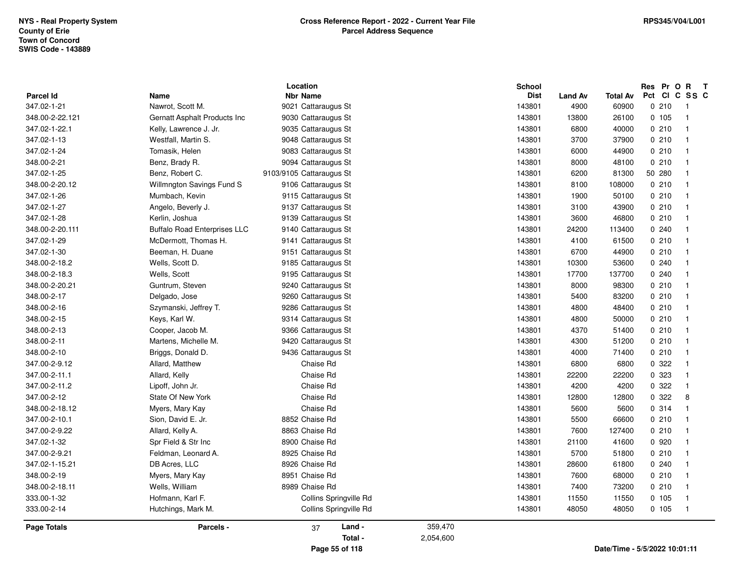| 348.00-2-10        | Briggs, Donald D.     | 9436 Cattaraugus St    |           | 143801 | 4000  | 71400  |         | $\overline{\mathbf{1}}$ |
|--------------------|-----------------------|------------------------|-----------|--------|-------|--------|---------|-------------------------|
|                    |                       |                        |           |        |       |        |         |                         |
|                    |                       |                        |           |        |       |        |         |                         |
| 348.00-2-11        | Martens, Michelle M.  | 9420 Cattaraugus St    |           | 143801 | 4300  | 51200  | 0210    |                         |
|                    |                       |                        |           |        |       |        |         | $\overline{1}$          |
|                    |                       |                        |           |        |       |        |         |                         |
| 348.00-2-15        | Keys, Karl W.         | 9314 Cattaraugus St    |           | 143801 | 4800  | 50000  | 0210    | -1                      |
|                    |                       |                        |           |        |       |        |         |                         |
| 348.00-2-16        | Szymanski, Jeffrey T. | 9286 Cattaraugus St    |           | 143801 | 4800  | 48400  | 0210    | $\overline{\mathbf{1}}$ |
|                    |                       |                        |           |        |       |        |         |                         |
|                    |                       |                        |           |        |       |        |         | $\mathbf{1}$            |
| 348.00-2-17        | Delgado, Jose         | 9260 Cattaraugus St    |           | 143801 | 5400  | 83200  | 0210    |                         |
|                    |                       |                        |           |        |       |        |         |                         |
| 348.00-2-20.21     | Guntrum, Steven       | 9240 Cattaraugus St    |           | 143801 | 8000  | 98300  | 0210    |                         |
|                    |                       |                        |           |        |       |        |         |                         |
|                    |                       |                        |           |        |       |        |         |                         |
|                    |                       |                        |           |        |       |        |         |                         |
|                    |                       |                        |           |        |       |        |         |                         |
|                    |                       |                        |           |        |       |        |         |                         |
|                    |                       |                        |           |        |       |        |         |                         |
|                    |                       |                        |           |        |       |        |         |                         |
|                    |                       |                        |           |        |       |        |         |                         |
|                    |                       |                        |           |        |       |        |         |                         |
|                    |                       |                        |           |        |       |        |         |                         |
|                    |                       |                        |           |        |       |        |         |                         |
|                    |                       |                        |           |        |       |        |         |                         |
|                    |                       |                        |           |        |       |        |         |                         |
|                    |                       |                        |           |        |       |        |         |                         |
|                    |                       |                        |           |        |       |        |         |                         |
|                    |                       |                        |           |        |       |        |         |                         |
|                    |                       |                        |           |        |       |        |         |                         |
|                    |                       |                        |           |        |       |        |         |                         |
|                    |                       |                        |           |        |       |        |         |                         |
|                    |                       |                        |           |        |       |        |         |                         |
|                    |                       |                        |           |        |       |        |         |                         |
| 348.00-2-13        |                       |                        |           | 143801 |       |        | 0.210   |                         |
|                    | Cooper, Jacob M.      | 9366 Cattaraugus St    |           |        | 4370  | 51400  |         |                         |
|                    |                       |                        |           |        |       |        |         |                         |
|                    |                       |                        |           |        |       |        |         |                         |
|                    |                       |                        |           |        |       |        |         |                         |
|                    |                       |                        |           |        |       |        |         |                         |
|                    |                       |                        |           |        |       |        | 0210    |                         |
|                    |                       |                        |           |        |       |        |         |                         |
| 347.00-2-9.12      | Allard, Matthew       | Chaise Rd              |           | 143801 | 6800  | 6800   | 0 322   | $\overline{1}$          |
|                    |                       |                        |           |        |       |        |         |                         |
| 347.00-2-11.1      | Allard, Kelly         | Chaise Rd              |           | 143801 | 22200 | 22200  | 0 323   | -1                      |
|                    |                       |                        |           |        |       |        | 0.322   |                         |
| 347.00-2-11.2      | Lipoff, John Jr.      | Chaise Rd              |           | 143801 | 4200  | 4200   |         |                         |
| 347.00-2-12        | State Of New York     | Chaise Rd              |           | 143801 | 12800 | 12800  | 0 322   | 8                       |
|                    |                       |                        |           |        |       |        |         | $\overline{1}$          |
| 348.00-2-18.12     | Myers, Mary Kay       | Chaise Rd              |           | 143801 | 5600  | 5600   | 0.314   |                         |
| 347.00-2-10.1      | Sion, David E. Jr.    | 8852 Chaise Rd         |           | 143801 | 5500  | 66600  | 0210    | -1                      |
|                    |                       |                        |           |        |       |        |         | $\overline{\mathbf{1}}$ |
| 347.00-2-9.22      | Allard, Kelly A.      | 8863 Chaise Rd         |           | 143801 | 7600  | 127400 | 0210    |                         |
| 347.02-1-32        | Spr Field & Str Inc   | 8900 Chaise Rd         |           | 143801 | 21100 | 41600  | 0 9 2 0 |                         |
|                    |                       |                        |           |        |       |        |         |                         |
| 347.00-2-9.21      | Feldman, Leonard A.   | 8925 Chaise Rd         |           | 143801 | 5700  | 51800  | 0210    | $\overline{1}$          |
| 347.02-1-15.21     | DB Acres, LLC         | 8926 Chaise Rd         |           | 143801 | 28600 | 61800  | 0.240   | $\overline{\mathbf{1}}$ |
|                    |                       |                        |           |        |       |        |         |                         |
| 348.00-2-19        | Myers, Mary Kay       | 8951 Chaise Rd         |           | 143801 | 7600  | 68000  | 0.210   | $\overline{\mathbf{1}}$ |
| 348.00-2-18.11     | Wells, William        | 8989 Chaise Rd         |           | 143801 |       |        | 0210    |                         |
|                    |                       |                        |           |        | 7400  | 73200  |         |                         |
| 333.00-1-32        | Hofmann, Karl F.      | Collins Springville Rd |           | 143801 | 11550 | 11550  | 0.105   | $\overline{1}$          |
| 333.00-2-14        |                       |                        |           |        | 48050 | 48050  | 0.105   | $\overline{1}$          |
|                    | Hutchings, Mark M.    | Collins Springville Rd |           | 143801 |       |        |         |                         |
|                    |                       |                        |           |        |       |        |         |                         |
| <b>Page Totals</b> | Parcels -             | Land -<br>37           | 359,470   |        |       |        |         |                         |
|                    |                       |                        |           |        |       |        |         |                         |
|                    |                       | Total -                | 2,054,600 |        |       |        |         |                         |
|                    |                       |                        |           |        |       |        |         |                         |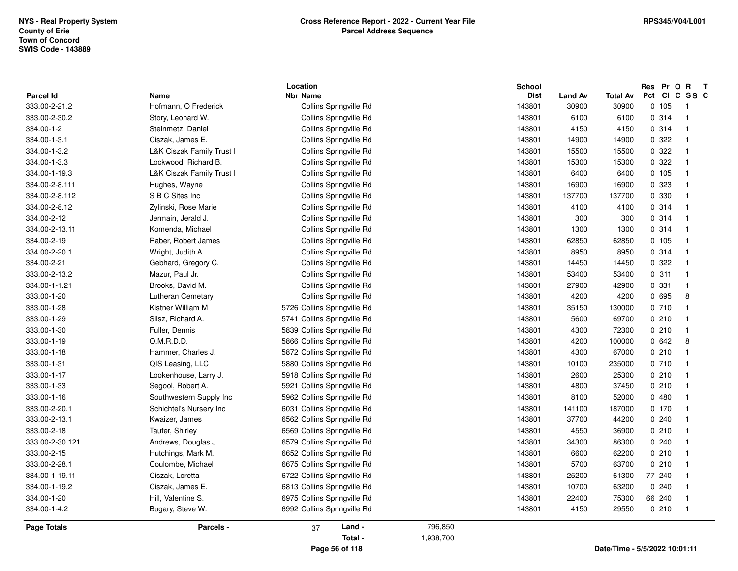| <b>Page Totals</b>              | Parcels -                                     | Land -<br>37<br>Total -                                    | 796,850<br>1,938,700 |                  |                |                 |                 |                         |
|---------------------------------|-----------------------------------------------|------------------------------------------------------------|----------------------|------------------|----------------|-----------------|-----------------|-------------------------|
|                                 |                                               |                                                            |                      |                  |                |                 |                 |                         |
| 334.00-1-20<br>334.00-1-4.2     | Hill, Valentine S.<br>Bugary, Steve W.        | 6975 Collins Springville Rd<br>6992 Collins Springville Rd |                      | 143801<br>143801 | 22400<br>4150  | 75300<br>29550  | 0210            | $\overline{1}$          |
|                                 |                                               | 6813 Collins Springville Rd                                |                      | 143801           |                | 63200           | 66 240          |                         |
| 334.00-1-19.11<br>334.00-1-19.2 | Ciszak, Loretta<br>Ciszak, James E.           | 6722 Collins Springville Rd                                |                      | 143801           | 25200<br>10700 | 61300           | 77 240<br>0.240 |                         |
| 333.00-2-28.1                   | Coulombe, Michael                             | 6675 Collins Springville Rd                                |                      | 143801           | 5700           | 63700           |                 |                         |
| 333.00-2-15                     | Hutchings, Mark M.                            | 6652 Collins Springville Rd                                |                      | 143801           | 6600           | 62200           | 0210<br>0210    | -1<br>-1                |
| 333.00-2-30.121                 | Andrews, Douglas J.                           | 6579 Collins Springville Rd                                |                      | 143801           | 34300          | 86300           | 0.240           |                         |
| 333.00-2-18                     | Taufer, Shirley                               | 6569 Collins Springville Rd                                |                      | 143801           | 4550           | 36900           | 0210            |                         |
| 333.00-2-13.1                   | Kwaizer, James                                | 6562 Collins Springville Rd                                |                      | 143801           | 37700          | 44200           | 0.240           |                         |
| 333.00-2-20.1                   | Schichtel's Nursery Inc                       | 6031 Collins Springville Rd                                |                      | 143801           | 141100         | 187000          |                 |                         |
| 333.00-1-16                     | Southwestern Supply Inc                       | 5962 Collins Springville Rd                                |                      | 143801           | 8100           | 52000           | 0.170           | -1                      |
|                                 |                                               |                                                            |                      |                  |                |                 | 0480            |                         |
| 333.00-1-33                     | Segool, Robert A.                             | 5921 Collins Springville Rd                                |                      | 143801           | 4800           | 37450           | 0210            |                         |
| 333.00-1-17                     | Lookenhouse, Larry J.                         | 5918 Collins Springville Rd                                |                      | 143801           | 2600           | 25300           | 0210            |                         |
| 333.00-1-18<br>333.00-1-31      | Hammer, Charles J.<br>QIS Leasing, LLC        | 5880 Collins Springville Rd                                |                      | 143801<br>143801 | 4300<br>10100  | 67000<br>235000 | 0210<br>0710    | -1                      |
| 333.00-1-19                     |                                               | 5866 Collins Springville Rd<br>5872 Collins Springville Rd |                      |                  |                | 100000          |                 | -1                      |
| 333.00-1-30                     | Fuller, Dennis<br>O.M.R.D.D.                  | 5839 Collins Springville Rd                                |                      | 143801<br>143801 | 4300<br>4200   | 72300           | 0210<br>0642    | -1<br>8                 |
| 333.00-1-29                     | Slisz, Richard A.                             | 5741 Collins Springville Rd                                |                      | 143801           | 5600           | 69700           | 0210            |                         |
| 333.00-1-28                     |                                               | 5726 Collins Springville Rd                                |                      | 143801           | 35150          | 130000          |                 | -1                      |
| 333.00-1-20                     | <b>Lutheran Cemetary</b><br>Kistner William M | Collins Springville Rd                                     |                      | 143801           | 4200           | 4200            | 0 695<br>0710   | 8                       |
| 334.00-1-1.21                   | Brooks, David M.                              | Collins Springville Rd                                     |                      | 143801           | 27900          | 42900           | 0 331           |                         |
| 333.00-2-13.2                   | Mazur, Paul Jr.                               | Collins Springville Rd                                     |                      | 143801           | 53400          | 53400           | 0.311           |                         |
| 334.00-2-21                     | Gebhard, Gregory C.                           | Collins Springville Rd                                     |                      | 143801           | 14450          | 14450           | 0.322           | $\overline{\mathbf{1}}$ |
| 334.00-2-20.1                   | Wright, Judith A.                             | Collins Springville Rd                                     |                      | 143801           | 8950           | 8950            | 0.314           | -1                      |
| 334.00-2-19                     | Raber, Robert James                           | Collins Springville Rd                                     |                      | 143801           | 62850          | 62850           | 0.105           |                         |
| 334.00-2-13.11                  | Komenda, Michael                              | Collins Springville Rd                                     |                      | 143801           | 1300           | 1300            | 0 314           |                         |
| 334.00-2-12                     | Jermain, Jerald J.                            | Collins Springville Rd                                     |                      | 143801           | 300            | 300             | 0.314           | $\overline{1}$          |
| 334.00-2-8.12                   | Zylinski, Rose Marie                          | Collins Springville Rd                                     |                      | 143801           | 4100           | 4100            | 0.314           | -1                      |
| 334.00-2-8.112                  | S B C Sites Inc                               | Collins Springville Rd                                     |                      | 143801           | 137700         | 137700          | 0 330           |                         |
| 334.00-2-8.111                  | Hughes, Wayne                                 | Collins Springville Rd                                     |                      | 143801           | 16900          | 16900           | 0 323           |                         |
| 334.00-1-19.3                   | L&K Ciszak Family Trust I                     | Collins Springville Rd                                     |                      | 143801           | 6400           | 6400            | 0.105           | $\overline{\mathbf{1}}$ |
| 334.00-1-3.3                    | Lockwood, Richard B.                          | Collins Springville Rd                                     |                      | 143801           | 15300          | 15300           | 0.322           | -1                      |
| 334.00-1-3.2                    | L&K Ciszak Family Trust I                     | Collins Springville Rd                                     |                      | 143801           | 15500          | 15500           | 0.322           | -1                      |
| 334.00-1-3.1                    | Ciszak, James E.                              | Collins Springville Rd                                     |                      | 143801           | 14900          | 14900           | 0 322           |                         |
| 334.00-1-2                      | Steinmetz, Daniel                             | Collins Springville Rd                                     |                      | 143801           | 4150           | 4150            | 0 314           |                         |
| 333.00-2-30.2                   | Story, Leonard W.                             | Collins Springville Rd                                     |                      | 143801           | 6100           | 6100            | 0.314           | $\overline{1}$          |
| 333.00-2-21.2                   | Hofmann, O Frederick                          | Collins Springville Rd                                     |                      | 143801           | 30900          | 30900           | 0 105           | $\overline{1}$          |
| <b>Parcel Id</b>                | Name                                          | <b>Nbr Name</b>                                            |                      | <b>Dist</b>      | <b>Land Av</b> | <b>Total Av</b> | Pct<br>CI       | C SS C                  |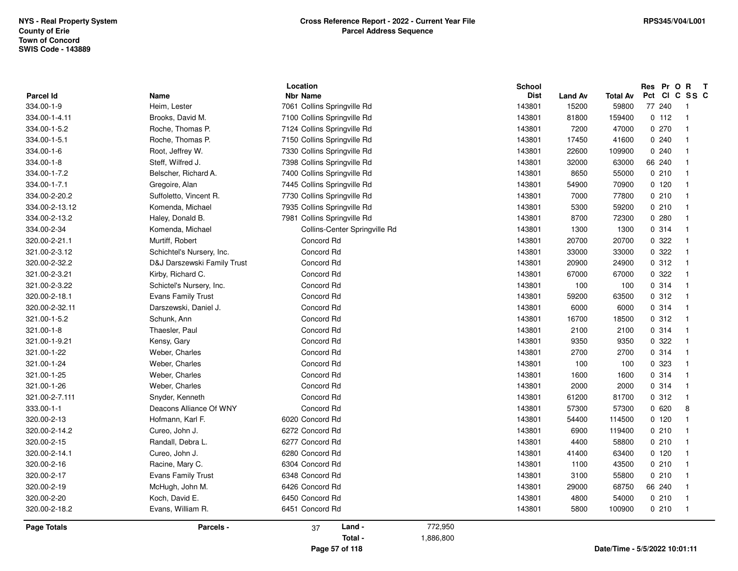|                    |                             | Location                      | <b>School</b>        |                |                 | Res              | Pr O R T                   |
|--------------------|-----------------------------|-------------------------------|----------------------|----------------|-----------------|------------------|----------------------------|
| Parcel Id          | Name                        | <b>Nbr Name</b>               | <b>Dist</b>          | <b>Land Av</b> | <b>Total Av</b> | <b>CI</b><br>Pct | C SS C                     |
| 334.00-1-9         | Heim, Lester                | 7061 Collins Springville Rd   | 143801               | 15200          | 59800           | 77 240           | - 1                        |
| 334.00-1-4.11      | Brooks, David M.            | 7100 Collins Springville Rd   | 143801               | 81800          | 159400          | 0 112            | $\overline{1}$             |
| 334.00-1-5.2       | Roche, Thomas P.            | 7124 Collins Springville Rd   | 143801               | 7200           | 47000           | 0270             | $\overline{1}$             |
| 334.00-1-5.1       | Roche, Thomas P.            | 7150 Collins Springville Rd   | 143801               | 17450          | 41600           | 0.240            | $\overline{1}$             |
| 334.00-1-6         | Root, Jeffrey W.            | 7330 Collins Springville Rd   | 143801               | 22600          | 109900          | 0.240            | $\overline{1}$             |
| 334.00-1-8         | Steff, Wilfred J.           | 7398 Collins Springville Rd   | 143801               | 32000          | 63000           | 66 240           | $\overline{1}$             |
| 334.00-1-7.2       | Belscher, Richard A.        | 7400 Collins Springville Rd   | 143801               | 8650           | 55000           | 0210             | $\overline{1}$             |
| 334.00-1-7.1       | Gregoire, Alan              | 7445 Collins Springville Rd   | 143801               | 54900          | 70900           | 0, 120           | $\overline{1}$             |
| 334.00-2-20.2      | Suffoletto, Vincent R.      | 7730 Collins Springville Rd   | 143801               | 7000           | 77800           | 0210             | $\overline{1}$             |
| 334.00-2-13.12     | Komenda, Michael            | 7935 Collins Springville Rd   | 143801               | 5300           | 59200           | 0210             | $\overline{1}$             |
| 334.00-2-13.2      | Haley, Donald B.            | 7981 Collins Springville Rd   | 143801               | 8700           | 72300           | 0.280            | $\overline{1}$             |
| 334.00-2-34        | Komenda, Michael            | Collins-Center Springville Rd | 143801               | 1300           | 1300            | 0.314            | $\mathbf{1}$               |
| 320.00-2-21.1      | Murtiff, Robert             | Concord Rd                    | 143801               | 20700          | 20700           | 0.322            | $\overline{1}$             |
| 321.00-2-3.12      | Schichtel's Nursery, Inc.   | Concord Rd                    | 143801               | 33000          | 33000           | 0.322            | $\overline{1}$             |
| 320.00-2-32.2      | D&J Darszewski Family Trust | Concord Rd                    | 143801               | 20900          | 24900           | 0.312            | $\mathbf 1$                |
| 321.00-2-3.21      | Kirby, Richard C.           | Concord Rd                    | 143801               | 67000          | 67000           | 0.322            | $\overline{1}$             |
| 321.00-2-3.22      | Schictel's Nursery, Inc.    | Concord Rd                    | 143801               | 100            | 100             | 0.314            | $\overline{1}$             |
| 320.00-2-18.1      | <b>Evans Family Trust</b>   | Concord Rd                    | 143801               | 59200          | 63500           | 0.312            | $\overline{1}$             |
| 320.00-2-32.11     | Darszewski, Daniel J.       | Concord Rd                    | 143801               | 6000           | 6000            | 0.314            | $\overline{1}$             |
| 321.00-1-5.2       | Schunk, Ann                 | Concord Rd                    | 143801               | 16700          | 18500           | 0.312            | $\overline{1}$             |
| 321.00-1-8         | Thaesler, Paul              | Concord Rd                    | 143801               | 2100           | 2100            | 0.314            | $\overline{1}$             |
| 321.00-1-9.21      | Kensy, Gary                 | Concord Rd                    | 143801               | 9350           | 9350            | 0.322            | $\overline{1}$             |
| 321.00-1-22        | Weber, Charles              | Concord Rd                    | 143801               | 2700           | 2700            | 0.314            | $\mathbf{1}$               |
| 321.00-1-24        | Weber, Charles              | Concord Rd                    | 143801               | 100            | 100             | 0 323            | $\overline{1}$             |
| 321.00-1-25        | Weber, Charles              | Concord Rd                    | 143801               | 1600           | 1600            | 0.314            | $\overline{1}$             |
| 321.00-1-26        | Weber, Charles              | Concord Rd                    | 143801               | 2000           | 2000            | 0.314            | $\overline{\mathbf{1}}$    |
| 321.00-2-7.111     | Snyder, Kenneth             | Concord Rd                    | 143801               | 61200          | 81700           | 0.312            | $\overline{1}$             |
| 333.00-1-1         | Deacons Alliance Of WNY     | Concord Rd                    | 143801               | 57300          | 57300           | 0620             | $\bf 8$                    |
| 320.00-2-13        | Hofmann, Karl F.            | 6020 Concord Rd               | 143801               | 54400          | 114500          | 0, 120           | $\overline{1}$             |
| 320.00-2-14.2      | Cureo, John J.              | 6272 Concord Rd               | 143801               | 6900           | 119400          | 0210             | $\overline{1}$             |
| 320.00-2-15        | Randall, Debra L.           | 6277 Concord Rd               | 143801               | 4400           | 58800           | 0210             | $\overline{1}$             |
| 320.00-2-14.1      | Cureo, John J.              | 6280 Concord Rd               | 143801               | 41400          | 63400           | $0$ 120          | $\overline{1}$             |
| 320.00-2-16        | Racine, Mary C.             | 6304 Concord Rd               | 143801               | 1100           | 43500           | 0210             | $\overline{1}$             |
| 320.00-2-17        | <b>Evans Family Trust</b>   | 6348 Concord Rd               | 143801               | 3100           | 55800           | 0210             | $\overline{1}$             |
| 320.00-2-19        | McHugh, John M.             | 6426 Concord Rd               | 143801               | 29000          | 68750           | 66 240           | $\overline{1}$             |
| 320.00-2-20        | Koch, David E.              | 6450 Concord Rd               | 143801               | 4800           | 54000           | 0210             | $\overline{1}$             |
| 320.00-2-18.2      | Evans, William R.           | 6451 Concord Rd               | 143801               | 5800           | 100900          | 0210             | $\overline{\phantom{0}}$ 1 |
|                    |                             |                               |                      |                |                 |                  |                            |
| <b>Page Totals</b> | Parcels -                   | Land -<br>37<br>Total -       | 772,950<br>1,886,800 |                |                 |                  |                            |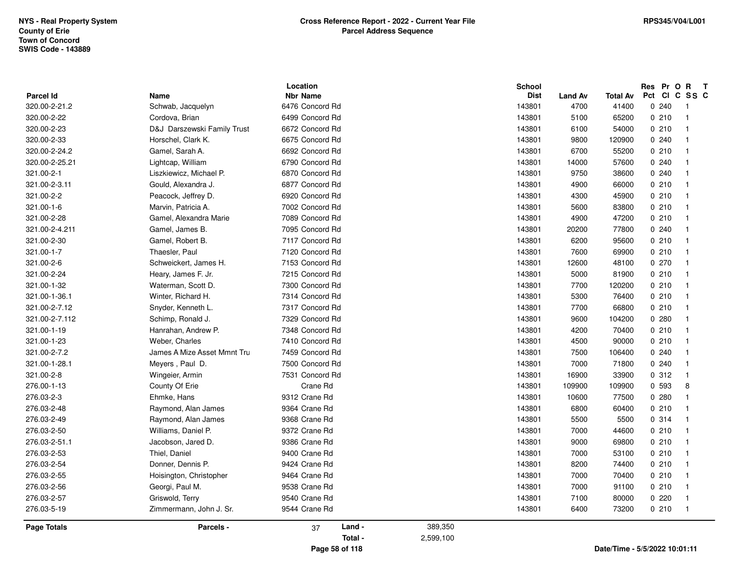| <b>Parcel Id</b>   | <b>Name</b>                 | Location<br><b>Nbr Name</b> | <b>School</b><br><b>Dist</b> | <b>Land Av</b> | <b>Total Av</b> | Res Pr O R T<br>Pct CI C SS C |                         |
|--------------------|-----------------------------|-----------------------------|------------------------------|----------------|-----------------|-------------------------------|-------------------------|
| 320.00-2-21.2      | Schwab, Jacquelyn           | 6476 Concord Rd             | 143801                       | 4700           | 41400           | 0.240                         | -1                      |
| 320.00-2-22        | Cordova, Brian              | 6499 Concord Rd             | 143801                       | 5100           | 65200           | 0210                          | $\overline{1}$          |
| 320.00-2-23        | D&J Darszewski Family Trust | 6672 Concord Rd             | 143801                       | 6100           | 54000           | 0210                          | $\overline{1}$          |
| 320.00-2-33        | Horschel, Clark K.          | 6675 Concord Rd             | 143801                       | 9800           | 120900          | 0.240                         | $\overline{1}$          |
| 320.00-2-24.2      | Gamel, Sarah A.             | 6692 Concord Rd             | 143801                       | 6700           | 55200           | 0210                          |                         |
| 320.00-2-25.21     | Lightcap, William           | 6790 Concord Rd             | 143801                       | 14000          | 57600           | 0240                          |                         |
| 321.00-2-1         | Liszkiewicz, Michael P.     | 6870 Concord Rd             | 143801                       | 9750           | 38600           | 0.240                         | $\overline{1}$          |
| 321.00-2-3.11      | Gould, Alexandra J.         | 6877 Concord Rd             | 143801                       | 4900           | 66000           | 0210                          | $\overline{\mathbf{1}}$ |
| 321.00-2-2         | Peacock, Jeffrey D.         | 6920 Concord Rd             | 143801                       | 4300           | 45900           | 0210                          | $\overline{\mathbf{1}}$ |
| 321.00-1-6         | Marvin, Patricia A.         | 7002 Concord Rd             | 143801                       | 5600           | 83800           | 0210                          |                         |
| 321.00-2-28        | Gamel, Alexandra Marie      | 7089 Concord Rd             | 143801                       | 4900           | 47200           | 0210                          |                         |
| 321.00-2-4.211     | Gamel, James B.             | 7095 Concord Rd             | 143801                       | 20200          | 77800           | 0.240                         | $\overline{\mathbf{1}}$ |
| 321.00-2-30        | Gamel, Robert B.            | 7117 Concord Rd             | 143801                       | 6200           | 95600           | 0210                          | $\overline{\mathbf{1}}$ |
| 321.00-1-7         | Thaesler, Paul              | 7120 Concord Rd             | 143801                       | 7600           | 69900           | 0210                          | $\overline{\mathbf{1}}$ |
| 321.00-2-6         | Schweickert, James H.       | 7153 Concord Rd             | 143801                       | 12600          | 48100           | 0270                          | $\overline{1}$          |
| 321.00-2-24        | Heary, James F. Jr.         | 7215 Concord Rd             | 143801                       | 5000           | 81900           | 0210                          | $\overline{1}$          |
| 321.00-1-32        | Waterman, Scott D.          | 7300 Concord Rd             | 143801                       | 7700           | 120200          | 0210                          | -1                      |
| 321.00-1-36.1      | Winter, Richard H.          | 7314 Concord Rd             | 143801                       | 5300           | 76400           | 0210                          | $\overline{\mathbf{1}}$ |
| 321.00-2-7.12      | Snyder, Kenneth L.          | 7317 Concord Rd             | 143801                       | 7700           | 66800           | 0210                          | -1                      |
| 321.00-2-7.112     | Schimp, Ronald J.           | 7329 Concord Rd             | 143801                       | 9600           | 104200          | 0.280                         |                         |
| 321.00-1-19        | Hanrahan, Andrew P.         | 7348 Concord Rd             | 143801                       | 4200           | 70400           | 0210                          |                         |
| 321.00-1-23        | Weber, Charles              | 7410 Concord Rd             | 143801                       | 4500           | 90000           | 0210                          | -1                      |
| 321.00-2-7.2       | James A Mize Asset Mmnt Tru | 7459 Concord Rd             | 143801                       | 7500           | 106400          | 0.240                         | $\overline{\mathbf{1}}$ |
| 321.00-1-28.1      | Meyers, Paul D.             | 7500 Concord Rd             | 143801                       | 7000           | 71800           | 0240                          | $\overline{\mathbf{1}}$ |
| 321.00-2-8         | Wingeier, Armin             | 7531 Concord Rd             | 143801                       | 16900          | 33900           | 0.312                         | $\mathbf{1}$            |
| 276.00-1-13        | County Of Erie              | Crane Rd                    | 143801                       | 109900         | 109900          | 0 593                         | 8                       |
| 276.03-2-3         | Ehmke, Hans                 | 9312 Crane Rd               | 143801                       | 10600          | 77500           | 0.280                         | $\overline{1}$          |
| 276.03-2-48        | Raymond, Alan James         | 9364 Crane Rd               | 143801                       | 6800           | 60400           | 0210                          | $\mathbf{1}$            |
| 276.03-2-49        | Raymond, Alan James         | 9368 Crane Rd               | 143801                       | 5500           | 5500            | 0.314                         |                         |
| 276.03-2-50        | Williams, Daniel P.         | 9372 Crane Rd               | 143801                       | 7000           | 44600           | 0210                          |                         |
| 276.03-2-51.1      | Jacobson, Jared D.          | 9386 Crane Rd               | 143801                       | 9000           | 69800           | 0210                          | $\overline{1}$          |
| 276.03-2-53        | Thiel, Daniel               | 9400 Crane Rd               | 143801                       | 7000           | 53100           | 0210                          | $\overline{1}$          |
| 276.03-2-54        | Donner, Dennis P.           | 9424 Crane Rd               | 143801                       | 8200           | 74400           | 0210                          | $\overline{1}$          |
| 276.03-2-55        | Hoisington, Christopher     | 9464 Crane Rd               | 143801                       | 7000           | 70400           | 0210                          |                         |
| 276.03-2-56        | Georgi, Paul M.             | 9538 Crane Rd               | 143801                       | 7000           | 91100           | 0210                          | $\overline{1}$          |
| 276.03-2-57        | Griswold, Terry             | 9540 Crane Rd               | 143801                       | 7100           | 80000           | 0220                          | $\overline{1}$          |
| 276.03-5-19        | Zimmermann, John J. Sr.     | 9544 Crane Rd               | 143801                       | 6400           | 73200           | 0210                          | $\overline{1}$          |
| <b>Page Totals</b> | Parcels -                   | Land -<br>37                | 389,350                      |                |                 |                               |                         |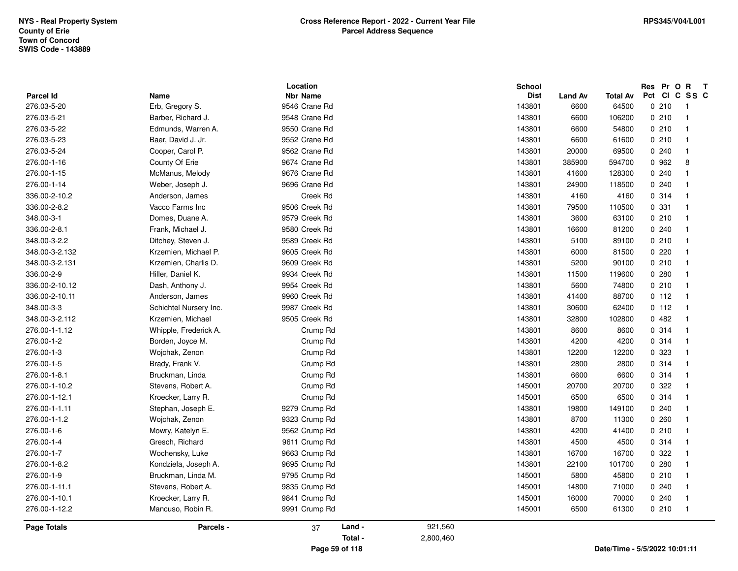| Parcel Id      | Name                   | Location<br><b>Nbr Name</b> |         |           | School<br><b>Dist</b> | <b>Land Av</b> | <b>Total Av</b>               | Res Pr O R<br>Pct CI C SS C | $\mathbf{T}$            |  |
|----------------|------------------------|-----------------------------|---------|-----------|-----------------------|----------------|-------------------------------|-----------------------------|-------------------------|--|
| 276.03-5-20    | Erb, Gregory S.        | 9546 Crane Rd               |         |           | 143801                | 6600           | 64500                         | 0210                        | $\overline{1}$          |  |
| 276.03-5-21    | Barber, Richard J.     | 9548 Crane Rd               |         |           | 143801                | 6600           | 106200                        | 0210                        | $\overline{1}$          |  |
| 276.03-5-22    | Edmunds, Warren A.     | 9550 Crane Rd               |         |           | 143801                | 6600           | 54800                         | 0210                        | -1                      |  |
| 276.03-5-23    | Baer, David J. Jr.     | 9552 Crane Rd               |         |           | 143801                | 6600           | 61600                         | 0210                        | $\mathbf{1}$            |  |
| 276.03-5-24    | Cooper, Carol P.       | 9562 Crane Rd               |         |           | 143801                | 20000          | 69500                         | 0240                        |                         |  |
| 276.00-1-16    | County Of Erie         | 9674 Crane Rd               |         |           | 143801                | 385900         | 594700                        | 0 962                       | 8                       |  |
| 276.00-1-15    | McManus, Melody        | 9676 Crane Rd               |         |           | 143801                | 41600          | 128300                        | 0.240                       | -1                      |  |
| 276.00-1-14    | Weber, Joseph J.       | 9696 Crane Rd               |         |           | 143801                | 24900          | 118500                        | 0.240                       | -1                      |  |
| 336.00-2-10.2  | Anderson, James        | Creek Rd                    |         |           | 143801                | 4160           | 4160                          | 0.314                       | -1                      |  |
| 336.00-2-8.2   | Vacco Farms Inc        | 9506 Creek Rd               |         |           | 143801                | 79500          | 110500                        | 0 331                       | -1                      |  |
| 348.00-3-1     | Domes, Duane A.        | 9579 Creek Rd               |         |           | 143801                | 3600           | 63100                         | 0210                        | $\overline{\mathbf{1}}$ |  |
| 336.00-2-8.1   | Frank, Michael J.      | 9580 Creek Rd               |         |           | 143801                | 16600          | 81200                         | 0.240                       | -1                      |  |
| 348.00-3-2.2   | Ditchey, Steven J.     | 9589 Creek Rd               |         |           | 143801                | 5100           | 89100                         | 0210                        | -1                      |  |
| 348.00-3-2.132 | Krzemien, Michael P.   | 9605 Creek Rd               |         |           | 143801                | 6000           | 81500                         | 0220                        | -1                      |  |
| 348.00-3-2.131 | Krzemien, Charlis D.   | 9609 Creek Rd               |         |           | 143801                | 5200           | 90100                         | 0210                        | $\mathbf{1}$            |  |
| 336.00-2-9     | Hiller, Daniel K.      | 9934 Creek Rd               |         |           | 143801                | 11500          | 119600                        | 0.280                       | -1                      |  |
| 336.00-2-10.12 | Dash, Anthony J.       | 9954 Creek Rd               |         |           | 143801                | 5600           | 74800                         | 0210                        | -1                      |  |
| 336.00-2-10.11 | Anderson, James        | 9960 Creek Rd               |         |           | 143801                | 41400          | 88700                         | 0 112                       | $\overline{1}$          |  |
| 348.00-3-3     | Schichtel Nursery Inc. | 9987 Creek Rd               |         |           | 143801                | 30600          | 62400                         | 0 112                       | $\overline{1}$          |  |
| 348.00-3-2.112 | Krzemien, Michael      | 9505 Creek Rd               |         |           | 143801                | 32800          | 102800                        | 0482                        | $\overline{\mathbf{1}}$ |  |
| 276.00-1-1.12  | Whipple, Frederick A.  | Crump Rd                    |         |           | 143801                | 8600           | 8600                          | 0.314                       | $\overline{1}$          |  |
| 276.00-1-2     | Borden, Joyce M.       | Crump Rd                    |         |           | 143801                | 4200           | 4200                          | 0.314                       | -1                      |  |
| 276.00-1-3     | Wojchak, Zenon         | Crump Rd                    |         |           | 143801                | 12200          | 12200                         | 0 323                       | $\overline{\mathbf{1}}$ |  |
| 276.00-1-5     | Brady, Frank V.        | Crump Rd                    |         |           | 143801                | 2800           | 2800                          | 0.314                       | $\overline{\mathbf{1}}$ |  |
| 276.00-1-8.1   | Bruckman, Linda        | Crump Rd                    |         |           | 143801                | 6600           | 6600                          | 0.314                       | $\overline{1}$          |  |
| 276.00-1-10.2  | Stevens, Robert A.     | Crump Rd                    |         |           | 145001                | 20700          | 20700                         | 0.322                       | $\overline{\mathbf{1}}$ |  |
| 276.00-1-12.1  | Kroecker, Larry R.     | Crump Rd                    |         |           | 145001                | 6500           | 6500                          | 0 314                       | -1                      |  |
| 276.00-1-1.11  | Stephan, Joseph E.     | 9279 Crump Rd               |         |           | 143801                | 19800          | 149100                        | 0240                        | -1                      |  |
| 276.00-1-1.2   | Wojchak, Zenon         | 9323 Crump Rd               |         |           | 143801                | 8700           | 11300                         | 0.260                       | -1                      |  |
| 276.00-1-6     | Mowry, Katelyn E.      | 9562 Crump Rd               |         |           | 143801                | 4200           | 41400                         | 0210                        | -1                      |  |
| 276.00-1-4     | Gresch, Richard        | 9611 Crump Rd               |         |           | 143801                | 4500           | 4500                          | 0.314                       | -1                      |  |
| 276.00-1-7     | Wochensky, Luke        | 9663 Crump Rd               |         |           | 143801                | 16700          | 16700                         | 0 322                       | -1                      |  |
| 276.00-1-8.2   | Kondziela, Joseph A.   | 9695 Crump Rd               |         |           | 143801                | 22100          | 101700                        | 0.280                       | $\overline{\mathbf{1}}$ |  |
| 276.00-1-9     | Bruckman, Linda M.     | 9795 Crump Rd               |         |           | 145001                | 5800           | 45800                         | 0210                        | -1                      |  |
| 276.00-1-11.1  | Stevens, Robert A.     | 9835 Crump Rd               |         |           | 145001                | 14800          | 71000                         | 0240                        |                         |  |
| 276.00-1-10.1  | Kroecker, Larry R.     | 9841 Crump Rd               |         |           | 145001                | 16000          | 70000                         | 0240                        | $\overline{\mathbf{1}}$ |  |
| 276.00-1-12.2  | Mancuso, Robin R.      | 9991 Crump Rd               |         |           | 145001                | 6500           | 61300                         | 0210                        | $\overline{1}$          |  |
| Page Totals    | Parcels -              | 37                          | Land -  | 921,560   |                       |                |                               |                             |                         |  |
|                |                        |                             | Total - | 2,800,460 |                       |                |                               |                             |                         |  |
|                |                        | Page 59 of 118              |         |           |                       |                | Date/Time - 5/5/2022 10:01:11 |                             |                         |  |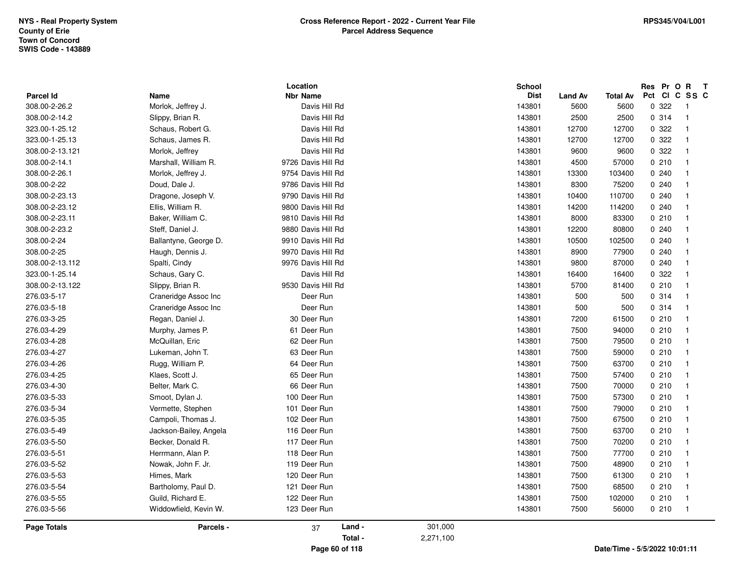|                            |                            | Location                         |           | <b>School</b>         |                        |                               | Res Pr O R |       | $\mathbf{T}$            |  |
|----------------------------|----------------------------|----------------------------------|-----------|-----------------------|------------------------|-------------------------------|------------|-------|-------------------------|--|
| Parcel Id<br>308.00-2-26.2 | Name<br>Morlok, Jeffrey J. | <b>Nbr Name</b><br>Davis Hill Rd |           | <b>Dist</b><br>143801 | <b>Land Av</b><br>5600 | <b>Total Av</b><br>5600       | Pct Cl     | 0.322 | C SS C<br>-1            |  |
| 308.00-2-14.2              | Slippy, Brian R.           | Davis Hill Rd                    |           | 143801                | 2500                   | 2500                          |            | 0.314 | $\overline{1}$          |  |
| 323.00-1-25.12             | Schaus, Robert G.          | Davis Hill Rd                    |           | 143801                | 12700                  | 12700                         |            | 0.322 | $\overline{1}$          |  |
| 323.00-1-25.13             |                            | Davis Hill Rd                    |           | 143801                | 12700                  | 12700                         |            | 0.322 | $\overline{1}$          |  |
|                            | Schaus, James R.           |                                  |           |                       |                        |                               |            | 0.322 | $\mathbf{1}$            |  |
| 308.00-2-13.121            | Morlok, Jeffrey            | Davis Hill Rd                    |           | 143801                | 9600                   | 9600                          |            |       |                         |  |
| 308.00-2-14.1              | Marshall, William R.       | 9726 Davis Hill Rd               |           | 143801                | 4500                   | 57000                         |            | 0210  | $\mathbf{1}$            |  |
| 308.00-2-26.1              | Morlok, Jeffrey J.         | 9754 Davis Hill Rd               |           | 143801                | 13300                  | 103400                        |            | 0.240 | $\overline{\mathbf{1}}$ |  |
| 308.00-2-22                | Doud, Dale J.              | 9786 Davis Hill Rd               |           | 143801                | 8300                   | 75200                         |            | 0.240 |                         |  |
| 308.00-2-23.13             | Dragone, Joseph V.         | 9790 Davis Hill Rd               |           | 143801                | 10400                  | 110700                        |            | 0240  | -1                      |  |
| 308.00-2-23.12             | Ellis, William R.          | 9800 Davis Hill Rd               |           | 143801                | 14200                  | 114200                        |            | 0.240 | $\overline{1}$          |  |
| 308.00-2-23.11             | Baker, William C.          | 9810 Davis Hill Rd               |           | 143801                | 8000                   | 83300                         |            | 0210  | $\overline{1}$          |  |
| 308.00-2-23.2              | Steff, Daniel J.           | 9880 Davis Hill Rd               |           | 143801                | 12200                  | 80800                         |            | 0.240 | $\mathbf{1}$            |  |
| 308.00-2-24                | Ballantyne, George D.      | 9910 Davis Hill Rd               |           | 143801                | 10500                  | 102500                        |            | 0.240 | 1                       |  |
| 308.00-2-25                | Haugh, Dennis J.           | 9970 Davis Hill Rd               |           | 143801                | 8900                   | 77900                         |            | 0.240 | $\mathbf{1}$            |  |
| 308.00-2-13.112            | Spalti, Cindy              | 9976 Davis Hill Rd               |           | 143801                | 9800                   | 87000                         |            | 0.240 | $\overline{1}$          |  |
| 323.00-1-25.14             | Schaus, Gary C.            | Davis Hill Rd                    |           | 143801                | 16400                  | 16400                         |            | 0.322 | $\overline{1}$          |  |
| 308.00-2-13.122            | Slippy, Brian R.           | 9530 Davis Hill Rd               |           | 143801                | 5700                   | 81400                         |            | 0210  | -1                      |  |
| 276.03-5-17                | Craneridge Assoc Inc       | Deer Run                         |           | 143801                | 500                    | 500                           |            | 0.314 | -1                      |  |
| 276.03-5-18                | Craneridge Assoc Inc       | Deer Run                         |           | 143801                | 500                    | 500                           |            | 0.314 | $\overline{1}$          |  |
| 276.03-3-25                | Regan, Daniel J.           | 30 Deer Run                      |           | 143801                | 7200                   | 61500                         |            | 0210  | $\overline{1}$          |  |
| 276.03-4-29                | Murphy, James P.           | 61 Deer Run                      |           | 143801                | 7500                   | 94000                         |            | 0210  | $\overline{1}$          |  |
| 276.03-4-28                | McQuillan, Eric            | 62 Deer Run                      |           | 143801                | 7500                   | 79500                         |            | 0210  | $\overline{1}$          |  |
| 276.03-4-27                | Lukeman, John T.           | 63 Deer Run                      |           | 143801                | 7500                   | 59000                         |            | 0210  | $\overline{1}$          |  |
| 276.03-4-26                | Rugg, William P.           | 64 Deer Run                      |           | 143801                | 7500                   | 63700                         |            | 0210  | $\overline{1}$          |  |
| 276.03-4-25                | Klaes, Scott J.            | 65 Deer Run                      |           | 143801                | 7500                   | 57400                         |            | 0210  | $\overline{1}$          |  |
| 276.03-4-30                | Belter, Mark C.            | 66 Deer Run                      |           | 143801                | 7500                   | 70000                         |            | 0210  | -1                      |  |
| 276.03-5-33                | Smoot, Dylan J.            | 100 Deer Run                     |           | 143801                | 7500                   | 57300                         |            | 0210  | $\overline{1}$          |  |
| 276.03-5-34                | Vermette, Stephen          | 101 Deer Run                     |           | 143801                | 7500                   | 79000                         |            | 0210  | $\overline{1}$          |  |
| 276.03-5-35                | Campoli, Thomas J.         | 102 Deer Run                     |           | 143801                | 7500                   | 67500                         |            | 0210  | $\overline{1}$          |  |
| 276.03-5-49                | Jackson-Bailey, Angela     | 116 Deer Run                     |           | 143801                | 7500                   | 63700                         |            | 0210  | $\overline{\mathbf{1}}$ |  |
| 276.03-5-50                | Becker, Donald R.          | 117 Deer Run                     |           | 143801                | 7500                   | 70200                         |            | 0210  | $\overline{\mathbf{1}}$ |  |
| 276.03-5-51                | Herrmann, Alan P.          | 118 Deer Run                     |           | 143801                | 7500                   | 77700                         |            | 0210  | $\overline{1}$          |  |
| 276.03-5-52                | Nowak, John F. Jr.         | 119 Deer Run                     |           | 143801                | 7500                   | 48900                         |            | 0210  | $\overline{1}$          |  |
| 276.03-5-53                | Himes, Mark                | 120 Deer Run                     |           | 143801                | 7500                   | 61300                         |            | 0210  | $\overline{1}$          |  |
| 276.03-5-54                | Bartholomy, Paul D.        | 121 Deer Run                     |           | 143801                | 7500                   | 68500                         |            | 0210  | $\mathbf{1}$            |  |
| 276.03-5-55                | Guild, Richard E.          | 122 Deer Run                     |           | 143801                | 7500                   | 102000                        |            | 0210  | $\overline{1}$          |  |
| 276.03-5-56                | Widdowfield, Kevin W.      | 123 Deer Run                     |           | 143801                | 7500                   | 56000                         |            | 0210  | -1                      |  |
| Page Totals                | Parcels -                  | Land -<br>37                     | 301,000   |                       |                        |                               |            |       |                         |  |
|                            |                            | Total -                          | 2,271,100 |                       |                        |                               |            |       |                         |  |
|                            |                            | Page 60 of 118                   |           |                       |                        | Date/Time - 5/5/2022 10:01:11 |            |       |                         |  |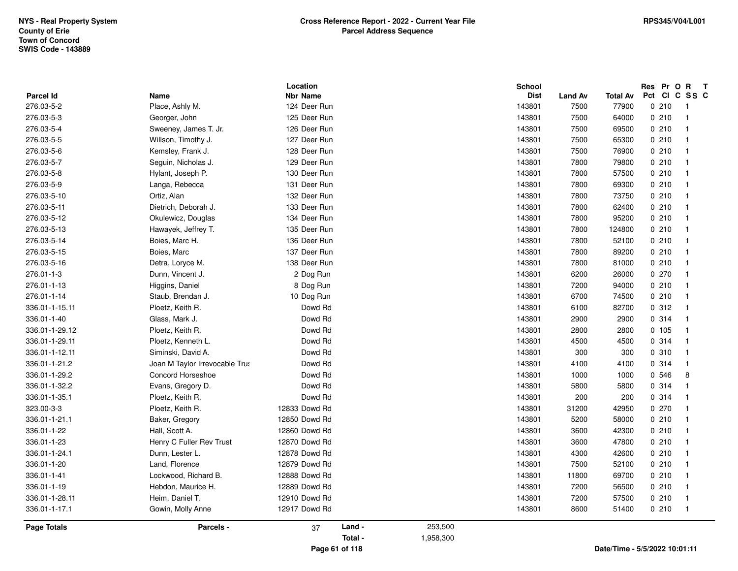| Page Totals      | Parcels -                      | 37                          | Land - | 253,500 |                              |                |                 |                             |                         |
|------------------|--------------------------------|-----------------------------|--------|---------|------------------------------|----------------|-----------------|-----------------------------|-------------------------|
| 336.01-1-17.1    | Gowin, Molly Anne              | 12917 Dowd Rd               |        |         | 143801                       | 8600           | 51400           | 0210                        | $\overline{\mathbf{1}}$ |
| 336.01-1-28.11   | Heim, Daniel T.                | 12910 Dowd Rd               |        |         | 143801                       | 7200           | 57500           | 0210                        | $\mathbf{1}$            |
| 336.01-1-19      | Hebdon, Maurice H.             | 12889 Dowd Rd               |        |         | 143801                       | 7200           | 56500           | 0210                        | $\mathbf{1}$            |
| 336.01-1-41      | Lockwood, Richard B.           | 12888 Dowd Rd               |        |         | 143801                       | 11800          | 69700           | 0210                        | $\mathbf{1}$            |
| 336.01-1-20      | Land, Florence                 | 12879 Dowd Rd               |        |         | 143801                       | 7500           | 52100           | 0210                        | 1                       |
| 336.01-1-24.1    | Dunn, Lester L.                | 12878 Dowd Rd               |        |         | 143801                       | 4300           | 42600           | 0210                        | $\overline{\mathbf{1}}$ |
| 336.01-1-23      | Henry C Fuller Rev Trust       | 12870 Dowd Rd               |        |         | 143801                       | 3600           | 47800           | 0210                        |                         |
| 336.01-1-22      | Hall, Scott A.                 | 12860 Dowd Rd               |        |         | 143801                       | 3600           | 42300           | 0210                        | -1                      |
| 336.01-1-21.1    | Baker, Gregory                 | 12850 Dowd Rd               |        |         | 143801                       | 5200           | 58000           | 0210                        |                         |
| 323.00-3-3       | Ploetz, Keith R.               | 12833 Dowd Rd               |        |         | 143801                       | 31200          | 42950           | 0270                        | $\overline{1}$          |
| 336.01-1-35.1    | Ploetz, Keith R.               | Dowd Rd                     |        |         | 143801                       | 200            | 200             | 0.314                       | $\mathbf{1}$            |
| 336.01-1-32.2    | Evans, Gregory D.              | Dowd Rd                     |        |         | 143801                       | 5800           | 5800            | 0.314                       | $\mathbf{1}$            |
| 336.01-1-29.2    | <b>Concord Horseshoe</b>       | Dowd Rd                     |        |         | 143801                       | 1000           | 1000            | 0 546                       | 8                       |
| 336.01-1-21.2    | Joan M Taylor Irrevocable Trus | Dowd Rd                     |        |         | 143801                       | 4100           | 4100            | 0.314                       | $\mathbf{1}$            |
| 336.01-1-12.11   | Siminski, David A.             | Dowd Rd                     |        |         | 143801                       | 300            | 300             | 0.310                       | $\mathbf{1}$            |
| 336.01-1-29.11   | Ploetz, Kenneth L.             | Dowd Rd                     |        |         | 143801                       | 4500           | 4500            | 0.314                       | -1                      |
| 336.01-1-29.12   | Ploetz, Keith R.               | Dowd Rd                     |        |         | 143801                       | 2800           | 2800            | 0, 105                      | $\mathbf{1}$            |
| 336.01-1-40      | Glass, Mark J.                 | Dowd Rd                     |        |         | 143801                       | 2900           | 2900            | 0.314                       | $\mathbf{1}$            |
| 336.01-1-15.11   | Ploetz, Keith R.               | Dowd Rd                     |        |         | 143801                       | 6100           | 82700           | 0.312                       | $\mathbf{1}$            |
| 276.01-1-14      | Staub, Brendan J.              | 10 Dog Run                  |        |         | 143801                       | 6700           | 74500           | 0210                        |                         |
| 276.01-1-13      | Higgins, Daniel                | 8 Dog Run                   |        |         | 143801                       | 7200           | 94000           | 0210                        | $\mathbf{1}$            |
| 276.01-1-3       | Dunn, Vincent J.               | 2 Dog Run                   |        |         | 143801                       | 6200           | 26000           | 0270                        |                         |
| 276.03-5-16      | Detra, Loryce M.               | 138 Deer Run                |        |         | 143801                       | 7800           | 81000           | 0210                        | $\mathbf{1}$            |
| 276.03-5-15      | Boies, Marc                    | 137 Deer Run                |        |         | 143801                       | 7800           | 89200           | 0210                        | $\mathbf{1}$            |
| 276.03-5-14      | Boies, Marc H.                 | 136 Deer Run                |        |         | 143801                       | 7800           | 52100           | 0210                        | $\mathbf{1}$            |
| 276.03-5-13      | Hawayek, Jeffrey T.            | 135 Deer Run                |        |         | 143801                       | 7800           | 124800          | 0210                        | $\mathbf{1}$            |
| 276.03-5-12      | Okulewicz, Douglas             | 134 Deer Run                |        |         | 143801                       | 7800           | 95200           | 0210                        | 1                       |
| 276.03-5-11      | Dietrich, Deborah J.           | 133 Deer Run                |        |         | 143801                       | 7800           | 62400           | 0210                        | $\overline{\mathbf{1}}$ |
| 276.03-5-10      | Ortiz, Alan                    | 132 Deer Run                |        |         | 143801                       | 7800           | 73750           | 0210                        |                         |
| 276.03-5-9       | Langa, Rebecca                 | 131 Deer Run                |        |         | 143801                       | 7800           | 69300           | 0210                        | -1                      |
| 276.03-5-8       | Hylant, Joseph P.              | 130 Deer Run                |        |         | 143801                       | 7800           | 57500           | 0210                        | 1                       |
| 276.03-5-7       | Seguin, Nicholas J.            | 129 Deer Run                |        |         | 143801                       | 7800           | 79800           | 0210                        | $\overline{1}$          |
| 276.03-5-6       | Kemsley, Frank J.              | 128 Deer Run                |        |         | 143801                       | 7500           | 76900           | 0210                        | $\mathbf{1}$            |
| 276.03-5-5       | Willson, Timothy J.            | 127 Deer Run                |        |         | 143801                       | 7500           | 65300           | 0210                        | $\mathbf{1}$            |
| 276.03-5-4       | Sweeney, James T. Jr.          | 126 Deer Run                |        |         | 143801                       | 7500           | 69500           | 0210                        | $\mathbf{1}$            |
| 276.03-5-3       | Georger, John                  | 125 Deer Run                |        |         | 143801                       | 7500           | 64000           | 0210                        | $\mathbf{1}$            |
| 276.03-5-2       | Place, Ashly M.                | 124 Deer Run                |        |         | 143801                       | 7500           | 77900           | 0210                        | $\overline{1}$          |
| <b>Parcel Id</b> | Name                           | Location<br><b>Nbr Name</b> |        |         | <b>School</b><br><b>Dist</b> | <b>Land Av</b> | <b>Total Av</b> | Res Pr O R<br>Pct CI C SS C | $\mathbf{T}$            |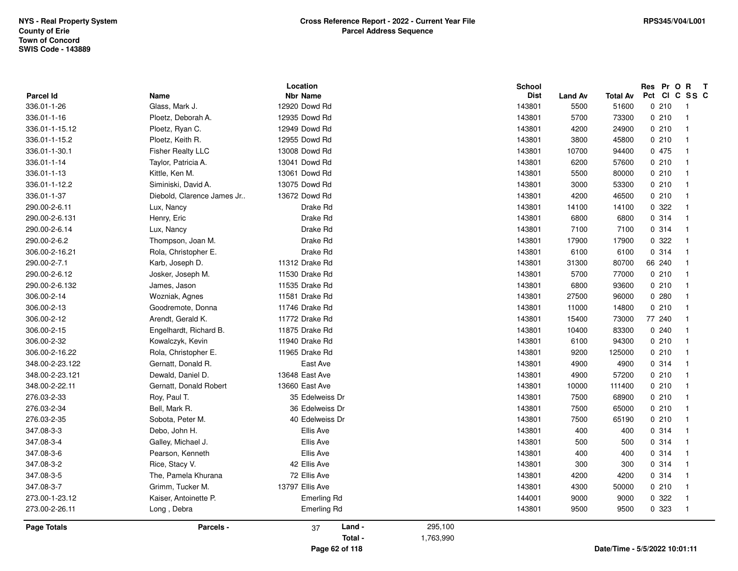|                  |                            | Location           |           | <b>School</b> |                |                               | Res Pr O R | $\mathbf{T}$   |
|------------------|----------------------------|--------------------|-----------|---------------|----------------|-------------------------------|------------|----------------|
| <b>Parcel Id</b> | Name                       | <b>Nbr Name</b>    |           | <b>Dist</b>   | <b>Land Av</b> | <b>Total Av</b>               |            | Pct CI C SS C  |
| 336.01-1-26      | Glass, Mark J.             | 12920 Dowd Rd      |           | 143801        | 5500           | 51600                         | 0210       | $\overline{1}$ |
| 336.01-1-16      | Ploetz, Deborah A.         | 12935 Dowd Rd      |           | 143801        | 5700           | 73300                         | 0210       | $\overline{1}$ |
| 336.01-1-15.12   | Ploetz, Ryan C.            | 12949 Dowd Rd      |           | 143801        | 4200           | 24900                         | 0210       | $\mathbf 1$    |
| 336.01-1-15.2    | Ploetz, Keith R.           | 12955 Dowd Rd      |           | 143801        | 3800           | 45800                         | 0210       | $\overline{1}$ |
| 336.01-1-30.1    | <b>Fisher Realty LLC</b>   | 13008 Dowd Rd      |           | 143801        | 10700          | 94400                         | 0 475      | $\overline{1}$ |
| 336.01-1-14      | Taylor, Patricia A.        | 13041 Dowd Rd      |           | 143801        | 6200           | 57600                         | 0210       | $\mathbf{1}$   |
| 336.01-1-13      | Kittle, Ken M.             | 13061 Dowd Rd      |           | 143801        | 5500           | 80000                         | 0210       | $\mathbf{1}$   |
| 336.01-1-12.2    | Siminiski, David A.        | 13075 Dowd Rd      |           | 143801        | 3000           | 53300                         | 0210       | $\mathbf{1}$   |
| 336.01-1-37      | Diebold, Clarence James Jr | 13672 Dowd Rd      |           | 143801        | 4200           | 46500                         | 0210       | $\mathbf 1$    |
| 290.00-2-6.11    | Lux, Nancy                 | Drake Rd           |           | 143801        | 14100          | 14100                         | 0.322      | $\mathbf 1$    |
| 290.00-2-6.131   | Henry, Eric                | Drake Rd           |           | 143801        | 6800           | 6800                          | 0.314      | $\overline{1}$ |
| 290.00-2-6.14    | Lux, Nancy                 | Drake Rd           |           | 143801        | 7100           | 7100                          | 0.314      | $\mathbf{1}$   |
| 290.00-2-6.2     | Thompson, Joan M.          | Drake Rd           |           | 143801        | 17900          | 17900                         | 0 322      | -1             |
| 306.00-2-16.21   | Rola, Christopher E.       | Drake Rd           |           | 143801        | 6100           | 6100                          | 0 314      | $\mathbf 1$    |
| 290.00-2-7.1     | Karb, Joseph D.            | 11312 Drake Rd     |           | 143801        | 31300          | 80700                         | 66 240     | $\mathbf 1$    |
| 290.00-2-6.12    | Josker, Joseph M.          | 11530 Drake Rd     |           | 143801        | 5700           | 77000                         | 0210       | $\mathbf 1$    |
| 290.00-2-6.132   | James, Jason               | 11535 Drake Rd     |           | 143801        | 6800           | 93600                         | 0210       | $\mathbf{1}$   |
| 306.00-2-14      | Wozniak, Agnes             | 11581 Drake Rd     |           | 143801        | 27500          | 96000                         | 0.280      | $\mathbf 1$    |
| 306.00-2-13      | Goodremote, Donna          | 11746 Drake Rd     |           | 143801        | 11000          | 14800                         | 0210       | $\mathbf{1}$   |
| 306.00-2-12      | Arendt, Gerald K.          | 11772 Drake Rd     |           | 143801        | 15400          | 73000                         | 77 240     | $\mathbf 1$    |
| 306.00-2-15      | Engelhardt, Richard B.     | 11875 Drake Rd     |           | 143801        | 10400          | 83300                         | 0.240      | $\mathbf{1}$   |
| 306.00-2-32      | Kowalczyk, Kevin           | 11940 Drake Rd     |           | 143801        | 6100           | 94300                         | 0210       | -1             |
| 306.00-2-16.22   | Rola, Christopher E.       | 11965 Drake Rd     |           | 143801        | 9200           | 125000                        | 0210       | -1             |
| 348.00-2-23.122  | Gernatt, Donald R.         | East Ave           |           | 143801        | 4900           | 4900                          | 0.314      | $\overline{1}$ |
| 348.00-2-23.121  | Dewald, Daniel D.          | 13648 East Ave     |           | 143801        | 4900           | 57200                         | 0210       | $\mathbf{1}$   |
| 348.00-2-22.11   | Gernatt, Donald Robert     | 13660 East Ave     |           | 143801        | 10000          | 111400                        | 0210       | -1             |
| 276.03-2-33      | Roy, Paul T.               | 35 Edelweiss Dr    |           | 143801        | 7500           | 68900                         | 0210       | $\mathbf 1$    |
| 276.03-2-34      | Bell, Mark R.              | 36 Edelweiss Dr    |           | 143801        | 7500           | 65000                         | 0210       | $\mathbf{1}$   |
| 276.03-2-35      | Sobota, Peter M.           | 40 Edelweiss Dr    |           | 143801        | 7500           | 65190                         | 0210       | $\mathbf{1}$   |
| 347.08-3-3       | Debo, John H.              | Ellis Ave          |           | 143801        | 400            | 400                           | 0.314      | $\mathbf{1}$   |
| 347.08-3-4       | Galley, Michael J.         | Ellis Ave          |           | 143801        | 500            | 500                           | 0.314      | $\mathbf 1$    |
| 347.08-3-6       | Pearson, Kenneth           | Ellis Ave          |           | 143801        | 400            | 400                           | 0 314      | $\mathbf{1}$   |
| 347.08-3-2       | Rice, Stacy V.             | 42 Ellis Ave       |           | 143801        | 300            | 300                           | 0.314      | $\mathbf{1}$   |
| 347.08-3-5       | The, Pamela Khurana        | 72 Ellis Ave       |           | 143801        | 4200           | 4200                          | 0.314      | $\mathbf{1}$   |
| 347.08-3-7       | Grimm, Tucker M.           | 13797 Ellis Ave    |           | 143801        | 4300           | 50000                         | 0210       | -1             |
| 273.00-1-23.12   | Kaiser, Antoinette P.      | Emerling Rd        |           | 144001        | 9000           | 9000                          | 0.322      | $\mathbf 1$    |
| 273.00-2-26.11   | Long, Debra                | <b>Emerling Rd</b> |           | 143801        | 9500           | 9500                          | 0 323      | -1             |
| Page Totals      | Parcels -                  | Land -<br>37       | 295,100   |               |                |                               |            |                |
|                  |                            | Total -            | 1,763,990 |               |                |                               |            |                |
|                  |                            | Page 62 of 118     |           |               |                | Date/Time - 5/5/2022 10:01:11 |            |                |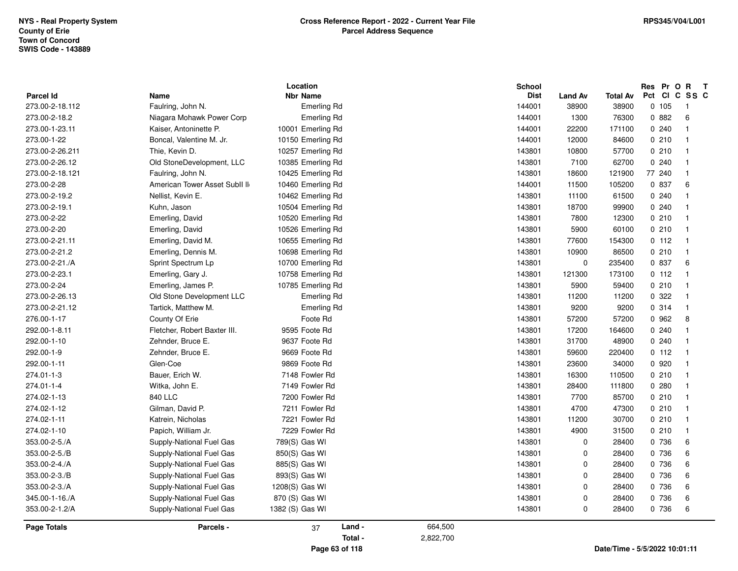| Parcel Id          | Name                          | Location<br><b>Nbr Name</b> | School<br><b>Dist</b> | <b>Land Av</b> | Total Av                      | Res Pr O R | $\mathbf{T}$<br>Pct CI C SS C |
|--------------------|-------------------------------|-----------------------------|-----------------------|----------------|-------------------------------|------------|-------------------------------|
| 273.00-2-18.112    | Faulring, John N.             | <b>Emerling Rd</b>          | 144001                | 38900          | 38900                         | 0 105      | $\mathbf{1}$                  |
| 273.00-2-18.2      | Niagara Mohawk Power Corp     | <b>Emerling Rd</b>          | 144001                | 1300           | 76300                         | 0.882      | 6                             |
| 273.00-1-23.11     | Kaiser, Antoninette P.        | 10001 Emerling Rd           | 144001                | 22200          | 171100                        | 0.240      | $\mathbf{1}$                  |
| 273.00-1-22        | Boncal, Valentine M. Jr.      | 10150 Emerling Rd           | 144001                | 12000          | 84600                         | 0210       | $\mathbf{1}$                  |
| 273.00-2-26.211    | Thie, Kevin D.                | 10257 Emerling Rd           | 143801                | 10800          | 57700                         | 0210       | $\mathbf{1}$                  |
| 273.00-2-26.12     | Old StoneDevelopment, LLC     | 10385 Emerling Rd           | 143801                | 7100           | 62700                         | 0.240      | $\mathbf{1}$                  |
| 273.00-2-18.121    | Faulring, John N.             | 10425 Emerling Rd           | 143801                | 18600          | 121900                        | 77 240     | $\mathbf{1}$                  |
| 273.00-2-28        | American Tower Asset SubII II | 10460 Emerling Rd           | 144001                | 11500          | 105200                        | 0 837      | 6                             |
| 273.00-2-19.2      | Nellist, Kevin E.             | 10462 Emerling Rd           | 143801                | 11100          | 61500                         | 0.240      | $\mathbf{1}$                  |
| 273.00-2-19.1      | Kuhn, Jason                   | 10504 Emerling Rd           | 143801                | 18700          | 99900                         | 0.240      | $\mathbf{1}$                  |
| 273.00-2-22        | Emerling, David               | 10520 Emerling Rd           | 143801                | 7800           | 12300                         | 0210       | $\mathbf{1}$                  |
| 273.00-2-20        | Emerling, David               | 10526 Emerling Rd           | 143801                | 5900           | 60100                         | 0210       | $\mathbf{1}$                  |
| 273.00-2-21.11     | Emerling, David M.            | 10655 Emerling Rd           | 143801                | 77600          | 154300                        | 0 112      | $\mathbf{1}$                  |
| 273.00-2-21.2      | Emerling, Dennis M.           | 10698 Emerling Rd           | 143801                | 10900          | 86500                         | 0210       | $\mathbf{1}$                  |
| 273.00-2-21./A     | Sprint Spectrum Lp            | 10700 Emerling Rd           | 143801                | $\pmb{0}$      | 235400                        | 0 837      | 6                             |
| 273.00-2-23.1      | Emerling, Gary J.             | 10758 Emerling Rd           | 143801                | 121300         | 173100                        | 0 112      | $\mathbf{1}$                  |
| 273.00-2-24        | Emerling, James P.            | 10785 Emerling Rd           | 143801                | 5900           | 59400                         | 0210       | $\mathbf{1}$                  |
| 273.00-2-26.13     | Old Stone Development LLC     | <b>Emerling Rd</b>          | 143801                | 11200          | 11200                         | 0.322      | $\mathbf{1}$                  |
| 273.00-2-21.12     | Tartick, Matthew M.           | <b>Emerling Rd</b>          | 143801                | 9200           | 9200                          | 0 314      | $\mathbf{1}$                  |
| 276.00-1-17        | County Of Erie                | Foote Rd                    | 143801                | 57200          | 57200                         | 0 962      | 8                             |
| 292.00-1-8.11      | Fletcher, Robert Baxter III.  | 9595 Foote Rd               | 143801                | 17200          | 164600                        | 0.240      | $\mathbf{1}$                  |
| 292.00-1-10        | Zehnder, Bruce E.             | 9637 Foote Rd               | 143801                | 31700          | 48900                         | 0240       | $\mathbf{1}$                  |
| 292.00-1-9         | Zehnder, Bruce E.             | 9669 Foote Rd               | 143801                | 59600          | 220400                        | 0.112      | $\mathbf{1}$                  |
| 292.00-1-11        | Glen-Coe                      | 9869 Foote Rd               | 143801                | 23600          | 34000                         | 0 9 2 0    | $\mathbf{1}$                  |
| 274.01-1-3         | Bauer, Erich W.               | 7148 Fowler Rd              | 143801                | 16300          | 110500                        | 0210       | $\mathbf{1}$                  |
| 274.01-1-4         | Witka, John E.                | 7149 Fowler Rd              | 143801                | 28400          | 111800                        | 0.280      | $\mathbf{1}$                  |
| 274.02-1-13        | 840 LLC                       | 7200 Fowler Rd              | 143801                | 7700           | 85700                         | 0210       | $\mathbf{1}$                  |
| 274.02-1-12        | Gilman, David P.              | 7211 Fowler Rd              | 143801                | 4700           | 47300                         | 0210       | $\mathbf{1}$                  |
| 274.02-1-11        | Katrein, Nicholas             | 7221 Fowler Rd              | 143801                | 11200          | 30700                         | 0210       | $\mathbf{1}$                  |
| 274.02-1-10        | Papich, William Jr.           | 7229 Fowler Rd              | 143801                | 4900           | 31500                         | 0210       | $\mathbf{1}$                  |
| 353.00-2-5./A      | Supply-National Fuel Gas      | 789(S) Gas WI               | 143801                | 0              | 28400                         | 0 736      | 6                             |
| 353.00-2-5./B      | Supply-National Fuel Gas      | 850(S) Gas WI               | 143801                | 0              | 28400                         | 0 736      | 6                             |
| 353.00-2-4./A      | Supply-National Fuel Gas      | 885(S) Gas WI               | 143801                | 0              | 28400                         | 0 736      | 6                             |
| 353.00-2-3./B      | Supply-National Fuel Gas      | 893(S) Gas WI               | 143801                | $\mathbf 0$    | 28400                         | 0 736      | 6                             |
| 353.00-2-3./A      | Supply-National Fuel Gas      | 1208(S) Gas WI              | 143801                | 0              | 28400                         | 0 736      | 6                             |
| 345.00-1-16./A     | Supply-National Fuel Gas      | 870 (S) Gas WI              | 143801                | 0              | 28400                         | 0 736      | $\,6\,$                       |
| 353.00-2-1.2/A     | Supply-National Fuel Gas      | 1382 (S) Gas WI             | 143801                | $\mathbf 0$    | 28400                         | 0 736      | 6                             |
| <b>Page Totals</b> | Parcels -                     | Land -<br>37                | 664,500               |                |                               |            |                               |
|                    |                               | Total -                     | 2,822,700             |                |                               |            |                               |
|                    |                               | Page 63 of 118              |                       |                | Date/Time - 5/5/2022 10:01:11 |            |                               |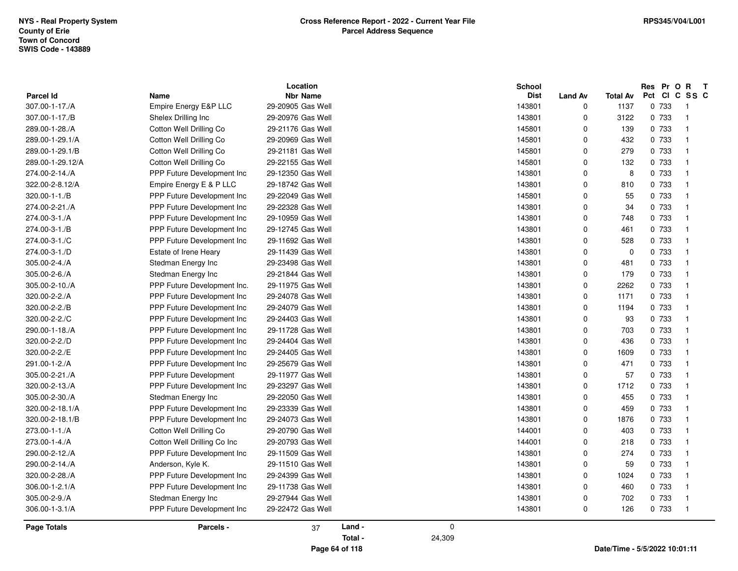|                                    |                             | Location                             |         |        | <b>School</b>         |                            |                         | Res Pr O R<br>Pct CI C SS C | $\mathbf{T}$               |
|------------------------------------|-----------------------------|--------------------------------------|---------|--------|-----------------------|----------------------------|-------------------------|-----------------------------|----------------------------|
| <b>Parcel Id</b><br>307.00-1-17./A | Name                        | <b>Nbr Name</b><br>29-20905 Gas Well |         |        | <b>Dist</b><br>143801 | <b>Land Av</b><br>$\Omega$ | <b>Total Av</b><br>1137 | 0 733                       | $\overline{\phantom{0}}$ 1 |
|                                    | Empire Energy E&P LLC       |                                      |         |        |                       |                            |                         |                             |                            |
| 307.00-1-17./B                     | Shelex Drilling Inc         | 29-20976 Gas Well                    |         |        | 143801                | 0                          | 3122                    | 0 733                       | $\overline{1}$             |
| 289.00-1-28./A                     | Cotton Well Drilling Co     | 29-21176 Gas Well                    |         |        | 145801                | $\mathbf 0$                | 139                     | 0 733                       | $\overline{1}$             |
| 289.00-1-29.1/A                    | Cotton Well Drilling Co     | 29-20969 Gas Well                    |         |        | 145801                | $\mathbf 0$                | 432                     | 0 733                       | $\overline{1}$             |
| 289.00-1-29.1/B                    | Cotton Well Drilling Co     | 29-21181 Gas Well                    |         |        | 145801                | $\mathbf 0$                | 279                     | 0 733                       | $\overline{1}$             |
| 289.00-1-29.12/A                   | Cotton Well Drilling Co     | 29-22155 Gas Well                    |         |        | 145801                | $\mathbf 0$                | 132                     | 0 733                       | $\overline{1}$             |
| 274.00-2-14./A                     | PPP Future Development Inc  | 29-12350 Gas Well                    |         |        | 143801                | $\mathbf 0$                | 8                       | 0 733                       | $\overline{1}$             |
| 322.00-2-8.12/A                    | Empire Energy E & P LLC     | 29-18742 Gas Well                    |         |        | 143801                | $\Omega$                   | 810                     | 0 733                       | $\overline{1}$             |
| 320.00-1-1./B                      | PPP Future Development Inc  | 29-22049 Gas Well                    |         |        | 145801                | $\Omega$                   | 55                      | 0 733                       | $\overline{\mathbf{1}}$    |
| 274.00-2-21./A                     | PPP Future Development Inc  | 29-22328 Gas Well                    |         |        | 143801                | $\mathbf 0$                | 34                      | 0 733                       | $\overline{1}$             |
| 274.00-3-1./A                      | PPP Future Development Inc  | 29-10959 Gas Well                    |         |        | 143801                | $\Omega$                   | 748                     | 0 733                       | $\overline{1}$             |
| 274.00-3-1./B                      | PPP Future Development Inc  | 29-12745 Gas Well                    |         |        | 143801                | $\mathbf 0$                | 461                     | 0 733                       | -1                         |
| 274.00-3-1./C                      | PPP Future Development Inc  | 29-11692 Gas Well                    |         |        | 143801                | $\mathbf 0$                | 528                     | 0 733                       | $\overline{1}$             |
| 274.00-3-1./D                      | Estate of Irene Heary       | 29-11439 Gas Well                    |         |        | 143801                | $\Omega$                   | $\mathbf 0$             | 0 733                       | - 1                        |
| 305.00-2-4./A                      | Stedman Energy Inc          | 29-23498 Gas Well                    |         |        | 143801                | $\Omega$                   | 481                     | 0 733                       | $\overline{1}$             |
| 305.00-2-6./A                      | Stedman Energy Inc          | 29-21844 Gas Well                    |         |        | 143801                | $\Omega$                   | 179                     | 0 733                       | -1                         |
| 305.00-2-10./A                     | PPP Future Development Inc. | 29-11975 Gas Well                    |         |        | 143801                | $\mathbf 0$                | 2262                    | 0 733                       | -1                         |
| 320.00-2-2./A                      | PPP Future Development Inc. | 29-24078 Gas Well                    |         |        | 143801                | $\mathbf 0$                | 1171                    | 0 733                       | - 1                        |
| 320.00-2-2./B                      | PPP Future Development Inc  | 29-24079 Gas Well                    |         |        | 143801                | $\Omega$                   | 1194                    | 0 733                       | $\overline{1}$             |
| 320.00-2-2./C                      | PPP Future Development Inc  | 29-24403 Gas Well                    |         |        | 143801                | $\Omega$                   | 93                      | 0 733                       | $\overline{1}$             |
| 290.00-1-18./A                     | PPP Future Development Inc  | 29-11728 Gas Well                    |         |        | 143801                | $\Omega$                   | 703                     | 0 733                       | $\overline{1}$             |
| 320.00-2-2./D                      | PPP Future Development Inc. | 29-24404 Gas Well                    |         |        | 143801                | $\Omega$                   | 436                     | 0 733                       | -1                         |
| 320.00-2-2./E                      | PPP Future Development Inc  | 29-24405 Gas Well                    |         |        | 143801                | $\Omega$                   | 1609                    | 0 733                       | $\overline{\mathbf{1}}$    |
| 291.00-1-2./A                      | PPP Future Development Inc  | 29-25679 Gas Well                    |         |        | 143801                | $\Omega$                   | 471                     | 0 733                       | $\overline{1}$             |
| 305.00-2-21./A                     | PPP Future Development      | 29-11977 Gas Well                    |         |        | 143801                | $\Omega$                   | 57                      | 0 733                       | $\overline{\mathbf{1}}$    |
| 320.00-2-13./A                     | PPP Future Development Inc  | 29-23297 Gas Well                    |         |        | 143801                | $\mathbf 0$                | 1712                    | 0 733                       | $\overline{1}$             |
| 305.00-2-30./A                     | Stedman Energy Inc          | 29-22050 Gas Well                    |         |        | 143801                | $\mathbf 0$                | 455                     | 0 733                       | $\overline{\mathbf{1}}$    |
| 320.00-2-18.1/A                    | PPP Future Development Inc  | 29-23339 Gas Well                    |         |        | 143801                | $\mathbf 0$                | 459                     | 0 733                       | $\overline{1}$             |
| 320.00-2-18.1/B                    | PPP Future Development Inc  | 29-24073 Gas Well                    |         |        | 143801                | $\mathbf 0$                | 1876                    | 0 733                       | $\overline{1}$             |
| 273.00-1-1./A                      | Cotton Well Drilling Co     | 29-20790 Gas Well                    |         |        | 144001                | $\mathbf 0$                | 403                     | 0 733                       | $\overline{\mathbf{1}}$    |
| 273.00-1-4./A                      | Cotton Well Drilling Co Inc | 29-20793 Gas Well                    |         |        | 144001                | $\mathbf 0$                | 218                     | 0 733                       | $\overline{1}$             |
| 290.00-2-12./A                     | PPP Future Development Inc  | 29-11509 Gas Well                    |         |        | 143801                | $\mathbf 0$                | 274                     | 0 733                       | $\overline{1}$             |
| 290.00-2-14./A                     | Anderson, Kyle K.           | 29-11510 Gas Well                    |         |        | 143801                | $\mathbf 0$                | 59                      | 0 733                       | $\overline{\mathbf{1}}$    |
| 320.00-2-28./A                     | PPP Future Development Inc  | 29-24399 Gas Well                    |         |        | 143801                | $\mathbf 0$                | 1024                    | 0 733                       | $\overline{1}$             |
| 306.00-1-2.1/A                     | PPP Future Development Inc  | 29-11738 Gas Well                    |         |        | 143801                | $\mathbf 0$                | 460                     | 0 733                       | $\overline{1}$             |
| 305.00-2-9./A                      | Stedman Energy Inc          | 29-27944 Gas Well                    |         |        | 143801                | $\mathbf 0$                | 702                     | 0 733                       | $\overline{1}$             |
| 306.00-1-3.1/A                     | PPP Future Development Inc  | 29-22472 Gas Well                    |         |        | 143801                | 0                          | 126                     | 0 733                       | $\overline{\phantom{0}}$   |
| Page Totals                        | Parcels -                   | 37                                   | Land -  | 0      |                       |                            |                         |                             |                            |
|                                    |                             |                                      | Total - | 24,309 |                       |                            |                         |                             |                            |

**Page 64 of 118**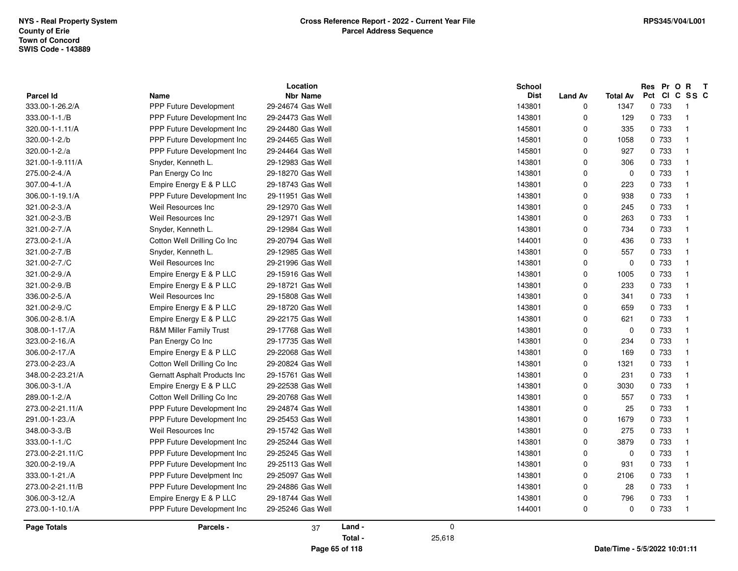| <b>Parcel Id</b> | <b>Name</b>                   | Location<br><b>Nbr Name</b>            |         |             | <b>School</b><br><b>Dist</b> | <b>Land Av</b> | <b>Total Av</b> | Res Pr O R T<br>Pct CI C SS C |                            |
|------------------|-------------------------------|----------------------------------------|---------|-------------|------------------------------|----------------|-----------------|-------------------------------|----------------------------|
| 333.00-1-26.2/A  | <b>PPP Future Development</b> | 29-24674 Gas Well                      |         |             | 143801                       | 0              | 1347            | 0 733                         | $\overline{\phantom{0}}$ 1 |
| 333.00-1-1./B    | PPP Future Development Inc    | 29-24473 Gas Well                      |         |             | 143801                       | 0              | 129             | 0 733                         | $\overline{\phantom{0}}$   |
| 320.00-1-1.11/A  | PPP Future Development Inc    | 29-24480 Gas Well                      |         |             | 145801                       | $\Omega$       | 335             | 0 733                         | $\overline{1}$             |
| 320.00-1-2./b    | PPP Future Development Inc.   | 29-24465 Gas Well                      |         |             | 145801                       | 0              | 1058            | 0 733                         | - 1                        |
| 320.00-1-2./a    | PPP Future Development Inc    | 29-24464 Gas Well                      |         |             | 145801                       | 0              | 927             | 0 733                         | $\overline{1}$             |
| 321.00-1-9.111/A | Snyder, Kenneth L.            | 29-12983 Gas Well                      |         |             | 143801                       | 0              | 306             | 0 733                         | - 1                        |
| 275.00-2-4./A    | Pan Energy Co Inc             | 29-18270 Gas Well                      |         |             | 143801                       | 0              | $\mathbf 0$     | 0 733                         | - 1                        |
| 307.00-4-1./A    | Empire Energy E & P LLC       | 29-18743 Gas Well                      |         |             | 143801                       | 0              | 223             | 0 733                         | - 1                        |
| 306.00-1-19.1/A  | PPP Future Development Inc    | 29-11951 Gas Well                      |         |             | 143801                       | 0              | 938             | 0 733                         | - 1                        |
| 321.00-2-3./A    | Weil Resources Inc            | 29-12970 Gas Well                      |         |             | 143801                       | 0              | 245             | 0 733                         | - 1                        |
| 321.00-2-3./B    | Weil Resources Inc            | 29-12971 Gas Well                      |         |             | 143801                       | $\Omega$       | 263             | 0 733                         | - 1                        |
| 321.00-2-7./A    | Snyder, Kenneth L.            | 29-12984 Gas Well                      |         |             | 143801                       | 0              | 734             | 0 733                         | - 1                        |
| 273.00-2-1./A    | Cotton Well Drilling Co Inc   | 29-20794 Gas Well                      |         |             | 144001                       | 0              | 436             | 0 733                         | - 1                        |
| 321.00-2-7./B    | Snyder, Kenneth L.            | 29-12985 Gas Well                      |         |             | 143801                       | $\Omega$       | 557             | 0 733                         | $\overline{1}$             |
| 321.00-2-7./C    | Weil Resources Inc            | 29-21996 Gas Well                      |         |             | 143801                       | 0              | 0               | 0 733                         | $\overline{\mathbf{1}}$    |
|                  |                               |                                        |         |             |                              | 0              |                 |                               | - 1                        |
| 321.00-2-9./A    | Empire Energy E & P LLC       | 29-15916 Gas Well                      |         |             | 143801                       | 0              | 1005<br>233     | 0 733<br>0 733                | $\overline{1}$             |
| 321.00-2-9./B    | Empire Energy E & P LLC       | 29-18721 Gas Well                      |         |             | 143801                       |                |                 | 0 733                         | $\overline{\mathbf{1}}$    |
| 336.00-2-5./A    | Weil Resources Inc            | 29-15808 Gas Well<br>29-18720 Gas Well |         |             | 143801                       | 0<br>$\Omega$  | 341             |                               |                            |
| 321.00-2-9./C    | Empire Energy E & P LLC       |                                        |         |             | 143801                       |                | 659             | 0 733                         | $\overline{1}$             |
| 306.00-2-8.1/A   | Empire Energy E & P LLC       | 29-22175 Gas Well                      |         |             | 143801                       | $\mathbf 0$    | 621             | 0 733                         | - 1                        |
| 308.00-1-17./A   | R&M Miller Family Trust       | 29-17768 Gas Well                      |         |             | 143801                       | $\mathbf 0$    | $\mathbf 0$     | 0 733                         | - 1                        |
| 323.00-2-16./A   | Pan Energy Co Inc             | 29-17735 Gas Well                      |         |             | 143801                       | $\mathbf 0$    | 234             | 0 733                         | - 1                        |
| 306.00-2-17./A   | Empire Energy E & P LLC       | 29-22068 Gas Well                      |         |             | 143801                       | 0              | 169             | 0 733                         |                            |
| 273.00-2-23./A   | Cotton Well Drilling Co Inc   | 29-20824 Gas Well                      |         |             | 143801                       | $\mathbf 0$    | 1321            | 0 733                         | - 1                        |
| 348.00-2-23.21/A | Gernatt Asphalt Products Inc  | 29-15761 Gas Well                      |         |             | 143801                       | $\mathbf 0$    | 231             | 0 733                         | - 1                        |
| 306.00-3-1./A    | Empire Energy E & P LLC       | 29-22538 Gas Well                      |         |             | 143801                       | $\mathbf 0$    | 3030            | 0 733                         | - 1                        |
| 289.00-1-2./A    | Cotton Well Drilling Co Inc   | 29-20768 Gas Well                      |         |             | 143801                       | $\Omega$       | 557             | 0 733                         | - 1                        |
| 273.00-2-21.11/A | PPP Future Development Inc.   | 29-24874 Gas Well                      |         |             | 143801                       | $\mathbf 0$    | 25              | 0 733                         | - 1                        |
| 291.00-1-23./A   | PPP Future Development Inc    | 29-25453 Gas Well                      |         |             | 143801                       | 0              | 1679            | 0 733                         | $\overline{\phantom{0}}$   |
| 348.00-3-3./B    | Weil Resources Inc            | 29-15742 Gas Well                      |         |             | 143801                       | $\mathbf 0$    | 275             | 0 733                         | - 1                        |
| 333.00-1-1./C    | PPP Future Development Inc    | 29-25244 Gas Well                      |         |             | 143801                       | $\mathbf 0$    | 3879            | 0 733                         | $\overline{1}$             |
| 273.00-2-21.11/C | PPP Future Development Inc.   | 29-25245 Gas Well                      |         |             | 143801                       | $\mathbf 0$    | $\mathbf 0$     | 0 733                         | - 1                        |
| 320.00-2-19./A   | PPP Future Development Inc    | 29-25113 Gas Well                      |         |             | 143801                       | $\mathbf 0$    | 931             | 0 733                         | - 1                        |
| 333.00-1-21./A   | PPP Future Develpment Inc     | 29-25097 Gas Well                      |         |             | 143801                       | 0              | 2106            | 0 733                         | $\overline{\mathbf{1}}$    |
| 273.00-2-21.11/B | PPP Future Development Inc    | 29-24886 Gas Well                      |         |             | 143801                       | $\Omega$       | 28              | 0 733                         | $\overline{1}$             |
| 306.00-3-12./A   | Empire Energy E & P LLC       | 29-18744 Gas Well                      |         |             | 143801                       | $\mathbf 0$    | 796             | 0 733                         | - 1                        |
| 273.00-1-10.1/A  | PPP Future Development Inc    | 29-25246 Gas Well                      |         |             | 144001                       | 0              | $\mathbf 0$     | 0 733                         | - 1                        |
| Page Totals      | Parcels -                     | 37                                     | Land -  | $\mathbf 0$ |                              |                |                 |                               |                            |
|                  |                               |                                        | Total - | 25,618      |                              |                |                 |                               |                            |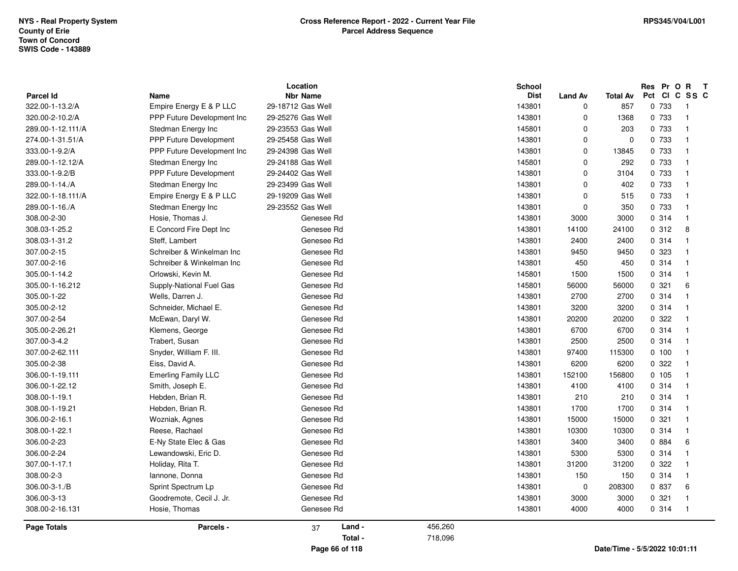| <b>Parcel Id</b>  | <b>Name</b>                   | Location<br><b>Nbr Name</b> |         | <b>School</b><br><b>Dist</b> | <b>Land Av</b> | <b>Total Av</b>               | Res<br>Pct Cl | C      | Pr O R T<br>SS C        |
|-------------------|-------------------------------|-----------------------------|---------|------------------------------|----------------|-------------------------------|---------------|--------|-------------------------|
| 322.00-1-13.2/A   | Empire Energy E & P LLC       | 29-18712 Gas Well           |         | 143801                       | 0              | 857                           |               | 0 733  | $\overline{1}$          |
| 320.00-2-10.2/A   | PPP Future Development Inc    | 29-25276 Gas Well           |         | 143801                       | 0              | 1368                          |               | 0 733  | $\overline{1}$          |
| 289.00-1-12.111/A | Stedman Energy Inc            | 29-23553 Gas Well           |         | 145801                       | 0              | 203                           |               | 0 733  | $\overline{1}$          |
| 274.00-1-31.51/A  | <b>PPP Future Development</b> | 29-25458 Gas Well           |         | 143801                       | $\mathbf 0$    | $\Omega$                      |               | 0 733  | $\overline{1}$          |
| 333.00-1-9.2/A    | PPP Future Development Inc    | 29-24398 Gas Well           |         | 143801                       | $\mathbf 0$    | 13845                         |               | 0 733  | $\overline{1}$          |
| 289.00-1-12.12/A  | Stedman Energy Inc            | 29-24188 Gas Well           |         | 145801                       | 0              | 292                           |               | 0 733  | $\overline{\mathbf{1}}$ |
| 333.00-1-9.2/B    | <b>PPP Future Development</b> | 29-24402 Gas Well           |         | 143801                       | $\mathbf 0$    | 3104                          |               | 0 733  | $\overline{1}$          |
| 289.00-1-14./A    | Stedman Energy Inc            | 29-23499 Gas Well           |         | 143801                       | $\mathbf 0$    | 402                           |               | 0 733  | $\overline{1}$          |
| 322.00-1-18.111/A | Empire Energy E & P LLC       | 29-19209 Gas Well           |         | 143801                       | $\mathbf 0$    | 515                           |               | 0 733  | $\mathbf{1}$            |
| 289.00-1-16./A    | Stedman Energy Inc            | 29-23552 Gas Well           |         | 143801                       | $\mathbf 0$    | 350                           |               | 0 733  | $\overline{1}$          |
| 308.00-2-30       | Hosie, Thomas J.              | Genesee Rd                  |         | 143801                       | 3000           | 3000                          |               | 0.314  | $\overline{1}$          |
| 308.03-1-25.2     | E Concord Fire Dept Inc       | Genesee Rd                  |         | 143801                       | 14100          | 24100                         |               | 0.312  | 8                       |
| 308.03-1-31.2     | Steff, Lambert                | Genesee Rd                  |         | 143801                       | 2400           | 2400                          |               | 0.314  | $\overline{\mathbf{1}}$ |
| 307.00-2-15       | Schreiber & Winkelman Inc     | Genesee Rd                  |         | 143801                       | 9450           | 9450                          |               | 0 323  | $\overline{1}$          |
| 307.00-2-16       | Schreiber & Winkelman Inc     | Genesee Rd                  |         | 143801                       | 450            | 450                           |               | 0.314  | $\overline{1}$          |
| 305.00-1-14.2     | Orlowski, Kevin M.            | Genesee Rd                  |         | 145801                       | 1500           | 1500                          |               | 0.314  | $\overline{1}$          |
| 305.00-1-16.212   | Supply-National Fuel Gas      | Genesee Rd                  |         | 145801                       | 56000          | 56000                         | 0.321         |        | 6                       |
| 305.00-1-22       | Wells, Darren J.              | Genesee Rd                  |         | 143801                       | 2700           | 2700                          |               | 0.314  | $\overline{1}$          |
| 305.00-2-12       | Schneider, Michael E.         | Genesee Rd                  |         | 143801                       | 3200           | 3200                          |               | 0.314  | $\overline{1}$          |
| 307.00-2-54       | McEwan, Daryl W.              | Genesee Rd                  |         | 143801                       | 20200          | 20200                         |               | 0.322  | $\overline{1}$          |
| 305.00-2-26.21    | Klemens, George               | Genesee Rd                  |         | 143801                       | 6700           | 6700                          |               | 0.314  | $\overline{\mathbf{1}}$ |
| 307.00-3-4.2      | Trabert, Susan                | Genesee Rd                  |         | 143801                       | 2500           | 2500                          |               | 0.314  | $\overline{1}$          |
| 307.00-2-62.111   | Snyder, William F. III.       | Genesee Rd                  |         | 143801                       | 97400          | 115300                        |               | 0, 100 | $\overline{1}$          |
| 305.00-2-38       | Eiss, David A.                | Genesee Rd                  |         | 143801                       | 6200           | 6200                          |               | 0.322  | $\overline{1}$          |
| 306.00-1-19.111   | <b>Emerling Family LLC</b>    | Genesee Rd                  |         | 143801                       | 152100         | 156800                        |               | 0 105  | $\overline{1}$          |
| 306.00-1-22.12    | Smith, Joseph E.              | Genesee Rd                  |         | 143801                       | 4100           | 4100                          |               | 0.314  | $\overline{1}$          |
| 308.00-1-19.1     | Hebden, Brian R.              | Genesee Rd                  |         | 143801                       | 210            | 210                           |               | 0.314  | $\overline{1}$          |
| 308.00-1-19.21    | Hebden, Brian R.              | Genesee Rd                  |         | 143801                       | 1700           | 1700                          |               | 0.314  | $\overline{1}$          |
| 306.00-2-16.1     | Wozniak, Agnes                | Genesee Rd                  |         | 143801                       | 15000          | 15000                         |               | 0.321  | $\overline{1}$          |
| 308.00-1-22.1     | Reese, Rachael                | Genesee Rd                  |         | 143801                       | 10300          | 10300                         |               | 0.314  | $\overline{1}$          |
| 306.00-2-23       | E-Ny State Elec & Gas         | Genesee Rd                  |         | 143801                       | 3400           | 3400                          |               | 0 884  | 6                       |
| 306.00-2-24       | Lewandowski, Eric D.          | Genesee Rd                  |         | 143801                       | 5300           | 5300                          |               | 0.314  | $\overline{1}$          |
| 307.00-1-17.1     | Holiday, Rita T.              | Genesee Rd                  |         | 143801                       | 31200          | 31200                         |               | 0.322  | $\overline{\mathbf{1}}$ |
| 308.00-2-3        | lannone, Donna                | Genesee Rd                  |         | 143801                       | 150            | 150                           |               | 0.314  | $\overline{1}$          |
| 306.00-3-1./B     | Sprint Spectrum Lp            | Genesee Rd                  |         | 143801                       | $\mathbf 0$    | 208300                        |               | 0 837  | 6                       |
| 306.00-3-13       | Goodremote, Cecil J. Jr.      | Genesee Rd                  |         | 143801                       | 3000           | 3000                          | 0.321         |        | $\overline{1}$          |
| 308.00-2-16.131   | Hosie, Thomas                 | Genesee Rd                  |         | 143801                       | 4000           | 4000                          |               | 0.314  | $\overline{\mathbf{1}}$ |
| Page Totals       | Parcels -                     | Land -<br>37                | 456,260 |                              |                |                               |               |        |                         |
|                   |                               | Total -                     | 718,096 |                              |                |                               |               |        |                         |
|                   |                               | Page 66 of 118              |         |                              |                | Date/Time - 5/5/2022 10:01:11 |               |        |                         |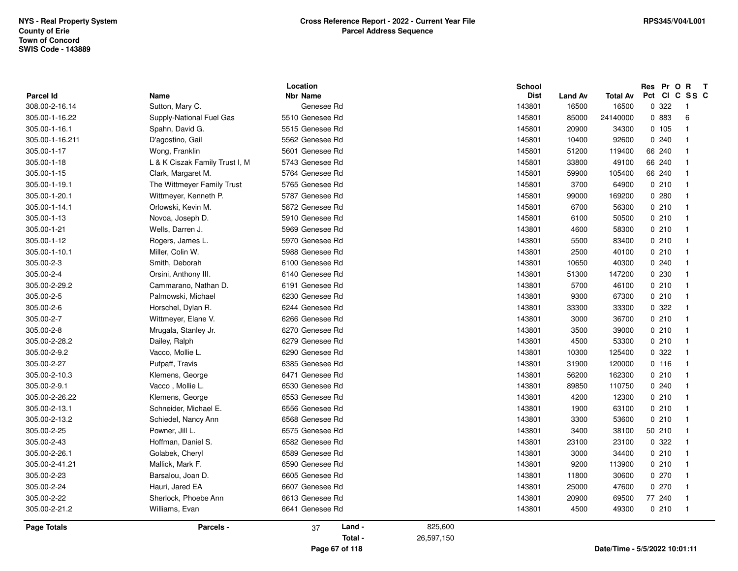| <b>Parcel Id</b> | Name                           | Location<br><b>Nbr Name</b> |         | <b>School</b><br><b>Dist</b> | <b>Land Av</b> | <b>Total Av</b> |         | Res Pr O R<br>Pct CI C SS C | $\mathbf{T}$ |
|------------------|--------------------------------|-----------------------------|---------|------------------------------|----------------|-----------------|---------|-----------------------------|--------------|
| 308.00-2-16.14   | Sutton, Mary C.                | Genesee Rd                  |         | 143801                       | 16500          | 16500           | 0.322   | -1                          |              |
| 305.00-1-16.22   | Supply-National Fuel Gas       | 5510 Genesee Rd             |         | 145801                       | 85000          | 24140000        | 0 883   | 6                           |              |
| 305.00-1-16.1    | Spahn, David G.                | 5515 Genesee Rd             |         | 145801                       | 20900          | 34300           | 0, 105  | $\mathbf{1}$                |              |
| 305.00-1-16.211  | D'agostino, Gail               | 5562 Genesee Rd             |         | 145801                       | 10400          | 92600           | 0.240   | $\mathbf{1}$                |              |
| 305.00-1-17      | Wong, Franklin                 | 5601 Genesee Rd             |         | 145801                       | 51200          | 119400          | 66 240  | $\mathbf{1}$                |              |
| 305.00-1-18      | L & K Ciszak Family Trust I, M | 5743 Genesee Rd             |         | 145801                       | 33800          | 49100           | 66 240  | $\mathbf{1}$                |              |
| 305.00-1-15      | Clark, Margaret M.             | 5764 Genesee Rd             |         | 145801                       | 59900          | 105400          | 66 240  | $\overline{1}$              |              |
| 305.00-1-19.1    | The Wittmeyer Family Trust     | 5765 Genesee Rd             |         | 145801                       | 3700           | 64900           | 0210    | $\overline{1}$              |              |
| 305.00-1-20.1    | Wittmeyer, Kenneth P.          | 5787 Genesee Rd             |         | 145801                       | 99000          | 169200          | 0.280   | $\mathbf{1}$                |              |
| 305.00-1-14.1    | Orlowski, Kevin M.             | 5872 Genesee Rd             |         | 145801                       | 6700           | 56300           | 0210    | $\overline{\mathbf{1}}$     |              |
| 305.00-1-13      | Novoa, Joseph D.               | 5910 Genesee Rd             |         | 145801                       | 6100           | 50500           | 0210    | $\overline{1}$              |              |
| 305.00-1-21      | Wells, Darren J.               | 5969 Genesee Rd             |         | 143801                       | 4600           | 58300           | 0210    | $\overline{1}$              |              |
| 305.00-1-12      | Rogers, James L.               | 5970 Genesee Rd             |         | 143801                       | 5500           | 83400           | 0210    | $\overline{1}$              |              |
| 305.00-1-10.1    | Miller, Colin W.               | 5988 Genesee Rd             |         | 143801                       | 2500           | 40100           | 0210    | $\overline{1}$              |              |
| 305.00-2-3       | Smith, Deborah                 | 6100 Genesee Rd             |         | 143801                       | 10650          | 40300           | 0.240   | $\overline{1}$              |              |
| 305.00-2-4       | Orsini, Anthony III.           | 6140 Genesee Rd             |         | 143801                       | 51300          | 147200          | 0 2 3 0 | $\overline{1}$              |              |
| 305.00-2-29.2    | Cammarano, Nathan D.           | 6191 Genesee Rd             |         | 143801                       | 5700           | 46100           | 0210    | $\overline{1}$              |              |
| 305.00-2-5       | Palmowski, Michael             | 6230 Genesee Rd             |         | 143801                       | 9300           | 67300           | 0210    | $\overline{1}$              |              |
| 305.00-2-6       | Horschel, Dylan R.             | 6244 Genesee Rd             |         | 143801                       | 33300          | 33300           | 0.322   | $\overline{1}$              |              |
| 305.00-2-7       | Wittmeyer, Elane V.            | 6266 Genesee Rd             |         | 143801                       | 3000           | 36700           | 0210    | $\overline{\mathbf{1}}$     |              |
| 305.00-2-8       | Mrugala, Stanley Jr.           | 6270 Genesee Rd             |         | 143801                       | 3500           | 39000           | 0210    | $\overline{\mathbf{1}}$     |              |
| 305.00-2-28.2    | Dailey, Ralph                  | 6279 Genesee Rd             |         | 143801                       | 4500           | 53300           | 0210    | $\overline{1}$              |              |
| 305.00-2-9.2     | Vacco, Mollie L.               | 6290 Genesee Rd             |         | 143801                       | 10300          | 125400          | 0.322   | $\overline{1}$              |              |
| 305.00-2-27      | Pufpaff, Travis                | 6385 Genesee Rd             |         | 143801                       | 31900          | 120000          | 0.116   | $\overline{1}$              |              |
| 305.00-2-10.3    | Klemens, George                | 6471 Genesee Rd             |         | 143801                       | 56200          | 162300          | 0210    | $\overline{\mathbf{1}}$     |              |
| 305.00-2-9.1     | Vacco, Mollie L.               | 6530 Genesee Rd             |         | 143801                       | 89850          | 110750          | 0240    | $\mathbf{1}$                |              |
| 305.00-2-26.22   | Klemens, George                | 6553 Genesee Rd             |         | 143801                       | 4200           | 12300           | 0210    | $\overline{1}$              |              |
| 305.00-2-13.1    | Schneider, Michael E.          | 6556 Genesee Rd             |         | 143801                       | 1900           | 63100           | 0210    | $\overline{1}$              |              |
| 305.00-2-13.2    | Schiedel, Nancy Ann            | 6568 Genesee Rd             |         | 143801                       | 3300           | 53600           | 0210    | -1                          |              |
| 305.00-2-25      | Powner, Jill L.                | 6575 Genesee Rd             |         | 143801                       | 3400           | 38100           | 50 210  | $\overline{1}$              |              |
| 305.00-2-43      | Hoffman, Daniel S.             | 6582 Genesee Rd             |         | 143801                       | 23100          | 23100           | 0 322   | $\mathbf 1$                 |              |
| 305.00-2-26.1    | Golabek, Cheryl                | 6589 Genesee Rd             |         | 143801                       | 3000           | 34400           | 0210    | $\overline{1}$              |              |
| 305.00-2-41.21   | Mallick, Mark F.               | 6590 Genesee Rd             |         | 143801                       | 9200           | 113900          | 0210    | $\overline{1}$              |              |
| 305.00-2-23      | Barsalou, Joan D.              | 6605 Genesee Rd             |         | 143801                       | 11800          | 30600           | 0270    | -1                          |              |
| 305.00-2-24      | Hauri, Jared EA                | 6607 Genesee Rd             |         | 143801                       | 25000          | 47600           | 0270    | $\overline{\mathbf{1}}$     |              |
| 305.00-2-22      | Sherlock, Phoebe Ann           | 6613 Genesee Rd             |         | 143801                       | 20900          | 69500           | 77 240  | $\overline{1}$              |              |
| 305.00-2-21.2    | Williams, Evan                 | 6641 Genesee Rd             |         | 143801                       | 4500           | 49300           | 0210    | $\overline{1}$              |              |
| Page Totals      | Parcels -                      | Land -<br>37                | 825,600 |                              |                |                 |         |                             |              |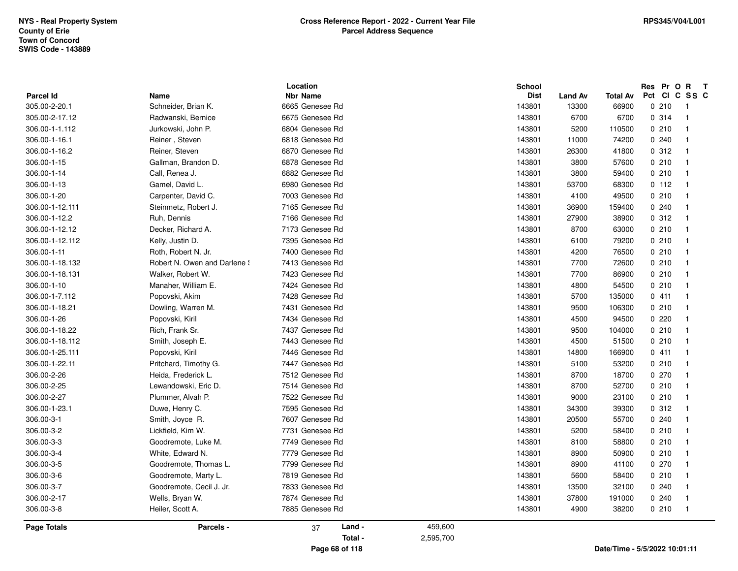| <b>Parcel Id</b>               | Name                              | Location<br><b>Nbr Name</b> |         | <b>School</b><br><b>Dist</b> | <b>Land Av</b> | <b>Total Av</b> |       | Res Pr O R T<br>Pct CI C SS C |  |
|--------------------------------|-----------------------------------|-----------------------------|---------|------------------------------|----------------|-----------------|-------|-------------------------------|--|
| 305.00-2-20.1                  | Schneider, Brian K.               | 6665 Genesee Rd             |         | 143801                       | 13300          | 66900           | 0210  | $\overline{1}$                |  |
| 305.00-2-17.12                 | Radwanski, Bernice                | 6675 Genesee Rd             |         | 143801                       | 6700           | 6700            | 0.314 | $\overline{1}$                |  |
| 306.00-1-1.112                 | Jurkowski, John P.                | 6804 Genesee Rd             |         | 143801                       | 5200           | 110500          | 0210  | $\overline{\mathbf{1}}$       |  |
| 306.00-1-16.1                  | Reiner, Steven                    | 6818 Genesee Rd             |         | 143801                       | 11000          | 74200           | 0.240 | $\overline{1}$                |  |
| 306.00-1-16.2                  | Reiner, Steven                    | 6870 Genesee Rd             |         | 143801                       | 26300          | 41800           | 0.312 | $\overline{1}$                |  |
| 306.00-1-15                    | Gallman, Brandon D.               | 6878 Genesee Rd             |         | 143801                       | 3800           | 57600           | 0210  | -1                            |  |
| 306.00-1-14                    | Call, Renea J.                    | 6882 Genesee Rd             |         | 143801                       | 3800           | 59400           | 0210  | $\overline{1}$                |  |
| 306.00-1-13                    | Gamel, David L.                   | 6980 Genesee Rd             |         | 143801                       | 53700          | 68300           | 0.112 | $\overline{1}$                |  |
| 306.00-1-20                    | Carpenter, David C.               | 7003 Genesee Rd             |         | 143801                       | 4100           | 49500           | 0210  | $\overline{1}$                |  |
| 306.00-1-12.111                | Steinmetz, Robert J.              | 7165 Genesee Rd             |         | 143801                       | 36900          | 159400          | 0.240 | -1                            |  |
| 306.00-1-12.2                  |                                   | 7166 Genesee Rd             |         | 143801                       | 27900          | 38900           | 0.312 | $\overline{\mathbf{1}}$       |  |
| 306.00-1-12.12                 | Ruh, Dennis<br>Decker, Richard A. | 7173 Genesee Rd             |         | 143801                       | 8700           | 63000           | 0210  | $\overline{1}$                |  |
| 306.00-1-12.112                | Kelly, Justin D.                  | 7395 Genesee Rd             |         | 143801                       | 6100           | 79200           | 0210  | $\overline{1}$                |  |
| 306.00-1-11                    | Roth, Robert N. Jr.               | 7400 Genesee Rd             |         | 143801                       | 4200           | 76500           | 0210  | $\overline{1}$                |  |
| 306.00-1-18.132                | Robert N. Owen and Darlene !      | 7413 Genesee Rd             |         | 143801                       | 7700           | 72600           | 0210  | $\overline{1}$                |  |
|                                | Walker, Robert W.                 | 7423 Genesee Rd             |         | 143801                       | 7700           | 86900           | 0210  | -1                            |  |
| 306.00-1-18.131<br>306.00-1-10 |                                   | 7424 Genesee Rd             |         | 143801                       |                |                 | 0210  | $\overline{1}$                |  |
|                                | Manaher, William E.               |                             |         |                              | 4800           | 54500           |       |                               |  |
| 306.00-1-7.112                 | Popovski, Akim                    | 7428 Genesee Rd             |         | 143801                       | 5700           | 135000          | 0411  | $\overline{1}$                |  |
| 306.00-1-18.21                 | Dowling, Warren M.                | 7431 Genesee Rd             |         | 143801                       | 9500           | 106300          | 0210  | $\overline{1}$                |  |
| 306.00-1-26                    | Popovski, Kiril                   | 7434 Genesee Rd             |         | 143801                       | 4500           | 94500           | 0220  | $\overline{1}$                |  |
| 306.00-1-18.22                 | Rich, Frank Sr.                   | 7437 Genesee Rd             |         | 143801                       | 9500           | 104000          | 0210  | $\overline{1}$                |  |
| 306.00-1-18.112                | Smith, Joseph E.                  | 7443 Genesee Rd             |         | 143801                       | 4500           | 51500           | 0210  | $\overline{1}$                |  |
| 306.00-1-25.111                | Popovski, Kiril                   | 7446 Genesee Rd             |         | 143801                       | 14800          | 166900          | 0411  | $\overline{1}$                |  |
| 306.00-1-22.11                 | Pritchard, Timothy G.             | 7447 Genesee Rd             |         | 143801                       | 5100           | 53200           | 0210  | $\overline{1}$                |  |
| 306.00-2-26                    | Heida, Frederick L                | 7512 Genesee Rd             |         | 143801                       | 8700           | 18700           | 0270  | $\overline{1}$                |  |
| 306.00-2-25                    | Lewandowski, Eric D.              | 7514 Genesee Rd             |         | 143801                       | 8700           | 52700           | 0210  | $\overline{1}$                |  |
| 306.00-2-27                    | Plummer, Alvah P.                 | 7522 Genesee Rd             |         | 143801                       | 9000           | 23100           | 0210  | $\overline{1}$                |  |
| 306.00-1-23.1                  | Duwe, Henry C.                    | 7595 Genesee Rd             |         | 143801                       | 34300          | 39300           | 0.312 | $\overline{1}$                |  |
| 306.00-3-1                     | Smith, Joyce R.                   | 7607 Genesee Rd             |         | 143801                       | 20500          | 55700           | 0.240 | $\overline{1}$                |  |
| 306.00-3-2                     | Lickfield, Kim W.                 | 7731 Genesee Rd             |         | 143801                       | 5200           | 58400           | 0210  | $\overline{1}$                |  |
| 306.00-3-3                     | Goodremote, Luke M.               | 7749 Genesee Rd             |         | 143801                       | 8100           | 58800           | 0210  | $\overline{1}$                |  |
| 306.00-3-4                     | White, Edward N.                  | 7779 Genesee Rd             |         | 143801                       | 8900           | 50900           | 0210  | $\overline{1}$                |  |
| 306.00-3-5                     | Goodremote, Thomas L.             | 7799 Genesee Rd             |         | 143801                       | 8900           | 41100           | 0270  | $\overline{1}$                |  |
| 306.00-3-6                     | Goodremote, Marty L.              | 7819 Genesee Rd             |         | 143801                       | 5600           | 58400           | 0210  | $\overline{1}$                |  |
| 306.00-3-7                     | Goodremote, Cecil J. Jr.          | 7833 Genesee Rd             |         | 143801                       | 13500          | 32100           | 0.240 | $\overline{1}$                |  |
| 306.00-2-17                    | Wells, Bryan W.                   | 7874 Genesee Rd             |         | 143801                       | 37800          | 191000          | 0240  | $\mathbf{1}$                  |  |
| 306.00-3-8                     | Heiler, Scott A.                  | 7885 Genesee Rd             |         | 143801                       | 4900           | 38200           | 0210  | $\overline{1}$                |  |
| Page Totals                    | Parcels -                         | Land -<br>37                | 459,600 |                              |                |                 |       |                               |  |

**Page 68 of 118**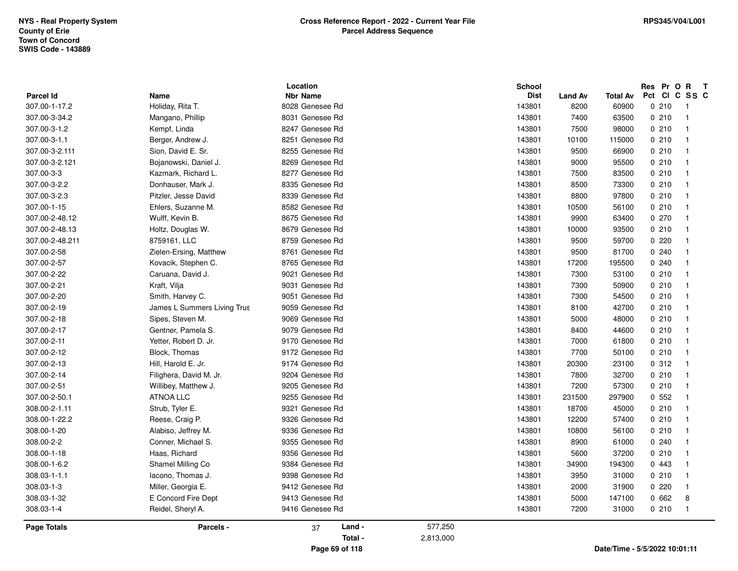|                  |                             | Location        | <b>School</b> |                |                 | Res Pr O R T                       |
|------------------|-----------------------------|-----------------|---------------|----------------|-----------------|------------------------------------|
| <b>Parcel Id</b> | Name                        | Nbr Name        | <b>Dist</b>   | <b>Land Av</b> | <b>Total Av</b> | Pct CI C SS C                      |
| 307.00-1-17.2    | Holiday, Rita T.            | 8028 Genesee Rd | 143801        | 8200           | 60900           | 0210<br>$\overline{1}$             |
| 307.00-3-34.2    | Mangano, Phillip            | 8031 Genesee Rd | 143801        | 7400           | 63500           | 0210<br>$\overline{1}$             |
| 307.00-3-1.2     | Kempf, Linda                | 8247 Genesee Rd | 143801        | 7500           | 98000           | 0210<br>$\overline{1}$             |
| 307.00-3-1.1     | Berger, Andrew J.           | 8251 Genesee Rd | 143801        | 10100          | 115000          | 0210<br>$\overline{1}$             |
| 307.00-3-2.111   | Sion, David E. Sr.          | 8255 Genesee Rd | 143801        | 9500           | 66900           | 0210<br>$\overline{1}$             |
| 307.00-3-2.121   | Bojanowski, Daniel J.       | 8269 Genesee Rd | 143801        | 9000           | 95500           | 0210<br>$\overline{1}$             |
| 307.00-3-3       | Kazmark, Richard L          | 8277 Genesee Rd | 143801        | 7500           | 83500           | 0210<br>$\overline{1}$             |
| 307.00-3-2.2     | Donhauser, Mark J.          | 8335 Genesee Rd | 143801        | 8500           | 73300           | 0210<br>$\overline{1}$             |
| 307.00-3-2.3     | Pitzler, Jesse David        | 8339 Genesee Rd | 143801        | 8800           | 97800           | 0210<br>$\overline{1}$             |
| 307.00-1-15      | Ehlers, Suzanne M.          | 8582 Genesee Rd | 143801        | 10500          | 56100           | 0210<br>$\overline{1}$             |
| 307.00-2-48.12   | Wulff, Kevin B.             | 8675 Genesee Rd | 143801        | 9900           | 63400           | 0270<br>$\overline{1}$             |
| 307.00-2-48.13   | Holtz, Douglas W.           | 8679 Genesee Rd | 143801        | 10000          | 93500           | 0210<br>$\overline{\mathbf{1}}$    |
| 307.00-2-48.211  | 8759161, LLC                | 8759 Genesee Rd | 143801        | 9500           | 59700           | 0220<br>$\overline{1}$             |
| 307.00-2-58      | Zielen-Ersing, Matthew      | 8761 Genesee Rd | 143801        | 9500           | 81700           | 0.240<br>$\mathbf{1}$              |
| 307.00-2-57      | Kovacik, Stephen C.         | 8765 Genesee Rd | 143801        | 17200          | 195500          | 0.240<br>$\overline{\mathbf{1}}$   |
| 307.00-2-22      | Caruana, David J.           | 9021 Genesee Rd | 143801        | 7300           | 53100           | 0210<br>$\overline{1}$             |
| 307.00-2-21      | Kraft, Vilja                | 9031 Genesee Rd | 143801        | 7300           | 50900           | 0210<br>$\overline{\mathbf{1}}$    |
| 307.00-2-20      | Smith, Harvey C.            | 9051 Genesee Rd | 143801        | 7300           | 54500           | 0210<br>$\overline{1}$             |
| 307.00-2-19      | James L Summers Living Trus | 9059 Genesee Rd | 143801        | 8100           | 42700           | 0210<br>$\overline{1}$             |
| 307.00-2-18      | Sipes, Steven M.            | 9069 Genesee Rd | 143801        | 5000           | 48000           | 0210<br>$\overline{\mathbf{1}}$    |
| 307.00-2-17      | Gentner, Pamela S.          | 9079 Genesee Rd | 143801        | 8400           | 44600           | 0210<br>$\overline{\mathbf{1}}$    |
| 307.00-2-11      | Yetter, Robert D. Jr.       | 9170 Genesee Rd | 143801        | 7000           | 61800           | 0210<br>$\overline{\mathbf{1}}$    |
| 307.00-2-12      | Block, Thomas               | 9172 Genesee Rd | 143801        | 7700           | 50100           | 0210<br>$\overline{1}$             |
| 307.00-2-13      | Hill, Harold E. Jr.         | 9174 Genesee Rd | 143801        | 20300          | 23100           | 0.312<br>$\overline{1}$            |
| 307.00-2-14      | Filighera, David M. Jr.     | 9204 Genesee Rd | 143801        | 7800           | 32700           | 0210<br>$\overline{1}$             |
| 307.00-2-51      | Willibey, Matthew J.        | 9205 Genesee Rd | 143801        | 7200           | 57300           | 0210<br>$\overline{\mathbf{1}}$    |
| 307.00-2-50.1    | ATNOA LLC                   | 9255 Genesee Rd | 143801        | 231500         | 297900          | 0.552<br>$\overline{\mathbf{1}}$   |
| 308.00-2-1.11    | Strub, Tyler E.             | 9321 Genesee Rd | 143801        | 18700          | 45000           | 0210<br>$\overline{\mathbf{1}}$    |
| 308.00-1-22.2    | Reese, Craig P.             | 9326 Genesee Rd | 143801        | 12200          | 57400           | 0210<br>$\overline{1}$             |
| 308.00-1-20      | Alabiso, Jeffrey M.         | 9336 Genesee Rd | 143801        | 10800          | 56100           | 0210<br>$\overline{\mathbf{1}}$    |
| 308.00-2-2       | Conner, Michael S.          | 9355 Genesee Rd | 143801        | 8900           | 61000           | 0.240<br>$\overline{1}$            |
| 308.00-1-18      | Haas, Richard               | 9356 Genesee Rd | 143801        | 5600           | 37200           | 0210<br>$\overline{\mathbf{1}}$    |
| 308.00-1-6.2     | Shamel Milling Co           | 9384 Genesee Rd | 143801        | 34900          | 194300          | 0 4 4 3<br>$\overline{\mathbf{1}}$ |
| 308.03-1-1.1     | lacono, Thomas J.           | 9398 Genesee Rd | 143801        | 3950           | 31000           | 0210<br>$\overline{\mathbf{1}}$    |
| 308.03-1-3       | Miller, Georgia E.          | 9412 Genesee Rd | 143801        | 2000           | 31900           | 0220<br>$\mathbf{1}$               |
| 308.03-1-32      | E Concord Fire Dept         | 9413 Genesee Rd | 143801        | 5000           | 147100          | 0 662<br>8                         |
| 308.03-1-4       | Reidel, Sheryl A.           | 9416 Genesee Rd | 143801        | 7200           | 31000           | 0210<br>$\overline{1}$             |
| Page Totals      | Parcels -                   | Land -<br>37    | 577,250       |                |                 |                                    |
|                  |                             | Total -         | 2,813,000     |                |                 |                                    |
|                  |                             | Page 69 of 118  |               |                |                 | Date/Time - 5/5/2022 10:01:11      |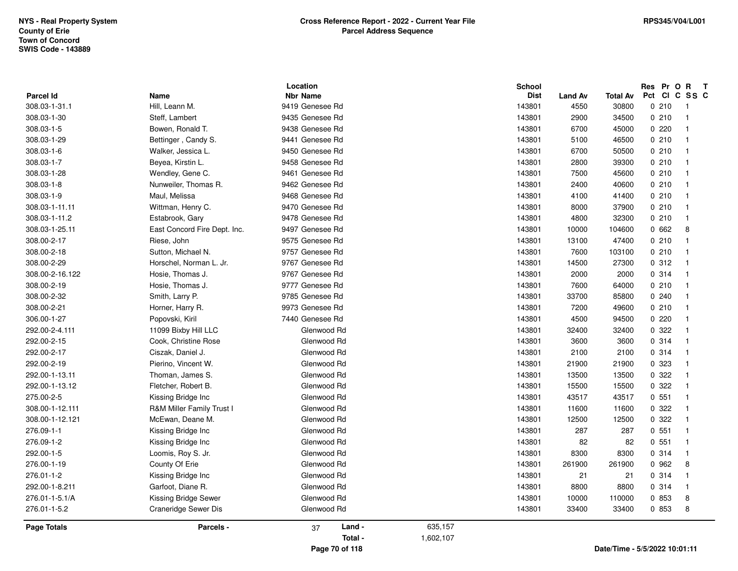|                                   |                              | Location                           |           | School                                          |                               | Res Pr O R               | $\mathbf{T}$                   |
|-----------------------------------|------------------------------|------------------------------------|-----------|-------------------------------------------------|-------------------------------|--------------------------|--------------------------------|
| <b>Parcel Id</b><br>308.03-1-31.1 | Name<br>Hill, Leann M.       | <b>Nbr Name</b><br>9419 Genesee Rd |           | <b>Dist</b><br><b>Land Av</b><br>143801<br>4550 | <b>Total Av</b><br>30800      | Pct<br><b>CI</b><br>0210 | C SS C                         |
|                                   |                              | 9435 Genesee Rd                    |           |                                                 |                               |                          | - 1                            |
| 308.03-1-30                       | Steff, Lambert               |                                    |           | 2900<br>143801                                  | 34500                         | 0210                     | $\overline{1}$<br>$\mathbf{1}$ |
| 308.03-1-5                        | Bowen, Ronald T.             | 9438 Genesee Rd                    |           | 143801<br>6700                                  | 45000                         | 0220                     |                                |
| 308.03-1-29                       | Bettinger, Candy S.          | 9441 Genesee Rd                    |           | 143801<br>5100                                  | 46500                         | 0210                     | -1                             |
| 308.03-1-6                        | Walker, Jessica L.           | 9450 Genesee Rd                    |           | 143801<br>6700                                  | 50500                         | 0210                     | $\overline{1}$                 |
| 308.03-1-7                        | Beyea, Kirstin L.            | 9458 Genesee Rd                    |           | 143801<br>2800                                  | 39300                         | 0210                     | $\overline{\mathbf{1}}$        |
| 308.03-1-28                       | Wendley, Gene C.             | 9461 Genesee Rd                    |           | 143801<br>7500                                  | 45600                         | 0210                     | $\overline{1}$                 |
| 308.03-1-8                        | Nunweiler, Thomas R.         | 9462 Genesee Rd                    |           | 143801<br>2400                                  | 40600                         | 0210                     | -1                             |
| 308.03-1-9                        | Maul, Melissa                | 9468 Genesee Rd                    |           | 143801<br>4100                                  | 41400                         | 0210                     | $\overline{1}$                 |
| 308.03-1-11.11                    | Wittman, Henry C.            | 9470 Genesee Rd                    |           | 143801<br>8000                                  | 37900                         | 0210                     | $\mathbf{1}$                   |
| 308.03-1-11.2                     | Estabrook, Gary              | 9478 Genesee Rd                    |           | 143801<br>4800                                  | 32300                         | 0210                     | $\mathbf{1}$                   |
| 308.03-1-25.11                    | East Concord Fire Dept. Inc. | 9497 Genesee Rd                    |           | 143801<br>10000                                 | 104600                        | 0662                     | 8                              |
| 308.00-2-17                       | Riese, John                  | 9575 Genesee Rd                    |           | 143801<br>13100                                 | 47400                         | 0210                     | $\overline{1}$                 |
| 308.00-2-18                       | Sutton, Michael N.           | 9757 Genesee Rd                    |           | 143801<br>7600                                  | 103100                        | 0210                     | $\overline{1}$                 |
| 308.00-2-29                       | Horschel, Norman L. Jr.      | 9767 Genesee Rd                    |           | 143801<br>14500                                 | 27300                         | 0.312                    | $\overline{1}$                 |
| 308.00-2-16.122                   | Hosie, Thomas J.             | 9767 Genesee Rd                    |           | 2000<br>143801                                  | 2000                          | 0.314                    | $\overline{1}$                 |
| 308.00-2-19                       | Hosie, Thomas J.             | 9777 Genesee Rd                    |           | 143801<br>7600                                  | 64000                         | 0210                     |                                |
| 308.00-2-32                       | Smith, Larry P.              | 9785 Genesee Rd                    |           | 143801<br>33700                                 | 85800                         | 0.240                    |                                |
| 308.00-2-21                       | Horner, Harry R.             | 9973 Genesee Rd                    |           | 143801<br>7200                                  | 49600                         | 0210                     | 1                              |
| 306.00-1-27                       | Popovski, Kiril              | 7440 Genesee Rd                    |           | 143801<br>4500                                  | 94500                         | 0220                     | $\overline{\mathbf{1}}$        |
| 292.00-2-4.111                    | 11099 Bixby Hill LLC         | Glenwood Rd                        |           | 143801<br>32400                                 | 32400                         | 0.322                    | 1                              |
| 292.00-2-15                       | Cook, Christine Rose         | Glenwood Rd                        |           | 143801<br>3600                                  | 3600                          | 0 314                    | -1                             |
| 292.00-2-17                       | Ciszak, Daniel J.            | Glenwood Rd                        |           | 143801<br>2100                                  | 2100                          | 0.314                    | $\mathbf{1}$                   |
| 292.00-2-19                       | Pierino, Vincent W.          | Glenwood Rd                        |           | 143801<br>21900                                 | 21900                         | 0 323                    | $\mathbf{1}$                   |
| 292.00-1-13.11                    | Thoman, James S.             | Glenwood Rd                        |           | 143801<br>13500                                 | 13500                         | 0 322                    | 1                              |
| 292.00-1-13.12                    | Fletcher, Robert B.          | Glenwood Rd                        |           | 143801<br>15500                                 | 15500                         | 0.322                    | 1                              |
| 275.00-2-5                        | Kissing Bridge Inc           | Glenwood Rd                        |           | 143801<br>43517                                 | 43517                         | 0.551                    | $\overline{1}$                 |
| 308.00-1-12.111                   | R&M Miller Family Trust I    | Glenwood Rd                        |           | 143801<br>11600                                 | 11600                         | 0.322                    | $\overline{1}$                 |
| 308.00-1-12.121                   | McEwan, Deane M.             | Glenwood Rd                        |           | 143801<br>12500                                 | 12500                         | 0 322                    | $\overline{\mathbf{1}}$        |
| 276.09-1-1                        | Kissing Bridge Inc           | Glenwood Rd                        |           | 143801<br>287                                   | 287                           | 0.551                    | $\mathbf{1}$                   |
| 276.09-1-2                        | Kissing Bridge Inc           | Glenwood Rd                        |           | 82<br>143801                                    | 82                            | 0.551                    | $\mathbf{1}$                   |
| 292.00-1-5                        | Loomis, Roy S. Jr.           | Glenwood Rd                        |           | 143801<br>8300                                  | 8300                          | 0.314                    | $\overline{1}$                 |
| 276.00-1-19                       | County Of Erie               | Glenwood Rd                        |           | 143801<br>261900                                | 261900                        | 0 962                    | 8                              |
| 276.01-1-2                        | Kissing Bridge Inc           | Glenwood Rd                        |           | 143801<br>21                                    | 21                            | 0.314                    | $\mathbf{1}$                   |
| 292.00-1-8.211                    | Garfoot, Diane R.            | Glenwood Rd                        |           | 8800<br>143801                                  | 8800                          | 0.314                    | $\mathbf{1}$                   |
| 276.01-1-5.1/A                    | Kissing Bridge Sewer         | Glenwood Rd                        |           | 143801<br>10000                                 | 110000                        | 0 853                    | 8                              |
| 276.01-1-5.2                      | <b>Craneridge Sewer Dis</b>  | Glenwood Rd                        |           | 143801<br>33400                                 | 33400                         | 0 853                    | 8                              |
| <b>Page Totals</b>                | Parcels -                    | Land -<br>37                       | 635,157   |                                                 |                               |                          |                                |
|                                   |                              | Total -                            | 1,602,107 |                                                 |                               |                          |                                |
|                                   |                              | Page 70 of 118                     |           |                                                 | Date/Time - 5/5/2022 10:01:11 |                          |                                |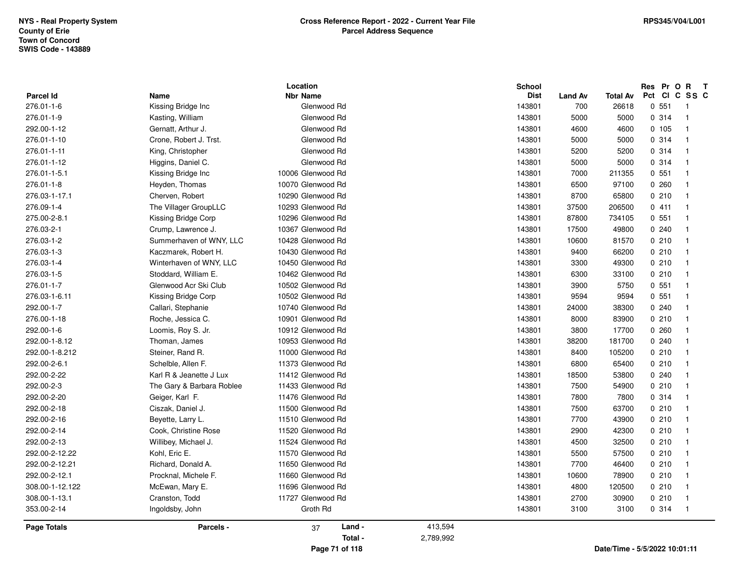|                    |                           | Location          |           | School      |                |                               | Res Pr O R |       | $\mathbf{T}$            |  |
|--------------------|---------------------------|-------------------|-----------|-------------|----------------|-------------------------------|------------|-------|-------------------------|--|
| <b>Parcel Id</b>   | Name                      | <b>Nbr Name</b>   |           | <b>Dist</b> | <b>Land Av</b> | <b>Total Av</b>               | Pct Cl     |       | C SS C                  |  |
| 276.01-1-6         | Kissing Bridge Inc        | Glenwood Rd       |           | 143801      | 700            | 26618                         |            | 0.551 | $\overline{1}$          |  |
| 276.01-1-9         | Kasting, William          | Glenwood Rd       |           | 143801      | 5000           | 5000                          |            | 0.314 | $\overline{1}$          |  |
| 292.00-1-12        | Gernatt, Arthur J.        | Glenwood Rd       |           | 143801      | 4600           | 4600                          |            | 0 105 | -1                      |  |
| 276.01-1-10        | Crone, Robert J. Trst.    | Glenwood Rd       |           | 143801      | 5000           | 5000                          |            | 0.314 | $\overline{\mathbf{1}}$ |  |
| 276.01-1-11        | King, Christopher         | Glenwood Rd       |           | 143801      | 5200           | 5200                          |            | 0.314 | $\mathbf{1}$            |  |
| 276.01-1-12        | Higgins, Daniel C.        | Glenwood Rd       |           | 143801      | 5000           | 5000                          |            | 0.314 | $\overline{1}$          |  |
| 276.01-1-5.1       | Kissing Bridge Inc        | 10006 Glenwood Rd |           | 143801      | 7000           | 211355                        |            | 0.551 | $\overline{1}$          |  |
| 276.01-1-8         | Heyden, Thomas            | 10070 Glenwood Rd |           | 143801      | 6500           | 97100                         |            | 0260  | -1                      |  |
| 276.03-1-17.1      | Cherven, Robert           | 10290 Glenwood Rd |           | 143801      | 8700           | 65800                         |            | 0210  | $\mathbf{1}$            |  |
| 276.09-1-4         | The Villager GroupLLC     | 10293 Glenwood Rd |           | 143801      | 37500          | 206500                        |            | 0411  | $\overline{\mathbf{1}}$ |  |
| 275.00-2-8.1       | Kissing Bridge Corp       | 10296 Glenwood Rd |           | 143801      | 87800          | 734105                        |            | 0.551 | $\overline{\mathbf{1}}$ |  |
| 276.03-2-1         | Crump, Lawrence J.        | 10367 Glenwood Rd |           | 143801      | 17500          | 49800                         |            | 0.240 | -1                      |  |
| 276.03-1-2         | Summerhaven of WNY, LLC   | 10428 Glenwood Rd |           | 143801      | 10600          | 81570                         |            | 0210  | $\overline{\mathbf{1}}$ |  |
| 276.03-1-3         | Kaczmarek, Robert H.      | 10430 Glenwood Rd |           | 143801      | 9400           | 66200                         |            | 0210  | -1                      |  |
| 276.03-1-4         | Winterhaven of WNY, LLC   | 10450 Glenwood Rd |           | 143801      | 3300           | 49300                         |            | 0210  | -1                      |  |
| 276.03-1-5         | Stoddard, William E.      | 10462 Glenwood Rd |           | 143801      | 6300           | 33100                         |            | 0210  | $\overline{\mathbf{1}}$ |  |
| 276.01-1-7         | Glenwood Acr Ski Club     | 10502 Glenwood Rd |           | 143801      | 3900           | 5750                          |            | 0.551 | $\overline{\mathbf{1}}$ |  |
| 276.03-1-6.11      | Kissing Bridge Corp       | 10502 Glenwood Rd |           | 143801      | 9594           | 9594                          |            | 0.551 | $\overline{1}$          |  |
| 292.00-1-7         | Callari, Stephanie        | 10740 Glenwood Rd |           | 143801      | 24000          | 38300                         |            | 0.240 | $\overline{\mathbf{1}}$ |  |
| 276.00-1-18        | Roche, Jessica C.         | 10901 Glenwood Rd |           | 143801      | 8000           | 83900                         |            | 0210  | $\overline{\mathbf{1}}$ |  |
| 292.00-1-6         | Loomis, Roy S. Jr.        | 10912 Glenwood Rd |           | 143801      | 3800           | 17700                         |            | 0260  |                         |  |
| 292.00-1-8.12      | Thoman, James             | 10953 Glenwood Rd |           | 143801      | 38200          | 181700                        |            | 0.240 | -1                      |  |
| 292.00-1-8.212     | Steiner, Rand R.          | 11000 Glenwood Rd |           | 143801      | 8400           | 105200                        |            | 0210  | -1                      |  |
| 292.00-2-6.1       | Schelble, Allen F.        | 11373 Glenwood Rd |           | 143801      | 6800           | 65400                         |            | 0210  | -1                      |  |
| 292.00-2-22        | Karl R & Jeanette J Lux   | 11412 Glenwood Rd |           | 143801      | 18500          | 53800                         |            | 0240  |                         |  |
| 292.00-2-3         | The Gary & Barbara Roblee | 11433 Glenwood Rd |           | 143801      | 7500           | 54900                         |            | 0210  |                         |  |
| 292.00-2-20        | Geiger, Karl F.           | 11476 Glenwood Rd |           | 143801      | 7800           | 7800                          |            | 0.314 | $\mathbf{1}$            |  |
| 292.00-2-18        | Ciszak, Daniel J.         | 11500 Glenwood Rd |           | 143801      | 7500           | 63700                         |            | 0210  | -1                      |  |
| 292.00-2-16        | Beyette, Larry L.         | 11510 Glenwood Rd |           | 143801      | 7700           | 43900                         |            | 0210  | $\overline{\mathbf{1}}$ |  |
| 292.00-2-14        | Cook, Christine Rose      | 11520 Glenwood Rd |           | 143801      | 2900           | 42300                         |            | 0210  | -1                      |  |
| 292.00-2-13        | Willibey, Michael J.      | 11524 Glenwood Rd |           | 143801      | 4500           | 32500                         |            | 0210  | $\overline{\mathbf{1}}$ |  |
| 292.00-2-12.22     | Kohl, Eric E.             | 11570 Glenwood Rd |           | 143801      | 5500           | 57500                         |            | 0210  | -1                      |  |
| 292.00-2-12.21     | Richard, Donald A.        | 11650 Glenwood Rd |           | 143801      | 7700           | 46400                         |            | 0210  | $\overline{\mathbf{1}}$ |  |
| 292.00-2-12.1      | Procknal, Michele F.      | 11660 Glenwood Rd |           | 143801      | 10600          | 78900                         |            | 0210  | -1                      |  |
| 308.00-1-12.122    | McEwan, Mary E.           | 11696 Glenwood Rd |           | 143801      | 4800           | 120500                        |            | 0210  | $\overline{\mathbf{1}}$ |  |
| 308.00-1-13.1      | Cranston, Todd            | 11727 Glenwood Rd |           | 143801      | 2700           | 30900                         |            | 0210  | -1                      |  |
| 353.00-2-14        | Ingoldsby, John           | Groth Rd          |           | 143801      | 3100           | 3100                          |            | 0.314 | -1                      |  |
| <b>Page Totals</b> | Parcels -                 | Land -<br>37      | 413,594   |             |                |                               |            |       |                         |  |
|                    |                           | Total -           | 2,789,992 |             |                |                               |            |       |                         |  |
|                    |                           | Page 71 of 118    |           |             |                | Date/Time - 5/5/2022 10:01:11 |            |       |                         |  |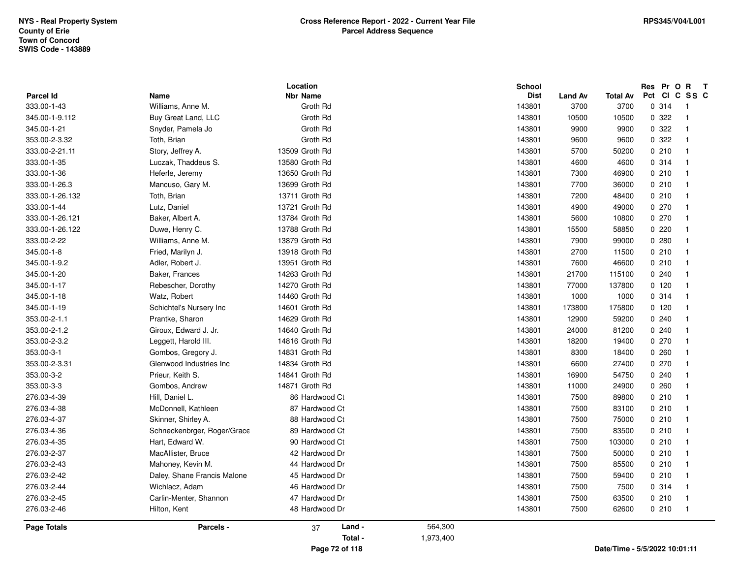| Parcel Id       | Name                        | Location<br><b>Nbr Name</b> |         | <b>School</b><br><b>Dist</b> | Land Av | <b>Total Av</b> | Res Pr |        | $\mathbf{o}$<br>$\mathbf{R}$<br>$\mathbf{T}$<br>Pct CI C SS C |  |
|-----------------|-----------------------------|-----------------------------|---------|------------------------------|---------|-----------------|--------|--------|---------------------------------------------------------------|--|
| 333.00-1-43     | Williams, Anne M.           | Groth Rd                    |         | 143801                       | 3700    | 3700            |        | 0.314  | -1                                                            |  |
| 345.00-1-9.112  | Buy Great Land, LLC         | Groth Rd                    |         | 143801                       | 10500   | 10500           |        | 0 322  | $\overline{1}$                                                |  |
| 345.00-1-21     | Snyder, Pamela Jo           | Groth Rd                    |         | 143801                       | 9900    | 9900            |        | 0.322  | $\mathbf{1}$                                                  |  |
| 353.00-2-3.32   | Toth, Brian                 | Groth Rd                    |         | 143801                       | 9600    | 9600            |        | 0.322  | $\mathbf{1}$                                                  |  |
| 333.00-2-21.11  |                             | 13509 Groth Rd              |         | 143801                       | 5700    | 50200           |        | 0210   | $\mathbf{1}$                                                  |  |
| 333.00-1-35     | Story, Jeffrey A.           | 13580 Groth Rd              |         | 143801                       | 4600    | 4600            |        | 0.314  | $\mathbf{1}$                                                  |  |
| 333.00-1-36     | Luczak, Thaddeus S.         | 13650 Groth Rd              |         | 143801                       | 7300    |                 |        | 0210   |                                                               |  |
|                 | Heferle, Jeremy             |                             |         |                              |         | 46900           |        |        | $\overline{1}$                                                |  |
| 333.00-1-26.3   | Mancuso, Gary M.            | 13699 Groth Rd              |         | 143801                       | 7700    | 36000           |        | 0210   | $\overline{1}$                                                |  |
| 333.00-1-26.132 | Toth, Brian                 | 13711 Groth Rd              |         | 143801                       | 7200    | 48400           |        | 0210   | $\mathbf{1}$                                                  |  |
| 333.00-1-44     | Lutz, Daniel                | 13721 Groth Rd              |         | 143801                       | 4900    | 49000           |        | 0270   | $\mathbf{1}$                                                  |  |
| 333.00-1-26.121 | Baker, Albert A.            | 13784 Groth Rd              |         | 143801                       | 5600    | 10800           |        | 0270   | $\mathbf{1}$                                                  |  |
| 333.00-1-26.122 | Duwe, Henry C.              | 13788 Groth Rd              |         | 143801                       | 15500   | 58850           |        | 0220   | $\mathbf{1}$                                                  |  |
| 333.00-2-22     | Williams, Anne M.           | 13879 Groth Rd              |         | 143801                       | 7900    | 99000           |        | 0.280  | $\mathbf{1}$                                                  |  |
| 345.00-1-8      | Fried, Marilyn J.           | 13918 Groth Rd              |         | 143801                       | 2700    | 11500           |        | 0210   | $\mathbf{1}$                                                  |  |
| 345.00-1-9.2    | Adler, Robert J.            | 13951 Groth Rd              |         | 143801                       | 7600    | 46600           |        | 0210   | $\mathbf{1}$                                                  |  |
| 345.00-1-20     | Baker, Frances              | 14263 Groth Rd              |         | 143801                       | 21700   | 115100          |        | 0.240  | $\overline{1}$                                                |  |
| 345.00-1-17     | Rebescher, Dorothy          | 14270 Groth Rd              |         | 143801                       | 77000   | 137800          |        | 0, 120 | $\overline{1}$                                                |  |
| 345.00-1-18     | Watz, Robert                | 14460 Groth Rd              |         | 143801                       | 1000    | 1000            |        | 0.314  | $\mathbf{1}$                                                  |  |
| 345.00-1-19     | Schichtel's Nursery Inc.    | 14601 Groth Rd              |         | 143801                       | 173800  | 175800          |        | 0, 120 | $\mathbf{1}$                                                  |  |
| 353.00-2-1.1    | Prantke, Sharon             | 14629 Groth Rd              |         | 143801                       | 12900   | 59200           |        | 0.240  | $\mathbf{1}$                                                  |  |
| 353.00-2-1.2    | Giroux, Edward J. Jr.       | 14640 Groth Rd              |         | 143801                       | 24000   | 81200           |        | 0.240  | $\mathbf{1}$                                                  |  |
| 353.00-2-3.2    | Leggett, Harold III.        | 14816 Groth Rd              |         | 143801                       | 18200   | 19400           |        | 0270   | $\overline{1}$                                                |  |
| 353.00-3-1      | Gombos, Gregory J.          | 14831 Groth Rd              |         | 143801                       | 8300    | 18400           |        | 0.260  | $\overline{1}$                                                |  |
| 353.00-2-3.31   | Glenwood Industries Inc     | 14834 Groth Rd              |         | 143801                       | 6600    | 27400           |        | 0270   | $\mathbf{1}$                                                  |  |
| 353.00-3-2      | Prieur, Keith S.            | 14841 Groth Rd              |         | 143801                       | 16900   | 54750           |        | 0.240  | $\mathbf{1}$                                                  |  |
| 353.00-3-3      | Gombos, Andrew              | 14871 Groth Rd              |         | 143801                       | 11000   | 24900           |        | 0.260  | $\mathbf{1}$                                                  |  |
| 276.03-4-39     | Hill, Daniel L.             | 86 Hardwood Ct              |         | 143801                       | 7500    | 89800           |        | 0210   | $\overline{1}$                                                |  |
| 276.03-4-38     | McDonnell, Kathleen         | 87 Hardwood Ct              |         | 143801                       | 7500    | 83100           |        | 0210   | $\overline{1}$                                                |  |
| 276.03-4-37     | Skinner, Shirley A.         | 88 Hardwood Ct              |         | 143801                       | 7500    | 75000           |        | 0210   | $\mathbf{1}$                                                  |  |
| 276.03-4-36     | Schneckenbrger, Roger/Grace | 89 Hardwood Ct              |         | 143801                       | 7500    | 83500           |        | 0210   | $\mathbf{1}$                                                  |  |
| 276.03-4-35     | Hart, Edward W.             | 90 Hardwood Ct              |         | 143801                       | 7500    | 103000          |        | 0210   | $\overline{1}$                                                |  |
| 276.03-2-37     | MacAllister, Bruce          | 42 Hardwood Dr              |         | 143801                       | 7500    | 50000           |        | 0210   | $\overline{1}$                                                |  |
| 276.03-2-43     | Mahoney, Kevin M.           | 44 Hardwood Dr              |         | 143801                       | 7500    | 85500           |        | 0210   | $\overline{1}$                                                |  |
| 276.03-2-42     | Daley, Shane Francis Malone | 45 Hardwood Dr              |         | 143801                       | 7500    | 59400           |        | 0210   | $\mathbf{1}$                                                  |  |
| 276.03-2-44     | Wichlacz, Adam              | 46 Hardwood Dr              |         | 143801                       | 7500    | 7500            |        | 0.314  | $\mathbf{1}$                                                  |  |
| 276.03-2-45     | Carlin-Menter, Shannon      | 47 Hardwood Dr              |         | 143801                       | 7500    | 63500           |        | 0210   | $\mathbf 1$                                                   |  |
| 276.03-2-46     | Hilton, Kent                | 48 Hardwood Dr              |         | 143801                       | 7500    | 62600           |        | 0210   | $\overline{\phantom{1}}$                                      |  |
| Page Totals     | Parcels -                   | Land -<br>37                | 564,300 |                              |         |                 |        |        |                                                               |  |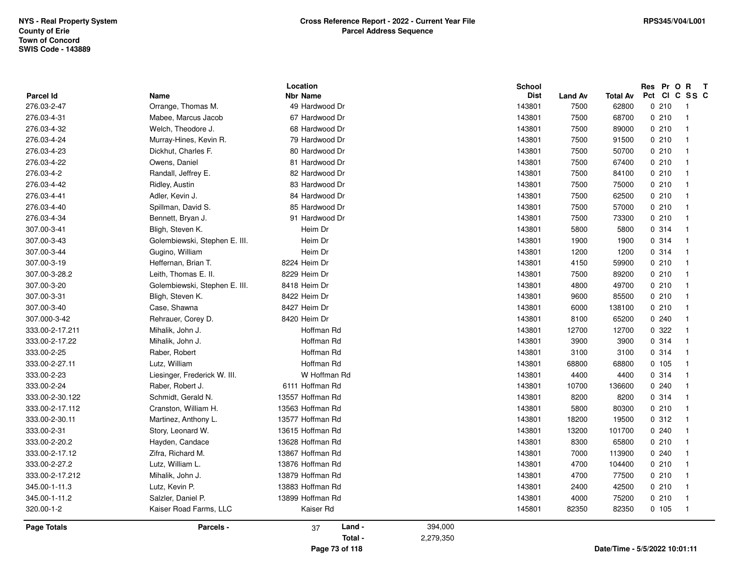|                    |                               | Location         |           | <b>School</b> |                |          | Res Pr O R<br>$\mathbf{T}$       |
|--------------------|-------------------------------|------------------|-----------|---------------|----------------|----------|----------------------------------|
| <b>Parcel Id</b>   | Name                          | <b>Nbr Name</b>  |           | <b>Dist</b>   | <b>Land Av</b> | Total Av | Pct CI C SS C                    |
| 276.03-2-47        | Orrange, Thomas M.            | 49 Hardwood Dr   |           | 143801        | 7500           | 62800    | 0210<br>$\overline{1}$           |
| 276.03-4-31        | Mabee, Marcus Jacob           | 67 Hardwood Dr   |           | 143801        | 7500           | 68700    | 0210<br>$\overline{1}$           |
| 276.03-4-32        | Welch, Theodore J.            | 68 Hardwood Dr   |           | 143801        | 7500           | 89000    | 0210<br>$\overline{1}$           |
| 276.03-4-24        | Murray-Hines, Kevin R.        | 79 Hardwood Dr   |           | 143801        | 7500           | 91500    | 0210<br>$\overline{1}$           |
| 276.03-4-23        | Dickhut, Charles F.           | 80 Hardwood Dr   |           | 143801        | 7500           | 50700    | 0210<br>$\overline{1}$           |
| 276.03-4-22        | Owens, Daniel                 | 81 Hardwood Dr   |           | 143801        | 7500           | 67400    | 0210<br>$\overline{1}$           |
| 276.03-4-2         | Randall, Jeffrey E.           | 82 Hardwood Dr   |           | 143801        | 7500           | 84100    | 0210<br>$\overline{1}$           |
| 276.03-4-42        | Ridley, Austin                | 83 Hardwood Dr   |           | 143801        | 7500           | 75000    | 0210<br>- 1                      |
| 276.03-4-41        | Adler, Kevin J.               | 84 Hardwood Dr   |           | 143801        | 7500           | 62500    | 0210<br>$\overline{\mathbf{1}}$  |
| 276.03-4-40        | Spillman, David S.            | 85 Hardwood Dr   |           | 143801        | 7500           | 57000    | 0210<br>$\overline{1}$           |
| 276.03-4-34        | Bennett, Bryan J.             | 91 Hardwood Dr   |           | 143801        | 7500           | 73300    | 0210<br>$\overline{1}$           |
| 307.00-3-41        | Bligh, Steven K.              | Heim Dr          |           | 143801        | 5800           | 5800     | 0.314<br>$\overline{1}$          |
| 307.00-3-43        | Golembiewski, Stephen E. III. | Heim Dr          |           | 143801        | 1900           | 1900     | 0.314<br>$\overline{1}$          |
| 307.00-3-44        | Gugino, William               | Heim Dr          |           | 143801        | 1200           | 1200     | 0.314<br>$\overline{1}$          |
| 307.00-3-19        | Heffernan, Brian T.           | 8224 Heim Dr     |           | 143801        | 4150           | 59900    | 0210<br>$\overline{1}$           |
| 307.00-3-28.2      | Leith, Thomas E. II.          | 8229 Heim Dr     |           | 143801        | 7500           | 89200    | 0210<br>$\overline{1}$           |
| 307.00-3-20        | Golembiewski, Stephen E. III. | 8418 Heim Dr     |           | 143801        | 4800           | 49700    | 0210<br>$\overline{1}$           |
| 307.00-3-31        | Bligh, Steven K.              | 8422 Heim Dr     |           | 143801        | 9600           | 85500    | 0210<br>$\overline{1}$           |
| 307.00-3-40        | Case, Shawna                  | 8427 Heim Dr     |           | 143801        | 6000           | 138100   | 0210<br>$\overline{1}$           |
| 307.000-3-42       | Rehrauer, Corey D.            | 8420 Heim Dr     |           | 143801        | 8100           | 65200    | 0.240<br>$\overline{1}$          |
| 333.00-2-17.211    | Mihalik, John J.              | Hoffman Rd       |           | 143801        | 12700          | 12700    | 0.322<br>$\overline{\mathbf{1}}$ |
| 333.00-2-17.22     | Mihalik, John J.              | Hoffman Rd       |           | 143801        | 3900           | 3900     | 0.314<br>- 1                     |
| 333.00-2-25        | Raber, Robert                 | Hoffman Rd       |           | 143801        | 3100           | 3100     | 0.314<br>$\overline{1}$          |
| 333.00-2-27.11     | Lutz, William                 | Hoffman Rd       |           | 143801        | 68800          | 68800    | 0, 105<br>$\overline{1}$         |
| 333.00-2-23        | Liesinger, Frederick W. III.  | W Hoffman Rd     |           | 143801        | 4400           | 4400     | 0.314<br>$\overline{1}$          |
| 333.00-2-24        | Raber, Robert J.              | 6111 Hoffman Rd  |           | 143801        | 10700          | 136600   | 0.240<br>- 1                     |
| 333.00-2-30.122    | Schmidt, Gerald N.            | 13557 Hoffman Rd |           | 143801        | 8200           | 8200     | 0.314<br>$\overline{1}$          |
| 333.00-2-17.112    | Cranston, William H.          | 13563 Hoffman Rd |           | 143801        | 5800           | 80300    | 0210<br>$\overline{1}$           |
| 333.00-2-30.11     | Martinez, Anthony L.          | 13577 Hoffman Rd |           | 143801        | 18200          | 19500    | 0.312<br>$\overline{1}$          |
| 333.00-2-31        | Story, Leonard W.             | 13615 Hoffman Rd |           | 143801        | 13200          | 101700   | 0240<br>$\overline{1}$           |
| 333.00-2-20.2      | Hayden, Candace               | 13628 Hoffman Rd |           | 143801        | 8300           | 65800    | 0210<br>$\overline{1}$           |
| 333.00-2-17.12     | Zifra, Richard M.             | 13867 Hoffman Rd |           | 143801        | 7000           | 113900   | 0.240<br>$\overline{1}$          |
| 333.00-2-27.2      | Lutz, William L.              | 13876 Hoffman Rd |           | 143801        | 4700           | 104400   | 0210<br>$\overline{1}$           |
| 333.00-2-17.212    | Mihalik, John J.              | 13879 Hoffman Rd |           | 143801        | 4700           | 77500    | 0210<br>$\overline{1}$           |
| 345.00-1-11.3      | Lutz, Kevin P.                | 13883 Hoffman Rd |           | 143801        | 2400           | 42500    | 0210<br>$\overline{1}$           |
| 345.00-1-11.2      | Salzler, Daniel P.            | 13899 Hoffman Rd |           | 143801        | 4000           | 75200    | 0210<br>$\mathbf{1}$             |
| 320.00-1-2         | Kaiser Road Farms, LLC        | Kaiser Rd        |           | 145801        | 82350          | 82350    | 0, 105<br>$\overline{1}$         |
| <b>Page Totals</b> | Parcels -                     | Land -<br>37     | 394,000   |               |                |          |                                  |
|                    |                               | Total -          | 2,279,350 |               |                |          |                                  |
|                    |                               | Page 73 of 118   |           |               |                |          | Date/Time - 5/5/2022 10:01:11    |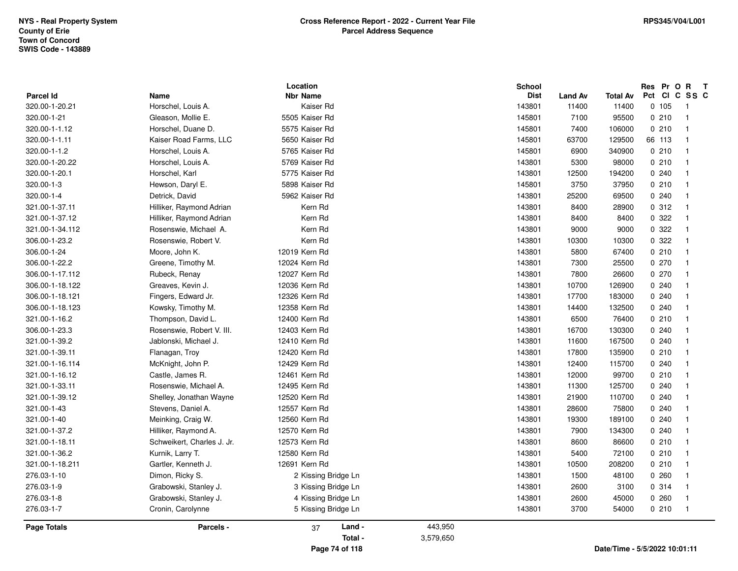| <b>Parcel Id</b> | Name                       | Location<br><b>Nbr Name</b> |           | <b>School</b><br><b>Dist</b> | <b>Land Av</b> | <b>Total Av</b> | Res Pr O R<br>Pct CI C SS C   | $\mathbf{T}$             |
|------------------|----------------------------|-----------------------------|-----------|------------------------------|----------------|-----------------|-------------------------------|--------------------------|
| 320.00-1-20.21   | Horschel, Louis A.         | Kaiser Rd                   |           | 143801                       | 11400          | 11400           | 0, 105                        | $\overline{\phantom{1}}$ |
| 320.00-1-21      | Gleason, Mollie E.         | 5505 Kaiser Rd              |           | 145801                       | 7100           | 95500           | 0210                          | $\overline{1}$           |
| 320.00-1-1.12    | Horschel, Duane D.         | 5575 Kaiser Rd              |           | 145801                       | 7400           | 106000          | 0210                          | $\overline{\mathbf{1}}$  |
| 320.00-1-1.11    | Kaiser Road Farms, LLC     | 5650 Kaiser Rd              |           | 145801                       | 63700          | 129500          | 66 113                        | $\overline{1}$           |
| 320.00-1-1.2     | Horschel, Louis A.         | 5765 Kaiser Rd              |           | 145801                       | 6900           | 340900          | 0210                          | $\overline{\mathbf{1}}$  |
| 320.00-1-20.22   | Horschel, Louis A.         | 5769 Kaiser Rd              |           | 143801                       | 5300           | 98000           | 0210                          | $\overline{\mathbf{1}}$  |
| 320.00-1-20.1    | Horschel, Karl             | 5775 Kaiser Rd              |           | 143801                       | 12500          | 194200          | 0.240                         | $\overline{\mathbf{1}}$  |
| 320.00-1-3       | Hewson, Daryl E.           | 5898 Kaiser Rd              |           | 145801                       | 3750           | 37950           | 0210                          | $\overline{\mathbf{1}}$  |
| 320.00-1-4       | Detrick, David             | 5962 Kaiser Rd              |           | 143801                       | 25200          | 69500           | 0240                          | -1                       |
| 321.00-1-37.11   | Hilliker, Raymond Adrian   | Kern Rd                     |           | 143801                       | 8400           | 28900           | 0.312                         | $\mathbf{1}$             |
| 321.00-1-37.12   | Hilliker, Raymond Adrian   | Kern Rd                     |           | 143801                       | 8400           | 8400            | 0.322                         | $\overline{1}$           |
| 321.00-1-34.112  | Rosenswie, Michael A.      | Kern Rd                     |           | 143801                       | 9000           | 9000            | 0 322                         | $\overline{\mathbf{1}}$  |
| 306.00-1-23.2    | Rosenswie, Robert V.       | Kern Rd                     |           | 143801                       | 10300          | 10300           | 0.322                         | $\mathbf{1}$             |
| 306.00-1-24      | Moore, John K.             | 12019 Kern Rd               |           | 143801                       | 5800           | 67400           | 0210                          | $\mathbf{1}$             |
| 306.00-1-22.2    | Greene, Timothy M.         | 12024 Kern Rd               |           | 143801                       | 7300           | 25500           | 0270                          | $\overline{1}$           |
| 306.00-1-17.112  | Rubeck, Renay              | 12027 Kern Rd               |           | 143801                       | 7800           | 26600           | 0270                          | $\overline{1}$           |
| 306.00-1-18.122  | Greaves, Kevin J.          | 12036 Kern Rd               |           | 143801                       | 10700          | 126900          | 0.240                         | $\overline{\mathbf{1}}$  |
| 306.00-1-18.121  | Fingers, Edward Jr.        | 12326 Kern Rd               |           | 143801                       | 17700          | 183000          | 0.240                         |                          |
| 306.00-1-18.123  | Kowsky, Timothy M.         | 12358 Kern Rd               |           | 143801                       | 14400          | 132500          | 0.240                         | $\mathbf{1}$             |
| 321.00-1-16.2    | Thompson, David L.         | 12400 Kern Rd               |           | 143801                       | 6500           | 76400           | 0210                          | $\overline{1}$           |
| 306.00-1-23.3    | Rosenswie, Robert V. III.  | 12403 Kern Rd               |           | 143801                       | 16700          | 130300          | 0.240                         | $\overline{\mathbf{1}}$  |
| 321.00-1-39.2    | Jablonski, Michael J.      | 12410 Kern Rd               |           | 143801                       | 11600          | 167500          | 0.240                         | $\mathbf{1}$             |
| 321.00-1-39.11   | Flanagan, Troy             | 12420 Kern Rd               |           | 143801                       | 17800          | 135900          | 0210                          | $\mathbf{1}$             |
| 321.00-1-16.114  | McKnight, John P.          | 12429 Kern Rd               |           | 143801                       | 12400          | 115700          | 0.240                         | $\overline{1}$           |
| 321.00-1-16.12   | Castle, James R.           | 12461 Kern Rd               |           | 143801                       | 12000          | 99700           | 0210                          | $\overline{\mathbf{1}}$  |
| 321.00-1-33.11   | Rosenswie, Michael A.      | 12495 Kern Rd               |           | 143801                       | 11300          | 125700          | 0.240                         |                          |
| 321.00-1-39.12   | Shelley, Jonathan Wayne    | 12520 Kern Rd               |           | 143801                       | 21900          | 110700          | 0240                          | -1                       |
| 321.00-1-43      | Stevens, Daniel A.         | 12557 Kern Rd               |           | 143801                       | 28600          | 75800           | 0.240                         | $\overline{1}$           |
| 321.00-1-40      | Meinking, Craig W.         | 12560 Kern Rd               |           | 143801                       | 19300          | 189100          | 0.240                         | $\overline{1}$           |
| 321.00-1-37.2    | Hilliker, Raymond A.       | 12570 Kern Rd               |           | 143801                       | 7900           | 134300          | 0.240                         | $\mathbf{1}$             |
| 321.00-1-18.11   | Schweikert, Charles J. Jr. | 12573 Kern Rd               |           | 143801                       | 8600           | 86600           | 0210                          | $\mathbf{1}$             |
| 321.00-1-36.2    | Kurnik, Larry T.           | 12580 Kern Rd               |           | 143801                       | 5400           | 72100           | 0210                          | $\overline{1}$           |
| 321.00-1-18.211  | Gartler, Kenneth J.        | 12691 Kern Rd               |           | 143801                       | 10500          | 208200          | 0210                          | $\overline{\mathbf{1}}$  |
| 276.03-1-10      | Dimon, Ricky S.            | 2 Kissing Bridge Ln         |           | 143801                       | 1500           | 48100           | 0260                          | $\overline{\mathbf{1}}$  |
| 276.03-1-9       | Grabowski, Stanley J.      | 3 Kissing Bridge Ln         |           | 143801                       | 2600           | 3100            | 0.314                         | $\overline{\mathbf{1}}$  |
| 276.03-1-8       | Grabowski, Stanley J.      | 4 Kissing Bridge Ln         |           | 143801                       | 2600           | 45000           | 0.260                         | $\overline{\mathbf{1}}$  |
| 276.03-1-7       | Cronin, Carolynne          | 5 Kissing Bridge Ln         |           | 143801                       | 3700           | 54000           | 0210                          | $\overline{1}$           |
| Page Totals      | Parcels -                  | Land -<br>37                | 443,950   |                              |                |                 |                               |                          |
|                  |                            | Total -                     | 3,579,650 |                              |                |                 |                               |                          |
|                  |                            | Page 74 of 118              |           |                              |                |                 | Date/Time - 5/5/2022 10:01:11 |                          |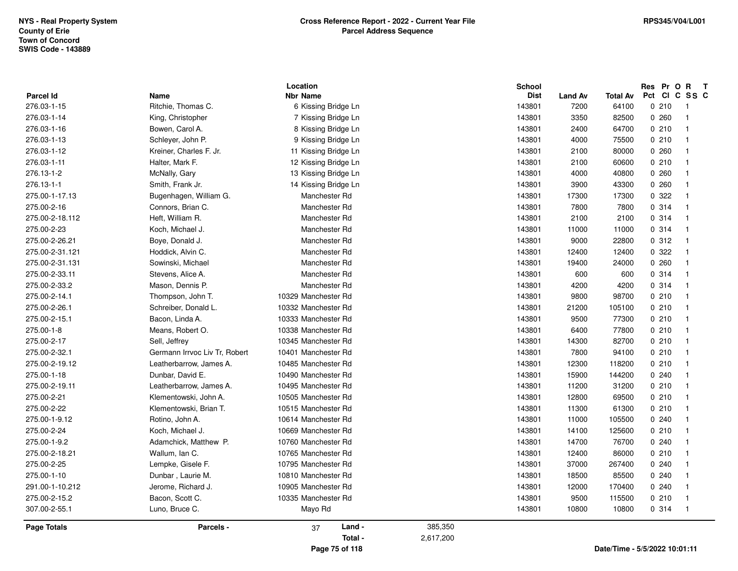|                                 |                                            | Location                                     |           | School                |                        |                          | Res Pr O R<br>Pct CI C SS C   | $\mathbf{T}$ |
|---------------------------------|--------------------------------------------|----------------------------------------------|-----------|-----------------------|------------------------|--------------------------|-------------------------------|--------------|
| <b>Parcel Id</b><br>276.03-1-15 | Name<br>Ritchie, Thomas C.                 | <b>Nbr Name</b><br>6 Kissing Bridge Ln       |           | <b>Dist</b><br>143801 | <b>Land Av</b><br>7200 | <b>Total Av</b><br>64100 | 0210                          | -1           |
| 276.03-1-14                     |                                            |                                              |           | 143801                | 3350                   | 82500                    | 0260                          | -1           |
| 276.03-1-16                     | King, Christopher<br>Bowen, Carol A.       | 7 Kissing Bridge Ln<br>8 Kissing Bridge Ln   |           | 143801                | 2400                   | 64700                    | 0210                          |              |
| 276.03-1-13                     |                                            |                                              |           | 143801                | 4000                   | 75500                    | 0210                          |              |
|                                 | Schleyer, John P.                          | 9 Kissing Bridge Ln                          |           | 143801                |                        | 80000                    |                               |              |
| 276.03-1-12<br>276.03-1-11      | Kreiner, Charles F. Jr.<br>Halter, Mark F. | 11 Kissing Bridge Ln<br>12 Kissing Bridge Ln |           | 143801                | 2100                   | 60600                    | 0260<br>0210                  |              |
|                                 |                                            |                                              |           |                       | 2100                   |                          |                               |              |
| 276.13-1-2                      | McNally, Gary                              | 13 Kissing Bridge Ln                         |           | 143801                | 4000                   | 40800                    | 0.260                         |              |
| 276.13-1-1                      | Smith, Frank Jr.                           | 14 Kissing Bridge Ln                         |           | 143801                | 3900                   | 43300                    | 0260                          |              |
| 275.00-1-17.13                  | Bugenhagen, William G.                     | Manchester Rd                                |           | 143801                | 17300                  | 17300                    | 0 322                         |              |
| 275.00-2-16                     | Connors, Brian C.                          | Manchester Rd                                |           | 143801                | 7800                   | 7800                     | 0.314                         |              |
| 275.00-2-18.112                 | Heft, William R.                           | Manchester Rd                                |           | 143801                | 2100                   | 2100                     | 0.314                         |              |
| 275.00-2-23                     | Koch, Michael J.                           | Manchester Rd                                |           | 143801                | 11000                  | 11000                    | 0.314                         |              |
| 275.00-2-26.21                  | Boye, Donald J.                            | Manchester Rd                                |           | 143801                | 9000                   | 22800                    | 0.312                         |              |
| 275.00-2-31.121                 | Hoddick, Alvin C.                          | Manchester Rd                                |           | 143801                | 12400                  | 12400                    | 0 322                         |              |
| 275.00-2-31.131                 | Sowinski, Michael                          | Manchester Rd                                |           | 143801                | 19400                  | 24000                    | 0.260                         |              |
| 275.00-2-33.11                  | Stevens, Alice A.                          | Manchester Rd                                |           | 143801                | 600                    | 600                      | 0 314                         |              |
| 275.00-2-33.2                   | Mason, Dennis P.                           | Manchester Rd                                |           | 143801                | 4200                   | 4200                     | 0.314                         |              |
| 275.00-2-14.1                   | Thompson, John T.                          | 10329 Manchester Rd                          |           | 143801                | 9800                   | 98700                    | 0210                          |              |
| 275.00-2-26.1                   | Schreiber, Donald L.                       | 10332 Manchester Rd                          |           | 143801                | 21200                  | 105100                   | 0210                          |              |
| 275.00-2-15.1                   | Bacon, Linda A.                            | 10333 Manchester Rd                          |           | 143801                | 9500                   | 77300                    | 0210                          |              |
| 275.00-1-8                      | Means, Robert O.                           | 10338 Manchester Rd                          |           | 143801                | 6400                   | 77800                    | 0210                          |              |
| 275.00-2-17                     | Sell, Jeffrey                              | 10345 Manchester Rd                          |           | 143801                | 14300                  | 82700                    | 0210                          |              |
| 275.00-2-32.1                   | Germann Irrvoc Liv Tr, Robert              | 10401 Manchester Rd                          |           | 143801                | 7800                   | 94100                    | 0210                          |              |
| 275.00-2-19.12                  | Leatherbarrow, James A.                    | 10485 Manchester Rd                          |           | 143801                | 12300                  | 118200                   | 0210                          |              |
| 275.00-1-18                     | Dunbar, David E.                           | 10490 Manchester Rd                          |           | 143801                | 15900                  | 144200                   | 0.240                         |              |
| 275.00-2-19.11                  | Leatherbarrow, James A.                    | 10495 Manchester Rd                          |           | 143801                | 11200                  | 31200                    | 0210                          |              |
| 275.00-2-21                     | Klementowski, John A.                      | 10505 Manchester Rd                          |           | 143801                | 12800                  | 69500                    | 0210                          |              |
| 275.00-2-22                     | Klementowski, Brian T.                     | 10515 Manchester Rd                          |           | 143801                | 11300                  | 61300                    | 0210                          |              |
| 275.00-1-9.12                   | Rotino, John A.                            | 10614 Manchester Rd                          |           | 143801                | 11000                  | 105500                   | 0.240                         |              |
| 275.00-2-24                     | Koch, Michael J.                           | 10669 Manchester Rd                          |           | 143801                | 14100                  | 125600                   | 0210                          |              |
| 275.00-1-9.2                    | Adamchick, Matthew P.                      | 10760 Manchester Rd                          |           | 143801                | 14700                  | 76700                    | 0240                          |              |
| 275.00-2-18.21                  | Wallum, Ian C.                             | 10765 Manchester Rd                          |           | 143801                | 12400                  | 86000                    | 0210                          |              |
| 275.00-2-25                     | Lempke, Gisele F.                          | 10795 Manchester Rd                          |           | 143801                | 37000                  | 267400                   | 0240                          |              |
| 275.00-1-10                     | Dunbar, Laurie M.                          | 10810 Manchester Rd                          |           | 143801                | 18500                  | 85500                    | 0.240                         |              |
| 291.00-1-10.212                 | Jerome, Richard J.                         | 10905 Manchester Rd                          |           | 143801                | 12000                  | 170400                   | 0.240                         |              |
| 275.00-2-15.2                   | Bacon, Scott C.                            | 10335 Manchester Rd                          |           | 143801                | 9500                   | 115500                   | 0210                          |              |
| 307.00-2-55.1                   | Luno, Bruce C.                             | Mayo Rd                                      |           | 143801                | 10800                  | 10800                    | 0.314                         |              |
| <b>Page Totals</b>              | Parcels -                                  | Land -<br>37                                 | 385,350   |                       |                        |                          |                               |              |
|                                 |                                            | Total -                                      | 2,617,200 |                       |                        |                          |                               |              |
|                                 |                                            | Page 75 of 118                               |           |                       |                        |                          | Date/Time - 5/5/2022 10:01:11 |              |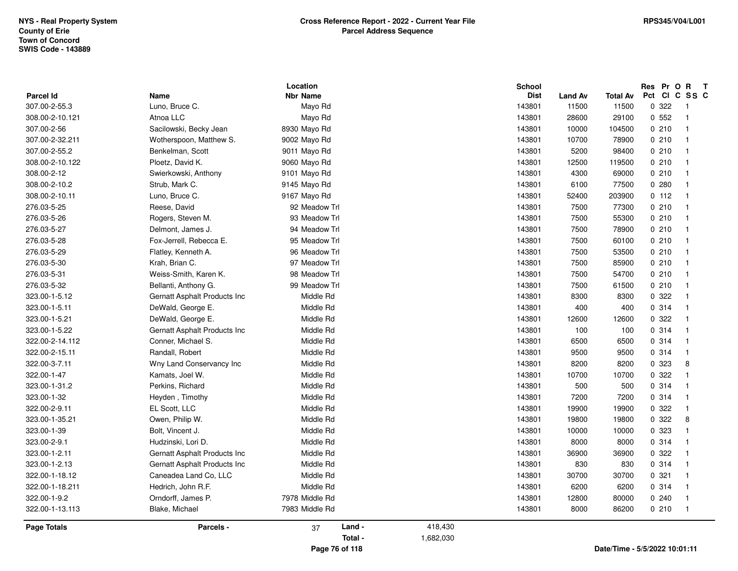| <b>Parcel Id</b>   | Name                         | Location<br><b>Nbr Name</b> |         |           | <b>School</b><br><b>Dist</b> | <b>Land Av</b> | <b>Total Av</b> | Res Pr O R T<br>Pct CI C SS C |                |  |
|--------------------|------------------------------|-----------------------------|---------|-----------|------------------------------|----------------|-----------------|-------------------------------|----------------|--|
| 307.00-2-55.3      | Luno, Bruce C.               | Mayo Rd                     |         |           | 143801                       | 11500          | 11500           | 0.322                         | $\overline{1}$ |  |
| 308.00-2-10.121    | Atnoa LLC                    | Mayo Rd                     |         |           | 143801                       | 28600          | 29100           | 0.552                         | $\overline{1}$ |  |
| 307.00-2-56        | Sacilowski, Becky Jean       | 8930 Mayo Rd                |         |           | 143801                       | 10000          | 104500          | 0210                          | $\overline{1}$ |  |
| 307.00-2-32.211    | Wotherspoon, Matthew S.      | 9002 Mayo Rd                |         |           | 143801                       | 10700          | 78900           | 0210                          | $\overline{1}$ |  |
| 307.00-2-55.2      | Benkelman, Scott             | 9011 Mayo Rd                |         |           | 143801                       | 5200           | 98400           | 0210                          | $\overline{1}$ |  |
| 308.00-2-10.122    | Ploetz, David K.             | 9060 Mayo Rd                |         |           | 143801                       | 12500          | 119500          | 0210                          | $\overline{1}$ |  |
| 308.00-2-12        | Swierkowski, Anthony         | 9101 Mayo Rd                |         |           | 143801                       | 4300           | 69000           | 0210                          | $\overline{1}$ |  |
| 308.00-2-10.2      | Strub, Mark C.               | 9145 Mayo Rd                |         |           | 143801                       | 6100           | 77500           | 0.280                         | $\overline{1}$ |  |
| 308.00-2-10.11     | Luno, Bruce C.               | 9167 Mayo Rd                |         |           | 143801                       | 52400          | 203900          | 0 112                         | $\overline{1}$ |  |
| 276.03-5-25        | Reese, David                 | 92 Meadow Trl               |         |           | 143801                       | 7500           | 77300           | 0210                          | $\overline{1}$ |  |
| 276.03-5-26        | Rogers, Steven M.            | 93 Meadow Trl               |         |           | 143801                       | 7500           | 55300           | 0210                          | $\overline{1}$ |  |
| 276.03-5-27        | Delmont, James J.            | 94 Meadow Trl               |         |           | 143801                       | 7500           | 78900           | 0210                          | $\overline{1}$ |  |
| 276.03-5-28        | Fox-Jerrell, Rebecca E.      | 95 Meadow Trl               |         |           | 143801                       | 7500           | 60100           | 0210                          | $\overline{1}$ |  |
| 276.03-5-29        | Flatley, Kenneth A.          | 96 Meadow Trl               |         |           | 143801                       | 7500           | 53500           | 0210                          | $\overline{1}$ |  |
| 276.03-5-30        | Krah, Brian C.               | 97 Meadow Trl               |         |           | 143801                       | 7500           | 85900           | 0210                          | $\overline{1}$ |  |
| 276.03-5-31        | Weiss-Smith, Karen K.        | 98 Meadow Trl               |         |           | 143801                       | 7500           | 54700           | 0210                          | $\overline{1}$ |  |
| 276.03-5-32        | Bellanti, Anthony G.         | 99 Meadow Trl               |         |           | 143801                       | 7500           | 61500           | 0210                          | $\overline{1}$ |  |
| 323.00-1-5.12      | Gernatt Asphalt Products Inc | Middle Rd                   |         |           | 143801                       | 8300           | 8300            | 0.322                         | $\overline{1}$ |  |
| 323.00-1-5.11      | DeWald, George E.            | Middle Rd                   |         |           | 143801                       | 400            | 400             | 0.314                         | $\overline{1}$ |  |
| 323.00-1-5.21      | DeWald, George E.            | Middle Rd                   |         |           | 143801                       | 12600          | 12600           | 0.322                         | $\overline{1}$ |  |
| 323.00-1-5.22      | Gernatt Asphalt Products Inc | Middle Rd                   |         |           | 143801                       | 100            | 100             | 0.314                         | - 1            |  |
| 322.00-2-14.112    | Conner, Michael S.           | Middle Rd                   |         |           | 143801                       | 6500           | 6500            | 0 314                         | $\overline{1}$ |  |
| 322.00-2-15.11     | Randall, Robert              | Middle Rd                   |         |           | 143801                       | 9500           | 9500            | 0.314                         | $\overline{1}$ |  |
| 322.00-3-7.11      | Wny Land Conservancy Inc     | Middle Rd                   |         |           | 143801                       | 8200           | 8200            | 0 323                         | 8              |  |
| 322.00-1-47        | Kamats, Joel W.              | Middle Rd                   |         |           | 143801                       | 10700          | 10700           | 0.322                         | $\overline{1}$ |  |
| 323.00-1-31.2      | Perkins, Richard             | Middle Rd                   |         |           | 143801                       | 500            | 500             | 0 314                         | - 1            |  |
| 323.00-1-32        | Heyden, Timothy              | Middle Rd                   |         |           | 143801                       | 7200           | 7200            | 0.314                         | $\overline{1}$ |  |
| 322.00-2-9.11      | EL Scott, LLC                | Middle Rd                   |         |           | 143801                       | 19900          | 19900           | 0.322                         | $\overline{1}$ |  |
| 323.00-1-35.21     | Owen, Philip W.              | Middle Rd                   |         |           | 143801                       | 19800          | 19800           | 0.322                         | 8              |  |
| 323.00-1-39        | Bolt, Vincent J.             | Middle Rd                   |         |           | 143801                       | 10000          | 10000           | 0 323                         | $\overline{1}$ |  |
| 323.00-2-9.1       | Hudzinski, Lori D.           | Middle Rd                   |         |           | 143801                       | 8000           | 8000            | 0 314                         | - 1            |  |
| 323.00-1-2.11      | Gernatt Asphalt Products Inc | Middle Rd                   |         |           | 143801                       | 36900          | 36900           | 0 322                         | $\overline{1}$ |  |
| 323.00-1-2.13      | Gernatt Asphalt Products Inc | Middle Rd                   |         |           | 143801                       | 830            | 830             | 0.314                         | $\overline{1}$ |  |
| 322.00-1-18.12     | Caneadea Land Co, LLC        | Middle Rd                   |         |           | 143801                       | 30700          | 30700           | 0.321                         | $\overline{1}$ |  |
| 322.00-1-18.211    | Hedrich, John R.F.           | Middle Rd                   |         |           | 143801                       | 6200           | 6200            | 0.314                         | $\overline{1}$ |  |
| 322.00-1-9.2       | Orndorff, James P.           | 7978 Middle Rd              |         |           | 143801                       | 12800          | 80000           | 0240                          | $\overline{1}$ |  |
| 322.00-1-13.113    | Blake, Michael               | 7983 Middle Rd              |         |           | 143801                       | 8000           | 86200           | 0210                          | $\overline{1}$ |  |
|                    |                              |                             |         |           |                              |                |                 |                               |                |  |
| <b>Page Totals</b> | Parcels -                    | 37                          | Land -  | 418,430   |                              |                |                 |                               |                |  |
|                    |                              |                             | Total - | 1,682,030 |                              |                |                 |                               |                |  |

**Page 76 of 118**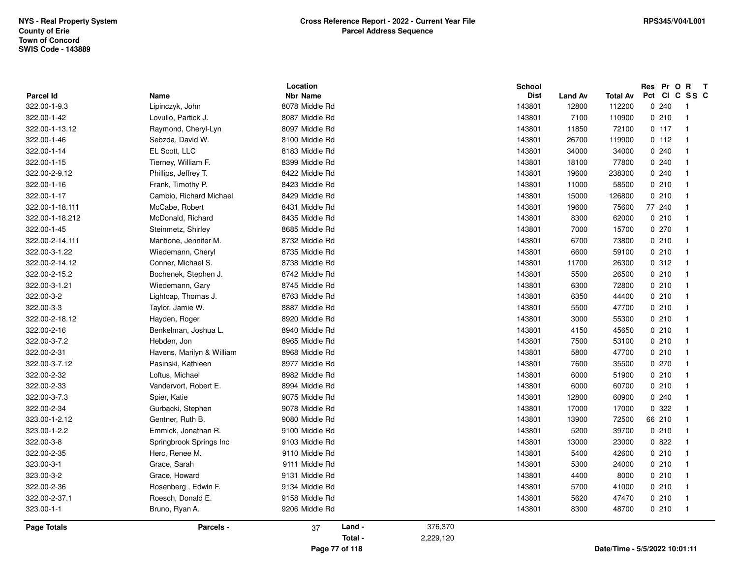| <b>Parcel Id</b> | Name                      | Location<br><b>Nbr Name</b> |           | School<br><b>Dist</b> | <b>Land Av</b> | Total Av                      | Res Pr O R<br>Pct CI C SS C | $\mathsf{T}$             |
|------------------|---------------------------|-----------------------------|-----------|-----------------------|----------------|-------------------------------|-----------------------------|--------------------------|
| 322.00-1-9.3     | Lipinczyk, John           | 8078 Middle Rd              |           | 143801                | 12800          | 112200                        | 0.240                       | $\overline{\phantom{1}}$ |
| 322.00-1-42      | Lovullo, Partick J.       | 8087 Middle Rd              |           | 143801                | 7100           | 110900                        | 0210                        | $\overline{1}$           |
| 322.00-1-13.12   | Raymond, Cheryl-Lyn       | 8097 Middle Rd              |           | 143801                | 11850          | 72100                         | 0.117                       | $\overline{1}$           |
| 322.00-1-46      | Sebzda, David W.          | 8100 Middle Rd              |           | 143801                | 26700          | 119900                        | 0 112                       | $\overline{1}$           |
| 322.00-1-14      | EL Scott, LLC             | 8183 Middle Rd              |           | 143801                | 34000          | 34000                         | 0240                        |                          |
| 322.00-1-15      | Tierney, William F.       | 8399 Middle Rd              |           | 143801                | 18100          | 77800                         | 0240                        |                          |
| 322.00-2-9.12    | Phillips, Jeffrey T.      | 8422 Middle Rd              |           | 143801                | 19600          | 238300                        | 0.240                       |                          |
| 322.00-1-16      | Frank, Timothy P.         | 8423 Middle Rd              |           | 143801                | 11000          | 58500                         | 0210                        |                          |
| 322.00-1-17      | Cambio, Richard Michael   | 8429 Middle Rd              |           | 143801                | 15000          | 126800                        | 0210                        |                          |
| 322.00-1-18.111  | McCabe, Robert            | 8431 Middle Rd              |           | 143801                | 19600          | 75600                         | 77 240                      |                          |
| 322.00-1-18.212  | McDonald, Richard         | 8435 Middle Rd              |           | 143801                | 8300           | 62000                         | 0210                        | $\overline{\mathbf{1}}$  |
| 322.00-1-45      | Steinmetz, Shirley        | 8685 Middle Rd              |           | 143801                | 7000           | 15700                         | 0270                        | -1                       |
| 322.00-2-14.111  | Mantione, Jennifer M.     | 8732 Middle Rd              |           | 143801                | 6700           | 73800                         | 0210                        |                          |
| 322.00-3-1.22    | Wiedemann, Cheryl         | 8735 Middle Rd              |           | 143801                | 6600           | 59100                         | 0210                        |                          |
| 322.00-2-14.12   | Conner, Michael S.        | 8738 Middle Rd              |           | 143801                | 11700          | 26300                         | 0.312                       |                          |
| 322.00-2-15.2    | Bochenek, Stephen J.      | 8742 Middle Rd              |           | 143801                | 5500           | 26500                         | 0210                        | -1                       |
| 322.00-3-1.21    | Wiedemann, Gary           | 8745 Middle Rd              |           | 143801                | 6300           | 72800                         | 0210                        |                          |
| 322.00-3-2       | Lightcap, Thomas J.       | 8763 Middle Rd              |           | 143801                | 6350           | 44400                         | 0210                        |                          |
| 322.00-3-3       | Taylor, Jamie W.          | 8887 Middle Rd              |           | 143801                | 5500           | 47700                         | 0210                        | -1                       |
| 322.00-2-18.12   | Hayden, Roger             | 8920 Middle Rd              |           | 143801                | 3000           | 55300                         | 0210                        |                          |
| 322.00-2-16      | Benkelman, Joshua L.      | 8940 Middle Rd              |           | 143801                | 4150           | 45650                         | 0210                        | $\overline{\mathbf{1}}$  |
| 322.00-3-7.2     | Hebden, Jon               | 8965 Middle Rd              |           | 143801                | 7500           | 53100                         | 0210                        |                          |
| 322.00-2-31      | Havens, Marilyn & William | 8968 Middle Rd              |           | 143801                | 5800           | 47700                         | 0210                        |                          |
| 322.00-3-7.12    | Pasinski, Kathleen        | 8977 Middle Rd              |           | 143801                | 7600           | 35500                         | 0270                        |                          |
| 322.00-2-32      | Loftus, Michael           | 8982 Middle Rd              |           | 143801                | 6000           | 51900                         | 0210                        |                          |
| 322.00-2-33      | Vandervort, Robert E.     | 8994 Middle Rd              |           | 143801                | 6000           | 60700                         | 0210                        |                          |
| 322.00-3-7.3     | Spier, Katie              | 9075 Middle Rd              |           | 143801                | 12800          | 60900                         | 0.240                       |                          |
| 322.00-2-34      | Gurbacki, Stephen         | 9078 Middle Rd              |           | 143801                | 17000          | 17000                         | 0.322                       |                          |
| 323.00-1-2.12    | Gentner, Ruth B.          | 9080 Middle Rd              |           | 143801                | 13900          | 72500                         | 66 210                      |                          |
| 323.00-1-2.2     | Emmick, Jonathan R.       | 9100 Middle Rd              |           | 143801                | 5200           | 39700                         | 0210                        |                          |
| 322.00-3-8       | Springbrook Springs Inc   | 9103 Middle Rd              |           | 143801                | 13000          | 23000                         | 0822                        |                          |
| 322.00-2-35      | Herc, Renee M.            | 9110 Middle Rd              |           | 143801                | 5400           | 42600                         | 0210                        |                          |
| 323.00-3-1       | Grace, Sarah              | 9111 Middle Rd              |           | 143801                | 5300           | 24000                         | 0210                        | $\overline{\mathbf{1}}$  |
| 323.00-3-2       | Grace, Howard             | 9131 Middle Rd              |           | 143801                | 4400           | 8000                          | 0210                        |                          |
| 322.00-2-36      | Rosenberg, Edwin F.       | 9134 Middle Rd              |           | 143801                | 5700           | 41000                         | 0210                        |                          |
| 322.00-2-37.1    | Roesch, Donald E.         | 9158 Middle Rd              |           | 143801                | 5620           | 47470                         | 0210                        | $\overline{1}$           |
| 323.00-1-1       | Bruno, Ryan A.            | 9206 Middle Rd              |           | 143801                | 8300           | 48700                         | 0210                        | $\overline{1}$           |
| Page Totals      | Parcels -                 | Land -<br>37                | 376,370   |                       |                |                               |                             |                          |
|                  |                           | Total -                     | 2,229,120 |                       |                |                               |                             |                          |
|                  |                           | Page 77 of 118              |           |                       |                | Date/Time - 5/5/2022 10:01:11 |                             |                          |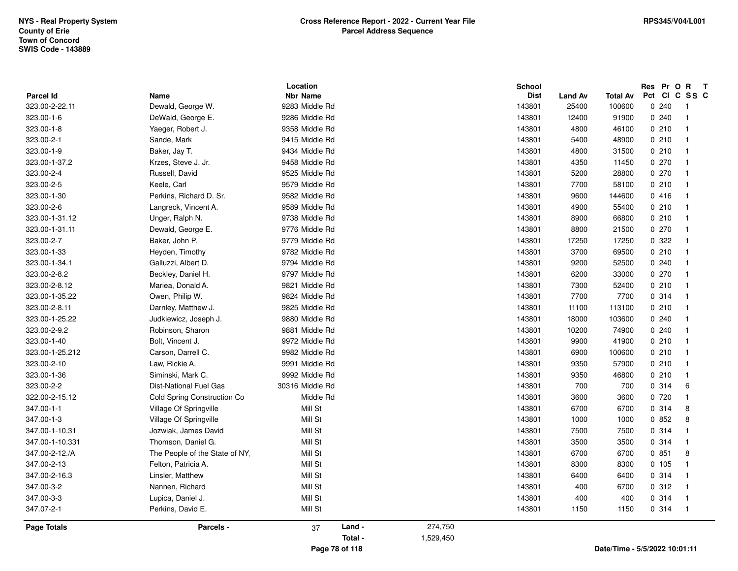| <b>Parcel Id</b> | Name                           | Location<br><b>Nbr Name</b> |           | <b>School</b><br><b>Dist</b> | <b>Land Av</b> | Total Av                      | Res Pr O R<br>Pct CI C SS C | $\mathbf{T}$               |
|------------------|--------------------------------|-----------------------------|-----------|------------------------------|----------------|-------------------------------|-----------------------------|----------------------------|
| 323.00-2-22.11   | Dewald, George W.              | 9283 Middle Rd              |           | 143801                       | 25400          | 100600                        | 0240                        | $\overline{\phantom{0}}$ 1 |
| 323.00-1-6       | DeWald, George E.              | 9286 Middle Rd              |           | 143801                       | 12400          | 91900                         | 0240                        | $\overline{\phantom{0}}$ 1 |
| 323.00-1-8       | Yaeger, Robert J.              | 9358 Middle Rd              |           | 143801                       | 4800           | 46100                         | 0210                        | $\overline{1}$             |
| 323.00-2-1       | Sande, Mark                    | 9415 Middle Rd              |           | 143801                       | 5400           | 48900                         | 0210                        | $\overline{1}$             |
| 323.00-1-9       | Baker, Jay T.                  | 9434 Middle Rd              |           | 143801                       | 4800           | 31500                         | 0210                        | $\overline{1}$             |
| 323.00-1-37.2    | Krzes, Steve J. Jr.            | 9458 Middle Rd              |           | 143801                       | 4350           | 11450                         | 0270                        | $\overline{1}$             |
| 323.00-2-4       | Russell, David                 | 9525 Middle Rd              |           | 143801                       | 5200           | 28800                         | 0270                        | $\overline{1}$             |
| 323.00-2-5       | Keele, Carl                    | 9579 Middle Rd              |           | 143801                       | 7700           | 58100                         | 0210                        | $\overline{1}$             |
| 323.00-1-30      | Perkins, Richard D. Sr.        | 9582 Middle Rd              |           | 143801                       | 9600           | 144600                        | 0416                        | $\overline{\phantom{0}}$   |
| 323.00-2-6       | Langreck, Vincent A.           | 9589 Middle Rd              |           | 143801                       | 4900           | 55400                         | 0210                        | $\overline{\phantom{0}}$ 1 |
| 323.00-1-31.12   | Unger, Ralph N.                | 9738 Middle Rd              |           | 143801                       | 8900           | 66800                         | 0210                        | $\overline{1}$             |
| 323.00-1-31.11   | Dewald, George E.              | 9776 Middle Rd              |           | 143801                       | 8800           | 21500                         | 0270                        | $\overline{1}$             |
| 323.00-2-7       | Baker, John P.                 | 9779 Middle Rd              |           | 143801                       | 17250          | 17250                         | 0.322                       | $\overline{\phantom{0}}$ 1 |
| 323.00-1-33      | Heyden, Timothy                | 9782 Middle Rd              |           | 143801                       | 3700           | 69500                         | 0210                        | $\overline{1}$             |
| 323.00-1-34.1    | Galluzzi, Albert D.            | 9794 Middle Rd              |           | 143801                       | 9200           | 52500                         | 0.240                       | $\overline{1}$             |
| 323.00-2-8.2     | Beckley, Daniel H.             | 9797 Middle Rd              |           | 143801                       | 6200           | 33000                         | 0270                        | $\overline{1}$             |
| 323.00-2-8.12    | Mariea, Donald A.              | 9821 Middle Rd              |           | 143801                       | 7300           | 52400                         | 0210                        | $\overline{1}$             |
| 323.00-1-35.22   | Owen, Philip W.                | 9824 Middle Rd              |           | 143801                       | 7700           | 7700                          | 0 314                       | - 1                        |
| 323.00-2-8.11    | Darnley, Matthew J.            | 9825 Middle Rd              |           | 143801                       | 11100          | 113100                        | 0210                        | - 1                        |
| 323.00-1-25.22   | Judkiewicz, Joseph J.          | 9880 Middle Rd              |           | 143801                       | 18000          | 103600                        | 0.240                       | $\overline{1}$             |
| 323.00-2-9.2     | Robinson, Sharon               | 9881 Middle Rd              |           | 143801                       | 10200          | 74900                         | 0240                        | - 1                        |
| 323.00-1-40      | Bolt, Vincent J.               | 9972 Middle Rd              |           | 143801                       | 9900           | 41900                         | 0210                        | $\overline{1}$             |
| 323.00-1-25.212  | Carson, Darrell C.             | 9982 Middle Rd              |           | 143801                       | 6900           | 100600                        | 0210                        | $\overline{1}$             |
| 323.00-2-10      | Law, Rickie A.                 | 9991 Middle Rd              |           | 143801                       | 9350           | 57900                         | 0210                        | $\overline{1}$             |
| 323.00-1-36      | Siminski, Mark C.              | 9992 Middle Rd              |           | 143801                       | 9350           | 46800                         | 0210                        | $\overline{1}$             |
| 323.00-2-2       | <b>Dist-National Fuel Gas</b>  | 30316 Middle Rd             |           | 143801                       | 700            | 700                           | 0.314                       | 6                          |
| 322.00-2-15.12   | Cold Spring Construction Co    | Middle Rd                   |           | 143801                       | 3600           | 3600                          | 0720                        | $\overline{1}$             |
| 347.00-1-1       | Village Of Springville         | Mill St                     |           | 143801                       | 6700           | 6700                          | 0.314                       | 8                          |
| 347.00-1-3       | Village Of Springville         | Mill St                     |           | 143801                       | 1000           | 1000                          | 0852                        | 8                          |
| 347.00-1-10.31   | Jozwiak, James David           | Mill St                     |           | 143801                       | 7500           | 7500                          | 0.314                       | $\overline{\phantom{0}}$   |
| 347.00-1-10.331  | Thomson, Daniel G.             | Mill St                     |           | 143801                       | 3500           | 3500                          | 0 314                       | $\overline{1}$             |
| 347.00-2-12./A   | The People of the State of NY. | Mill St                     |           | 143801                       | 6700           | 6700                          | 0851                        | 8                          |
| 347.00-2-13      | Felton, Patricia A.            | Mill St                     |           | 143801                       | 8300           | 8300                          | 0 105                       | $\overline{1}$             |
| 347.00-2-16.3    | Linsler, Matthew               | Mill St                     |           | 143801                       | 6400           | 6400                          | 0.314                       | $\overline{1}$             |
| 347.00-3-2       | Nannen, Richard                | Mill St                     |           | 143801                       | 400            | 6700                          | 0.312                       | $\overline{1}$             |
| 347.00-3-3       | Lupica, Daniel J.              | Mill St                     |           | 143801                       | 400            | 400                           | 0.314                       | $\overline{1}$             |
| 347.07-2-1       | Perkins, David E.              | Mill St                     |           | 143801                       | 1150           | 1150                          | 0.314                       | $\overline{1}$             |
| Page Totals      | Parcels -                      | Land -<br>37                | 274,750   |                              |                |                               |                             |                            |
|                  |                                | Total -                     | 1,529,450 |                              |                |                               |                             |                            |
|                  |                                | Page 78 of 118              |           |                              |                | Date/Time - 5/5/2022 10:01:11 |                             |                            |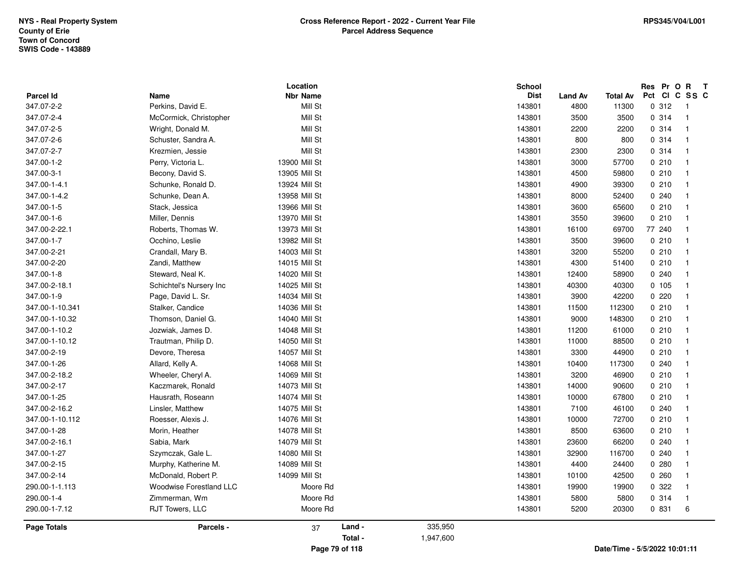| <b>Parcel Id</b>   | Name                           | Location<br><b>Nbr Name</b> |           | <b>School</b><br><b>Dist</b> | <b>Land Av</b> | Total Av | Res Pr O R<br>Pct CI C SS C   | $\mathbf{T}$               |
|--------------------|--------------------------------|-----------------------------|-----------|------------------------------|----------------|----------|-------------------------------|----------------------------|
| 347.07-2-2         | Perkins, David E.              | Mill St                     |           | 143801                       | 4800           | 11300    | 0.312                         | $\overline{\phantom{0}}$ 1 |
| 347.07-2-4         | McCormick, Christopher         | Mill St                     |           | 143801                       | 3500           | 3500     | 0.314                         | $\overline{1}$             |
| 347.07-2-5         | Wright, Donald M.              | Mill St                     |           | 143801                       | 2200           | 2200     | 0.314                         | $\overline{1}$             |
| 347.07-2-6         | Schuster, Sandra A.            | Mill St                     |           | 143801                       | 800            | 800      | 0.314                         | $\overline{1}$             |
| 347.07-2-7         | Krezmien, Jessie               | Mill St                     |           | 143801                       | 2300           | 2300     | 0.314                         | $\overline{1}$             |
| 347.00-1-2         | Perry, Victoria L.             | 13900 Mill St               |           | 143801                       | 3000           | 57700    | 0210                          | $\overline{1}$             |
| 347.00-3-1         | Becony, David S.               | 13905 Mill St               |           | 143801                       | 4500           | 59800    | 0210                          | - 1                        |
| 347.00-1-4.1       | Schunke, Ronald D.             | 13924 Mill St               |           | 143801                       | 4900           | 39300    | 0210                          | $\overline{\phantom{0}}$   |
| 347.00-1-4.2       | Schunke, Dean A.               | 13958 Mill St               |           | 143801                       | 8000           | 52400    | 0240                          | -1                         |
| 347.00-1-5         | Stack, Jessica                 | 13966 Mill St               |           | 143801                       | 3600           | 65600    | 0210                          | $\overline{1}$             |
| 347.00-1-6         | Miller, Dennis                 | 13970 Mill St               |           | 143801                       | 3550           | 39600    | 0210                          | $\overline{1}$             |
| 347.00-2-22.1      | Roberts, Thomas W.             | 13973 Mill St               |           | 143801                       | 16100          | 69700    | 77 240                        | $\overline{1}$             |
| 347.00-1-7         | Occhino, Leslie                | 13982 Mill St               |           | 143801                       | 3500           | 39600    | 0210                          | $\overline{1}$             |
| 347.00-2-21        | Crandall, Mary B.              | 14003 Mill St               |           | 143801                       | 3200           | 55200    | 0210                          | $\overline{1}$             |
| 347.00-2-20        | Zandi, Matthew                 | 14015 Mill St               |           | 143801                       | 4300           | 51400    | 0210                          | $\overline{1}$             |
| 347.00-1-8         | Steward, Neal K.               | 14020 Mill St               |           | 143801                       | 12400          | 58900    | 0240                          | $\overline{\mathbf{1}}$    |
| 347.00-2-18.1      | Schichtel's Nursery Inc        | 14025 Mill St               |           | 143801                       | 40300          | 40300    | 0 105                         | $\overline{1}$             |
| 347.00-1-9         | Page, David L. Sr.             | 14034 Mill St               |           | 143801                       | 3900           | 42200    | 0220                          | $\overline{\mathbf{1}}$    |
| 347.00-1-10.341    | Stalker, Candice               | 14036 Mill St               |           | 143801                       | 11500          | 112300   | 0210                          | $\overline{1}$             |
| 347.00-1-10.32     | Thomson, Daniel G.             | 14040 Mill St               |           | 143801                       | 9000           | 148300   | 0210                          | $\overline{1}$             |
| 347.00-1-10.2      | Jozwiak, James D.              | 14048 Mill St               |           | 143801                       | 11200          | 61000    | 0210                          | $\overline{\phantom{0}}$   |
| 347.00-1-10.12     | Trautman, Philip D.            | 14050 Mill St               |           | 143801                       | 11000          | 88500    | 0210                          | - 1                        |
| 347.00-2-19        | Devore, Theresa                | 14057 Mill St               |           | 143801                       | 3300           | 44900    | 0210                          | - 1                        |
| 347.00-1-26        | Allard, Kelly A.               | 14068 Mill St               |           | 143801                       | 10400          | 117300   | 0240                          | $\overline{1}$             |
| 347.00-2-18.2      | Wheeler, Cheryl A.             | 14069 Mill St               |           | 143801                       | 3200           | 46900    | 0210                          | $\overline{\mathbf{1}}$    |
| 347.00-2-17        | Kaczmarek, Ronald              | 14073 Mill St               |           | 143801                       | 14000          | 90600    | 0210                          | $\overline{1}$             |
| 347.00-1-25        | Hausrath, Roseann              | 14074 Mill St               |           | 143801                       | 10000          | 67800    | 0210                          | $\overline{1}$             |
| 347.00-2-16.2      | Linsler, Matthew               | 14075 Mill St               |           | 143801                       | 7100           | 46100    | 0240                          | $\overline{1}$             |
| 347.00-1-10.112    | Roesser, Alexis J.             | 14076 Mill St               |           | 143801                       | 10000          | 72700    | 0210                          | $\overline{1}$             |
| 347.00-1-28        | Morin, Heather                 | 14078 Mill St               |           | 143801                       | 8500           | 63600    | 0210                          | $\overline{1}$             |
| 347.00-2-16.1      | Sabia, Mark                    | 14079 Mill St               |           | 143801                       | 23600          | 66200    | 0.240                         | $\overline{1}$             |
| 347.00-1-27        | Szymczak, Gale L.              | 14080 Mill St               |           | 143801                       | 32900          | 116700   | 0.240                         | $\overline{\mathbf{1}}$    |
| 347.00-2-15        | Murphy, Katherine M.           | 14089 Mill St               |           | 143801                       | 4400           | 24400    | 0280                          | $\overline{1}$             |
| 347.00-2-14        | McDonald, Robert P.            | 14099 Mill St               |           | 143801                       | 10100          | 42500    | 0260                          | - 1                        |
| 290.00-1-1.113     | <b>Woodwise Forestland LLC</b> | Moore Rd                    |           | 143801                       | 19900          | 19900    | 0.322                         |                            |
| 290.00-1-4         | Zimmerman, Wm                  | Moore Rd                    |           | 143801                       | 5800           | 5800     | 0.314                         | $\overline{\mathbf{1}}$    |
| 290.00-1-7.12      | RJT Towers, LLC                | Moore Rd                    |           | 143801                       | 5200           | 20300    | 0 831                         | 6                          |
| <b>Page Totals</b> | Parcels -                      | Land -<br>37                | 335,950   |                              |                |          |                               |                            |
|                    |                                | Total -                     | 1,947,600 |                              |                |          |                               |                            |
|                    |                                | Page 79 of 118              |           |                              |                |          | Date/Time - 5/5/2022 10:01:11 |                            |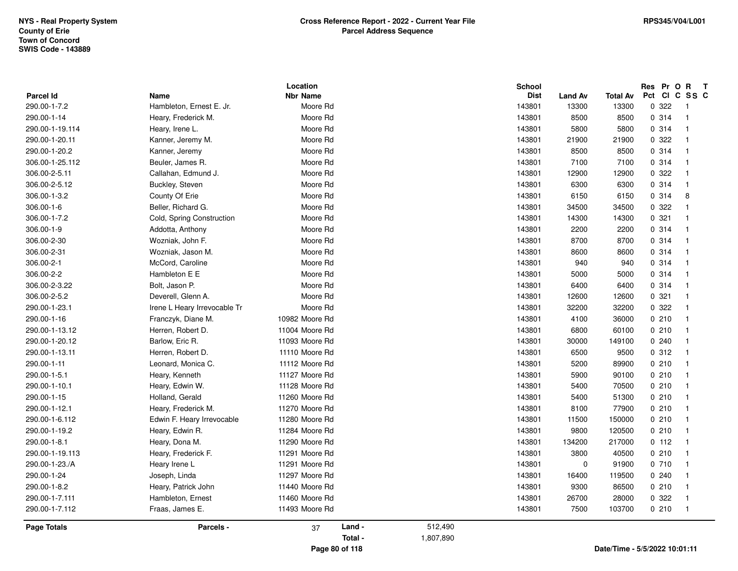|                  |                                  | Location        |         |           | <b>School</b> |                |                 | Res Pr O R   | $\mathbf{T}$            |
|------------------|----------------------------------|-----------------|---------|-----------|---------------|----------------|-----------------|--------------|-------------------------|
| <b>Parcel Id</b> | Name<br>Hambleton, Ernest E. Jr. | <b>Nbr Name</b> |         |           | <b>Dist</b>   | <b>Land Av</b> | <b>Total Av</b> | Pct<br>0 322 | CI C SS C               |
| 290.00-1-7.2     |                                  | Moore Rd        |         |           | 143801        | 13300          | 13300           |              | - 1                     |
| 290.00-1-14      | Heary, Frederick M.              | Moore Rd        |         |           | 143801        | 8500           | 8500            | 0 314        | $\overline{1}$          |
| 290.00-1-19.114  | Heary, Irene L.                  | Moore Rd        |         |           | 143801        | 5800           | 5800            | 0.314        | $\overline{\mathbf{1}}$ |
| 290.00-1-20.11   | Kanner, Jeremy M.                | Moore Rd        |         |           | 143801        | 21900          | 21900           | 0.322        | $\overline{1}$          |
| 290.00-1-20.2    | Kanner, Jeremy                   | Moore Rd        |         |           | 143801        | 8500           | 8500            | 0.314        | -1                      |
| 306.00-1-25.112  | Beuler, James R.                 | Moore Rd        |         |           | 143801        | 7100           | 7100            | 0.314        | $\overline{1}$          |
| 306.00-2-5.11    | Callahan, Edmund J.              | Moore Rd        |         |           | 143801        | 12900          | 12900           | 0.322        | $\mathbf{1}$            |
| 306.00-2-5.12    | Buckley, Steven                  | Moore Rd        |         |           | 143801        | 6300           | 6300            | 0 314        | $\overline{1}$          |
| 306.00-1-3.2     | County Of Erie                   | Moore Rd        |         |           | 143801        | 6150           | 6150            | 0.314        | 8                       |
| 306.00-1-6       | Beller, Richard G.               | Moore Rd        |         |           | 143801        | 34500          | 34500           | 0.322        | $\overline{\mathbf{1}}$ |
| 306.00-1-7.2     | Cold, Spring Construction        | Moore Rd        |         |           | 143801        | 14300          | 14300           | 0.321        | $\overline{1}$          |
| 306.00-1-9       | Addotta, Anthony                 | Moore Rd        |         |           | 143801        | 2200           | 2200            | 0 314        | $\overline{\mathbf{1}}$ |
| 306.00-2-30      | Wozniak, John F.                 | Moore Rd        |         |           | 143801        | 8700           | 8700            | 0.314        | $\overline{\mathbf{1}}$ |
| 306.00-2-31      | Wozniak, Jason M.                | Moore Rd        |         |           | 143801        | 8600           | 8600            | 0.314        | $\overline{1}$          |
| 306.00-2-1       | McCord, Caroline                 | Moore Rd        |         |           | 143801        | 940            | 940             | 0.314        | -1                      |
| 306.00-2-2       | Hambleton E E                    | Moore Rd        |         |           | 143801        | 5000           | 5000            | 0.314        | $\overline{\mathbf{1}}$ |
| 306.00-2-3.22    | Bolt, Jason P.                   | Moore Rd        |         |           | 143801        | 6400           | 6400            | 0.314        | -1                      |
| 306.00-2-5.2     | Deverell, Glenn A.               | Moore Rd        |         |           | 143801        | 12600          | 12600           | 0.321        |                         |
| 290.00-1-23.1    | Irene L Heary Irrevocable Tr     | Moore Rd        |         |           | 143801        | 32200          | 32200           | 0.322        | $\overline{1}$          |
| 290.00-1-16      | Franczyk, Diane M.               | 10982 Moore Rd  |         |           | 143801        | 4100           | 36000           | 0210         | $\overline{\mathbf{1}}$ |
| 290.00-1-13.12   | Herren, Robert D.                | 11004 Moore Rd  |         |           | 143801        | 6800           | 60100           | 0210         | $\overline{\mathbf{1}}$ |
| 290.00-1-20.12   | Barlow, Eric R.                  | 11093 Moore Rd  |         |           | 143801        | 30000          | 149100          | 0240         | -1                      |
| 290.00-1-13.11   | Herren, Robert D.                | 11110 Moore Rd  |         |           | 143801        | 6500           | 9500            | 0.312        | $\overline{1}$          |
| 290.00-1-11      | Leonard, Monica C.               | 11112 Moore Rd  |         |           | 143801        | 5200           | 89900           | 0210         | $\overline{\mathbf{1}}$ |
| 290.00-1-5.1     | Heary, Kenneth                   | 11127 Moore Rd  |         |           | 143801        | 5900           | 90100           | 0210         | $\overline{1}$          |
| 290.00-1-10.1    | Heary, Edwin W.                  | 11128 Moore Rd  |         |           | 143801        | 5400           | 70500           | 0210         | $\overline{\mathbf{1}}$ |
| 290.00-1-15      | Holland, Gerald                  | 11260 Moore Rd  |         |           | 143801        | 5400           | 51300           | 0210         | $\overline{1}$          |
| 290.00-1-12.1    | Heary, Frederick M.              | 11270 Moore Rd  |         |           | 143801        | 8100           | 77900           | 0210         | -1                      |
| 290.00-1-6.112   | Edwin F. Heary Irrevocable       | 11280 Moore Rd  |         |           | 143801        | 11500          | 150000          | 0210         | $\overline{\mathbf{1}}$ |
| 290.00-1-19.2    | Heary, Edwin R.                  | 11284 Moore Rd  |         |           | 143801        | 9800           | 120500          | 0210         | $\overline{1}$          |
| 290.00-1-8.1     | Heary, Dona M.                   | 11290 Moore Rd  |         |           | 143801        | 134200         | 217000          | 0 112        | -1                      |
| 290.00-1-19.113  | Heary, Frederick F.              | 11291 Moore Rd  |         |           | 143801        | 3800           | 40500           | 0210         | $\overline{1}$          |
| 290.00-1-23./A   | Heary Irene L                    | 11291 Moore Rd  |         |           | 143801        | $\mathbf 0$    | 91900           | 0710         | - 1                     |
| 290.00-1-24      | Joseph, Linda                    | 11297 Moore Rd  |         |           | 143801        | 16400          | 119500          | 0240         | $\overline{1}$          |
| 290.00-1-8.2     | Heary, Patrick John              | 11440 Moore Rd  |         |           | 143801        | 9300           | 86500           | 0210         | $\overline{\mathbf{1}}$ |
| 290.00-1-7.111   | Hambleton, Ernest                | 11460 Moore Rd  |         |           | 143801        | 26700          | 28000           | 0.322        | $\overline{\mathbf{1}}$ |
| 290.00-1-7.112   | Fraas, James E.                  | 11493 Moore Rd  |         |           | 143801        | 7500           | 103700          | 0210         | $\overline{1}$          |
|                  |                                  |                 |         |           |               |                |                 |              |                         |
| Page Totals      | Parcels -                        | 37              | Land -  | 512,490   |               |                |                 |              |                         |
|                  |                                  |                 | Total - | 1,807,890 |               |                |                 |              |                         |
|                  |                                  |                 |         |           |               |                |                 |              |                         |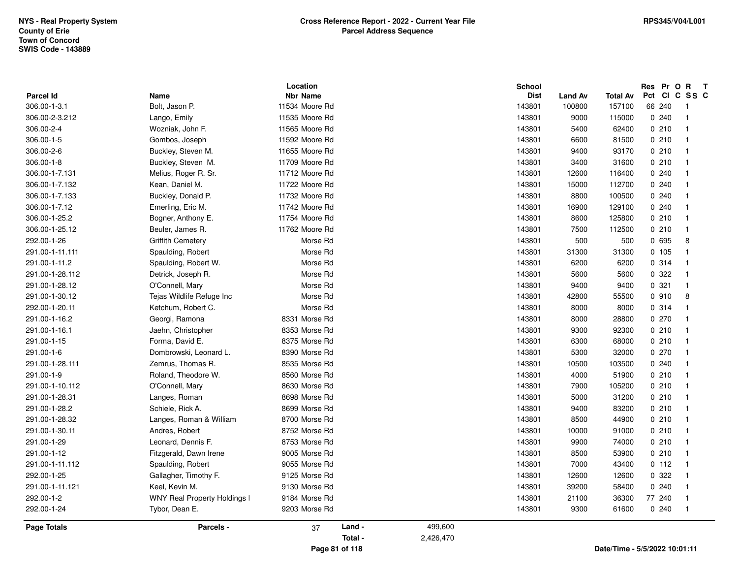|                  |                                     | Location        |         |           | <b>School</b> |                |                 | Res Pr O R    | $\mathbf{T}$             |
|------------------|-------------------------------------|-----------------|---------|-----------|---------------|----------------|-----------------|---------------|--------------------------|
| <b>Parcel Id</b> | Name                                | <b>Nbr Name</b> |         |           | <b>Dist</b>   | <b>Land Av</b> | <b>Total Av</b> | Pct CI C SS C |                          |
| 306.00-1-3.1     | Bolt, Jason P.                      | 11534 Moore Rd  |         |           | 143801        | 100800         | 157100          | 66 240        | - 1                      |
| 306.00-2-3.212   | Lango, Emily                        | 11535 Moore Rd  |         |           | 143801        | 9000           | 115000          | 0.240         | - 1                      |
| 306.00-2-4       | Wozniak, John F.                    | 11565 Moore Rd  |         |           | 143801        | 5400           | 62400           | 0210          | $\overline{\mathbf{1}}$  |
| 306.00-1-5       | Gombos, Joseph                      | 11592 Moore Rd  |         |           | 143801        | 6600           | 81500           | 0210          | $\overline{1}$           |
| 306.00-2-6       | Buckley, Steven M.                  | 11655 Moore Rd  |         |           | 143801        | 9400           | 93170           | 0210          | - 1                      |
| 306.00-1-8       | Buckley, Steven M.                  | 11709 Moore Rd  |         |           | 143801        | 3400           | 31600           | 0210          | $\overline{1}$           |
| 306.00-1-7.131   | Melius, Roger R. Sr.                | 11712 Moore Rd  |         |           | 143801        | 12600          | 116400          | 0.240         |                          |
| 306.00-1-7.132   | Kean, Daniel M.                     | 11722 Moore Rd  |         |           | 143801        | 15000          | 112700          | 0.240         | $\overline{1}$           |
| 306.00-1-7.133   | Buckley, Donald P.                  | 11732 Moore Rd  |         |           | 143801        | 8800           | 100500          | 0240          |                          |
| 306.00-1-7.12    | Emerling, Eric M.                   | 11742 Moore Rd  |         |           | 143801        | 16900          | 129100          | 0.240         |                          |
| 306.00-1-25.2    | Bogner, Anthony E.                  | 11754 Moore Rd  |         |           | 143801        | 8600           | 125800          | 0210          |                          |
| 306.00-1-25.12   | Beuler, James R.                    | 11762 Moore Rd  |         |           | 143801        | 7500           | 112500          | 0210          |                          |
| 292.00-1-26      | <b>Griffith Cemetery</b>            | Morse Rd        |         |           | 143801        | 500            | 500             | 0 695         | 8                        |
| 291.00-1-11.111  | Spaulding, Robert                   | Morse Rd        |         |           | 143801        | 31300          | 31300           | 0.105         | -1                       |
| 291.00-1-11.2    | Spaulding, Robert W.                | Morse Rd        |         |           | 143801        | 6200           | 6200            | 0.314         | -1                       |
| 291.00-1-28.112  | Detrick, Joseph R.                  | Morse Rd        |         |           | 143801        | 5600           | 5600            | 0.322         |                          |
| 291.00-1-28.12   | O'Connell, Mary                     | Morse Rd        |         |           | 143801        | 9400           | 9400            | 0.321         | $\overline{1}$           |
| 291.00-1-30.12   | Tejas Wildlife Refuge Inc           | Morse Rd        |         |           | 143801        | 42800          | 55500           | 0 910         | 8                        |
| 292.00-1-20.11   | Ketchum, Robert C.                  | Morse Rd        |         |           | 143801        | 8000           | 8000            | 0.314         | $\overline{\mathbf{1}}$  |
| 291.00-1-16.2    | Georgi, Ramona                      | 8331 Morse Rd   |         |           | 143801        | 8000           | 28800           | 0270          |                          |
| 291.00-1-16.1    | Jaehn, Christopher                  | 8353 Morse Rd   |         |           | 143801        | 9300           | 92300           | 0210          | -1                       |
| 291.00-1-15      | Forma, David E.                     | 8375 Morse Rd   |         |           | 143801        | 6300           | 68000           | 0210          |                          |
| 291.00-1-6       | Dombrowski, Leonard L.              | 8390 Morse Rd   |         |           | 143801        | 5300           | 32000           | 0270          | -1                       |
| 291.00-1-28.111  | Zemrus, Thomas R.                   | 8535 Morse Rd   |         |           | 143801        | 10500          | 103500          | 0.240         | -1                       |
| 291.00-1-9       | Roland, Theodore W.                 | 8560 Morse Rd   |         |           | 143801        | 4000           | 51900           | 0210          |                          |
| 291.00-1-10.112  | O'Connell, Mary                     | 8630 Morse Rd   |         |           | 143801        | 7900           | 105200          | 0210          | -1                       |
| 291.00-1-28.31   | Langes, Roman                       | 8698 Morse Rd   |         |           | 143801        | 5000           | 31200           | 0210          |                          |
| 291.00-1-28.2    | Schiele, Rick A.                    | 8699 Morse Rd   |         |           | 143801        | 9400           | 83200           | 0210          | -1                       |
| 291.00-1-28.32   | Langes, Roman & William             | 8700 Morse Rd   |         |           | 143801        | 8500           | 44900           | 0210          | $\overline{1}$           |
| 291.00-1-30.11   | Andres, Robert                      | 8752 Morse Rd   |         |           | 143801        | 10000          | 91000           | 0210          | $\overline{1}$           |
| 291.00-1-29      | Leonard, Dennis F.                  | 8753 Morse Rd   |         |           | 143801        | 9900           | 74000           | 0210          | $\overline{1}$           |
| 291.00-1-12      | Fitzgerald, Dawn Irene              | 9005 Morse Rd   |         |           | 143801        | 8500           | 53900           | 0210          |                          |
| 291.00-1-11.112  | Spaulding, Robert                   | 9055 Morse Rd   |         |           | 143801        | 7000           | 43400           | 0.112         | - 1                      |
| 292.00-1-25      | Gallagher, Timothy F.               | 9125 Morse Rd   |         |           | 143801        | 12600          | 12600           | 0.322         | $\overline{1}$           |
| 291.00-1-11.121  | Keel, Kevin M.                      | 9130 Morse Rd   |         |           | 143801        | 39200          | 58400           | 0.240         | $\overline{1}$           |
| 292.00-1-2       | <b>WNY Real Property Holdings I</b> | 9184 Morse Rd   |         |           | 143801        | 21100          | 36300           | 77 240        | - 1                      |
| 292.00-1-24      | Tybor, Dean E.                      | 9203 Morse Rd   |         |           | 143801        | 9300           | 61600           | 0240          | $\overline{\phantom{0}}$ |
| Page Totals      | Parcels -                           | 37              | Land -  | 499,600   |               |                |                 |               |                          |
|                  |                                     |                 | Total - | 2,426,470 |               |                |                 |               |                          |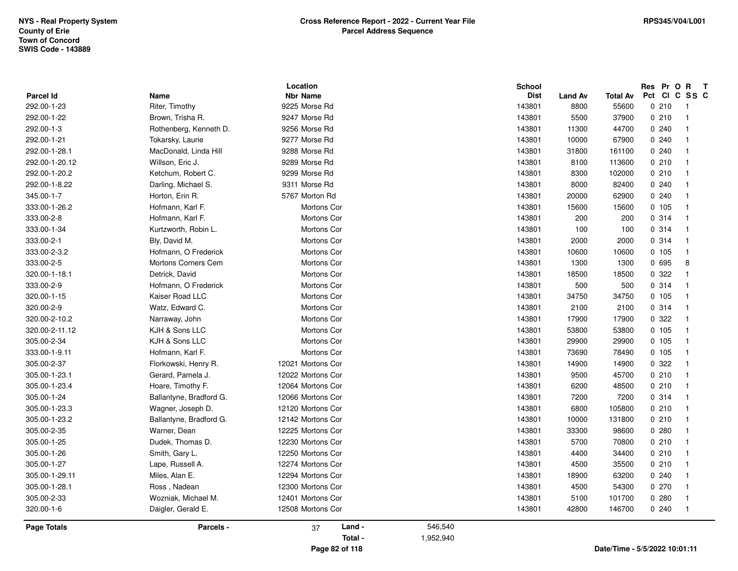| Pct CI C SS C<br><b>Nbr Name</b><br><b>Dist</b><br>Name<br><b>Land Av</b><br><b>Total Av</b><br>292.00-1-23<br>Riter, Timothy<br>9225 Morse Rd<br>143801<br>8800<br>55600<br>0210<br>-1<br>9247 Morse Rd<br>0210<br>292.00-1-22<br>Brown, Trisha R.<br>143801<br>5500<br>37900<br>$\overline{\mathbf{1}}$<br>292.00-1-3<br>9256 Morse Rd<br>143801<br>44700<br>0.240<br>Rothenberg, Kenneth D.<br>11300<br>$\mathbf{1}$<br>292.00-1-21<br>Tokarsky, Laurie<br>9277 Morse Rd<br>143801<br>10000<br>67900<br>0.240<br>$\mathbf{1}$<br>9288 Morse Rd<br>MacDonald, Linda Hill<br>143801<br>31800<br>161100<br>0.240<br>$\overline{1}$<br>Willson, Eric J.<br>9289 Morse Rd<br>143801<br>8100<br>113600<br>0210<br>$\overline{1}$<br>Ketchum, Robert C.<br>9299 Morse Rd<br>143801<br>8300<br>102000<br>0210<br>$\overline{\mathbf{1}}$<br>Darling, Michael S.<br>9311 Morse Rd<br>143801<br>0.240<br>8000<br>82400<br>$\overline{\mathbf{1}}$<br>5767 Morton Rd<br>0.240<br>Horton, Erin R.<br>143801<br>20000<br>62900<br>$\overline{1}$<br>Hofmann, Karl F.<br>Mortons Cor<br>143801<br>15600<br>15600<br>0.105<br>$\mathbf{1}$<br>Mortons Cor<br>0.314<br>Hofmann, Karl F.<br>143801<br>200<br>200<br>-1<br>Kurtzworth, Robin L.<br>Mortons Cor<br>0.314<br>143801<br>100<br>100<br>$\overline{\mathbf{1}}$<br>Bly, David M.<br>Mortons Cor<br>143801<br>2000<br>2000<br>0.314<br>$\overline{\mathbf{1}}$<br>Hofmann, O Frederick<br>Mortons Cor<br>143801<br>10600<br>10600<br>0.105<br>$\mathbf{1}$<br>Mortons Corners Cem<br>1300<br>0 695<br>Mortons Cor<br>143801<br>1300<br>8<br>Detrick, David<br>0.322<br>Mortons Cor<br>143801<br>18500<br>18500<br>$\overline{1}$<br>Hofmann, O Frederick<br>Mortons Cor<br>143801<br>500<br>500<br>0.314<br>-1<br>Kaiser Road LLC<br>Mortons Cor<br>143801<br>34750<br>34750<br>0.105<br>$\overline{\mathbf{1}}$<br>Mortons Cor<br>0.314<br>Watz, Edward C.<br>143801<br>2100<br>2100<br>$\overline{\mathbf{1}}$<br>17900<br>17900<br>0 322<br>Narraway, John<br>Mortons Cor<br>143801<br>-1<br>KJH & Sons LLC<br>143801<br>0, 105<br>Mortons Cor<br>53800<br>53800<br>$\overline{1}$<br>KJH & Sons LLC<br>Mortons Cor<br>143801<br>0, 105<br>29900<br>29900<br>$\overline{\mathbf{1}}$<br>Hofmann, Karl F.<br>Mortons Cor<br>143801<br>73690<br>78490<br>0.105<br>$\overline{\mathbf{1}}$<br>12021 Mortons Cor<br>0 322<br>Florkowski, Henry R.<br>143801<br>14900<br>14900<br>$\overline{1}$<br>Gerard, Pamela J.<br>12022 Mortons Cor<br>143801<br>9500<br>45700<br>0210<br>$\overline{1}$<br>Hoare, Timothy F.<br>143801<br>6200<br>48500<br>0210<br>12064 Mortons Cor<br>$\mathbf{1}$<br>Ballantyne, Bradford G.<br>12066 Mortons Cor<br>143801<br>7200<br>7200<br>0.314<br>$\overline{\mathbf{1}}$<br>Wagner, Joseph D.<br>12120 Mortons Cor<br>143801<br>6800<br>105800<br>0210<br>$\overline{1}$<br>12142 Mortons Cor<br>0210<br>Ballantyne, Bradford G.<br>143801<br>10000<br>131800<br>$\mathbf{1}$<br>Warner, Dean<br>12225 Mortons Cor<br>143801<br>33300<br>98600<br>0.280<br>-1<br>Dudek, Thomas D.<br>12230 Mortons Cor<br>143801<br>5700<br>0210<br>70800<br>$\overline{1}$<br>Smith, Gary L.<br>12250 Mortons Cor<br>143801<br>34400<br>0210<br>4400<br>$\overline{\mathbf{1}}$<br>Lape, Russell A.<br>12274 Mortons Cor<br>143801<br>4500<br>35500<br>0210<br>$\overline{1}$<br>Miles, Alan E.<br>12294 Mortons Cor<br>305.00-1-29.11<br>143801<br>18900<br>63200<br>0.240<br>1<br>12300 Mortons Cor<br>143801<br>4500<br>54300<br>0270<br>Ross, Nadean<br>$\mathbf{1}$<br>305.00-2-33<br>Wozniak, Michael M.<br>12401 Mortons Cor<br>143801<br>101700<br>0.280<br>5100<br>$\mathbf{1}$<br>320.00-1-6<br>Daigler, Gerald E.<br>12508 Mortons Cor<br>143801<br>146700<br>0.240<br>42800<br>-1<br>Land -<br>546,540<br>Parcels -<br>37<br>1,952,940<br>Total - |                    | Location | <b>School</b> |  |  | Res Pr O R T |  |
|---------------------------------------------------------------------------------------------------------------------------------------------------------------------------------------------------------------------------------------------------------------------------------------------------------------------------------------------------------------------------------------------------------------------------------------------------------------------------------------------------------------------------------------------------------------------------------------------------------------------------------------------------------------------------------------------------------------------------------------------------------------------------------------------------------------------------------------------------------------------------------------------------------------------------------------------------------------------------------------------------------------------------------------------------------------------------------------------------------------------------------------------------------------------------------------------------------------------------------------------------------------------------------------------------------------------------------------------------------------------------------------------------------------------------------------------------------------------------------------------------------------------------------------------------------------------------------------------------------------------------------------------------------------------------------------------------------------------------------------------------------------------------------------------------------------------------------------------------------------------------------------------------------------------------------------------------------------------------------------------------------------------------------------------------------------------------------------------------------------------------------------------------------------------------------------------------------------------------------------------------------------------------------------------------------------------------------------------------------------------------------------------------------------------------------------------------------------------------------------------------------------------------------------------------------------------------------------------------------------------------------------------------------------------------------------------------------------------------------------------------------------------------------------------------------------------------------------------------------------------------------------------------------------------------------------------------------------------------------------------------------------------------------------------------------------------------------------------------------------------------------------------------------------------------------------------------------------------------------------------------------------------------------------------------------------------------------------------------------------------------------------------------------------------------------------------------------------------------------------------------------------------------------------------------------------------------------------------------------------------------------------------------------------------------------------------------------------------------------------------------------------------------------------------------------------------------|--------------------|----------|---------------|--|--|--------------|--|
|                                                                                                                                                                                                                                                                                                                                                                                                                                                                                                                                                                                                                                                                                                                                                                                                                                                                                                                                                                                                                                                                                                                                                                                                                                                                                                                                                                                                                                                                                                                                                                                                                                                                                                                                                                                                                                                                                                                                                                                                                                                                                                                                                                                                                                                                                                                                                                                                                                                                                                                                                                                                                                                                                                                                                                                                                                                                                                                                                                                                                                                                                                                                                                                                                                                                                                                                                                                                                                                                                                                                                                                                                                                                                                                                                                                                                           | Parcel Id          |          |               |  |  |              |  |
|                                                                                                                                                                                                                                                                                                                                                                                                                                                                                                                                                                                                                                                                                                                                                                                                                                                                                                                                                                                                                                                                                                                                                                                                                                                                                                                                                                                                                                                                                                                                                                                                                                                                                                                                                                                                                                                                                                                                                                                                                                                                                                                                                                                                                                                                                                                                                                                                                                                                                                                                                                                                                                                                                                                                                                                                                                                                                                                                                                                                                                                                                                                                                                                                                                                                                                                                                                                                                                                                                                                                                                                                                                                                                                                                                                                                                           |                    |          |               |  |  |              |  |
|                                                                                                                                                                                                                                                                                                                                                                                                                                                                                                                                                                                                                                                                                                                                                                                                                                                                                                                                                                                                                                                                                                                                                                                                                                                                                                                                                                                                                                                                                                                                                                                                                                                                                                                                                                                                                                                                                                                                                                                                                                                                                                                                                                                                                                                                                                                                                                                                                                                                                                                                                                                                                                                                                                                                                                                                                                                                                                                                                                                                                                                                                                                                                                                                                                                                                                                                                                                                                                                                                                                                                                                                                                                                                                                                                                                                                           |                    |          |               |  |  |              |  |
|                                                                                                                                                                                                                                                                                                                                                                                                                                                                                                                                                                                                                                                                                                                                                                                                                                                                                                                                                                                                                                                                                                                                                                                                                                                                                                                                                                                                                                                                                                                                                                                                                                                                                                                                                                                                                                                                                                                                                                                                                                                                                                                                                                                                                                                                                                                                                                                                                                                                                                                                                                                                                                                                                                                                                                                                                                                                                                                                                                                                                                                                                                                                                                                                                                                                                                                                                                                                                                                                                                                                                                                                                                                                                                                                                                                                                           |                    |          |               |  |  |              |  |
|                                                                                                                                                                                                                                                                                                                                                                                                                                                                                                                                                                                                                                                                                                                                                                                                                                                                                                                                                                                                                                                                                                                                                                                                                                                                                                                                                                                                                                                                                                                                                                                                                                                                                                                                                                                                                                                                                                                                                                                                                                                                                                                                                                                                                                                                                                                                                                                                                                                                                                                                                                                                                                                                                                                                                                                                                                                                                                                                                                                                                                                                                                                                                                                                                                                                                                                                                                                                                                                                                                                                                                                                                                                                                                                                                                                                                           |                    |          |               |  |  |              |  |
|                                                                                                                                                                                                                                                                                                                                                                                                                                                                                                                                                                                                                                                                                                                                                                                                                                                                                                                                                                                                                                                                                                                                                                                                                                                                                                                                                                                                                                                                                                                                                                                                                                                                                                                                                                                                                                                                                                                                                                                                                                                                                                                                                                                                                                                                                                                                                                                                                                                                                                                                                                                                                                                                                                                                                                                                                                                                                                                                                                                                                                                                                                                                                                                                                                                                                                                                                                                                                                                                                                                                                                                                                                                                                                                                                                                                                           | 292.00-1-28.1      |          |               |  |  |              |  |
|                                                                                                                                                                                                                                                                                                                                                                                                                                                                                                                                                                                                                                                                                                                                                                                                                                                                                                                                                                                                                                                                                                                                                                                                                                                                                                                                                                                                                                                                                                                                                                                                                                                                                                                                                                                                                                                                                                                                                                                                                                                                                                                                                                                                                                                                                                                                                                                                                                                                                                                                                                                                                                                                                                                                                                                                                                                                                                                                                                                                                                                                                                                                                                                                                                                                                                                                                                                                                                                                                                                                                                                                                                                                                                                                                                                                                           | 292.00-1-20.12     |          |               |  |  |              |  |
|                                                                                                                                                                                                                                                                                                                                                                                                                                                                                                                                                                                                                                                                                                                                                                                                                                                                                                                                                                                                                                                                                                                                                                                                                                                                                                                                                                                                                                                                                                                                                                                                                                                                                                                                                                                                                                                                                                                                                                                                                                                                                                                                                                                                                                                                                                                                                                                                                                                                                                                                                                                                                                                                                                                                                                                                                                                                                                                                                                                                                                                                                                                                                                                                                                                                                                                                                                                                                                                                                                                                                                                                                                                                                                                                                                                                                           | 292.00-1-20.2      |          |               |  |  |              |  |
|                                                                                                                                                                                                                                                                                                                                                                                                                                                                                                                                                                                                                                                                                                                                                                                                                                                                                                                                                                                                                                                                                                                                                                                                                                                                                                                                                                                                                                                                                                                                                                                                                                                                                                                                                                                                                                                                                                                                                                                                                                                                                                                                                                                                                                                                                                                                                                                                                                                                                                                                                                                                                                                                                                                                                                                                                                                                                                                                                                                                                                                                                                                                                                                                                                                                                                                                                                                                                                                                                                                                                                                                                                                                                                                                                                                                                           | 292.00-1-8.22      |          |               |  |  |              |  |
|                                                                                                                                                                                                                                                                                                                                                                                                                                                                                                                                                                                                                                                                                                                                                                                                                                                                                                                                                                                                                                                                                                                                                                                                                                                                                                                                                                                                                                                                                                                                                                                                                                                                                                                                                                                                                                                                                                                                                                                                                                                                                                                                                                                                                                                                                                                                                                                                                                                                                                                                                                                                                                                                                                                                                                                                                                                                                                                                                                                                                                                                                                                                                                                                                                                                                                                                                                                                                                                                                                                                                                                                                                                                                                                                                                                                                           | 345.00-1-7         |          |               |  |  |              |  |
|                                                                                                                                                                                                                                                                                                                                                                                                                                                                                                                                                                                                                                                                                                                                                                                                                                                                                                                                                                                                                                                                                                                                                                                                                                                                                                                                                                                                                                                                                                                                                                                                                                                                                                                                                                                                                                                                                                                                                                                                                                                                                                                                                                                                                                                                                                                                                                                                                                                                                                                                                                                                                                                                                                                                                                                                                                                                                                                                                                                                                                                                                                                                                                                                                                                                                                                                                                                                                                                                                                                                                                                                                                                                                                                                                                                                                           | 333.00-1-26.2      |          |               |  |  |              |  |
|                                                                                                                                                                                                                                                                                                                                                                                                                                                                                                                                                                                                                                                                                                                                                                                                                                                                                                                                                                                                                                                                                                                                                                                                                                                                                                                                                                                                                                                                                                                                                                                                                                                                                                                                                                                                                                                                                                                                                                                                                                                                                                                                                                                                                                                                                                                                                                                                                                                                                                                                                                                                                                                                                                                                                                                                                                                                                                                                                                                                                                                                                                                                                                                                                                                                                                                                                                                                                                                                                                                                                                                                                                                                                                                                                                                                                           | 333.00-2-8         |          |               |  |  |              |  |
|                                                                                                                                                                                                                                                                                                                                                                                                                                                                                                                                                                                                                                                                                                                                                                                                                                                                                                                                                                                                                                                                                                                                                                                                                                                                                                                                                                                                                                                                                                                                                                                                                                                                                                                                                                                                                                                                                                                                                                                                                                                                                                                                                                                                                                                                                                                                                                                                                                                                                                                                                                                                                                                                                                                                                                                                                                                                                                                                                                                                                                                                                                                                                                                                                                                                                                                                                                                                                                                                                                                                                                                                                                                                                                                                                                                                                           | 333.00-1-34        |          |               |  |  |              |  |
|                                                                                                                                                                                                                                                                                                                                                                                                                                                                                                                                                                                                                                                                                                                                                                                                                                                                                                                                                                                                                                                                                                                                                                                                                                                                                                                                                                                                                                                                                                                                                                                                                                                                                                                                                                                                                                                                                                                                                                                                                                                                                                                                                                                                                                                                                                                                                                                                                                                                                                                                                                                                                                                                                                                                                                                                                                                                                                                                                                                                                                                                                                                                                                                                                                                                                                                                                                                                                                                                                                                                                                                                                                                                                                                                                                                                                           | 333.00-2-1         |          |               |  |  |              |  |
|                                                                                                                                                                                                                                                                                                                                                                                                                                                                                                                                                                                                                                                                                                                                                                                                                                                                                                                                                                                                                                                                                                                                                                                                                                                                                                                                                                                                                                                                                                                                                                                                                                                                                                                                                                                                                                                                                                                                                                                                                                                                                                                                                                                                                                                                                                                                                                                                                                                                                                                                                                                                                                                                                                                                                                                                                                                                                                                                                                                                                                                                                                                                                                                                                                                                                                                                                                                                                                                                                                                                                                                                                                                                                                                                                                                                                           | 333.00-2-3.2       |          |               |  |  |              |  |
|                                                                                                                                                                                                                                                                                                                                                                                                                                                                                                                                                                                                                                                                                                                                                                                                                                                                                                                                                                                                                                                                                                                                                                                                                                                                                                                                                                                                                                                                                                                                                                                                                                                                                                                                                                                                                                                                                                                                                                                                                                                                                                                                                                                                                                                                                                                                                                                                                                                                                                                                                                                                                                                                                                                                                                                                                                                                                                                                                                                                                                                                                                                                                                                                                                                                                                                                                                                                                                                                                                                                                                                                                                                                                                                                                                                                                           | 333.00-2-5         |          |               |  |  |              |  |
|                                                                                                                                                                                                                                                                                                                                                                                                                                                                                                                                                                                                                                                                                                                                                                                                                                                                                                                                                                                                                                                                                                                                                                                                                                                                                                                                                                                                                                                                                                                                                                                                                                                                                                                                                                                                                                                                                                                                                                                                                                                                                                                                                                                                                                                                                                                                                                                                                                                                                                                                                                                                                                                                                                                                                                                                                                                                                                                                                                                                                                                                                                                                                                                                                                                                                                                                                                                                                                                                                                                                                                                                                                                                                                                                                                                                                           | 320.00-1-18.1      |          |               |  |  |              |  |
|                                                                                                                                                                                                                                                                                                                                                                                                                                                                                                                                                                                                                                                                                                                                                                                                                                                                                                                                                                                                                                                                                                                                                                                                                                                                                                                                                                                                                                                                                                                                                                                                                                                                                                                                                                                                                                                                                                                                                                                                                                                                                                                                                                                                                                                                                                                                                                                                                                                                                                                                                                                                                                                                                                                                                                                                                                                                                                                                                                                                                                                                                                                                                                                                                                                                                                                                                                                                                                                                                                                                                                                                                                                                                                                                                                                                                           | 333.00-2-9         |          |               |  |  |              |  |
|                                                                                                                                                                                                                                                                                                                                                                                                                                                                                                                                                                                                                                                                                                                                                                                                                                                                                                                                                                                                                                                                                                                                                                                                                                                                                                                                                                                                                                                                                                                                                                                                                                                                                                                                                                                                                                                                                                                                                                                                                                                                                                                                                                                                                                                                                                                                                                                                                                                                                                                                                                                                                                                                                                                                                                                                                                                                                                                                                                                                                                                                                                                                                                                                                                                                                                                                                                                                                                                                                                                                                                                                                                                                                                                                                                                                                           | 320.00-1-15        |          |               |  |  |              |  |
|                                                                                                                                                                                                                                                                                                                                                                                                                                                                                                                                                                                                                                                                                                                                                                                                                                                                                                                                                                                                                                                                                                                                                                                                                                                                                                                                                                                                                                                                                                                                                                                                                                                                                                                                                                                                                                                                                                                                                                                                                                                                                                                                                                                                                                                                                                                                                                                                                                                                                                                                                                                                                                                                                                                                                                                                                                                                                                                                                                                                                                                                                                                                                                                                                                                                                                                                                                                                                                                                                                                                                                                                                                                                                                                                                                                                                           | 320.00-2-9         |          |               |  |  |              |  |
|                                                                                                                                                                                                                                                                                                                                                                                                                                                                                                                                                                                                                                                                                                                                                                                                                                                                                                                                                                                                                                                                                                                                                                                                                                                                                                                                                                                                                                                                                                                                                                                                                                                                                                                                                                                                                                                                                                                                                                                                                                                                                                                                                                                                                                                                                                                                                                                                                                                                                                                                                                                                                                                                                                                                                                                                                                                                                                                                                                                                                                                                                                                                                                                                                                                                                                                                                                                                                                                                                                                                                                                                                                                                                                                                                                                                                           | 320.00-2-10.2      |          |               |  |  |              |  |
|                                                                                                                                                                                                                                                                                                                                                                                                                                                                                                                                                                                                                                                                                                                                                                                                                                                                                                                                                                                                                                                                                                                                                                                                                                                                                                                                                                                                                                                                                                                                                                                                                                                                                                                                                                                                                                                                                                                                                                                                                                                                                                                                                                                                                                                                                                                                                                                                                                                                                                                                                                                                                                                                                                                                                                                                                                                                                                                                                                                                                                                                                                                                                                                                                                                                                                                                                                                                                                                                                                                                                                                                                                                                                                                                                                                                                           | 320.00-2-11.12     |          |               |  |  |              |  |
|                                                                                                                                                                                                                                                                                                                                                                                                                                                                                                                                                                                                                                                                                                                                                                                                                                                                                                                                                                                                                                                                                                                                                                                                                                                                                                                                                                                                                                                                                                                                                                                                                                                                                                                                                                                                                                                                                                                                                                                                                                                                                                                                                                                                                                                                                                                                                                                                                                                                                                                                                                                                                                                                                                                                                                                                                                                                                                                                                                                                                                                                                                                                                                                                                                                                                                                                                                                                                                                                                                                                                                                                                                                                                                                                                                                                                           | 305.00-2-34        |          |               |  |  |              |  |
|                                                                                                                                                                                                                                                                                                                                                                                                                                                                                                                                                                                                                                                                                                                                                                                                                                                                                                                                                                                                                                                                                                                                                                                                                                                                                                                                                                                                                                                                                                                                                                                                                                                                                                                                                                                                                                                                                                                                                                                                                                                                                                                                                                                                                                                                                                                                                                                                                                                                                                                                                                                                                                                                                                                                                                                                                                                                                                                                                                                                                                                                                                                                                                                                                                                                                                                                                                                                                                                                                                                                                                                                                                                                                                                                                                                                                           | 333.00-1-9.11      |          |               |  |  |              |  |
|                                                                                                                                                                                                                                                                                                                                                                                                                                                                                                                                                                                                                                                                                                                                                                                                                                                                                                                                                                                                                                                                                                                                                                                                                                                                                                                                                                                                                                                                                                                                                                                                                                                                                                                                                                                                                                                                                                                                                                                                                                                                                                                                                                                                                                                                                                                                                                                                                                                                                                                                                                                                                                                                                                                                                                                                                                                                                                                                                                                                                                                                                                                                                                                                                                                                                                                                                                                                                                                                                                                                                                                                                                                                                                                                                                                                                           | 305.00-2-37        |          |               |  |  |              |  |
|                                                                                                                                                                                                                                                                                                                                                                                                                                                                                                                                                                                                                                                                                                                                                                                                                                                                                                                                                                                                                                                                                                                                                                                                                                                                                                                                                                                                                                                                                                                                                                                                                                                                                                                                                                                                                                                                                                                                                                                                                                                                                                                                                                                                                                                                                                                                                                                                                                                                                                                                                                                                                                                                                                                                                                                                                                                                                                                                                                                                                                                                                                                                                                                                                                                                                                                                                                                                                                                                                                                                                                                                                                                                                                                                                                                                                           | 305.00-1-23.1      |          |               |  |  |              |  |
|                                                                                                                                                                                                                                                                                                                                                                                                                                                                                                                                                                                                                                                                                                                                                                                                                                                                                                                                                                                                                                                                                                                                                                                                                                                                                                                                                                                                                                                                                                                                                                                                                                                                                                                                                                                                                                                                                                                                                                                                                                                                                                                                                                                                                                                                                                                                                                                                                                                                                                                                                                                                                                                                                                                                                                                                                                                                                                                                                                                                                                                                                                                                                                                                                                                                                                                                                                                                                                                                                                                                                                                                                                                                                                                                                                                                                           | 305.00-1-23.4      |          |               |  |  |              |  |
|                                                                                                                                                                                                                                                                                                                                                                                                                                                                                                                                                                                                                                                                                                                                                                                                                                                                                                                                                                                                                                                                                                                                                                                                                                                                                                                                                                                                                                                                                                                                                                                                                                                                                                                                                                                                                                                                                                                                                                                                                                                                                                                                                                                                                                                                                                                                                                                                                                                                                                                                                                                                                                                                                                                                                                                                                                                                                                                                                                                                                                                                                                                                                                                                                                                                                                                                                                                                                                                                                                                                                                                                                                                                                                                                                                                                                           | 305.00-1-24        |          |               |  |  |              |  |
|                                                                                                                                                                                                                                                                                                                                                                                                                                                                                                                                                                                                                                                                                                                                                                                                                                                                                                                                                                                                                                                                                                                                                                                                                                                                                                                                                                                                                                                                                                                                                                                                                                                                                                                                                                                                                                                                                                                                                                                                                                                                                                                                                                                                                                                                                                                                                                                                                                                                                                                                                                                                                                                                                                                                                                                                                                                                                                                                                                                                                                                                                                                                                                                                                                                                                                                                                                                                                                                                                                                                                                                                                                                                                                                                                                                                                           | 305.00-1-23.3      |          |               |  |  |              |  |
|                                                                                                                                                                                                                                                                                                                                                                                                                                                                                                                                                                                                                                                                                                                                                                                                                                                                                                                                                                                                                                                                                                                                                                                                                                                                                                                                                                                                                                                                                                                                                                                                                                                                                                                                                                                                                                                                                                                                                                                                                                                                                                                                                                                                                                                                                                                                                                                                                                                                                                                                                                                                                                                                                                                                                                                                                                                                                                                                                                                                                                                                                                                                                                                                                                                                                                                                                                                                                                                                                                                                                                                                                                                                                                                                                                                                                           | 305.00-1-23.2      |          |               |  |  |              |  |
|                                                                                                                                                                                                                                                                                                                                                                                                                                                                                                                                                                                                                                                                                                                                                                                                                                                                                                                                                                                                                                                                                                                                                                                                                                                                                                                                                                                                                                                                                                                                                                                                                                                                                                                                                                                                                                                                                                                                                                                                                                                                                                                                                                                                                                                                                                                                                                                                                                                                                                                                                                                                                                                                                                                                                                                                                                                                                                                                                                                                                                                                                                                                                                                                                                                                                                                                                                                                                                                                                                                                                                                                                                                                                                                                                                                                                           | 305.00-2-35        |          |               |  |  |              |  |
|                                                                                                                                                                                                                                                                                                                                                                                                                                                                                                                                                                                                                                                                                                                                                                                                                                                                                                                                                                                                                                                                                                                                                                                                                                                                                                                                                                                                                                                                                                                                                                                                                                                                                                                                                                                                                                                                                                                                                                                                                                                                                                                                                                                                                                                                                                                                                                                                                                                                                                                                                                                                                                                                                                                                                                                                                                                                                                                                                                                                                                                                                                                                                                                                                                                                                                                                                                                                                                                                                                                                                                                                                                                                                                                                                                                                                           | 305.00-1-25        |          |               |  |  |              |  |
|                                                                                                                                                                                                                                                                                                                                                                                                                                                                                                                                                                                                                                                                                                                                                                                                                                                                                                                                                                                                                                                                                                                                                                                                                                                                                                                                                                                                                                                                                                                                                                                                                                                                                                                                                                                                                                                                                                                                                                                                                                                                                                                                                                                                                                                                                                                                                                                                                                                                                                                                                                                                                                                                                                                                                                                                                                                                                                                                                                                                                                                                                                                                                                                                                                                                                                                                                                                                                                                                                                                                                                                                                                                                                                                                                                                                                           | 305.00-1-26        |          |               |  |  |              |  |
|                                                                                                                                                                                                                                                                                                                                                                                                                                                                                                                                                                                                                                                                                                                                                                                                                                                                                                                                                                                                                                                                                                                                                                                                                                                                                                                                                                                                                                                                                                                                                                                                                                                                                                                                                                                                                                                                                                                                                                                                                                                                                                                                                                                                                                                                                                                                                                                                                                                                                                                                                                                                                                                                                                                                                                                                                                                                                                                                                                                                                                                                                                                                                                                                                                                                                                                                                                                                                                                                                                                                                                                                                                                                                                                                                                                                                           | 305.00-1-27        |          |               |  |  |              |  |
|                                                                                                                                                                                                                                                                                                                                                                                                                                                                                                                                                                                                                                                                                                                                                                                                                                                                                                                                                                                                                                                                                                                                                                                                                                                                                                                                                                                                                                                                                                                                                                                                                                                                                                                                                                                                                                                                                                                                                                                                                                                                                                                                                                                                                                                                                                                                                                                                                                                                                                                                                                                                                                                                                                                                                                                                                                                                                                                                                                                                                                                                                                                                                                                                                                                                                                                                                                                                                                                                                                                                                                                                                                                                                                                                                                                                                           |                    |          |               |  |  |              |  |
|                                                                                                                                                                                                                                                                                                                                                                                                                                                                                                                                                                                                                                                                                                                                                                                                                                                                                                                                                                                                                                                                                                                                                                                                                                                                                                                                                                                                                                                                                                                                                                                                                                                                                                                                                                                                                                                                                                                                                                                                                                                                                                                                                                                                                                                                                                                                                                                                                                                                                                                                                                                                                                                                                                                                                                                                                                                                                                                                                                                                                                                                                                                                                                                                                                                                                                                                                                                                                                                                                                                                                                                                                                                                                                                                                                                                                           | 305.00-1-28.1      |          |               |  |  |              |  |
|                                                                                                                                                                                                                                                                                                                                                                                                                                                                                                                                                                                                                                                                                                                                                                                                                                                                                                                                                                                                                                                                                                                                                                                                                                                                                                                                                                                                                                                                                                                                                                                                                                                                                                                                                                                                                                                                                                                                                                                                                                                                                                                                                                                                                                                                                                                                                                                                                                                                                                                                                                                                                                                                                                                                                                                                                                                                                                                                                                                                                                                                                                                                                                                                                                                                                                                                                                                                                                                                                                                                                                                                                                                                                                                                                                                                                           |                    |          |               |  |  |              |  |
|                                                                                                                                                                                                                                                                                                                                                                                                                                                                                                                                                                                                                                                                                                                                                                                                                                                                                                                                                                                                                                                                                                                                                                                                                                                                                                                                                                                                                                                                                                                                                                                                                                                                                                                                                                                                                                                                                                                                                                                                                                                                                                                                                                                                                                                                                                                                                                                                                                                                                                                                                                                                                                                                                                                                                                                                                                                                                                                                                                                                                                                                                                                                                                                                                                                                                                                                                                                                                                                                                                                                                                                                                                                                                                                                                                                                                           |                    |          |               |  |  |              |  |
|                                                                                                                                                                                                                                                                                                                                                                                                                                                                                                                                                                                                                                                                                                                                                                                                                                                                                                                                                                                                                                                                                                                                                                                                                                                                                                                                                                                                                                                                                                                                                                                                                                                                                                                                                                                                                                                                                                                                                                                                                                                                                                                                                                                                                                                                                                                                                                                                                                                                                                                                                                                                                                                                                                                                                                                                                                                                                                                                                                                                                                                                                                                                                                                                                                                                                                                                                                                                                                                                                                                                                                                                                                                                                                                                                                                                                           |                    |          |               |  |  |              |  |
|                                                                                                                                                                                                                                                                                                                                                                                                                                                                                                                                                                                                                                                                                                                                                                                                                                                                                                                                                                                                                                                                                                                                                                                                                                                                                                                                                                                                                                                                                                                                                                                                                                                                                                                                                                                                                                                                                                                                                                                                                                                                                                                                                                                                                                                                                                                                                                                                                                                                                                                                                                                                                                                                                                                                                                                                                                                                                                                                                                                                                                                                                                                                                                                                                                                                                                                                                                                                                                                                                                                                                                                                                                                                                                                                                                                                                           | <b>Page Totals</b> |          |               |  |  |              |  |
|                                                                                                                                                                                                                                                                                                                                                                                                                                                                                                                                                                                                                                                                                                                                                                                                                                                                                                                                                                                                                                                                                                                                                                                                                                                                                                                                                                                                                                                                                                                                                                                                                                                                                                                                                                                                                                                                                                                                                                                                                                                                                                                                                                                                                                                                                                                                                                                                                                                                                                                                                                                                                                                                                                                                                                                                                                                                                                                                                                                                                                                                                                                                                                                                                                                                                                                                                                                                                                                                                                                                                                                                                                                                                                                                                                                                                           |                    |          |               |  |  |              |  |

**Page 82 of 118**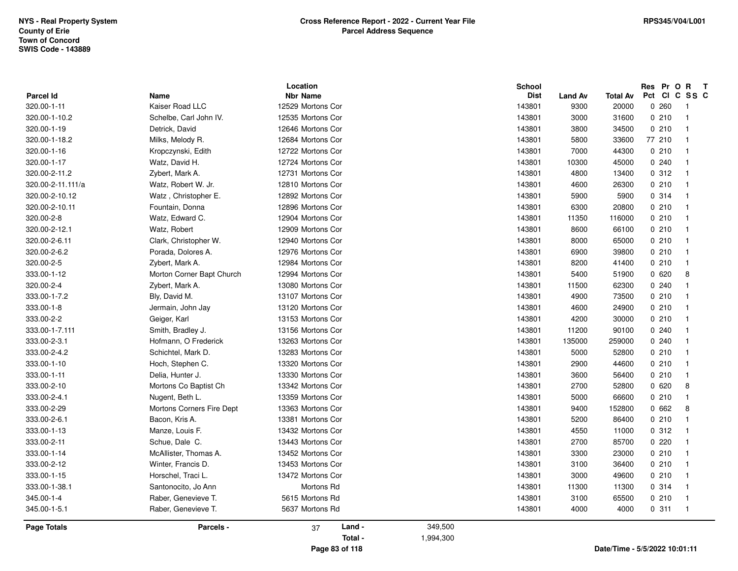|                                 |                           | Location                             | School                |                |                 | Res Pr O<br>R T<br>Pct CI C SS C     |
|---------------------------------|---------------------------|--------------------------------------|-----------------------|----------------|-----------------|--------------------------------------|
| <b>Parcel Id</b><br>320.00-1-11 | Name<br>Kaiser Road LLC   | <b>Nbr Name</b><br>12529 Mortons Cor | <b>Dist</b><br>143801 | <b>Land Av</b> | <b>Total Av</b> | 0.260                                |
| 320.00-1-10.2                   |                           | 12535 Mortons Cor                    | 143801                | 9300           | 20000           | $\mathbf{1}$<br>0210<br>$\mathbf{1}$ |
|                                 | Schelbe, Carl John IV.    | 12646 Mortons Cor                    | 143801                | 3000           | 31600           | $\mathbf{1}$                         |
| 320.00-1-19                     | Detrick, David            |                                      |                       | 3800           | 34500           | 0210                                 |
| 320.00-1-18.2                   | Milks, Melody R.          | 12684 Mortons Cor                    | 143801                | 5800           | 33600           | 77 210<br>$\mathbf{1}$               |
| 320.00-1-16                     | Kropczynski, Edith        | 12722 Mortons Cor                    | 143801                | 7000           | 44300           | 0210<br>$\mathbf{1}$                 |
| 320.00-1-17                     | Watz, David H.            | 12724 Mortons Cor                    | 143801                | 10300          | 45000           | 0.240<br>$\mathbf{1}$                |
| 320.00-2-11.2                   | Zybert, Mark A.           | 12731 Mortons Cor                    | 143801                | 4800           | 13400           | 0.312<br>$\mathbf{1}$                |
| 320.00-2-11.111/a               | Watz, Robert W. Jr.       | 12810 Mortons Cor                    | 143801                | 4600           | 26300           | 0210<br>$\mathbf{1}$                 |
| 320.00-2-10.12                  | Watz, Christopher E.      | 12892 Mortons Cor                    | 143801                | 5900           | 5900            | 0.314<br>$\mathbf{1}$                |
| 320.00-2-10.11                  | Fountain, Donna           | 12896 Mortons Cor                    | 143801                | 6300           | 20800           | 0210<br>$\mathbf{1}$                 |
| 320.00-2-8                      | Watz, Edward C.           | 12904 Mortons Cor                    | 143801                | 11350          | 116000          | 0210<br>$\mathbf{1}$                 |
| 320.00-2-12.1                   | Watz, Robert              | 12909 Mortons Cor                    | 143801                | 8600           | 66100           | 0210<br>$\mathbf{1}$                 |
| 320.00-2-6.11                   | Clark, Christopher W.     | 12940 Mortons Cor                    | 143801                | 8000           | 65000           | 0210<br>$\mathbf{1}$                 |
| 320.00-2-6.2                    | Porada, Dolores A.        | 12976 Mortons Cor                    | 143801                | 6900           | 39800           | 0210<br>$\mathbf{1}$                 |
| 320.00-2-5                      | Zybert, Mark A.           | 12984 Mortons Cor                    | 143801                | 8200           | 41400           | 0210<br>$\mathbf{1}$                 |
| 333.00-1-12                     | Morton Corner Bapt Church | 12994 Mortons Cor                    | 143801                | 5400           | 51900           | 0620<br>8                            |
| 320.00-2-4                      | Zybert, Mark A.           | 13080 Mortons Cor                    | 143801                | 11500          | 62300           | 0.240<br>$\mathbf{1}$                |
| 333.00-1-7.2                    | Bly, David M.             | 13107 Mortons Cor                    | 143801                | 4900           | 73500           | 0210<br>$\mathbf{1}$                 |
| 333.00-1-8                      | Jermain, John Jay         | 13120 Mortons Cor                    | 143801                | 4600           | 24900           | 0210<br>$\mathbf{1}$                 |
| 333.00-2-2                      | Geiger, Karl              | 13153 Mortons Cor                    | 143801                | 4200           | 30000           | 0210<br>$\mathbf{1}$                 |
| 333.00-1-7.111                  | Smith, Bradley J.         | 13156 Mortons Cor                    | 143801                | 11200          | 90100           | 0.240<br>$\mathbf{1}$                |
| 333.00-2-3.1                    | Hofmann, O Frederick      | 13263 Mortons Cor                    | 143801                | 135000         | 259000          | 0.240<br>$\mathbf{1}$                |
| 333.00-2-4.2                    | Schichtel, Mark D.        | 13283 Mortons Cor                    | 143801                | 5000           | 52800           | 0210<br>$\mathbf{1}$                 |
| 333.00-1-10                     | Hoch, Stephen C.          | 13320 Mortons Cor                    | 143801                | 2900           | 44600           | 0210<br>$\mathbf{1}$                 |
| 333.00-1-11                     | Delia, Hunter J.          | 13330 Mortons Cor                    | 143801                | 3600           | 56400           | 0210<br>$\mathbf{1}$                 |
| 333.00-2-10                     | Mortons Co Baptist Ch     | 13342 Mortons Cor                    | 143801                | 2700           | 52800           | 0620<br>8                            |
| 333.00-2-4.1                    | Nugent, Beth L.           | 13359 Mortons Cor                    | 143801                | 5000           | 66600           | 0210<br>$\mathbf{1}$                 |
| 333.00-2-29                     | Mortons Corners Fire Dept | 13363 Mortons Cor                    | 143801                | 9400           | 152800          | 0662<br>8                            |
| 333.00-2-6.1                    | Bacon, Kris A.            | 13381 Mortons Cor                    | 143801                | 5200           | 86400           | 0210<br>$\mathbf{1}$                 |
| 333.00-1-13                     | Manze, Louis F.           | 13432 Mortons Cor                    | 143801                | 4550           | 11000           | 0.312<br>$\mathbf{1}$                |
| 333.00-2-11                     | Schue, Dale C.            | 13443 Mortons Cor                    | 143801                | 2700           | 85700           | 0220<br>$\mathbf{1}$                 |
| 333.00-1-14                     | McAllister, Thomas A.     | 13452 Mortons Cor                    | 143801                | 3300           | 23000           | 0210<br>$\mathbf{1}$                 |
| 333.00-2-12                     | Winter, Francis D.        | 13453 Mortons Cor                    | 143801                | 3100           | 36400           | 0210<br>$\mathbf{1}$                 |
| 333.00-1-15                     | Horschel, Traci L.        | 13472 Mortons Cor                    | 143801                | 3000           | 49600           | 0210<br>$\mathbf{1}$                 |
| 333.00-1-38.1                   | Santonocito, Jo Ann       | Mortons Rd                           | 143801                | 11300          | 11300           | 0 314<br>$\mathbf{1}$                |
| 345.00-1-4                      | Raber, Genevieve T.       | 5615 Mortons Rd                      | 143801                | 3100           | 65500           | 0210<br>$\mathbf{1}$                 |
| 345.00-1-5.1                    | Raber, Genevieve T.       | 5637 Mortons Rd                      | 143801                | 4000           | 4000            | 0.311<br>$\overline{1}$              |
| <b>Page Totals</b>              | Parcels -                 | Land -<br>37                         | 349,500               |                |                 |                                      |
|                                 |                           | Total -                              | 1,994,300             |                |                 |                                      |
|                                 |                           | Page 83 of 118                       |                       |                |                 | Date/Time - 5/5/2022 10:01:11        |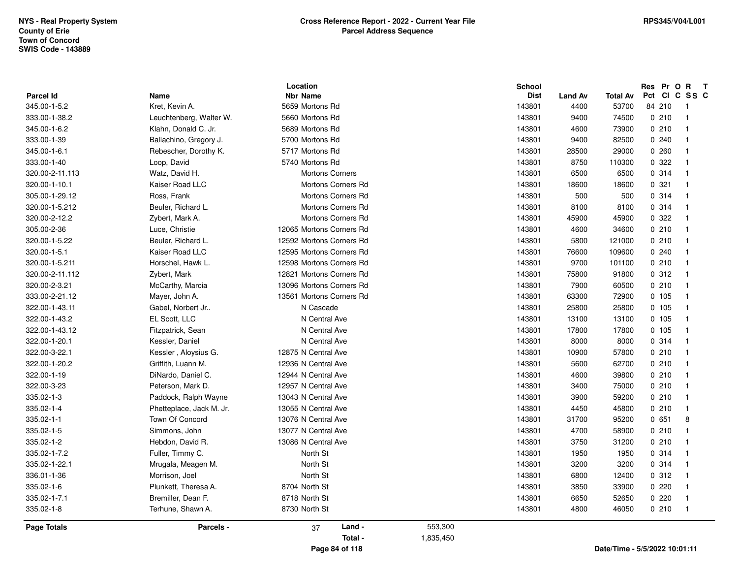| <b>Parcel Id</b>   | <b>Name</b>              | Location<br><b>Nbr Name</b> |           | <b>School</b><br><b>Dist</b> | <b>Land Av</b> | <b>Total Av</b>               | Res Pr O R<br>Pct CI C | $\mathbf{T}$<br>SS C    |
|--------------------|--------------------------|-----------------------------|-----------|------------------------------|----------------|-------------------------------|------------------------|-------------------------|
| 345.00-1-5.2       | Kret, Kevin A.           | 5659 Mortons Rd             |           | 143801                       | 4400           | 53700                         | 84 210                 | -1                      |
| 333.00-1-38.2      | Leuchtenberg, Walter W.  | 5660 Mortons Rd             |           | 143801                       | 9400           | 74500                         | 0210                   | $\overline{\mathbf{1}}$ |
| 345.00-1-6.2       | Klahn, Donald C. Jr.     | 5689 Mortons Rd             |           | 143801                       | 4600           | 73900                         | 0210                   | $\overline{1}$          |
| 333.00-1-39        | Ballachino, Gregory J.   | 5700 Mortons Rd             |           | 143801                       | 9400           | 82500                         | 0.240                  | $\overline{\mathbf{1}}$ |
| 345.00-1-6.1       | Rebescher, Dorothy K.    | 5717 Mortons Rd             |           | 143801                       | 28500          | 29000                         | 0260                   | $\mathbf{1}$            |
| 333.00-1-40        | Loop, David              | 5740 Mortons Rd             |           | 143801                       | 8750           | 110300                        | 0.322                  | $\overline{\mathbf{1}}$ |
| 320.00-2-11.113    | Watz, David H.           | <b>Mortons Corners</b>      |           | 143801                       | 6500           | 6500                          | 0.314                  | $\overline{1}$          |
| 320.00-1-10.1      | Kaiser Road LLC          | <b>Mortons Corners Rd</b>   |           | 143801                       | 18600          | 18600                         | 0.321                  | $\overline{\mathbf{1}}$ |
| 305.00-1-29.12     | Ross, Frank              | Mortons Corners Rd          |           | 143801                       | 500            | 500                           | 0.314                  | $\overline{\mathbf{1}}$ |
| 320.00-1-5.212     | Beuler, Richard L.       | Mortons Corners Rd          |           | 143801                       | 8100           | 8100                          | 0.314                  | $\overline{\mathbf{1}}$ |
| 320.00-2-12.2      | Zybert, Mark A.          | <b>Mortons Corners Rd</b>   |           | 143801                       | 45900          | 45900                         | 0 322                  | $\overline{\mathbf{1}}$ |
| 305.00-2-36        | Luce, Christie           | 12065 Mortons Corners Rd    |           | 143801                       | 4600           | 34600                         | 0210                   | $\overline{1}$          |
| 320.00-1-5.22      | Beuler, Richard L.       | 12592 Mortons Corners Rd    |           | 143801                       | 5800           | 121000                        | 0210                   | $\overline{1}$          |
| 320.00-1-5.1       | Kaiser Road LLC          | 12595 Mortons Corners Rd    |           | 143801                       | 76600          | 109600                        | 0240                   | $\mathbf{1}$            |
| 320.00-1-5.211     | Horschel, Hawk L.        | 12598 Mortons Corners Rd    |           | 143801                       | 9700           | 101100                        | 0210                   | $\overline{\mathbf{1}}$ |
| 320.00-2-11.112    | Zybert, Mark             | 12821 Mortons Corners Rd    |           | 143801                       | 75800          | 91800                         | 0.312                  | $\overline{\mathbf{1}}$ |
| 320.00-2-3.21      | McCarthy, Marcia         | 13096 Mortons Corners Rd    |           | 143801                       | 7900           | 60500                         | 0210                   | $\overline{\mathbf{1}}$ |
| 333.00-2-21.12     | Mayer, John A.           | 13561 Mortons Corners Rd    |           | 143801                       | 63300          | 72900                         | 0, 105                 | $\mathbf{1}$            |
| 322.00-1-43.11     | Gabel, Norbert Jr        | N Cascade                   |           | 143801                       | 25800          | 25800                         | 0 105                  | $\overline{\mathbf{1}}$ |
| 322.00-1-43.2      | EL Scott, LLC            | N Central Ave               |           | 143801                       | 13100          | 13100                         | 0, 105                 | $\overline{1}$          |
| 322.00-1-43.12     | Fitzpatrick, Sean        | N Central Ave               |           | 143801                       | 17800          | 17800                         | 0, 105                 | $\overline{\mathbf{1}}$ |
| 322.00-1-20.1      | Kessler, Daniel          | N Central Ave               |           | 143801                       | 8000           | 8000                          | 0.314                  | $\mathbf{1}$            |
| 322.00-3-22.1      | Kessler, Aloysius G.     | 12875 N Central Ave         |           | 143801                       | 10900          | 57800                         | 0210                   | $\overline{\mathbf{1}}$ |
| 322.00-1-20.2      | Griffith, Luann M.       | 12936 N Central Ave         |           | 143801                       | 5600           | 62700                         | 0210                   | $\overline{1}$          |
| 322.00-1-19        | DiNardo, Daniel C.       | 12944 N Central Ave         |           | 143801                       | 4600           | 39800                         | 0210                   | $\overline{\mathbf{1}}$ |
| 322.00-3-23        | Peterson, Mark D.        | 12957 N Central Ave         |           | 143801                       | 3400           | 75000                         | 0210                   | $\overline{\mathbf{1}}$ |
| 335.02-1-3         | Paddock, Ralph Wayne     | 13043 N Central Ave         |           | 143801                       | 3900           | 59200                         | 0210                   | $\overline{\mathbf{1}}$ |
| 335.02-1-4         | Phetteplace, Jack M. Jr. | 13055 N Central Ave         |           | 143801                       | 4450           | 45800                         | 0210                   | $\overline{\mathbf{1}}$ |
| 335.02-1-1         | Town Of Concord          | 13076 N Central Ave         |           | 143801                       | 31700          | 95200                         | 0651                   | 8                       |
| 335.02-1-5         | Simmons, John            | 13077 N Central Ave         |           | 143801                       | 4700           | 58900                         | 0210                   | $\overline{1}$          |
| 335.02-1-2         | Hebdon, David R.         | 13086 N Central Ave         |           | 143801                       | 3750           | 31200                         | 0210                   | $\overline{\mathbf{1}}$ |
| 335.02-1-7.2       | Fuller, Timmy C.         | North St                    |           | 143801                       | 1950           | 1950                          | 0.314                  | $\overline{\mathbf{1}}$ |
| 335.02-1-22.1      | Mrugala, Meagen M.       | North St                    |           | 143801                       | 3200           | 3200                          | 0.314                  | $\overline{\mathbf{1}}$ |
| 336.01-1-36        | Morrison, Joel           | North St                    |           | 143801                       | 6800           | 12400                         | 0.312                  | $\overline{\mathbf{1}}$ |
| 335.02-1-6         | Plunkett, Theresa A.     | 8704 North St               |           | 143801                       | 3850           | 33900                         | 0220                   | $\mathbf{1}$            |
| 335.02-1-7.1       | Bremiller, Dean F.       | 8718 North St               |           | 143801                       | 6650           | 52650                         | 0220                   | $\overline{\mathbf{1}}$ |
| 335.02-1-8         | Terhune, Shawn A.        | 8730 North St               |           | 143801                       | 4800           | 46050                         | 0210                   | $\overline{1}$          |
| <b>Page Totals</b> | Parcels -                | Land -<br>37                | 553,300   |                              |                |                               |                        |                         |
|                    |                          | Total -                     | 1,835,450 |                              |                |                               |                        |                         |
|                    |                          | Page 84 of 118              |           |                              |                | Date/Time - 5/5/2022 10:01:11 |                        |                         |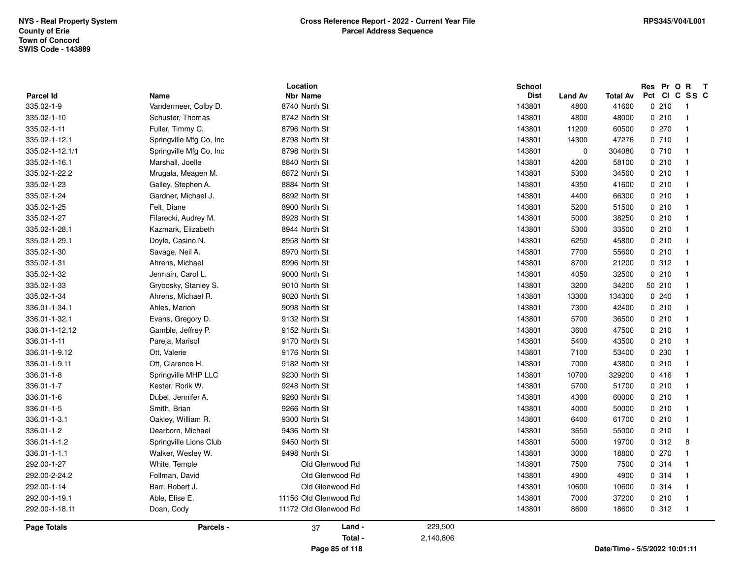| 335.02-1-9<br>335.02-1-10 | Vandermeer, Colby D.<br>Schuster, Thomas | 8740 North St<br>8742 North St |           | 143801<br>143801 | 4800<br>4800   | 41600<br>48000                | 0210<br>0210 | $\overline{\phantom{0}}$<br>$\overline{\mathbf{1}}$ |
|---------------------------|------------------------------------------|--------------------------------|-----------|------------------|----------------|-------------------------------|--------------|-----------------------------------------------------|
| 335.02-1-11               | Fuller, Timmy C.                         | 8796 North St                  |           | 143801           | 11200          | 60500                         | 0270         | -1                                                  |
| 335.02-1-12.1             | Springville Mfg Co, Inc                  | 8798 North St                  |           | 143801           | 14300          | 47276                         | 0710         |                                                     |
| 335.02-1-12.1/1           | Springville Mfg Co, Inc                  | 8798 North St                  |           | 143801           | $\overline{0}$ | 304080                        | 0 710        | - 1                                                 |
| 335.02-1-16.1             | Marshall, Joelle                         | 8840 North St                  |           | 143801           | 4200           | 58100                         | 0210         | $\mathbf{1}$                                        |
| 335.02-1-22.2             | Mrugala, Meagen M.                       | 8872 North St                  |           | 143801           | 5300           | 34500                         | 0210         | -1                                                  |
| 335.02-1-23               | Galley, Stephen A.                       | 8884 North St                  |           | 143801           | 4350           | 41600                         | 0210         |                                                     |
| 335.02-1-24               | Gardner, Michael J.                      | 8892 North St                  |           | 143801           | 4400           | 66300                         | 0210         | - 1                                                 |
| 335.02-1-25               | Felt, Diane                              | 8900 North St                  |           | 143801           | 5200           | 51500                         | 0210         |                                                     |
| 335.02-1-27               | Filarecki, Audrey M.                     | 8928 North St                  |           | 143801           | 5000           | 38250                         | 0210         | -1                                                  |
| 335.02-1-28.1             | Kazmark, Elizabeth                       | 8944 North St                  |           | 143801           | 5300           | 33500                         | 0210         |                                                     |
| 335.02-1-29.1             | Doyle, Casino N.                         | 8958 North St                  |           | 143801           | 6250           | 45800                         | 0210         |                                                     |
| 335.02-1-30               | Savage, Neil A.                          | 8970 North St                  |           | 143801           | 7700           | 55600                         | 0210         | -1                                                  |
| 335.02-1-31               | Ahrens, Michael                          | 8996 North St                  |           | 143801           | 8700           | 21200                         | 0.312        | $\overline{1}$                                      |
| 335.02-1-32               | Jermain, Carol L.                        | 9000 North St                  |           | 143801           | 4050           | 32500                         | 0210         | -1                                                  |
| 335.02-1-33               | Grybosky, Stanley S.                     | 9010 North St                  |           | 143801           | 3200           | 34200                         | 50 210       |                                                     |
| 335.02-1-34               | Ahrens, Michael R.                       | 9020 North St                  |           | 143801           | 13300          | 134300                        | 0.240        |                                                     |
| 336.01-1-34.1             | Ahles, Marion                            | 9098 North St                  |           | 143801           | 7300           | 42400                         | 0210         |                                                     |
| 336.01-1-32.1             | Evans, Gregory D.                        | 9132 North St                  |           | 143801           | 5700           | 36500                         | 0210         | - 1                                                 |
| 336.01-1-12.12            | Gamble, Jeffrey P.                       | 9152 North St                  |           | 143801           | 3600           | 47500                         | 0210         |                                                     |
| 336.01-1-11               | Pareja, Marisol                          | 9170 North St                  |           | 143801           | 5400           | 43500                         | 0210         |                                                     |
| 336.01-1-9.12             | Ott, Valerie                             | 9176 North St                  |           | 143801           | 7100           | 53400                         | 0230         |                                                     |
| 336.01-1-9.11             | Ott. Clarence H.                         | 9182 North St                  |           | 143801           | 7000           | 43800                         | 0210         | $\overline{1}$                                      |
| 336.01-1-8                | Springville MHP LLC                      | 9230 North St                  |           | 143801           | 10700          | 329200                        | 0416         |                                                     |
| 336.01-1-7                | Kester, Rorik W.                         | 9248 North St                  |           | 143801           | 5700           | 51700                         | 0210         |                                                     |
| 336.01-1-6                | Dubel, Jennifer A.                       | 9260 North St                  |           | 143801           | 4300           | 60000                         | 0210         |                                                     |
| 336.01-1-5                | Smith, Brian                             | 9266 North St                  |           | 143801           | 4000           | 50000                         | 0210         |                                                     |
| 336.01-1-3.1              | Oakley, William R.                       | 9300 North St                  |           | 143801           | 6400           | 61700                         | 0210         |                                                     |
| 336.01-1-2                | Dearborn, Michael                        | 9436 North St                  |           | 143801           | 3650           | 55000                         | 0210         |                                                     |
| 336.01-1-1.2              | Springville Lions Club                   | 9450 North St                  |           | 143801           | 5000           | 19700                         | 0.312        | 8                                                   |
| 336.01-1-1.1              | Walker, Wesley W.                        | 9498 North St                  |           | 143801           | 3000           | 18800                         | 0270         |                                                     |
| 292.00-1-27               | White, Temple                            | Old Glenwood Rd                |           | 143801           | 7500           | 7500                          | 0.314        | $\overline{1}$                                      |
| 292.00-2-24.2             | Follman, David                           | Old Glenwood Rd                |           | 143801           | 4900           | 4900                          | 0.314        |                                                     |
| 292.00-1-14               | Barr, Robert J.                          | Old Glenwood Rd                |           | 143801           | 10600          | 10600                         | 0.314        |                                                     |
| 292.00-1-19.1             | Able, Elise E.                           | 11156 Old Glenwood Rd          |           | 143801           | 7000           | 37200                         | 0210         | -1                                                  |
| 292.00-1-18.11            | Doan, Cody                               | 11172 Old Glenwood Rd          |           | 143801           | 8600           | 18600                         | 0.312        | $\overline{\phantom{0}}$                            |
| <b>Page Totals</b>        | Parcels -                                | Land -<br>37                   | 229,500   |                  |                |                               |              |                                                     |
|                           |                                          | Total -                        | 2,140,806 |                  |                |                               |              |                                                     |
|                           |                                          | Page 85 of 118                 |           |                  |                | Date/Time - 5/5/2022 10:01:11 |              |                                                     |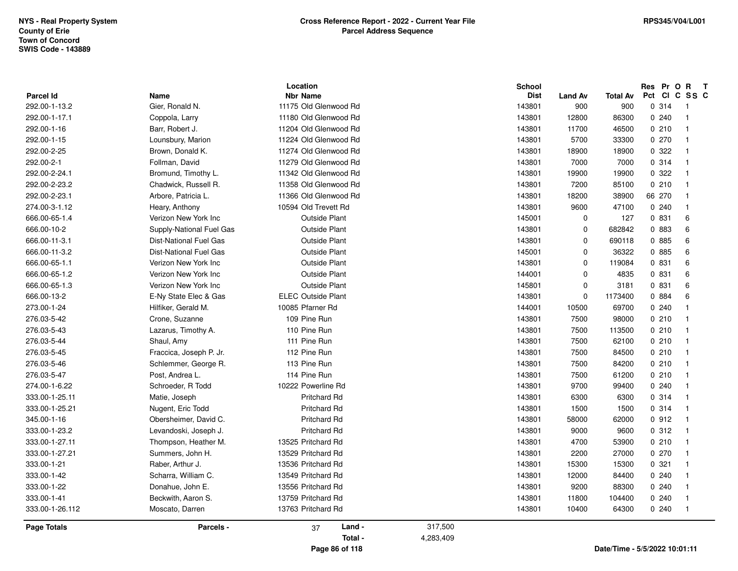|                    |                                | Location                                 |                      | <b>School</b> |                |                 | Res Pr O R             | $\mathbf{T}$ |
|--------------------|--------------------------------|------------------------------------------|----------------------|---------------|----------------|-----------------|------------------------|--------------|
| <b>Parcel Id</b>   | <b>Name</b><br>Gier, Ronald N. | <b>Nbr Name</b><br>11175 Old Glenwood Rd |                      | <b>Dist</b>   | <b>Land Av</b> | <b>Total Av</b> | Pct CI C SS C<br>0 314 |              |
| 292.00-1-13.2      |                                |                                          |                      | 143801        | 900            | 900             |                        | - 1          |
| 292.00-1-17.1      | Coppola, Larry                 | 11180 Old Glenwood Rd                    |                      | 143801        | 12800          | 86300           | 0240                   |              |
| 292.00-1-16        | Barr, Robert J.                | 11204 Old Glenwood Rd                    |                      | 143801        | 11700          | 46500           | 0210                   |              |
| 292.00-1-15        | Lounsbury, Marion              | 11224 Old Glenwood Rd                    |                      | 143801        | 5700           | 33300           | 0270                   |              |
| 292.00-2-25        | Brown, Donald K.               | 11274 Old Glenwood Rd                    |                      | 143801        | 18900          | 18900           | 0 322                  |              |
| 292.00-2-1         | Follman, David                 | 11279 Old Glenwood Rd                    |                      | 143801        | 7000           | 7000            | 0 314                  |              |
| 292.00-2-24.1      | Bromund, Timothy L.            | 11342 Old Glenwood Rd                    |                      | 143801        | 19900          | 19900           | 0.322                  |              |
| 292.00-2-23.2      | Chadwick, Russell R.           | 11358 Old Glenwood Rd                    |                      | 143801        | 7200           | 85100           | 0210                   |              |
| 292.00-2-23.1      | Arbore, Patricia L.            | 11366 Old Glenwood Rd                    |                      | 143801        | 18200          | 38900           | 66 270                 |              |
| 274.00-3-1.12      | Heary, Anthony                 | 10594 Old Trevett Rd                     |                      | 143801        | 9600           | 47100           | 0.240                  |              |
| 666.00-65-1.4      | Verizon New York Inc           | <b>Outside Plant</b>                     |                      | 145001        | $\mathbf 0$    | 127             | 0 831                  | 6            |
| 666.00-10-2        | Supply-National Fuel Gas       | <b>Outside Plant</b>                     |                      | 143801        | $\mathbf 0$    | 682842          | 0 883                  | 6            |
| 666.00-11-3.1      | <b>Dist-National Fuel Gas</b>  | <b>Outside Plant</b>                     |                      | 143801        | 0              | 690118          | 0 885                  | 6            |
| 666.00-11-3.2      | <b>Dist-National Fuel Gas</b>  | <b>Outside Plant</b>                     |                      | 145001        | $\mathbf 0$    | 36322           | 0 885                  | 6            |
| 666.00-65-1.1      | Verizon New York Inc           | <b>Outside Plant</b>                     |                      | 143801        | $\mathbf 0$    | 119084          | 0 831                  | 6            |
| 666.00-65-1.2      | Verizon New York Inc           | <b>Outside Plant</b>                     |                      | 144001        | $\mathbf 0$    | 4835            | 0 831                  | 6            |
| 666.00-65-1.3      | Verizon New York Inc           | <b>Outside Plant</b>                     |                      | 145801        | $\mathbf 0$    | 3181            | 0.831                  | 6            |
| 666.00-13-2        | E-Ny State Elec & Gas          | <b>ELEC Outside Plant</b>                |                      | 143801        | 0              | 1173400         | 0 884                  | 6            |
| 273.00-1-24        | Hilfiker, Gerald M.            | 10085 Pfarner Rd                         |                      | 144001        | 10500          | 69700           | 0.240                  |              |
| 276.03-5-42        | Crone, Suzanne                 | 109 Pine Run                             |                      | 143801        | 7500           | 98000           | 0210                   |              |
| 276.03-5-43        | Lazarus, Timothy A.            | 110 Pine Run                             |                      | 143801        | 7500           | 113500          | 0210                   |              |
| 276.03-5-44        | Shaul, Amy                     | 111 Pine Run                             |                      | 143801        | 7500           | 62100           | 0210                   |              |
| 276.03-5-45        | Fraccica, Joseph P. Jr.        | 112 Pine Run                             |                      | 143801        | 7500           | 84500           | 0210                   |              |
| 276.03-5-46        | Schlemmer, George R.           | 113 Pine Run                             |                      | 143801        | 7500           | 84200           | 0210                   |              |
| 276.03-5-47        | Post, Andrea L.                | 114 Pine Run                             |                      | 143801        | 7500           | 61200           | 0210                   |              |
| 274.00-1-6.22      | Schroeder, R Todd              | 10222 Powerline Rd                       |                      | 143801        | 9700           | 99400           | 0.240                  |              |
| 333.00-1-25.11     | Matie, Joseph                  | <b>Pritchard Rd</b>                      |                      | 143801        | 6300           | 6300            | 0.314                  |              |
| 333.00-1-25.21     | Nugent, Eric Todd              | <b>Pritchard Rd</b>                      |                      | 143801        | 1500           | 1500            | 0.314                  |              |
| 345.00-1-16        | Obersheimer, David C.          | <b>Pritchard Rd</b>                      |                      | 143801        | 58000          | 62000           | 0.912                  |              |
| 333.00-1-23.2      | Levandoski, Joseph J.          | <b>Pritchard Rd</b>                      |                      | 143801        | 9000           | 9600            | 0.312                  |              |
| 333.00-1-27.11     | Thompson, Heather M.           | 13525 Pritchard Rd                       |                      | 143801        | 4700           | 53900           | 0210                   |              |
| 333.00-1-27.21     | Summers, John H.               | 13529 Pritchard Rd                       |                      | 143801        | 2200           | 27000           | 0 270                  |              |
| 333.00-1-21        | Raber, Arthur J.               | 13536 Pritchard Rd                       |                      | 143801        | 15300          | 15300           | 0.321                  |              |
| 333.00-1-42        | Scharra, William C.            | 13549 Pritchard Rd                       |                      | 143801        | 12000          | 84400           | 0.240                  |              |
| 333.00-1-22        | Donahue, John E.               | 13556 Pritchard Rd                       |                      | 143801        | 9200           | 88300           | 0.240                  |              |
| 333.00-1-41        | Beckwith, Aaron S.             | 13759 Pritchard Rd                       |                      | 143801        | 11800          | 104400          | 0240                   |              |
| 333.00-1-26.112    | Moscato, Darren                | 13763 Pritchard Rd                       |                      | 143801        | 10400          | 64300           | 0240                   | -1           |
| <b>Page Totals</b> | Parcels -                      | Land -<br>37<br>Total -                  | 317,500<br>4,283,409 |               |                |                 |                        |              |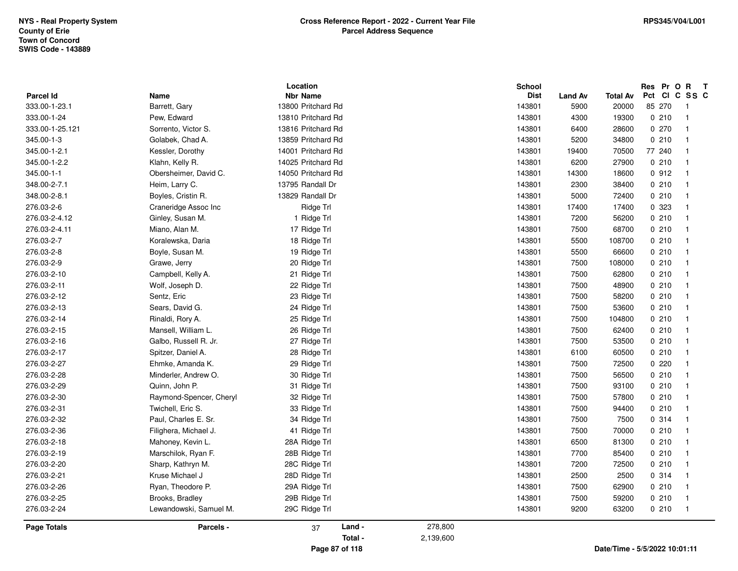|                  |                         | Location           |           | School      |                |                               | Res    | Pr O  | $\mathbf R$<br>$\mathbf{T}$ |
|------------------|-------------------------|--------------------|-----------|-------------|----------------|-------------------------------|--------|-------|-----------------------------|
| <b>Parcel Id</b> | Name                    | <b>Nbr Name</b>    |           | <b>Dist</b> | <b>Land Av</b> | <b>Total Av</b>               |        |       | Pct CI C SS C               |
| 333.00-1-23.1    | Barrett, Gary           | 13800 Pritchard Rd |           | 143801      | 5900           | 20000                         | 85 270 |       | -1                          |
| 333.00-1-24      | Pew, Edward             | 13810 Pritchard Rd |           | 143801      | 4300           | 19300                         |        | 0210  | $\overline{1}$              |
| 333.00-1-25.121  | Sorrento, Victor S.     | 13816 Pritchard Rd |           | 143801      | 6400           | 28600                         |        | 0 270 | $\overline{\mathbf{1}}$     |
| 345.00-1-3       | Golabek, Chad A.        | 13859 Pritchard Rd |           | 143801      | 5200           | 34800                         |        | 0210  | $\mathbf{1}$                |
| 345.00-1-2.1     | Kessler, Dorothy        | 14001 Pritchard Rd |           | 143801      | 19400          | 70500                         | 77 240 |       | $\overline{1}$              |
| 345.00-1-2.2     | Klahn, Kelly R.         | 14025 Pritchard Rd |           | 143801      | 6200           | 27900                         |        | 0210  | $\overline{\mathbf{1}}$     |
| 345.00-1-1       | Obersheimer, David C.   | 14050 Pritchard Rd |           | 143801      | 14300          | 18600                         |        | 0.912 | $\overline{\mathbf{1}}$     |
| 348.00-2-7.1     | Heim, Larry C.          | 13795 Randall Dr   |           | 143801      | 2300           | 38400                         |        | 0210  | $\overline{1}$              |
| 348.00-2-8.1     | Boyles, Cristin R.      | 13829 Randall Dr   |           | 143801      | 5000           | 72400                         |        | 0210  | $\overline{1}$              |
| 276.03-2-6       | Craneridge Assoc Inc    | Ridge Trl          |           | 143801      | 17400          | 17400                         |        | 0 323 | $\overline{1}$              |
| 276.03-2-4.12    | Ginley, Susan M.        | 1 Ridge Trl        |           | 143801      | 7200           | 56200                         |        | 0210  | $\overline{\mathbf{1}}$     |
| 276.03-2-4.11    | Miano, Alan M.          | 17 Ridge Trl       |           | 143801      | 7500           | 68700                         |        | 0210  | $\overline{1}$              |
| 276.03-2-7       | Koralewska, Daria       | 18 Ridge Trl       |           | 143801      | 5500           | 108700                        |        | 0210  | $\overline{1}$              |
| 276.03-2-8       | Boyle, Susan M.         | 19 Ridge Trl       |           | 143801      | 5500           | 66600                         |        | 0210  | $\overline{1}$              |
| 276.03-2-9       | Grawe, Jerry            | 20 Ridge Trl       |           | 143801      | 7500           | 108000                        |        | 0210  | $\overline{1}$              |
| 276.03-2-10      | Campbell, Kelly A.      | 21 Ridge Trl       |           | 143801      | 7500           | 62800                         |        | 0210  | $\overline{1}$              |
| 276.03-2-11      | Wolf, Joseph D.         | 22 Ridge Trl       |           | 143801      | 7500           | 48900                         |        | 0210  | $\overline{1}$              |
| 276.03-2-12      | Sentz, Eric             | 23 Ridge Trl       |           | 143801      | 7500           | 58200                         |        | 0210  | $\overline{1}$              |
| 276.03-2-13      | Sears, David G.         | 24 Ridge Trl       |           | 143801      | 7500           | 53600                         |        | 0210  | $\overline{1}$              |
| 276.03-2-14      | Rinaldi, Rory A.        | 25 Ridge Trl       |           | 143801      | 7500           | 104800                        |        | 0210  | $\overline{\mathbf{1}}$     |
| 276.03-2-15      | Mansell, William L.     | 26 Ridge Trl       |           | 143801      | 7500           | 62400                         |        | 0210  | $\overline{1}$              |
| 276.03-2-16      | Galbo, Russell R. Jr.   | 27 Ridge Trl       |           | 143801      | 7500           | 53500                         |        | 0210  | $\overline{\mathbf{1}}$     |
| 276.03-2-17      | Spitzer, Daniel A.      | 28 Ridge Trl       |           | 143801      | 6100           | 60500                         |        | 0210  | $\overline{\mathbf{1}}$     |
| 276.03-2-27      | Ehmke, Amanda K.        | 29 Ridge Trl       |           | 143801      | 7500           | 72500                         |        | 0.220 | $\overline{\mathbf{1}}$     |
| 276.03-2-28      | Minderler, Andrew O.    | 30 Ridge Trl       |           | 143801      | 7500           | 56500                         |        | 0210  | $\mathbf{1}$                |
| 276.03-2-29      | Quinn, John P.          | 31 Ridge Trl       |           | 143801      | 7500           | 93100                         |        | 0210  | $\mathbf{1}$                |
| 276.03-2-30      | Raymond-Spencer, Cheryl | 32 Ridge Trl       |           | 143801      | 7500           | 57800                         |        | 0210  | $\overline{1}$              |
| 276.03-2-31      | Twichell, Eric S.       | 33 Ridge Trl       |           | 143801      | 7500           | 94400                         |        | 0210  | $\overline{\mathbf{1}}$     |
| 276.03-2-32      | Paul, Charles E. Sr.    | 34 Ridge Trl       |           | 143801      | 7500           | 7500                          |        | 0.314 | $\overline{\mathbf{1}}$     |
| 276.03-2-36      | Filighera, Michael J.   | 41 Ridge Trl       |           | 143801      | 7500           | 70000                         |        | 0210  | $\overline{1}$              |
| 276.03-2-18      | Mahoney, Kevin L.       | 28A Ridge Trl      |           | 143801      | 6500           | 81300                         |        | 0210  | $\mathbf{1}$                |
| 276.03-2-19      | Marschilok, Ryan F.     | 28B Ridge Trl      |           | 143801      | 7700           | 85400                         |        | 0210  | $\overline{\mathbf{1}}$     |
| 276.03-2-20      | Sharp, Kathryn M.       | 28C Ridge Trl      |           | 143801      | 7200           | 72500                         |        | 0210  | $\overline{1}$              |
| 276.03-2-21      | Kruse Michael J         | 28D Ridge Trl      |           | 143801      | 2500           | 2500                          |        | 0.314 | $\overline{\mathbf{1}}$     |
| 276.03-2-26      | Ryan, Theodore P.       | 29A Ridge Trl      |           | 143801      | 7500           | 62900                         |        | 0210  | $\overline{\mathbf{1}}$     |
| 276.03-2-25      | Brooks, Bradley         | 29B Ridge Trl      |           | 143801      | 7500           | 59200                         |        | 0210  | $\overline{1}$              |
| 276.03-2-24      | Lewandowski, Samuel M.  | 29C Ridge Trl      |           | 143801      | 9200           | 63200                         |        | 0210  | $\overline{1}$              |
| Page Totals      | Parcels -               | Land -<br>37       | 278,800   |             |                |                               |        |       |                             |
|                  |                         | Total -            | 2,139,600 |             |                |                               |        |       |                             |
|                  |                         | Page 87 of 118     |           |             |                | Date/Time - 5/5/2022 10:01:11 |        |       |                             |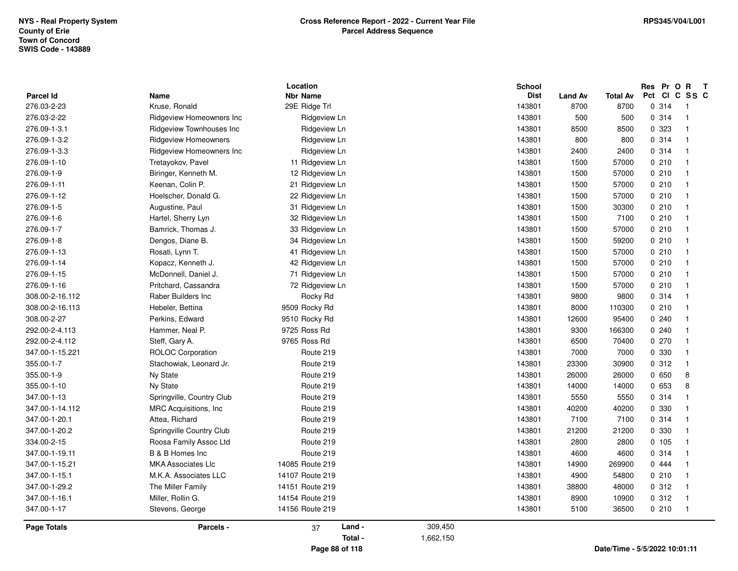| <b>Parcel Id</b>   | <b>Name</b>                 | Location<br><b>Nbr Name</b> |           | School<br><b>Dist</b> | <b>Land Av</b> | <b>Total Av</b> | Res Pr O R<br>Pct<br><b>CI</b> | $\mathbf{T}$<br>C SS C  |  |
|--------------------|-----------------------------|-----------------------------|-----------|-----------------------|----------------|-----------------|--------------------------------|-------------------------|--|
| 276.03-2-23        | Kruse, Ronald               | 29E Ridge Trl               |           | 143801                | 8700           | 8700            | 0.314                          | - 1                     |  |
| 276.03-2-22        | Ridgeview Homeowners Inc    | Ridgeview Ln                |           | 143801                | 500            | 500             | 0.314                          | $\overline{1}$          |  |
| 276.09-1-3.1       | Ridgeview Townhouses Inc    | Ridgeview Ln                |           | 143801                | 8500           | 8500            | 0 323                          | $\overline{\mathbf{1}}$ |  |
| 276.09-1-3.2       | <b>Ridgeview Homeowners</b> | Ridgeview Ln                |           | 143801                | 800            | 800             | 0.314                          | $\overline{\mathbf{1}}$ |  |
| 276.09-1-3.3       | Ridgeview Homeowners Inc    | Ridgeview Ln                |           | 143801                | 2400           | 2400            | 0.314                          | $\overline{\mathbf{1}}$ |  |
| 276.09-1-10        | Tretayokov, Pavel           | 11 Ridgeview Ln             |           | 143801                | 1500           | 57000           | 0210                           | $\overline{1}$          |  |
| 276.09-1-9         | Biringer, Kenneth M.        | 12 Ridgeview Ln             |           | 143801                | 1500           | 57000           | 0210                           | $\overline{1}$          |  |
| 276.09-1-11        | Keenan, Colin P.            | 21 Ridgeview Ln             |           | 143801                | 1500           | 57000           | 0210                           | $\overline{\mathbf{1}}$ |  |
| 276.09-1-12        | Hoelscher, Donald G.        | 22 Ridgeview Ln             |           | 143801                | 1500           | 57000           | 0210                           | $\overline{\mathbf{1}}$ |  |
| 276.09-1-5         | Augustine, Paul             | 31 Ridgeview Ln             |           | 143801                | 1500           | 30300           | 0210                           | $\overline{\mathbf{1}}$ |  |
| 276.09-1-6         | Hartel, Sherry Lyn          | 32 Ridgeview Ln             |           | 143801                | 1500           | 7100            | 0210                           | $\overline{\mathbf{1}}$ |  |
| 276.09-1-7         | Bamrick, Thomas J.          | 33 Ridgeview Ln             |           | 143801                | 1500           | 57000           | 0210                           | $\overline{1}$          |  |
| 276.09-1-8         | Dengos, Diane B.            | 34 Ridgeview Ln             |           | 143801                | 1500           | 59200           | 0210                           | $\overline{1}$          |  |
| 276.09-1-13        | Rosati, Lynn T.             | 41 Ridgeview Ln             |           | 143801                | 1500           | 57000           | 0210                           | $\overline{\mathbf{1}}$ |  |
| 276.09-1-14        | Kopacz, Kenneth J.          | 42 Ridgeview Ln             |           | 143801                | 1500           | 57000           | 0210                           | $\mathbf{1}$            |  |
| 276.09-1-15        | McDonnell, Daniel J.        | 71 Ridgeview Ln             |           | 143801                | 1500           | 57000           | 0210                           | $\overline{1}$          |  |
| 276.09-1-16        | Pritchard, Cassandra        | 72 Ridgeview Ln             |           | 143801                | 1500           | 57000           | 0210                           | $\overline{1}$          |  |
| 308.00-2-16.112    | Raber Builders Inc          | Rocky Rd                    |           | 143801                | 9800           | 9800            | 0.314                          | $\overline{\mathbf{1}}$ |  |
| 308.00-2-16.113    | Hebeler, Bettina            | 9509 Rocky Rd               |           | 143801                | 8000           | 110300          | 0210                           | -1                      |  |
| 308.00-2-27        | Perkins, Edward             | 9510 Rocky Rd               |           | 143801                | 12600          | 95400           | 0.240                          | 1                       |  |
| 292.00-2-4.113     | Hammer, Neal P.             | 9725 Ross Rd                |           | 143801                | 9300           | 166300          | 0240                           | $\mathbf{1}$            |  |
| 292.00-2-4.112     | Steff, Gary A.              | 9765 Ross Rd                |           | 143801                | 6500           | 70400           | 0270                           | $\overline{1}$          |  |
| 347.00-1-15.221    | <b>ROLOC Corporation</b>    | Route 219                   |           | 143801                | 7000           | 7000            | 0 330                          | $\overline{\mathbf{1}}$ |  |
| 355.00-1-7         | Stachowiak, Leonard Jr.     | Route 219                   |           | 143801                | 23300          | 30900           | 0.312                          | $\mathbf{1}$            |  |
| 355.00-1-9         | Ny State                    | Route 219                   |           | 143801                | 26000          | 26000           | 0650                           | 8                       |  |
| 355.00-1-10        | Ny State                    | Route 219                   |           | 143801                | 14000          | 14000           | 0 653                          | 8                       |  |
| 347.00-1-13        | Springville, Country Club   | Route 219                   |           | 143801                | 5550           | 5550            | 0.314                          | $\overline{1}$          |  |
| 347.00-1-14.112    | MRC Acquisitions, Inc.      | Route 219                   |           | 143801                | 40200          | 40200           | 0 330                          | $\mathbf{1}$            |  |
| 347.00-1-20.1      | Attea, Richard              | Route 219                   |           | 143801                | 7100           | 7100            | 0.314                          | -1                      |  |
| 347.00-1-20.2      | Springville Country Club    | Route 219                   |           | 143801                | 21200          | 21200           | 0 330                          | 1                       |  |
| 334.00-2-15        | Roosa Family Assoc Ltd      | Route 219                   |           | 143801                | 2800           | 2800            | 0.105                          | $\overline{1}$          |  |
| 347.00-1-19.11     | B & B Homes Inc             | Route 219                   |           | 143801                | 4600           | 4600            | 0.314                          | $\overline{\mathbf{1}}$ |  |
| 347.00-1-15.21     | <b>MKA Associates Llc</b>   | 14085 Route 219             |           | 143801                | 14900          | 269900          | 0 444                          | $\overline{\mathbf{1}}$ |  |
| 347.00-1-15.1      | M.K.A. Associates LLC       | 14107 Route 219             |           | 143801                | 4900           | 54800           | 0210                           | $\overline{1}$          |  |
| 347.00-1-29.2      | The Miller Family           | 14151 Route 219             |           | 143801                | 38800          | 48000           | 0.312                          | $\overline{1}$          |  |
| 347.00-1-16.1      | Miller, Rollin G.           | 14154 Route 219             |           | 143801                | 8900           | 10900           | 0.312                          | $\overline{1}$          |  |
| 347.00-1-17        | Stevens, George             | 14156 Route 219             |           | 143801                | 5100           | 36500           | 0210                           | $\overline{1}$          |  |
| <b>Page Totals</b> | Parcels -                   | Land -<br>37                | 309,450   |                       |                |                 |                                |                         |  |
|                    |                             | Total -                     | 1,662,150 |                       |                |                 |                                |                         |  |
|                    |                             | $-$                         |           |                       |                | - - -           | $\frac{1}{2}$                  |                         |  |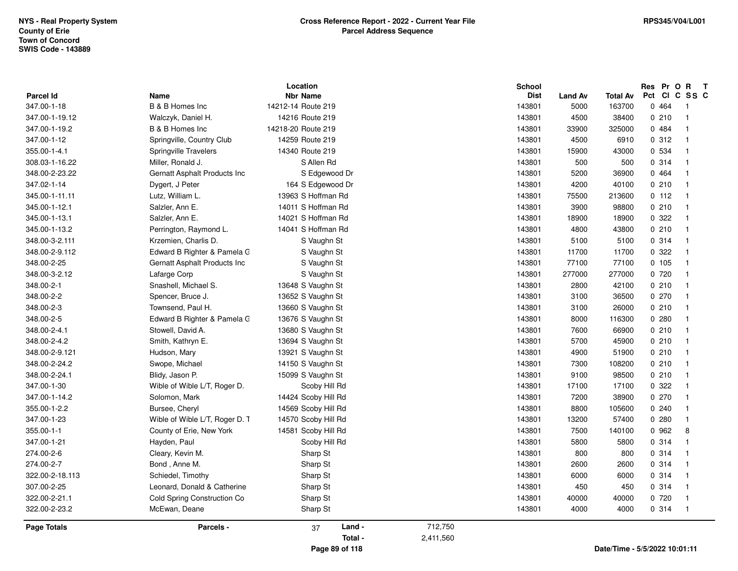| <b>Parcel Id</b>   | Name                           | Location<br><b>Nbr Name</b> |           | <b>School</b><br><b>Dist</b> | <b>Land Av</b> | <b>Total Av</b>               | Res Pr O R<br>Pct CI C SS C | $\mathbf{T}$   |
|--------------------|--------------------------------|-----------------------------|-----------|------------------------------|----------------|-------------------------------|-----------------------------|----------------|
| 347.00-1-18        | B & B Homes Inc                | 14212-14 Route 219          |           | 143801                       | 5000           | 163700                        | 0 464                       | -1             |
| 347.00-1-19.12     | Walczyk, Daniel H.             | 14216 Route 219             |           | 143801                       | 4500           | 38400                         | 0210                        | $\mathbf{1}$   |
| 347.00-1-19.2      | B & B Homes Inc                | 14218-20 Route 219          |           | 143801                       | 33900          | 325000                        | 0.484                       | $\mathbf{1}$   |
| 347.00-1-12        | Springville, Country Club      | 14259 Route 219             |           | 143801                       | 4500           | 6910                          | 0.312                       | $\mathbf{1}$   |
| 355.00-1-4.1       | <b>Springville Travelers</b>   | 14340 Route 219             |           | 143801                       | 15900          | 43000                         | 0 534                       | $\mathbf{1}$   |
| 308.03-1-16.22     | Miller, Ronald J.              | S Allen Rd                  |           | 143801                       | 500            | 500                           | 0.314                       | $\mathbf{1}$   |
| 348.00-2-23.22     | Gernatt Asphalt Products Inc   | S Edgewood Dr               |           | 143801                       | 5200           | 36900                         | 0 4 6 4                     | $\mathbf{1}$   |
| 347.02-1-14        | Dygert, J Peter                | 164 S Edgewood Dr           |           | 143801                       | 4200           | 40100                         | 0210                        | $\mathbf{1}$   |
| 345.00-1-11.11     | Lutz, William L.               | 13963 S Hoffman Rd          |           | 143801                       | 75500          | 213600                        | 0 112                       | $\mathbf{1}$   |
| 345.00-1-12.1      | Salzler, Ann E.                | 14011 S Hoffman Rd          |           | 143801                       | 3900           | 98800                         | 0210                        | $\mathbf{1}$   |
| 345.00-1-13.1      | Salzler, Ann E.                | 14021 S Hoffman Rd          |           | 143801                       | 18900          | 18900                         | 0.322                       | $\mathbf{1}$   |
| 345.00-1-13.2      | Perrington, Raymond L.         | 14041 S Hoffman Rd          |           | 143801                       | 4800           | 43800                         | 0210                        | $\mathbf{1}$   |
| 348.00-3-2.111     | Krzemien, Charlis D.           | S Vaughn St                 |           | 143801                       | 5100           | 5100                          | 0.314                       | $\overline{1}$ |
| 348.00-2-9.112     | Edward B Righter & Pamela G    | S Vaughn St                 |           | 143801                       | 11700          | 11700                         | 0.322                       | $\mathbf{1}$   |
| 348.00-2-25        | Gernatt Asphalt Products Inc   | S Vaughn St                 |           | 143801                       | 77100          | 77100                         | 0, 105                      | $\mathbf{1}$   |
| 348.00-3-2.12      | Lafarge Corp                   | S Vaughn St                 |           | 143801                       | 277000         | 277000                        | 0 720                       | $\mathbf{1}$   |
| 348.00-2-1         | Snashell, Michael S.           | 13648 S Vaughn St           |           | 143801                       | 2800           | 42100                         | 0210                        | $\mathbf{1}$   |
| 348.00-2-2         | Spencer, Bruce J.              | 13652 S Vaughn St           |           | 143801                       | 3100           | 36500                         | 0270                        | $\mathbf{1}$   |
| 348.00-2-3         | Townsend, Paul H.              | 13660 S Vaughn St           |           | 143801                       | 3100           | 26000                         | 0210                        | $\mathbf{1}$   |
| 348.00-2-5         | Edward B Righter & Pamela G    | 13676 S Vaughn St           |           | 143801                       | 8000           | 116300                        | 0.280                       | $\mathbf{1}$   |
| 348.00-2-4.1       | Stowell, David A.              | 13680 S Vaughn St           |           | 143801                       | 7600           | 66900                         | 0210                        | $\mathbf{1}$   |
| 348.00-2-4.2       | Smith, Kathryn E.              | 13694 S Vaughn St           |           | 143801                       | 5700           | 45900                         | 0210                        | $\mathbf{1}$   |
| 348.00-2-9.121     | Hudson, Mary                   | 13921 S Vaughn St           |           | 143801                       | 4900           | 51900                         | 0210                        | $\overline{1}$ |
| 348.00-2-24.2      | Swope, Michael                 | 14150 S Vaughn St           |           | 143801                       | 7300           | 108200                        | 0210                        | $\overline{1}$ |
| 348.00-2-24.1      | Blidy, Jason P.                | 15099 S Vaughn St           |           | 143801                       | 9100           | 98500                         | 0210                        | $\overline{1}$ |
| 347.00-1-30        | Wible of Wible L/T, Roger D.   | Scoby Hill Rd               |           | 143801                       | 17100          | 17100                         | 0.322                       | $\mathbf{1}$   |
| 347.00-1-14.2      | Solomon, Mark                  | 14424 Scoby Hill Rd         |           | 143801                       | 7200           | 38900                         | 0.270                       | $\mathbf{1}$   |
| 355.00-1-2.2       | Bursee, Cheryl                 | 14569 Scoby Hill Rd         |           | 143801                       | 8800           | 105600                        | 0.240                       | $\mathbf{1}$   |
| 347.00-1-23        | Wible of Wible L/T, Roger D. T | 14570 Scoby Hill Rd         |           | 143801                       | 13200          | 57400                         | 0.280                       | $\mathbf{1}$   |
| 355.00-1-1         | County of Erie, New York       | 14581 Scoby Hill Rd         |           | 143801                       | 7500           | 140100                        | 0 962                       | 8              |
| 347.00-1-21        | Hayden, Paul                   | Scoby Hill Rd               |           | 143801                       | 5800           | 5800                          | 0.314                       | $\mathbf{1}$   |
| 274.00-2-6         | Cleary, Kevin M.               | Sharp St                    |           | 143801                       | 800            | 800                           | 0 314                       | $\overline{1}$ |
| 274.00-2-7         | Bond, Anne M.                  | Sharp St                    |           | 143801                       | 2600           | 2600                          | 0.314                       | $\mathbf{1}$   |
| 322.00-2-18.113    | Schiedel, Timothy              | Sharp St                    |           | 143801                       | 6000           | 6000                          | 0.314                       | $\mathbf{1}$   |
| 307.00-2-25        | Leonard, Donald & Catherine    | Sharp St                    |           | 143801                       | 450            | 450                           | 0.314                       | $\overline{1}$ |
| 322.00-2-21.1      | Cold Spring Construction Co    | Sharp St                    |           | 143801                       | 40000          | 40000                         | 0 720                       | $\overline{1}$ |
| 322.00-2-23.2      | McEwan, Deane                  | Sharp St                    |           | 143801                       | 4000           | 4000                          | 0.314                       | $\mathbf{1}$   |
| <b>Page Totals</b> | Parcels -                      | Land -<br>37                | 712,750   |                              |                |                               |                             |                |
|                    |                                | Total -                     | 2,411,560 |                              |                |                               |                             |                |
|                    |                                | Page 89 of 118              |           |                              |                | Date/Time - 5/5/2022 10:01:11 |                             |                |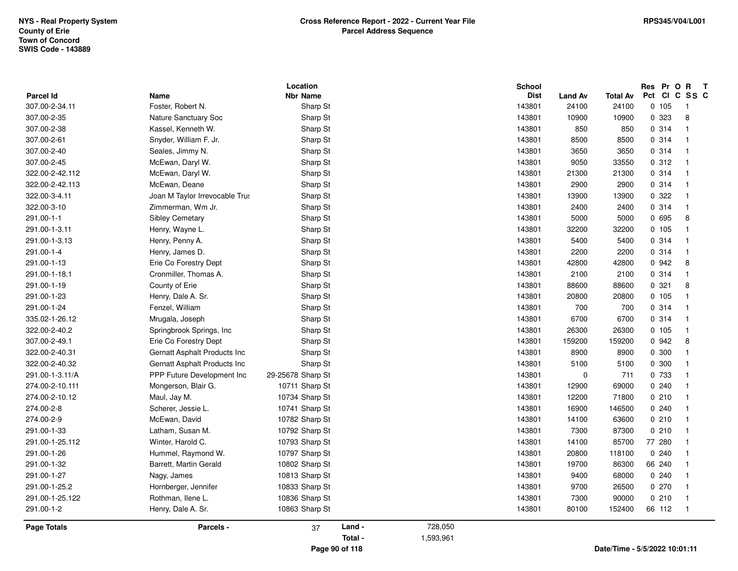|                    |                                | Location          |         |           | <b>School</b> |         |          | Res Pr O R T  |                |
|--------------------|--------------------------------|-------------------|---------|-----------|---------------|---------|----------|---------------|----------------|
| <b>Parcel Id</b>   | Name                           | <b>Nbr Name</b>   |         |           | <b>Dist</b>   | Land Av | Total Av | Pct CI C SS C |                |
| 307.00-2-34.11     | Foster, Robert N.              | Sharp St          |         |           | 143801        | 24100   | 24100    | 0, 105        | -1             |
| 307.00-2-35        | Nature Sanctuary Soc           | Sharp St          |         |           | 143801        | 10900   | 10900    | 0 323         | 8              |
| 307.00-2-38        | Kassel, Kenneth W.             | Sharp St          |         |           | 143801        | 850     | 850      | 0.314         | $\mathbf{1}$   |
| 307.00-2-61        | Snyder, William F. Jr.         | Sharp St          |         |           | 143801        | 8500    | 8500     | 0.314         | $\overline{1}$ |
| 307.00-2-40        | Seales, Jimmy N.               | Sharp St          |         |           | 143801        | 3650    | 3650     | 0.314         | $\mathbf{1}$   |
| 307.00-2-45        | McEwan, Daryl W.               | Sharp St          |         |           | 143801        | 9050    | 33550    | 0.312         | $\mathbf{1}$   |
| 322.00-2-42.112    | McEwan, Daryl W.               | Sharp St          |         |           | 143801        | 21300   | 21300    | 0 314         | $\overline{1}$ |
| 322.00-2-42.113    | McEwan, Deane                  | Sharp St          |         |           | 143801        | 2900    | 2900     | 0 314         | $\mathbf{1}$   |
| 322.00-3-4.11      | Joan M Taylor Irrevocable Trus | Sharp St          |         |           | 143801        | 13900   | 13900    | 0.322         | $\mathbf{1}$   |
| 322.00-3-10        | Zimmerman, Wm Jr.              | Sharp St          |         |           | 143801        | 2400    | 2400     | 0.314         | $\mathbf{1}$   |
| 291.00-1-1         | Sibley Cemetary                | Sharp St          |         |           | 143801        | 5000    | 5000     | 0 695         | 8              |
| 291.00-1-3.11      | Henry, Wayne L.                | Sharp St          |         |           | 143801        | 32200   | 32200    | 0.105         | $\overline{1}$ |
| 291.00-1-3.13      | Henry, Penny A.                | Sharp St          |         |           | 143801        | 5400    | 5400     | 0.314         | $\mathbf{1}$   |
| 291.00-1-4         | Henry, James D.                | Sharp St          |         |           | 143801        | 2200    | 2200     | 0.314         | $\mathbf{1}$   |
| 291.00-1-13        | Erie Co Forestry Dept          | Sharp St          |         |           | 143801        | 42800   | 42800    | 0 942         | 8              |
| 291.00-1-18.1      | Cronmiller, Thomas A.          | Sharp St          |         |           | 143801        | 2100    | 2100     | 0.314         | $\mathbf{1}$   |
| 291.00-1-19        | County of Erie                 | Sharp St          |         |           | 143801        | 88600   | 88600    | 0.321         | 8              |
| 291.00-1-23        | Henry, Dale A. Sr.             | Sharp St          |         |           | 143801        | 20800   | 20800    | 0.105         | $\mathbf{1}$   |
| 291.00-1-24        | Fenzel, William                | Sharp St          |         |           | 143801        | 700     | 700      | 0.314         | $\mathbf{1}$   |
| 335.02-1-26.12     | Mrugala, Joseph                | Sharp St          |         |           | 143801        | 6700    | 6700     | 0.314         | $\mathbf{1}$   |
| 322.00-2-40.2      | Springbrook Springs, Inc.      | Sharp St          |         |           | 143801        | 26300   | 26300    | 0, 105        | $\mathbf{1}$   |
| 307.00-2-49.1      | Erie Co Forestry Dept          | Sharp St          |         |           | 143801        | 159200  | 159200   | 0 942         | 8              |
| 322.00-2-40.31     | Gernatt Asphalt Products Inc   | Sharp St          |         |           | 143801        | 8900    | 8900     | 0 300         | $\mathbf{1}$   |
| 322.00-2-40.32     | Gernatt Asphalt Products Inc   | Sharp St          |         |           | 143801        | 5100    | 5100     | 0 300         | $\mathbf{1}$   |
| 291.00-1-3.11/A    | PPP Future Development Inc     | 29-25678 Sharp St |         |           | 143801        | 0       | 711      | 0 733         | $\mathbf{1}$   |
| 274.00-2-10.111    | Mongerson, Blair G.            | 10711 Sharp St    |         |           | 143801        | 12900   | 69000    | 0.240         | $\mathbf{1}$   |
| 274.00-2-10.12     | Maul, Jay M.                   | 10734 Sharp St    |         |           | 143801        | 12200   | 71800    | 0210          | $\mathbf{1}$   |
| 274.00-2-8         | Scherer, Jessie L.             | 10741 Sharp St    |         |           | 143801        | 16900   | 146500   | 0.240         | $\mathbf{1}$   |
| 274.00-2-9         | McEwan, David                  | 10782 Sharp St    |         |           | 143801        | 14100   | 63600    | 0210          | $\mathbf{1}$   |
| 291.00-1-33        | Latham, Susan M.               | 10792 Sharp St    |         |           | 143801        | 7300    | 87300    | 0210          | $\mathbf{1}$   |
| 291.00-1-25.112    | Winter, Harold C.              | 10793 Sharp St    |         |           | 143801        | 14100   | 85700    | 77 280        | $\mathbf{1}$   |
| 291.00-1-26        | Hummel, Raymond W.             | 10797 Sharp St    |         |           | 143801        | 20800   | 118100   | 0.240         | $\overline{1}$ |
| 291.00-1-32        | Barrett, Martin Gerald         | 10802 Sharp St    |         |           | 143801        | 19700   | 86300    | 66 240        | $\overline{1}$ |
| 291.00-1-27        | Nagy, James                    | 10813 Sharp St    |         |           | 143801        | 9400    | 68000    | 0.240         | $\mathbf{1}$   |
| 291.00-1-25.2      | Hornberger, Jennifer           | 10833 Sharp St    |         |           | 143801        | 9700    | 26500    | 0270          | $\mathbf{1}$   |
| 291.00-1-25.122    | Rothman, Ilene L.              | 10836 Sharp St    |         |           | 143801        | 7300    | 90000    | 0210          | $\mathbf{1}$   |
| 291.00-1-2         | Henry, Dale A. Sr.             | 10863 Sharp St    |         |           | 143801        | 80100   | 152400   | 66 112        | $\overline{1}$ |
|                    |                                |                   |         |           |               |         |          |               |                |
| <b>Page Totals</b> | Parcels -                      | 37                | Land -  | 728,050   |               |         |          |               |                |
|                    |                                |                   | Total - | 1,593,961 |               |         |          |               |                |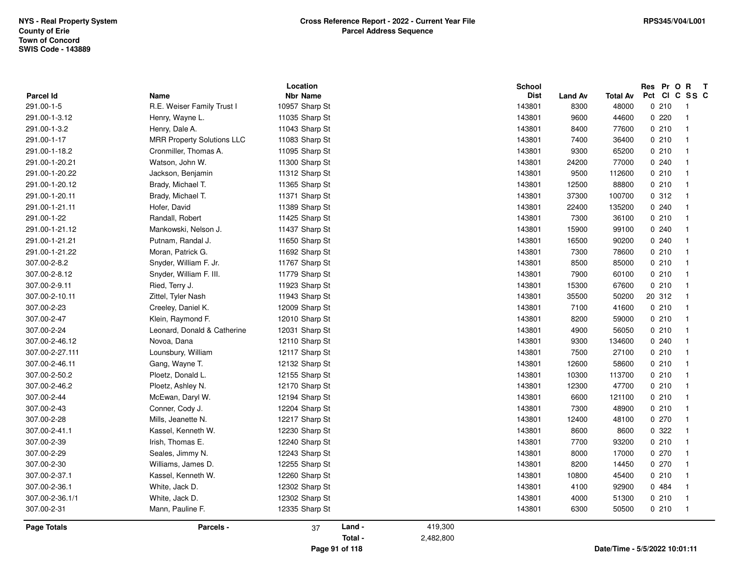| Parcel Id          | <b>Name</b>                       | Location<br><b>Nbr Name</b> | <b>School</b><br><b>Dist</b> | <b>Land Av</b> | <b>Total Av</b> | Res Pr O R<br>$\mathbf{T}$<br>Pct CI C SS C |
|--------------------|-----------------------------------|-----------------------------|------------------------------|----------------|-----------------|---------------------------------------------|
| 291.00-1-5         | R.E. Weiser Family Trust I        | 10957 Sharp St              | 143801                       | 8300           | 48000           | 0210<br>$\overline{1}$                      |
| 291.00-1-3.12      | Henry, Wayne L.                   | 11035 Sharp St              | 143801                       | 9600           | 44600           | 0220<br>$\overline{1}$                      |
| 291.00-1-3.2       | Henry, Dale A.                    | 11043 Sharp St              | 143801                       | 8400           | 77600           | 0210<br>$\overline{1}$                      |
| 291.00-1-17        | <b>MRR Property Solutions LLC</b> | 11083 Sharp St              | 143801                       | 7400           | 36400           | 0210<br>$\overline{1}$                      |
| 291.00-1-18.2      | Cronmiller, Thomas A.             | 11095 Sharp St              | 143801                       | 9300           | 65200           | 0210<br>$\mathbf{1}$                        |
| 291.00-1-20.21     | Watson, John W.                   | 11300 Sharp St              | 143801                       | 24200          | 77000           | 0.240<br>$\overline{1}$                     |
| 291.00-1-20.22     | Jackson, Benjamin                 | 11312 Sharp St              | 143801                       | 9500           | 112600          | 0210<br>$\overline{1}$                      |
| 291.00-1-20.12     | Brady, Michael T.                 | 11365 Sharp St              | 143801                       | 12500          | 88800           | 0210<br>$\overline{1}$                      |
| 291.00-1-20.11     | Brady, Michael T.                 | 11371 Sharp St              | 143801                       | 37300          | 100700          | 0.312<br>$\overline{\mathbf{1}}$            |
| 291.00-1-21.11     | Hofer, David                      | 11389 Sharp St              | 143801                       | 22400          | 135200          | 0.240<br>$\overline{1}$                     |
| 291.00-1-22        | Randall, Robert                   | 11425 Sharp St              | 143801                       | 7300           | 36100           | 0210<br>$\overline{1}$                      |
| 291.00-1-21.12     | Mankowski, Nelson J.              | 11437 Sharp St              | 143801                       | 15900          | 99100           | 0.240<br>$\overline{1}$                     |
| 291.00-1-21.21     | Putnam, Randal J.                 | 11650 Sharp St              | 143801                       | 16500          | 90200           | 0.240<br>$\mathbf{1}$                       |
| 291.00-1-21.22     | Moran, Patrick G.                 | 11692 Sharp St              | 143801                       | 7300           | 78600           | 0210<br>$\mathbf{1}$                        |
| 307.00-2-8.2       | Snyder, William F. Jr.            | 11767 Sharp St              | 143801                       | 8500           | 85000           | 0210<br>$\mathbf{1}$                        |
| 307.00-2-8.12      | Snyder, William F. III.           | 11779 Sharp St              | 143801                       | 7900           | 60100           | 0210<br>$\overline{1}$                      |
| 307.00-2-9.11      | Ried, Terry J.                    | 11923 Sharp St              | 143801                       | 15300          | 67600           | 0210<br>$\overline{1}$                      |
| 307.00-2-10.11     | Zittel, Tyler Nash                | 11943 Sharp St              | 143801                       | 35500          | 50200           | 20 312<br>$\mathbf{1}$                      |
| 307.00-2-23        | Creeley, Daniel K.                | 12009 Sharp St              | 143801                       | 7100           | 41600           | 0210<br>$\overline{1}$                      |
| 307.00-2-47        | Klein, Raymond F.                 | 12010 Sharp St              | 143801                       | 8200           | 59000           | 0210<br>$\overline{1}$                      |
| 307.00-2-24        | Leonard, Donald & Catherine       | 12031 Sharp St              | 143801                       | 4900           | 56050           | 0210<br>$\overline{1}$                      |
| 307.00-2-46.12     | Novoa, Dana                       | 12110 Sharp St              | 143801                       | 9300           | 134600          | 0.240<br>$\overline{1}$                     |
| 307.00-2-27.111    | Lounsbury, William                | 12117 Sharp St              | 143801                       | 7500           | 27100           | 0210<br>$\mathbf{1}$                        |
| 307.00-2-46.11     | Gang, Wayne T.                    | 12132 Sharp St              | 143801                       | 12600          | 58600           | 0210<br>$\overline{\mathbf{1}}$             |
| 307.00-2-50.2      | Ploetz, Donald L.                 | 12155 Sharp St              | 143801                       | 10300          | 113700          | 0210<br>$\overline{1}$                      |
| 307.00-2-46.2      | Ploetz, Ashley N.                 | 12170 Sharp St              | 143801                       | 12300          | 47700           | 0210<br>$\overline{1}$                      |
| 307.00-2-44        | McEwan, Daryl W.                  | 12194 Sharp St              | 143801                       | 6600           | 121100          | 0210<br>$\overline{1}$                      |
| 307.00-2-43        | Conner, Cody J.                   | 12204 Sharp St              | 143801                       | 7300           | 48900           | 0210<br>$\overline{1}$                      |
| 307.00-2-28        | Mills, Jeanette N.                | 12217 Sharp St              | 143801                       | 12400          | 48100           | 0270<br>$\overline{1}$                      |
| 307.00-2-41.1      | Kassel, Kenneth W.                | 12230 Sharp St              | 143801                       | 8600           | 8600            | 0.322<br>$\overline{1}$                     |
| 307.00-2-39        | Irish, Thomas E.                  | 12240 Sharp St              | 143801                       | 7700           | 93200           | 0210<br>$\overline{1}$                      |
| 307.00-2-29        | Seales, Jimmy N.                  | 12243 Sharp St              | 143801                       | 8000           | 17000           | 0270<br>$\overline{1}$                      |
| 307.00-2-30        | Williams, James D.                | 12255 Sharp St              | 143801                       | 8200           | 14450           | 0270<br>$\overline{1}$                      |
| 307.00-2-37.1      | Kassel, Kenneth W.                | 12260 Sharp St              | 143801                       | 10800          | 45400           | 0210<br>$\mathbf{1}$                        |
| 307.00-2-36.1      | White, Jack D.                    | 12302 Sharp St              | 143801                       | 4100           | 92900           | 0 484<br>$\overline{1}$                     |
| 307.00-2-36.1/1    | White, Jack D.                    | 12302 Sharp St              | 143801                       | 4000           | 51300           | 0210<br>$\overline{1}$                      |
| 307.00-2-31        | Mann, Pauline F.                  | 12335 Sharp St              | 143801                       | 6300           | 50500           | 0210<br>$\overline{1}$                      |
| <b>Page Totals</b> | Parcels -                         | Land -<br>37                | 419,300                      |                |                 |                                             |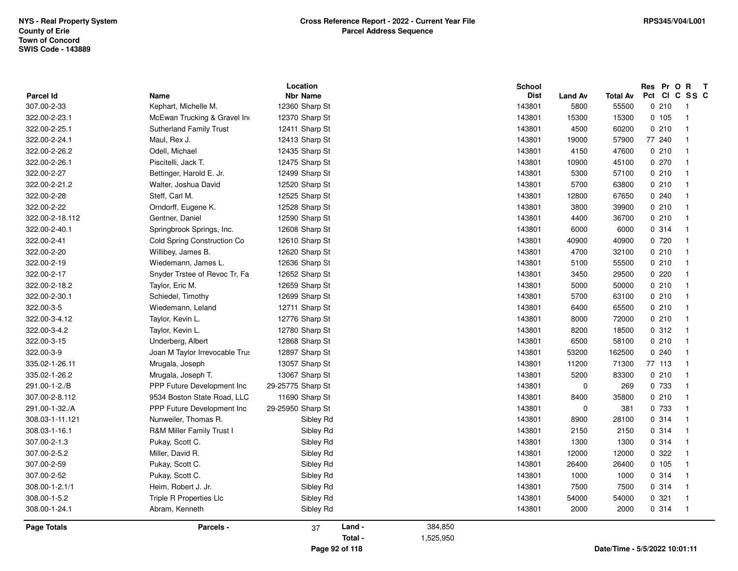|                          |                                     | Location                          |         |           | <b>School</b>         |                        |                          | Res Pr O R<br>Pct CI C SS C | $\mathbf{T}$   |
|--------------------------|-------------------------------------|-----------------------------------|---------|-----------|-----------------------|------------------------|--------------------------|-----------------------------|----------------|
| Parcel Id<br>307.00-2-33 | <b>Name</b><br>Kephart, Michelle M. | <b>Nbr Name</b><br>12360 Sharp St |         |           | <b>Dist</b><br>143801 | <b>Land Av</b><br>5800 | <b>Total Av</b><br>55500 | 0210                        | $\overline{1}$ |
| 322.00-2-23.1            | McEwan Trucking & Gravel Ind        | 12370 Sharp St                    |         |           | 143801                | 15300                  | 15300                    | 0.105                       | $\overline{1}$ |
| 322.00-2-25.1            | <b>Sutherland Family Trust</b>      | 12411 Sharp St                    |         |           | 143801                | 4500                   | 60200                    | 0210                        | $\mathbf{1}$   |
|                          | Maul, Rex J.                        |                                   |         |           |                       |                        |                          |                             | $\mathbf{1}$   |
| 322.00-2-24.1            |                                     | 12413 Sharp St                    |         |           | 143801                | 19000                  | 57900                    | 77 240                      |                |
| 322.00-2-26.2            | Odell, Michael                      | 12435 Sharp St                    |         |           | 143801                | 4150                   | 47600                    | 0210                        | $\overline{1}$ |
| 322.00-2-26.1            | Piscitelli, Jack T.                 | 12475 Sharp St                    |         |           | 143801                | 10900                  | 45100                    | 0270                        |                |
| 322.00-2-27              | Bettinger, Harold E. Jr.            | 12499 Sharp St                    |         |           | 143801                | 5300                   | 57100                    | 0210                        | $\mathbf{1}$   |
| 322.00-2-21.2            | Walter, Joshua David                | 12520 Sharp St                    |         |           | 143801                | 5700                   | 63800                    | 0210                        | $\mathbf{1}$   |
| 322.00-2-28              | Steff, Carl M.                      | 12525 Sharp St                    |         |           | 143801                | 12800                  | 67650                    | 0.240                       | $\overline{1}$ |
| 322.00-2-22              | Orndorff, Eugene K.                 | 12528 Sharp St                    |         |           | 143801                | 3800                   | 39900                    | 0210                        | $\mathbf{1}$   |
| 322.00-2-18.112          | Gentner, Daniel                     | 12590 Sharp St                    |         |           | 143801                | 4400                   | 36700                    | 0210                        |                |
| 322.00-2-40.1            | Springbrook Springs, Inc.           | 12608 Sharp St                    |         |           | 143801                | 6000                   | 6000                     | 0.314                       | $\overline{1}$ |
| 322.00-2-41              | Cold Spring Construction Co         | 12610 Sharp St                    |         |           | 143801                | 40900                  | 40900                    | 0 720                       | $\mathbf{1}$   |
| 322.00-2-20              | Willibey, James B.                  | 12620 Sharp St                    |         |           | 143801                | 4700                   | 32100                    | 0210                        | $\overline{1}$ |
| 322.00-2-19              | Wiedemann, James L.                 | 12636 Sharp St                    |         |           | 143801                | 5100                   | 55500                    | 0210                        | $\mathbf 1$    |
| 322.00-2-17              | Snyder Trstee of Revoc Tr, Fa       | 12652 Sharp St                    |         |           | 143801                | 3450                   | 29500                    | 0220                        |                |
| 322.00-2-18.2            | Taylor, Eric M.                     | 12659 Sharp St                    |         |           | 143801                | 5000                   | 50000                    | 0210                        | $\overline{1}$ |
| 322.00-2-30.1            | Schiedel, Timothy                   | 12699 Sharp St                    |         |           | 143801                | 5700                   | 63100                    | 0210                        | $\overline{1}$ |
| 322.00-3-5               | Wiedemann, Leland                   | 12711 Sharp St                    |         |           | 143801                | 6400                   | 65500                    | 0210                        | $\overline{1}$ |
| 322.00-3-4.12            | Taylor, Kevin L.                    | 12776 Sharp St                    |         |           | 143801                | 8000                   | 72000                    | 0210                        | -1             |
| 322.00-3-4.2             | Taylor, Kevin L.                    | 12780 Sharp St                    |         |           | 143801                | 8200                   | 18500                    | 0.312                       |                |
| 322.00-3-15              | Underberg, Albert                   | 12868 Sharp St                    |         |           | 143801                | 6500                   | 58100                    | 0210                        | $\mathbf{1}$   |
| 322.00-3-9               | Joan M Taylor Irrevocable Trus      | 12897 Sharp St                    |         |           | 143801                | 53200                  | 162500                   | 0.240                       | $\mathbf{1}$   |
| 335.02-1-26.11           | Mrugala, Joseph                     | 13057 Sharp St                    |         |           | 143801                | 11200                  | 71300                    | 77 113                      | $\mathbf{1}$   |
| 335.02-1-26.2            | Mrugala, Joseph T.                  | 13067 Sharp St                    |         |           | 143801                | 5200                   | 83300                    | 0210                        | $\overline{1}$ |
| 291.00-1-2./B            | PPP Future Development Inc          | 29-25775 Sharp St                 |         |           | 143801                | 0                      | 269                      | 0 733                       | $\overline{1}$ |
| 307.00-2-8.112           | 9534 Boston State Road, LLC         | 11690 Sharp St                    |         |           | 143801                | 8400                   | 35800                    | 0210                        | $\overline{1}$ |
| 291.00-1-32./A           | PPP Future Development Inc          | 29-25950 Sharp St                 |         |           | 143801                | $\mathbf 0$            | 381                      | 0 733                       | $\overline{1}$ |
| 308.03-1-11.121          | Nunweiler, Thomas R.                | Sibley Rd                         |         |           | 143801                | 8900                   | 28100                    | 0 314                       | $\mathbf{1}$   |
| 308.03-1-16.1            | R&M Miller Family Trust I           | Sibley Rd                         |         |           | 143801                | 2150                   | 2150                     | 0.314                       | $\overline{1}$ |
| 307.00-2-1.3             | Pukay, Scott C.                     | Sibley Rd                         |         |           | 143801                | 1300                   | 1300                     | 0.314                       |                |
| 307.00-2-5.2             | Miller, David R.                    | Sibley Rd                         |         |           | 143801                | 12000                  | 12000                    | 0 322                       | $\overline{1}$ |
| 307.00-2-59              | Pukay, Scott C.                     | Sibley Rd                         |         |           | 143801                | 26400                  | 26400                    | 0.105                       | $\overline{1}$ |
| 307.00-2-52              | Pukay, Scott C.                     | Sibley Rd                         |         |           | 143801                | 1000                   | 1000                     | 0.314                       | $\mathbf{1}$   |
| 308.00-1-2.1/1           | Heim, Robert J. Jr.                 | Sibley Rd                         |         |           | 143801                | 7500                   | 7500                     | 0.314                       | $\overline{1}$ |
| 308.00-1-5.2             | Triple R Properties Llc             | Sibley Rd                         |         |           | 143801                | 54000                  | 54000                    | 0.321                       | $\mathbf{1}$   |
| 308.00-1-24.1            | Abram, Kenneth                      | Sibley Rd                         |         |           | 143801                | 2000                   | 2000                     | 0 314                       | $\overline{1}$ |
| <b>Page Totals</b>       | Parcels -                           | 37                                | Land -  | 384,850   |                       |                        |                          |                             |                |
|                          |                                     |                                   | Total - | 1,525,950 |                       |                        |                          |                             |                |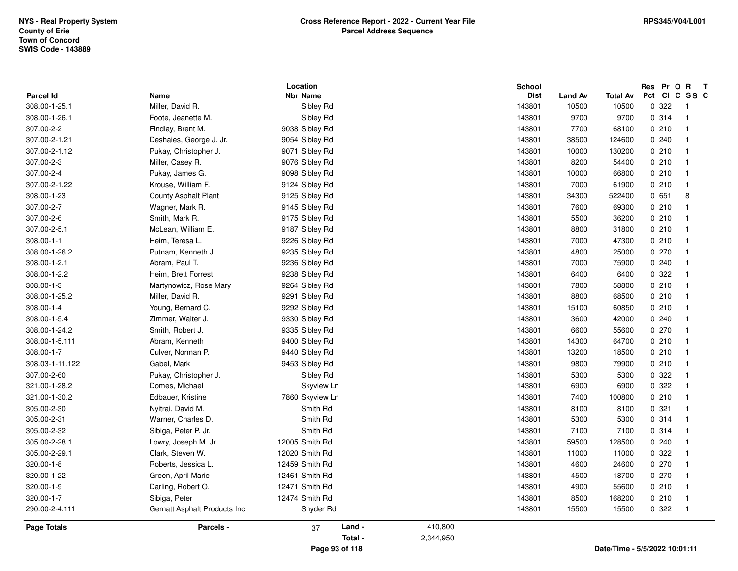| <b>Parcel Id</b>   | Name                         | Location<br><b>Nbr Name</b> | School    | <b>Dist</b><br><b>Land Av</b> | <b>Total Av</b> | Res Pr O R<br>Pct CI C SS C   | $\mathbf{T}$   |
|--------------------|------------------------------|-----------------------------|-----------|-------------------------------|-----------------|-------------------------------|----------------|
| 308.00-1-25.1      | Miller, David R.             | Sibley Rd                   | 143801    | 10500                         | 10500           | 0 322                         | $\overline{1}$ |
| 308.00-1-26.1      | Foote, Jeanette M.           | Sibley Rd                   | 143801    | 9700                          | 9700            | 0.314                         | $\overline{1}$ |
| 307.00-2-2         | Findlay, Brent M.            | 9038 Sibley Rd              | 143801    | 7700                          | 68100           | 0210                          | $\overline{1}$ |
| 307.00-2-1.21      | Deshaies, George J. Jr.      | 9054 Sibley Rd              | 143801    | 38500                         | 124600          | 0.240                         | $\overline{1}$ |
| 307.00-2-1.12      | Pukay, Christopher J.        | 9071 Sibley Rd              | 143801    | 10000                         | 130200          | 0210                          | $\overline{1}$ |
| 307.00-2-3         | Miller, Casey R.             | 9076 Sibley Rd              | 143801    | 8200                          | 54400           | 0210                          | $\overline{1}$ |
| 307.00-2-4         | Pukay, James G.              | 9098 Sibley Rd              | 143801    | 10000                         | 66800           | 0210                          | $\overline{1}$ |
| 307.00-2-1.22      | Krouse, William F.           | 9124 Sibley Rd              | 143801    | 7000                          | 61900           | 0210                          | $\overline{1}$ |
| 308.00-1-23        | <b>County Asphalt Plant</b>  | 9125 Sibley Rd              | 143801    | 34300                         | 522400          | 0651                          | 8              |
| 307.00-2-7         | Wagner, Mark R.              | 9145 Sibley Rd              | 143801    | 7600                          | 69300           | 0210                          | $\overline{1}$ |
| 307.00-2-6         | Smith, Mark R.               | 9175 Sibley Rd              | 143801    | 5500                          | 36200           | 0210                          | $\overline{1}$ |
| 307.00-2-5.1       | McLean, William E.           | 9187 Sibley Rd              | 143801    | 8800                          | 31800           | 0210                          | $\overline{1}$ |
| 308.00-1-1         | Heim, Teresa L.              | 9226 Sibley Rd              | 143801    | 7000                          | 47300           | 0210                          | -1             |
| 308.00-1-26.2      | Putnam, Kenneth J.           | 9235 Sibley Rd              | 143801    | 4800                          | 25000           | 0270                          | $\overline{1}$ |
| 308.00-1-2.1       | Abram, Paul T.               | 9236 Sibley Rd              | 143801    | 7000                          | 75900           | 0.240                         | $\overline{1}$ |
| 308.00-1-2.2       | Heim, Brett Forrest          | 9238 Sibley Rd              | 143801    | 6400                          | 6400            | 0 322                         | $\overline{1}$ |
| 308.00-1-3         | Martynowicz, Rose Mary       | 9264 Sibley Rd              | 143801    | 7800                          | 58800           | 0210                          | $\overline{1}$ |
| 308.00-1-25.2      | Miller, David R.             | 9291 Sibley Rd              | 143801    | 8800                          | 68500           | 0210                          | $\overline{1}$ |
| 308.00-1-4         | Young, Bernard C.            | 9292 Sibley Rd              | 143801    | 15100                         | 60850           | 0210                          | $\overline{1}$ |
| 308.00-1-5.4       | Zimmer, Walter J.            | 9330 Sibley Rd              | 143801    | 3600                          | 42000           | 0.240                         | $\overline{1}$ |
| 308.00-1-24.2      | Smith, Robert J.             | 9335 Sibley Rd              | 143801    | 6600                          | 55600           | 0270                          | $\overline{1}$ |
| 308.00-1-5.111     | Abram, Kenneth               | 9400 Sibley Rd              | 143801    | 14300                         | 64700           | 0210                          | $\overline{1}$ |
| 308.00-1-7         | Culver, Norman P.            | 9440 Sibley Rd              | 143801    | 13200                         | 18500           | 0210                          | $\overline{1}$ |
| 308.03-1-11.122    | Gabel, Mark                  | 9453 Sibley Rd              | 143801    | 9800                          | 79900           | 0210                          | $\overline{1}$ |
| 307.00-2-60        | Pukay, Christopher J.        | Sibley Rd                   | 143801    | 5300                          | 5300            | 0 322                         | $\overline{1}$ |
| 321.00-1-28.2      | Domes, Michael               | Skyview Ln                  | 143801    | 6900                          | 6900            | 0 322                         | $\overline{1}$ |
| 321.00-1-30.2      | Edbauer, Kristine            | 7860 Skyview Ln             | 143801    | 7400                          | 100800          | 0210                          | $\overline{1}$ |
| 305.00-2-30        | Nyitrai, David M.            | Smith Rd                    | 143801    | 8100                          | 8100            | 0.321                         | $\overline{1}$ |
| 305.00-2-31        | Warner, Charles D.           | Smith Rd                    | 143801    | 5300                          | 5300            | 0.314                         | $\overline{1}$ |
| 305.00-2-32        | Sibiga, Peter P. Jr.         | Smith Rd                    | 143801    | 7100                          | 7100            | 0.314                         | $\overline{1}$ |
| 305.00-2-28.1      | Lowry, Joseph M. Jr.         | 12005 Smith Rd              | 143801    | 59500                         | 128500          | 0240                          | $\overline{1}$ |
| 305.00-2-29.1      | Clark, Steven W.             | 12020 Smith Rd              | 143801    | 11000                         | 11000           | 0 322                         | $\overline{1}$ |
| 320.00-1-8         | Roberts, Jessica L.          | 12459 Smith Rd              | 143801    | 4600                          | 24600           | 0270                          | $\overline{1}$ |
| 320.00-1-22        | Green, April Marie           | 12461 Smith Rd              | 143801    | 4500                          | 18700           | 0270                          | $\overline{1}$ |
| 320.00-1-9         | Darling, Robert O.           | 12471 Smith Rd              | 143801    | 4900                          | 55600           | 0210                          | $\overline{1}$ |
| 320.00-1-7         | Sibiga, Peter                | 12474 Smith Rd              | 143801    | 8500                          | 168200          | 0210                          | $\overline{1}$ |
| 290.00-2-4.111     | Gernatt Asphalt Products Inc | Snyder Rd                   | 143801    | 15500                         | 15500           | 0.322                         | $\overline{1}$ |
| <b>Page Totals</b> | Parcels -                    | Land -<br>37                | 410,800   |                               |                 |                               |                |
|                    |                              | Total -                     | 2,344,950 |                               |                 |                               |                |
|                    |                              | Page 93 of 118              |           |                               |                 | Date/Time - 5/5/2022 10:01:11 |                |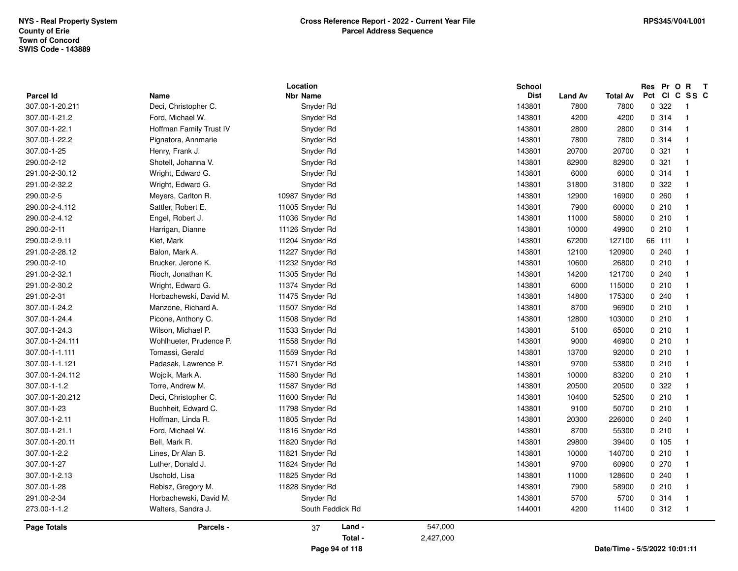| <b>Parcel Id</b> | Name                    | Location<br><b>Nbr Name</b> |           | School<br><b>Dist</b> | <b>Land Av</b> | Total Av                      | Res Pr O R<br>Pct CI C SS C | $\mathbf{T}$             |
|------------------|-------------------------|-----------------------------|-----------|-----------------------|----------------|-------------------------------|-----------------------------|--------------------------|
| 307.00-1-20.211  | Deci, Christopher C.    | Snyder Rd                   |           | 143801                | 7800           | 7800                          | 0.322                       | - 1                      |
| 307.00-1-21.2    | Ford, Michael W.        | Snyder Rd                   |           | 143801                | 4200           | 4200                          | 0.314                       | $\overline{1}$           |
| 307.00-1-22.1    | Hoffman Family Trust IV | Snyder Rd                   |           | 143801                | 2800           | 2800                          | 0.314                       | $\overline{\phantom{0}}$ |
| 307.00-1-22.2    | Pignatora, Annmarie     | Snyder Rd                   |           | 143801                | 7800           | 7800                          | 0.314                       | $\overline{1}$           |
| 307.00-1-25      | Henry, Frank J.         | Snyder Rd                   |           | 143801                | 20700          | 20700                         | 0.321                       | $\overline{1}$           |
| 290.00-2-12      | Shotell, Johanna V.     | Snyder Rd                   |           | 143801                | 82900          | 82900                         | 0.321                       | $\overline{1}$           |
| 291.00-2-30.12   | Wright, Edward G.       | Snyder Rd                   |           | 143801                | 6000           | 6000                          | 0.314                       | $\overline{1}$           |
| 291.00-2-32.2    | Wright, Edward G.       | Snyder Rd                   |           | 143801                | 31800          | 31800                         | 0 322                       | - 1                      |
| 290.00-2-5       | Meyers, Carlton R.      | 10987 Snyder Rd             |           | 143801                | 12900          | 16900                         | 0260                        | -1                       |
| 290.00-2-4.112   | Sattler, Robert E.      | 11005 Snyder Rd             |           | 143801                | 7900           | 60000                         | 0210                        | - 1                      |
| 290.00-2-4.12    | Engel, Robert J.        | 11036 Snyder Rd             |           | 143801                | 11000          | 58000                         | 0210                        | $\overline{\mathbf{1}}$  |
| 290.00-2-11      | Harrigan, Dianne        | 11126 Snyder Rd             |           | 143801                | 10000          | 49900                         | 0210                        | -1                       |
| 290.00-2-9.11    | Kief, Mark              | 11204 Snyder Rd             |           | 143801                | 67200          | 127100                        | 66 111                      | - 1                      |
| 291.00-2-28.12   | Balon, Mark A.          | 11227 Snyder Rd             |           | 143801                | 12100          | 120900                        | 0240                        | -1                       |
| 290.00-2-10      | Brucker, Jerone K.      | 11232 Snyder Rd             |           | 143801                | 10600          | 26800                         | 0210                        | $\overline{1}$           |
| 291.00-2-32.1    | Rioch, Jonathan K.      | 11305 Snyder Rd             |           | 143801                | 14200          | 121700                        | 0.240                       | $\overline{\mathbf{1}}$  |
| 291.00-2-30.2    | Wright, Edward G.       | 11374 Snyder Rd             |           | 143801                | 6000           | 115000                        | 0210                        | $\overline{\mathbf{1}}$  |
| 291.00-2-31      | Horbachewski, David M.  | 11475 Snyder Rd             |           | 143801                | 14800          | 175300                        | 0.240                       | -1                       |
| 307.00-1-24.2    | Manzone, Richard A.     | 11507 Snyder Rd             |           | 143801                | 8700           | 96900                         | 0210                        | - 1                      |
| 307.00-1-24.4    | Picone, Anthony C.      | 11508 Snyder Rd             |           | 143801                | 12800          | 103000                        | 0210                        | $\overline{\mathbf{1}}$  |
| 307.00-1-24.3    | Wilson, Michael P.      | 11533 Snyder Rd             |           | 143801                | 5100           | 65000                         | 0210                        | $\overline{\mathbf{1}}$  |
| 307.00-1-24.111  | Wohlhueter, Prudence P. | 11558 Snyder Rd             |           | 143801                | 9000           | 46900                         | 0210                        | $\overline{\mathbf{1}}$  |
| 307.00-1-1.111   | Tomassi, Gerald         | 11559 Snyder Rd             |           | 143801                | 13700          | 92000                         | 0210                        | $\overline{\mathbf{1}}$  |
| 307.00-1-1.121   | Padasak, Lawrence P.    | 11571 Snyder Rd             |           | 143801                | 9700           | 53800                         | 0210                        | $\overline{\mathbf{1}}$  |
| 307.00-1-24.112  | Wojcik, Mark A.         | 11580 Snyder Rd             |           | 143801                | 10000          | 83200                         | 0210                        | $\overline{\mathbf{1}}$  |
| 307.00-1-1.2     | Torre, Andrew M.        | 11587 Snyder Rd             |           | 143801                | 20500          | 20500                         | 0 322                       | -1                       |
| 307.00-1-20.212  | Deci, Christopher C.    | 11600 Snyder Rd             |           | 143801                | 10400          | 52500                         | 0210                        | $\overline{1}$           |
| 307.00-1-23      | Buchheit, Edward C.     | 11798 Snyder Rd             |           | 143801                | 9100           | 50700                         | 0210                        | $\overline{\mathbf{1}}$  |
| 307.00-1-2.11    | Hoffman, Linda R.       | 11805 Snyder Rd             |           | 143801                | 20300          | 226000                        | 0.240                       | $\overline{\mathbf{1}}$  |
| 307.00-1-21.1    | Ford, Michael W.        | 11816 Snyder Rd             |           | 143801                | 8700           | 55300                         | 0210                        | $\overline{1}$           |
| 307.00-1-20.11   | Bell, Mark R.           | 11820 Snyder Rd             |           | 143801                | 29800          | 39400                         | 0, 105                      | - 1                      |
| 307.00-1-2.2     | Lines, Dr Alan B.       | 11821 Snyder Rd             |           | 143801                | 10000          | 140700                        | 0210                        | - 1                      |
| 307.00-1-27      | Luther, Donald J.       | 11824 Snyder Rd             |           | 143801                | 9700           | 60900                         | 0270                        | $\overline{\mathbf{1}}$  |
| 307.00-1-2.13    | Uschold, Lisa           | 11825 Snyder Rd             |           | 143801                | 11000          | 128600                        | 0.240                       | $\overline{\mathbf{1}}$  |
| 307.00-1-28      | Rebisz, Gregory M.      | 11828 Snyder Rd             |           | 143801                | 7900           | 58900                         | 0210                        | $\mathbf{1}$             |
| 291.00-2-34      | Horbachewski, David M.  | Snyder Rd                   |           | 143801                | 5700           | 5700                          | 0.314                       | $\overline{1}$           |
| 273.00-1-1.2     | Walters, Sandra J.      | South Feddick Rd            |           | 144001                | 4200           | 11400                         | 0.312                       | $\overline{1}$           |
| Page Totals      | Parcels -               | Land -<br>37                | 547,000   |                       |                |                               |                             |                          |
|                  |                         | Total -                     | 2,427,000 |                       |                |                               |                             |                          |
|                  |                         | Page 94 of 118              |           |                       |                | Date/Time - 5/5/2022 10:01:11 |                             |                          |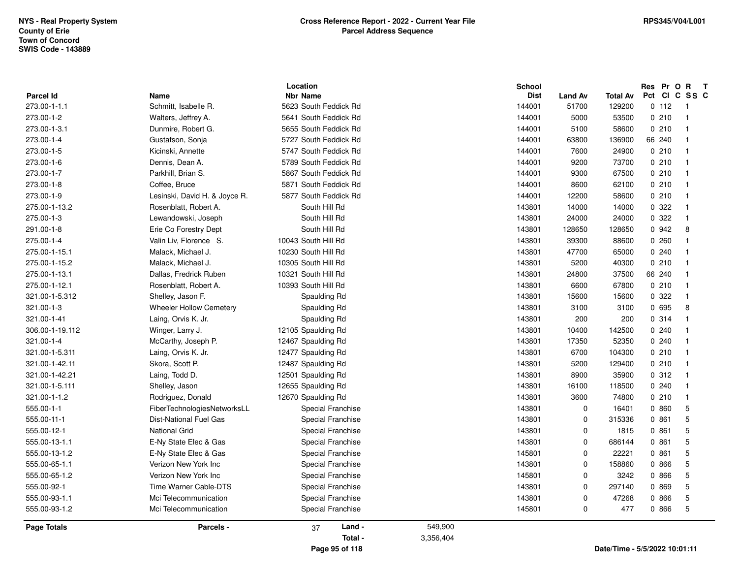| <b>Parcel Id</b>   | Name                          | Location<br><b>Nbr Name</b> |           | <b>School</b><br><b>Dist</b> | <b>Land Av</b> | <b>Total Av</b>               | Res Pr O R<br>Pct | $\mathbf{T}$<br>CICSSC |
|--------------------|-------------------------------|-----------------------------|-----------|------------------------------|----------------|-------------------------------|-------------------|------------------------|
| 273.00-1-1.1       | Schmitt, Isabelle R.          | 5623 South Feddick Rd       |           | 144001                       | 51700          | 129200                        | 0 112             | $\overline{1}$         |
| 273.00-1-2         | Walters, Jeffrey A.           | 5641 South Feddick Rd       |           | 144001                       | 5000           | 53500                         | 0210              | $\overline{1}$         |
| 273.00-1-3.1       | Dunmire, Robert G.            | 5655 South Feddick Rd       |           | 144001                       | 5100           | 58600                         | 0210              | $\overline{1}$         |
| 273.00-1-4         | Gustafson, Sonja              | 5727 South Feddick Rd       |           | 144001                       | 63800          | 136900                        | 66 240            | $\overline{1}$         |
| 273.00-1-5         | Kicinski, Annette             | 5747 South Feddick Rd       |           | 144001                       | 7600           | 24900                         | 0210              | $\overline{1}$         |
| 273.00-1-6         | Dennis, Dean A.               | 5789 South Feddick Rd       |           | 144001                       | 9200           | 73700                         | 0210              | $\overline{1}$         |
| 273.00-1-7         | Parkhill, Brian S.            | 5867 South Feddick Rd       |           | 144001                       | 9300           | 67500                         | 0210              | $\overline{1}$         |
| 273.00-1-8         | Coffee, Bruce                 | 5871 South Feddick Rd       |           | 144001                       | 8600           | 62100                         | 0210              | $\overline{1}$         |
| 273.00-1-9         | Lesinski, David H. & Joyce R. | 5877 South Feddick Rd       |           | 144001                       | 12200          | 58600                         | 0210              | $\overline{1}$         |
| 275.00-1-13.2      | Rosenblatt, Robert A.         | South Hill Rd               |           | 143801                       | 14000          | 14000                         | 0 322             | $\overline{1}$         |
| 275.00-1-3         | Lewandowski, Joseph           | South Hill Rd               |           | 143801                       | 24000          | 24000                         | 0.322             | $\overline{1}$         |
| 291.00-1-8         | Erie Co Forestry Dept         | South Hill Rd               |           | 143801                       | 128650         | 128650                        | 0 942             | 8                      |
| 275.00-1-4         | Valin Liv, Florence S.        | 10043 South Hill Rd         |           | 143801                       | 39300          | 88600                         | 0260              | $\overline{1}$         |
| 275.00-1-15.1      | Malack, Michael J.            | 10230 South Hill Rd         |           | 143801                       | 47700          | 65000                         | 0.240             | $\overline{1}$         |
| 275.00-1-15.2      | Malack, Michael J.            | 10305 South Hill Rd         |           | 143801                       | 5200           | 40300                         | 0210              | $\overline{1}$         |
| 275.00-1-13.1      | Dallas, Fredrick Ruben        | 10321 South Hill Rd         |           | 143801                       | 24800          | 37500                         | 66 240            | $\overline{1}$         |
| 275.00-1-12.1      | Rosenblatt, Robert A.         | 10393 South Hill Rd         |           | 143801                       | 6600           | 67800                         | 0210              | $\overline{1}$         |
| 321.00-1-5.312     | Shelley, Jason F.             | Spaulding Rd                |           | 143801                       | 15600          | 15600                         | 0 322             | $\overline{1}$         |
| 321.00-1-3         | Wheeler Hollow Cemetery       | Spaulding Rd                |           | 143801                       | 3100           | 3100                          | 0 695             | 8                      |
| 321.00-1-41        | Laing, Orvis K. Jr.           | Spaulding Rd                |           | 143801                       | 200            | 200                           | 0.314             | $\overline{1}$         |
| 306.00-1-19.112    | Winger, Larry J.              | 12105 Spaulding Rd          |           | 143801                       | 10400          | 142500                        | 0240              | $\overline{1}$         |
| 321.00-1-4         | McCarthy, Joseph P.           | 12467 Spaulding Rd          |           | 143801                       | 17350          | 52350                         | 0.240             | $\overline{1}$         |
| 321.00-1-5.311     | Laing, Orvis K. Jr.           | 12477 Spaulding Rd          |           | 143801                       | 6700           | 104300                        | 0210              | $\overline{1}$         |
| 321.00-1-42.11     | Skora, Scott P.               | 12487 Spaulding Rd          |           | 143801                       | 5200           | 129400                        | 0210              | $\overline{1}$         |
| 321.00-1-42.21     | Laing, Todd D.                | 12501 Spaulding Rd          |           | 143801                       | 8900           | 35900                         | 0.312             | $\overline{1}$         |
| 321.00-1-5.111     | Shelley, Jason                | 12655 Spaulding Rd          |           | 143801                       | 16100          | 118500                        | 0.240             | $\overline{1}$         |
| 321.00-1-1.2       | Rodriguez, Donald             | 12670 Spaulding Rd          |           | 143801                       | 3600           | 74800                         | 0210              | $\overline{1}$         |
| 555.00-1-1         | FiberTechnologiesNetworksLL   | Special Franchise           |           | 143801                       | $\mathbf 0$    | 16401                         | 0 860             | 5                      |
| 555.00-11-1        | <b>Dist-National Fuel Gas</b> | Special Franchise           |           | 143801                       | $\mathbf 0$    | 315336                        | 0861              | 5                      |
| 555.00-12-1        | National Grid                 | Special Franchise           |           | 143801                       | $\Omega$       | 1815                          | 0861              | 5                      |
| 555.00-13-1.1      | E-Ny State Elec & Gas         | Special Franchise           |           | 143801                       | $\Omega$       | 686144                        | 0861              | 5                      |
| 555.00-13-1.2      | E-Ny State Elec & Gas         | Special Franchise           |           | 145801                       | $\Omega$       | 22221                         | 0.861             | 5                      |
| 555.00-65-1.1      | Verizon New York Inc          | Special Franchise           |           | 143801                       | $\Omega$       | 158860                        | 0 866             | 5                      |
| 555.00-65-1.2      | Verizon New York Inc          | Special Franchise           |           | 145801                       | $\Omega$       | 3242                          | 0 866             | 5                      |
| 555.00-92-1        | Time Warner Cable-DTS         | Special Franchise           |           | 143801                       | $\mathbf 0$    | 297140                        | 0 869             | 5                      |
| 555.00-93-1.1      | Mci Telecommunication         | Special Franchise           |           | 143801                       | $\Omega$       | 47268                         | 0 866             | $\sqrt{5}$             |
| 555.00-93-1.2      | Mci Telecommunication         | Special Franchise           |           | 145801                       | $\mathbf 0$    | 477                           | 0 866             | 5                      |
| <b>Page Totals</b> | Parcels -                     | Land -<br>37                | 549,900   |                              |                |                               |                   |                        |
|                    |                               | Total -                     | 3,356,404 |                              |                |                               |                   |                        |
|                    |                               | Page 95 of 118              |           |                              |                | Date/Time - 5/5/2022 10:01:11 |                   |                        |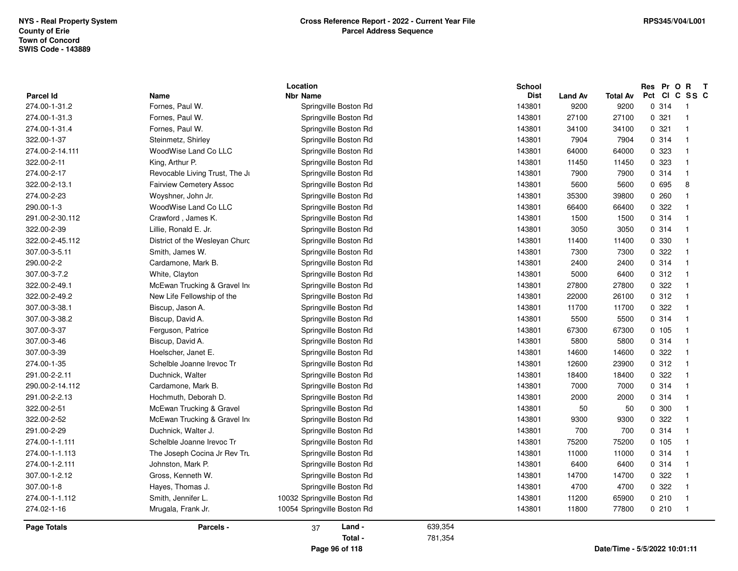| <b>Parcel Id</b>   | Name                           | Location<br><b>Nbr Name</b> |         | School<br><b>Dist</b> | <b>Land Av</b> | <b>Total Av</b> | Res Pr O R<br>Pct Cl          | $\mathbf{T}$<br>C SS C  |
|--------------------|--------------------------------|-----------------------------|---------|-----------------------|----------------|-----------------|-------------------------------|-------------------------|
| 274.00-1-31.2      | Fornes, Paul W.                | Springville Boston Rd       |         | 143801                | 9200           | 9200            | 0.314                         | $\overline{1}$          |
| 274.00-1-31.3      | Fornes, Paul W.                | Springville Boston Rd       |         | 143801                | 27100          | 27100           | 0.321                         | $\overline{\mathbf{1}}$ |
| 274.00-1-31.4      | Fornes, Paul W.                | Springville Boston Rd       |         | 143801                | 34100          | 34100           | 0.321                         | -1                      |
| 322.00-1-37        | Steinmetz, Shirley             | Springville Boston Rd       |         | 143801                | 7904           | 7904            | 0.314                         | $\mathbf{1}$            |
| 274.00-2-14.111    | WoodWise Land Co LLC           | Springville Boston Rd       |         | 143801                | 64000          | 64000           | 0 323                         | $\mathbf{1}$            |
| 322.00-2-11        | King, Arthur P.                | Springville Boston Rd       |         | 143801                | 11450          | 11450           | 0 323                         | $\overline{\mathbf{1}}$ |
| 274.00-2-17        | Revocable Living Trust, The Jr | Springville Boston Rd       |         | 143801                | 7900           | 7900            | 0.314                         | $\overline{1}$          |
| 322.00-2-13.1      | <b>Fairview Cemetery Assoc</b> | Springville Boston Rd       |         | 143801                | 5600           | 5600            | 0 695                         | 8                       |
| 274.00-2-23        | Woyshner, John Jr.             | Springville Boston Rd       |         | 143801                | 35300          | 39800           | 0.260                         | -1                      |
| 290.00-1-3         | WoodWise Land Co LLC           | Springville Boston Rd       |         | 143801                | 66400          | 66400           | 0.322                         | $\mathbf{1}$            |
| 291.00-2-30.112    | Crawford, James K.             | Springville Boston Rd       |         | 143801                | 1500           | 1500            | 0.314                         | $\overline{\mathbf{1}}$ |
| 322.00-2-39        | Lillie, Ronald E. Jr.          | Springville Boston Rd       |         | 143801                | 3050           | 3050            | 0.314                         | -1                      |
| 322.00-2-45.112    | District of the Wesleyan Churc | Springville Boston Rd       |         | 143801                | 11400          | 11400           | 0 330                         | $\mathbf{1}$            |
| 307.00-3-5.11      | Smith, James W.                | Springville Boston Rd       |         | 143801                | 7300           | 7300            | 0 322                         | $\overline{\mathbf{1}}$ |
| 290.00-2-2         | Cardamone, Mark B.             | Springville Boston Rd       |         | 143801                | 2400           | 2400            | 0.314                         | $\overline{\mathbf{1}}$ |
| 307.00-3-7.2       | White, Clayton                 | Springville Boston Rd       |         | 143801                | 5000           | 6400            | 0.312                         | $\overline{1}$          |
| 322.00-2-49.1      | McEwan Trucking & Gravel Ind   | Springville Boston Rd       |         | 143801                | 27800          | 27800           | 0 322                         | $\overline{\mathbf{1}}$ |
| 322.00-2-49.2      | New Life Fellowship of the     | Springville Boston Rd       |         | 143801                | 22000          | 26100           | 0.312                         | $\overline{\mathbf{1}}$ |
| 307.00-3-38.1      | Biscup, Jason A.               | Springville Boston Rd       |         | 143801                | 11700          | 11700           | 0 322                         | $\overline{1}$          |
| 307.00-3-38.2      | Biscup, David A.               | Springville Boston Rd       |         | 143801                | 5500           | 5500            | 0.314                         | $\overline{1}$          |
| 307.00-3-37        | Ferguson, Patrice              | Springville Boston Rd       |         | 143801                | 67300          | 67300           | 0, 105                        | $\mathbf{1}$            |
| 307.00-3-46        | Biscup, David A.               | Springville Boston Rd       |         | 143801                | 5800           | 5800            | 0.314                         | -1                      |
| 307.00-3-39        | Hoelscher, Janet E.            | Springville Boston Rd       |         | 143801                | 14600          | 14600           | 0 322                         | $\overline{\mathbf{1}}$ |
| 274.00-1-35        | Schelble Joanne Irevoc Tr      | Springville Boston Rd       |         | 143801                | 12600          | 23900           | 0.312                         | $\mathbf{1}$            |
| 291.00-2-2.11      | Duchnick, Walter               | Springville Boston Rd       |         | 143801                | 18400          | 18400           | 0.322                         | -1                      |
| 290.00-2-14.112    | Cardamone, Mark B.             | Springville Boston Rd       |         | 143801                | 7000           | 7000            | 0.314                         | -1                      |
| 291.00-2-2.13      | Hochmuth, Deborah D.           | Springville Boston Rd       |         | 143801                | 2000           | 2000            | 0.314                         | $\mathbf{1}$            |
| 322.00-2-51        | McEwan Trucking & Gravel       | Springville Boston Rd       |         | 143801                | 50             | 50              | 0.300                         | $\overline{\mathbf{1}}$ |
| 322.00-2-52        | McEwan Trucking & Gravel Ind   | Springville Boston Rd       |         | 143801                | 9300           | 9300            | 0.322                         | $\overline{1}$          |
| 291.00-2-29        | Duchnick, Walter J.            | Springville Boston Rd       |         | 143801                | 700            | 700             | 0.314                         | $\mathbf{1}$            |
| 274.00-1-1.111     | Schelble Joanne Irevoc Tr      | Springville Boston Rd       |         | 143801                | 75200          | 75200           | 0, 105                        | -1                      |
| 274.00-1-1.113     | The Joseph Cocina Jr Rev Tru   | Springville Boston Rd       |         | 143801                | 11000          | 11000           | 0.314                         | $\overline{\mathbf{1}}$ |
| 274.00-1-2.111     | Johnston, Mark P.              | Springville Boston Rd       |         | 143801                | 6400           | 6400            | 0.314                         | $\overline{\mathbf{1}}$ |
| 307.00-1-2.12      | Gross, Kenneth W.              | Springville Boston Rd       |         | 143801                | 14700          | 14700           | 0 322                         | -1                      |
| 307.00-1-8         | Hayes, Thomas J.               | Springville Boston Rd       |         | 143801                | 4700           | 4700            | 0 322                         | $\mathbf{1}$            |
| 274.00-1-1.112     | Smith, Jennifer L.             | 10032 Springville Boston Rd |         | 143801                | 11200          | 65900           | 0210                          | $\overline{\mathbf{1}}$ |
| 274.02-1-16        | Mrugala, Frank Jr.             | 10054 Springville Boston Rd |         | 143801                | 11800          | 77800           | 0210                          | $\overline{1}$          |
| <b>Page Totals</b> | Parcels -                      | Land -<br>37                | 639,354 |                       |                |                 |                               |                         |
|                    |                                | Total -                     | 781,354 |                       |                |                 |                               |                         |
|                    |                                | Page 96 of 118              |         |                       |                |                 | Date/Time - 5/5/2022 10:01:11 |                         |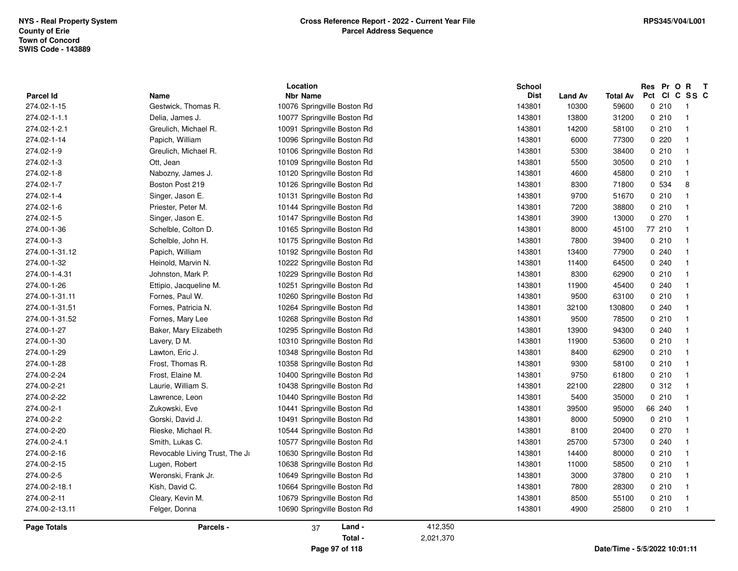|                  | Location                       |                             |           | <b>School</b> |                |                 | Res Pr O R                    | $\mathbf{T}$            |
|------------------|--------------------------------|-----------------------------|-----------|---------------|----------------|-----------------|-------------------------------|-------------------------|
| <b>Parcel Id</b> | Name                           | <b>Nbr Name</b>             |           | <b>Dist</b>   | <b>Land Av</b> | <b>Total Av</b> | Pct CI C SS C                 |                         |
| 274.02-1-15      | Gestwick, Thomas R.            | 10076 Springville Boston Rd |           | 143801        | 10300          | 59600           | 0210                          | - 1                     |
| 274.02-1-1.1     | Delia, James J.                | 10077 Springville Boston Rd |           | 143801        | 13800          | 31200           | 0210                          | $\overline{1}$          |
| 274.02-1-2.1     | Greulich, Michael R.           | 10091 Springville Boston Rd |           | 143801        | 14200          | 58100           | 0210                          |                         |
| 274.02-1-14      | Papich, William                | 10096 Springville Boston Rd |           | 143801        | 6000           | 77300           | 0220                          | -1                      |
| 274.02-1-9       | Greulich, Michael R.           | 10106 Springville Boston Rd |           | 143801        | 5300           | 38400           | 0210                          |                         |
| 274.02-1-3       | Ott, Jean                      | 10109 Springville Boston Rd |           | 143801        | 5500           | 30500           | 0210                          | $\overline{1}$          |
| 274.02-1-8       | Nabozny, James J.              | 10120 Springville Boston Rd |           | 143801        | 4600           | 45800           | 0210                          |                         |
| 274.02-1-7       | Boston Post 219                | 10126 Springville Boston Rd |           | 143801        | 8300           | 71800           | 0 534                         | 8                       |
| 274.02-1-4       | Singer, Jason E.               | 10131 Springville Boston Rd |           | 143801        | 9700           | 51670           | 0210                          | $\overline{\mathbf{1}}$ |
| 274.02-1-6       | Priester, Peter M.             | 10144 Springville Boston Rd |           | 143801        | 7200           | 38800           | 0210                          | -1                      |
| 274.02-1-5       | Singer, Jason E.               | 10147 Springville Boston Rd |           | 143801        | 3900           | 13000           | 0270                          | -1                      |
| 274.00-1-36      | Schelble, Colton D.            | 10165 Springville Boston Rd |           | 143801        | 8000           | 45100           | 77 210                        |                         |
| 274.00-1-3       | Schelble, John H.              | 10175 Springville Boston Rd |           | 143801        | 7800           | 39400           | 0210                          | -1                      |
| 274.00-1-31.12   | Papich, William                | 10192 Springville Boston Rd |           | 143801        | 13400          | 77900           | 0.240                         |                         |
| 274.00-1-32      | Heinold, Marvin N.             | 10222 Springville Boston Rd |           | 143801        | 11400          | 64500           | 0.240                         | -1                      |
| 274.00-1-4.31    | Johnston, Mark P.              | 10229 Springville Boston Rd |           | 143801        | 8300           | 62900           | 0210                          |                         |
| 274.00-1-26      | Ettipio, Jacqueline M.         | 10251 Springville Boston Rd |           | 143801        | 11900          | 45400           | 0240                          |                         |
| 274.00-1-31.11   | Fornes, Paul W.                | 10260 Springville Boston Rd |           | 143801        | 9500           | 63100           | 0210                          | -1                      |
| 274.00-1-31.51   | Fornes, Patricia N.            | 10264 Springville Boston Rd |           | 143801        | 32100          | 130800          | 0.240                         | $\overline{\mathbf{1}}$ |
| 274.00-1-31.52   | Fornes, Mary Lee               | 10268 Springville Boston Rd |           | 143801        | 9500           | 78500           | 0210                          | -1                      |
| 274.00-1-27      | Baker, Mary Elizabeth          | 10295 Springville Boston Rd |           | 143801        | 13900          | 94300           | 0.240                         |                         |
| 274.00-1-30      | Lavery, D M.                   | 10310 Springville Boston Rd |           | 143801        | 11900          | 53600           | 0210                          | -1                      |
| 274.00-1-29      | Lawton, Eric J.                | 10348 Springville Boston Rd |           | 143801        | 8400           | 62900           | 0210                          | -1                      |
| 274.00-1-28      | Frost, Thomas R.               | 10358 Springville Boston Rd |           | 143801        | 9300           | 58100           | 0210                          | $\overline{\mathbf{1}}$ |
| 274.00-2-24      | Frost, Elaine M.               | 10400 Springville Boston Rd |           | 143801        | 9750           | 61800           | 0210                          |                         |
| 274.00-2-21      | Laurie, William S.             | 10438 Springville Boston Rd |           | 143801        | 22100          | 22800           | 0.312                         | -1                      |
| 274.00-2-22      | Lawrence, Leon                 | 10440 Springville Boston Rd |           | 143801        | 5400           | 35000           | 0210                          |                         |
| 274.00-2-1       | Zukowski, Eve                  | 10441 Springville Boston Rd |           | 143801        | 39500          | 95000           | 66 240                        | -1                      |
| 274.00-2-2       | Gorski, David J.               | 10491 Springville Boston Rd |           | 143801        | 8000           | 50900           | 0210                          | -1                      |
| 274.00-2-20      | Rieske, Michael R.             | 10544 Springville Boston Rd |           | 143801        | 8100           | 20400           | 0270                          |                         |
| 274.00-2-4.1     | Smith, Lukas C.                | 10577 Springville Boston Rd |           | 143801        | 25700          | 57300           | 0.240                         | -1                      |
| 274.00-2-16      | Revocable Living Trust, The Ju | 10630 Springville Boston Rd |           | 143801        | 14400          | 80000           | 0210                          | -1                      |
| 274.00-2-15      | Lugen, Robert                  | 10638 Springville Boston Rd |           | 143801        | 11000          | 58500           | 0210                          | -1                      |
| 274.00-2-5       | Weronski, Frank Jr.            | 10649 Springville Boston Rd |           | 143801        | 3000           | 37800           | 0210                          |                         |
| 274.00-2-18.1    | Kish, David C.                 | 10664 Springville Boston Rd |           | 143801        | 7800           | 28300           | 0210                          | -1                      |
| 274.00-2-11      | Cleary, Kevin M.               | 10679 Springville Boston Rd |           | 143801        | 8500           | 55100           | 0210                          |                         |
| 274.00-2-13.11   | Felger, Donna                  | 10690 Springville Boston Rd |           | 143801        | 4900           | 25800           | 0210                          | -1                      |
| Page Totals      | Parcels -                      | Land -<br>37                | 412,350   |               |                |                 |                               |                         |
|                  |                                | Total -                     | 2,021,370 |               |                |                 |                               |                         |
|                  |                                | Page 97 of 118              |           |               |                |                 | Date/Time - 5/5/2022 10:01:11 |                         |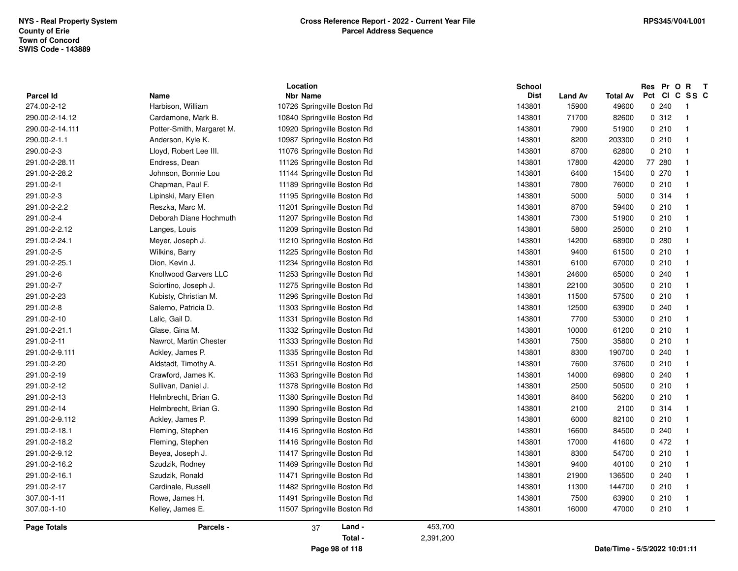**NYS - Real Property SystemTown of Concord SWIS Code - 143889County of Erie**

| Parcel Id          | Name                         | Location<br><b>Nbr Name</b> |           | School<br><b>Dist</b> | <b>Land Av</b> | <b>Total Av</b> | Res Pr O R<br>Pct Cl          | $\mathbf{T}$<br>C SS C  |
|--------------------|------------------------------|-----------------------------|-----------|-----------------------|----------------|-----------------|-------------------------------|-------------------------|
| 274.00-2-12        | Harbison, William            | 10726 Springville Boston Rd |           | 143801                | 15900          | 49600           | 0.240                         | $\overline{1}$          |
| 290.00-2-14.12     | Cardamone, Mark B.           | 10840 Springville Boston Rd |           | 143801                | 71700          | 82600           | 0.312                         | $\overline{1}$          |
| 290.00-2-14.111    | Potter-Smith, Margaret M.    | 10920 Springville Boston Rd |           | 143801                | 7900           | 51900           | 0.210                         | $\overline{1}$          |
| 290.00-2-1.1       | Anderson, Kyle K.            | 10987 Springville Boston Rd |           | 143801                | 8200           | 203300          | 0210                          | $\overline{1}$          |
| 290.00-2-3         | Lloyd, Robert Lee III.       | 11076 Springville Boston Rd |           | 143801                | 8700           | 62800           | 0210                          | $\overline{1}$          |
| 291.00-2-28.11     | Endress, Dean                | 11126 Springville Boston Rd |           | 143801                | 17800          | 42000           | 77 280                        | $\overline{\mathbf{1}}$ |
| 291.00-2-28.2      | Johnson, Bonnie Lou          | 11144 Springville Boston Rd |           | 143801                | 6400           | 15400           | 0.270                         | $\overline{1}$          |
| 291.00-2-1         | Chapman, Paul F.             | 11189 Springville Boston Rd |           | 143801                | 7800           | 76000           | 0210                          | $\mathbf{1}$            |
| 291.00-2-3         | Lipinski, Mary Ellen         | 11195 Springville Boston Rd |           | 143801                | 5000           | 5000            | 0 314                         | -1                      |
| 291.00-2-2.2       | Reszka, Marc M.              | 11201 Springville Boston Rd |           | 143801                | 8700           | 59400           | 0210                          | $\overline{1}$          |
| 291.00-2-4         | Deborah Diane Hochmuth       | 11207 Springville Boston Rd |           | 143801                | 7300           | 51900           | 0210                          | $\overline{1}$          |
| 291.00-2-2.12      | Langes, Louis                | 11209 Springville Boston Rd |           | 143801                | 5800           | 25000           | 0210                          | $\overline{1}$          |
| 291.00-2-24.1      | Meyer, Joseph J.             | 11210 Springville Boston Rd |           | 143801                | 14200          | 68900           | 0.280                         | $\overline{\mathbf{1}}$ |
| 291.00-2-5         | Wilkins, Barry               | 11225 Springville Boston Rd |           | 143801                | 9400           | 61500           | 0210                          | $\overline{1}$          |
| 291.00-2-25.1      | Dion, Kevin J.               | 11234 Springville Boston Rd |           | 143801                | 6100           | 67000           | 0210                          | $\overline{1}$          |
| 291.00-2-6         | <b>Knollwood Garvers LLC</b> | 11253 Springville Boston Rd |           | 143801                | 24600          | 65000           | 0.240                         | $\overline{1}$          |
| 291.00-2-7         | Sciortino, Joseph J.         | 11275 Springville Boston Rd |           | 143801                | 22100          | 30500           | 0210                          | $\overline{\mathbf{1}}$ |
| 291.00-2-23        | Kubisty, Christian M.        | 11296 Springville Boston Rd |           | 143801                | 11500          | 57500           | 0210                          | $\overline{\mathbf{1}}$ |
| 291.00-2-8         | Salerno, Patricia D.         | 11303 Springville Boston Rd |           | 143801                | 12500          | 63900           | 0.240                         | $\overline{\mathbf{1}}$ |
| 291.00-2-10        | Lalic, Gail D.               | 11331 Springville Boston Rd |           | 143801                | 7700           | 53000           | 0210                          | $\overline{1}$          |
| 291.00-2-21.1      | Glase, Gina M.               | 11332 Springville Boston Rd |           | 143801                | 10000          | 61200           | 0210                          | $\mathbf{1}$            |
| 291.00-2-11        | Nawrot, Martin Chester       | 11333 Springville Boston Rd |           | 143801                | 7500           | 35800           | 0210                          | $\overline{\mathbf{1}}$ |
| 291.00-2-9.111     | Ackley, James P.             | 11335 Springville Boston Rd |           | 143801                | 8300           | 190700          | 0.240                         | $\overline{1}$          |
| 291.00-2-20        | Aldstadt, Timothy A.         | 11351 Springville Boston Rd |           | 143801                | 7600           | 37600           | 0210                          | $\overline{1}$          |
| 291.00-2-19        | Crawford, James K.           | 11363 Springville Boston Rd |           | 143801                | 14000          | 69800           | 0.240                         | $\mathbf{1}$            |
| 291.00-2-12        | Sullivan, Daniel J.          | 11378 Springville Boston Rd |           | 143801                | 2500           | 50500           | 0210                          | $\mathbf{1}$            |
| 291.00-2-13        | Helmbrecht, Brian G.         | 11380 Springville Boston Rd |           | 143801                | 8400           | 56200           | 0210                          | $\overline{1}$          |
| 291.00-2-14        | Helmbrecht, Brian G.         | 11390 Springville Boston Rd |           | 143801                | 2100           | 2100            | 0.314                         | $\overline{\mathbf{1}}$ |
| 291.00-2-9.112     | Ackley, James P.             | 11399 Springville Boston Rd |           | 143801                | 6000           | 82100           | 0.210                         | $\overline{1}$          |
| 291.00-2-18.1      | Fleming, Stephen             | 11416 Springville Boston Rd |           | 143801                | 16600          | 84500           | 0.240                         | $\mathbf{1}$            |
| 291.00-2-18.2      | Fleming, Stephen             | 11416 Springville Boston Rd |           | 143801                | 17000          | 41600           | 0472                          | $\overline{1}$          |
| 291.00-2-9.12      | Beyea, Joseph J.             | 11417 Springville Boston Rd |           | 143801                | 8300           | 54700           | 0210                          | $\overline{1}$          |
| 291.00-2-16.2      | Szudzik, Rodney              | 11469 Springville Boston Rd |           | 143801                | 9400           | 40100           | 0210                          | $\overline{1}$          |
| 291.00-2-16.1      | Szudzik, Ronald              | 11471 Springville Boston Rd |           | 143801                | 21900          | 136500          | 0.240                         | -1                      |
| 291.00-2-17        | Cardinale, Russell           | 11482 Springville Boston Rd |           | 143801                | 11300          | 144700          | 0210                          | $\mathbf{1}$            |
| 307.00-1-11        | Rowe, James H.               | 11491 Springville Boston Rd |           | 143801                | 7500           | 63900           | 0210                          | $\overline{\mathbf{1}}$ |
| 307.00-1-10        | Kelley, James E.             | 11507 Springville Boston Rd |           | 143801                | 16000          | 47000           | 0210                          | $\overline{1}$          |
| <b>Page Totals</b> | Parcels -                    | Land -<br>37                | 453,700   |                       |                |                 |                               |                         |
|                    |                              | Total -                     | 2,391,200 |                       |                |                 |                               |                         |
|                    |                              | Page 98 of 118              |           |                       |                |                 | Date/Time - 5/5/2022 10:01:11 |                         |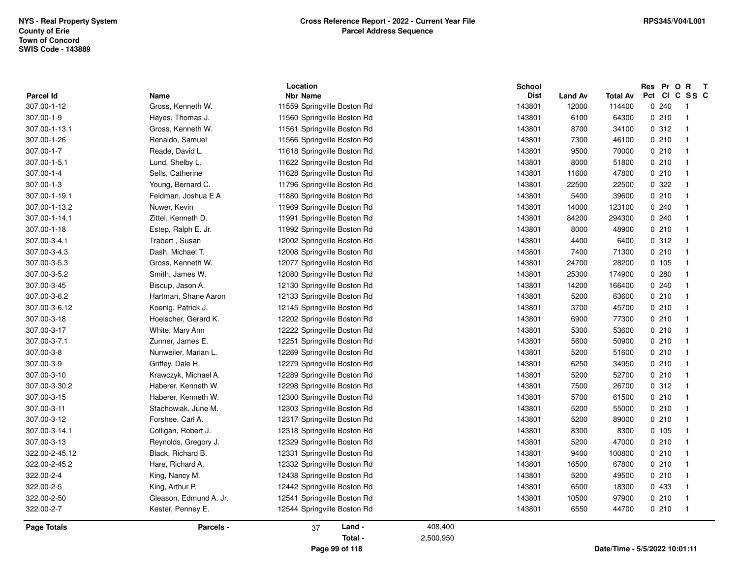| <b>Parcel Id</b> | Name                   | Location<br><b>Nbr Name</b> |         | <b>School</b><br><b>Dist</b> | <b>Land Av</b> | Total Av | Res Pr O R T<br>Pct | CICSSC                  |
|------------------|------------------------|-----------------------------|---------|------------------------------|----------------|----------|---------------------|-------------------------|
| 307.00-1-12      | Gross, Kenneth W.      | 11559 Springville Boston Rd |         | 143801                       | 12000          | 114400   | 0.240               | $\overline{1}$          |
| 307.00-1-9       | Hayes, Thomas J.       | 11560 Springville Boston Rd |         | 143801                       | 6100           | 64300    | 0210                | $\mathbf{1}$            |
| 307.00-1-13.1    | Gross, Kenneth W.      | 11561 Springville Boston Rd |         | 143801                       | 8700           | 34100    | 0.312               | $\overline{\mathbf{1}}$ |
| 307.00-1-26      | Renaldo, Samuel        | 11566 Springville Boston Rd |         | 143801                       | 7300           | 46100    | 0210                | $\overline{\mathbf{1}}$ |
| 307.00-1-7       | Reade, David L.        | 11618 Springville Boston Rd |         | 143801                       | 9500           | 70000    | 0210                | $\overline{1}$          |
| 307.00-1-5.1     | Lund, Shelby L.        | 11622 Springville Boston Rd |         | 143801                       | 8000           | 51800    | 0210                | $\mathbf 1$             |
| 307.00-1-4       | Sells, Catherine       | 11628 Springville Boston Rd |         | 143801                       | 11600          | 47800    | 0210                | -1                      |
| 307.00-1-3       | Young, Bernard C.      | 11796 Springville Boston Rd |         | 143801                       | 22500          | 22500    | 0 322               | $\mathbf 1$             |
| 307.00-1-19.1    | Feldman, Joshua E A    | 11880 Springville Boston Rd |         | 143801                       | 5400           | 39600    | 0210                | -1                      |
| 307.00-1-13.2    | Nuwer, Kevin           | 11969 Springville Boston Rd |         | 143801                       | 14000          | 123100   | 0240                |                         |
| 307.00-1-14.1    | Zittel, Kenneth D.     | 11991 Springville Boston Rd |         | 143801                       | 84200          | 294300   | 0.240               |                         |
| 307.00-1-18      | Estep, Ralph E. Jr.    | 11992 Springville Boston Rd |         | 143801                       | 8000           | 48900    | 0210                | $\overline{1}$          |
| 307.00-3-4.1     | Trabert, Susan         | 12002 Springville Boston Rd |         | 143801                       | 4400           | 6400     | 0.312               | -1                      |
| 307.00-3-4.3     | Dash, Michael T.       | 12008 Springville Boston Rd |         | 143801                       | 7400           | 71300    | 0210                | -1                      |
| 307.00-3-5.3     | Gross, Kenneth W.      | 12077 Springville Boston Rd |         | 143801                       | 24700          | 28200    | 0 105               | $\mathbf 1$             |
| 307.00-3-5.2     | Smith, James W.        | 12080 Springville Boston Rd |         | 143801                       | 25300          | 174900   | 0.280               | -1                      |
| 307.00-3-45      | Biscup, Jason A.       | 12130 Springville Boston Rd |         | 143801                       | 14200          | 166400   | 0.240               | $\overline{1}$          |
| 307.00-3-6.2     | Hartman, Shane Aaron   | 12133 Springville Boston Rd |         | 143801                       | 5200           | 63600    | 0210                | -1                      |
| 307.00-3-6.12    | Koenig, Patrick J.     | 12145 Springville Boston Rd |         | 143801                       | 3700           | 45700    | 0210                |                         |
| 307.00-3-18      | Hoelscher, Gerard K.   | 12202 Springville Boston Rd |         | 143801                       | 6900           | 77300    | 0210                | $\mathbf 1$             |
| 307.00-3-17      | White, Mary Ann        | 12222 Springville Boston Rd |         | 143801                       | 5300           | 53600    | 0210                | -1                      |
| 307.00-3-7.1     | Zunner, James E.       | 12251 Springville Boston Rd |         | 143801                       | 5600           | 50900    | 0210                | $\overline{1}$          |
| 307.00-3-8       | Nunweiler, Marian L.   | 12269 Springville Boston Rd |         | 143801                       | 5200           | 51600    | 0210                | $\overline{1}$          |
| 307.00-3-9       | Griffey, Dale H.       | 12279 Springville Boston Rd |         | 143801                       | 6250           | 34950    | 0210                | -1                      |
| 307.00-3-10      | Krawczyk, Michael A.   | 12289 Springville Boston Rd |         | 143801                       | 5200           | 52700    | 0210                | $\overline{\mathbf{1}}$ |
| 307.00-3-30.2    | Haberer, Kenneth W.    | 12298 Springville Boston Rd |         | 143801                       | 7500           | 26700    | 0.312               | -1                      |
| 307.00-3-15      | Haberer, Kenneth W.    | 12300 Springville Boston Rd |         | 143801                       | 5700           | 61500    | 0210                | $\overline{1}$          |
| 307.00-3-11      | Stachowiak, June M.    | 12303 Springville Boston Rd |         | 143801                       | 5200           | 55000    | 0210                | -1                      |
| 307.00-3-12      | Forshee, Carl A.       | 12317 Springville Boston Rd |         | 143801                       | 5200           | 89000    | 0210                |                         |
| 307.00-3-14.1    | Colligan, Robert J.    | 12318 Springville Boston Rd |         | 143801                       | 8300           | 8300     | 0, 105              | -1                      |
| 307.00-3-13      | Reynolds, Gregory J.   | 12329 Springville Boston Rd |         | 143801                       | 5200           | 47000    | 0210                | $\mathbf{1}$            |
| 322.00-2-45.12   | Black, Richard B.      | 12331 Springville Boston Rd |         | 143801                       | 9400           | 100800   | 0210                | $\overline{1}$          |
| 322.00-2-45.2    | Hare, Richard A.       | 12332 Springville Boston Rd |         | 143801                       | 16500          | 67800    | 0210                | -1                      |
| 322.00-2-4       | King, Nancy M.         | 12438 Springville Boston Rd |         | 143801                       | 5200           | 49500    | 0210                |                         |
| 322.00-2-5       | King, Arthur P.        | 12442 Springville Boston Rd |         | 143801                       | 6500           | 18300    | 0 433               | $\overline{\mathbf{1}}$ |
| 322.00-2-50      | Gleason, Edmund A. Jr. | 12541 Springville Boston Rd |         | 143801                       | 10500          | 97900    | 0210                | -1                      |
| 322.00-2-7       | Kester, Penney E.      | 12544 Springville Boston Rd |         | 143801                       | 6550           | 44700    | 0210                | $\overline{1}$          |
| Page Totals      | Parcels -              | Land -<br>37                | 408,400 |                              |                |          |                     |                         |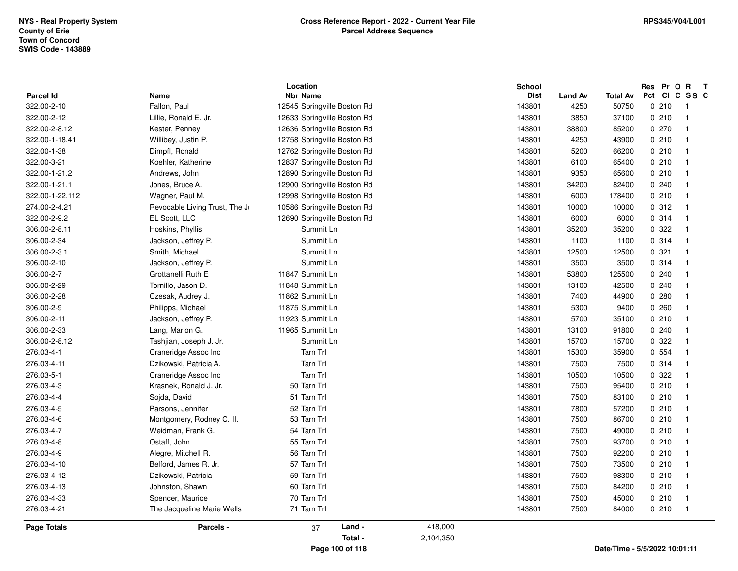|                 | Location                       |                             |           | <b>School</b> |                |                 | Res Pr O R                       | $\mathbf{T}$ |
|-----------------|--------------------------------|-----------------------------|-----------|---------------|----------------|-----------------|----------------------------------|--------------|
| Parcel Id       | Name                           | <b>Nbr Name</b>             |           | <b>Dist</b>   | <b>Land Av</b> | <b>Total Av</b> | Pct CI C SS C                    |              |
| 322.00-2-10     | Fallon, Paul                   | 12545 Springville Boston Rd |           | 143801        | 4250           | 50750           | 0210<br>-1                       |              |
| 322.00-2-12     | Lillie, Ronald E. Jr.          | 12633 Springville Boston Rd |           | 143801        | 3850           | 37100           | 0210<br>$\overline{1}$           |              |
| 322.00-2-8.12   | Kester, Penney                 | 12636 Springville Boston Rd |           | 143801        | 38800          | 85200           | 0270<br>-1                       |              |
| 322.00-1-18.41  | Willibey, Justin P.            | 12758 Springville Boston Rd |           | 143801        | 4250           | 43900           | 0210<br>$\overline{\mathbf{1}}$  |              |
| 322.00-1-38     | Dimpfl, Ronald                 | 12762 Springville Boston Rd |           | 143801        | 5200           | 66200           | 0210<br>-1                       |              |
| 322.00-3-21     | Koehler, Katherine             | 12837 Springville Boston Rd |           | 143801        | 6100           | 65400           | 0210<br>$\overline{1}$           |              |
| 322.00-1-21.2   | Andrews, John                  | 12890 Springville Boston Rd |           | 143801        | 9350           | 65600           | 0210<br>-1                       |              |
| 322.00-1-21.1   | Jones, Bruce A.                | 12900 Springville Boston Rd |           | 143801        | 34200          | 82400           | 0.240<br>-1                      |              |
| 322.00-1-22.112 | Wagner, Paul M.                | 12998 Springville Boston Rd |           | 143801        | 6000           | 178400          | 0210<br>$\overline{\mathbf{1}}$  |              |
| 274.00-2-4.21   | Revocable Living Trust, The Jr | 10586 Springville Boston Rd |           | 143801        | 10000          | 10000           | 0.312<br>-1                      |              |
| 322.00-2-9.2    | EL Scott, LLC                  | 12690 Springville Boston Rd |           | 143801        | 6000           | 6000            | 0.314<br>$\overline{1}$          |              |
| 306.00-2-8.11   | Hoskins, Phyllis               | Summit Ln                   |           | 143801        | 35200          | 35200           | 0 322<br>-1                      |              |
| 306.00-2-34     | Jackson, Jeffrey P.            | Summit Ln                   |           | 143801        | 1100           | 1100            | 0.314<br>$\overline{\mathbf{1}}$ |              |
| 306.00-2-3.1    | Smith, Michael                 | Summit Ln                   |           | 143801        | 12500          | 12500           | 0.321<br>$\overline{1}$          |              |
| 306.00-2-10     | Jackson, Jeffrey P.            | Summit Ln                   |           | 143801        | 3500           | 3500            | 0.314<br>$\overline{1}$          |              |
| 306.00-2-7      | Grottanelli Ruth E             | 11847 Summit Ln             |           | 143801        | 53800          | 125500          | 0.240<br>-1                      |              |
| 306.00-2-29     | Tornillo, Jason D.             | 11848 Summit Ln             |           | 143801        | 13100          | 42500           | 0240<br>-1                       |              |
| 306.00-2-28     | Czesak, Audrey J.              | 11862 Summit Ln             |           | 143801        | 7400           | 44900           | 0.280<br>-1                      |              |
| 306.00-2-9      | Philipps, Michael              | 11875 Summit Ln             |           | 143801        | 5300           | 9400            | 0.260<br>-1                      |              |
| 306.00-2-11     | Jackson, Jeffrey P.            | 11923 Summit Ln             |           | 143801        | 5700           | 35100           | 0210<br>$\overline{1}$           |              |
| 306.00-2-33     | Lang, Marion G.                | 11965 Summit Ln             |           | 143801        | 13100          | 91800           | 0.240<br>$\overline{\mathbf{1}}$ |              |
| 306.00-2-8.12   | Tashjian, Joseph J. Jr.        | Summit Ln                   |           | 143801        | 15700          | 15700           | 0 322<br>-1                      |              |
| 276.03-4-1      | Craneridge Assoc Inc           | <b>Tarn Trl</b>             |           | 143801        | 15300          | 35900           | 0 554<br>-1                      |              |
| 276.03-4-11     | Dzikowski, Patricia A.         | Tarn Trl                    |           | 143801        | 7500           | 7500            | 0.314<br>$\overline{1}$          |              |
| 276.03-5-1      | Craneridge Assoc Inc           | <b>Tarn Trl</b>             |           | 143801        | 10500          | 10500           | 0.322<br>-1                      |              |
| 276.03-4-3      | Krasnek, Ronald J. Jr.         | 50 Tarn Trl                 |           | 143801        | 7500           | 95400           | 0210<br>-1                       |              |
| 276.03-4-4      | Sojda, David                   | 51 Tarn Trl                 |           | 143801        | 7500           | 83100           | 0210<br>-1                       |              |
| 276.03-4-5      | Parsons, Jennifer              | 52 Tarn Trl                 |           | 143801        | 7800           | 57200           | 0210<br>$\overline{1}$           |              |
| 276.03-4-6      | Montgomery, Rodney C. II.      | 53 Tarn Trl                 |           | 143801        | 7500           | 86700           | 0210<br>$\overline{\mathbf{1}}$  |              |
| 276.03-4-7      | Weidman, Frank G.              | 54 Tarn Trl                 |           | 143801        | 7500           | 49000           | 0210<br>$\overline{\mathbf{1}}$  |              |
| 276.03-4-8      | Ostaff, John                   | 55 Tarn Trl                 |           | 143801        | 7500           | 93700           | 0210<br>-1                       |              |
| 276.03-4-9      | Alegre, Mitchell R.            | 56 Tarn Trl                 |           | 143801        | 7500           | 92200           | 0210<br>- 1                      |              |
| 276.03-4-10     | Belford, James R. Jr.          | 57 Tarn Trl                 |           | 143801        | 7500           | 73500           | 0210<br>$\overline{1}$           |              |
| 276.03-4-12     | Dzikowski, Patricia            | 59 Tarn Trl                 |           | 143801        | 7500           | 98300           | 0210<br>- 1                      |              |
| 276.03-4-13     | Johnston, Shawn                | 60 Tarn Trl                 |           | 143801        | 7500           | 84200           | 0210<br>$\overline{\mathbf{1}}$  |              |
| 276.03-4-33     | Spencer, Maurice               | 70 Tarn Trl                 |           | 143801        | 7500           | 45000           | 0210<br>- 1                      |              |
| 276.03-4-21     | The Jacqueline Marie Wells     | 71 Tarn Trl                 |           | 143801        | 7500           | 84000           | 0210<br>$\overline{1}$           |              |
| Page Totals     | Parcels -                      | Land -<br>37                | 418,000   |               |                |                 |                                  |              |
|                 |                                | Total -                     | 2,104,350 |               |                |                 |                                  |              |
|                 |                                | Page 100 of 118             |           |               |                |                 | Date/Time - 5/5/2022 10:01:11    |              |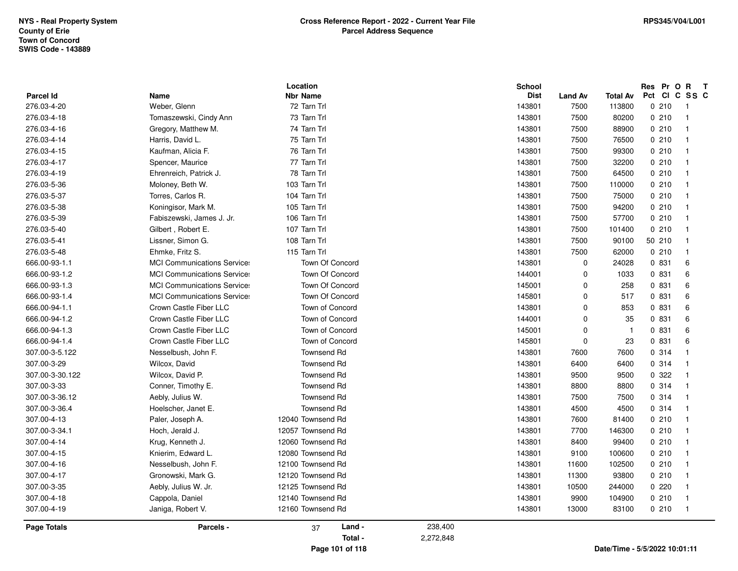| <b>Parcel Id</b>   | Name                               | Location<br><b>Nbr Name</b> |           | <b>School</b><br><b>Dist</b> | <b>Land Av</b> | <b>Total Av</b>               | Res Pr O R<br>Pct Cl | $\mathbf{T}$<br>C SS C   |
|--------------------|------------------------------------|-----------------------------|-----------|------------------------------|----------------|-------------------------------|----------------------|--------------------------|
| 276.03-4-20        | Weber, Glenn                       | 72 Tarn Trl                 |           | 143801                       | 7500           | 113800                        | 0210                 | $\overline{\phantom{0}}$ |
| 276.03-4-18        | Tomaszewski, Cindy Ann             | 73 Tarn Trl                 |           | 143801                       | 7500           | 80200                         | 0210                 | $\overline{1}$           |
| 276.03-4-16        | Gregory, Matthew M.                | 74 Tarn Trl                 |           | 143801                       | 7500           | 88900                         | 0210                 | $\overline{1}$           |
| 276.03-4-14        | Harris, David L.                   | 75 Tarn Trl                 |           | 143801                       | 7500           | 76500                         | 0210                 | - 1                      |
| 276.03-4-15        | Kaufman, Alicia F.                 | 76 Tarn Trl                 |           | 143801                       | 7500           | 99300                         | 0210                 | - 1                      |
| 276.03-4-17        | Spencer, Maurice                   | 77 Tarn Trl                 |           | 143801                       | 7500           | 32200                         | 0210                 | $\overline{\phantom{0}}$ |
| 276.03-4-19        | Ehrenreich, Patrick J.             | 78 Tarn Trl                 |           | 143801                       | 7500           | 64500                         | 0210                 | $\overline{1}$           |
| 276.03-5-36        | Moloney, Beth W.                   | 103 Tarn Trl                |           | 143801                       | 7500           | 110000                        | 0210                 | - 1                      |
| 276.03-5-37        | Torres, Carlos R.                  | 104 Tarn Trl                |           | 143801                       | 7500           | 75000                         | 0210                 | $\overline{1}$           |
| 276.03-5-38        | Koningisor, Mark M.                | 105 Tarn Trl                |           | 143801                       | 7500           | 94200                         | 0210                 | - 1                      |
| 276.03-5-39        | Fabiszewski, James J. Jr.          | 106 Tarn Trl                |           | 143801                       | 7500           | 57700                         | 0210                 | $\overline{1}$           |
| 276.03-5-40        | Gilbert, Robert E.                 | 107 Tarn Trl                |           | 143801                       | 7500           | 101400                        | 0210                 | - 1                      |
| 276.03-5-41        | Lissner, Simon G.                  | 108 Tarn Trl                |           | 143801                       | 7500           | 90100                         | 50 210               | - 1                      |
| 276.03-5-48        | Ehmke, Fritz S.                    | 115 Tarn Trl                |           | 143801                       | 7500           | 62000                         | 0210                 | $\overline{\phantom{0}}$ |
| 666.00-93-1.1      | <b>MCI Communications Services</b> | Town Of Concord             |           | 143801                       | $\mathbf 0$    | 24028                         | 0 831                | 6                        |
| 666.00-93-1.2      | <b>MCI Communications Services</b> | Town Of Concord             |           | 144001                       | $\mathbf 0$    | 1033                          | 0 831                | 6                        |
| 666.00-93-1.3      | <b>MCI Communications Services</b> | Town Of Concord             |           | 145001                       | $\mathbf 0$    | 258                           | 0 831                | 6                        |
| 666.00-93-1.4      | <b>MCI Communications Services</b> | Town Of Concord             |           | 145801                       | $\mathbf 0$    | 517                           | 0 831                | 6                        |
| 666.00-94-1.1      | Crown Castle Fiber LLC             | Town of Concord             |           | 143801                       | $\mathbf 0$    | 853                           | 0 831                | 6                        |
| 666.00-94-1.2      | Crown Castle Fiber LLC             | Town of Concord             |           | 144001                       | $\Omega$       | 35                            | 0 831                | 6                        |
| 666.00-94-1.3      | Crown Castle Fiber LLC             | Town of Concord             |           | 145001                       | $\mathbf 0$    | - 1                           | 0 831                | 6                        |
| 666.00-94-1.4      | Crown Castle Fiber LLC             | Town of Concord             |           | 145801                       | $\mathbf 0$    | 23                            | 0 831                | 6                        |
| 307.00-3-5.122     | Nesselbush, John F.                | Townsend Rd                 |           | 143801                       | 7600           | 7600                          | 0.314                | $\overline{1}$           |
| 307.00-3-29        | Wilcox, David                      | <b>Townsend Rd</b>          |           | 143801                       | 6400           | 6400                          | 0.314                | - 1                      |
| 307.00-3-30.122    | Wilcox, David P.                   | <b>Townsend Rd</b>          |           | 143801                       | 9500           | 9500                          | 0.322                | - 1                      |
| 307.00-3-33        | Conner, Timothy E.                 | <b>Townsend Rd</b>          |           | 143801                       | 8800           | 8800                          | 0.314                | - 1                      |
| 307.00-3-36.12     | Aebly, Julius W.                   | <b>Townsend Rd</b>          |           | 143801                       | 7500           | 7500                          | 0.314                | - 1                      |
| 307.00-3-36.4      | Hoelscher, Janet E.                | <b>Townsend Rd</b>          |           | 143801                       | 4500           | 4500                          | 0.314                | $\overline{\phantom{0}}$ |
| 307.00-4-13        | Paler, Joseph A.                   | 12040 Townsend Rd           |           | 143801                       | 7600           | 81400                         | 0210                 | - 1                      |
| 307.00-3-34.1      | Hoch, Jerald J.                    | 12057 Townsend Rd           |           | 143801                       | 7700           | 146300                        | 0210                 | - 1                      |
| 307.00-4-14        | Krug, Kenneth J.                   | 12060 Townsend Rd           |           | 143801                       | 8400           | 99400                         | 0210                 | - 1                      |
| 307.00-4-15        | Knierim, Edward L.                 | 12080 Townsend Rd           |           | 143801                       | 9100           | 100600                        | 0210                 | - 1                      |
| 307.00-4-16        | Nesselbush, John F.                | 12100 Townsend Rd           |           | 143801                       | 11600          | 102500                        | 0210                 | $\overline{1}$           |
| 307.00-4-17        | Gronowski, Mark G.                 | 12120 Townsend Rd           |           | 143801                       | 11300          | 93800                         | 0210                 | - 1                      |
| 307.00-3-35        | Aebly, Julius W. Jr.               | 12125 Townsend Rd           |           | 143801                       | 10500          | 244000                        | 0220                 | $\overline{1}$           |
| 307.00-4-18        | Cappola, Daniel                    | 12140 Townsend Rd           |           | 143801                       | 9900           | 104900                        | 0210                 | $\overline{1}$           |
| 307.00-4-19        | Janiga, Robert V.                  | 12160 Townsend Rd           |           | 143801                       | 13000          | 83100                         | 0210                 | $\overline{1}$           |
| <b>Page Totals</b> | Parcels -                          | Land -<br>37                | 238,400   |                              |                |                               |                      |                          |
|                    |                                    | Total -                     | 2,272,848 |                              |                |                               |                      |                          |
|                    |                                    | Page 101 of 118             |           |                              |                | Date/Time - 5/5/2022 10:01:11 |                      |                          |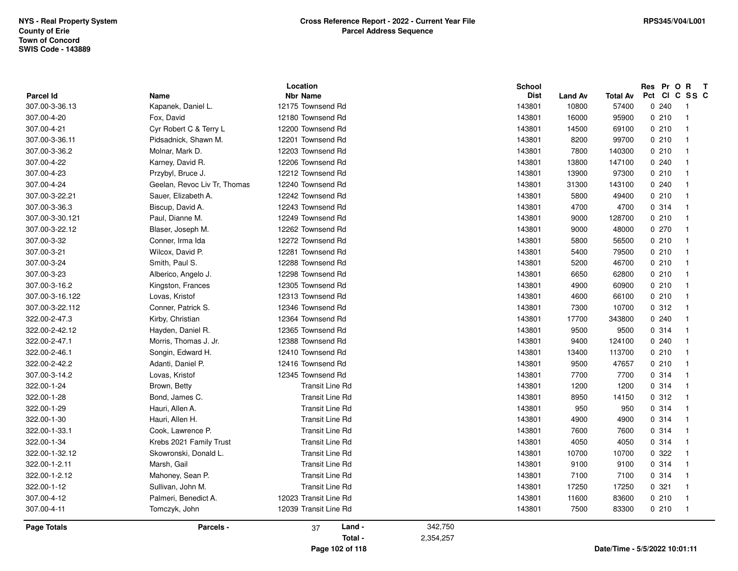| 307.00-4-22<br>Karney, David R.<br>12206 Townsend Rd<br>143801<br>13800<br>147100<br>0.240<br>$\overline{1}$<br>307.00-4-23<br>12212 Townsend Rd<br>0210<br>$\overline{1}$<br>Przybyl, Bruce J.<br>143801<br>13900<br>97300<br>307.00-4-24<br>12240 Townsend Rd<br>0.240<br>Geelan, Revoc Liv Tr, Thomas<br>143801<br>31300<br>143100<br>$\overline{1}$<br>307.00-3-22.21<br>Sauer, Elizabeth A.<br>12242 Townsend Rd<br>143801<br>5800<br>49400<br>0210<br>$\overline{1}$<br>307.00-3-36.3<br>Biscup, David A.<br>12243 Townsend Rd<br>143801<br>4700<br>0.314<br>$\overline{1}$<br>4700<br>12249 Townsend Rd<br>9000<br>0210<br>307.00-3-30.121<br>Paul, Dianne M.<br>143801<br>128700<br>$\overline{\mathbf{1}}$<br>12262 Townsend Rd<br>0270<br>307.00-3-22.12<br>143801<br>9000<br>48000<br>$\overline{1}$<br>Blaser, Joseph M.<br>12272 Townsend Rd<br>307.00-3-32<br>Conner, Irma Ida<br>143801<br>5800<br>56500<br>0210<br>$\overline{\mathbf{1}}$<br>0210<br>307.00-3-21<br>Wilcox, David P.<br>12281 Townsend Rd<br>143801<br>5400<br>79500<br>$\overline{\mathbf{1}}$<br>12288 Townsend Rd<br>307.00-3-24<br>Smith, Paul S.<br>143801<br>5200<br>0210<br>$\overline{1}$<br>46700<br>307.00-3-23<br>12298 Townsend Rd<br>0210<br>Alberico, Angelo J.<br>143801<br>6650<br>62800<br>$\overline{\mathbf{1}}$<br>12305 Townsend Rd<br>0210<br>307.00-3-16.2<br>Kingston, Frances<br>143801<br>4900<br>60900<br>$\overline{\mathbf{1}}$<br>307.00-3-16.122<br>Lovas, Kristof<br>12313 Townsend Rd<br>143801<br>4600<br>66100<br>0210<br>$\overline{1}$<br>307.00-3-22.112<br>Conner, Patrick S.<br>12346 Townsend Rd<br>143801<br>7300<br>0.312<br>$\overline{1}$<br>10700<br>322.00-2-47.3<br>Kirby, Christian<br>12364 Townsend Rd<br>0.240<br>$\overline{1}$<br>143801<br>17700<br>343800<br>322.00-2-42.12<br>12365 Townsend Rd<br>0.314<br>Hayden, Daniel R.<br>143801<br>9500<br>9500<br>$\overline{1}$<br>322.00-2-47.1<br>Morris, Thomas J. Jr.<br>12388 Townsend Rd<br>143801<br>9400<br>124100<br>0.240<br>$\overline{1}$<br>322.00-2-46.1<br>Songin, Edward H.<br>12410 Townsend Rd<br>143801<br>13400<br>0210<br>$\overline{1}$<br>113700<br>322.00-2-42.2<br>Adanti, Daniel P.<br>12416 Townsend Rd<br>143801<br>9500<br>0210<br>47657<br>$\overline{\mathbf{1}}$<br>12345 Townsend Rd<br>0.314<br>307.00-3-14.2<br>Lovas, Kristof<br>143801<br>7700<br>7700<br>$\overline{1}$<br>322.00-1-24<br>Brown, Betty<br><b>Transit Line Rd</b><br>143801<br>1200<br>1200<br>0.314<br>$\overline{1}$<br>Transit Line Rd<br>8950<br>0.312<br>$\overline{1}$<br>322.00-1-28<br>Bond, James C.<br>143801<br>14150<br>Hauri, Allen A.<br>Transit Line Rd<br>950<br>322.00-1-29<br>143801<br>950<br>0.314<br>$\overline{1}$<br>322.00-1-30<br>Hauri, Allen H.<br><b>Transit Line Rd</b><br>4900<br>0.314<br>$\overline{1}$<br>143801<br>4900<br>Cook, Lawrence P.<br><b>Transit Line Rd</b><br>0.314<br>322.00-1-33.1<br>143801<br>7600<br>7600<br>$\mathbf{1}$<br>0 314<br>322.00-1-34<br>Krebs 2021 Family Trust<br>Transit Line Rd<br>143801<br>4050<br>4050<br>$\overline{\mathbf{1}}$ |               |                 |                   |        |      |        |      |                        |
|--------------------------------------------------------------------------------------------------------------------------------------------------------------------------------------------------------------------------------------------------------------------------------------------------------------------------------------------------------------------------------------------------------------------------------------------------------------------------------------------------------------------------------------------------------------------------------------------------------------------------------------------------------------------------------------------------------------------------------------------------------------------------------------------------------------------------------------------------------------------------------------------------------------------------------------------------------------------------------------------------------------------------------------------------------------------------------------------------------------------------------------------------------------------------------------------------------------------------------------------------------------------------------------------------------------------------------------------------------------------------------------------------------------------------------------------------------------------------------------------------------------------------------------------------------------------------------------------------------------------------------------------------------------------------------------------------------------------------------------------------------------------------------------------------------------------------------------------------------------------------------------------------------------------------------------------------------------------------------------------------------------------------------------------------------------------------------------------------------------------------------------------------------------------------------------------------------------------------------------------------------------------------------------------------------------------------------------------------------------------------------------------------------------------------------------------------------------------------------------------------------------------------------------------------------------------------------------------------------------------------------------------------------------------------------------------------------------------------------------------------------------------------------------------------------------------------------------------------------------------------------------------------------------------------------------------------------------------------------------------------------------------------------------------------------------------------------------------------|---------------|-----------------|-------------------|--------|------|--------|------|------------------------|
|                                                                                                                                                                                                                                                                                                                                                                                                                                                                                                                                                                                                                                                                                                                                                                                                                                                                                                                                                                                                                                                                                                                                                                                                                                                                                                                                                                                                                                                                                                                                                                                                                                                                                                                                                                                                                                                                                                                                                                                                                                                                                                                                                                                                                                                                                                                                                                                                                                                                                                                                                                                                                                                                                                                                                                                                                                                                                                                                                                                                                                                                                                  |               |                 |                   |        |      |        |      |                        |
|                                                                                                                                                                                                                                                                                                                                                                                                                                                                                                                                                                                                                                                                                                                                                                                                                                                                                                                                                                                                                                                                                                                                                                                                                                                                                                                                                                                                                                                                                                                                                                                                                                                                                                                                                                                                                                                                                                                                                                                                                                                                                                                                                                                                                                                                                                                                                                                                                                                                                                                                                                                                                                                                                                                                                                                                                                                                                                                                                                                                                                                                                                  |               |                 |                   |        |      |        |      |                        |
|                                                                                                                                                                                                                                                                                                                                                                                                                                                                                                                                                                                                                                                                                                                                                                                                                                                                                                                                                                                                                                                                                                                                                                                                                                                                                                                                                                                                                                                                                                                                                                                                                                                                                                                                                                                                                                                                                                                                                                                                                                                                                                                                                                                                                                                                                                                                                                                                                                                                                                                                                                                                                                                                                                                                                                                                                                                                                                                                                                                                                                                                                                  |               |                 |                   |        |      |        |      |                        |
|                                                                                                                                                                                                                                                                                                                                                                                                                                                                                                                                                                                                                                                                                                                                                                                                                                                                                                                                                                                                                                                                                                                                                                                                                                                                                                                                                                                                                                                                                                                                                                                                                                                                                                                                                                                                                                                                                                                                                                                                                                                                                                                                                                                                                                                                                                                                                                                                                                                                                                                                                                                                                                                                                                                                                                                                                                                                                                                                                                                                                                                                                                  |               |                 |                   |        |      |        |      |                        |
|                                                                                                                                                                                                                                                                                                                                                                                                                                                                                                                                                                                                                                                                                                                                                                                                                                                                                                                                                                                                                                                                                                                                                                                                                                                                                                                                                                                                                                                                                                                                                                                                                                                                                                                                                                                                                                                                                                                                                                                                                                                                                                                                                                                                                                                                                                                                                                                                                                                                                                                                                                                                                                                                                                                                                                                                                                                                                                                                                                                                                                                                                                  |               |                 |                   |        |      |        |      |                        |
|                                                                                                                                                                                                                                                                                                                                                                                                                                                                                                                                                                                                                                                                                                                                                                                                                                                                                                                                                                                                                                                                                                                                                                                                                                                                                                                                                                                                                                                                                                                                                                                                                                                                                                                                                                                                                                                                                                                                                                                                                                                                                                                                                                                                                                                                                                                                                                                                                                                                                                                                                                                                                                                                                                                                                                                                                                                                                                                                                                                                                                                                                                  |               |                 |                   |        |      |        |      |                        |
|                                                                                                                                                                                                                                                                                                                                                                                                                                                                                                                                                                                                                                                                                                                                                                                                                                                                                                                                                                                                                                                                                                                                                                                                                                                                                                                                                                                                                                                                                                                                                                                                                                                                                                                                                                                                                                                                                                                                                                                                                                                                                                                                                                                                                                                                                                                                                                                                                                                                                                                                                                                                                                                                                                                                                                                                                                                                                                                                                                                                                                                                                                  |               |                 |                   |        |      |        |      |                        |
|                                                                                                                                                                                                                                                                                                                                                                                                                                                                                                                                                                                                                                                                                                                                                                                                                                                                                                                                                                                                                                                                                                                                                                                                                                                                                                                                                                                                                                                                                                                                                                                                                                                                                                                                                                                                                                                                                                                                                                                                                                                                                                                                                                                                                                                                                                                                                                                                                                                                                                                                                                                                                                                                                                                                                                                                                                                                                                                                                                                                                                                                                                  |               |                 |                   |        |      |        |      |                        |
|                                                                                                                                                                                                                                                                                                                                                                                                                                                                                                                                                                                                                                                                                                                                                                                                                                                                                                                                                                                                                                                                                                                                                                                                                                                                                                                                                                                                                                                                                                                                                                                                                                                                                                                                                                                                                                                                                                                                                                                                                                                                                                                                                                                                                                                                                                                                                                                                                                                                                                                                                                                                                                                                                                                                                                                                                                                                                                                                                                                                                                                                                                  |               |                 |                   |        |      |        |      |                        |
|                                                                                                                                                                                                                                                                                                                                                                                                                                                                                                                                                                                                                                                                                                                                                                                                                                                                                                                                                                                                                                                                                                                                                                                                                                                                                                                                                                                                                                                                                                                                                                                                                                                                                                                                                                                                                                                                                                                                                                                                                                                                                                                                                                                                                                                                                                                                                                                                                                                                                                                                                                                                                                                                                                                                                                                                                                                                                                                                                                                                                                                                                                  |               |                 |                   |        |      |        |      |                        |
|                                                                                                                                                                                                                                                                                                                                                                                                                                                                                                                                                                                                                                                                                                                                                                                                                                                                                                                                                                                                                                                                                                                                                                                                                                                                                                                                                                                                                                                                                                                                                                                                                                                                                                                                                                                                                                                                                                                                                                                                                                                                                                                                                                                                                                                                                                                                                                                                                                                                                                                                                                                                                                                                                                                                                                                                                                                                                                                                                                                                                                                                                                  |               |                 |                   |        |      |        |      |                        |
|                                                                                                                                                                                                                                                                                                                                                                                                                                                                                                                                                                                                                                                                                                                                                                                                                                                                                                                                                                                                                                                                                                                                                                                                                                                                                                                                                                                                                                                                                                                                                                                                                                                                                                                                                                                                                                                                                                                                                                                                                                                                                                                                                                                                                                                                                                                                                                                                                                                                                                                                                                                                                                                                                                                                                                                                                                                                                                                                                                                                                                                                                                  |               |                 |                   |        |      |        |      |                        |
|                                                                                                                                                                                                                                                                                                                                                                                                                                                                                                                                                                                                                                                                                                                                                                                                                                                                                                                                                                                                                                                                                                                                                                                                                                                                                                                                                                                                                                                                                                                                                                                                                                                                                                                                                                                                                                                                                                                                                                                                                                                                                                                                                                                                                                                                                                                                                                                                                                                                                                                                                                                                                                                                                                                                                                                                                                                                                                                                                                                                                                                                                                  |               |                 |                   |        |      |        |      |                        |
|                                                                                                                                                                                                                                                                                                                                                                                                                                                                                                                                                                                                                                                                                                                                                                                                                                                                                                                                                                                                                                                                                                                                                                                                                                                                                                                                                                                                                                                                                                                                                                                                                                                                                                                                                                                                                                                                                                                                                                                                                                                                                                                                                                                                                                                                                                                                                                                                                                                                                                                                                                                                                                                                                                                                                                                                                                                                                                                                                                                                                                                                                                  |               |                 |                   |        |      |        |      |                        |
|                                                                                                                                                                                                                                                                                                                                                                                                                                                                                                                                                                                                                                                                                                                                                                                                                                                                                                                                                                                                                                                                                                                                                                                                                                                                                                                                                                                                                                                                                                                                                                                                                                                                                                                                                                                                                                                                                                                                                                                                                                                                                                                                                                                                                                                                                                                                                                                                                                                                                                                                                                                                                                                                                                                                                                                                                                                                                                                                                                                                                                                                                                  |               |                 |                   |        |      |        |      |                        |
|                                                                                                                                                                                                                                                                                                                                                                                                                                                                                                                                                                                                                                                                                                                                                                                                                                                                                                                                                                                                                                                                                                                                                                                                                                                                                                                                                                                                                                                                                                                                                                                                                                                                                                                                                                                                                                                                                                                                                                                                                                                                                                                                                                                                                                                                                                                                                                                                                                                                                                                                                                                                                                                                                                                                                                                                                                                                                                                                                                                                                                                                                                  |               |                 |                   |        |      |        |      |                        |
|                                                                                                                                                                                                                                                                                                                                                                                                                                                                                                                                                                                                                                                                                                                                                                                                                                                                                                                                                                                                                                                                                                                                                                                                                                                                                                                                                                                                                                                                                                                                                                                                                                                                                                                                                                                                                                                                                                                                                                                                                                                                                                                                                                                                                                                                                                                                                                                                                                                                                                                                                                                                                                                                                                                                                                                                                                                                                                                                                                                                                                                                                                  |               |                 |                   |        |      |        |      |                        |
|                                                                                                                                                                                                                                                                                                                                                                                                                                                                                                                                                                                                                                                                                                                                                                                                                                                                                                                                                                                                                                                                                                                                                                                                                                                                                                                                                                                                                                                                                                                                                                                                                                                                                                                                                                                                                                                                                                                                                                                                                                                                                                                                                                                                                                                                                                                                                                                                                                                                                                                                                                                                                                                                                                                                                                                                                                                                                                                                                                                                                                                                                                  |               |                 |                   |        |      |        |      |                        |
|                                                                                                                                                                                                                                                                                                                                                                                                                                                                                                                                                                                                                                                                                                                                                                                                                                                                                                                                                                                                                                                                                                                                                                                                                                                                                                                                                                                                                                                                                                                                                                                                                                                                                                                                                                                                                                                                                                                                                                                                                                                                                                                                                                                                                                                                                                                                                                                                                                                                                                                                                                                                                                                                                                                                                                                                                                                                                                                                                                                                                                                                                                  |               |                 |                   |        |      |        |      |                        |
|                                                                                                                                                                                                                                                                                                                                                                                                                                                                                                                                                                                                                                                                                                                                                                                                                                                                                                                                                                                                                                                                                                                                                                                                                                                                                                                                                                                                                                                                                                                                                                                                                                                                                                                                                                                                                                                                                                                                                                                                                                                                                                                                                                                                                                                                                                                                                                                                                                                                                                                                                                                                                                                                                                                                                                                                                                                                                                                                                                                                                                                                                                  |               |                 |                   |        |      |        |      |                        |
|                                                                                                                                                                                                                                                                                                                                                                                                                                                                                                                                                                                                                                                                                                                                                                                                                                                                                                                                                                                                                                                                                                                                                                                                                                                                                                                                                                                                                                                                                                                                                                                                                                                                                                                                                                                                                                                                                                                                                                                                                                                                                                                                                                                                                                                                                                                                                                                                                                                                                                                                                                                                                                                                                                                                                                                                                                                                                                                                                                                                                                                                                                  |               |                 |                   |        |      |        |      |                        |
|                                                                                                                                                                                                                                                                                                                                                                                                                                                                                                                                                                                                                                                                                                                                                                                                                                                                                                                                                                                                                                                                                                                                                                                                                                                                                                                                                                                                                                                                                                                                                                                                                                                                                                                                                                                                                                                                                                                                                                                                                                                                                                                                                                                                                                                                                                                                                                                                                                                                                                                                                                                                                                                                                                                                                                                                                                                                                                                                                                                                                                                                                                  |               |                 |                   |        |      |        |      |                        |
|                                                                                                                                                                                                                                                                                                                                                                                                                                                                                                                                                                                                                                                                                                                                                                                                                                                                                                                                                                                                                                                                                                                                                                                                                                                                                                                                                                                                                                                                                                                                                                                                                                                                                                                                                                                                                                                                                                                                                                                                                                                                                                                                                                                                                                                                                                                                                                                                                                                                                                                                                                                                                                                                                                                                                                                                                                                                                                                                                                                                                                                                                                  |               |                 |                   |        |      |        |      |                        |
|                                                                                                                                                                                                                                                                                                                                                                                                                                                                                                                                                                                                                                                                                                                                                                                                                                                                                                                                                                                                                                                                                                                                                                                                                                                                                                                                                                                                                                                                                                                                                                                                                                                                                                                                                                                                                                                                                                                                                                                                                                                                                                                                                                                                                                                                                                                                                                                                                                                                                                                                                                                                                                                                                                                                                                                                                                                                                                                                                                                                                                                                                                  |               |                 |                   |        |      |        |      |                        |
|                                                                                                                                                                                                                                                                                                                                                                                                                                                                                                                                                                                                                                                                                                                                                                                                                                                                                                                                                                                                                                                                                                                                                                                                                                                                                                                                                                                                                                                                                                                                                                                                                                                                                                                                                                                                                                                                                                                                                                                                                                                                                                                                                                                                                                                                                                                                                                                                                                                                                                                                                                                                                                                                                                                                                                                                                                                                                                                                                                                                                                                                                                  |               |                 |                   |        |      |        |      |                        |
|                                                                                                                                                                                                                                                                                                                                                                                                                                                                                                                                                                                                                                                                                                                                                                                                                                                                                                                                                                                                                                                                                                                                                                                                                                                                                                                                                                                                                                                                                                                                                                                                                                                                                                                                                                                                                                                                                                                                                                                                                                                                                                                                                                                                                                                                                                                                                                                                                                                                                                                                                                                                                                                                                                                                                                                                                                                                                                                                                                                                                                                                                                  |               |                 |                   |        |      |        |      |                        |
|                                                                                                                                                                                                                                                                                                                                                                                                                                                                                                                                                                                                                                                                                                                                                                                                                                                                                                                                                                                                                                                                                                                                                                                                                                                                                                                                                                                                                                                                                                                                                                                                                                                                                                                                                                                                                                                                                                                                                                                                                                                                                                                                                                                                                                                                                                                                                                                                                                                                                                                                                                                                                                                                                                                                                                                                                                                                                                                                                                                                                                                                                                  |               |                 |                   |        |      |        |      |                        |
|                                                                                                                                                                                                                                                                                                                                                                                                                                                                                                                                                                                                                                                                                                                                                                                                                                                                                                                                                                                                                                                                                                                                                                                                                                                                                                                                                                                                                                                                                                                                                                                                                                                                                                                                                                                                                                                                                                                                                                                                                                                                                                                                                                                                                                                                                                                                                                                                                                                                                                                                                                                                                                                                                                                                                                                                                                                                                                                                                                                                                                                                                                  | 307.00-3-36.2 | Molnar, Mark D. | 12203 Townsend Rd | 143801 | 7800 | 140300 | 0210 | $\overline{1}$         |
| 12201 Townsend Rd<br>307.00-3-36.11<br>Pidsadnick, Shawn M.<br>143801<br>8200<br>99700<br>0210<br>$\overline{\mathbf{1}}$                                                                                                                                                                                                                                                                                                                                                                                                                                                                                                                                                                                                                                                                                                                                                                                                                                                                                                                                                                                                                                                                                                                                                                                                                                                                                                                                                                                                                                                                                                                                                                                                                                                                                                                                                                                                                                                                                                                                                                                                                                                                                                                                                                                                                                                                                                                                                                                                                                                                                                                                                                                                                                                                                                                                                                                                                                                                                                                                                                        |               |                 |                   |        |      |        |      |                        |
| Cyr Robert C & Terry L<br>12200 Townsend Rd<br>0210<br>307.00-4-21<br>143801<br>14500<br>69100<br>$\overline{\mathbf{1}}$                                                                                                                                                                                                                                                                                                                                                                                                                                                                                                                                                                                                                                                                                                                                                                                                                                                                                                                                                                                                                                                                                                                                                                                                                                                                                                                                                                                                                                                                                                                                                                                                                                                                                                                                                                                                                                                                                                                                                                                                                                                                                                                                                                                                                                                                                                                                                                                                                                                                                                                                                                                                                                                                                                                                                                                                                                                                                                                                                                        |               |                 |                   |        |      |        |      |                        |
| 307.00-4-20<br>Fox, David<br>12180 Townsend Rd<br>16000<br>0210<br>$\overline{1}$<br>143801<br>95900                                                                                                                                                                                                                                                                                                                                                                                                                                                                                                                                                                                                                                                                                                                                                                                                                                                                                                                                                                                                                                                                                                                                                                                                                                                                                                                                                                                                                                                                                                                                                                                                                                                                                                                                                                                                                                                                                                                                                                                                                                                                                                                                                                                                                                                                                                                                                                                                                                                                                                                                                                                                                                                                                                                                                                                                                                                                                                                                                                                             |               |                 |                   |        |      |        |      |                        |
| 307.00-3-36.13<br>Kapanek, Daniel L.<br>12175 Townsend Rd<br>143801<br>10800<br>0240<br>57400<br>$\overline{1}$                                                                                                                                                                                                                                                                                                                                                                                                                                                                                                                                                                                                                                                                                                                                                                                                                                                                                                                                                                                                                                                                                                                                                                                                                                                                                                                                                                                                                                                                                                                                                                                                                                                                                                                                                                                                                                                                                                                                                                                                                                                                                                                                                                                                                                                                                                                                                                                                                                                                                                                                                                                                                                                                                                                                                                                                                                                                                                                                                                                  |               |                 |                   |        |      |        |      |                        |
| Location<br>Res Pr O R<br><b>School</b><br>Pct Cl<br>Parcel Id<br><b>Nbr Name</b><br><b>Dist</b><br><b>Total Av</b><br>Name<br><b>Land Av</b>                                                                                                                                                                                                                                                                                                                                                                                                                                                                                                                                                                                                                                                                                                                                                                                                                                                                                                                                                                                                                                                                                                                                                                                                                                                                                                                                                                                                                                                                                                                                                                                                                                                                                                                                                                                                                                                                                                                                                                                                                                                                                                                                                                                                                                                                                                                                                                                                                                                                                                                                                                                                                                                                                                                                                                                                                                                                                                                                                    |               |                 |                   |        |      |        |      | $\mathbf{T}$<br>C SS C |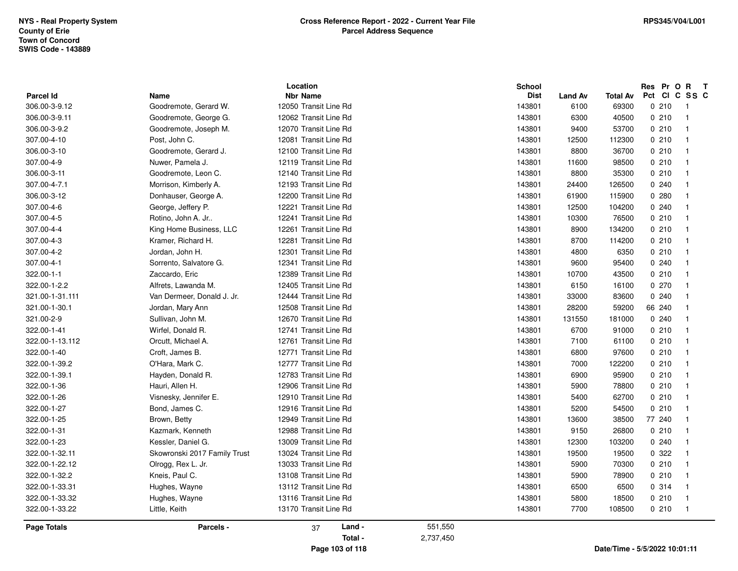|                 |                              |                       | <b>School</b> |             |                | Res Pr O R                    | $\mathbf{T}$ |                          |
|-----------------|------------------------------|-----------------------|---------------|-------------|----------------|-------------------------------|--------------|--------------------------|
| Parcel Id       | Name                         | <b>Nbr Name</b>       |               | <b>Dist</b> | <b>Land Av</b> | Total Av                      | Pct          | CIC SS C                 |
| 306.00-3-9.12   | Goodremote, Gerard W.        | 12050 Transit Line Rd |               | 143801      | 6100           | 69300                         | 0210         | - 1                      |
| 306.00-3-9.11   | Goodremote, George G.        | 12062 Transit Line Rd |               | 143801      | 6300           | 40500                         | 0210         | $\overline{1}$           |
| 306.00-3-9.2    | Goodremote, Joseph M.        | 12070 Transit Line Rd |               | 143801      | 9400           | 53700                         | 0210         | $\overline{1}$           |
| 307.00-4-10     | Post, John C.                | 12081 Transit Line Rd |               | 143801      | 12500          | 112300                        | 0210         | - 1                      |
| 306.00-3-10     | Goodremote, Gerard J.        | 12100 Transit Line Rd |               | 143801      | 8800           | 36700                         | 0210         | - 1                      |
| 307.00-4-9      | Nuwer, Pamela J.             | 12119 Transit Line Rd |               | 143801      | 11600          | 98500                         | 0210         | $\overline{1}$           |
| 306.00-3-11     | Goodremote, Leon C.          | 12140 Transit Line Rd |               | 143801      | 8800           | 35300                         | 0210         | - 1                      |
| 307.00-4-7.1    | Morrison, Kimberly A.        | 12193 Transit Line Rd |               | 143801      | 24400          | 126500                        | 0.240        | $\overline{\mathbf{1}}$  |
| 306.00-3-12     | Donhauser, George A.         | 12200 Transit Line Rd |               | 143801      | 61900          | 115900                        | 0.280        | $\overline{\phantom{0}}$ |
| 307.00-4-6      | George, Jeffery P.           | 12221 Transit Line Rd |               | 143801      | 12500          | 104200                        | 0.240        | $\overline{1}$           |
| 307.00-4-5      | Rotino, John A. Jr           | 12241 Transit Line Rd |               | 143801      | 10300          | 76500                         | 0210         | $\overline{1}$           |
| 307.00-4-4      | King Home Business, LLC      | 12261 Transit Line Rd |               | 143801      | 8900           | 134200                        | 0210         | $\overline{1}$           |
| 307.00-4-3      | Kramer, Richard H.           | 12281 Transit Line Rd |               | 143801      | 8700           | 114200                        | 0210         | $\overline{1}$           |
| 307.00-4-2      | Jordan, John H.              | 12301 Transit Line Rd |               | 143801      | 4800           | 6350                          | 0210         | $\overline{1}$           |
| 307.00-4-1      | Sorrento, Salvatore G.       | 12341 Transit Line Rd |               | 143801      | 9600           | 95400                         | 0.240        | $\overline{1}$           |
| 322.00-1-1      | Zaccardo, Eric               | 12389 Transit Line Rd |               | 143801      | 10700          | 43500                         | 0210         | $\overline{1}$           |
| 322.00-1-2.2    | Alfrets, Lawanda M.          | 12405 Transit Line Rd |               | 143801      | 6150           | 16100                         | 0270         | - 1                      |
| 321.00-1-31.111 | Van Dermeer, Donald J. Jr.   | 12444 Transit Line Rd |               | 143801      | 33000          | 83600                         | 0.240        | $\overline{\phantom{0}}$ |
| 321.00-1-30.1   | Jordan, Mary Ann             | 12508 Transit Line Rd |               | 143801      | 28200          | 59200                         | 66 240       | - 1                      |
| 321.00-2-9      | Sullivan, John M.            | 12670 Transit Line Rd |               | 143801      | 131550         | 181000                        | 0.240        | $\overline{1}$           |
| 322.00-1-41     | Wirfel, Donald R.            | 12741 Transit Line Rd |               | 143801      | 6700           | 91000                         | 0210         | $\overline{1}$           |
| 322.00-1-13.112 | Orcutt, Michael A.           | 12761 Transit Line Rd |               | 143801      | 7100           | 61100                         | 0210         | $\overline{1}$           |
| 322.00-1-40     | Croft, James B.              | 12771 Transit Line Rd |               | 143801      | 6800           | 97600                         | 0210         | $\overline{1}$           |
| 322.00-1-39.2   | O'Hara, Mark C.              | 12777 Transit Line Rd |               | 143801      | 7000           | 122200                        | 0210         | $\overline{1}$           |
| 322.00-1-39.1   | Hayden, Donald R.            | 12783 Transit Line Rd |               | 143801      | 6900           | 95900                         | 0210         | $\overline{1}$           |
| 322.00-1-36     | Hauri, Allen H.              | 12906 Transit Line Rd |               | 143801      | 5900           | 78800                         | 0210         | - 1                      |
| 322.00-1-26     | Visnesky, Jennifer E.        | 12910 Transit Line Rd |               | 143801      | 5400           | 62700                         | 0210         | $\overline{\phantom{0}}$ |
| 322.00-1-27     | Bond, James C.               | 12916 Transit Line Rd |               | 143801      | 5200           | 54500                         | 0210         | $\overline{1}$           |
| 322.00-1-25     | Brown, Betty                 | 12949 Transit Line Rd |               | 143801      | 13600          | 38500                         | 77 240       | - 1                      |
| 322.00-1-31     | Kazmark, Kenneth             | 12988 Transit Line Rd |               | 143801      | 9150           | 26800                         | 0210         | - 1                      |
| 322.00-1-23     | Kessler, Daniel G.           | 13009 Transit Line Rd |               | 143801      | 12300          | 103200                        | 0.240        | - 1                      |
| 322.00-1-32.11  | Skowronski 2017 Family Trust | 13024 Transit Line Rd |               | 143801      | 19500          | 19500                         | 0 322        | $\overline{1}$           |
| 322.00-1-22.12  | Olrogg, Rex L. Jr.           | 13033 Transit Line Rd |               | 143801      | 5900           | 70300                         | 0210         | $\overline{1}$           |
| 322.00-1-32.2   | Kneis, Paul C.               | 13108 Transit Line Rd |               | 143801      | 5900           | 78900                         | 0210         | $\overline{\phantom{1}}$ |
| 322.00-1-33.31  | Hughes, Wayne                | 13112 Transit Line Rd |               | 143801      | 6500           | 6500                          | 0.314        | $\overline{1}$           |
| 322.00-1-33.32  | Hughes, Wayne                | 13116 Transit Line Rd |               | 143801      | 5800           | 18500                         | 0210         | $\overline{1}$           |
| 322.00-1-33.22  | Little, Keith                | 13170 Transit Line Rd |               | 143801      | 7700           | 108500                        | 0210         | $\overline{\phantom{1}}$ |
| Page Totals     | Parcels -                    | Land -<br>37          | 551,550       |             |                |                               |              |                          |
|                 |                              | Total -               | 2,737,450     |             |                |                               |              |                          |
|                 |                              | Page 103 of 118       |               |             |                | Date/Time - 5/5/2022 10:01:11 |              |                          |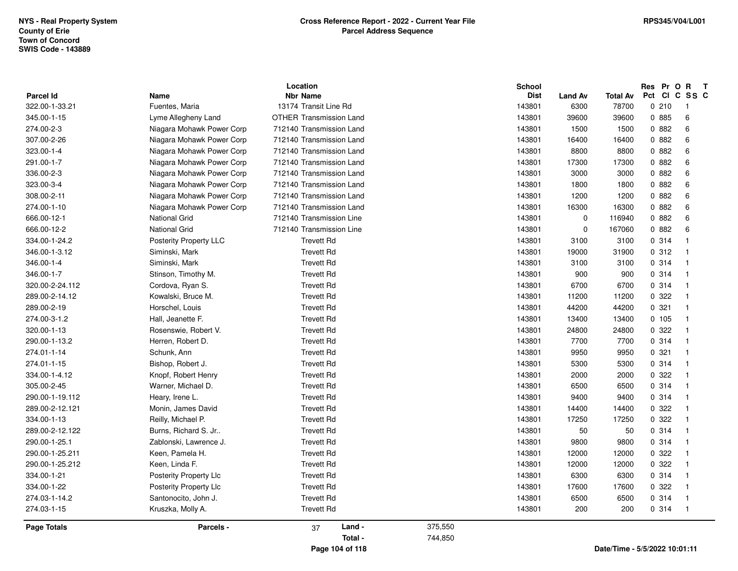|                    | Location                      |                                |         | <b>School</b> |                |                 | Res Pr O R T                  |                          |
|--------------------|-------------------------------|--------------------------------|---------|---------------|----------------|-----------------|-------------------------------|--------------------------|
| <b>Parcel Id</b>   | Name                          | <b>Nbr Name</b>                |         | <b>Dist</b>   | <b>Land Av</b> | <b>Total Av</b> | Pct CI C SS C                 |                          |
| 322.00-1-33.21     | Fuentes, Maria                | 13174 Transit Line Rd          |         | 143801        | 6300           | 78700           | 0210                          | - 1                      |
| 345.00-1-15        | Lyme Allegheny Land           | <b>OTHER Transmission Land</b> |         | 143801        | 39600          | 39600           | 0 885                         | 6                        |
| 274.00-2-3         | Niagara Mohawk Power Corp     | 712140 Transmission Land       |         | 143801        | 1500           | 1500            | 0 882                         | 6                        |
| 307.00-2-26        | Niagara Mohawk Power Corp     | 712140 Transmission Land       |         | 143801        | 16400          | 16400           | 0.882                         | $\,6\,$                  |
| 323.00-1-4         | Niagara Mohawk Power Corp     | 712140 Transmission Land       |         | 143801        | 8800           | 8800            | 0.882                         | 6                        |
| 291.00-1-7         | Niagara Mohawk Power Corp     | 712140 Transmission Land       |         | 143801        | 17300          | 17300           | 0.882                         | $\,6\,$                  |
| 336.00-2-3         | Niagara Mohawk Power Corp     | 712140 Transmission Land       |         | 143801        | 3000           | 3000            | 0.882                         | $\,6\,$                  |
| 323.00-3-4         | Niagara Mohawk Power Corp     | 712140 Transmission Land       |         | 143801        | 1800           | 1800            | 0.882                         | 6                        |
| 308.00-2-11        | Niagara Mohawk Power Corp     | 712140 Transmission Land       |         | 143801        | 1200           | 1200            | 0 882                         | 6                        |
| 274.00-1-10        | Niagara Mohawk Power Corp     | 712140 Transmission Land       |         | 143801        | 16300          | 16300           | 0.882                         | 6                        |
| 666.00-12-1        | <b>National Grid</b>          | 712140 Transmission Line       |         | 143801        | $\mathbf 0$    | 116940          | 0.882                         | 6                        |
| 666.00-12-2        | <b>National Grid</b>          | 712140 Transmission Line       |         | 143801        | $\Omega$       | 167060          | 0 882                         | $\,6\,$                  |
| 334.00-1-24.2      | Posterity Property LLC        | <b>Trevett Rd</b>              |         | 143801        | 3100           | 3100            | 0 314                         | $\mathbf{1}$             |
| 346.00-1-3.12      | Siminski, Mark                | <b>Trevett Rd</b>              |         | 143801        | 19000          | 31900           | 0.312                         | $\overline{\mathbf{1}}$  |
| 346.00-1-4         | Siminski, Mark                | <b>Trevett Rd</b>              |         | 143801        | 3100           | 3100            | 0.314                         | $\overline{1}$           |
| 346.00-1-7         | Stinson, Timothy M.           | <b>Trevett Rd</b>              |         | 143801        | 900            | 900             | 0.314                         | $\mathbf{1}$             |
| 320.00-2-24.112    | Cordova, Ryan S.              | <b>Trevett Rd</b>              |         | 143801        | 6700           | 6700            | 0.314                         | $\mathbf 1$              |
| 289.00-2-14.12     | Kowalski, Bruce M.            | <b>Trevett Rd</b>              |         | 143801        | 11200          | 11200           | 0.322                         | $\overline{1}$           |
| 289.00-2-19        | Horschel, Louis               | <b>Trevett Rd</b>              |         | 143801        | 44200          | 44200           | 0.321                         | $\mathbf{1}$             |
| 274.00-3-1.2       | Hall, Jeanette F.             | <b>Trevett Rd</b>              |         | 143801        | 13400          | 13400           | 0, 105                        | $\overline{1}$           |
| 320.00-1-13        | Rosenswie, Robert V.          | <b>Trevett Rd</b>              |         | 143801        | 24800          | 24800           | 0.322                         | $\mathbf{1}$             |
| 290.00-1-13.2      | Herren, Robert D.             | <b>Trevett Rd</b>              |         | 143801        | 7700           | 7700            | 0 314                         | $\overline{\mathbf{1}}$  |
| 274.01-1-14        | Schunk, Ann                   | <b>Trevett Rd</b>              |         | 143801        | 9950           | 9950            | 0.321                         | $\overline{1}$           |
| 274.01-1-15        | Bishop, Robert J.             | <b>Trevett Rd</b>              |         | 143801        | 5300           | 5300            | 0 314                         | $\mathbf{1}$             |
| 334.00-1-4.12      | Knopf, Robert Henry           | <b>Trevett Rd</b>              |         | 143801        | 2000           | 2000            | 0 322                         | $\mathbf 1$              |
| 305.00-2-45        | Warner, Michael D.            | <b>Trevett Rd</b>              |         | 143801        | 6500           | 6500            | 0.314                         | $\overline{1}$           |
| 290.00-1-19.112    | Heary, Irene L.               | <b>Trevett Rd</b>              |         | 143801        | 9400           | 9400            | 0.314                         | $\overline{1}$           |
| 289.00-2-12.121    | Monin, James David            | <b>Trevett Rd</b>              |         | 143801        | 14400          | 14400           | 0.322                         | $\overline{1}$           |
| 334.00-1-13        | Reilly, Michael P.            | <b>Trevett Rd</b>              |         | 143801        | 17250          | 17250           | 0.322                         | $\mathbf{1}$             |
| 289.00-2-12.122    | Burns, Richard S. Jr          | <b>Trevett Rd</b>              |         | 143801        | 50             | 50              | 0.314                         | $\mathbf{1}$             |
| 290.00-1-25.1      | Zablonski, Lawrence J.        | <b>Trevett Rd</b>              |         | 143801        | 9800           | 9800            | 0.314                         | $\mathbf{1}$             |
| 290.00-1-25.211    | Keen, Pamela H.               | <b>Trevett Rd</b>              |         | 143801        | 12000          | 12000           | 0.322                         | $\overline{1}$           |
| 290.00-1-25.212    | Keen, Linda F.                | <b>Trevett Rd</b>              |         | 143801        | 12000          | 12000           | 0.322                         | $\mathbf{1}$             |
| 334.00-1-21        | <b>Posterity Property Llc</b> | <b>Trevett Rd</b>              |         | 143801        | 6300           | 6300            | 0.314                         | $\mathbf{1}$             |
| 334.00-1-22        | Posterity Property Llc        | <b>Trevett Rd</b>              |         | 143801        | 17600          | 17600           | 0 322                         | $\mathbf 1$              |
| 274.03-1-14.2      | Santonocito, John J.          | <b>Trevett Rd</b>              |         | 143801        | 6500           | 6500            | 0.314                         | $\overline{1}$           |
| 274.03-1-15        | Kruszka, Molly A.             | <b>Trevett Rd</b>              |         | 143801        | 200            | 200             | 0.314                         | $\overline{\phantom{1}}$ |
| <b>Page Totals</b> | Parcels -                     | Land -<br>37                   | 375,550 |               |                |                 |                               |                          |
|                    |                               | Total -                        | 744,850 |               |                |                 |                               |                          |
|                    |                               | Page 104 of 118                |         |               |                |                 | Date/Time - 5/5/2022 10:01:11 |                          |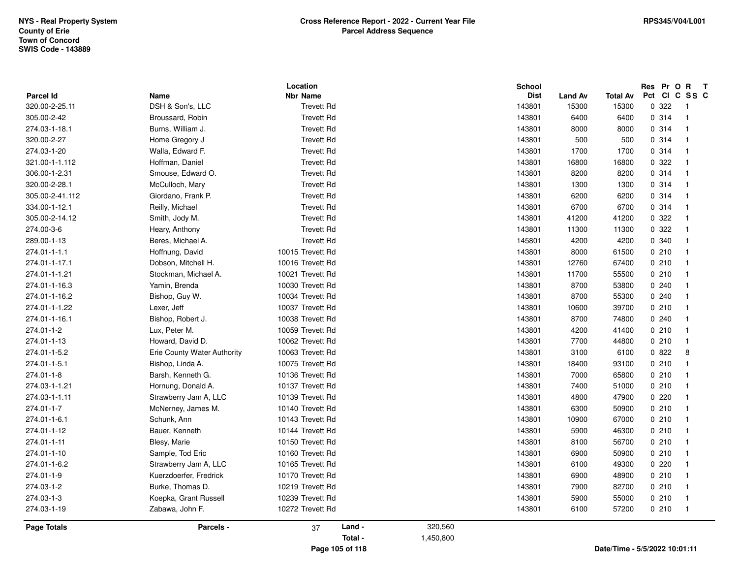|                             |                             | Location                             |                      | School                |                         |                          | Res Pr O R                    | $\mathbf{T}$             |
|-----------------------------|-----------------------------|--------------------------------------|----------------------|-----------------------|-------------------------|--------------------------|-------------------------------|--------------------------|
| Parcel Id<br>320.00-2-25.11 | Name<br>DSH & Son's, LLC    | <b>Nbr Name</b><br><b>Trevett Rd</b> |                      | <b>Dist</b><br>143801 | <b>Land Av</b><br>15300 | <b>Total Av</b><br>15300 | Pct CI C SS C<br>0.322        | - 1                      |
| 305.00-2-42                 | Broussard, Robin            | <b>Trevett Rd</b>                    |                      | 143801                | 6400                    | 6400                     | 0.314                         | $\overline{1}$           |
| 274.03-1-18.1               | Burns, William J.           | <b>Trevett Rd</b>                    |                      | 143801                | 8000                    | 8000                     | 0.314                         | $\overline{1}$           |
| 320.00-2-27                 |                             | <b>Trevett Rd</b>                    |                      |                       |                         |                          |                               |                          |
|                             | Home Gregory J              |                                      |                      | 143801                | 500                     | 500                      | 0.314                         | - 1                      |
| 274.03-1-20                 | Walla, Edward F.            | <b>Trevett Rd</b>                    |                      | 143801                | 1700                    | 1700                     | 0 314                         | - 1                      |
| 321.00-1-1.112              | Hoffman, Daniel             | <b>Trevett Rd</b>                    |                      | 143801                | 16800                   | 16800                    | 0 322                         | - 1                      |
| 306.00-1-2.31               | Smouse, Edward O.           | <b>Trevett Rd</b>                    |                      | 143801                | 8200                    | 8200                     | 0.314                         | $\overline{\mathbf{1}}$  |
| 320.00-2-28.1               | McCulloch, Mary             | <b>Trevett Rd</b>                    |                      | 143801                | 1300                    | 1300                     | 0 314                         | - 1                      |
| 305.00-2-41.112             | Giordano, Frank P.          | <b>Trevett Rd</b>                    |                      | 143801                | 6200                    | 6200                     | 0.314                         | $\overline{1}$           |
| 334.00-1-12.1               | Reilly, Michael             | <b>Trevett Rd</b>                    |                      | 143801                | 6700                    | 6700                     | 0.314                         | $\overline{1}$           |
| 305.00-2-14.12              | Smith, Jody M.              | <b>Trevett Rd</b>                    |                      | 143801                | 41200                   | 41200                    | 0.322                         | $\overline{1}$           |
| 274.00-3-6                  | Heary, Anthony              | <b>Trevett Rd</b>                    |                      | 143801                | 11300                   | 11300                    | 0.322                         | - 1                      |
| 289.00-1-13                 | Beres, Michael A.           | <b>Trevett Rd</b>                    |                      | 145801                | 4200                    | 4200                     | 0 340                         | - 1                      |
| 274.01-1-1.1                | Hoffnung, David             | 10015 Trevett Rd                     |                      | 143801                | 8000                    | 61500                    | 0210                          | - 1                      |
| 274.01-1-17.1               | Dobson, Mitchell H.         | 10016 Trevett Rd                     |                      | 143801                | 12760                   | 67400                    | 0210                          | $\overline{\mathbf{1}}$  |
| 274.01-1-1.21               | Stockman, Michael A.        | 10021 Trevett Rd                     |                      | 143801                | 11700                   | 55500                    | 0210                          | - 1                      |
| 274.01-1-16.3               | Yamin, Brenda               | 10030 Trevett Rd                     |                      | 143801                | 8700                    | 53800                    | 0.240                         | $\mathbf{I}$             |
| 274.01-1-16.2               | Bishop, Guy W.              | 10034 Trevett Rd                     |                      | 143801                | 8700                    | 55300                    | 0240                          | $\overline{1}$           |
| 274.01-1-1.22               | Lexer, Jeff                 | 10037 Trevett Rd                     |                      | 143801                | 10600                   | 39700                    | 0210                          | - 1                      |
| 274.01-1-16.1               | Bishop, Robert J.           | 10038 Trevett Rd                     |                      | 143801                | 8700                    | 74800                    | 0240                          | $\overline{1}$           |
| 274.01-1-2                  | Lux, Peter M.               | 10059 Trevett Rd                     |                      | 143801                | 4200                    | 41400                    | 0210                          | $\overline{1}$           |
| 274.01-1-13                 | Howard, David D.            | 10062 Trevett Rd                     |                      | 143801                | 7700                    | 44800                    | 0210                          | - 1                      |
| 274.01-1-5.2                | Erie County Water Authority | 10063 Trevett Rd                     |                      | 143801                | 3100                    | 6100                     | 0822                          | 8                        |
| 274.01-1-5.1                | Bishop, Linda A.            | 10075 Trevett Rd                     |                      | 143801                | 18400                   | 93100                    | 0210                          | - 1                      |
| 274.01-1-8                  | Barsh, Kenneth G.           | 10136 Trevett Rd                     |                      | 143801                | 7000                    | 65800                    | 0210                          | - 1                      |
| 274.03-1-1.21               | Hornung, Donald A.          | 10137 Trevett Rd                     |                      | 143801                | 7400                    | 51000                    | 0210                          | - 1                      |
| 274.03-1-1.11               | Strawberry Jam A, LLC       | 10139 Trevett Rd                     |                      | 143801                | 4800                    | 47900                    | 0220                          | - 1                      |
| 274.01-1-7                  | McNerney, James M.          | 10140 Trevett Rd                     |                      | 143801                | 6300                    | 50900                    | 0210                          | - 1                      |
| 274.01-1-6.1                | Schunk, Ann                 | 10143 Trevett Rd                     |                      | 143801                | 10900                   | 67000                    | 0210                          | $\overline{\mathbf{1}}$  |
| 274.01-1-12                 | Bauer, Kenneth              | 10144 Trevett Rd                     |                      | 143801                | 5900                    | 46300                    | 0210                          | - 1                      |
| 274.01-1-11                 | Blesy, Marie                | 10150 Trevett Rd                     |                      | 143801                | 8100                    | 56700                    | 0210                          | $\overline{1}$           |
| 274.01-1-10                 | Sample, Tod Eric            | 10160 Trevett Rd                     |                      | 143801                | 6900                    | 50900                    | 0210                          | $\overline{\phantom{0}}$ |
| 274.01-1-6.2                | Strawberry Jam A, LLC       | 10165 Trevett Rd                     |                      | 143801                | 6100                    | 49300                    | 0220                          | - 1                      |
| 274.01-1-9                  | Kuerzdoerfer, Fredrick      | 10170 Trevett Rd                     |                      | 143801                | 6900                    | 48900                    | 0210                          | $\overline{1}$           |
| 274.03-1-2                  | Burke, Thomas D.            | 10219 Trevett Rd                     |                      | 143801                | 7900                    | 82700                    | 0210                          | $\overline{\phantom{0}}$ |
| 274.03-1-3                  | Koepka, Grant Russell       | 10239 Trevett Rd                     |                      | 143801                | 5900                    | 55000                    | 0210                          | - 1                      |
| 274.03-1-19                 | Zabawa, John F.             | 10272 Trevett Rd                     |                      | 143801                | 6100                    | 57200                    | 0210                          | $\overline{\phantom{0}}$ |
| <b>Page Totals</b>          | Parcels -                   | 37                                   | Land -<br>320,560    |                       |                         |                          |                               |                          |
|                             |                             |                                      | Total -<br>1,450,800 |                       |                         |                          |                               |                          |
|                             |                             | Page 105 of 118                      |                      |                       |                         |                          | Date/Time - 5/5/2022 10:01:11 |                          |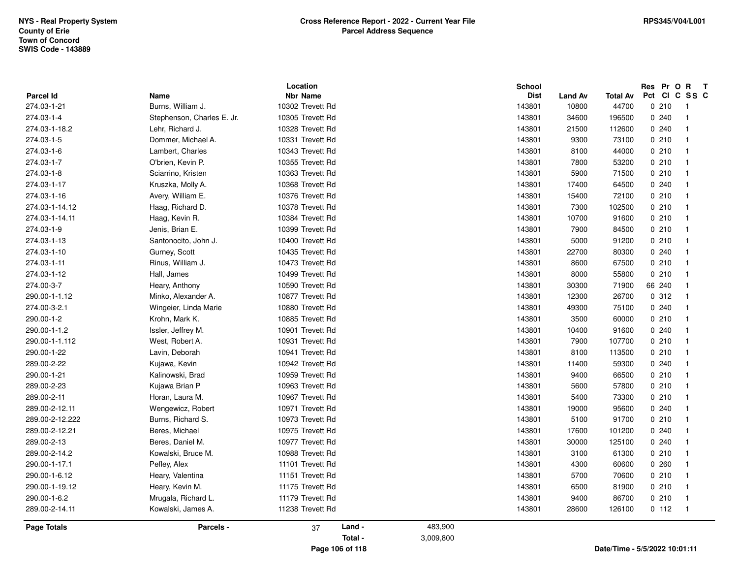|                 |                            | Location         |           | School      |                |                               | Res Pr O R | $\mathbf{T}$             |
|-----------------|----------------------------|------------------|-----------|-------------|----------------|-------------------------------|------------|--------------------------|
| Parcel Id       | Name                       | <b>Nbr Name</b>  |           | <b>Dist</b> | <b>Land Av</b> | <b>Total Av</b>               | Pct        | CICSSC                   |
| 274.03-1-21     | Burns, William J.          | 10302 Trevett Rd |           | 143801      | 10800          | 44700                         | 0210       | $\overline{\phantom{0}}$ |
| 274.03-1-4      | Stephenson, Charles E. Jr. | 10305 Trevett Rd |           | 143801      | 34600          | 196500                        | 0240       | $\overline{\mathbf{1}}$  |
| 274.03-1-18.2   | Lehr, Richard J.           | 10328 Trevett Rd |           | 143801      | 21500          | 112600                        | 0240       | $\overline{1}$           |
| 274.03-1-5      | Dommer, Michael A.         | 10331 Trevett Rd |           | 143801      | 9300           | 73100                         | 0210       | $\overline{1}$           |
| 274.03-1-6      | Lambert, Charles           | 10343 Trevett Rd |           | 143801      | 8100           | 44000                         | 0210       | $\overline{1}$           |
| 274.03-1-7      | O'brien, Kevin P.          | 10355 Trevett Rd |           | 143801      | 7800           | 53200                         | 0210       | $\overline{1}$           |
| 274.03-1-8      | Sciarrino, Kristen         | 10363 Trevett Rd |           | 143801      | 5900           | 71500                         | 0210       | $\overline{1}$           |
| 274.03-1-17     | Kruszka, Molly A.          | 10368 Trevett Rd |           | 143801      | 17400          | 64500                         | 0240       | $\overline{1}$           |
| 274.03-1-16     | Avery, William E.          | 10376 Trevett Rd |           | 143801      | 15400          | 72100                         | 0210       | - 1                      |
| 274.03-1-14.12  | Haag, Richard D.           | 10378 Trevett Rd |           | 143801      | 7300           | 102500                        | 0210       | - 1                      |
| 274.03-1-14.11  | Haag, Kevin R.             | 10384 Trevett Rd |           | 143801      | 10700          | 91600                         | 0210       | $\overline{1}$           |
| 274.03-1-9      | Jenis, Brian E.            | 10399 Trevett Rd |           | 143801      | 7900           | 84500                         | 0210       | $\overline{1}$           |
| 274.03-1-13     | Santonocito, John J.       | 10400 Trevett Rd |           | 143801      | 5000           | 91200                         | 0210       | - 1                      |
| 274.03-1-10     | Gurney, Scott              | 10435 Trevett Rd |           | 143801      | 22700          | 80300                         | 0.240      | - 1                      |
| 274.03-1-11     | Rinus, William J.          | 10473 Trevett Rd |           | 143801      | 8600           | 67500                         | 0210       | $\overline{1}$           |
| 274.03-1-12     | Hall, James                | 10499 Trevett Rd |           | 143801      | 8000           | 55800                         | 0210       | $\overline{1}$           |
| 274.00-3-7      | Heary, Anthony             | 10590 Trevett Rd |           | 143801      | 30300          | 71900                         | 66 240     | - 1                      |
| 290.00-1-1.12   | Minko, Alexander A.        | 10877 Trevett Rd |           | 143801      | 12300          | 26700                         | 0.312      | - 1                      |
| 274.00-3-2.1    | Wingeier, Linda Marie      | 10880 Trevett Rd |           | 143801      | 49300          | 75100                         | 0240       | $\overline{\mathbf{1}}$  |
| 290.00-1-2      | Krohn, Mark K.             | 10885 Trevett Rd |           | 143801      | 3500           | 60000                         | 0210       | $\overline{1}$           |
| 290.00-1-1.2    | Issler, Jeffrey M.         | 10901 Trevett Rd |           | 143801      | 10400          | 91600                         | 0.240      | $\overline{1}$           |
| 290.00-1-1.112  | West, Robert A.            | 10931 Trevett Rd |           | 143801      | 7900           | 107700                        | 0210       | - 1                      |
| 290.00-1-22     | Lavin, Deborah             | 10941 Trevett Rd |           | 143801      | 8100           | 113500                        | 0210       | $\overline{1}$           |
| 289.00-2-22     | Kujawa, Kevin              | 10942 Trevett Rd |           | 143801      | 11400          | 59300                         | 0.240      | $\overline{\mathbf{1}}$  |
| 290.00-1-21     | Kalinowski, Brad           | 10959 Trevett Rd |           | 143801      | 9400           | 66500                         | 0210       | $\overline{1}$           |
| 289.00-2-23     | Kujawa Brian P             | 10963 Trevett Rd |           | 143801      | 5600           | 57800                         | 0210       | - 1                      |
| 289.00-2-11     | Horan, Laura M.            | 10967 Trevett Rd |           | 143801      | 5400           | 73300                         | 0210       | -1                       |
| 289.00-2-12.11  | Wengewicz, Robert          | 10971 Trevett Rd |           | 143801      | 19000          | 95600                         | 0240       | $\overline{\mathbf{1}}$  |
| 289.00-2-12.222 | Burns, Richard S.          | 10973 Trevett Rd |           | 143801      | 5100           | 91700                         | 0210       | $\overline{1}$           |
| 289.00-2-12.21  | Beres, Michael             | 10975 Trevett Rd |           | 143801      | 17600          | 101200                        | 0240       | $\overline{\phantom{0}}$ |
| 289.00-2-13     | Beres, Daniel M.           | 10977 Trevett Rd |           | 143801      | 30000          | 125100                        | 0240       | $\overline{\mathbf{1}}$  |
| 289.00-2-14.2   | Kowalski, Bruce M.         | 10988 Trevett Rd |           | 143801      | 3100           | 61300                         | 0210       | $\overline{\phantom{0}}$ |
| 290.00-1-17.1   | Pefley, Alex               | 11101 Trevett Rd |           | 143801      | 4300           | 60600                         | 0.260      | $\overline{1}$           |
| 290.00-1-6.12   | Heary, Valentina           | 11151 Trevett Rd |           | 143801      | 5700           | 70600                         | 0210       | $\overline{\mathbf{1}}$  |
| 290.00-1-19.12  | Heary, Kevin M.            | 11175 Trevett Rd |           | 143801      | 6500           | 81900                         | 0210       | $\overline{1}$           |
| 290.00-1-6.2    | Mrugala, Richard L.        | 11179 Trevett Rd |           | 143801      | 9400           | 86700                         | 0210       | $\overline{1}$           |
| 289.00-2-14.11  | Kowalski, James A.         | 11238 Trevett Rd |           | 143801      | 28600          | 126100                        | 0 112      | $\overline{1}$           |
| Page Totals     | Parcels -                  | Land -<br>37     | 483,900   |             |                |                               |            |                          |
|                 |                            | Total -          | 3,009,800 |             |                |                               |            |                          |
|                 |                            | Page 106 of 118  |           |             |                | Date/Time - 5/5/2022 10:01:11 |            |                          |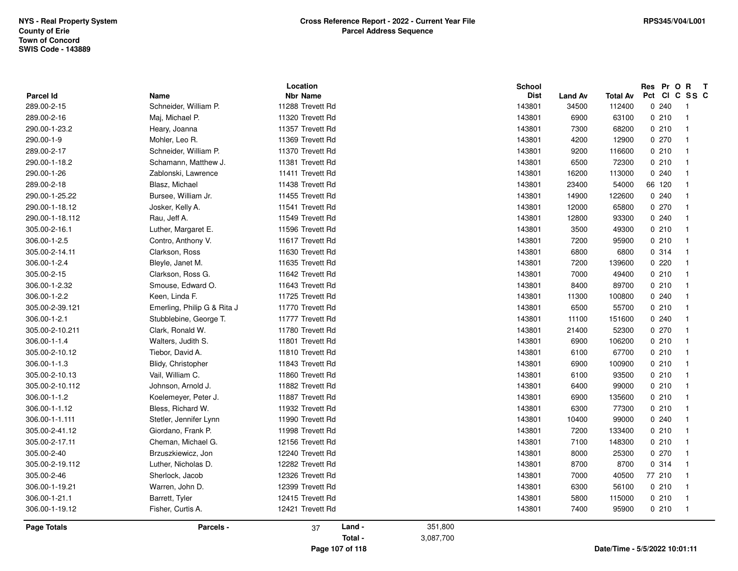| <b>Parcel Id</b>   | <b>Name</b>                 | Location<br><b>Nbr Name</b> |           | School<br><b>Dist</b><br><b>Land Av</b> | <b>Total Av</b> | Res Pr O R<br>Pct CI C SS C         | $\mathbf{T}$ |
|--------------------|-----------------------------|-----------------------------|-----------|-----------------------------------------|-----------------|-------------------------------------|--------------|
| 289.00-2-15        | Schneider, William P.       | 11288 Trevett Rd            |           | 143801<br>34500                         | 112400          | 0240<br>$\overline{\phantom{1}}$    |              |
| 289.00-2-16        | Maj, Michael P.             | 11320 Trevett Rd            |           | 143801<br>6900                          | 63100           | 0210<br>$\overline{1}$              |              |
| 290.00-1-23.2      | Heary, Joanna               | 11357 Trevett Rd            |           | 143801<br>7300                          | 68200           | 0210<br>- 1                         |              |
| 290.00-1-9         | Mohler, Leo R.              | 11369 Trevett Rd            |           | 143801<br>4200                          | 12900           | 0270<br>$\overline{1}$              |              |
| 289.00-2-17        | Schneider, William P.       | 11370 Trevett Rd            |           | 143801<br>9200                          | 116600          | 0210<br>$\overline{\phantom{0}}$    |              |
| 290.00-1-18.2      | Schamann, Matthew J.        | 11381 Trevett Rd            |           | 143801<br>6500                          | 72300           | 0210<br>- 1                         |              |
| 290.00-1-26        | Zablonski, Lawrence         | 11411 Trevett Rd            |           | 143801<br>16200                         | 113000          | 0.240<br>$\overline{\mathbf{1}}$    |              |
| 289.00-2-18        | Blasz, Michael              | 11438 Trevett Rd            |           | 143801<br>23400                         | 54000           | 66 120<br>$\overline{\mathbf{1}}$   |              |
| 290.00-1-25.22     | Bursee, William Jr.         | 11455 Trevett Rd            |           | 143801<br>14900                         | 122600          | 0240<br>- 1                         |              |
| 290.00-1-18.12     | Josker, Kelly A.            | 11541 Trevett Rd            |           | 143801<br>12000                         | 65800           | 0270<br>$\overline{\phantom{0}}$    |              |
| 290.00-1-18.112    | Rau, Jeff A.                | 11549 Trevett Rd            |           | 143801<br>12800                         | 93300           | 0.240<br>- 1                        |              |
| 305.00-2-16.1      | Luther, Margaret E.         | 11596 Trevett Rd            |           | 143801<br>3500                          | 49300           | 0210<br>$\overline{1}$              |              |
| 306.00-1-2.5       | Contro, Anthony V.          | 11617 Trevett Rd            |           | 143801<br>7200                          | 95900           | 0210<br>$\overline{\phantom{0}}$ 1  |              |
| 305.00-2-14.11     | Clarkson, Ross              | 11630 Trevett Rd            |           | 143801<br>6800                          | 6800            | 0.314<br>$\overline{\phantom{0}}$ 1 |              |
| 306.00-1-2.4       | Bleyle, Janet M.            | 11635 Trevett Rd            |           | 143801<br>7200                          | 139600          | 0220<br>- 1                         |              |
| 305.00-2-15        | Clarkson, Ross G.           | 11642 Trevett Rd            |           | 143801<br>7000                          | 49400           | 0210<br>$\overline{1}$              |              |
| 306.00-1-2.32      | Smouse, Edward O.           | 11643 Trevett Rd            |           | 143801<br>8400                          | 89700           | 0210<br>$\overline{1}$              |              |
| 306.00-1-2.2       | Keen, Linda F.              | 11725 Trevett Rd            |           | 143801<br>11300                         | 100800          | 0240<br>- 1                         |              |
| 305.00-2-39.121    | Emerling, Philip G & Rita J | 11770 Trevett Rd            |           | 143801<br>6500                          | 55700           | 0210<br>- 1                         |              |
| 306.00-1-2.1       | Stubblebine, George T.      | 11777 Trevett Rd            |           | 143801<br>11100                         | 151600          | 0.240<br>- 1                        |              |
| 305.00-2-10.211    | Clark, Ronald W.            | 11780 Trevett Rd            |           | 143801<br>21400                         | 52300           | 0270<br>- 1                         |              |
| 306.00-1-1.4       | Walters, Judith S.          | 11801 Trevett Rd            |           | 143801<br>6900                          | 106200          | 0210<br>- 1                         |              |
| 305.00-2-10.12     | Tiebor, David A.            | 11810 Trevett Rd            |           | 143801<br>6100                          | 67700           | 0210<br>- 1                         |              |
| 306.00-1-1.3       | Blidy, Christopher          | 11843 Trevett Rd            |           | 143801<br>6900                          | 100900          | 0210<br>$\overline{1}$              |              |
| 305.00-2-10.13     | Vail, William C.            | 11860 Trevett Rd            |           | 143801<br>6100                          | 93500           | 0210<br>$\overline{1}$              |              |
| 305.00-2-10.112    | Johnson, Arnold J.          | 11882 Trevett Rd            |           | 143801<br>6400                          | 99000           | 0210<br>- 1                         |              |
| 306.00-1-1.2       | Koelemeyer, Peter J.        | 11887 Trevett Rd            |           | 143801<br>6900                          | 135600          | 0210<br>$\overline{1}$              |              |
| 306.00-1-1.12      | Bless, Richard W.           | 11932 Trevett Rd            |           | 143801<br>6300                          | 77300           | 0210<br>- 1                         |              |
| 306.00-1-1.111     | Stetler, Jennifer Lynn      | 11990 Trevett Rd            |           | 143801<br>10400                         | 99000           | 0240<br>$\overline{1}$              |              |
| 305.00-2-41.12     | Giordano, Frank P.          | 11998 Trevett Rd            |           | 143801<br>7200                          | 133400          | 0210<br>$\overline{1}$              |              |
| 305.00-2-17.11     | Cheman, Michael G.          | 12156 Trevett Rd            |           | 143801<br>7100                          | 148300          | 0210<br>$\overline{\phantom{0}}$ 1  |              |
| 305.00-2-40        | Brzuszkiewicz, Jon          | 12240 Trevett Rd            |           | 143801<br>8000                          | 25300           | 0270<br>$\overline{\phantom{0}}$ 1  |              |
| 305.00-2-19.112    | Luther, Nicholas D.         | 12282 Trevett Rd            |           | 143801<br>8700                          | 8700            | 0.314<br>- 1                        |              |
| 305.00-2-46        | Sherlock, Jacob             | 12326 Trevett Rd            |           | 143801<br>7000                          | 40500           | 77 210<br>$\overline{1}$            |              |
| 306.00-1-19.21     | Warren, John D.             | 12399 Trevett Rd            |           | 143801<br>6300                          | 56100           | 0210<br>$\overline{1}$              |              |
| 306.00-1-21.1      | Barrett, Tyler              | 12415 Trevett Rd            |           | 143801<br>5800                          | 115000          | 0210<br>- 1                         |              |
| 306.00-1-19.12     | Fisher, Curtis A.           | 12421 Trevett Rd            |           | 143801<br>7400                          | 95900           | 0210<br>$\overline{\phantom{0}}$    |              |
| <b>Page Totals</b> | Parcels -                   | Land -<br>37                | 351,800   |                                         |                 |                                     |              |
|                    |                             | Total -                     | 3,087,700 |                                         |                 |                                     |              |
|                    |                             | Page 107 of 118             |           |                                         |                 | Date/Time - 5/5/2022 10:01:11       |              |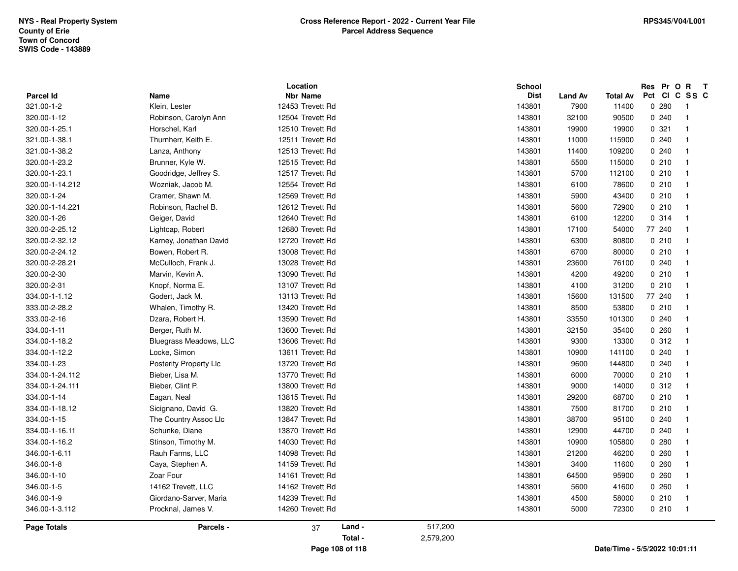| <b>Parcel Id</b>   | Name                   | Location<br><b>Nbr Name</b> |           | <b>School</b><br><b>Dist</b><br><b>Land Av</b> | <b>Total Av</b> | Res Pr O R<br>Pct<br>CICSSC        | $\mathbf{T}$ |
|--------------------|------------------------|-----------------------------|-----------|------------------------------------------------|-----------------|------------------------------------|--------------|
| 321.00-1-2         | Klein, Lester          | 12453 Trevett Rd            |           | 143801<br>7900                                 | 11400           | 0280<br>$\overline{\phantom{0}}$ 1 |              |
| 320.00-1-12        | Robinson, Carolyn Ann  | 12504 Trevett Rd            |           | 143801<br>32100                                | 90500           | 0240<br>$\overline{\phantom{0}}$ 1 |              |
| 320.00-1-25.1      | Horschel, Karl         | 12510 Trevett Rd            |           | 143801<br>19900                                | 19900           | 0.321<br>$\overline{1}$            |              |
| 321.00-1-38.1      | Thurnherr, Keith E.    | 12511 Trevett Rd            |           | 143801<br>11000                                | 115900          | 0240<br>- 1                        |              |
| 321.00-1-38.2      | Lanza, Anthony         | 12513 Trevett Rd            |           | 143801<br>11400                                | 109200          | 0240<br>$\overline{\phantom{0}}$   |              |
| 320.00-1-23.2      | Brunner, Kyle W.       | 12515 Trevett Rd            |           | 143801<br>5500                                 | 115000          | 0210<br>$\overline{1}$             |              |
| 320.00-1-23.1      | Goodridge, Jeffrey S.  | 12517 Trevett Rd            |           | 143801<br>5700                                 | 112100          | 0210<br>- 1                        |              |
| 320.00-1-14.212    | Wozniak, Jacob M.      | 12554 Trevett Rd            |           | 143801<br>6100                                 | 78600           | 0210<br>$\overline{1}$             |              |
| 320.00-1-24        | Cramer, Shawn M.       | 12569 Trevett Rd            |           | 143801<br>5900                                 | 43400           | 0210<br>$\overline{\phantom{0}}$   |              |
| 320.00-1-14.221    | Robinson, Rachel B.    | 12612 Trevett Rd            |           | 143801<br>5600                                 | 72900           | 0210<br>- 1                        |              |
| 320.00-1-26        | Geiger, David          | 12640 Trevett Rd            |           | 143801<br>6100                                 | 12200           | 0 314<br>- 1                       |              |
| 320.00-2-25.12     | Lightcap, Robert       | 12680 Trevett Rd            |           | 143801<br>17100                                | 54000           | 77 240<br>$\overline{1}$           |              |
| 320.00-2-32.12     | Karney, Jonathan David | 12720 Trevett Rd            |           | 143801<br>6300                                 | 80800           | 0210<br>$\overline{1}$             |              |
| 320.00-2-24.12     | Bowen, Robert R.       | 13008 Trevett Rd            |           | 143801<br>6700                                 | 80000           | 0210<br>$\overline{1}$             |              |
| 320.00-2-28.21     | McCulloch, Frank J.    | 13028 Trevett Rd            |           | 143801<br>23600                                | 76100           | 0240<br>$\overline{1}$             |              |
| 320.00-2-30        | Marvin, Kevin A.       | 13090 Trevett Rd            |           | 143801<br>4200                                 | 49200           | 0210<br>$\overline{1}$             |              |
| 320.00-2-31        | Knopf, Norma E.        | 13107 Trevett Rd            |           | 143801<br>4100                                 | 31200           | 0210<br>- 1                        |              |
| 334.00-1-1.12      | Godert, Jack M.        | 13113 Trevett Rd            |           | 143801<br>15600                                | 131500          | 77 240<br>- 1                      |              |
| 333.00-2-28.2      | Whalen, Timothy R.     | 13420 Trevett Rd            |           | 143801<br>8500                                 | 53800           | 0210<br>- 1                        |              |
| 333.00-2-16        | Dzara, Robert H.       | 13590 Trevett Rd            |           | 143801<br>33550                                | 101300          | 0240<br>$\overline{1}$             |              |
| 334.00-1-11        | Berger, Ruth M.        | 13600 Trevett Rd            |           | 143801<br>32150                                | 35400           | 0260<br>$\overline{1}$             |              |
| 334.00-1-18.2      | Bluegrass Meadows, LLC | 13606 Trevett Rd            |           | 143801<br>9300                                 | 13300           | 0.312<br>$\overline{\phantom{0}}$  |              |
| 334.00-1-12.2      | Locke, Simon           | 13611 Trevett Rd            |           | 143801<br>10900                                | 141100          | 0240<br>- 1                        |              |
| 334.00-1-23        | Posterity Property Llc | 13720 Trevett Rd            |           | 143801<br>9600                                 | 144800          | 0.240<br>$\overline{\mathbf{1}}$   |              |
| 334.00-1-24.112    | Bieber, Lisa M.        | 13770 Trevett Rd            |           | 143801<br>6000                                 | 70000           | 0210<br>$\overline{1}$             |              |
| 334.00-1-24.111    | Bieber, Clint P.       | 13800 Trevett Rd            |           | 143801<br>9000                                 | 14000           | 0.312<br>$\overline{\phantom{0}}$  |              |
| 334.00-1-14        | Eagan, Neal            | 13815 Trevett Rd            |           | 143801<br>29200                                | 68700           | 0210<br>$\overline{1}$             |              |
| 334.00-1-18.12     | Sicignano, David G.    | 13820 Trevett Rd            |           | 143801<br>7500                                 | 81700           | 0210<br>$\overline{1}$             |              |
| 334.00-1-15        | The Country Assoc Llc  | 13847 Trevett Rd            |           | 143801<br>38700                                | 95100           | 0240<br>$\overline{1}$             |              |
| 334.00-1-16.11     | Schunke, Diane         | 13870 Trevett Rd            |           | 143801<br>12900                                | 44700           | 0240<br>$\overline{1}$             |              |
| 334.00-1-16.2      | Stinson, Timothy M.    | 14030 Trevett Rd            |           | 143801<br>10900                                | 105800          | 0.280<br>- 1                       |              |
| 346.00-1-6.11      | Rauh Farms, LLC        | 14098 Trevett Rd            |           | 143801<br>21200                                | 46200           | 0.260<br>$\overline{1}$            |              |
| 346.00-1-8         | Caya, Stephen A.       | 14159 Trevett Rd            |           | 143801<br>3400                                 | 11600           | 0260<br>- 1                        |              |
| 346.00-1-10        | Zoar Four              | 14161 Trevett Rd            |           | 143801<br>64500                                | 95900           | 0260<br>- 1                        |              |
| 346.00-1-5         | 14162 Trevett, LLC     | 14162 Trevett Rd            |           | 143801<br>5600                                 | 41600           | 0.260<br>$\overline{\phantom{0}}$  |              |
| 346.00-1-9         | Giordano-Sarver, Maria | 14239 Trevett Rd            |           | 143801<br>4500                                 | 58000           | 0210<br>- 1                        |              |
| 346.00-1-3.112     | Procknal, James V.     | 14260 Trevett Rd            |           | 143801<br>5000                                 | 72300           | 0210<br>$\overline{\phantom{0}}$ 1 |              |
| <b>Page Totals</b> | Parcels -              | Land -<br>37                | 517,200   |                                                |                 |                                    |              |
|                    |                        | Total -                     | 2,579,200 |                                                |                 |                                    |              |
|                    |                        | Page 108 of 118             |           |                                                |                 | Date/Time - 5/5/2022 10:01:11      |              |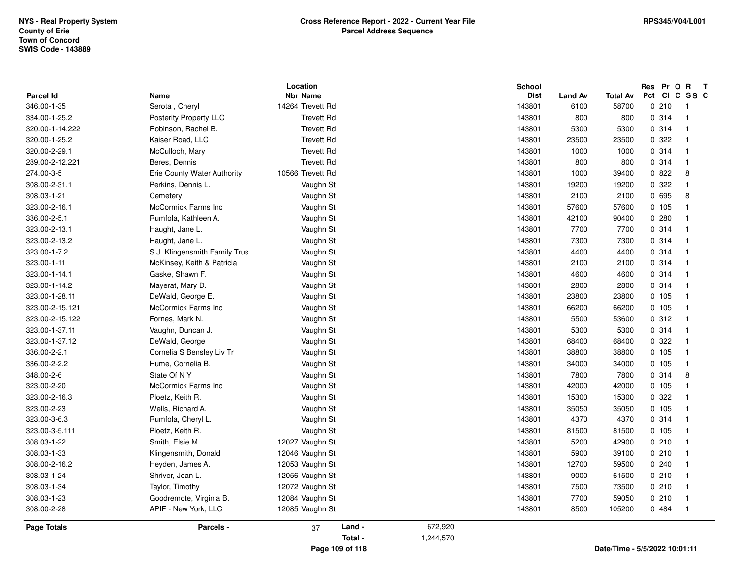| <b>Parcel Id</b><br><b>Name</b>  | Location<br><b>Nbr Name</b>                                    |                      | School<br><b>Dist</b> | <b>Land Av</b> | <b>Total Av</b> | Res Pr O R<br>Pct CI C SS C | $\mathbf{T}$   |
|----------------------------------|----------------------------------------------------------------|----------------------|-----------------------|----------------|-----------------|-----------------------------|----------------|
| 346.00-1-35                      | 14264 Trevett Rd<br>Serota, Cheryl                             |                      | 143801                | 6100           | 58700           | 0210                        | $\overline{1}$ |
| 334.00-1-25.2                    | Posterity Property LLC<br><b>Trevett Rd</b>                    |                      | 143801                | 800            | 800             | 0 314                       | $\overline{1}$ |
| 320.00-1-14.222                  | Robinson, Rachel B.                                            | <b>Trevett Rd</b>    | 143801                | 5300           | 5300            | 0.314                       | $\overline{1}$ |
| 320.00-1-25.2                    | <b>Trevett Rd</b><br>Kaiser Road, LLC                          |                      | 143801                | 23500          | 23500           | 0.322                       | $\overline{1}$ |
| 320.00-2-29.1                    | McCulloch, Mary                                                | <b>Trevett Rd</b>    | 143801                | 1000           | 1000            | 0.314                       | $\overline{1}$ |
| 289.00-2-12.221<br>Beres, Dennis | <b>Trevett Rd</b>                                              |                      | 143801                | 800            | 800             | 0 314                       | $\overline{1}$ |
| 274.00-3-5                       | 10566 Trevett Rd<br><b>Erie County Water Authority</b>         |                      | 143801                | 1000           | 39400           | 0822                        | 8              |
| 308.00-2-31.1                    | Vaughn St<br>Perkins, Dennis L.                                |                      | 143801                | 19200          | 19200           | 0.322                       | $\overline{1}$ |
| 308.03-1-21<br>Cemetery          | Vaughn St                                                      |                      | 143801                | 2100           | 2100            | 0 695                       | 8              |
| 323.00-2-16.1                    | McCormick Farms Inc<br>Vaughn St                               |                      | 143801                | 57600          | 57600           | 0 105                       | $\overline{1}$ |
| 336.00-2-5.1                     | Rumfola, Kathleen A.                                           | Vaughn St            | 143801                | 42100          | 90400           | 0.280                       | $\overline{1}$ |
| 323.00-2-13.1                    | Haught, Jane L.<br>Vaughn St                                   |                      | 143801                | 7700           | 7700            | 0.314                       | $\overline{1}$ |
|                                  |                                                                |                      |                       |                |                 | 0.314                       | $\overline{1}$ |
| 323.00-2-13.2<br>323.00-1-7.2    | Haught, Jane L.<br>Vaughn St<br>S.J. Klingensmith Family Trust |                      | 143801<br>143801      | 7300<br>4400   | 7300<br>4400    | 0.314                       | $\overline{1}$ |
|                                  |                                                                | Vaughn St            | 143801                |                |                 |                             | $\overline{1}$ |
| 323.00-1-11                      | McKinsey, Keith & Patricia<br>Gaske, Shawn F.                  | Vaughn St            | 143801                | 2100<br>4600   | 2100            | 0.314<br>0 314              | $\overline{1}$ |
| 323.00-1-14.1                    | Vaughn St                                                      |                      |                       |                | 4600            |                             |                |
| 323.00-1-14.2                    | Mayerat, Mary D.                                               | Vaughn St            | 143801                | 2800           | 2800            | 0.314                       | $\overline{1}$ |
| 323.00-1-28.11                   | DeWald, George E.                                              | Vaughn St            | 143801                | 23800          | 23800           | 0, 105                      | $\overline{1}$ |
| 323.00-2-15.121                  | McCormick Farms Inc<br>Vaughn St                               |                      | 143801                | 66200          | 66200           | 0, 105                      | $\overline{1}$ |
| 323.00-2-15.122                  | Fornes, Mark N.                                                | Vaughn St            | 143801                | 5500           | 53600           | 0.312                       | $\overline{1}$ |
| 323.00-1-37.11                   | Vaughn, Duncan J.<br>Vaughn St                                 |                      | 143801                | 5300           | 5300            | 0.314                       | $\overline{1}$ |
| 323.00-1-37.12                   | DeWald, George<br>Vaughn St                                    |                      | 143801                | 68400          | 68400           | 0 322                       | $\overline{1}$ |
| 336.00-2-2.1                     | Cornelia S Bensley Liv Tr                                      | Vaughn St            | 143801                | 38800          | 38800           | 0 105                       | $\overline{1}$ |
| 336.00-2-2.2                     | Hume, Cornelia B.                                              | Vaughn St            | 143801                | 34000          | 34000           | 0.105                       | $\overline{1}$ |
| 348.00-2-6<br>State Of NY        | Vaughn St                                                      |                      | 143801                | 7800           | 7800            | 0.314                       | 8              |
| 323.00-2-20                      | McCormick Farms Inc<br>Vaughn St                               |                      | 143801                | 42000          | 42000           | 0 105                       | $\overline{1}$ |
| 323.00-2-16.3                    | Ploetz, Keith R.<br>Vaughn St                                  |                      | 143801                | 15300          | 15300           | 0 322                       | $\overline{1}$ |
| 323.00-2-23                      | Wells, Richard A.                                              | Vaughn St            | 143801                | 35050          | 35050           | 0, 105                      | $\overline{1}$ |
| 323.00-3-6.3                     | Rumfola, Cheryl L.                                             | Vaughn St            | 143801                | 4370           | 4370            | 0 314                       | $\overline{1}$ |
| 323.00-3-5.111                   | Ploetz, Keith R.<br>Vaughn St                                  |                      | 143801                | 81500          | 81500           | 0, 105                      | $\overline{1}$ |
| 308.03-1-22                      | Smith, Elsie M.<br>12027 Vaughn St                             |                      | 143801                | 5200           | 42900           | 0210                        | $\overline{1}$ |
| 308.03-1-33                      | Klingensmith, Donald<br>12046 Vaughn St                        |                      | 143801                | 5900           | 39100           | 0210                        | $\overline{1}$ |
| 308.00-2-16.2                    | 12053 Vaughn St<br>Heyden, James A.                            |                      | 143801                | 12700          | 59500           | 0.240                       | $\overline{1}$ |
| 308.03-1-24                      | Shriver, Joan L.<br>12056 Vaughn St                            |                      | 143801                | 9000           | 61500           | 0210                        | $\overline{1}$ |
| 308.03-1-34                      | 12072 Vaughn St<br>Taylor, Timothy                             |                      | 143801                | 7500           | 73500           | 0210                        | $\overline{1}$ |
| 308.03-1-23                      | 12084 Vaughn St<br>Goodremote, Virginia B.                     |                      | 143801                | 7700           | 59050           | 0210                        | $\overline{1}$ |
| 308.00-2-28                      | APIF - New York, LLC<br>12085 Vaughn St                        |                      | 143801                | 8500           | 105200          | 0484                        | $\overline{1}$ |
| Page Totals                      | Parcels -<br>37                                                | Land -<br>672,920    |                       |                |                 |                             |                |
|                                  |                                                                | Total -<br>1,244,570 |                       |                |                 |                             |                |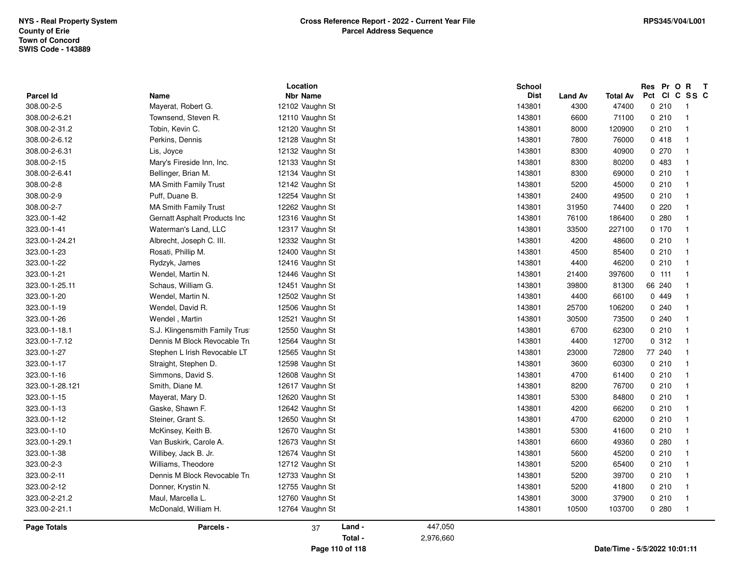|                    |                                | Location        |         |           | <b>School</b> |                |                 | Res Pr O R    | $\mathbf{T}$               |  |
|--------------------|--------------------------------|-----------------|---------|-----------|---------------|----------------|-----------------|---------------|----------------------------|--|
| Parcel Id          | Name                           | <b>Nbr Name</b> |         |           | <b>Dist</b>   | <b>Land Av</b> | <b>Total Av</b> | Pct CI C SS C |                            |  |
| 308.00-2-5         | Mayerat, Robert G.             | 12102 Vaughn St |         |           | 143801        | 4300           | 47400           | 0210          | $\overline{\phantom{0}}$ 1 |  |
| 308.00-2-6.21      | Townsend, Steven R.            | 12110 Vaughn St |         |           | 143801        | 6600           | 71100           | 0210          | $\overline{\phantom{a}}$   |  |
| 308.00-2-31.2      | Tobin, Kevin C.                | 12120 Vaughn St |         |           | 143801        | 8000           | 120900          | 0210          | $\overline{1}$             |  |
| 308.00-2-6.12      | Perkins, Dennis                | 12128 Vaughn St |         |           | 143801        | 7800           | 76000           | 0418          | -1                         |  |
| 308.00-2-6.31      | Lis, Joyce                     | 12132 Vaughn St |         |           | 143801        | 8300           | 40900           | 0.270         |                            |  |
| 308.00-2-15        | Mary's Fireside Inn, Inc.      | 12133 Vaughn St |         |           | 143801        | 8300           | 80200           | 0 483         |                            |  |
| 308.00-2-6.41      | Bellinger, Brian M.            | 12134 Vaughn St |         |           | 143801        | 8300           | 69000           | 0210          |                            |  |
| 308.00-2-8         | <b>MA Smith Family Trust</b>   | 12142 Vaughn St |         |           | 143801        | 5200           | 45000           | 0210          |                            |  |
| 308.00-2-9         | Puff, Duane B.                 | 12254 Vaughn St |         |           | 143801        | 2400           | 49500           | 0210          | -1                         |  |
| 308.00-2-7         | <b>MA Smith Family Trust</b>   | 12262 Vaughn St |         |           | 143801        | 31950          | 74400           | 0220          |                            |  |
| 323.00-1-42        | Gernatt Asphalt Products Inc   | 12316 Vaughn St |         |           | 143801        | 76100          | 186400          | 0.280         |                            |  |
| 323.00-1-41        | Waterman's Land, LLC           | 12317 Vaughn St |         |           | 143801        | 33500          | 227100          | 0, 170        |                            |  |
| 323.00-1-24.21     | Albrecht, Joseph C. III.       | 12332 Vaughn St |         |           | 143801        | 4200           | 48600           | 0210          |                            |  |
| 323.00-1-23        | Rosati, Phillip M.             | 12400 Vaughn St |         |           | 143801        | 4500           | 85400           | 0210          | -1                         |  |
| 323.00-1-22        | Rydzyk, James                  | 12416 Vaughn St |         |           | 143801        | 4400           | 46200           | 0210          |                            |  |
| 323.00-1-21        | Wendel, Martin N.              | 12446 Vaughn St |         |           | 143801        | 21400          | 397600          | $0$ 111       | - 1                        |  |
| 323.00-1-25.11     | Schaus, William G.             | 12451 Vaughn St |         |           | 143801        | 39800          | 81300           | 66 240        |                            |  |
| 323.00-1-20        | Wendel, Martin N.              | 12502 Vaughn St |         |           | 143801        | 4400           | 66100           | 0 449         |                            |  |
| 323.00-1-19        | Wendel, David R.               | 12506 Vaughn St |         |           | 143801        | 25700          | 106200          | 0.240         | -1                         |  |
| 323.00-1-26        | Wendel, Martin                 | 12521 Vaughn St |         |           | 143801        | 30500          | 73500           | 0.240         |                            |  |
| 323.00-1-18.1      | S.J. Klingensmith Family Trust | 12550 Vaughn St |         |           | 143801        | 6700           | 62300           | 0210          |                            |  |
| 323.00-1-7.12      | Dennis M Block Revocable Tru   | 12564 Vaughn St |         |           | 143801        | 4400           | 12700           | 0.312         |                            |  |
| 323.00-1-27        | Stephen L Irish Revocable LT   | 12565 Vaughn St |         |           | 143801        | 23000          | 72800           | 77 240        |                            |  |
| 323.00-1-17        | Straight, Stephen D.           | 12598 Vaughn St |         |           | 143801        | 3600           | 60300           | 0210          | -1                         |  |
| 323.00-1-16        | Simmons, David S.              | 12608 Vaughn St |         |           | 143801        | 4700           | 61400           | 0210          |                            |  |
| 323.00-1-28.121    | Smith, Diane M.                | 12617 Vaughn St |         |           | 143801        | 8200           | 76700           | 0210          |                            |  |
| 323.00-1-15        | Mayerat, Mary D.               | 12620 Vaughn St |         |           | 143801        | 5300           | 84800           | 0210          |                            |  |
| 323.00-1-13        | Gaske, Shawn F.                | 12642 Vaughn St |         |           | 143801        | 4200           | 66200           | 0210          |                            |  |
| 323.00-1-12        | Steiner, Grant S.              | 12650 Vaughn St |         |           | 143801        | 4700           | 62000           | 0210          | -1                         |  |
| 323.00-1-10        | McKinsey, Keith B.             | 12670 Vaughn St |         |           | 143801        | 5300           | 41600           | 0210          |                            |  |
| 323.00-1-29.1      | Van Buskirk, Carole A.         | 12673 Vaughn St |         |           | 143801        | 6600           | 49360           | 0.280         |                            |  |
| 323.00-1-38        | Willibey, Jack B. Jr.          | 12674 Vaughn St |         |           | 143801        | 5600           | 45200           | 0210          |                            |  |
| 323.00-2-3         | Williams, Theodore             | 12712 Vaughn St |         |           | 143801        | 5200           | 65400           | 0210          |                            |  |
| 323.00-2-11        | Dennis M Block Revocable Tru   | 12733 Vaughn St |         |           | 143801        | 5200           | 39700           | 0210          | $\overline{1}$             |  |
| 323.00-2-12        | Donner, Krystin N.             | 12755 Vaughn St |         |           | 143801        | 5200           | 41800           | 0210          |                            |  |
| 323.00-2-21.2      | Maul, Marcella L.              | 12760 Vaughn St |         |           | 143801        | 3000           | 37900           | 0210          |                            |  |
| 323.00-2-21.1      | McDonald, William H.           | 12764 Vaughn St |         |           | 143801        | 10500          | 103700          | 0.280         | - 1                        |  |
| <b>Page Totals</b> | Parcels -                      | 37              | Land -  | 447,050   |               |                |                 |               |                            |  |
|                    |                                |                 | Total - | 2,976,660 |               |                |                 |               |                            |  |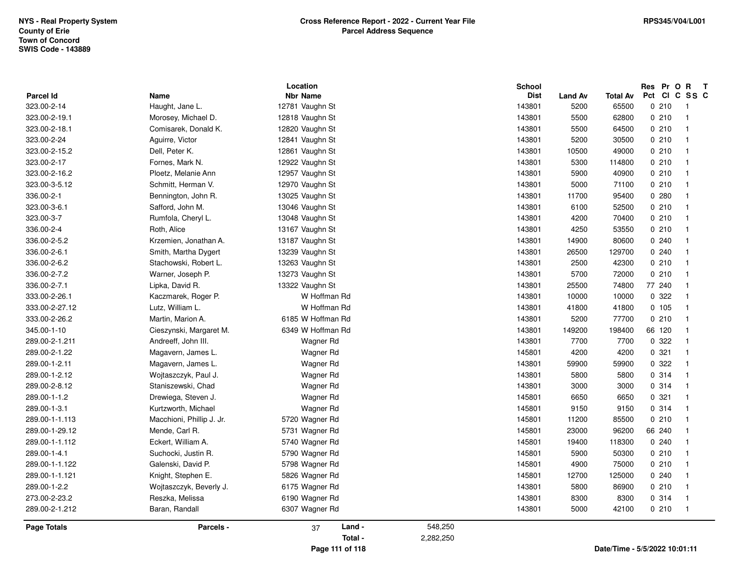|                    |                           | Location          |           | School      |                |                 | Res Pr O R                    | $\mathbf{T}$                     |
|--------------------|---------------------------|-------------------|-----------|-------------|----------------|-----------------|-------------------------------|----------------------------------|
| Parcel Id          | <b>Name</b>               | <b>Nbr Name</b>   |           | <b>Dist</b> | <b>Land Av</b> | <b>Total Av</b> | Pct Cl                        | C SS C                           |
| 323.00-2-14        | Haught, Jane L.           | 12781 Vaughn St   |           | 143801      | 5200           | 65500           | 0210                          | $\overline{1}$<br>$\overline{1}$ |
| 323.00-2-19.1      | Morosey, Michael D.       | 12818 Vaughn St   |           | 143801      | 5500           | 62800           | 0210                          |                                  |
| 323.00-2-18.1      | Comisarek, Donald K.      | 12820 Vaughn St   |           | 143801      | 5500           | 64500           | 0210                          | $\overline{1}$                   |
| 323.00-2-24        | Aguirre, Victor           | 12841 Vaughn St   |           | 143801      | 5200           | 30500           | 0210                          | $\overline{1}$                   |
| 323.00-2-15.2      | Dell, Peter K.            | 12861 Vaughn St   |           | 143801      | 10500          | 49000           | 0210                          | $\overline{1}$                   |
| 323.00-2-17        | Fornes, Mark N.           | 12922 Vaughn St   |           | 143801      | 5300           | 114800          | 0210                          | $\overline{1}$                   |
| 323.00-2-16.2      | Ploetz, Melanie Ann       | 12957 Vaughn St   |           | 143801      | 5900           | 40900           | 0210                          | $\overline{1}$                   |
| 323.00-3-5.12      | Schmitt. Herman V.        | 12970 Vaughn St   |           | 143801      | 5000           | 71100           | 0210                          | $\mathbf{1}$                     |
| 336.00-2-1         | Bennington, John R.       | 13025 Vaughn St   |           | 143801      | 11700          | 95400           | 0.280                         | $\overline{1}$                   |
| 323.00-3-6.1       | Safford, John M.          | 13046 Vaughn St   |           | 143801      | 6100           | 52500           | 0210                          | $\overline{1}$                   |
| 323.00-3-7         | Rumfola, Cheryl L.        | 13048 Vaughn St   |           | 143801      | 4200           | 70400           | 0210                          | $\overline{1}$                   |
| 336.00-2-4         | Roth, Alice               | 13167 Vaughn St   |           | 143801      | 4250           | 53550           | 0210                          | $\overline{1}$                   |
| 336.00-2-5.2       | Krzemien, Jonathan A.     | 13187 Vaughn St   |           | 143801      | 14900          | 80600           | 0.240                         | $\overline{1}$                   |
| 336.00-2-6.1       | Smith, Martha Dygert      | 13239 Vaughn St   |           | 143801      | 26500          | 129700          | 0240                          | $\mathbf{1}$                     |
| 336.00-2-6.2       | Stachowski, Robert L.     | 13263 Vaughn St   |           | 143801      | 2500           | 42300           | 0210                          | $\overline{1}$                   |
| 336.00-2-7.2       | Warner, Joseph P.         | 13273 Vaughn St   |           | 143801      | 5700           | 72000           | 0210                          | $\overline{1}$                   |
| 336.00-2-7.1       | Lipka, David R.           | 13322 Vaughn St   |           | 143801      | 25500          | 74800           | 77 240                        | -1                               |
| 333.00-2-26.1      | Kaczmarek, Roger P.       | W Hoffman Rd      |           | 143801      | 10000          | 10000           | 0 322                         | -1                               |
| 333.00-2-27.12     | Lutz, William L.          | W Hoffman Rd      |           | 143801      | 41800          | 41800           | 0.105                         | $\overline{1}$                   |
| 333.00-2-26.2      | Martin, Marion A.         | 6185 W Hoffman Rd |           | 143801      | 5200           | 77700           | 0210                          | $\overline{1}$                   |
| 345.00-1-10        | Cieszynski, Margaret M.   | 6349 W Hoffman Rd |           | 143801      | 149200         | 198400          | 66 120                        | $\overline{\mathbf{1}}$          |
| 289.00-2-1.211     | Andreeff, John III.       | Wagner Rd         |           | 143801      | 7700           | 7700            | 0.322                         | $\overline{\mathbf{1}}$          |
| 289.00-2-1.22      | Magavern, James L.        | Wagner Rd         |           | 145801      | 4200           | 4200            | 0.321                         | $\overline{1}$                   |
| 289.00-1-2.11      | Magavern, James L.        | Wagner Rd         |           | 143801      | 59900          | 59900           | 0.322                         | $\overline{1}$                   |
| 289.00-1-2.12      | Wojtaszczyk, Paul J.      | Wagner Rd         |           | 143801      | 5800           | 5800            | 0.314                         | $\overline{1}$                   |
| 289.00-2-8.12      | Staniszewski, Chad        | Wagner Rd         |           | 143801      | 3000           | 3000            | 0.314                         | -1                               |
| 289.00-1-1.2       | Drewiega, Steven J.       | Wagner Rd         |           | 145801      | 6650           | 6650            | 0.321                         | $\mathbf 1$                      |
| 289.00-1-3.1       | Kurtzworth, Michael       | Wagner Rd         |           | 145801      | 9150           | 9150            | 0 314                         | $\overline{\mathbf{1}}$          |
| 289.00-1-1.113     | Macchioni, Phillip J. Jr. | 5720 Wagner Rd    |           | 145801      | 11200          | 85500           | 0210                          | $\overline{1}$                   |
| 289.00-1-29.12     | Mende, Carl R.            | 5731 Wagner Rd    |           | 145801      | 23000          | 96200           | 66 240                        | $\mathbf{1}$                     |
| 289.00-1-1.112     | Eckert, William A.        | 5740 Wagner Rd    |           | 145801      | 19400          | 118300          | 0240                          | -1                               |
| 289.00-1-4.1       | Suchocki, Justin R.       | 5790 Wagner Rd    |           | 145801      | 5900           | 50300           | 0210                          | $\overline{1}$                   |
| 289.00-1-1.122     | Galenski, David P.        | 5798 Wagner Rd    |           | 145801      | 4900           | 75000           | 0210                          | $\overline{1}$                   |
| 289.00-1-1.121     | Knight, Stephen E.        | 5826 Wagner Rd    |           | 145801      | 12700          | 125000          | 0.240                         | $\overline{\mathbf{1}}$          |
| 289.00-1-2.2       | Wojtaszczyk, Beverly J.   | 6175 Wagner Rd    |           | 143801      | 5800           | 86900           | 0210                          | $\overline{1}$                   |
| 273.00-2-23.2      | Reszka, Melissa           | 6190 Wagner Rd    |           | 143801      | 8300           | 8300            | 0.314                         | $\overline{1}$                   |
| 289.00-2-1.212     | Baran, Randall            | 6307 Wagner Rd    |           | 143801      | 5000           | 42100           | 0210                          | $\overline{1}$                   |
| <b>Page Totals</b> | Parcels -                 | Land -<br>37      | 548,250   |             |                |                 |                               |                                  |
|                    |                           | Total -           | 2,282,250 |             |                |                 |                               |                                  |
|                    |                           | Page 111 of 118   |           |             |                |                 | Date/Time - 5/5/2022 10:01:11 |                                  |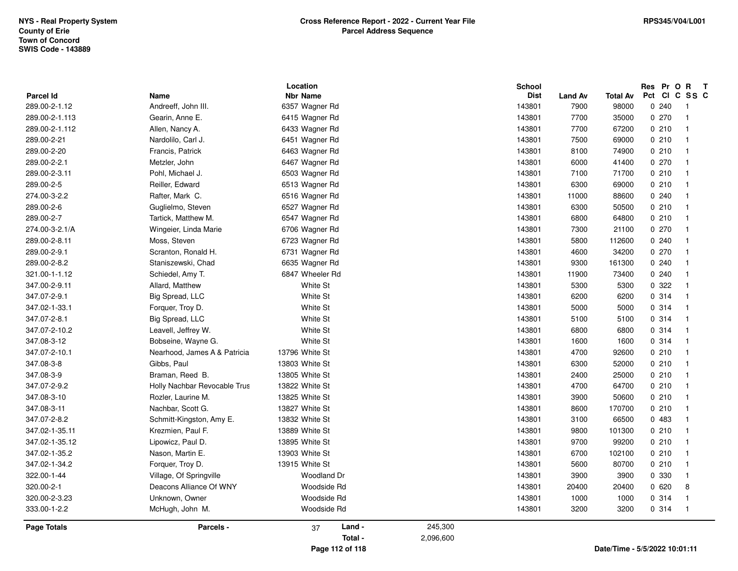| <b>Parcel Id</b> |                              | Location<br><b>Nbr Name</b> |           | School<br><b>Dist</b> |                        |                               | Res Pr O R<br>Pct Cl |       | $\mathbf{T}$<br>C SS C  |  |
|------------------|------------------------------|-----------------------------|-----------|-----------------------|------------------------|-------------------------------|----------------------|-------|-------------------------|--|
| 289.00-2-1.12    | Name<br>Andreeff, John III.  | 6357 Wagner Rd              |           | 143801                | <b>Land Av</b><br>7900 | <b>Total Av</b><br>98000      |                      | 0.240 | $\overline{1}$          |  |
| 289.00-2-1.113   | Gearin, Anne E.              | 6415 Wagner Rd              |           | 143801                | 7700                   |                               |                      | 0270  | $\overline{1}$          |  |
| 289.00-2-1.112   | Allen, Nancy A.              |                             |           | 143801                | 7700                   | 35000<br>67200                |                      | 0210  | $\overline{1}$          |  |
|                  |                              | 6433 Wagner Rd              |           |                       |                        |                               |                      | 0210  | $\overline{1}$          |  |
| 289.00-2-21      | Nardolilo, Carl J.           | 6451 Wagner Rd              |           | 143801<br>143801      | 7500<br>8100           | 69000<br>74900                |                      | 0210  | $\overline{\mathbf{1}}$ |  |
| 289.00-2-20      | Francis, Patrick             | 6463 Wagner Rd              |           |                       |                        |                               |                      |       |                         |  |
| 289.00-2-2.1     | Metzler, John                | 6467 Wagner Rd              |           | 143801                | 6000                   | 41400                         |                      | 0270  | $\overline{1}$          |  |
| 289.00-2-3.11    | Pohl, Michael J.             | 6503 Wagner Rd              |           | 143801                | 7100                   | 71700                         |                      | 0210  | $\overline{1}$          |  |
| 289.00-2-5       | Reiller, Edward              | 6513 Wagner Rd              |           | 143801                | 6300                   | 69000                         |                      | 0210  | -1                      |  |
| 274.00-3-2.2     | Rafter, Mark C.              | 6516 Wagner Rd              |           | 143801                | 11000                  | 88600                         |                      | 0.240 | $\overline{\mathbf{1}}$ |  |
| 289.00-2-6       | Guglielmo, Steven            | 6527 Wagner Rd              |           | 143801                | 6300                   | 50500                         |                      | 0210  | -1                      |  |
| 289.00-2-7       | Tartick, Matthew M.          | 6547 Wagner Rd              |           | 143801                | 6800                   | 64800                         |                      | 0210  | $\overline{\mathbf{1}}$ |  |
| 274.00-3-2.1/A   | Wingeier, Linda Marie        | 6706 Wagner Rd              |           | 143801                | 7300                   | 21100                         |                      | 0270  | $\mathbf 1$             |  |
| 289.00-2-8.11    | Moss, Steven                 | 6723 Wagner Rd              |           | 143801                | 5800                   | 112600                        |                      | 0.240 | -1                      |  |
| 289.00-2-9.1     | Scranton, Ronald H.          | 6731 Wagner Rd              |           | 143801                | 4600                   | 34200                         |                      | 0270  | $\overline{1}$          |  |
| 289.00-2-8.2     | Staniszewski, Chad           | 6635 Wagner Rd              |           | 143801                | 9300                   | 161300                        |                      | 0.240 | $\overline{1}$          |  |
| 321.00-1-1.12    | Schiedel, Amy T.             | 6847 Wheeler Rd             |           | 143801                | 11900                  | 73400                         |                      | 0.240 | $\overline{\mathbf{1}}$ |  |
| 347.00-2-9.11    | Allard, Matthew              | White St                    |           | 143801                | 5300                   | 5300                          |                      | 0 322 |                         |  |
| 347.07-2-9.1     | Big Spread, LLC              | White St                    |           | 143801                | 6200                   | 6200                          |                      | 0 314 |                         |  |
| 347.02-1-33.1    | Forquer, Troy D.             | White St                    |           | 143801                | 5000                   | 5000                          |                      | 0 314 | $\overline{\mathbf{1}}$ |  |
| 347.07-2-8.1     | Big Spread, LLC              | White St                    |           | 143801                | 5100                   | 5100                          |                      | 0.314 | $\overline{1}$          |  |
| 347.07-2-10.2    | Leavell, Jeffrey W.          | White St                    |           | 143801                | 6800                   | 6800                          |                      | 0.314 | -1                      |  |
| 347.08-3-12      | Bobseine, Wayne G.           | White St                    |           | 143801                | 1600                   | 1600                          |                      | 0.314 | -1                      |  |
| 347.07-2-10.1    | Nearhood, James A & Patricia | 13796 White St              |           | 143801                | 4700                   | 92600                         |                      | 0210  | 1                       |  |
| 347.08-3-8       | Gibbs, Paul                  | 13803 White St              |           | 143801                | 6300                   | 52000                         |                      | 0210  | $\overline{\mathbf{1}}$ |  |
| 347.08-3-9       | Braman, Reed B.              | 13805 White St              |           | 143801                | 2400                   | 25000                         |                      | 0210  | $\overline{1}$          |  |
| 347.07-2-9.2     | Holly Nachbar Revocable Trus | 13822 White St              |           | 143801                | 4700                   | 64700                         |                      | 0210  | $\overline{1}$          |  |
| 347.08-3-10      | Rozler, Laurine M.           | 13825 White St              |           | 143801                | 3900                   | 50600                         |                      | 0210  | $\overline{1}$          |  |
| 347.08-3-11      | Nachbar, Scott G.            | 13827 White St              |           | 143801                | 8600                   | 170700                        |                      | 0210  | $\overline{1}$          |  |
| 347.07-2-8.2     | Schmitt-Kingston, Amy E.     | 13832 White St              |           | 143801                | 3100                   | 66500                         |                      | 0 483 | $\overline{1}$          |  |
| 347.02-1-35.11   | Krezmien, Paul F.            | 13889 White St              |           | 143801                | 9800                   | 101300                        |                      | 0210  |                         |  |
| 347.02-1-35.12   | Lipowicz, Paul D.            | 13895 White St              |           | 143801                | 9700                   | 99200                         |                      | 0210  |                         |  |
| 347.02-1-35.2    | Nason, Martin E.             | 13903 White St              |           | 143801                | 6700                   | 102100                        |                      | 0210  | $\overline{1}$          |  |
| 347.02-1-34.2    | Forquer, Troy D.             | 13915 White St              |           | 143801                | 5600                   | 80700                         |                      | 0210  | $\overline{1}$          |  |
| 322.00-1-44      | Village, Of Springville      | <b>Woodland Dr</b>          |           | 143801                | 3900                   | 3900                          |                      | 0 330 | $\mathbf 1$             |  |
| 320.00-2-1       | Deacons Alliance Of WNY      | Woodside Rd                 |           | 143801                | 20400                  | 20400                         |                      | 0620  | 8                       |  |
| 320.00-2-3.23    | Unknown, Owner               | Woodside Rd                 |           | 143801                | 1000                   | 1000                          |                      | 0.314 | $\mathbf 1$             |  |
| 333.00-1-2.2     | McHugh, John M.              | Woodside Rd                 |           | 143801                | 3200                   | 3200                          |                      | 0.314 | - 1                     |  |
| Page Totals      | Parcels -                    | Land -<br>37                | 245,300   |                       |                        |                               |                      |       |                         |  |
|                  |                              | Total -                     | 2,096,600 |                       |                        |                               |                      |       |                         |  |
|                  |                              | Page 112 of 118             |           |                       |                        | Date/Time - 5/5/2022 10:01:11 |                      |       |                         |  |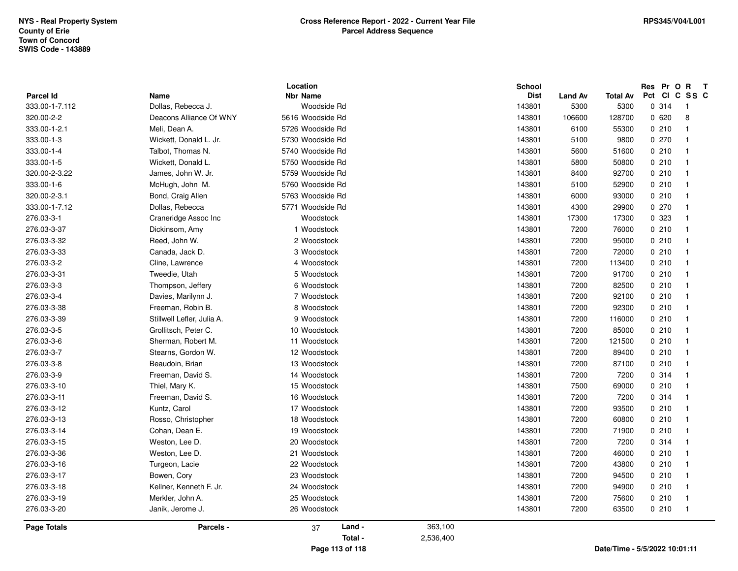| <b>Parcel Id</b> | Name                       | Location<br><b>Nbr Name</b> |           | School<br><b>Dist</b><br><b>Land Av</b> | <b>Total Av</b>               | Res Pr O R<br>Pct Cl | $\mathbf{T}$<br>C SS C  |  |
|------------------|----------------------------|-----------------------------|-----------|-----------------------------------------|-------------------------------|----------------------|-------------------------|--|
| 333.00-1-7.112   | Dollas, Rebecca J.         | Woodside Rd                 |           | 143801<br>5300                          | 5300                          | 0.314                | $\overline{1}$          |  |
| 320.00-2-2       | Deacons Alliance Of WNY    | 5616 Woodside Rd            |           | 143801<br>106600                        | 128700                        | 0620                 | 8                       |  |
| 333.00-1-2.1     | Meli, Dean A.              | 5726 Woodside Rd            |           | 143801<br>6100                          | 55300                         | 0210                 | $\overline{1}$          |  |
| 333.00-1-3       | Wickett, Donald L. Jr.     | 5730 Woodside Rd            |           | 143801<br>5100                          | 9800                          | 0270                 | 1                       |  |
| 333.00-1-4       | Talbot, Thomas N.          | 5740 Woodside Rd            |           | 143801<br>5600                          | 51600                         | 0210                 | $\overline{\mathbf{1}}$ |  |
| 333.00-1-5       | Wickett, Donald L.         | 5750 Woodside Rd            |           | 143801<br>5800                          | 50800                         | 0210                 | $\overline{1}$          |  |
| 320.00-2-3.22    | James, John W. Jr.         | 5759 Woodside Rd            |           | 143801<br>8400                          | 92700                         | 0210                 | $\overline{1}$          |  |
| 333.00-1-6       | McHugh, John M.            | 5760 Woodside Rd            |           | 143801<br>5100                          | 52900                         | 0210                 | -1                      |  |
| 320.00-2-3.1     | Bond, Craig Allen          | 5763 Woodside Rd            |           | 143801<br>6000                          | 93000                         | 0210                 | $\overline{\mathbf{1}}$ |  |
| 333.00-1-7.12    | Dollas, Rebecca            | 5771 Woodside Rd            |           | 143801<br>4300                          | 29900                         | 0270                 | -1                      |  |
| 276.03-3-1       | Craneridge Assoc Inc       | Woodstock                   |           | 143801<br>17300                         | 17300                         | 0 323                | -1                      |  |
| 276.03-3-37      | Dickinsom, Amy             | 1 Woodstock                 |           | 143801<br>7200                          | 76000                         | 0210                 | $\mathbf 1$             |  |
| 276.03-3-32      | Reed, John W.              | 2 Woodstock                 |           | 143801<br>7200                          | 95000                         | 0210                 | $\mathbf{1}$            |  |
| 276.03-3-33      | Canada, Jack D.            | 3 Woodstock                 |           | 143801<br>7200                          | 72000                         | 0210                 | $\overline{1}$          |  |
| 276.03-3-2       | Cline, Lawrence            | 4 Woodstock                 |           | 143801<br>7200                          | 113400                        | 0210                 | $\overline{1}$          |  |
| 276.03-3-31      | Tweedie, Utah              | 5 Woodstock                 |           | 143801<br>7200                          | 91700                         | 0210                 | $\overline{1}$          |  |
| 276.03-3-3       | Thompson, Jeffery          | 6 Woodstock                 |           | 7200<br>143801                          | 82500                         | 0210                 | -1                      |  |
| 276.03-3-4       | Davies, Marilynn J.        | 7 Woodstock                 |           | 143801<br>7200                          | 92100                         | 0210                 | $\mathbf{1}$            |  |
| 276.03-3-38      | Freeman, Robin B.          | 8 Woodstock                 |           | 7200<br>143801                          | 92300                         | 0210                 | -1                      |  |
| 276.03-3-39      | Stillwell Lefler, Julia A. | 9 Woodstock                 |           | 143801<br>7200                          | 116000                        | 0210                 | $\overline{1}$          |  |
| 276.03-3-5       | Grollitsch, Peter C.       | 10 Woodstock                |           | 7200<br>143801                          | 85000                         | 0210                 | -1                      |  |
| 276.03-3-6       | Sherman, Robert M.         | 11 Woodstock                |           | 143801<br>7200                          | 121500                        | 0210                 | -1                      |  |
| 276.03-3-7       | Stearns, Gordon W.         | 12 Woodstock                |           | 143801<br>7200                          | 89400                         | 0210                 | $\mathbf{1}$            |  |
| 276.03-3-8       | Beaudoin, Brian            | 13 Woodstock                |           | 143801<br>7200                          | 87100                         | 0210                 | $\mathbf{1}$            |  |
| 276.03-3-9       | Freeman, David S.          | 14 Woodstock                |           | 7200<br>143801                          | 7200                          | 0.314                | $\overline{1}$          |  |
| 276.03-3-10      | Thiel, Mary K.             | 15 Woodstock                |           | 143801<br>7500                          | 69000                         | 0210                 | $\overline{1}$          |  |
| 276.03-3-11      | Freeman, David S.          | 16 Woodstock                |           | 143801<br>7200                          | 7200                          | 0.314                | $\overline{1}$          |  |
| 276.03-3-12      | Kuntz, Carol               | 17 Woodstock                |           | 143801<br>7200                          | 93500                         | 0210                 | $\overline{1}$          |  |
| 276.03-3-13      | Rosso, Christopher         | 18 Woodstock                |           | 143801<br>7200                          | 60800                         | 0210                 | $\overline{\mathbf{1}}$ |  |
| 276.03-3-14      | Cohan, Dean E.             | 19 Woodstock                |           | 7200<br>143801                          | 71900                         | 0210                 | -1                      |  |
| 276.03-3-15      | Weston, Lee D.             | 20 Woodstock                |           | 143801<br>7200                          | 7200                          | 0.314                | $\overline{\mathbf{1}}$ |  |
| 276.03-3-36      | Weston, Lee D.             | 21 Woodstock                |           | 143801<br>7200                          | 46000                         | 0210                 | -1                      |  |
| 276.03-3-16      | Turgeon, Lacie             | 22 Woodstock                |           | 143801<br>7200                          | 43800                         | 0210                 | $\overline{1}$          |  |
| 276.03-3-17      | Bowen, Cory                | 23 Woodstock                |           | 143801<br>7200                          | 94500                         | 0210                 | $\mathbf{1}$            |  |
| 276.03-3-18      | Kellner, Kenneth F. Jr.    | 24 Woodstock                |           | 143801<br>7200                          | 94900                         | 0210                 | -1                      |  |
| 276.03-3-19      | Merkler, John A.           | 25 Woodstock                |           | 143801<br>7200                          | 75600                         | 0210                 | $\mathbf{1}$            |  |
| 276.03-3-20      | Janik, Jerome J.           | 26 Woodstock                |           | 143801<br>7200                          | 63500                         | 0210                 | -1                      |  |
| Page Totals      | Parcels -                  | Land -<br>37                | 363,100   |                                         |                               |                      |                         |  |
|                  |                            | Total -                     | 2,536,400 |                                         |                               |                      |                         |  |
|                  |                            | Page 113 of 118             |           |                                         | Date/Time - 5/5/2022 10:01:11 |                      |                         |  |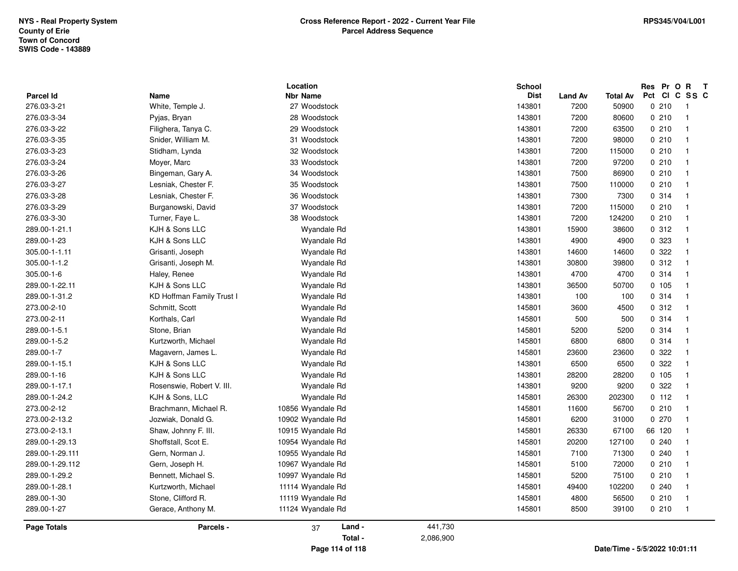| <b>Parcel Id</b> | Name                      | Location<br><b>Nbr Name</b> |           | School<br><b>Dist</b> | <b>Land Av</b> | Total Av                      | Res Pr O R<br>Pct | <b>CI</b> | $\mathbf{T}$<br>C SS C  |  |
|------------------|---------------------------|-----------------------------|-----------|-----------------------|----------------|-------------------------------|-------------------|-----------|-------------------------|--|
| 276.03-3-21      | White, Temple J.          | 27 Woodstock                |           | 143801                | 7200           | 50900                         |                   | 0210      | -1                      |  |
| 276.03-3-34      | Pyjas, Bryan              | 28 Woodstock                |           | 143801                | 7200           | 80600                         |                   | 0210      | $\overline{\mathbf{1}}$ |  |
| 276.03-3-22      | Filighera, Tanya C.       | 29 Woodstock                |           | 143801                | 7200           | 63500                         |                   | 0210      | $\overline{\mathbf{1}}$ |  |
| 276.03-3-35      | Snider, William M.        | 31 Woodstock                |           | 143801                | 7200           | 98000                         |                   | 0210      | $\overline{\mathbf{1}}$ |  |
| 276.03-3-23      | Stidham, Lynda            | 32 Woodstock                |           | 143801                | 7200           | 115000                        |                   | 0210      | -1                      |  |
| 276.03-3-24      | Moyer, Marc               | 33 Woodstock                |           | 143801                | 7200           | 97200                         |                   | 0210      | $\overline{\mathbf{1}}$ |  |
| 276.03-3-26      | Bingeman, Gary A.         | 34 Woodstock                |           | 143801                | 7500           | 86900                         |                   | 0210      | $\overline{\mathbf{1}}$ |  |
| 276.03-3-27      | Lesniak, Chester F.       | 35 Woodstock                |           | 143801                | 7500           | 110000                        |                   | 0210      |                         |  |
| 276.03-3-28      | Lesniak, Chester F.       | 36 Woodstock                |           | 143801                | 7300           | 7300                          |                   | 0.314     |                         |  |
| 276.03-3-29      | Burganowski, David        | 37 Woodstock                |           | 143801                | 7200           | 115000                        |                   | 0210      | -1                      |  |
| 276.03-3-30      | Turner, Faye L.           | 38 Woodstock                |           | 143801                | 7200           | 124200                        |                   | 0210      | -1                      |  |
| 289.00-1-21.1    | KJH & Sons LLC            | Wyandale Rd                 |           | 143801                | 15900          | 38600                         |                   | 0.312     | -1                      |  |
| 289.00-1-23      | KJH & Sons LLC            | Wyandale Rd                 |           | 143801                | 4900           | 4900                          |                   | 0 323     | -1                      |  |
| 305.00-1-1.11    | Grisanti, Joseph          | Wyandale Rd                 |           | 143801                | 14600          | 14600                         |                   | 0.322     | -1                      |  |
| 305.00-1-1.2     | Grisanti, Joseph M.       | Wyandale Rd                 |           | 143801                | 30800          | 39800                         |                   | 0.312     | $\overline{\mathbf{1}}$ |  |
| 305.00-1-6       | Haley, Renee              | Wyandale Rd                 |           | 143801                | 4700           | 4700                          |                   | 0.314     | $\overline{\mathbf{1}}$ |  |
| 289.00-1-22.11   | KJH & Sons LLC            | Wyandale Rd                 |           | 143801                | 36500          | 50700                         |                   | 0.105     | -1                      |  |
| 289.00-1-31.2    | KD Hoffman Family Trust I | Wyandale Rd                 |           | 143801                | 100            | 100                           |                   | 0.314     | -1                      |  |
| 273.00-2-10      | Schmitt, Scott            | Wyandale Rd                 |           | 145801                | 3600           | 4500                          |                   | 0.312     | -1                      |  |
| 273.00-2-11      | Korthals, Carl            | Wyandale Rd                 |           | 145801                | 500            | 500                           |                   | 0.314     | $\overline{\mathbf{1}}$ |  |
| 289.00-1-5.1     | Stone, Brian              | Wyandale Rd                 |           | 145801                | 5200           | 5200                          |                   | 0.314     |                         |  |
| 289.00-1-5.2     | Kurtzworth, Michael       | Wyandale Rd                 |           | 145801                | 6800           | 6800                          |                   | 0.314     |                         |  |
| 289.00-1-7       | Magavern, James L.        | Wyandale Rd                 |           | 145801                | 23600          | 23600                         |                   | 0.322     | -1                      |  |
| 289.00-1-15.1    | KJH & Sons LLC            | Wyandale Rd                 |           | 143801                | 6500           | 6500                          |                   | 0.322     | -1                      |  |
| 289.00-1-16      | KJH & Sons LLC            | Wyandale Rd                 |           | 143801                | 28200          | 28200                         |                   | 0.105     | $\overline{\mathbf{1}}$ |  |
| 289.00-1-17.1    | Rosenswie, Robert V. III. | Wyandale Rd                 |           | 143801                | 9200           | 9200                          |                   | 0.322     |                         |  |
| 289.00-1-24.2    | KJH & Sons, LLC           | Wyandale Rd                 |           | 145801                | 26300          | 202300                        |                   | 0.112     | $\overline{\mathbf{1}}$ |  |
| 273.00-2-12      | Brachmann, Michael R.     | 10856 Wyandale Rd           |           | 145801                | 11600          | 56700                         |                   | 0210      | $\overline{\mathbf{1}}$ |  |
| 273.00-2-13.2    | Jozwiak, Donald G.        | 10902 Wyandale Rd           |           | 145801                | 6200           | 31000                         |                   | 0270      | $\overline{\mathbf{1}}$ |  |
| 273.00-2-13.1    | Shaw, Johnny F. III.      | 10915 Wyandale Rd           |           | 145801                | 26330          | 67100                         | 66 120            |           |                         |  |
| 289.00-1-29.13   | Shoffstall, Scot E.       | 10954 Wyandale Rd           |           | 145801                | 20200          | 127100                        |                   | 0.240     |                         |  |
| 289.00-1-29.111  | Gern, Norman J.           | 10955 Wyandale Rd           |           | 145801                | 7100           | 71300                         |                   | 0.240     |                         |  |
| 289.00-1-29.112  | Gern, Joseph H.           | 10967 Wyandale Rd           |           | 145801                | 5100           | 72000                         |                   | 0210      | -1                      |  |
| 289.00-1-29.2    | Bennett, Michael S.       | 10997 Wyandale Rd           |           | 145801                | 5200           | 75100                         |                   | 0210      | -1                      |  |
| 289.00-1-28.1    | Kurtzworth, Michael       | 11114 Wyandale Rd           |           | 145801                | 49400          | 102200                        |                   | 0.240     | -1                      |  |
| 289.00-1-30      | Stone, Clifford R.        | 11119 Wyandale Rd           |           | 145801                | 4800           | 56500                         |                   | 0210      | -1                      |  |
| 289.00-1-27      | Gerace, Anthony M.        | 11124 Wyandale Rd           |           | 145801                | 8500           | 39100                         |                   | 0210      | $\overline{\mathbf{1}}$ |  |
| Page Totals      | Parcels -                 | Land -<br>37                | 441,730   |                       |                |                               |                   |           |                         |  |
|                  |                           | Total -                     | 2,086,900 |                       |                |                               |                   |           |                         |  |
|                  |                           | Page 114 of 118             |           |                       |                | Date/Time - 5/5/2022 10:01:11 |                   |           |                         |  |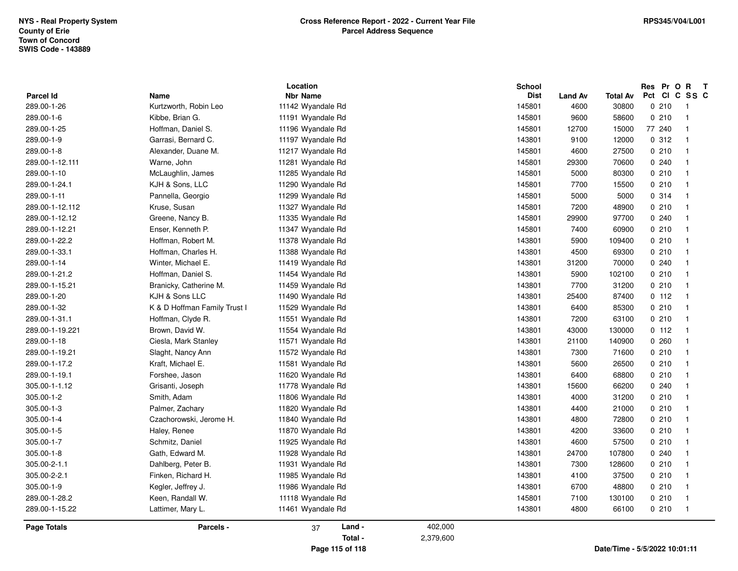| Parcel Id          | Name                         | Location<br><b>Nbr Name</b> |           | <b>School</b><br><b>Dist</b> | <b>Land Av</b> | <b>Total Av</b> | Res Pr O | $\mathbf{R}$<br>Pct CI C SS C | $\mathbf{T}$ |
|--------------------|------------------------------|-----------------------------|-----------|------------------------------|----------------|-----------------|----------|-------------------------------|--------------|
| 289.00-1-26        | Kurtzworth, Robin Leo        | 11142 Wyandale Rd           |           | 145801                       | 4600           | 30800           | 0210     | - 1                           |              |
| 289.00-1-6         | Kibbe, Brian G.              | 11191 Wyandale Rd           |           | 145801                       | 9600           | 58600           | 0210     | $\overline{1}$                |              |
|                    |                              |                             |           |                              |                |                 | 77 240   | $\overline{\mathbf{1}}$       |              |
| 289.00-1-25        | Hoffman, Daniel S.           | 11196 Wyandale Rd           |           | 145801                       | 12700          | 15000           |          |                               |              |
| 289.00-1-9         | Garrasi, Bernard C.          | 11197 Wyandale Rd           |           | 143801                       | 9100           | 12000           | 0.312    | $\overline{1}$                |              |
| 289.00-1-8         | Alexander, Duane M.          | 11217 Wyandale Rd           |           | 145801                       | 4600           | 27500           | 0210     | $\overline{\mathbf{1}}$       |              |
| 289.00-1-12.111    | Warne, John                  | 11281 Wyandale Rd           |           | 145801                       | 29300          | 70600           | 0.240    | - 1                           |              |
| 289.00-1-10        | McLaughlin, James            | 11285 Wyandale Rd           |           | 145801                       | 5000           | 80300           | 0210     | $\overline{\mathbf{1}}$       |              |
| 289.00-1-24.1      | KJH & Sons, LLC              | 11290 Wyandale Rd           |           | 145801                       | 7700           | 15500           | 0210     | - 1                           |              |
| 289.00-1-11        | Pannella, Georgio            | 11299 Wyandale Rd           |           | 145801                       | 5000           | 5000            | 0.314    | - 1                           |              |
| 289.00-1-12.112    | Kruse, Susan                 | 11327 Wyandale Rd           |           | 145801                       | 7200           | 48900           | 0210     | $\mathbf{1}$                  |              |
| 289.00-1-12.12     | Greene, Nancy B.             | 11335 Wyandale Rd           |           | 145801                       | 29900          | 97700           | 0.240    | $\overline{\mathbf{1}}$       |              |
| 289.00-1-12.21     | Enser, Kenneth P.            | 11347 Wyandale Rd           |           | 145801                       | 7400           | 60900           | 0210     | $\overline{\mathbf{1}}$       |              |
| 289.00-1-22.2      | Hoffman, Robert M.           | 11378 Wyandale Rd           |           | 143801                       | 5900           | 109400          | 0210     | $\overline{1}$                |              |
| 289.00-1-33.1      | Hoffman, Charles H.          | 11388 Wyandale Rd           |           | 143801                       | 4500           | 69300           | 0210     | $\overline{\mathbf{1}}$       |              |
| 289.00-1-14        | Winter, Michael E.           | 11419 Wyandale Rd           |           | 143801                       | 31200          | 70000           | 0.240    | -1                            |              |
| 289.00-1-21.2      | Hoffman, Daniel S.           | 11454 Wyandale Rd           |           | 143801                       | 5900           | 102100          | 0210     | $\overline{\mathbf{1}}$       |              |
| 289.00-1-15.21     | Branicky, Catherine M.       | 11459 Wyandale Rd           |           | 143801                       | 7700           | 31200           | 0210     | - 1                           |              |
| 289.00-1-20        | KJH & Sons LLC               | 11490 Wyandale Rd           |           | 143801                       | 25400          | 87400           | 0.112    | $\overline{1}$                |              |
| 289.00-1-32        | K & D Hoffman Family Trust I | 11529 Wyandale Rd           |           | 143801                       | 6400           | 85300           | 0210     | - 1                           |              |
| 289.00-1-31.1      | Hoffman, Clyde R.            | 11551 Wyandale Rd           |           | 143801                       | 7200           | 63100           | 0210     | - 1                           |              |
| 289.00-1-19.221    | Brown, David W.              | 11554 Wyandale Rd           |           | 143801                       | 43000          | 130000          | 0 112    | $\overline{\mathbf{1}}$       |              |
| 289.00-1-18        | Ciesla, Mark Stanley         | 11571 Wyandale Rd           |           | 143801                       | 21100          | 140900          | 0.260    | $\overline{\mathbf{1}}$       |              |
| 289.00-1-19.21     | Slaght, Nancy Ann            | 11572 Wyandale Rd           |           | 143801                       | 7300           | 71600           | 0210     | $\overline{1}$                |              |
| 289.00-1-17.2      | Kraft, Michael E.            | 11581 Wyandale Rd           |           | 143801                       | 5600           | 26500           | 0210     | -1                            |              |
| 289.00-1-19.1      | Forshee, Jason               | 11620 Wyandale Rd           |           | 143801                       | 6400           | 68800           | 0210     | -1                            |              |
| 305.00-1-1.12      | Grisanti, Joseph             | 11778 Wyandale Rd           |           | 143801                       | 15600          | 66200           | 0.240    | - 1                           |              |
| 305.00-1-2         | Smith, Adam                  | 11806 Wyandale Rd           |           | 143801                       | 4000           | 31200           | 0210     | $\overline{\mathbf{1}}$       |              |
| 305.00-1-3         | Palmer, Zachary              | 11820 Wyandale Rd           |           | 143801                       | 4400           | 21000           | 0210     | $\overline{1}$                |              |
| 305.00-1-4         | Czachorowski, Jerome H.      | 11840 Wyandale Rd           |           | 143801                       | 4800           | 72800           | 0210     | - 1                           |              |
| 305.00-1-5         | Haley, Renee                 | 11870 Wyandale Rd           |           | 143801                       | 4200           | 33600           | 0210     | $\mathbf{1}$                  |              |
| 305.00-1-7         | Schmitz, Daniel              | 11925 Wyandale Rd           |           | 143801                       | 4600           | 57500           | 0210     | $\overline{\mathbf{1}}$       |              |
| 305.00-1-8         | Gath, Edward M.              | 11928 Wyandale Rd           |           | 143801                       | 24700          | 107800          | 0.240    | $\overline{\mathbf{1}}$       |              |
| 305.00-2-1.1       | Dahlberg, Peter B.           | 11931 Wyandale Rd           |           | 143801                       | 7300           | 128600          | 0210     | $\overline{1}$                |              |
| 305.00-2-2.1       | Finken, Richard H.           | 11985 Wyandale Rd           |           | 143801                       | 4100           | 37500           | 0210     | -1                            |              |
| 305.00-1-9         | Kegler, Jeffrey J.           | 11986 Wyandale Rd           |           | 143801                       | 6700           | 48800           | 0210     | - 1                           |              |
| 289.00-1-28.2      | Keen, Randall W.             | 11118 Wyandale Rd           |           | 145801                       | 7100           | 130100          | 0210     | -1                            |              |
| 289.00-1-15.22     | Lattimer, Mary L.            | 11461 Wyandale Rd           |           | 143801                       | 4800           | 66100           | 0210     | $\overline{\phantom{0}}$      |              |
| <b>Page Totals</b> | Parcels -                    | Land -<br>37                | 402,000   |                              |                |                 |          |                               |              |
|                    |                              | Total -                     | 2,379,600 |                              |                |                 |          |                               |              |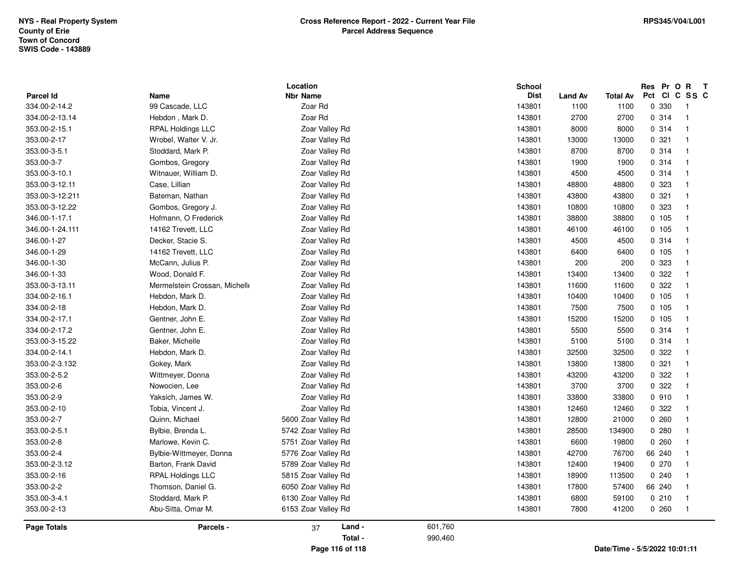| <b>Parcel Id</b> | Name                          | Location<br><b>Nbr Name</b> |         | <b>School</b><br><b>Dist</b> | <b>Land Av</b> | <b>Total Av</b>               | Res Pr O R<br>Pct<br><b>CI</b> | $\mathbf{T}$<br>C SS C |
|------------------|-------------------------------|-----------------------------|---------|------------------------------|----------------|-------------------------------|--------------------------------|------------------------|
| 334.00-2-14.2    | 99 Cascade, LLC               | Zoar Rd                     |         | 143801                       | 1100           | 1100                          | 0 330                          | $\overline{1}$         |
| 334.00-2-13.14   | Hebdon, Mark D.               | Zoar Rd                     |         | 143801                       | 2700           | 2700                          | 0.314                          | $\overline{1}$         |
| 353.00-2-15.1    | <b>RPAL Holdings LLC</b>      | Zoar Valley Rd              |         | 143801                       | 8000           | 8000                          | 0.314                          | $\overline{1}$         |
| 353.00-2-17      | Wrobel, Walter V. Jr.         | Zoar Valley Rd              |         | 143801                       | 13000          | 13000                         | 0.321                          | $\overline{1}$         |
| 353.00-3-5.1     | Stoddard, Mark P.             | Zoar Valley Rd              |         | 143801                       | 8700           | 8700                          | 0.314                          | $\overline{1}$         |
| 353.00-3-7       | Gombos, Gregory               | Zoar Valley Rd              |         | 143801                       | 1900           | 1900                          | 0.314                          | $\overline{1}$         |
| 353.00-3-10.1    | Witnauer, William D.          | Zoar Valley Rd              |         | 143801                       | 4500           | 4500                          | 0.314                          | $\overline{1}$         |
| 353.00-3-12.11   | Case, Lillian                 | Zoar Valley Rd              |         | 143801                       | 48800          | 48800                         | 0 323                          | -1                     |
| 353.00-3-12.211  | Bateman, Nathan               | Zoar Valley Rd              |         | 143801                       | 43800          | 43800                         | 0.321                          | $\overline{1}$         |
| 353.00-3-12.22   | Gombos, Gregory J.            | Zoar Valley Rd              |         | 143801                       | 10800          | 10800                         | 0 323                          | $\overline{1}$         |
| 346.00-1-17.1    | Hofmann, O Frederick          | Zoar Valley Rd              |         | 143801                       | 38800          | 38800                         | 0 105                          | $\overline{1}$         |
| 346.00-1-24.111  | 14162 Trevett, LLC            | Zoar Valley Rd              |         | 143801                       | 46100          | 46100                         | 0.105                          | $\overline{1}$         |
| 346.00-1-27      | Decker, Stacie S.             | Zoar Valley Rd              |         | 143801                       | 4500           | 4500                          | 0.314                          | $\overline{1}$         |
| 346.00-1-29      | 14162 Trevett, LLC            | Zoar Valley Rd              |         | 143801                       | 6400           | 6400                          | 0 105                          | $\overline{1}$         |
| 346.00-1-30      | McCann, Julius P.             | Zoar Valley Rd              |         | 143801                       | 200            | 200                           | 0 323                          | $\overline{1}$         |
| 346.00-1-33      | Wood, Donald F.               | Zoar Valley Rd              |         | 143801                       | 13400          | 13400                         | 0 322                          | $\overline{1}$         |
| 353.00-3-13.11   | Mermelstein Crossan, Michelle | Zoar Valley Rd              |         | 143801                       | 11600          | 11600                         | 0 322                          | $\overline{1}$         |
| 334.00-2-16.1    | Hebdon, Mark D.               | Zoar Valley Rd              |         | 143801                       | 10400          | 10400                         | 0, 105                         | $\overline{1}$         |
| 334.00-2-18      | Hebdon, Mark D.               | Zoar Valley Rd              |         | 143801                       | 7500           | 7500                          | 0, 105                         | $\overline{1}$         |
| 334.00-2-17.1    | Gentner, John E.              | Zoar Valley Rd              |         | 143801                       | 15200          | 15200                         | 0 105                          | $\overline{1}$         |
| 334.00-2-17.2    | Gentner, John E.              | Zoar Valley Rd              |         | 143801                       | 5500           | 5500                          | 0.314                          | $\overline{1}$         |
| 353.00-3-15.22   | Baker, Michelle               | Zoar Valley Rd              |         | 143801                       | 5100           | 5100                          | 0 314                          | $\overline{1}$         |
| 334.00-2-14.1    | Hebdon, Mark D.               | Zoar Valley Rd              |         | 143801                       | 32500          | 32500                         | 0 322                          | $\overline{1}$         |
| 353.00-2-3.132   | Gokey, Mark                   | Zoar Valley Rd              |         | 143801                       | 13800          | 13800                         | 0.321                          | $\overline{1}$         |
| 353.00-2-5.2     | Wittmeyer, Donna              | Zoar Valley Rd              |         | 143801                       | 43200          | 43200                         | 0 322                          | $\overline{1}$         |
| 353.00-2-6       | Nowocien, Lee                 | Zoar Valley Rd              |         | 143801                       | 3700           | 3700                          | 0 322                          | $\overline{1}$         |
| 353.00-2-9       | Yaksich, James W.             | Zoar Valley Rd              |         | 143801                       | 33800          | 33800                         | 0910                           | $\overline{1}$         |
| 353.00-2-10      | Tobia, Vincent J.             | Zoar Valley Rd              |         | 143801                       | 12460          | 12460                         | 0.322                          | $\overline{1}$         |
| 353.00-2-7       | Quinn, Michael                | 5600 Zoar Valley Rd         |         | 143801                       | 12800          | 21000                         | 0.260                          | $\overline{1}$         |
| 353.00-2-5.1     | Bylbie, Brenda L.             | 5742 Zoar Valley Rd         |         | 143801                       | 28500          | 134900                        | 0.280                          | $\overline{1}$         |
| 353.00-2-8       | Marlowe, Kevin C.             | 5751 Zoar Valley Rd         |         | 143801                       | 6600           | 19800                         | 0.260                          | $\overline{1}$         |
| 353.00-2-4       | Bylbie-Wittmeyer, Donna       | 5776 Zoar Valley Rd         |         | 143801                       | 42700          | 76700                         | 66 240                         | $\overline{1}$         |
| 353.00-2-3.12    | Barton, Frank David           | 5789 Zoar Valley Rd         |         | 143801                       | 12400          | 19400                         | 0270                           | $\overline{1}$         |
| 353.00-2-16      | <b>RPAL Holdings LLC</b>      | 5815 Zoar Valley Rd         |         | 143801                       | 18900          | 113500                        | 0.240                          |                        |
| 353.00-2-2       | Thomson, Daniel G.            | 6050 Zoar Valley Rd         |         | 143801                       | 17800          | 57400                         | 66 240                         | -1                     |
| 353.00-3-4.1     | Stoddard, Mark P.             | 6130 Zoar Valley Rd         |         | 143801                       | 6800           | 59100                         | 0210                           | $\overline{1}$         |
| 353.00-2-13      | Abu-Sitta, Omar M.            | 6153 Zoar Valley Rd         |         | 143801                       | 7800           | 41200                         | 0260                           | $\overline{1}$         |
| Page Totals      | Parcels -                     | Land -<br>37                | 601,760 |                              |                |                               |                                |                        |
|                  |                               | Total -                     | 990,460 |                              |                |                               |                                |                        |
|                  |                               | Page 116 of 118             |         |                              |                | Date/Time - 5/5/2022 10:01:11 |                                |                        |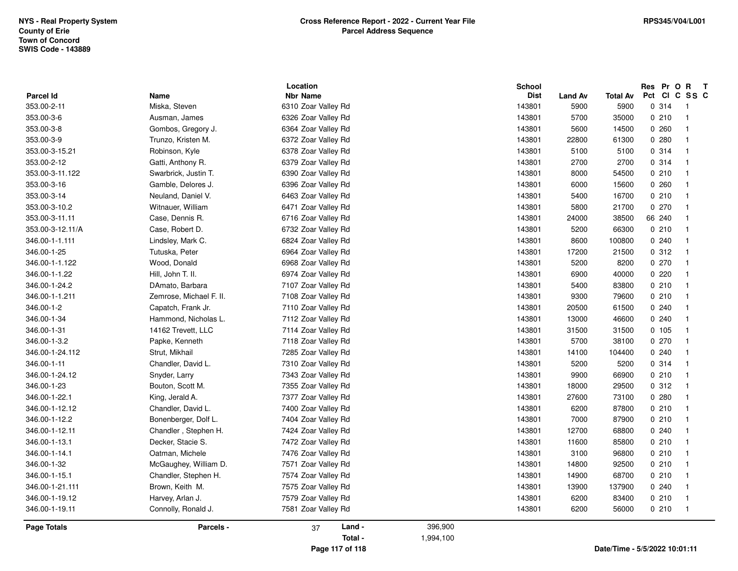| Parcel Id        | Name                    | Location<br><b>Nbr Name</b> | <b>School</b> | <b>Dist</b><br><b>Land Av</b> | Total Av | Res Pr O R<br>$\mathbf{T}$<br>Pct<br>CI<br>C SS C |
|------------------|-------------------------|-----------------------------|---------------|-------------------------------|----------|---------------------------------------------------|
| 353.00-2-11      | Miska, Steven           | 6310 Zoar Valley Rd         | 143801        | 5900                          | 5900     | 0.314<br>$\overline{1}$                           |
| 353.00-3-6       | Ausman, James           | 6326 Zoar Valley Rd         | 143801        | 5700                          | 35000    | 0210<br>$\overline{1}$                            |
| 353.00-3-8       | Gombos, Gregory J.      | 6364 Zoar Valley Rd         | 143801        | 5600                          | 14500    | 0.260<br>-1                                       |
| 353.00-3-9       | Trunzo, Kristen M.      | 6372 Zoar Valley Rd         | 143801        | 22800                         | 61300    | 0.280<br>$\overline{1}$                           |
| 353.00-3-15.21   | Robinson, Kyle          | 6378 Zoar Valley Rd         | 143801        | 5100                          | 5100     | 0.314<br>-1                                       |
| 353.00-2-12      | Gatti, Anthony R.       | 6379 Zoar Valley Rd         | 143801        | 2700                          | 2700     | 0.314<br>$\overline{1}$                           |
| 353.00-3-11.122  | Swarbrick, Justin T.    | 6390 Zoar Valley Rd         | 143801        | 8000                          | 54500    | 0210<br>$\overline{1}$                            |
| 353.00-3-16      | Gamble, Delores J.      | 6396 Zoar Valley Rd         | 143801        | 6000                          | 15600    | 0.260<br>-1                                       |
| 353.00-3-14      | Neuland, Daniel V.      | 6463 Zoar Valley Rd         | 143801        | 5400                          | 16700    | 0210<br>$\overline{1}$                            |
| 353.00-3-10.2    | Witnauer, William       | 6471 Zoar Valley Rd         | 143801        | 5800                          | 21700    | 0270<br>$\overline{1}$                            |
| 353.00-3-11.11   | Case, Dennis R.         | 6716 Zoar Valley Rd         | 143801        | 24000                         | 38500    | 66 240<br>$\overline{1}$                          |
| 353.00-3-12.11/A | Case, Robert D.         | 6732 Zoar Valley Rd         | 143801        | 5200                          | 66300    | 0210<br>$\overline{1}$                            |
| 346.00-1-1.111   | Lindsley, Mark C.       | 6824 Zoar Valley Rd         | 143801        | 8600                          | 100800   | 0240<br>$\overline{1}$                            |
| 346.00-1-25      | Tutuska, Peter          | 6964 Zoar Valley Rd         | 143801        | 17200                         | 21500    | 0.312<br>$\overline{1}$                           |
| 346.00-1-1.122   | Wood, Donald            | 6968 Zoar Valley Rd         | 143801        | 5200                          | 8200     | 0270<br>$\overline{1}$                            |
| 346.00-1-1.22    | Hill, John T. II.       | 6974 Zoar Valley Rd         | 143801        | 6900                          | 40000    | 0220<br>$\overline{1}$                            |
| 346.00-1-24.2    | DAmato, Barbara         | 7107 Zoar Valley Rd         | 143801        | 5400                          | 83800    | 0210<br>-1                                        |
| 346.00-1-1.211   | Zemrose, Michael F. II. | 7108 Zoar Valley Rd         | 143801        | 9300                          | 79600    | 0210<br>-1                                        |
| 346.00-1-2       | Capatch, Frank Jr.      | 7110 Zoar Valley Rd         | 143801        | 20500                         | 61500    | 0.240<br>$\overline{1}$                           |
| 346.00-1-34      | Hammond, Nicholas L.    | 7112 Zoar Valley Rd         | 143801        | 13000                         | 46600    | 0.240<br>$\overline{1}$                           |
| 346.00-1-31      | 14162 Trevett, LLC      | 7114 Zoar Valley Rd         | 143801        | 31500                         | 31500    | 0.105<br>$\overline{1}$                           |
| 346.00-1-3.2     | Papke, Kenneth          | 7118 Zoar Valley Rd         | 143801        | 5700                          | 38100    | 0270<br>$\overline{1}$                            |
| 346.00-1-24.112  | Strut, Mikhail          | 7285 Zoar Valley Rd         | 143801        | 14100                         | 104400   | 0.240<br>$\overline{1}$                           |
| 346.00-1-11      | Chandler, David L.      | 7310 Zoar Valley Rd         | 143801        | 5200                          | 5200     | 0.314<br>$\overline{1}$                           |
| 346.00-1-24.12   | Snyder, Larry           | 7343 Zoar Valley Rd         | 143801        | 9900                          | 66900    | 0210<br>$\overline{1}$                            |
| 346.00-1-23      | Bouton, Scott M.        | 7355 Zoar Valley Rd         | 143801        | 18000                         | 29500    | 0.312<br>$\overline{1}$                           |
| 346.00-1-22.1    | King, Jerald A.         | 7377 Zoar Valley Rd         | 143801        | 27600                         | 73100    | 0.280<br>$\overline{1}$                           |
| 346.00-1-12.12   | Chandler, David L.      | 7400 Zoar Valley Rd         | 143801        | 6200                          | 87800    | 0210<br>$\overline{1}$                            |
| 346.00-1-12.2    | Bonenberger, Dolf L.    | 7404 Zoar Valley Rd         | 143801        | 7000                          | 87900    | 0210<br>$\overline{1}$                            |
| 346.00-1-12.11   | Chandler, Stephen H.    | 7424 Zoar Valley Rd         | 143801        | 12700                         | 68800    | 0.240<br>$\overline{1}$                           |
| 346.00-1-13.1    | Decker, Stacie S.       | 7472 Zoar Valley Rd         | 143801        | 11600                         | 85800    | 0210<br>$\overline{1}$                            |
| 346.00-1-14.1    | Oatman, Michele         | 7476 Zoar Valley Rd         | 143801        | 3100                          | 96800    | 0210<br>$\overline{\mathbf{1}}$                   |
| 346.00-1-32      | McGaughey, William D.   | 7571 Zoar Valley Rd         | 143801        | 14800                         | 92500    | 0210<br>$\overline{1}$                            |
| 346.00-1-15.1    | Chandler, Stephen H.    | 7574 Zoar Valley Rd         | 143801        | 14900                         | 68700    | 0210<br>$\overline{1}$                            |
| 346.00-1-21.111  | Brown, Keith M.         | 7575 Zoar Valley Rd         | 143801        | 13900                         | 137900   | 0.240<br>$\overline{1}$                           |
| 346.00-1-19.12   | Harvey, Arlan J.        | 7579 Zoar Valley Rd         | 143801        | 6200                          | 83400    | 0210<br>$\overline{1}$                            |
| 346.00-1-19.11   | Connolly, Ronald J.     | 7581 Zoar Valley Rd         | 143801        | 6200                          | 56000    | 0210<br>$\overline{1}$                            |
| Page Totals      | Parcels -               | Land -<br>37                | 396,900       |                               |          |                                                   |
|                  |                         | Total -                     | 1,994,100     |                               |          |                                                   |
|                  |                         | Page 117 of 118             |               |                               |          | Date/Time - 5/5/2022 10:01:11                     |